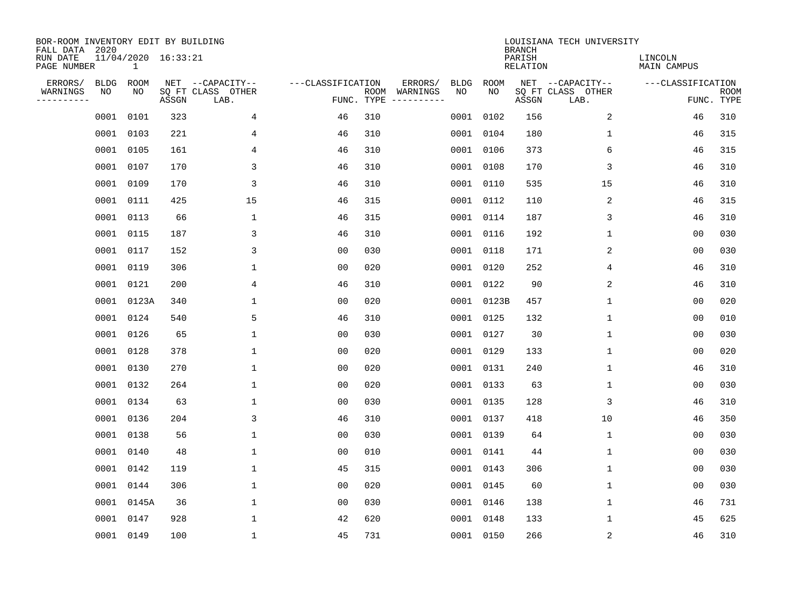| BOR-ROOM INVENTORY EDIT BY BUILDING<br>FALL DATA 2020 |             |              |                     |                           |                   |     |                                      |             |             | <b>BRANCH</b>             | LOUISIANA TECH UNIVERSITY |                               |                           |
|-------------------------------------------------------|-------------|--------------|---------------------|---------------------------|-------------------|-----|--------------------------------------|-------------|-------------|---------------------------|---------------------------|-------------------------------|---------------------------|
| RUN DATE<br>PAGE NUMBER                               |             | $\mathbf{1}$ | 11/04/2020 16:33:21 |                           |                   |     |                                      |             |             | PARISH<br><b>RELATION</b> |                           | LINCOLN<br><b>MAIN CAMPUS</b> |                           |
| ERRORS/                                               | <b>BLDG</b> | ROOM         |                     | NET --CAPACITY--          | ---CLASSIFICATION |     | ERRORS/                              | <b>BLDG</b> | <b>ROOM</b> |                           | NET --CAPACITY--          | ---CLASSIFICATION             |                           |
| WARNINGS<br>----------                                | NO          | NO           | ASSGN               | SQ FT CLASS OTHER<br>LAB. |                   |     | ROOM WARNINGS<br>FUNC. TYPE $------$ | NO          | NO          | ASSGN                     | SQ FT CLASS OTHER<br>LAB. |                               | <b>ROOM</b><br>FUNC. TYPE |
|                                                       | 0001        | 0101         | 323                 | 4                         | 46                | 310 |                                      |             | 0001 0102   | 156                       | 2                         | 46                            | 310                       |
|                                                       | 0001        | 0103         | 221                 | 4                         | 46                | 310 |                                      |             | 0001 0104   | 180                       | 1                         | 46                            | 315                       |
|                                                       | 0001        | 0105         | 161                 | 4                         | 46                | 310 |                                      |             | 0001 0106   | 373                       | 6                         | 46                            | 315                       |
|                                                       | 0001        | 0107         | 170                 | 3                         | 46                | 310 |                                      |             | 0001 0108   | 170                       | 3                         | 46                            | 310                       |
|                                                       | 0001        | 0109         | 170                 | 3                         | 46                | 310 |                                      |             | 0001 0110   | 535                       | 15                        | 46                            | 310                       |
|                                                       | 0001        | 0111         | 425                 | 15                        | 46                | 315 |                                      |             | 0001 0112   | 110                       | $\overline{2}$            | 46                            | 315                       |
|                                                       | 0001 0113   |              | 66                  | $\mathbf{1}$              | 46                | 315 |                                      |             | 0001 0114   | 187                       | 3                         | 46                            | 310                       |
|                                                       | 0001 0115   |              | 187                 | 3                         | 46                | 310 |                                      |             | 0001 0116   | 192                       | 1                         | 0 <sub>0</sub>                | 030                       |
|                                                       | 0001        | 0117         | 152                 | 3                         | 0 <sub>0</sub>    | 030 |                                      |             | 0001 0118   | 171                       | 2                         | 0 <sub>0</sub>                | 030                       |
|                                                       | 0001 0119   |              | 306                 | 1                         | 0 <sub>0</sub>    | 020 |                                      |             | 0001 0120   | 252                       | 4                         | 46                            | 310                       |
|                                                       | 0001        | 0121         | 200                 | 4                         | 46                | 310 |                                      |             | 0001 0122   | 90                        | 2                         | 46                            | 310                       |
|                                                       |             | 0001 0123A   | 340                 | $\mathbf{1}$              | 0 <sub>0</sub>    | 020 |                                      |             | 0001 0123B  | 457                       | $\mathbf{1}$              | 0 <sub>0</sub>                | 020                       |
|                                                       | 0001        | 0124         | 540                 | 5                         | 46                | 310 |                                      |             | 0001 0125   | 132                       | $\mathbf 1$               | 0 <sub>0</sub>                | 010                       |
|                                                       | 0001        | 0126         | 65                  | 1                         | 00                | 030 |                                      |             | 0001 0127   | 30                        | 1                         | 00                            | 030                       |
|                                                       | 0001        | 0128         | 378                 | $\mathbf 1$               | 0 <sub>0</sub>    | 020 |                                      |             | 0001 0129   | 133                       | 1                         | 0 <sub>0</sub>                | 020                       |
|                                                       | 0001        | 0130         | 270                 | 1                         | 0 <sub>0</sub>    | 020 |                                      |             | 0001 0131   | 240                       | 1                         | 46                            | 310                       |
|                                                       | 0001        | 0132         | 264                 | 1                         | 0 <sub>0</sub>    | 020 |                                      |             | 0001 0133   | 63                        | 1                         | 0 <sub>0</sub>                | 030                       |
|                                                       | 0001        | 0134         | 63                  | $\mathbf{1}$              | 0 <sub>0</sub>    | 030 |                                      |             | 0001 0135   | 128                       | 3                         | 46                            | 310                       |
|                                                       | 0001        | 0136         | 204                 | 3                         | 46                | 310 |                                      |             | 0001 0137   | 418                       | 10                        | 46                            | 350                       |
|                                                       | 0001        | 0138         | 56                  | $\mathbf 1$               | 0 <sub>0</sub>    | 030 |                                      |             | 0001 0139   | 64                        | 1                         | 0 <sub>0</sub>                | 030                       |
|                                                       | 0001        | 0140         | 48                  | 1                         | 0 <sub>0</sub>    | 010 |                                      |             | 0001 0141   | 44                        | 1                         | 0 <sub>0</sub>                | 030                       |
|                                                       | 0001        | 0142         | 119                 | $\mathbf 1$               | 45                | 315 |                                      |             | 0001 0143   | 306                       | 1                         | 00                            | 030                       |
|                                                       | 0001        | 0144         | 306                 | 1                         | 0 <sub>0</sub>    | 020 |                                      |             | 0001 0145   | 60                        | 1                         | 0 <sub>0</sub>                | 030                       |
|                                                       | 0001        | 0145A        | 36                  | $\mathbf 1$               | 0 <sub>0</sub>    | 030 |                                      |             | 0001 0146   | 138                       | $\mathbf 1$               | 46                            | 731                       |
|                                                       | 0001        | 0147         | 928                 | $\mathbf{1}$              | 42                | 620 |                                      |             | 0001 0148   | 133                       | 1                         | 45                            | 625                       |
|                                                       | 0001 0149   |              | 100                 | $\mathbf{1}$              | 45                | 731 |                                      |             | 0001 0150   | 266                       | $\sqrt{2}$                | 46                            | 310                       |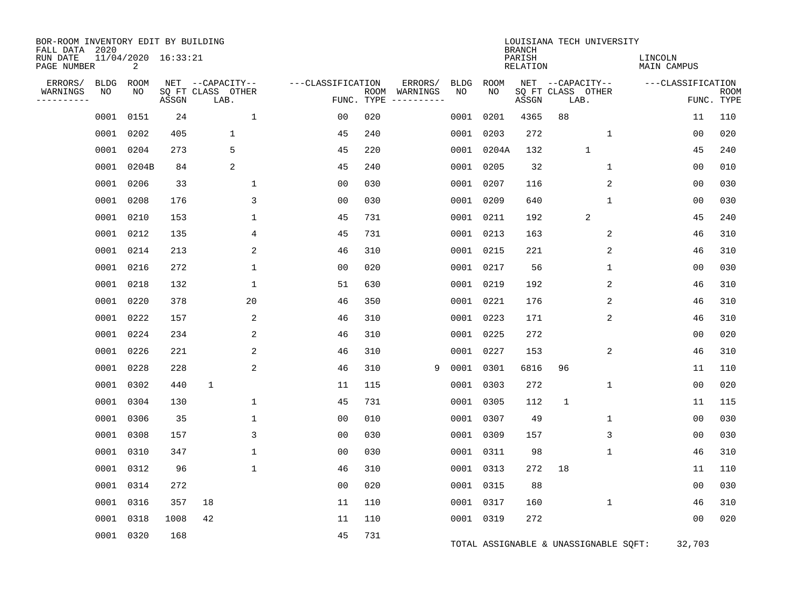| BOR-ROOM INVENTORY EDIT BY BUILDING<br>FALL DATA 2020<br>RUN DATE<br>PAGE NUMBER |            | 11/04/2020 16:33:21<br>2 |       |                                               |                   |                    |                                    |                   |                   | <b>BRANCH</b><br>PARISH<br><b>RELATION</b> | LOUISIANA TECH UNIVERSITY                     | LINCOLN<br>MAIN CAMPUS |                           |
|----------------------------------------------------------------------------------|------------|--------------------------|-------|-----------------------------------------------|-------------------|--------------------|------------------------------------|-------------------|-------------------|--------------------------------------------|-----------------------------------------------|------------------------|---------------------------|
| ERRORS/<br>WARNINGS<br>----------                                                | BLDG<br>NO | ROOM<br>NO               | ASSGN | NET --CAPACITY--<br>SQ FT CLASS OTHER<br>LAB. | ---CLASSIFICATION | ROOM<br>FUNC. TYPE | ERRORS/<br>WARNINGS<br>----------- | <b>BLDG</b><br>NO | <b>ROOM</b><br>NO | ASSGN                                      | NET --CAPACITY--<br>SQ FT CLASS OTHER<br>LAB. | ---CLASSIFICATION      | <b>ROOM</b><br>FUNC. TYPE |
|                                                                                  | 0001       | 0151                     | 24    | $\mathbf{1}$                                  | 0 <sub>0</sub>    | 020                |                                    | 0001              | 0201              | 4365                                       | 88                                            | 11                     | 110                       |
|                                                                                  | 0001       | 0202                     | 405   | 1                                             | 45                | 240                |                                    | 0001              | 0203              | 272                                        | 1                                             | 0 <sub>0</sub>         | 020                       |
|                                                                                  | 0001       | 0204                     | 273   | 5                                             | 45                | 220                |                                    |                   | 0001 0204A        | 132                                        | $\mathbf{1}$                                  | 45                     | 240                       |
|                                                                                  | 0001       | 0204B                    | 84    | 2                                             | 45                | 240                |                                    |                   | 0001 0205         | 32                                         | $\mathbf 1$                                   | 00                     | 010                       |
|                                                                                  | 0001       | 0206                     | 33    | $\mathbf{1}$                                  | 0 <sub>0</sub>    | 030                |                                    |                   | 0001 0207         | 116                                        | 2                                             | 00                     | 030                       |
|                                                                                  | 0001       | 0208                     | 176   | 3                                             | 0 <sub>0</sub>    | 030                |                                    |                   | 0001 0209         | 640                                        | 1                                             | 00                     | 030                       |
|                                                                                  | 0001       | 0210                     | 153   | 1                                             | 45                | 731                |                                    |                   | 0001 0211         | 192                                        | $\sqrt{2}$                                    | 45                     | 240                       |
|                                                                                  | 0001       | 0212                     | 135   | 4                                             | 45                | 731                |                                    |                   | 0001 0213         | 163                                        | 2                                             | 46                     | 310                       |
|                                                                                  |            | 0001 0214                | 213   | 2                                             | 46                | 310                |                                    |                   | 0001 0215         | 221                                        | 2                                             | 46                     | 310                       |
|                                                                                  | 0001       | 0216                     | 272   | 1                                             | 00                | 020                |                                    |                   | 0001 0217         | 56                                         | 1                                             | 0 <sub>0</sub>         | 030                       |
|                                                                                  | 0001       | 0218                     | 132   | $\mathbf{1}$                                  | 51                | 630                |                                    |                   | 0001 0219         | 192                                        | $\overline{2}$                                | 46                     | 310                       |
|                                                                                  | 0001       | 0220                     | 378   | 20                                            | 46                | 350                |                                    |                   | 0001 0221         | 176                                        | 2                                             | 46                     | 310                       |
|                                                                                  | 0001       | 0222                     | 157   | 2                                             | 46                | 310                |                                    |                   | 0001 0223         | 171                                        | 2                                             | 46                     | 310                       |
|                                                                                  | 0001       | 0224                     | 234   | 2                                             | 46                | 310                |                                    |                   | 0001 0225         | 272                                        |                                               | 0 <sub>0</sub>         | 020                       |
|                                                                                  | 0001       | 0226                     | 221   | $\overline{c}$                                | 46                | 310                |                                    |                   | 0001 0227         | 153                                        | 2                                             | 46                     | 310                       |
|                                                                                  |            | 0001 0228                | 228   | 2                                             | 46                | 310                | 9                                  |                   | 0001 0301         | 6816                                       | 96                                            | 11                     | 110                       |
|                                                                                  | 0001       | 0302                     | 440   | $\mathbf{1}$                                  | 11                | 115                |                                    |                   | 0001 0303         | 272                                        | $\mathbf 1$                                   | 0 <sub>0</sub>         | 020                       |
|                                                                                  | 0001       | 0304                     | 130   | 1                                             | 45                | 731                |                                    |                   | 0001 0305         | 112                                        | 1                                             | 11                     | 115                       |
|                                                                                  | 0001       | 0306                     | 35    | 1                                             | 0 <sub>0</sub>    | 010                |                                    |                   | 0001 0307         | 49                                         | 1                                             | 0 <sub>0</sub>         | 030                       |
|                                                                                  | 0001       | 0308                     | 157   | 3                                             | 0 <sub>0</sub>    | 030                |                                    |                   | 0001 0309         | 157                                        | 3                                             | 00                     | 030                       |
|                                                                                  | 0001       | 0310                     | 347   | 1                                             | 0 <sub>0</sub>    | 030                |                                    |                   | 0001 0311         | 98                                         | 1                                             | 46                     | 310                       |
|                                                                                  | 0001       | 0312                     | 96    | $\mathbf 1$                                   | 46                | 310                |                                    |                   | 0001 0313         | 272                                        | 18                                            | 11                     | 110                       |
|                                                                                  | 0001       | 0314                     | 272   |                                               | 0 <sub>0</sub>    | 020                |                                    |                   | 0001 0315         | 88                                         |                                               | 0 <sub>0</sub>         | 030                       |
|                                                                                  | 0001       | 0316                     | 357   | 18                                            | 11                | 110                |                                    |                   | 0001 0317         | 160                                        | $\mathbf 1$                                   | 46                     | 310                       |
|                                                                                  | 0001       | 0318                     | 1008  | 42                                            | 11                | 110                |                                    |                   | 0001 0319         | 272                                        |                                               | 0 <sub>0</sub>         | 020                       |
|                                                                                  |            | 0001 0320                | 168   |                                               | 45                | 731                |                                    |                   |                   |                                            | TOTAL ASSIGNABLE & UNASSIGNABLE SOFT:         | 32,703                 |                           |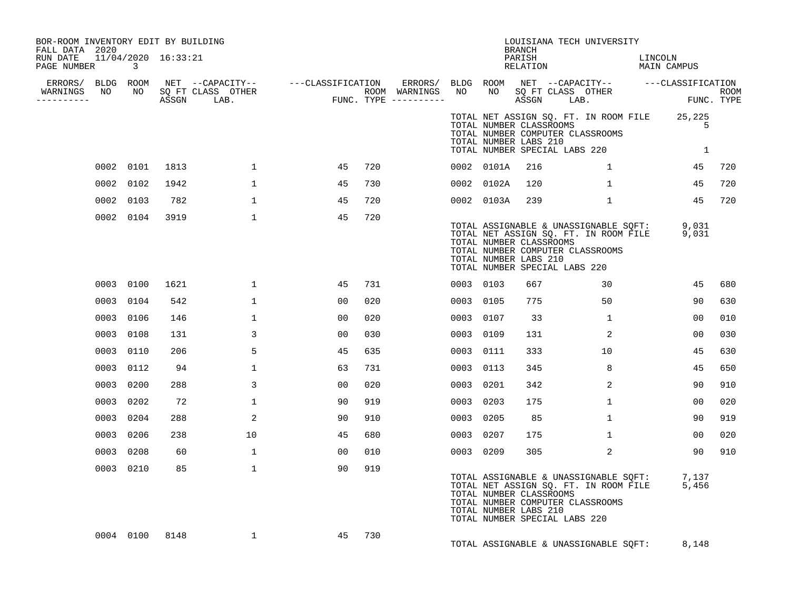| BOR-ROOM INVENTORY EDIT BY BUILDING<br>FALL DATA 2020 |                            |      |              |                |     |           |                                                                                   | BRANCH             | LOUISIANA TECH UNIVERSITY                                                                                                                    |         |                   |     |
|-------------------------------------------------------|----------------------------|------|--------------|----------------|-----|-----------|-----------------------------------------------------------------------------------|--------------------|----------------------------------------------------------------------------------------------------------------------------------------------|---------|-------------------|-----|
| RUN DATE  11/04/2020  16:33:21<br>PAGE NUMBER         | $\overline{\phantom{a}}$ 3 |      |              |                |     |           |                                                                                   | PARISH<br>RELATION | MAIN CAMPUS                                                                                                                                  | LINCOLN |                   |     |
|                                                       |                            |      |              |                |     |           |                                                                                   |                    |                                                                                                                                              |         |                   |     |
| WARNINGS<br>.                                         |                            |      |              |                |     |           |                                                                                   |                    |                                                                                                                                              |         |                   |     |
|                                                       |                            |      |              |                |     |           | TOTAL NUMBER LABS 210                                                             |                    | TOTAL NET ASSIGN SQ. FT. IN ROOM FILE 25,225<br>TOTAL NUMBER CLASSROOMS<br>TOTAL NUMBER COMPUTER CLASSROOMS<br>TOTAL NUMBER SPECIAL LABS 220 |         | 5<br>$\mathbf{1}$ |     |
|                                                       | 0002 0101                  | 1813 | $\mathbf{1}$ | 45             | 720 |           | 0002 0101A                                                                        | 216                | 1                                                                                                                                            |         | 45                | 720 |
|                                                       | 0002 0102                  | 1942 | $\mathbf{1}$ | 45             | 730 |           | 0002 0102A                                                                        | 120                | $\mathbf{1}$                                                                                                                                 |         | 45                | 720 |
|                                                       | 0002 0103                  | 782  | $\mathbf{1}$ | 45             | 720 |           | 0002 0103A                                                                        | 239                | $\mathbf{1}$                                                                                                                                 |         | 45                | 720 |
|                                                       | 0002 0104                  | 3919 | $\mathbf{1}$ | 45             | 720 |           | TOTAL NUMBER CLASSROOMS<br>TOTAL NUMBER LABS 210<br>TOTAL NUMBER SPECIAL LABS 220 |                    | TOTAL ASSIGNABLE & UNASSIGNABLE SQFT: 9,031<br>TOTAL NET ASSIGN SQ. FT. IN ROOM FILE 9,031<br>TOTAL NUMBER COMPUTER CLASSROOMS               |         |                   |     |
|                                                       | 0003 0100                  | 1621 | $\mathbf{1}$ | 45             | 731 | 0003 0103 |                                                                                   | 667                | 30                                                                                                                                           |         | 45                | 680 |
|                                                       | 0003 0104                  | 542  | $\mathbf{1}$ | 00             | 020 | 0003 0105 |                                                                                   | 775                | 50                                                                                                                                           |         | 90                | 630 |
|                                                       | 0003 0106                  | 146  | $\mathbf{1}$ | 00             | 020 | 0003 0107 |                                                                                   | 33                 | $\mathbf{1}$                                                                                                                                 |         | 0 <sub>0</sub>    | 010 |
|                                                       | 0003 0108                  | 131  | 3            | 0 <sub>0</sub> | 030 | 0003 0109 |                                                                                   | 131                | 2                                                                                                                                            |         | 0 <sub>0</sub>    | 030 |
|                                                       | 0003 0110                  | 206  | 5            | 45             | 635 | 0003 0111 |                                                                                   | 333                | 10 <sup>°</sup>                                                                                                                              |         | 45                | 630 |
|                                                       | 0003 0112                  | 94   | $\mathbf{1}$ | 63             | 731 | 0003 0113 |                                                                                   | 345                | 8                                                                                                                                            |         | 45                | 650 |
|                                                       | 0003 0200                  | 288  | 3            | 00             | 020 | 0003 0201 |                                                                                   | 342                | 2                                                                                                                                            |         | 90                | 910 |
| 0003                                                  | 0202                       | 72   | $\mathbf{1}$ | 90             | 919 | 0003 0203 |                                                                                   | 175                | $\mathbf{1}$                                                                                                                                 |         | 00                | 020 |
|                                                       | 0003 0204                  | 288  | 2            | 90             | 910 | 0003 0205 |                                                                                   | 85                 | $\mathbf{1}$                                                                                                                                 |         | 90                | 919 |
|                                                       | 0003 0206                  | 238  | 10           | 45             | 680 | 0003 0207 |                                                                                   | 175                | $\mathbf{1}$                                                                                                                                 |         | 00                | 020 |
|                                                       | 0003 0208                  | 60   | $\mathbf{1}$ | 00             | 010 | 0003 0209 |                                                                                   | 305                | $\overline{2}$                                                                                                                               |         | 90                | 910 |
|                                                       | 0003 0210                  | 85   | $\mathbf{1}$ | 90             | 919 |           | TOTAL NUMBER CLASSROOMS<br>TOTAL NUMBER LABS 210<br>TOTAL NUMBER SPECIAL LABS 220 |                    | TOTAL ASSIGNABLE & UNASSIGNABLE SQFT: 7,137<br>TOTAL NET ASSIGN SQ. FT. IN ROOM FILE 5,456<br>TOTAL NUMBER COMPUTER CLASSROOMS               |         |                   |     |
|                                                       | 0004 0100                  | 8148 | $\mathbf{1}$ | 45             | 730 |           |                                                                                   |                    | TOTAL ASSIGNABLE & UNASSIGNABLE SQFT:                                                                                                        |         | 8,148             |     |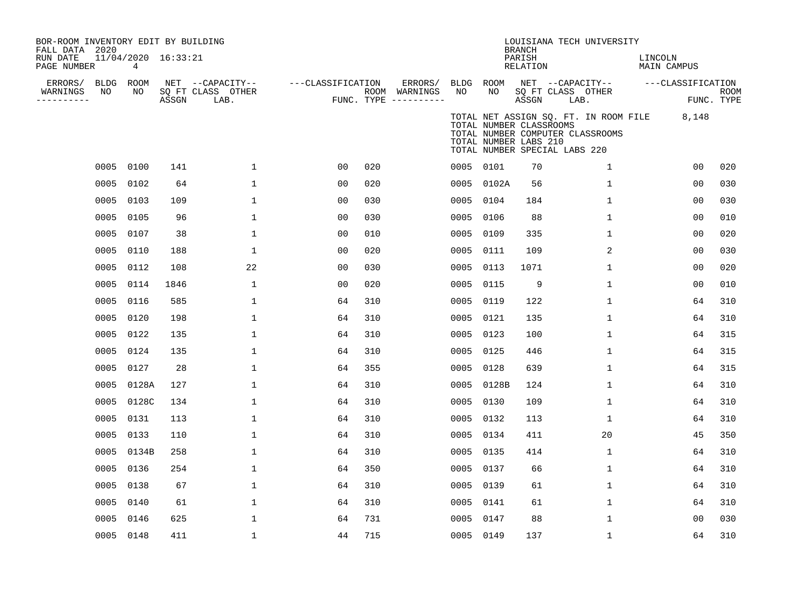| BOR-ROOM INVENTORY EDIT BY BUILDING<br>FALL DATA 2020<br>RUN DATE<br>PAGE NUMBER |                 | 11/04/2020 16:33:21<br>4 |       |                                               |                   |     |                                                 |                 |                                                  | <b>BRANCH</b><br>PARISH<br>RELATION | LOUISIANA TECH UNIVERSITY                                                                                  | LINCOLN<br><b>MAIN CAMPUS</b> |                           |
|----------------------------------------------------------------------------------|-----------------|--------------------------|-------|-----------------------------------------------|-------------------|-----|-------------------------------------------------|-----------------|--------------------------------------------------|-------------------------------------|------------------------------------------------------------------------------------------------------------|-------------------------------|---------------------------|
| ERRORS/<br>WARNINGS<br>---------                                                 | BLDG ROOM<br>NO | NO                       | ASSGN | NET --CAPACITY--<br>SQ FT CLASS OTHER<br>LAB. | ---CLASSIFICATION |     | ERRORS/<br>ROOM WARNINGS<br>FUNC. TYPE $------$ | BLDG ROOM<br>NO | NO                                               | ASSGN                               | NET --CAPACITY--<br>SQ FT CLASS OTHER<br>LAB.                                                              | ---CLASSIFICATION             | <b>ROOM</b><br>FUNC. TYPE |
|                                                                                  |                 |                          |       |                                               |                   |     |                                                 |                 | TOTAL NUMBER CLASSROOMS<br>TOTAL NUMBER LABS 210 |                                     | TOTAL NET ASSIGN SQ. FT. IN ROOM FILE<br>TOTAL NUMBER COMPUTER CLASSROOMS<br>TOTAL NUMBER SPECIAL LABS 220 | 8,148                         |                           |
|                                                                                  |                 | 0005 0100                | 141   | $\mathbf 1$                                   | 00                | 020 |                                                 | 0005 0101       |                                                  | 70                                  | 1                                                                                                          | 00                            | 020                       |
|                                                                                  | 0005            | 0102                     | 64    | $\mathbf 1$                                   | 00                | 020 |                                                 |                 | 0005 0102A                                       | 56                                  | $\mathbf{1}$                                                                                               | 0 <sub>0</sub>                | 030                       |
|                                                                                  | 0005            | 0103                     | 109   | $\mathbf 1$                                   | 0 <sub>0</sub>    | 030 |                                                 | 0005 0104       |                                                  | 184                                 | $\mathbf 1$                                                                                                | 0 <sub>0</sub>                | 030                       |
|                                                                                  | 0005            | 0105                     | 96    | $\mathbf{1}$                                  | 00                | 030 |                                                 | 0005            | 0106                                             | 88                                  | $\mathbf{1}$                                                                                               | 0 <sup>0</sup>                | 010                       |
|                                                                                  | 0005            | 0107                     | 38    | $\mathbf 1$                                   | 0 <sub>0</sub>    | 010 |                                                 | 0005            | 0109                                             | 335                                 | $\mathbf{1}$                                                                                               | 0 <sup>0</sup>                | 020                       |
|                                                                                  | 0005            | 0110                     | 188   | $\mathbf 1$                                   | 0 <sub>0</sub>    | 020 |                                                 | 0005            | 0111                                             | 109                                 | 2                                                                                                          | 0 <sup>0</sup>                | 030                       |
|                                                                                  | 0005            | 0112                     | 108   | 22                                            | 0 <sub>0</sub>    | 030 |                                                 | 0005            | 0113                                             | 1071                                | $\mathbf{1}$                                                                                               | 0 <sub>0</sub>                | 020                       |
|                                                                                  | 0005            | 0114                     | 1846  | $\mathbf 1$                                   | 0 <sub>0</sub>    | 020 |                                                 | 0005            | 0115                                             | 9                                   | 1                                                                                                          | 0 <sub>0</sub>                | 010                       |
|                                                                                  | 0005            | 0116                     | 585   | $\mathbf 1$                                   | 64                | 310 |                                                 | 0005            | 0119                                             | 122                                 | $\mathbf{1}$                                                                                               | 64                            | 310                       |
|                                                                                  | 0005            | 0120                     | 198   | $\mathbf 1$                                   | 64                | 310 |                                                 | 0005            | 0121                                             | 135                                 | $\mathbf{1}$                                                                                               | 64                            | 310                       |
|                                                                                  | 0005            | 0122                     | 135   | $\mathbf{1}$                                  | 64                | 310 |                                                 | 0005            | 0123                                             | 100                                 | $\mathbf{1}$                                                                                               | 64                            | 315                       |
|                                                                                  | 0005            | 0124                     | 135   | 1                                             | 64                | 310 |                                                 | 0005 0125       |                                                  | 446                                 | 1                                                                                                          | 64                            | 315                       |
|                                                                                  |                 | 0005 0127                | 28    | $\mathbf 1$                                   | 64                | 355 |                                                 | 0005            | 0128                                             | 639                                 | $\mathbf{1}$                                                                                               | 64                            | 315                       |
|                                                                                  | 0005            | 0128A                    | 127   | 1                                             | 64                | 310 |                                                 | 0005            | 0128B                                            | 124                                 | $\mathbf{1}$                                                                                               | 64                            | 310                       |
|                                                                                  | 0005            | 0128C                    | 134   | $\mathbf{1}$                                  | 64                | 310 |                                                 | 0005            | 0130                                             | 109                                 | $\mathbf{1}$                                                                                               | 64                            | 310                       |
|                                                                                  | 0005            | 0131                     | 113   | $\mathbf{1}$                                  | 64                | 310 |                                                 | 0005 0132       |                                                  | 113                                 | $\mathbf{1}$                                                                                               | 64                            | 310                       |
|                                                                                  | 0005            | 0133                     | 110   | $\mathbf 1$                                   | 64                | 310 |                                                 | 0005            | 0134                                             | 411                                 | 20                                                                                                         | 45                            | 350                       |
|                                                                                  | 0005            | 0134B                    | 258   | $\mathbf 1$                                   | 64                | 310 |                                                 | 0005            | 0135                                             | 414                                 | $\mathbf{1}$                                                                                               | 64                            | 310                       |
|                                                                                  | 0005            | 0136                     | 254   | $\mathbf{1}$                                  | 64                | 350 |                                                 | 0005            | 0137                                             | 66                                  | $\mathbf{1}$                                                                                               | 64                            | 310                       |
|                                                                                  | 0005            | 0138                     | 67    | $\mathbf{1}$                                  | 64                | 310 |                                                 | 0005            | 0139                                             | 61                                  | $\mathbf{1}$                                                                                               | 64                            | 310                       |
|                                                                                  | 0005            | 0140                     | 61    | $\mathbf 1$                                   | 64                | 310 |                                                 | 0005            | 0141                                             | 61                                  | $\mathbf{1}$                                                                                               | 64                            | 310                       |
|                                                                                  | 0005            | 0146                     | 625   | 1                                             | 64                | 731 |                                                 | 0005            | 0147                                             | 88                                  | 1                                                                                                          | 00                            | 030                       |
|                                                                                  |                 | 0005 0148                | 411   | $\mathbf 1$                                   | 44                | 715 |                                                 | 0005 0149       |                                                  | 137                                 | $\mathbf{1}$                                                                                               | 64                            | 310                       |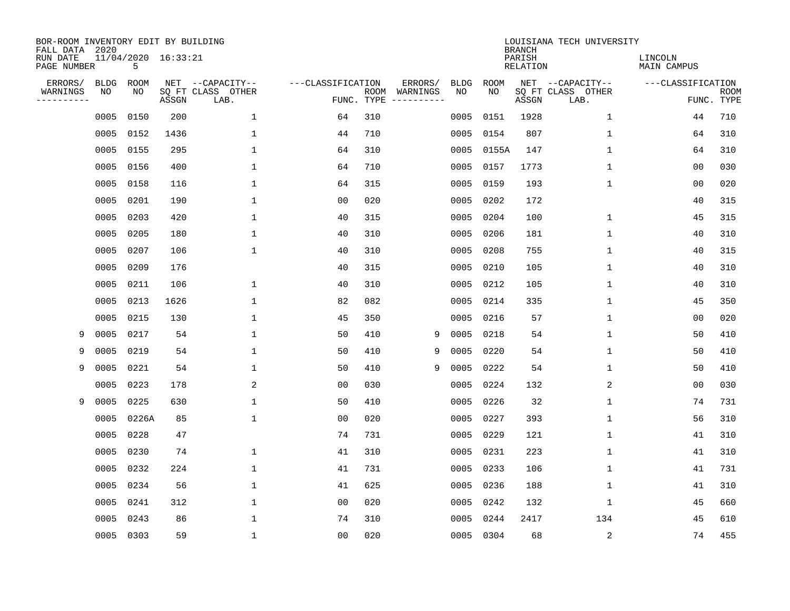| BOR-ROOM INVENTORY EDIT BY BUILDING<br>FALL DATA 2020 |             |                          |       |                           |                   |      |                                 |   |             |             | <b>BRANCH</b>             | LOUISIANA TECH UNIVERSITY |                               |                           |
|-------------------------------------------------------|-------------|--------------------------|-------|---------------------------|-------------------|------|---------------------------------|---|-------------|-------------|---------------------------|---------------------------|-------------------------------|---------------------------|
| RUN DATE<br>PAGE NUMBER                               |             | 11/04/2020 16:33:21<br>5 |       |                           |                   |      |                                 |   |             |             | PARISH<br><b>RELATION</b> |                           | LINCOLN<br><b>MAIN CAMPUS</b> |                           |
| ERRORS/                                               | <b>BLDG</b> | ROOM                     |       | NET --CAPACITY--          | ---CLASSIFICATION |      | ERRORS/                         |   | <b>BLDG</b> | <b>ROOM</b> |                           | NET --CAPACITY--          | ---CLASSIFICATION             |                           |
| WARNINGS<br>----------                                | NO          | NO                       | ASSGN | SQ FT CLASS OTHER<br>LAB. |                   | ROOM | WARNINGS<br>FUNC. TYPE $------$ |   | NO          | NO          | ASSGN                     | SQ FT CLASS OTHER<br>LAB. |                               | <b>ROOM</b><br>FUNC. TYPE |
|                                                       | 0005        | 0150                     | 200   | 1                         | 64                | 310  |                                 |   | 0005        | 0151        | 1928                      | $\mathbf 1$               | 44                            | 710                       |
|                                                       | 0005        | 0152                     | 1436  | 1                         | 44                | 710  |                                 |   | 0005        | 0154        | 807                       | 1                         | 64                            | 310                       |
|                                                       | 0005        | 0155                     | 295   | $\mathbf 1$               | 64                | 310  |                                 |   | 0005        | 0155A       | 147                       | $\mathbf 1$               | 64                            | 310                       |
|                                                       | 0005        | 0156                     | 400   | $\mathbf{1}$              | 64                | 710  |                                 |   | 0005        | 0157        | 1773                      | 1                         | 0 <sub>0</sub>                | 030                       |
|                                                       | 0005        | 0158                     | 116   | $\mathbf{1}$              | 64                | 315  |                                 |   | 0005        | 0159        | 193                       | $\mathbf{1}$              | 0 <sub>0</sub>                | 020                       |
|                                                       | 0005        | 0201                     | 190   | $\mathbf{1}$              | 0 <sub>0</sub>    | 020  |                                 |   |             | 0005 0202   | 172                       |                           | 40                            | 315                       |
|                                                       | 0005        | 0203                     | 420   | $\mathbf 1$               | 40                | 315  |                                 |   | 0005        | 0204        | 100                       | $\mathbf 1$               | 45                            | 315                       |
|                                                       | 0005        | 0205                     | 180   | $\mathbf{1}$              | 40                | 310  |                                 |   | 0005        | 0206        | 181                       | 1                         | 40                            | 310                       |
|                                                       | 0005        | 0207                     | 106   | $\mathbf{1}$              | 40                | 310  |                                 |   | 0005        | 0208        | 755                       | $\mathbf 1$               | 40                            | 315                       |
|                                                       | 0005        | 0209                     | 176   |                           | 40                | 315  |                                 |   | 0005        | 0210        | 105                       | $\mathbf 1$               | 40                            | 310                       |
|                                                       | 0005        | 0211                     | 106   | 1                         | 40                | 310  |                                 |   | 0005        | 0212        | 105                       | $\mathbf 1$               | 40                            | 310                       |
|                                                       | 0005        | 0213                     | 1626  | $\mathbf{1}$              | 82                | 082  |                                 |   | 0005        | 0214        | 335                       | 1                         | 45                            | 350                       |
|                                                       | 0005        | 0215                     | 130   | 1                         | 45                | 350  |                                 |   | 0005        | 0216        | 57                        | $\mathbf 1$               | 00                            | 020                       |
| 9                                                     | 0005        | 0217                     | 54    | $\mathbf{1}$              | 50                | 410  |                                 | 9 | 0005        | 0218        | 54                        | 1                         | 50                            | 410                       |
| 9                                                     | 0005        | 0219                     | 54    | $\mathbf{1}$              | 50                | 410  |                                 | 9 | 0005        | 0220        | 54                        | 1                         | 50                            | 410                       |
| 9                                                     | 0005        | 0221                     | 54    | $\mathbf{1}$              | 50                | 410  |                                 | 9 | 0005        | 0222        | 54                        | 1                         | 50                            | 410                       |
|                                                       | 0005        | 0223                     | 178   | 2                         | 0 <sub>0</sub>    | 030  |                                 |   | 0005        | 0224        | 132                       | 2                         | 0 <sub>0</sub>                | 030                       |
| 9                                                     | 0005        | 0225                     | 630   | $\mathbf{1}$              | 50                | 410  |                                 |   | 0005        | 0226        | 32                        | 1                         | 74                            | 731                       |
|                                                       | 0005        | 0226A                    | 85    | $\mathbf{1}$              | 0 <sub>0</sub>    | 020  |                                 |   | 0005        | 0227        | 393                       | 1                         | 56                            | 310                       |
|                                                       | 0005        | 0228                     | 47    |                           | 74                | 731  |                                 |   | 0005        | 0229        | 121                       | 1                         | 41                            | 310                       |
|                                                       | 0005        | 0230                     | 74    | 1                         | 41                | 310  |                                 |   | 0005        | 0231        | 223                       | 1                         | 41                            | 310                       |
|                                                       | 0005        | 0232                     | 224   | $\mathbf 1$               | 41                | 731  |                                 |   | 0005        | 0233        | 106                       | 1                         | 41                            | 731                       |
|                                                       | 0005        | 0234                     | 56    | 1                         | 41                | 625  |                                 |   | 0005        | 0236        | 188                       | 1                         | 41                            | 310                       |
|                                                       | 0005        | 0241                     | 312   | $\mathbf 1$               | 0 <sub>0</sub>    | 020  |                                 |   | 0005        | 0242        | 132                       | 1                         | 45                            | 660                       |
|                                                       | 0005        | 0243                     | 86    | $\mathbf{1}$              | 74                | 310  |                                 |   | 0005        | 0244        | 2417                      | 134                       | 45                            | 610                       |
|                                                       |             | 0005 0303                | 59    | $\mathbf{1}$              | 0 <sub>0</sub>    | 020  |                                 |   |             | 0005 0304   | 68                        | $\overline{c}$            | 74                            | 455                       |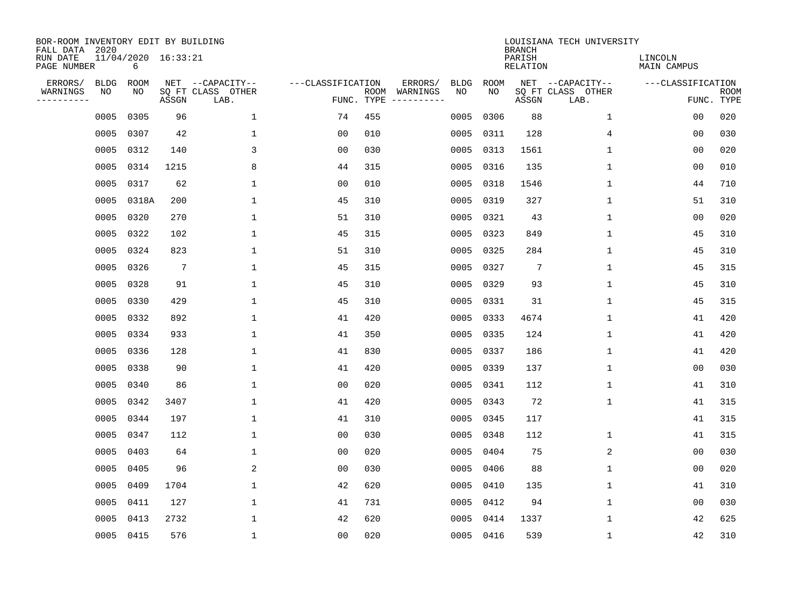| BOR-ROOM INVENTORY EDIT BY BUILDING<br>FALL DATA 2020 |                   |                          |                 |                                       |                   |     |                          |                   |                   | <b>BRANCH</b>             | LOUISIANA TECH UNIVERSITY             |                               |             |
|-------------------------------------------------------|-------------------|--------------------------|-----------------|---------------------------------------|-------------------|-----|--------------------------|-------------------|-------------------|---------------------------|---------------------------------------|-------------------------------|-------------|
| RUN DATE<br>PAGE NUMBER                               |                   | 11/04/2020 16:33:21<br>6 |                 |                                       |                   |     |                          |                   |                   | PARISH<br><b>RELATION</b> |                                       | LINCOLN<br><b>MAIN CAMPUS</b> |             |
| ERRORS/<br>WARNINGS                                   | <b>BLDG</b><br>NO | ROOM<br>NO               |                 | NET --CAPACITY--<br>SQ FT CLASS OTHER | ---CLASSIFICATION |     | ERRORS/<br>ROOM WARNINGS | <b>BLDG</b><br>NO | <b>ROOM</b><br>NO |                           | NET --CAPACITY--<br>SQ FT CLASS OTHER | ---CLASSIFICATION             | <b>ROOM</b> |
| ----------                                            |                   |                          | ASSGN           | LAB.                                  |                   |     | FUNC. TYPE $------$      |                   |                   | ASSGN                     | LAB.                                  |                               | FUNC. TYPE  |
|                                                       | 0005              | 0305                     | 96              | 1                                     | 74                | 455 |                          | 0005              | 0306              | 88                        | $\mathbf 1$                           | 00                            | 020         |
|                                                       | 0005              | 0307                     | 42              | 1                                     | 0 <sub>0</sub>    | 010 |                          | 0005              | 0311              | 128                       | 4                                     | 00                            | 030         |
|                                                       | 0005              | 0312                     | 140             | 3                                     | 0 <sub>0</sub>    | 030 |                          | 0005              | 0313              | 1561                      | 1                                     | 0 <sub>0</sub>                | 020         |
|                                                       | 0005              | 0314                     | 1215            | 8                                     | 44                | 315 |                          | 0005              | 0316              | 135                       | $\mathbf 1$                           | 0 <sub>0</sub>                | 010         |
|                                                       | 0005              | 0317                     | 62              | $\mathbf 1$                           | 0 <sub>0</sub>    | 010 |                          | 0005              | 0318              | 1546                      | $\mathbf 1$                           | 44                            | 710         |
|                                                       | 0005              | 0318A                    | 200             | $\mathbf{1}$                          | 45                | 310 |                          |                   | 0005 0319         | 327                       | 1                                     | 51                            | 310         |
|                                                       | 0005              | 0320                     | 270             | $\mathbf{1}$                          | 51                | 310 |                          | 0005              | 0321              | 43                        | $\mathbf{1}$                          | 0 <sub>0</sub>                | 020         |
|                                                       | 0005              | 0322                     | 102             | $\mathbf{1}$                          | 45                | 315 |                          | 0005              | 0323              | 849                       | $\mathbf{1}$                          | 45                            | 310         |
|                                                       | 0005              | 0324                     | 823             | $\mathbf{1}$                          | 51                | 310 |                          | 0005              | 0325              | 284                       | $\mathbf{1}$                          | 45                            | 310         |
|                                                       | 0005              | 0326                     | $7\phantom{.0}$ | 1                                     | 45                | 315 |                          |                   | 0005 0327         | 7                         | 1                                     | 45                            | 315         |
|                                                       | 0005              | 0328                     | 91              | 1                                     | 45                | 310 |                          | 0005              | 0329              | 93                        | $\mathbf 1$                           | 45                            | 310         |
|                                                       | 0005              | 0330                     | 429             | $\mathbf{1}$                          | 45                | 310 |                          |                   | 0005 0331         | 31                        | $\mathbf 1$                           | 45                            | 315         |
|                                                       | 0005              | 0332                     | 892             | $\mathbf{1}$                          | 41                | 420 |                          | 0005              | 0333              | 4674                      | $\mathbf 1$                           | 41                            | 420         |
|                                                       | 0005              | 0334                     | 933             | 1                                     | 41                | 350 |                          |                   | 0005 0335         | 124                       | $\mathbf 1$                           | 41                            | 420         |
|                                                       | 0005              | 0336                     | 128             | 1                                     | 41                | 830 |                          | 0005              | 0337              | 186                       | 1                                     | 41                            | 420         |
|                                                       | 0005              | 0338                     | 90              | 1                                     | 41                | 420 |                          |                   | 0005 0339         | 137                       | 1                                     | 00                            | 030         |
|                                                       | 0005              | 0340                     | 86              | 1                                     | 0 <sub>0</sub>    | 020 |                          | 0005              | 0341              | 112                       | 1                                     | 41                            | 310         |
|                                                       | 0005              | 0342                     | 3407            | 1                                     | 41                | 420 |                          | 0005              | 0343              | 72                        | 1                                     | 41                            | 315         |
|                                                       | 0005              | 0344                     | 197             | 1                                     | 41                | 310 |                          |                   | 0005 0345         | 117                       |                                       | 41                            | 315         |
|                                                       | 0005              | 0347                     | 112             | 1                                     | 0 <sub>0</sub>    | 030 |                          |                   | 0005 0348         | 112                       | 1                                     | 41                            | 315         |
|                                                       | 0005              | 0403                     | 64              | 1                                     | 0 <sub>0</sub>    | 020 |                          | 0005              | 0404              | 75                        | 2                                     | 0 <sub>0</sub>                | 030         |
|                                                       | 0005              | 0405                     | 96              | 2                                     | 0 <sub>0</sub>    | 030 |                          | 0005              | 0406              | 88                        | 1                                     | 00                            | 020         |
|                                                       | 0005              | 0409                     | 1704            | 1                                     | 42                | 620 |                          | 0005              | 0410              | 135                       | 1                                     | 41                            | 310         |
|                                                       | 0005              | 0411                     | 127             | $\mathbf{1}$                          | 41                | 731 |                          | 0005              | 0412              | 94                        | $\mathbf 1$                           | 0 <sub>0</sub>                | 030         |
|                                                       | 0005              | 0413                     | 2732            | $\mathbf{1}$                          | 42                | 620 |                          | 0005              | 0414              | 1337                      | 1                                     | 42                            | 625         |
|                                                       | 0005 0415         |                          | 576             | $\mathbf 1$                           | 00                | 020 |                          |                   | 0005 0416         | 539                       | 1                                     | 42                            | 310         |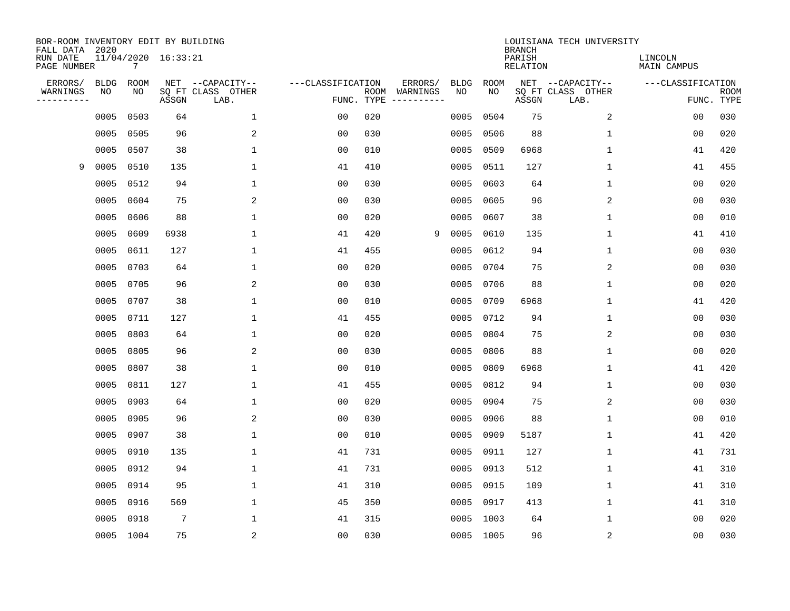| BOR-ROOM INVENTORY EDIT BY BUILDING<br>FALL DATA 2020 |             |           |                     |                           |                   |                    |                        |             |             | <b>BRANCH</b>             | LOUISIANA TECH UNIVERSITY |                               |                           |
|-------------------------------------------------------|-------------|-----------|---------------------|---------------------------|-------------------|--------------------|------------------------|-------------|-------------|---------------------------|---------------------------|-------------------------------|---------------------------|
| RUN DATE<br>PAGE NUMBER                               |             | 7         | 11/04/2020 16:33:21 |                           |                   |                    |                        |             |             | PARISH<br><b>RELATION</b> |                           | LINCOLN<br><b>MAIN CAMPUS</b> |                           |
| ERRORS/                                               | <b>BLDG</b> | ROOM      |                     | NET --CAPACITY--          | ---CLASSIFICATION |                    | ERRORS/                | <b>BLDG</b> | <b>ROOM</b> |                           | NET --CAPACITY--          | ---CLASSIFICATION             |                           |
| WARNINGS<br>----------                                | NO          | NO        | ASSGN               | SQ FT CLASS OTHER<br>LAB. |                   | ROOM<br>FUNC. TYPE | WARNINGS<br>---------- | NO          | NO          | ASSGN                     | SQ FT CLASS OTHER<br>LAB. |                               | <b>ROOM</b><br>FUNC. TYPE |
|                                                       | 0005        | 0503      | 64                  | $\mathbf 1$               | 00                | 020                |                        | 0005        | 0504        | 75                        | 2                         | 00                            | 030                       |
|                                                       | 0005        | 0505      | 96                  | 2                         | 00                | 030                |                        | 0005        | 0506        | 88                        | 1                         | 00                            | 020                       |
|                                                       | 0005        | 0507      | 38                  | $\mathbf 1$               | 0 <sub>0</sub>    | 010                |                        | 0005        | 0509        | 6968                      | 1                         | 41                            | 420                       |
| 9                                                     | 0005        | 0510      | 135                 | $\mathbf{1}$              | 41                | 410                |                        | 0005        | 0511        | 127                       | 1                         | 41                            | 455                       |
|                                                       | 0005        | 0512      | 94                  | $\mathbf{1}$              | 0 <sub>0</sub>    | 030                |                        | 0005        | 0603        | 64                        | $\mathbf 1$               | 0 <sub>0</sub>                | 020                       |
|                                                       | 0005        | 0604      | 75                  | 2                         | 0 <sub>0</sub>    | 030                |                        | 0005        | 0605        | 96                        | 2                         | 0 <sub>0</sub>                | 030                       |
|                                                       | 0005        | 0606      | 88                  | $\mathbf{1}$              | 0 <sub>0</sub>    | 020                |                        | 0005        | 0607        | 38                        | $\mathbf{1}$              | 0 <sub>0</sub>                | 010                       |
|                                                       | 0005        | 0609      | 6938                | $\mathbf{1}$              | 41                | 420                | 9                      | 0005        | 0610        | 135                       | $\mathbf{1}$              | 41                            | 410                       |
|                                                       | 0005        | 0611      | 127                 | $\mathbf{1}$              | 41                | 455                |                        | 0005        | 0612        | 94                        | 1                         | 0 <sub>0</sub>                | 030                       |
|                                                       | 0005        | 0703      | 64                  | 1                         | 0 <sub>0</sub>    | 020                |                        | 0005        | 0704        | 75                        | 2                         | 0 <sub>0</sub>                | 030                       |
|                                                       | 0005        | 0705      | 96                  | 2                         | 0 <sub>0</sub>    | 030                |                        | 0005        | 0706        | 88                        | 1                         | 0 <sub>0</sub>                | 020                       |
|                                                       | 0005        | 0707      | 38                  | 1                         | 0 <sub>0</sub>    | 010                |                        | 0005        | 0709        | 6968                      | 1                         | 41                            | 420                       |
|                                                       | 0005        | 0711      | 127                 | 1                         | 41                | 455                |                        | 0005        | 0712        | 94                        | 1                         | 0 <sub>0</sub>                | 030                       |
|                                                       | 0005        | 0803      | 64                  | 1                         | 0 <sub>0</sub>    | 020                |                        | 0005        | 0804        | 75                        | 2                         | 0 <sub>0</sub>                | 030                       |
|                                                       | 0005        | 0805      | 96                  | 2                         | 0 <sub>0</sub>    | 030                |                        | 0005        | 0806        | 88                        | 1                         | 0 <sub>0</sub>                | 020                       |
|                                                       | 0005        | 0807      | 38                  | $\mathbf{1}$              | 0 <sub>0</sub>    | 010                |                        | 0005        | 0809        | 6968                      | 1                         | 41                            | 420                       |
|                                                       | 0005        | 0811      | 127                 | 1                         | 41                | 455                |                        | 0005        | 0812        | 94                        | 1                         | 0 <sub>0</sub>                | 030                       |
|                                                       | 0005        | 0903      | 64                  | 1                         | 0 <sub>0</sub>    | 020                |                        | 0005        | 0904        | 75                        | 2                         | 0 <sub>0</sub>                | 030                       |
|                                                       | 0005        | 0905      | 96                  | 2                         | 0 <sub>0</sub>    | 030                |                        | 0005        | 0906        | 88                        | 1                         | 0 <sub>0</sub>                | 010                       |
|                                                       | 0005        | 0907      | 38                  | 1                         | 0 <sub>0</sub>    | 010                |                        | 0005        | 0909        | 5187                      | 1                         | 41                            | 420                       |
|                                                       | 0005        | 0910      | 135                 | 1                         | 41                | 731                |                        | 0005        | 0911        | 127                       | 1                         | 41                            | 731                       |
|                                                       | 0005        | 0912      | 94                  | $\mathbf{1}$              | 41                | 731                |                        | 0005        | 0913        | 512                       | 1                         | 41                            | 310                       |
|                                                       | 0005        | 0914      | 95                  | 1                         | 41                | 310                |                        | 0005        | 0915        | 109                       | 1                         | 41                            | 310                       |
|                                                       | 0005        | 0916      | 569                 | $\mathbf 1$               | 45                | 350                |                        | 0005        | 0917        | 413                       | $\mathbf 1$               | 41                            | 310                       |
|                                                       | 0005        | 0918      | $7\phantom{.0}$     | 1                         | 41                | 315                |                        | 0005        | 1003        | 64                        | 1                         | 0 <sub>0</sub>                | 020                       |
|                                                       |             | 0005 1004 | 75                  | 2                         | 0 <sub>0</sub>    | 030                |                        |             | 0005 1005   | 96                        | $\sqrt{2}$                | 00                            | 030                       |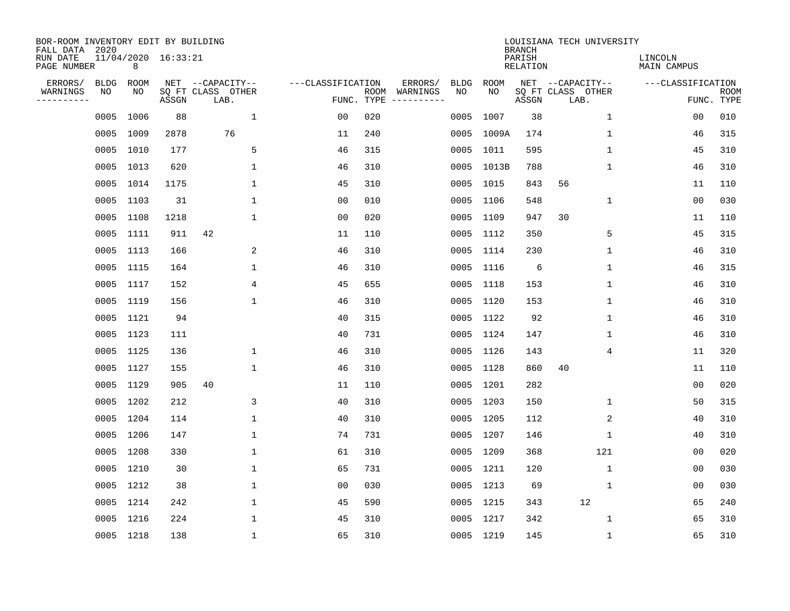| BOR-ROOM INVENTORY EDIT BY BUILDING<br>FALL DATA 2020 |             |           |                     |                           |                   |            |                              |             |             | <b>BRANCH</b>             | LOUISIANA TECH UNIVERSITY |                               |                           |
|-------------------------------------------------------|-------------|-----------|---------------------|---------------------------|-------------------|------------|------------------------------|-------------|-------------|---------------------------|---------------------------|-------------------------------|---------------------------|
| RUN DATE<br>PAGE NUMBER                               |             | 8         | 11/04/2020 16:33:21 |                           |                   |            |                              |             |             | PARISH<br><b>RELATION</b> |                           | LINCOLN<br><b>MAIN CAMPUS</b> |                           |
| ERRORS/                                               | <b>BLDG</b> | ROOM      |                     | NET --CAPACITY--          | ---CLASSIFICATION |            | ERRORS/                      | <b>BLDG</b> | <b>ROOM</b> |                           | NET --CAPACITY--          | ---CLASSIFICATION             |                           |
| WARNINGS<br>----------                                | NO          | NO        | ASSGN               | SQ FT CLASS OTHER<br>LAB. |                   | FUNC. TYPE | ROOM WARNINGS<br>----------- | NO          | NO          | ASSGN                     | SQ FT CLASS OTHER<br>LAB. |                               | <b>ROOM</b><br>FUNC. TYPE |
|                                                       | 0005        | 1006      | 88                  | $\mathbf{1}$              | 00                | 020        |                              | 0005        | 1007        | 38                        | $\mathbf 1$               | 0 <sub>0</sub>                | 010                       |
|                                                       | 0005        | 1009      | 2878                | 76                        | 11                | 240        |                              |             | 0005 1009A  | 174                       | 1                         | 46                            | 315                       |
|                                                       | 0005        | 1010      | 177                 | 5                         | 46                | 315        |                              |             | 0005 1011   | 595                       | $\mathbf 1$               | 45                            | 310                       |
|                                                       |             | 0005 1013 | 620                 | $\mathbf{1}$              | 46                | 310        |                              |             | 0005 1013B  | 788                       | $\mathbf 1$               | 46                            | 310                       |
|                                                       | 0005        | 1014      | 1175                | $\mathbf{1}$              | 45                | 310        |                              |             | 0005 1015   | 843                       | 56                        | 11                            | 110                       |
|                                                       |             | 0005 1103 | 31                  | $\mathbf{1}$              | 0 <sub>0</sub>    | 010        |                              |             | 0005 1106   | 548                       | $\mathbf{1}$              | 0 <sub>0</sub>                | 030                       |
|                                                       | 0005        | 1108      | 1218                | $\mathbf{1}$              | 0 <sub>0</sub>    | 020        |                              |             | 0005 1109   | 947                       | 30                        | 11                            | 110                       |
|                                                       | 0005        | 1111      | 911                 | 42                        | 11                | 110        |                              |             | 0005 1112   | 350                       | 5                         | 45                            | 315                       |
|                                                       | 0005        | 1113      | 166                 | 2                         | 46                | 310        |                              |             | 0005 1114   | 230                       | $\mathbf 1$               | 46                            | 310                       |
|                                                       |             | 0005 1115 | 164                 | $\mathbf 1$               | 46                | 310        |                              |             | 0005 1116   | 6                         | $\mathbf 1$               | 46                            | 315                       |
|                                                       | 0005        | 1117      | 152                 | 4                         | 45                | 655        |                              |             | 0005 1118   | 153                       | $\mathbf{1}$              | 46                            | 310                       |
|                                                       | 0005        | 1119      | 156                 | $\mathbf{1}$              | 46                | 310        |                              |             | 0005 1120   | 153                       | $\mathbf 1$               | 46                            | 310                       |
|                                                       | 0005        | 1121      | 94                  |                           | 40                | 315        |                              |             | 0005 1122   | 92                        | $\mathbf 1$               | 46                            | 310                       |
|                                                       |             | 0005 1123 | 111                 |                           | 40                | 731        |                              |             | 0005 1124   | 147                       | 1                         | 46                            | 310                       |
|                                                       | 0005        | 1125      | 136                 | 1                         | 46                | 310        |                              |             | 0005 1126   | 143                       | 4                         | 11                            | 320                       |
|                                                       | 0005        | 1127      | 155                 | $\mathbf{1}$              | 46                | 310        |                              |             | 0005 1128   | 860                       | 40                        | 11                            | 110                       |
|                                                       | 0005        | 1129      | 905                 | 40                        | 11                | 110        |                              |             | 0005 1201   | 282                       |                           | 0 <sub>0</sub>                | 020                       |
|                                                       | 0005        | 1202      | 212                 | 3                         | 40                | 310        |                              |             | 0005 1203   | 150                       | $\mathbf 1$               | 50                            | 315                       |
|                                                       |             | 0005 1204 | 114                 | $\mathbf{1}$              | 40                | 310        |                              |             | 0005 1205   | 112                       | 2                         | 40                            | 310                       |
|                                                       | 0005        | 1206      | 147                 | 1                         | 74                | 731        |                              |             | 0005 1207   | 146                       | $\mathbf 1$               | 40                            | 310                       |
|                                                       | 0005        | 1208      | 330                 | 1                         | 61                | 310        |                              |             | 0005 1209   | 368                       | 121                       | 0 <sub>0</sub>                | 020                       |
|                                                       | 0005        | 1210      | 30                  | $\mathbf{1}$              | 65                | 731        |                              |             | 0005 1211   | 120                       | $\mathbf 1$               | 0 <sub>0</sub>                | 030                       |
|                                                       |             | 0005 1212 | 38                  | 1                         | 0 <sub>0</sub>    | 030        |                              |             | 0005 1213   | 69                        | $\mathbf 1$               | 0 <sub>0</sub>                | 030                       |
|                                                       | 0005        | 1214      | 242                 | $\mathbf 1$               | 45                | 590        |                              |             | 0005 1215   | 343                       | 12                        | 65                            | 240                       |
|                                                       |             | 0005 1216 | 224                 | 1                         | 45                | 310        |                              |             | 0005 1217   | 342                       | $\mathbf 1$               | 65                            | 310                       |
|                                                       |             | 0005 1218 | 138                 | $\mathbf{1}$              | 65                | 310        |                              |             | 0005 1219   | 145                       | $\mathbf 1$               | 65                            | 310                       |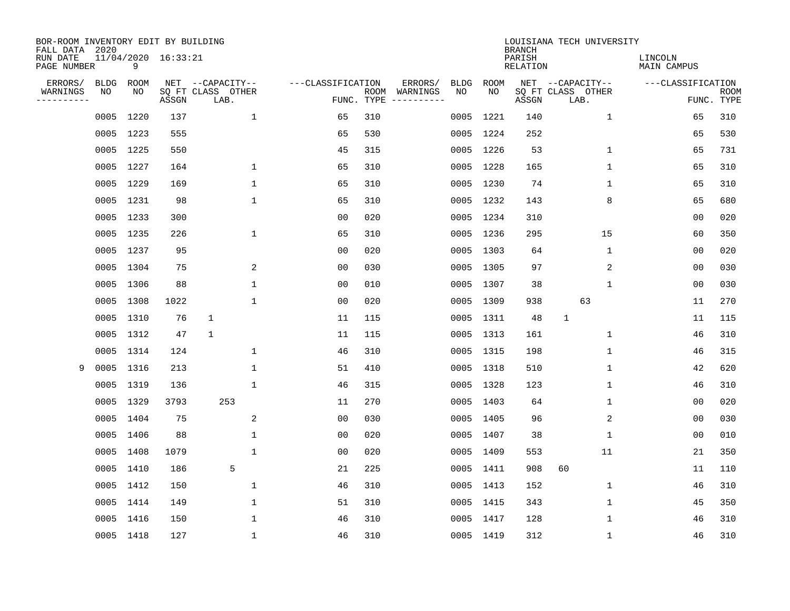| BOR-ROOM INVENTORY EDIT BY BUILDING<br>FALL DATA 2020 |                   |                   |                     |                                       |                   |            |                                          |                   | <b>BRANCH</b>             | LOUISIANA TECH UNIVERSITY             |                        |             |
|-------------------------------------------------------|-------------------|-------------------|---------------------|---------------------------------------|-------------------|------------|------------------------------------------|-------------------|---------------------------|---------------------------------------|------------------------|-------------|
| RUN DATE<br>PAGE NUMBER                               |                   | 9                 | 11/04/2020 16:33:21 |                                       |                   |            |                                          |                   | PARISH<br><b>RELATION</b> |                                       | LINCOLN<br>MAIN CAMPUS |             |
| ERRORS/<br>WARNINGS                                   | <b>BLDG</b><br>NO | <b>ROOM</b><br>NO |                     | NET --CAPACITY--<br>SQ FT CLASS OTHER | ---CLASSIFICATION | ROOM       | ERRORS/<br><b>BLDG</b><br>NO<br>WARNINGS | <b>ROOM</b><br>NO |                           | NET --CAPACITY--<br>SQ FT CLASS OTHER | ---CLASSIFICATION      | <b>ROOM</b> |
| ----------                                            |                   |                   | ASSGN               | LAB.                                  |                   | FUNC. TYPE |                                          |                   | ASSGN                     | LAB.                                  |                        | FUNC. TYPE  |
|                                                       | 0005              | 1220              | 137                 | $\mathbf{1}$                          | 65                | 310        | 0005                                     | 1221              | 140                       | $\mathbf{1}$                          | 65                     | 310         |
|                                                       | 0005              | 1223              | 555                 |                                       | 65                | 530        |                                          | 0005 1224         | 252                       |                                       | 65                     | 530         |
|                                                       | 0005              | 1225              | 550                 |                                       | 45                | 315        | 0005                                     | 1226              | 53                        | $\mathbf 1$                           | 65                     | 731         |
|                                                       | 0005              | 1227              | 164                 | 1                                     | 65                | 310        |                                          | 0005 1228         | 165                       | 1                                     | 65                     | 310         |
|                                                       | 0005              | 1229              | 169                 | $\mathbf 1$                           | 65                | 310        |                                          | 0005 1230         | 74                        | $\mathbf{1}$                          | 65                     | 310         |
|                                                       |                   | 0005 1231         | 98                  | $\mathbf 1$                           | 65                | 310        |                                          | 0005 1232         | 143                       | 8                                     | 65                     | 680         |
|                                                       | 0005              | 1233              | 300                 |                                       | 0 <sub>0</sub>    | 020        | 0005                                     | 1234              | 310                       |                                       | 0 <sub>0</sub>         | 020         |
|                                                       | 0005              | 1235              | 226                 | $\mathbf 1$                           | 65                | 310        |                                          | 0005 1236         | 295                       | 15                                    | 60                     | 350         |
|                                                       | 0005              | 1237              | 95                  |                                       | 0 <sub>0</sub>    | 020        | 0005                                     | 1303              | 64                        | $\mathbf 1$                           | 0 <sub>0</sub>         | 020         |
|                                                       |                   | 0005 1304         | 75                  | 2                                     | 0 <sub>0</sub>    | 030        |                                          | 0005 1305         | 97                        | 2                                     | 0 <sub>0</sub>         | 030         |
|                                                       |                   | 0005 1306         | 88                  | $\mathbf{1}$                          | 0 <sub>0</sub>    | 010        |                                          | 0005 1307         | 38                        | $\mathbf{1}$                          | 0 <sub>0</sub>         | 030         |
|                                                       |                   | 0005 1308         | 1022                | 1                                     | 0 <sub>0</sub>    | 020        |                                          | 0005 1309         | 938                       | 63                                    | 11                     | 270         |
|                                                       | 0005              | 1310              | 76                  | $\mathbf{1}$                          | 11                | 115        |                                          | 0005 1311         | 48                        | $\mathbf{1}$                          | 11                     | 115         |
|                                                       |                   | 0005 1312         | 47                  | $\mathbf{1}$                          | 11                | 115        |                                          | 0005 1313         | 161                       | 1                                     | 46                     | 310         |
|                                                       | 0005              | 1314              | 124                 | 1                                     | 46                | 310        |                                          | 0005 1315         | 198                       | 1                                     | 46                     | 315         |
| 9                                                     | 0005              | 1316              | 213                 | $\mathbf{1}$                          | 51                | 410        |                                          | 0005 1318         | 510                       | 1                                     | 42                     | 620         |
|                                                       | 0005              | 1319              | 136                 | 1                                     | 46                | 315        |                                          | 0005 1328         | 123                       | 1                                     | 46                     | 310         |
|                                                       |                   | 0005 1329         | 3793                | 253                                   | 11                | 270        |                                          | 0005 1403         | 64                        | 1                                     | 0 <sub>0</sub>         | 020         |
|                                                       | 0005              | 1404              | 75                  | 2                                     | 0 <sub>0</sub>    | 030        |                                          | 0005 1405         | 96                        | $\overline{2}$                        | 0 <sub>0</sub>         | 030         |
|                                                       | 0005              | 1406              | 88                  | 1                                     | 0 <sub>0</sub>    | 020        | 0005                                     | 1407              | 38                        | 1                                     | 0 <sub>0</sub>         | 010         |
|                                                       | 0005              | 1408              | 1079                | 1                                     | 0 <sub>0</sub>    | 020        |                                          | 0005 1409         | 553                       | 11                                    | 21                     | 350         |
|                                                       | 0005              | 1410              | 186                 | 5                                     | 21                | 225        | 0005                                     | 1411              | 908                       | 60                                    | 11                     | 110         |
|                                                       | 0005              | 1412              | 150                 | 1                                     | 46                | 310        |                                          | 0005 1413         | 152                       | 1                                     | 46                     | 310         |
|                                                       | 0005              | 1414              | 149                 | 1                                     | 51                | 310        | 0005                                     | 1415              | 343                       | $\mathbf 1$                           | 45                     | 350         |
|                                                       | 0005              | 1416              | 150                 | 1                                     | 46                | 310        |                                          | 0005 1417         | 128                       | $\mathbf{1}$                          | 46                     | 310         |
|                                                       |                   | 0005 1418         | 127                 | 1                                     | 46                | 310        |                                          | 0005 1419         | 312                       | $\mathbf 1$                           | 46                     | 310         |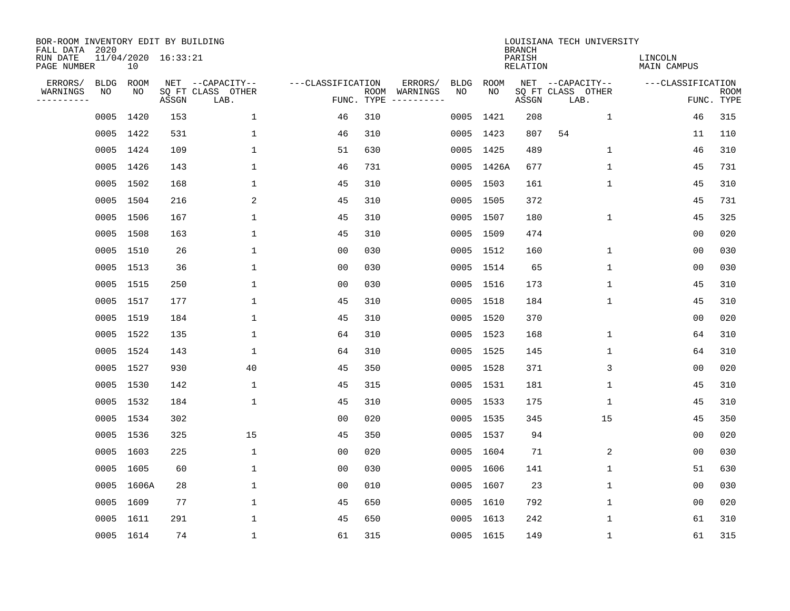| BOR-ROOM INVENTORY EDIT BY BUILDING<br>FALL DATA 2020 |             |            |                     |                           |                   |                    |                         |             |             | <b>BRANCH</b>             | LOUISIANA TECH UNIVERSITY |                               |                           |
|-------------------------------------------------------|-------------|------------|---------------------|---------------------------|-------------------|--------------------|-------------------------|-------------|-------------|---------------------------|---------------------------|-------------------------------|---------------------------|
| RUN DATE<br>PAGE NUMBER                               |             | 10         | 11/04/2020 16:33:21 |                           |                   |                    |                         |             |             | PARISH<br><b>RELATION</b> |                           | LINCOLN<br><b>MAIN CAMPUS</b> |                           |
| ERRORS/                                               | <b>BLDG</b> | ROOM       |                     | NET --CAPACITY--          | ---CLASSIFICATION |                    | ERRORS/                 | <b>BLDG</b> | <b>ROOM</b> |                           | NET --CAPACITY--          | ---CLASSIFICATION             |                           |
| WARNINGS<br>----------                                | NO          | NO         | ASSGN               | SQ FT CLASS OTHER<br>LAB. |                   | ROOM<br>FUNC. TYPE | WARNINGS<br>----------- | NO          | NO          | ASSGN                     | SQ FT CLASS OTHER<br>LAB. |                               | <b>ROOM</b><br>FUNC. TYPE |
|                                                       | 0005        | 1420       | 153                 | $\mathbf 1$               | 46                | 310                |                         | 0005        | 1421        | 208                       | 1                         | 46                            | 315                       |
|                                                       |             | 0005 1422  | 531                 | 1                         | 46                | 310                |                         |             | 0005 1423   | 807                       | 54                        | 11                            | 110                       |
|                                                       |             | 0005 1424  | 109                 | $\mathbf 1$               | 51                | 630                |                         |             | 0005 1425   | 489                       | 1                         | 46                            | 310                       |
|                                                       |             | 0005 1426  | 143                 | 1                         | 46                | 731                |                         |             | 0005 1426A  | 677                       | 1                         | 45                            | 731                       |
|                                                       | 0005        | 1502       | 168                 | $\mathbf{1}$              | 45                | 310                |                         |             | 0005 1503   | 161                       | $\mathbf 1$               | 45                            | 310                       |
|                                                       |             | 0005 1504  | 216                 | 2                         | 45                | 310                |                         |             | 0005 1505   | 372                       |                           | 45                            | 731                       |
|                                                       |             | 0005 1506  | 167                 | $\mathbf{1}$              | 45                | 310                |                         |             | 0005 1507   | 180                       | $\mathbf{1}$              | 45                            | 325                       |
|                                                       |             | 0005 1508  | 163                 | $\mathbf{1}$              | 45                | 310                |                         |             | 0005 1509   | 474                       |                           | 0 <sub>0</sub>                | 020                       |
|                                                       |             | 0005 1510  | 26                  | $\mathbf{1}$              | 0 <sub>0</sub>    | 030                |                         |             | 0005 1512   | 160                       | $\mathbf 1$               | 0 <sub>0</sub>                | 030                       |
|                                                       |             | 0005 1513  | 36                  | 1                         | 00                | 030                |                         |             | 0005 1514   | 65                        | 1                         | 0 <sub>0</sub>                | 030                       |
|                                                       |             | 0005 1515  | 250                 | 1                         | 0 <sub>0</sub>    | 030                |                         |             | 0005 1516   | 173                       | $\mathbf 1$               | 45                            | 310                       |
|                                                       |             | 0005 1517  | 177                 | 1                         | 45                | 310                |                         |             | 0005 1518   | 184                       | $\mathbf 1$               | 45                            | 310                       |
|                                                       |             | 0005 1519  | 184                 | 1                         | 45                | 310                |                         |             | 0005 1520   | 370                       |                           | 0 <sub>0</sub>                | 020                       |
|                                                       |             | 0005 1522  | 135                 | 1                         | 64                | 310                |                         |             | 0005 1523   | 168                       | 1                         | 64                            | 310                       |
|                                                       |             | 0005 1524  | 143                 | 1                         | 64                | 310                |                         |             | 0005 1525   | 145                       | 1                         | 64                            | 310                       |
|                                                       | 0005        | 1527       | 930                 | 40                        | 45                | 350                |                         |             | 0005 1528   | 371                       | 3                         | 00                            | 020                       |
|                                                       | 0005        | 1530       | 142                 | 1                         | 45                | 315                |                         |             | 0005 1531   | 181                       | 1                         | 45                            | 310                       |
|                                                       | 0005        | 1532       | 184                 | 1                         | 45                | 310                |                         |             | 0005 1533   | 175                       | 1                         | 45                            | 310                       |
|                                                       |             | 0005 1534  | 302                 |                           | 0 <sub>0</sub>    | 020                |                         |             | 0005 1535   | 345                       | 15                        | 45                            | 350                       |
|                                                       |             | 0005 1536  | 325                 | 15                        | 45                | 350                |                         |             | 0005 1537   | 94                        |                           | 0 <sub>0</sub>                | 020                       |
|                                                       | 0005        | 1603       | 225                 | 1                         | 0 <sub>0</sub>    | 020                |                         |             | 0005 1604   | 71                        | 2                         | 0 <sub>0</sub>                | 030                       |
|                                                       | 0005        | 1605       | 60                  | 1                         | 0 <sub>0</sub>    | 030                |                         |             | 0005 1606   | 141                       | $\mathbf 1$               | 51                            | 630                       |
|                                                       |             | 0005 1606A | 28                  | 1                         | 0 <sub>0</sub>    | 010                |                         | 0005 1607   |             | 23                        | 1                         | 0 <sub>0</sub>                | 030                       |
|                                                       | 0005        | 1609       | 77                  | $\mathbf{1}$              | 45                | 650                |                         |             | 0005 1610   | 792                       | $\mathbf 1$               | 0 <sub>0</sub>                | 020                       |
|                                                       |             | 0005 1611  | 291                 | 1                         | 45                | 650                |                         |             | 0005 1613   | 242                       | 1                         | 61                            | 310                       |
|                                                       |             | 0005 1614  | 74                  | $\mathbf{1}$              | 61                | 315                |                         |             | 0005 1615   | 149                       | 1                         | 61                            | 315                       |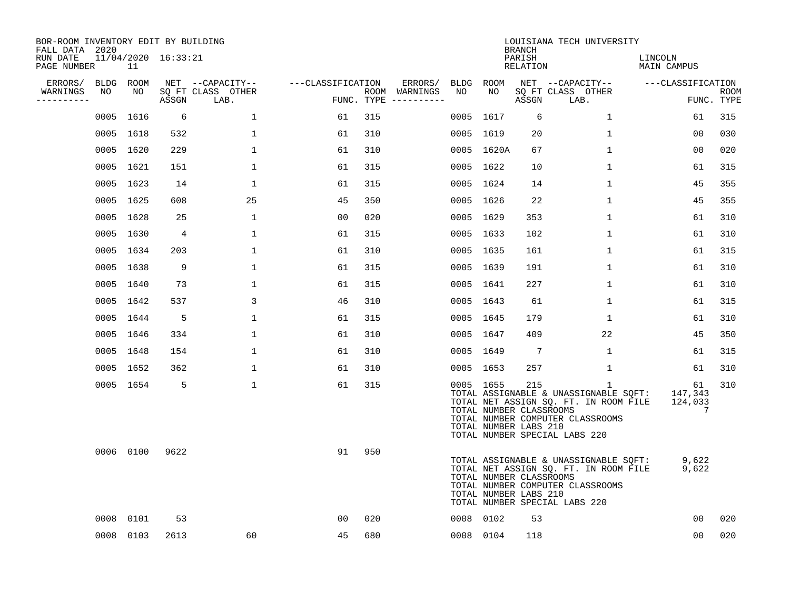| BOR-ROOM INVENTORY EDIT BY BUILDING<br>FALL DATA 2020 |                           |                |                           |                   |     |                          |                 |                                                               | <b>BRANCH</b>      | LOUISIANA TECH UNIVERSITY                                                                                                                                |                               |                           |
|-------------------------------------------------------|---------------------------|----------------|---------------------------|-------------------|-----|--------------------------|-----------------|---------------------------------------------------------------|--------------------|----------------------------------------------------------------------------------------------------------------------------------------------------------|-------------------------------|---------------------------|
| RUN DATE<br>PAGE NUMBER                               | 11/04/2020 16:33:21<br>11 |                |                           |                   |     |                          |                 |                                                               | PARISH<br>RELATION |                                                                                                                                                          | LINCOLN<br>MAIN CAMPUS        |                           |
| ERRORS/<br>WARNINGS<br>NO                             | BLDG ROOM<br>NO           |                | NET --CAPACITY--          | ---CLASSIFICATION |     | ERRORS/<br>ROOM WARNINGS | BLDG ROOM<br>NO | NO                                                            |                    | NET --CAPACITY--                                                                                                                                         | ---CLASSIFICATION             |                           |
| ----------                                            |                           | ASSGN          | SQ FT CLASS OTHER<br>LAB. |                   |     | FUNC. TYPE $------$      |                 |                                                               | ASSGN              | SQ FT CLASS OTHER<br>LAB.                                                                                                                                |                               | <b>ROOM</b><br>FUNC. TYPE |
|                                                       | 0005 1616                 | 6              | $\mathbf 1$               | 61                | 315 |                          |                 | 0005 1617                                                     | 6                  | 1                                                                                                                                                        | 61                            | 315                       |
|                                                       | 0005 1618                 | 532            | $\mathbf 1$               | 61                | 310 |                          |                 | 0005 1619                                                     | 20                 | $\mathbf{1}$                                                                                                                                             | 0 <sub>0</sub>                | 030                       |
|                                                       | 0005 1620                 | 229            | $\mathbf{1}$              | 61                | 310 |                          |                 | 0005 1620A                                                    | 67                 | $\mathbf{1}$                                                                                                                                             | 0 <sub>0</sub>                | 020                       |
|                                                       | 0005 1621                 | 151            | $\mathbf 1$               | 61                | 315 |                          |                 | 0005 1622                                                     | 10                 | $\mathbf 1$                                                                                                                                              | 61                            | 315                       |
|                                                       | 0005 1623                 | 14             | $\mathbf{1}$              | 61                | 315 |                          |                 | 0005 1624                                                     | 14                 | $\mathbf{1}$                                                                                                                                             | 45                            | 355                       |
|                                                       | 0005 1625                 | 608            | 25                        | 45                | 350 |                          |                 | 0005 1626                                                     | 22                 | $\mathbf{1}$                                                                                                                                             | 45                            | 355                       |
|                                                       | 0005 1628                 | 25             | $\mathbf 1$               | 00                | 020 |                          |                 | 0005 1629                                                     | 353                | $\mathbf{1}$                                                                                                                                             | 61                            | 310                       |
|                                                       | 0005 1630                 | $\overline{4}$ | $\mathbf{1}$              | 61                | 315 |                          |                 | 0005 1633                                                     | 102                | $\mathbf 1$                                                                                                                                              | 61                            | 310                       |
|                                                       | 0005 1634                 | 203            | $\mathbf 1$               | 61                | 310 |                          |                 | 0005 1635                                                     | 161                | $\mathbf 1$                                                                                                                                              | 61                            | 315                       |
|                                                       | 0005 1638                 | 9              | $\mathbf{1}$              | 61                | 315 |                          |                 | 0005 1639                                                     | 191                | $\mathbf{1}$                                                                                                                                             | 61                            | 310                       |
|                                                       | 0005 1640                 | 73             | $\mathbf{1}$              | 61                | 315 |                          |                 | 0005 1641                                                     | 227                | $\mathbf{1}$                                                                                                                                             | 61                            | 310                       |
|                                                       | 0005 1642                 | 537            | 3                         | 46                | 310 |                          |                 | 0005 1643                                                     | 61                 | $\mathbf{1}$                                                                                                                                             | 61                            | 315                       |
|                                                       | 0005 1644                 | -5             | $\mathbf 1$               | 61                | 315 |                          |                 | 0005 1645                                                     | 179                | 1                                                                                                                                                        | 61                            | 310                       |
|                                                       | 0005 1646                 | 334            | 1                         | 61                | 310 |                          |                 | 0005 1647                                                     | 409                | 22                                                                                                                                                       | 45                            | 350                       |
|                                                       | 0005 1648                 | 154            | 1                         | 61                | 310 |                          |                 | 0005 1649                                                     | -7                 | 1                                                                                                                                                        | 61                            | 315                       |
|                                                       | 0005 1652                 | 362            | $\mathbf{1}$              | 61                | 310 |                          |                 | 0005 1653                                                     | 257                | 1                                                                                                                                                        | 61                            | 310                       |
|                                                       | 0005 1654                 | -5             | $\mathbf{1}$              | 61                | 315 |                          |                 | 0005 1655<br>TOTAL NUMBER CLASSROOMS<br>TOTAL NUMBER LABS 210 | 215                | 1<br>TOTAL ASSIGNABLE & UNASSIGNABLE SQFT:<br>TOTAL NET ASSIGN SQ. FT. IN ROOM FILE<br>TOTAL NUMBER COMPUTER CLASSROOMS<br>TOTAL NUMBER SPECIAL LABS 220 | 61<br>147,343<br>124,033<br>7 | 310                       |
|                                                       | 0006 0100                 | 9622           |                           | 91                | 950 |                          |                 | TOTAL NUMBER CLASSROOMS<br>TOTAL NUMBER LABS 210              |                    | TOTAL ASSIGNABLE & UNASSIGNABLE SQFT:<br>TOTAL NET ASSIGN SQ. FT. IN ROOM FILE<br>TOTAL NUMBER COMPUTER CLASSROOMS<br>TOTAL NUMBER SPECIAL LABS 220      | 9,622<br>9,622                |                           |
|                                                       | 0008 0101                 | 53             |                           | 0 <sub>0</sub>    | 020 |                          |                 | 0008 0102                                                     | 53                 |                                                                                                                                                          | 00                            | 020                       |
|                                                       | 0008 0103                 | 2613           | 60                        | 45                | 680 |                          |                 | 0008 0104                                                     | 118                |                                                                                                                                                          | 00                            | 020                       |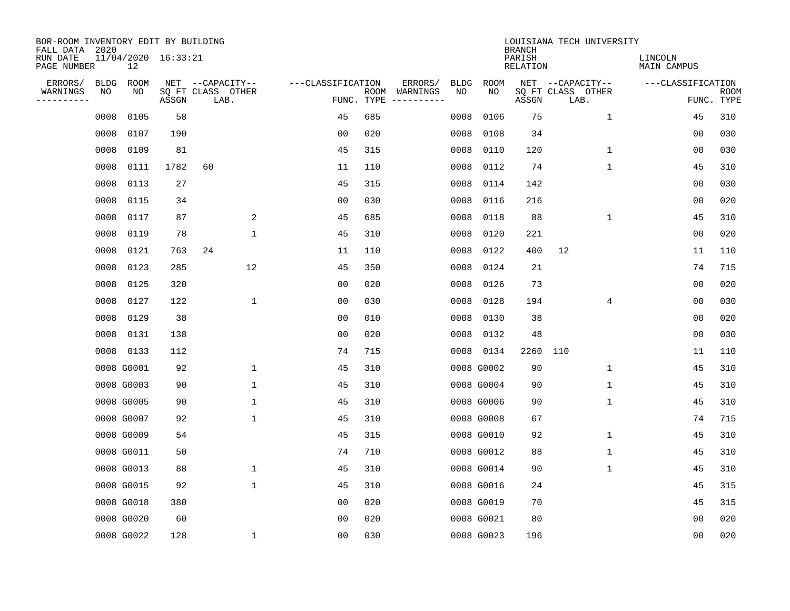| BOR-ROOM INVENTORY EDIT BY BUILDING<br>FALL DATA 2020 |                           |       |                           |                   |                    |                        |             | <b>BRANCH</b>             | LOUISIANA TECH UNIVERSITY |                               |                           |
|-------------------------------------------------------|---------------------------|-------|---------------------------|-------------------|--------------------|------------------------|-------------|---------------------------|---------------------------|-------------------------------|---------------------------|
| RUN DATE<br>PAGE NUMBER                               | 11/04/2020 16:33:21<br>12 |       |                           |                   |                    |                        |             | PARISH<br><b>RELATION</b> |                           | LINCOLN<br><b>MAIN CAMPUS</b> |                           |
| ERRORS/<br><b>BLDG</b>                                | ROOM                      |       | NET --CAPACITY--          | ---CLASSIFICATION |                    | ERRORS/<br><b>BLDG</b> | <b>ROOM</b> |                           | NET --CAPACITY--          | ---CLASSIFICATION             |                           |
| NO<br>WARNINGS<br>----------                          | NO                        | ASSGN | SQ FT CLASS OTHER<br>LAB. |                   | ROOM<br>FUNC. TYPE | NO<br>WARNINGS         | NO          | ASSGN                     | SQ FT CLASS OTHER<br>LAB. |                               | <b>ROOM</b><br>FUNC. TYPE |
| 0008                                                  | 0105                      | 58    |                           | 45                | 685                | 0008                   | 0106        | 75                        | $\mathbf{1}$              | 45                            | 310                       |
| 0008                                                  | 0107                      | 190   |                           | 0 <sub>0</sub>    | 020                | 0008                   | 0108        | 34                        |                           | 00                            | 030                       |
| 0008                                                  | 0109                      | 81    |                           | 45                | 315                | 0008                   | 0110        | 120                       | $\mathbf 1$               | 0 <sub>0</sub>                | 030                       |
| 0008                                                  | 0111                      | 1782  | 60                        | 11                | 110                | 0008                   | 0112        | 74                        | $\mathbf{1}$              | 45                            | 310                       |
| 0008                                                  | 0113                      | 27    |                           | 45                | 315                | 0008                   | 0114        | 142                       |                           | 0 <sub>0</sub>                | 030                       |
| 0008                                                  | 0115                      | 34    |                           | 0 <sub>0</sub>    | 030                | 0008                   | 0116        | 216                       |                           | 0 <sub>0</sub>                | 020                       |
| 0008                                                  | 0117                      | 87    | 2                         | 45                | 685                | 0008                   | 0118        | 88                        | $\mathbf 1$               | 45                            | 310                       |
|                                                       | 0008<br>0119              | 78    | $\mathbf{1}$              | 45                | 310                | 0008                   | 0120        | 221                       |                           | 0 <sub>0</sub>                | 020                       |
|                                                       | 0008<br>0121              | 763   | 24                        | 11                | 110                | 0008                   | 0122        | 400                       | 12                        | 11                            | 110                       |
| 0008                                                  | 0123                      | 285   | 12                        | 45                | 350                | 0008                   | 0124        | 21                        |                           | 74                            | 715                       |
|                                                       | 0008<br>0125              | 320   |                           | 0 <sub>0</sub>    | 020                | 0008                   | 0126        | 73                        |                           | 0 <sub>0</sub>                | 020                       |
|                                                       | 0008<br>0127              | 122   | $\mathbf 1$               | 0 <sub>0</sub>    | 030                | 0008                   | 0128        | 194                       | 4                         | 0 <sub>0</sub>                | 030                       |
|                                                       | 0008<br>0129              | 38    |                           | 0 <sub>0</sub>    | 010                | 0008                   | 0130        | 38                        |                           | 0 <sub>0</sub>                | 020                       |
|                                                       | 0008<br>0131              | 138   |                           | 0 <sub>0</sub>    | 020                | 0008                   | 0132        | 48                        |                           | 0 <sub>0</sub>                | 030                       |
|                                                       | 0008 0133                 | 112   |                           | 74                | 715                | 0008                   | 0134        | 2260                      | 110                       | 11                            | 110                       |
|                                                       | 0008 G0001                | 92    | $\mathbf 1$               | 45                | 310                |                        | 0008 G0002  | 90                        | 1                         | 45                            | 310                       |
|                                                       | 0008 G0003                | 90    | $\mathbf 1$               | 45                | 310                |                        | 0008 G0004  | 90                        | 1                         | 45                            | 310                       |
|                                                       | 0008 G0005                | 90    | $\mathbf{1}$              | 45                | 310                |                        | 0008 G0006  | 90                        | 1                         | 45                            | 310                       |
|                                                       | 0008 G0007                | 92    | $\mathbf 1$               | 45                | 310                |                        | 0008 G0008  | 67                        |                           | 74                            | 715                       |
|                                                       | 0008 G0009                | 54    |                           | 45                | 315                |                        | 0008 G0010  | 92                        | 1                         | 45                            | 310                       |
|                                                       | 0008 G0011                | 50    |                           | 74                | 710                |                        | 0008 G0012  | 88                        | 1                         | 45                            | 310                       |
|                                                       | 0008 G0013                | 88    | $\mathbf{1}$              | 45                | 310                |                        | 0008 G0014  | 90                        | 1                         | 45                            | 310                       |
|                                                       | 0008 G0015                | 92    | $\mathbf 1$               | 45                | 310                |                        | 0008 G0016  | 24                        |                           | 45                            | 315                       |
|                                                       | 0008 G0018                | 380   |                           | 0 <sub>0</sub>    | 020                |                        | 0008 G0019  | 70                        |                           | 45                            | 315                       |
|                                                       | 0008 G0020                | 60    |                           | 0 <sub>0</sub>    | 020                |                        | 0008 G0021  | 80                        |                           | 0 <sub>0</sub>                | 020                       |
|                                                       | 0008 G0022                | 128   | $\mathbf{1}$              | 0 <sub>0</sub>    | 030                |                        | 0008 G0023  | 196                       |                           | 0 <sub>0</sub>                | 020                       |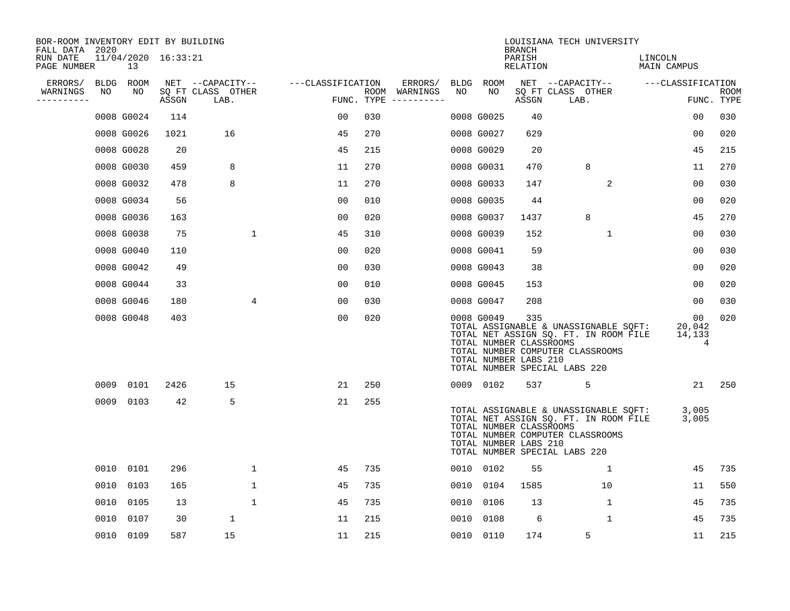| BOR-ROOM INVENTORY EDIT BY BUILDING<br>FALL DATA 2020 |      |                           |       |                           |                   |     |                                      |      |            | <b>BRANCH</b>                                           | LOUISIANA TECH UNIVERSITY                                                                                                                           |                             |                    |
|-------------------------------------------------------|------|---------------------------|-------|---------------------------|-------------------|-----|--------------------------------------|------|------------|---------------------------------------------------------|-----------------------------------------------------------------------------------------------------------------------------------------------------|-----------------------------|--------------------|
| RUN DATE<br>PAGE NUMBER                               |      | 11/04/2020 16:33:21<br>13 |       |                           |                   |     |                                      |      |            | PARISH<br>RELATION                                      |                                                                                                                                                     | LINCOLN<br>MAIN CAMPUS      |                    |
| ERRORS/                                               |      | BLDG ROOM                 |       | NET --CAPACITY--          | ---CLASSIFICATION |     | ERRORS/                              |      | BLDG ROOM  |                                                         | NET --CAPACITY--                                                                                                                                    | ---CLASSIFICATION           |                    |
| WARNINGS<br>----------                                | NO   | NO                        | ASSGN | SQ FT CLASS OTHER<br>LAB. |                   |     | ROOM WARNINGS<br>FUNC. TYPE $------$ | NO   | NO         | ASSGN                                                   | SQ FT CLASS OTHER<br>LAB.                                                                                                                           |                             | ROOM<br>FUNC. TYPE |
|                                                       |      | 0008 G0024                | 114   |                           | 00                | 030 |                                      |      | 0008 G0025 | 40                                                      |                                                                                                                                                     | 0 <sub>0</sub>              | 030                |
|                                                       |      | 0008 G0026                | 1021  | 16                        | 45                | 270 |                                      |      | 0008 G0027 | 629                                                     |                                                                                                                                                     | 0 <sub>0</sub>              | 020                |
|                                                       |      | 0008 G0028                | 20    |                           | 45                | 215 |                                      |      | 0008 G0029 | 20                                                      |                                                                                                                                                     | 45                          | 215                |
|                                                       |      | 0008 G0030                | 459   | 8                         | 11                | 270 |                                      |      | 0008 G0031 | 470                                                     | 8                                                                                                                                                   | 11                          | 270                |
|                                                       |      | 0008 G0032                | 478   | 8                         | 11                | 270 |                                      |      | 0008 G0033 | 147                                                     | 2                                                                                                                                                   | 00                          | 030                |
|                                                       |      | 0008 G0034                | 56    |                           | 0 <sub>0</sub>    | 010 |                                      |      | 0008 G0035 | 44                                                      |                                                                                                                                                     | 00                          | 020                |
|                                                       |      | 0008 G0036                | 163   |                           | 0 <sub>0</sub>    | 020 |                                      |      | 0008 G0037 | 1437                                                    | 8                                                                                                                                                   | 45                          | 270                |
|                                                       |      | 0008 G0038                | 75    | $\mathbf 1$               | 45                | 310 |                                      |      | 0008 G0039 | 152                                                     | $\mathbf{1}$                                                                                                                                        | 0 <sub>0</sub>              | 030                |
|                                                       |      | 0008 G0040                | 110   |                           | 0 <sub>0</sub>    | 020 |                                      |      | 0008 G0041 | 59                                                      |                                                                                                                                                     | 00                          | 030                |
|                                                       |      | 0008 G0042                | 49    |                           | 00                | 030 |                                      |      | 0008 G0043 | 38                                                      |                                                                                                                                                     | 00                          | 020                |
|                                                       |      | 0008 G0044                | 33    |                           | 0 <sub>0</sub>    | 010 |                                      |      | 0008 G0045 | 153                                                     |                                                                                                                                                     | 00                          | 020                |
|                                                       |      | 0008 G0046                | 180   | 4                         | 0 <sub>0</sub>    | 030 |                                      |      | 0008 G0047 | 208                                                     |                                                                                                                                                     | 00                          | 030                |
|                                                       |      | 0008 G0048                | 403   |                           | 0 <sub>0</sub>    | 020 |                                      |      | 0008 G0049 | 335<br>TOTAL NUMBER CLASSROOMS<br>TOTAL NUMBER LABS 210 | TOTAL ASSIGNABLE & UNASSIGNABLE SQFT:<br>TOTAL NET ASSIGN SQ. FT. IN ROOM FILE<br>TOTAL NUMBER COMPUTER CLASSROOMS<br>TOTAL NUMBER SPECIAL LABS 220 | 00<br>20,042<br>14,133<br>4 | 020                |
|                                                       | 0009 | 0101                      | 2426  | 15                        | 21                | 250 |                                      |      | 0009 0102  | 537                                                     | 5                                                                                                                                                   | 21                          | 250                |
|                                                       | 0009 | 0103                      | 42    | 5                         | 21                | 255 |                                      |      |            | TOTAL NUMBER CLASSROOMS<br>TOTAL NUMBER LABS 210        | TOTAL ASSIGNABLE & UNASSIGNABLE SQFT:<br>TOTAL NET ASSIGN SQ. FT. IN ROOM FILE<br>TOTAL NUMBER COMPUTER CLASSROOMS<br>TOTAL NUMBER SPECIAL LABS 220 | 3,005<br>3,005              |                    |
|                                                       | 0010 | 0101                      | 296   | $\mathbf{1}$              | 45                | 735 |                                      | 0010 | 0102       | 55                                                      | 1                                                                                                                                                   | 45                          | 735                |
|                                                       | 0010 | 0103                      | 165   | $\mathbf 1$               | 45                | 735 |                                      | 0010 | 0104       | 1585                                                    | 10                                                                                                                                                  | 11                          | 550                |
|                                                       | 0010 | 0105                      | 13    | $\mathbf{1}$              | 45                | 735 |                                      | 0010 | 0106       | 13                                                      | $\mathbf 1$                                                                                                                                         | 45                          | 735                |
|                                                       | 0010 | 0107                      | 30    | $\mathbf{1}$              | 11                | 215 |                                      | 0010 | 0108       | 6                                                       | 1                                                                                                                                                   | 45                          | 735                |
|                                                       |      | 0010 0109                 | 587   | 15                        | 11                | 215 |                                      |      | 0010 0110  | 174                                                     | 5                                                                                                                                                   | 11                          | 215                |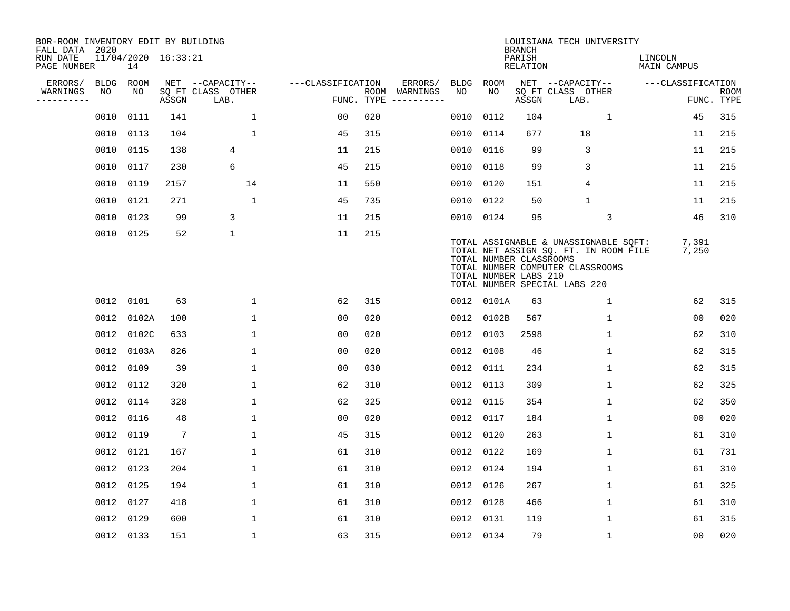| BOR-ROOM INVENTORY EDIT BY BUILDING       |             |            |                     |                           |                   |     |                              |             |            | <b>BRANCH</b>                                    | LOUISIANA TECH UNIVERSITY                                                                                                                           |                        |                           |
|-------------------------------------------|-------------|------------|---------------------|---------------------------|-------------------|-----|------------------------------|-------------|------------|--------------------------------------------------|-----------------------------------------------------------------------------------------------------------------------------------------------------|------------------------|---------------------------|
| FALL DATA 2020<br>RUN DATE<br>PAGE NUMBER |             | 14         | 11/04/2020 16:33:21 |                           |                   |     |                              |             |            | PARISH<br>RELATION                               |                                                                                                                                                     | LINCOLN<br>MAIN CAMPUS |                           |
| ERRORS/                                   | <b>BLDG</b> | ROOM       |                     | NET --CAPACITY--          | ---CLASSIFICATION |     | ERRORS/                      | <b>BLDG</b> | ROOM       |                                                  | NET --CAPACITY--                                                                                                                                    | ---CLASSIFICATION      |                           |
| WARNINGS<br>----------                    | NO          | NO.        | ASSGN               | SO FT CLASS OTHER<br>LAB. | FUNC. TYPE        |     | ROOM WARNINGS<br>----------- | NO          | NO.        | ASSGN                                            | SQ FT CLASS OTHER<br>LAB.                                                                                                                           |                        | <b>ROOM</b><br>FUNC. TYPE |
|                                           | 0010        | 0111       | 141                 | $\mathbf 1$               | 00                | 020 |                              | 0010        | 0112       | 104                                              | $\mathbf{1}$                                                                                                                                        | 45                     | 315                       |
|                                           | 0010        | 0113       | 104                 | $\mathbf{1}$              | 45                | 315 |                              | 0010        | 0114       | 677                                              | 18                                                                                                                                                  | 11                     | 215                       |
|                                           | 0010 0115   |            | 138                 | 4                         | 11                | 215 |                              | 0010        | 0116       | 99                                               | 3                                                                                                                                                   | 11                     | 215                       |
|                                           | 0010 0117   |            | 230                 | 6                         | 45                | 215 |                              | 0010        | 0118       | 99                                               | 3                                                                                                                                                   | 11                     | 215                       |
|                                           | 0010        | 0119       | 2157                | 14                        | 11                | 550 |                              | 0010        | 0120       | 151                                              | 4                                                                                                                                                   | 11                     | 215                       |
|                                           | 0010 0121   |            | 271                 | $\mathbf{1}$              | 45                | 735 |                              | 0010        | 0122       | 50                                               | $\mathbf{1}$                                                                                                                                        | 11                     | 215                       |
|                                           | 0010 0123   |            | 99                  | 3                         | 11                | 215 |                              | 0010        | 0124       | 95                                               | $\mathbf{3}$                                                                                                                                        | 46                     | 310                       |
|                                           | 0010 0125   |            | 52                  | $\mathbf 1$               | 11                | 215 |                              |             |            | TOTAL NUMBER CLASSROOMS<br>TOTAL NUMBER LABS 210 | TOTAL ASSIGNABLE & UNASSIGNABLE SQFT:<br>TOTAL NET ASSIGN SQ. FT. IN ROOM FILE<br>TOTAL NUMBER COMPUTER CLASSROOMS<br>TOTAL NUMBER SPECIAL LABS 220 | 7,391<br>7,250         |                           |
|                                           | 0012 0101   |            | 63                  | 1                         | 62                | 315 |                              |             | 0012 0101A | 63                                               | $\mathbf{1}$                                                                                                                                        | 62                     | 315                       |
|                                           | 0012        | 0102A      | 100                 | $\mathbf 1$               | 0 <sub>0</sub>    | 020 |                              | 0012        | 0102B      | 567                                              | $\mathbf 1$                                                                                                                                         | 0 <sub>0</sub>         | 020                       |
|                                           | 0012        | 0102C      | 633                 | $\mathbf 1$               | 00                | 020 |                              | 0012        | 0103       | 2598                                             | 1                                                                                                                                                   | 62                     | 310                       |
|                                           |             | 0012 0103A | 826                 | $\mathbf{1}$              | 0 <sub>0</sub>    | 020 |                              | 0012        | 0108       | 46                                               | 1                                                                                                                                                   | 62                     | 315                       |
|                                           | 0012 0109   |            | 39                  | $\mathbf{1}$              | 0 <sub>0</sub>    | 030 |                              | 0012        | 0111       | 234                                              | $\mathbf 1$                                                                                                                                         | 62                     | 315                       |
|                                           | 0012        | 0112       | 320                 | $\mathbf{1}$              | 62                | 310 |                              | 0012        | 0113       | 309                                              | 1                                                                                                                                                   | 62                     | 325                       |
|                                           | 0012        | 0114       | 328                 | $\mathbf{1}$              | 62                | 325 |                              | 0012        | 0115       | 354                                              | $\mathbf 1$                                                                                                                                         | 62                     | 350                       |
|                                           | 0012 0116   |            | 48                  | $\mathbf{1}$              | 0 <sub>0</sub>    | 020 |                              | 0012        | 0117       | 184                                              | $\mathbf 1$                                                                                                                                         | 0 <sub>0</sub>         | 020                       |
|                                           | 0012 0119   |            | $7\phantom{.0}$     | $\mathbf{1}$              | 45                | 315 |                              | 0012        | 0120       | 263                                              | $\mathbf 1$                                                                                                                                         | 61                     | 310                       |
|                                           | 0012 0121   |            | 167                 | $\mathbf{1}$              | 61                | 310 |                              | 0012        | 0122       | 169                                              | $\mathbf 1$                                                                                                                                         | 61                     | 731                       |
|                                           | 0012 0123   |            | 204                 | $\mathbf{1}$              | 61                | 310 |                              | 0012        | 0124       | 194                                              | $\mathbf 1$                                                                                                                                         | 61                     | 310                       |
|                                           | 0012 0125   |            | 194                 | $\mathbf 1$               | 61                | 310 |                              | 0012        | 0126       | 267                                              | 1                                                                                                                                                   | 61                     | 325                       |
|                                           | 0012 0127   |            | 418                 | $\mathbf{1}$              | 61                | 310 |                              | 0012        | 0128       | 466                                              | $\mathbf 1$                                                                                                                                         | 61                     | 310                       |
|                                           | 0012 0129   |            | 600                 | $\mathbf 1$               | 61                | 310 |                              | 0012        | 0131       | 119                                              | 1                                                                                                                                                   | 61                     | 315                       |
|                                           | 0012 0133   |            | 151                 | $\mathbf{1}$              | 63                | 315 |                              | 0012 0134   |            | 79                                               | $\mathbf{1}$                                                                                                                                        | 0 <sub>0</sub>         | 020                       |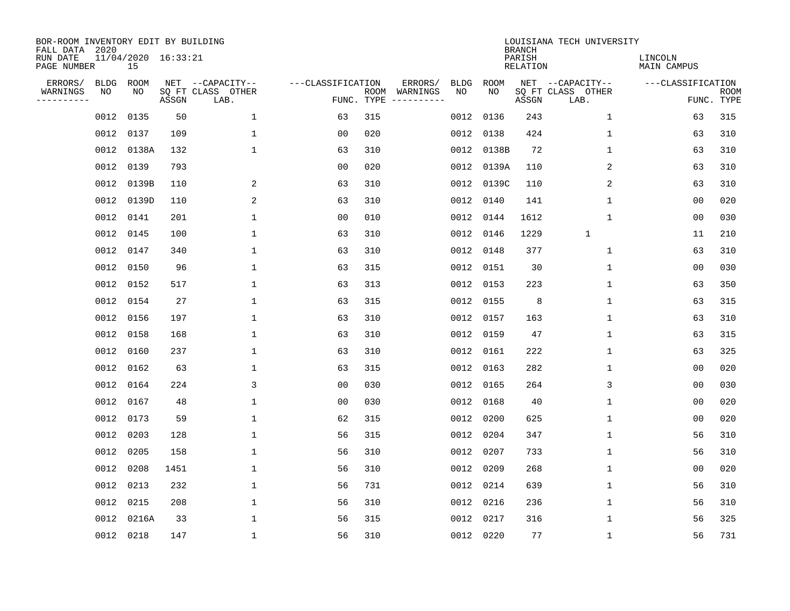| BOR-ROOM INVENTORY EDIT BY BUILDING<br>FALL DATA 2020 |           |                           |       |                           |                   |            |                              |             |             | <b>BRANCH</b>             | LOUISIANA TECH UNIVERSITY |                               |                           |
|-------------------------------------------------------|-----------|---------------------------|-------|---------------------------|-------------------|------------|------------------------------|-------------|-------------|---------------------------|---------------------------|-------------------------------|---------------------------|
| RUN DATE<br>PAGE NUMBER                               |           | 11/04/2020 16:33:21<br>15 |       |                           |                   |            |                              |             |             | PARISH<br><b>RELATION</b> |                           | LINCOLN<br><b>MAIN CAMPUS</b> |                           |
| ERRORS/                                               | BLDG      | ROOM                      |       | NET --CAPACITY--          | ---CLASSIFICATION |            | ERRORS/                      | <b>BLDG</b> | <b>ROOM</b> |                           | NET --CAPACITY--          | ---CLASSIFICATION             |                           |
| WARNINGS<br>----------                                | ΝO        | NO                        | ASSGN | SQ FT CLASS OTHER<br>LAB. |                   | FUNC. TYPE | ROOM WARNINGS<br>----------- | NO          | NO          | ASSGN                     | SQ FT CLASS OTHER<br>LAB. |                               | <b>ROOM</b><br>FUNC. TYPE |
|                                                       | 0012      | 0135                      | 50    | 1                         | 63                | 315        |                              | 0012        | 0136        | 243                       | $\mathbf{1}$              | 63                            | 315                       |
|                                                       |           | 0012 0137                 | 109   | 1                         | 00                | 020        |                              | 0012        | 0138        | 424                       | 1                         | 63                            | 310                       |
|                                                       |           | 0012 0138A                | 132   | 1                         | 63                | 310        |                              | 0012        | 0138B       | 72                        | 1                         | 63                            | 310                       |
|                                                       |           | 0012 0139                 | 793   |                           | 0 <sub>0</sub>    | 020        |                              | 0012        | 0139A       | 110                       | 2                         | 63                            | 310                       |
|                                                       |           | 0012 0139B                | 110   | 2                         | 63                | 310        |                              | 0012        | 0139C       | 110                       | 2                         | 63                            | 310                       |
|                                                       |           | 0012 0139D                | 110   | 2                         | 63                | 310        |                              | 0012        | 0140        | 141                       | $\mathbf 1$               | 0 <sub>0</sub>                | 020                       |
|                                                       |           | 0012 0141                 | 201   | $\mathbf{1}$              | 0 <sub>0</sub>    | 010        |                              | 0012        | 0144        | 1612                      | $\mathbf{1}$              | 0 <sub>0</sub>                | 030                       |
|                                                       |           | 0012 0145                 | 100   | $\mathbf{1}$              | 63                | 310        |                              | 0012        | 0146        | 1229                      | $\mathbf{1}$              | 11                            | 210                       |
|                                                       |           | 0012 0147                 | 340   | $\mathbf{1}$              | 63                | 310        |                              | 0012        | 0148        | 377                       | $\mathbf{1}$              | 63                            | 310                       |
|                                                       |           | 0012 0150                 | 96    | $\mathbf{1}$              | 63                | 315        |                              | 0012        | 0151        | 30                        | 1                         | 0 <sub>0</sub>                | 030                       |
|                                                       |           | 0012 0152                 | 517   | $\mathbf{1}$              | 63                | 313        |                              | 0012        | 0153        | 223                       | $\mathbf 1$               | 63                            | 350                       |
|                                                       |           | 0012 0154                 | 27    | 1                         | 63                | 315        |                              | 0012        | 0155        | 8                         | $\mathbf 1$               | 63                            | 315                       |
|                                                       |           | 0012 0156                 | 197   | 1                         | 63                | 310        |                              | 0012        | 0157        | 163                       | $\mathbf 1$               | 63                            | 310                       |
|                                                       |           | 0012 0158                 | 168   | 1                         | 63                | 310        |                              | 0012        | 0159        | 47                        | 1                         | 63                            | 315                       |
|                                                       | 0012      | 0160                      | 237   | 1                         | 63                | 310        |                              | 0012        | 0161        | 222                       | 1                         | 63                            | 325                       |
|                                                       |           | 0012 0162                 | 63    | $\mathbf{1}$              | 63                | 315        |                              | 0012        | 0163        | 282                       | $\mathbf 1$               | 00                            | 020                       |
|                                                       |           | 0012 0164                 | 224   | 3                         | 0 <sub>0</sub>    | 030        |                              | 0012        | 0165        | 264                       | 3                         | 0 <sub>0</sub>                | 030                       |
|                                                       | 0012 0167 |                           | 48    | 1                         | 0 <sub>0</sub>    | 030        |                              | 0012        | 0168        | 40                        | 1                         | 0 <sub>0</sub>                | 020                       |
|                                                       |           | 0012 0173                 | 59    | 1                         | 62                | 315        |                              | 0012        | 0200        | 625                       | 1                         | 0 <sub>0</sub>                | 020                       |
|                                                       |           | 0012 0203                 | 128   | 1                         | 56                | 315        |                              | 0012        | 0204        | 347                       | $\mathbf 1$               | 56                            | 310                       |
|                                                       | 0012 0205 |                           | 158   | 1                         | 56                | 310        |                              | 0012        | 0207        | 733                       | 1                         | 56                            | 310                       |
|                                                       | 0012 0208 |                           | 1451  | $\mathbf{1}$              | 56                | 310        |                              | 0012        | 0209        | 268                       | $\mathbf{1}$              | 0 <sub>0</sub>                | 020                       |
|                                                       | 0012 0213 |                           | 232   | $\mathbf{1}$              | 56                | 731        |                              | 0012        | 0214        | 639                       | $\mathbf 1$               | 56                            | 310                       |
|                                                       |           | 0012 0215                 | 208   | $\mathbf{1}$              | 56                | 310        |                              | 0012        | 0216        | 236                       | $\mathbf 1$               | 56                            | 310                       |
|                                                       |           | 0012 0216A                | 33    | $\mathbf{1}$              | 56                | 315        |                              | 0012        | 0217        | 316                       | $\mathbf 1$               | 56                            | 325                       |
|                                                       |           | 0012 0218                 | 147   | $\mathbf{1}$              | 56                | 310        |                              |             | 0012 0220   | 77                        | $\mathbf 1$               | 56                            | 731                       |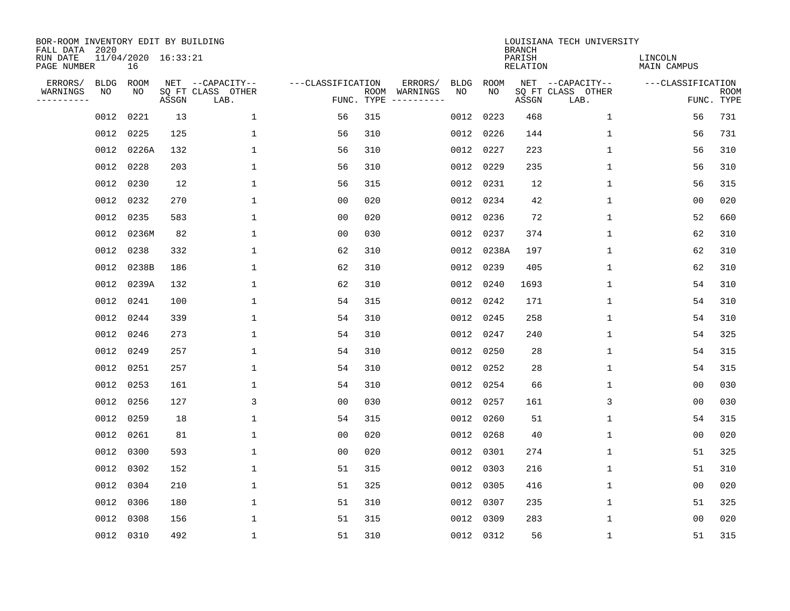| BOR-ROOM INVENTORY EDIT BY BUILDING<br>FALL DATA 2020 |             |                           |       |                           |                   |                    |                         |             |             | <b>BRANCH</b>             | LOUISIANA TECH UNIVERSITY |                               |                           |
|-------------------------------------------------------|-------------|---------------------------|-------|---------------------------|-------------------|--------------------|-------------------------|-------------|-------------|---------------------------|---------------------------|-------------------------------|---------------------------|
| RUN DATE<br>PAGE NUMBER                               |             | 11/04/2020 16:33:21<br>16 |       |                           |                   |                    |                         |             |             | PARISH<br><b>RELATION</b> |                           | LINCOLN<br><b>MAIN CAMPUS</b> |                           |
| ERRORS/                                               | <b>BLDG</b> | ROOM                      |       | NET --CAPACITY--          | ---CLASSIFICATION |                    | ERRORS/                 | <b>BLDG</b> | <b>ROOM</b> |                           | NET --CAPACITY--          | ---CLASSIFICATION             |                           |
| WARNINGS<br>----------                                | NO          | NO                        | ASSGN | SQ FT CLASS OTHER<br>LAB. |                   | ROOM<br>FUNC. TYPE | WARNINGS<br>----------- | NO          | NO          | ASSGN                     | SQ FT CLASS OTHER<br>LAB. |                               | <b>ROOM</b><br>FUNC. TYPE |
|                                                       | 0012        | 0221                      | 13    | $\mathbf{1}$              | 56                | 315                |                         | 0012        | 0223        | 468                       | 1                         | 56                            | 731                       |
|                                                       | 0012        | 0225                      | 125   | 1                         | 56                | 310                |                         | 0012        | 0226        | 144                       | 1                         | 56                            | 731                       |
|                                                       | 0012        | 0226A                     | 132   | $\mathbf 1$               | 56                | 310                |                         | 0012        | 0227        | 223                       | 1                         | 56                            | 310                       |
|                                                       | 0012        | 0228                      | 203   | 1                         | 56                | 310                |                         |             | 0012 0229   | 235                       | 1                         | 56                            | 310                       |
|                                                       | 0012        | 0230                      | 12    | $\mathbf 1$               | 56                | 315                |                         |             | 0012 0231   | 12                        | $\mathbf 1$               | 56                            | 315                       |
|                                                       |             | 0012 0232                 | 270   | $\mathbf 1$               | 0 <sub>0</sub>    | 020                |                         |             | 0012 0234   | 42                        | $\mathbf{1}$              | 00                            | 020                       |
|                                                       | 0012        | 0235                      | 583   | $\mathbf{1}$              | 0 <sub>0</sub>    | 020                |                         |             | 0012 0236   | 72                        | $\mathbf{1}$              | 52                            | 660                       |
|                                                       |             | 0012 0236M                | 82    | $\mathbf{1}$              | 0 <sub>0</sub>    | 030                |                         |             | 0012 0237   | 374                       | $\mathbf{1}$              | 62                            | 310                       |
|                                                       | 0012        | 0238                      | 332   | $\mathbf{1}$              | 62                | 310                |                         | 0012        | 0238A       | 197                       | $\mathbf{1}$              | 62                            | 310                       |
|                                                       |             | 0012 0238B                | 186   | 1                         | 62                | 310                |                         | 0012        | 0239        | 405                       | 1                         | 62                            | 310                       |
|                                                       |             | 0012 0239A                | 132   | 1                         | 62                | 310                |                         | 0012        | 0240        | 1693                      | $\mathbf 1$               | 54                            | 310                       |
|                                                       | 0012        | 0241                      | 100   | 1                         | 54                | 315                |                         |             | 0012 0242   | 171                       | $\mathbf 1$               | 54                            | 310                       |
|                                                       | 0012        | 0244                      | 339   | 1                         | 54                | 310                |                         | 0012        | 0245        | 258                       | $\mathbf 1$               | 54                            | 310                       |
|                                                       | 0012        | 0246                      | 273   | 1                         | 54                | 310                |                         | 0012        | 0247        | 240                       | 1                         | 54                            | 325                       |
|                                                       | 0012        | 0249                      | 257   | 1                         | 54                | 310                |                         | 0012        | 0250        | 28                        | 1                         | 54                            | 315                       |
|                                                       | 0012        | 0251                      | 257   | 1                         | 54                | 310                |                         |             | 0012 0252   | 28                        | 1                         | 54                            | 315                       |
|                                                       | 0012        | 0253                      | 161   | 1                         | 54                | 310                |                         | 0012        | 0254        | 66                        | 1                         | 0 <sub>0</sub>                | 030                       |
|                                                       | 0012        | 0256                      | 127   | $\mathsf{3}$              | 0 <sub>0</sub>    | 030                |                         | 0012        | 0257        | 161                       | 3                         | 00                            | 030                       |
|                                                       | 0012        | 0259                      | 18    | 1                         | 54                | 315                |                         | 0012        | 0260        | 51                        | 1                         | 54                            | 315                       |
|                                                       | 0012        | 0261                      | 81    | 1                         | 0 <sub>0</sub>    | 020                |                         | 0012        | 0268        | 40                        | 1                         | 0 <sub>0</sub>                | 020                       |
|                                                       | 0012        | 0300                      | 593   | 1                         | 0 <sub>0</sub>    | 020                |                         | 0012        | 0301        | 274                       | 1                         | 51                            | 325                       |
|                                                       | 0012        | 0302                      | 152   | $\mathbf 1$               | 51                | 315                |                         | 0012        | 0303        | 216                       | 1                         | 51                            | 310                       |
|                                                       | 0012        | 0304                      | 210   | 1                         | 51                | 325                |                         | 0012        | 0305        | 416                       | 1                         | 0 <sub>0</sub>                | 020                       |
|                                                       | 0012        | 0306                      | 180   | $\mathbf 1$               | 51                | 310                |                         |             | 0012 0307   | 235                       | $\mathbf 1$               | 51                            | 325                       |
|                                                       | 0012        | 0308                      | 156   | 1                         | 51                | 315                |                         |             | 0012 0309   | 283                       | 1                         | 0 <sub>0</sub>                | 020                       |
|                                                       |             | 0012 0310                 | 492   | $\mathbf{1}$              | 51                | 310                |                         |             | 0012 0312   | 56                        | 1                         | 51                            | 315                       |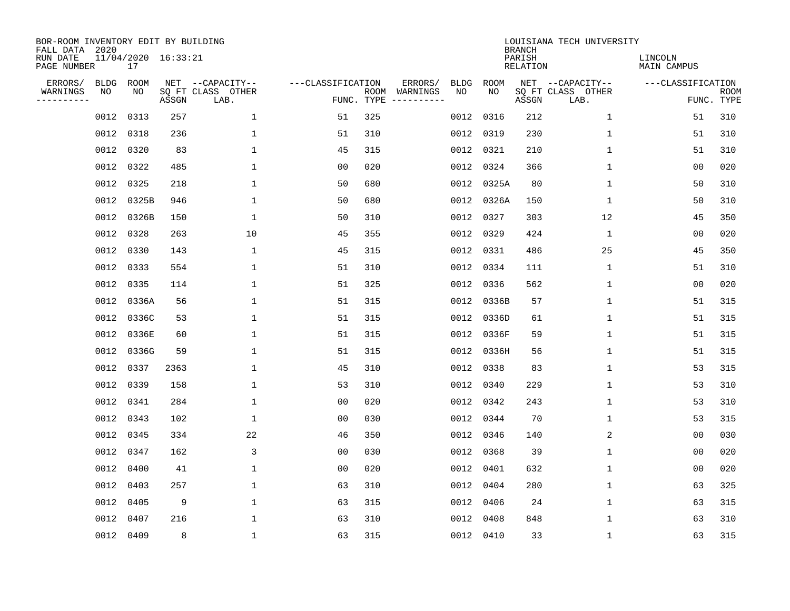| BOR-ROOM INVENTORY EDIT BY BUILDING<br>FALL DATA 2020 |             |                           |       |                           |                   |                    |                         |             |             | <b>BRANCH</b>             | LOUISIANA TECH UNIVERSITY |                               |                           |
|-------------------------------------------------------|-------------|---------------------------|-------|---------------------------|-------------------|--------------------|-------------------------|-------------|-------------|---------------------------|---------------------------|-------------------------------|---------------------------|
| RUN DATE<br>PAGE NUMBER                               |             | 11/04/2020 16:33:21<br>17 |       |                           |                   |                    |                         |             |             | PARISH<br><b>RELATION</b> |                           | LINCOLN<br><b>MAIN CAMPUS</b> |                           |
| ERRORS/                                               | <b>BLDG</b> | ROOM                      |       | NET --CAPACITY--          | ---CLASSIFICATION |                    | ERRORS/                 | <b>BLDG</b> | <b>ROOM</b> |                           | NET --CAPACITY--          | ---CLASSIFICATION             |                           |
| WARNINGS<br>----------                                | NO          | NO                        | ASSGN | SQ FT CLASS OTHER<br>LAB. |                   | ROOM<br>FUNC. TYPE | WARNINGS<br>----------- | NO          | NO          | ASSGN                     | SQ FT CLASS OTHER<br>LAB. |                               | <b>ROOM</b><br>FUNC. TYPE |
|                                                       | 0012        | 0313                      | 257   | $\mathbf{1}$              | 51                | 325                |                         | 0012        | 0316        | 212                       | 1                         | 51                            | 310                       |
|                                                       | 0012        | 0318                      | 236   | 1                         | 51                | 310                |                         |             | 0012 0319   | 230                       | 1                         | 51                            | 310                       |
|                                                       | 0012        | 0320                      | 83    | $\mathbf 1$               | 45                | 315                |                         |             | 0012 0321   | 210                       | 1                         | 51                            | 310                       |
|                                                       | 0012        | 0322                      | 485   | 1                         | 0 <sub>0</sub>    | 020                |                         |             | 0012 0324   | 366                       | 1                         | 0 <sub>0</sub>                | 020                       |
|                                                       | 0012        | 0325                      | 218   | $\mathbf{1}$              | 50                | 680                |                         |             | 0012 0325A  | 80                        | $\mathbf 1$               | 50                            | 310                       |
|                                                       |             | 0012 0325B                | 946   | $\mathbf 1$               | 50                | 680                |                         |             | 0012 0326A  | 150                       | 1                         | 50                            | 310                       |
|                                                       |             | 0012 0326B                | 150   | $\mathbf{1}$              | 50                | 310                |                         |             | 0012 0327   | 303                       | 12                        | 45                            | 350                       |
|                                                       | 0012        | 0328                      | 263   | 10                        | 45                | 355                |                         |             | 0012 0329   | 424                       | $\mathbf{1}$              | 0 <sub>0</sub>                | 020                       |
|                                                       | 0012        | 0330                      | 143   | $\mathbf{1}$              | 45                | 315                |                         | 0012        | 0331        | 486                       | 25                        | 45                            | 350                       |
|                                                       |             | 0012 0333                 | 554   | 1                         | 51                | 310                |                         |             | 0012 0334   | 111                       | 1                         | 51                            | 310                       |
|                                                       | 0012        | 0335                      | 114   | 1                         | 51                | 325                |                         | 0012        | 0336        | 562                       | 1                         | 0 <sub>0</sub>                | 020                       |
|                                                       |             | 0012 0336A                | 56    | 1                         | 51                | 315                |                         |             | 0012 0336B  | 57                        | $\mathbf 1$               | 51                            | 315                       |
|                                                       | 0012        | 0336C                     | 53    | 1                         | 51                | 315                |                         | 0012        | 0336D       | 61                        | $\mathbf 1$               | 51                            | 315                       |
|                                                       | 0012        | 0336E                     | 60    | 1                         | 51                | 315                |                         |             | 0012 0336F  | 59                        | 1                         | 51                            | 315                       |
|                                                       | 0012        | 0336G                     | 59    | 1                         | 51                | 315                |                         |             | 0012 0336H  | 56                        | 1                         | 51                            | 315                       |
|                                                       | 0012        | 0337                      | 2363  | 1                         | 45                | 310                |                         |             | 0012 0338   | 83                        | 1                         | 53                            | 315                       |
|                                                       | 0012        | 0339                      | 158   | 1                         | 53                | 310                |                         | 0012        | 0340        | 229                       | 1                         | 53                            | 310                       |
|                                                       | 0012        | 0341                      | 284   | 1                         | 0 <sub>0</sub>    | 020                |                         |             | 0012 0342   | 243                       | 1                         | 53                            | 310                       |
|                                                       | 0012        | 0343                      | 102   | 1                         | 0 <sub>0</sub>    | 030                |                         |             | 0012 0344   | 70                        | 1                         | 53                            | 315                       |
|                                                       | 0012        | 0345                      | 334   | 22                        | 46                | 350                |                         |             | 0012 0346   | 140                       | 2                         | 0 <sub>0</sub>                | 030                       |
|                                                       | 0012        | 0347                      | 162   | 3                         | 0 <sub>0</sub>    | 030                |                         |             | 0012 0368   | 39                        | 1                         | 0 <sub>0</sub>                | 020                       |
|                                                       | 0012        | 0400                      | 41    | $\mathbf 1$               | 0 <sub>0</sub>    | 020                |                         | 0012        | 0401        | 632                       | 1                         | 00                            | 020                       |
|                                                       | 0012        | 0403                      | 257   | 1                         | 63                | 310                |                         | 0012        | 0404        | 280                       | 1                         | 63                            | 325                       |
|                                                       | 0012        | 0405                      | 9     | $\mathbf 1$               | 63                | 315                |                         |             | 0012 0406   | 24                        | $\mathbf 1$               | 63                            | 315                       |
|                                                       | 0012        | 0407                      | 216   | 1                         | 63                | 310                |                         | 0012        | 0408        | 848                       | 1                         | 63                            | 310                       |
|                                                       |             | 0012 0409                 | 8     | $\mathbf{1}$              | 63                | 315                |                         |             | 0012 0410   | 33                        | 1                         | 63                            | 315                       |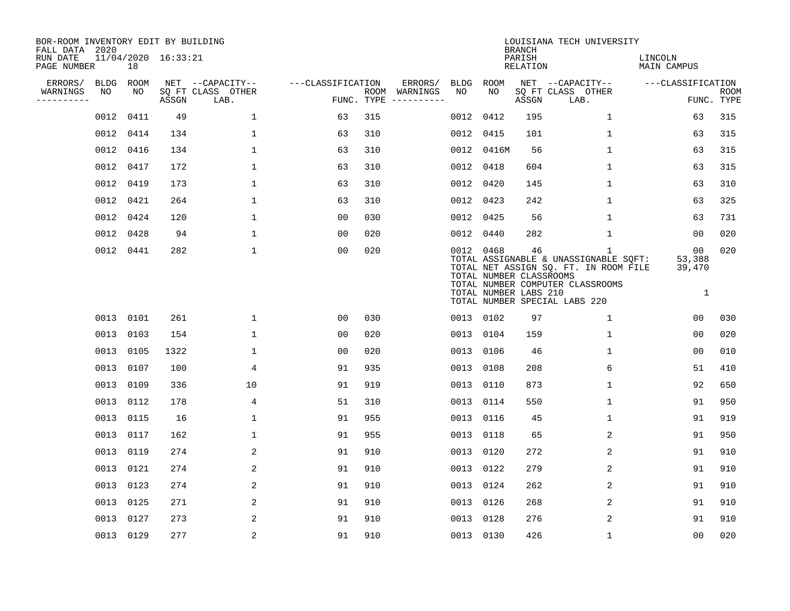| BOR-ROOM INVENTORY EDIT BY BUILDING<br>FALL DATA 2020 |      |           |                     |                           |                   |     |                                      |      |                                                               | <b>BRANCH</b>      | LOUISIANA TECH UNIVERSITY                                                                                                                                           |                                         |                           |
|-------------------------------------------------------|------|-----------|---------------------|---------------------------|-------------------|-----|--------------------------------------|------|---------------------------------------------------------------|--------------------|---------------------------------------------------------------------------------------------------------------------------------------------------------------------|-----------------------------------------|---------------------------|
| RUN DATE<br>PAGE NUMBER                               |      | 18        | 11/04/2020 16:33:21 |                           |                   |     |                                      |      |                                                               | PARISH<br>RELATION |                                                                                                                                                                     | LINCOLN<br>MAIN CAMPUS                  |                           |
| ERRORS/                                               |      | BLDG ROOM |                     | NET --CAPACITY--          | ---CLASSIFICATION |     | ERRORS/                              | BLDG | ROOM                                                          |                    | NET --CAPACITY--                                                                                                                                                    | ---CLASSIFICATION                       |                           |
| WARNINGS<br>----------                                | NO   | NO        | ASSGN               | SQ FT CLASS OTHER<br>LAB. |                   |     | ROOM WARNINGS<br>FUNC. TYPE $------$ | NO.  | NO                                                            | ASSGN              | SQ FT CLASS OTHER<br>LAB.                                                                                                                                           |                                         | <b>ROOM</b><br>FUNC. TYPE |
|                                                       | 0012 | 0411      | 49                  | $\mathbf{1}$              | 63                | 315 |                                      | 0012 | 0412                                                          | 195                | $\mathbf{1}$                                                                                                                                                        | 63                                      | 315                       |
|                                                       |      | 0012 0414 | 134                 | $\mathbf 1$               | 63                | 310 |                                      |      | 0012 0415                                                     | 101                | 1                                                                                                                                                                   | 63                                      | 315                       |
|                                                       |      | 0012 0416 | 134                 | $\mathbf{1}$              | 63                | 310 |                                      |      | 0012 0416M                                                    | 56                 | $\mathbf{1}$                                                                                                                                                        | 63                                      | 315                       |
|                                                       |      | 0012 0417 | 172                 | $\mathbf{1}$              | 63                | 310 |                                      |      | 0012 0418                                                     | 604                | $\mathbf 1$                                                                                                                                                         | 63                                      | 315                       |
|                                                       |      | 0012 0419 | 173                 | $\mathbf{1}$              | 63                | 310 |                                      |      | 0012 0420                                                     | 145                | $\mathbf{1}$                                                                                                                                                        | 63                                      | 310                       |
|                                                       |      | 0012 0421 | 264                 | $\mathbf 1$               | 63                | 310 |                                      |      | 0012 0423                                                     | 242                | $\mathbf 1$                                                                                                                                                         | 63                                      | 325                       |
|                                                       |      | 0012 0424 | 120                 | $\mathbf{1}$              | 00                | 030 |                                      |      | 0012 0425                                                     | 56                 | $\mathbf{1}$                                                                                                                                                        | 63                                      | 731                       |
|                                                       |      | 0012 0428 | 94                  | $\mathbf{1}$              | 0 <sub>0</sub>    | 020 |                                      |      | 0012 0440                                                     | 282                | $\mathbf{1}$                                                                                                                                                        | 00                                      | 020                       |
|                                                       |      | 0012 0441 | 282                 | $\mathbf{1}$              | 0 <sub>0</sub>    | 020 |                                      |      | 0012 0468<br>TOTAL NUMBER CLASSROOMS<br>TOTAL NUMBER LABS 210 | 46                 | $\mathbf{1}$<br>TOTAL ASSIGNABLE & UNASSIGNABLE SQFT:<br>TOTAL NET ASSIGN SQ. FT. IN ROOM FILE<br>TOTAL NUMBER COMPUTER CLASSROOMS<br>TOTAL NUMBER SPECIAL LABS 220 | 0 <sub>0</sub><br>53,388<br>39,470<br>1 | 020                       |
|                                                       |      | 0013 0101 | 261                 | 1                         | 00                | 030 |                                      |      | 0013 0102                                                     | 97                 | 1                                                                                                                                                                   | 0 <sub>0</sub>                          | 030                       |
|                                                       |      | 0013 0103 | 154                 | $\mathbf{1}$              | 00                | 020 |                                      |      | 0013 0104                                                     | 159                | 1                                                                                                                                                                   | 0 <sub>0</sub>                          | 020                       |
|                                                       |      | 0013 0105 | 1322                | $\mathbf{1}$              | 0 <sub>0</sub>    | 020 |                                      |      | 0013 0106                                                     | 46                 | 1                                                                                                                                                                   | 00                                      | 010                       |
|                                                       |      | 0013 0107 | 100                 | $\overline{4}$            | 91                | 935 |                                      |      | 0013 0108                                                     | 208                | 6                                                                                                                                                                   | 51                                      | 410                       |
|                                                       |      | 0013 0109 | 336                 | 10                        | 91                | 919 |                                      |      | 0013 0110                                                     | 873                | 1                                                                                                                                                                   | 92                                      | 650                       |
|                                                       |      | 0013 0112 | 178                 | 4                         | 51                | 310 |                                      |      | 0013 0114                                                     | 550                | $\mathbf 1$                                                                                                                                                         | 91                                      | 950                       |
|                                                       |      | 0013 0115 | 16                  | $\mathbf 1$               | 91                | 955 |                                      |      | 0013 0116                                                     | 45                 | 1                                                                                                                                                                   | 91                                      | 919                       |
|                                                       |      | 0013 0117 | 162                 | 1                         | 91                | 955 |                                      |      | 0013 0118                                                     | 65                 | 2                                                                                                                                                                   | 91                                      | 950                       |
|                                                       |      | 0013 0119 | 274                 | 2                         | 91                | 910 |                                      |      | 0013 0120                                                     | 272                | 2                                                                                                                                                                   | 91                                      | 910                       |
|                                                       |      | 0013 0121 | 274                 | 2                         | 91                | 910 |                                      |      | 0013 0122                                                     | 279                | 2                                                                                                                                                                   | 91                                      | 910                       |
|                                                       |      | 0013 0123 | 274                 | 2                         | 91                | 910 |                                      |      | 0013 0124                                                     | 262                | 2                                                                                                                                                                   | 91                                      | 910                       |
|                                                       |      | 0013 0125 | 271                 | 2                         | 91                | 910 |                                      |      | 0013 0126                                                     | 268                | 2                                                                                                                                                                   | 91                                      | 910                       |
|                                                       |      | 0013 0127 | 273                 | 2                         | 91                | 910 |                                      |      | 0013 0128                                                     | 276                | 2                                                                                                                                                                   | 91                                      | 910                       |
|                                                       |      | 0013 0129 | 277                 | 2                         | 91                | 910 |                                      |      | 0013 0130                                                     | 426                | $\mathbf 1$                                                                                                                                                         | 0 <sub>0</sub>                          | 020                       |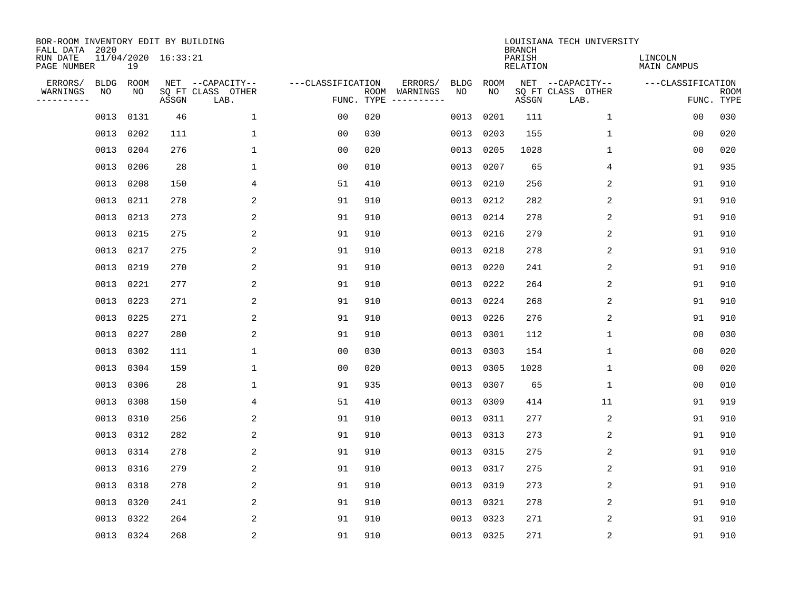| BOR-ROOM INVENTORY EDIT BY BUILDING<br>FALL DATA 2020 |             |           |                     |                           |                   |                    |          |             |                   | <b>BRANCH</b>             | LOUISIANA TECH UNIVERSITY |                               |                           |
|-------------------------------------------------------|-------------|-----------|---------------------|---------------------------|-------------------|--------------------|----------|-------------|-------------------|---------------------------|---------------------------|-------------------------------|---------------------------|
| RUN DATE<br>PAGE NUMBER                               |             | 19        | 11/04/2020 16:33:21 |                           |                   |                    |          |             |                   | PARISH<br><b>RELATION</b> |                           | LINCOLN<br><b>MAIN CAMPUS</b> |                           |
| ERRORS/                                               | <b>BLDG</b> | ROOM      |                     | NET --CAPACITY--          | ---CLASSIFICATION |                    | ERRORS/  | <b>BLDG</b> | <b>ROOM</b><br>NO |                           | NET --CAPACITY--          | ---CLASSIFICATION             |                           |
| WARNINGS<br>----------                                | NO          | NO        | ASSGN               | SQ FT CLASS OTHER<br>LAB. |                   | ROOM<br>FUNC. TYPE | WARNINGS | NO          |                   | ASSGN                     | SQ FT CLASS OTHER<br>LAB. |                               | <b>ROOM</b><br>FUNC. TYPE |
|                                                       | 0013        | 0131      | 46                  | $\mathbf 1$               | 00                | 020                |          | 0013        | 0201              | 111                       | 1                         | 00                            | 030                       |
|                                                       | 0013        | 0202      | 111                 | 1                         | 00                | 030                |          | 0013        | 0203              | 155                       | 1                         | 00                            | 020                       |
|                                                       | 0013        | 0204      | 276                 | $\mathbf 1$               | 00                | 020                |          | 0013        | 0205              | 1028                      | 1                         | 00                            | 020                       |
|                                                       | 0013        | 0206      | 28                  | 1                         | 0 <sub>0</sub>    | 010                |          |             | 0013 0207         | 65                        | 4                         | 91                            | 935                       |
|                                                       | 0013        | 0208      | 150                 | 4                         | 51                | 410                |          | 0013        | 0210              | 256                       | 2                         | 91                            | 910                       |
|                                                       | 0013        | 0211      | 278                 | 2                         | 91                | 910                |          |             | 0013 0212         | 282                       | 2                         | 91                            | 910                       |
|                                                       | 0013        | 0213      | 273                 | 2                         | 91                | 910                |          | 0013        | 0214              | 278                       | 2                         | 91                            | 910                       |
|                                                       | 0013        | 0215      | 275                 | 2                         | 91                | 910                |          |             | 0013 0216         | 279                       | 2                         | 91                            | 910                       |
|                                                       | 0013        | 0217      | 275                 | 2                         | 91                | 910                |          | 0013        | 0218              | 278                       | 2                         | 91                            | 910                       |
|                                                       | 0013        | 0219      | 270                 | 2                         | 91                | 910                |          |             | 0013 0220         | 241                       | 2                         | 91                            | 910                       |
|                                                       | 0013        | 0221      | 277                 | 2                         | 91                | 910                |          | 0013        | 0222              | 264                       | 2                         | 91                            | 910                       |
|                                                       | 0013        | 0223      | 271                 | 2                         | 91                | 910                |          |             | 0013 0224         | 268                       | 2                         | 91                            | 910                       |
|                                                       | 0013        | 0225      | 271                 | 2                         | 91                | 910                |          | 0013        | 0226              | 276                       | 2                         | 91                            | 910                       |
|                                                       | 0013        | 0227      | 280                 | 2                         | 91                | 910                |          | 0013        | 0301              | 112                       | 1                         | 0 <sub>0</sub>                | 030                       |
|                                                       | 0013        | 0302      | 111                 | 1                         | 0 <sub>0</sub>    | 030                |          | 0013        | 0303              | 154                       | 1                         | 0 <sub>0</sub>                | 020                       |
|                                                       | 0013        | 0304      | 159                 | 1                         | 0 <sub>0</sub>    | 020                |          | 0013        | 0305              | 1028                      | 1                         | 0 <sub>0</sub>                | 020                       |
|                                                       | 0013        | 0306      | 28                  | 1                         | 91                | 935                |          | 0013        | 0307              | 65                        | 1                         | 0 <sub>0</sub>                | 010                       |
|                                                       | 0013        | 0308      | 150                 | 4                         | 51                | 410                |          | 0013        | 0309              | 414                       | 11                        | 91                            | 919                       |
|                                                       | 0013        | 0310      | 256                 | 2                         | 91                | 910                |          |             | 0013 0311         | 277                       | 2                         | 91                            | 910                       |
|                                                       | 0013        | 0312      | 282                 | 2                         | 91                | 910                |          | 0013        | 0313              | 273                       | 2                         | 91                            | 910                       |
|                                                       | 0013        | 0314      | 278                 | 2                         | 91                | 910                |          |             | 0013 0315         | 275                       | 2                         | 91                            | 910                       |
|                                                       | 0013        | 0316      | 279                 | 2                         | 91                | 910                |          | 0013        | 0317              | 275                       | 2                         | 91                            | 910                       |
|                                                       | 0013        | 0318      | 278                 | 2                         | 91                | 910                |          |             | 0013 0319         | 273                       | 2                         | 91                            | 910                       |
|                                                       | 0013        | 0320      | 241                 | 2                         | 91                | 910                |          |             | 0013 0321         | 278                       | 2                         | 91                            | 910                       |
|                                                       | 0013        | 0322      | 264                 | 2                         | 91                | 910                |          |             | 0013 0323         | 271                       | 2                         | 91                            | 910                       |
|                                                       |             | 0013 0324 | 268                 | $\overline{2}$            | 91                | 910                |          |             | 0013 0325         | 271                       | $\sqrt{2}$                | 91                            | 910                       |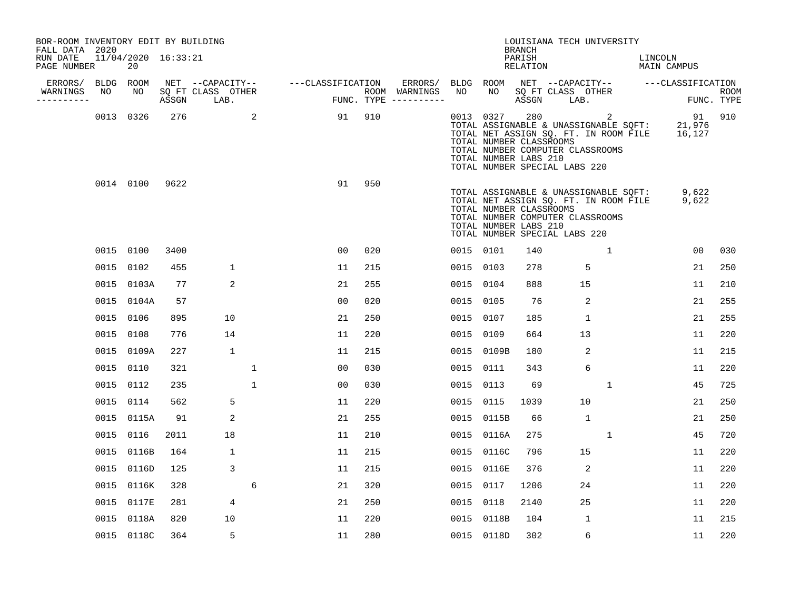| BOR-ROOM INVENTORY EDIT BY BUILDING<br>FALL DATA 2020 |           |                           |      |                                 |              |                   |                |     |                                        |           |                                                               | BRANCH             |                                 | LOUISIANA TECH UNIVERSITY                                                                                                      |                                    |                           |
|-------------------------------------------------------|-----------|---------------------------|------|---------------------------------|--------------|-------------------|----------------|-----|----------------------------------------|-----------|---------------------------------------------------------------|--------------------|---------------------------------|--------------------------------------------------------------------------------------------------------------------------------|------------------------------------|---------------------------|
| RUN DATE<br>PAGE NUMBER                               |           | 11/04/2020 16:33:21<br>20 |      |                                 |              |                   |                |     |                                        |           |                                                               | PARISH<br>RELATION |                                 |                                                                                                                                | LINCOLN<br>MAIN CAMPUS             |                           |
| ERRORS/                                               | BLDG ROOM |                           |      | NET --CAPACITY--                |              | ---CLASSIFICATION |                |     | ERRORS/                                | BLDG ROOM |                                                               |                    |                                 |                                                                                                                                | NET --CAPACITY-- ---CLASSIFICATION |                           |
| WARNINGS<br>.                                         | NO        | NO                        |      | SQ FT CLASS OTHER<br>ASSGN LAB. |              |                   |                |     | ROOM WARNINGS<br>FUNC. TYPE ---------- | NO        | NO 1                                                          |                    | SQ FT CLASS OTHER<br>ASSGN LAB. |                                                                                                                                |                                    | <b>ROOM</b><br>FUNC. TYPE |
|                                                       |           | 0013 0326                 | 276  | $\sim$ 2                        |              |                   | 91             | 910 |                                        |           | 0013 0327<br>TOTAL NUMBER CLASSROOMS<br>TOTAL NUMBER LABS 210 | 280                | TOTAL NUMBER SPECIAL LABS 220   | $\sim$ 2<br>TOTAL ASSIGNABLE & UNASSIGNABLE SQFT:<br>TOTAL NET ASSIGN SQ. FT. IN ROOM FILE<br>TOTAL NUMBER COMPUTER CLASSROOMS | 91 910<br>21,976<br>16,127         |                           |
|                                                       |           | 0014 0100                 | 9622 |                                 |              |                   | 91             | 950 |                                        |           | TOTAL NUMBER CLASSROOMS<br>TOTAL NUMBER LABS 210              |                    | TOTAL NUMBER SPECIAL LABS 220   | TOTAL ASSIGNABLE & UNASSIGNABLE SQFT:<br>TOTAL NET ASSIGN SQ. FT. IN ROOM FILE<br>TOTAL NUMBER COMPUTER CLASSROOMS             | 9,622<br>9,622                     |                           |
|                                                       |           | 0015 0100                 | 3400 |                                 |              |                   | 0 <sub>0</sub> | 020 |                                        | 0015 0101 |                                                               | 140                |                                 | 1                                                                                                                              | 00                                 | 030                       |
|                                                       |           | 0015 0102                 | 455  | $\mathbf{1}$                    |              |                   | 11             | 215 |                                        | 0015 0103 |                                                               | 278                |                                 | 5                                                                                                                              | 21                                 | 250                       |
|                                                       |           | 0015 0103A                | 77   | 2                               |              |                   | 21             | 255 |                                        | 0015 0104 |                                                               | 888                |                                 | 15                                                                                                                             | 11                                 | 210                       |
|                                                       |           | 0015 0104A                | 57   |                                 |              |                   | 0 <sub>0</sub> | 020 |                                        | 0015 0105 |                                                               | 76                 |                                 | 2                                                                                                                              | 21                                 | 255                       |
|                                                       |           | 0015 0106                 | 895  | 10                              |              |                   | 21             | 250 |                                        | 0015 0107 |                                                               | 185                |                                 | $\mathbf{1}$                                                                                                                   | 21                                 | 255                       |
|                                                       |           | 0015 0108                 | 776  | 14                              |              |                   | 11             | 220 |                                        | 0015 0109 |                                                               | 664                |                                 | 13                                                                                                                             | 11                                 | 220                       |
|                                                       |           | 0015 0109A                | 227  | 1                               |              |                   | 11             | 215 |                                        |           | 0015 0109B                                                    | 180                |                                 | 2                                                                                                                              | 11                                 | 215                       |
|                                                       | 0015 0110 |                           | 321  |                                 | 1            |                   | 0 <sub>0</sub> | 030 |                                        | 0015 0111 |                                                               | 343                |                                 | 6                                                                                                                              | 11                                 | 220                       |
|                                                       |           | 0015 0112                 | 235  |                                 | $\mathbf{1}$ |                   | 0 <sub>0</sub> | 030 |                                        | 0015 0113 |                                                               | 69                 |                                 | 1                                                                                                                              | 45                                 | 725                       |
|                                                       |           | 0015 0114                 | 562  | 5                               |              |                   | 11             | 220 |                                        | 0015      | 0115                                                          | 1039               |                                 | 10                                                                                                                             | 21                                 | 250                       |
|                                                       |           | 0015 0115A                | 91   | 2                               |              |                   | 21             | 255 |                                        |           | 0015 0115B                                                    | 66                 |                                 | $\mathbf{1}$                                                                                                                   | 21                                 | 250                       |
|                                                       |           | 0015 0116                 | 2011 | 18                              |              |                   | 11             | 210 |                                        |           | 0015 0116A                                                    | 275                |                                 | $\mathbf{1}$                                                                                                                   | 45                                 | 720                       |
|                                                       |           | 0015 0116B                | 164  | 1                               |              |                   | 11             | 215 |                                        |           | 0015 0116C                                                    | 796                |                                 | 15                                                                                                                             | 11                                 | 220                       |
|                                                       |           | 0015 0116D                | 125  | 3                               |              |                   | 11             | 215 |                                        |           | 0015 0116E                                                    | 376                |                                 | 2                                                                                                                              | 11                                 | 220                       |
|                                                       |           | 0015 0116K                | 328  |                                 | 6            |                   | 21             | 320 |                                        | 0015 0117 |                                                               | 1206               |                                 | 24                                                                                                                             | 11                                 | 220                       |
|                                                       |           | 0015 0117E                | 281  | 4                               |              |                   | 21             | 250 |                                        | 0015 0118 |                                                               | 2140               |                                 | 25                                                                                                                             | 11                                 | 220                       |
|                                                       |           | 0015 0118A                | 820  | 10                              |              |                   | 11             | 220 |                                        |           | 0015 0118B                                                    | 104                |                                 | $\mathbf{1}$                                                                                                                   | 11                                 | 215                       |
|                                                       |           | 0015 0118C                | 364  | 5                               |              |                   | 11             | 280 |                                        |           | 0015 0118D                                                    | 302                |                                 | 6                                                                                                                              | 11                                 | 220                       |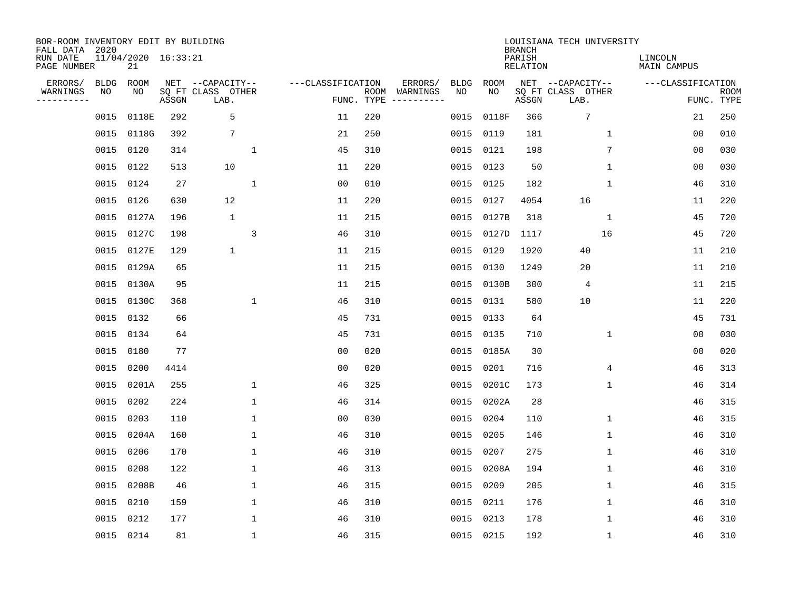| BOR-ROOM INVENTORY EDIT BY BUILDING<br>FALL DATA 2020 |           |                           |       |                           |                   |                    |          |             |             | <b>BRANCH</b>             | LOUISIANA TECH UNIVERSITY |                               |                           |
|-------------------------------------------------------|-----------|---------------------------|-------|---------------------------|-------------------|--------------------|----------|-------------|-------------|---------------------------|---------------------------|-------------------------------|---------------------------|
| RUN DATE<br>PAGE NUMBER                               |           | 11/04/2020 16:33:21<br>21 |       |                           |                   |                    |          |             |             | PARISH<br><b>RELATION</b> |                           | LINCOLN<br><b>MAIN CAMPUS</b> |                           |
| ERRORS/                                               | BLDG      | ROOM                      |       | NET --CAPACITY--          | ---CLASSIFICATION |                    | ERRORS/  | <b>BLDG</b> | <b>ROOM</b> |                           | NET --CAPACITY--          | ---CLASSIFICATION             |                           |
| WARNINGS<br>----------                                | NO        | NO                        | ASSGN | SQ FT CLASS OTHER<br>LAB. |                   | ROOM<br>FUNC. TYPE | WARNINGS | NO          | NO          | ASSGN                     | SQ FT CLASS OTHER<br>LAB. |                               | <b>ROOM</b><br>FUNC. TYPE |
|                                                       | 0015      | 0118E                     | 292   | 5                         | 11                | 220                |          | 0015        | 0118F       | 366                       | 7                         | 21                            | 250                       |
|                                                       | 0015      | 0118G                     | 392   | 7                         | 21                | 250                |          | 0015        | 0119        | 181                       | $\mathbf 1$               | 0 <sub>0</sub>                | 010                       |
|                                                       | 0015      | 0120                      | 314   | $\mathbf{1}$              | 45                | 310                |          | 0015        | 0121        | 198                       | 7                         | 0 <sub>0</sub>                | 030                       |
|                                                       | 0015 0122 |                           | 513   | 10                        | 11                | 220                |          | 0015        | 0123        | 50                        | $\mathbf 1$               | 0 <sub>0</sub>                | 030                       |
|                                                       | 0015      | 0124                      | 27    | $\mathbf{1}$              | 0 <sub>0</sub>    | 010                |          | 0015        | 0125        | 182                       | $\mathbf{1}$              | 46                            | 310                       |
|                                                       | 0015 0126 |                           | 630   | 12                        | 11                | 220                |          | 0015        | 0127        | 4054                      | 16                        | 11                            | 220                       |
|                                                       |           | 0015 0127A                | 196   | $\mathbf{1}$              | 11                | 215                |          | 0015        | 0127B       | 318                       | $\mathbf{1}$              | 45                            | 720                       |
|                                                       |           | 0015 0127C                | 198   | 3                         | 46                | 310                |          | 0015        | 0127D       | 1117                      | 16                        | 45                            | 720                       |
|                                                       | 0015      | 0127E                     | 129   | $\mathbf 1$               | 11                | 215                |          | 0015        | 0129        | 1920                      | 40                        | 11                            | 210                       |
|                                                       |           | 0015 0129A                | 65    |                           | 11                | 215                |          | 0015        | 0130        | 1249                      | 20                        | 11                            | 210                       |
|                                                       | 0015      | 0130A                     | 95    |                           | 11                | 215                |          | 0015        | 0130B       | 300                       | 4                         | 11                            | 215                       |
|                                                       | 0015      | 0130C                     | 368   | $\mathbf{1}$              | 46                | 310                |          | 0015        | 0131        | 580                       | 10                        | 11                            | 220                       |
|                                                       | 0015      | 0132                      | 66    |                           | 45                | 731                |          | 0015        | 0133        | 64                        |                           | 45                            | 731                       |
|                                                       | 0015      | 0134                      | 64    |                           | 45                | 731                |          | 0015        | 0135        | 710                       | 1                         | 00                            | 030                       |
|                                                       | 0015      | 0180                      | 77    |                           | 0 <sub>0</sub>    | 020                |          | 0015        | 0185A       | 30                        |                           | 0 <sub>0</sub>                | 020                       |
|                                                       | 0015      | 0200                      | 4414  |                           | 0 <sub>0</sub>    | 020                |          | 0015        | 0201        | 716                       | 4                         | 46                            | 313                       |
|                                                       | 0015      | 0201A                     | 255   | $\mathbf{1}$              | 46                | 325                |          | 0015        | 0201C       | 173                       | 1                         | 46                            | 314                       |
|                                                       | 0015      | 0202                      | 224   | $\mathbf{1}$              | 46                | 314                |          | 0015        | 0202A       | 28                        |                           | 46                            | 315                       |
|                                                       | 0015      | 0203                      | 110   | $\mathbf{1}$              | 0 <sub>0</sub>    | 030                |          | 0015        | 0204        | 110                       | $\mathbf 1$               | 46                            | 315                       |
|                                                       | 0015      | 0204A                     | 160   | $\mathbf{1}$              | 46                | 310                |          | 0015        | 0205        | 146                       | 1                         | 46                            | 310                       |
|                                                       | 0015      | 0206                      | 170   | 1                         | 46                | 310                |          | 0015        | 0207        | 275                       | 1                         | 46                            | 310                       |
|                                                       | 0015      | 0208                      | 122   | $\mathbf 1$               | 46                | 313                |          | 0015        | 0208A       | 194                       | 1                         | 46                            | 310                       |
|                                                       | 0015      | 0208B                     | 46    | $\mathbf{1}$              | 46                | 315                |          | 0015        | 0209        | 205                       | 1                         | 46                            | 315                       |
|                                                       | 0015      | 0210                      | 159   | $\mathbf{1}$              | 46                | 310                |          | 0015        | 0211        | 176                       | $\mathbf 1$               | 46                            | 310                       |
|                                                       | 0015      | 0212                      | 177   | $\mathbf{1}$              | 46                | 310                |          | 0015        | 0213        | 178                       | $\mathbf 1$               | 46                            | 310                       |
|                                                       | 0015 0214 |                           | 81    | $\mathbf{1}$              | 46                | 315                |          |             | 0015 0215   | 192                       | $\mathbf{1}$              | 46                            | 310                       |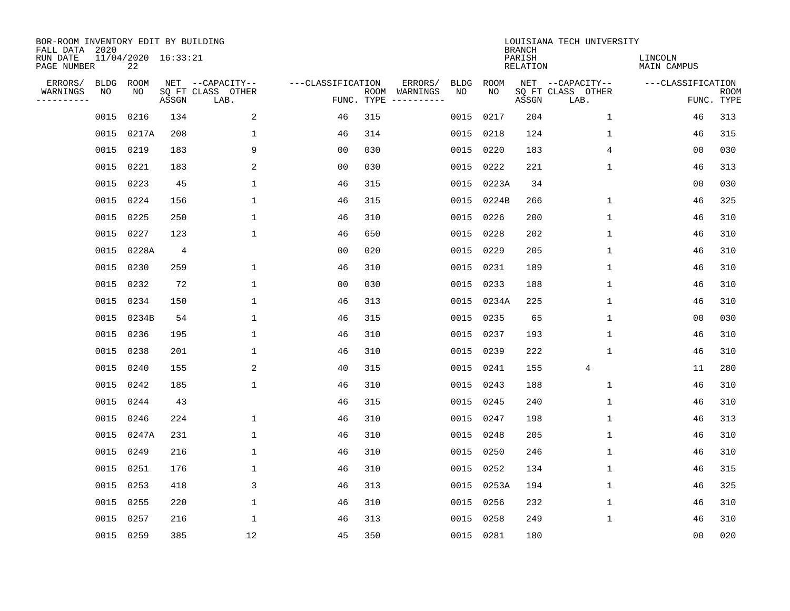| BOR-ROOM INVENTORY EDIT BY BUILDING<br>FALL DATA 2020 |                           |       |                           |                                |     |                                      |             |             | <b>BRANCH</b>      | LOUISIANA TECH UNIVERSITY |                               |                           |
|-------------------------------------------------------|---------------------------|-------|---------------------------|--------------------------------|-----|--------------------------------------|-------------|-------------|--------------------|---------------------------|-------------------------------|---------------------------|
| RUN DATE<br>PAGE NUMBER                               | 11/04/2020 16:33:21<br>22 |       |                           |                                |     |                                      |             |             | PARISH<br>RELATION |                           | LINCOLN<br><b>MAIN CAMPUS</b> |                           |
| ERRORS/                                               | <b>BLDG</b><br>ROOM       |       | NET --CAPACITY--          | ---CLASSIFICATION              |     | ERRORS/                              | <b>BLDG</b> | <b>ROOM</b> |                    | NET --CAPACITY--          | ---CLASSIFICATION             |                           |
| WARNINGS<br>----------                                | NO<br>NO                  | ASSGN | SQ FT CLASS OTHER<br>LAB. |                                |     | ROOM WARNINGS<br>FUNC. TYPE $------$ | NO          | NO          | ASSGN              | SQ FT CLASS OTHER<br>LAB. |                               | <b>ROOM</b><br>FUNC. TYPE |
|                                                       | 0216<br>0015              | 134   |                           | 2<br>46                        | 315 |                                      | 0015        | 0217        | 204                | $\mathbf 1$               | 46                            | 313                       |
|                                                       | 0015 0217A                | 208   |                           | $\mathbf{1}$<br>46             | 314 |                                      | 0015        | 0218        | 124                | 1                         | 46                            | 315                       |
|                                                       | 0015<br>0219              | 183   |                           | 9<br>0 <sub>0</sub>            | 030 |                                      | 0015        | 0220        | 183                | 4                         | 0 <sub>0</sub>                | 030                       |
|                                                       | 0015 0221                 | 183   |                           | 2<br>0 <sub>0</sub>            | 030 |                                      | 0015        | 0222        | 221                | $\mathbf 1$               | 46                            | 313                       |
|                                                       | 0223<br>0015              |       | 45                        | $\mathbf 1$<br>46              | 315 |                                      | 0015        | 0223A       | 34                 |                           | 0 <sub>0</sub>                | 030                       |
|                                                       | 0015 0224                 | 156   |                           | 1<br>46                        | 315 |                                      |             | 0015 0224B  | 266                | $\mathbf{1}$              | 46                            | 325                       |
|                                                       | 0015 0225                 | 250   |                           | $\mathbf 1$<br>46              | 310 |                                      | 0015        | 0226        | 200                | $\mathbf{1}$              | 46                            | 310                       |
|                                                       | 0015 0227                 | 123   |                           | $\mathbf{1}$<br>46             | 650 |                                      | 0015        | 0228        | 202                | $\mathbf{1}$              | 46                            | 310                       |
|                                                       | 0015 0228A                |       | $\overline{4}$            | 0 <sub>0</sub>                 | 020 |                                      | 0015        | 0229        | 205                | $\mathbf{1}$              | 46                            | 310                       |
|                                                       | 0015 0230                 |       | 259                       | $\mathbf{1}$<br>46             | 310 |                                      | 0015        | 0231        | 189                | $\mathbf{1}$              | 46                            | 310                       |
|                                                       | 0015 0232                 |       | 72                        | $\mathbf{1}$<br>0 <sub>0</sub> | 030 |                                      | 0015        | 0233        | 188                | $\mathbf{1}$              | 46                            | 310                       |
|                                                       | 0015 0234                 | 150   |                           | $\mathbf{1}$<br>46             | 313 |                                      |             | 0015 0234A  | 225                | $\mathbf{1}$              | 46                            | 310                       |
|                                                       | 0015 0234B                |       | 54                        | 1<br>46                        | 315 |                                      | 0015        | 0235        | 65                 | $\mathbf 1$               | 0 <sub>0</sub>                | 030                       |
|                                                       | 0015 0236                 | 195   |                           | 1<br>46                        | 310 |                                      | 0015        | 0237        | 193                | 1                         | 46                            | 310                       |
|                                                       | 0015 0238                 | 201   |                           | 1<br>46                        | 310 |                                      | 0015        | 0239        | 222                | 1                         | 46                            | 310                       |
|                                                       | 0240<br>0015              | 155   |                           | 2<br>40                        | 315 |                                      |             | 0015 0241   | 155                | 4                         | 11                            | 280                       |
|                                                       | 0015<br>0242              | 185   |                           | 1<br>46                        | 310 |                                      | 0015        | 0243        | 188                | $\mathbf 1$               | 46                            | 310                       |
|                                                       | 0015<br>0244              |       | 43                        | 46                             | 315 |                                      | 0015        | 0245        | 240                | $\mathbf 1$               | 46                            | 310                       |
|                                                       | 0015 0246                 |       | 224                       | 46<br>$\mathbf{1}$             | 310 |                                      |             | 0015 0247   | 198                | $\mathbf 1$               | 46                            | 313                       |
|                                                       | 0015 0247A                | 231   |                           | 1<br>46                        | 310 |                                      | 0015        | 0248        | 205                | 1                         | 46                            | 310                       |
|                                                       | 0015 0249                 |       | 216                       | 1<br>46                        | 310 |                                      | 0015        | 0250        | 246                | 1                         | 46                            | 310                       |
|                                                       | 0015<br>0251              | 176   |                           | 1<br>46                        | 310 |                                      | 0015        | 0252        | 134                | $\mathbf{1}$              | 46                            | 315                       |
|                                                       | 0015 0253                 | 418   |                           | 3<br>46                        | 313 |                                      |             | 0015 0253A  | 194                | $\mathbf 1$               | 46                            | 325                       |
|                                                       | 0015 0255                 |       | 220                       | $\mathbf{1}$<br>46             | 310 |                                      | 0015        | 0256        | 232                | 1                         | 46                            | 310                       |
|                                                       | 0015 0257                 |       | 216                       | $\mathbf{1}$<br>46             | 313 |                                      | 0015        | 0258        | 249                | $\mathbf 1$               | 46                            | 310                       |
|                                                       | 0015 0259                 |       | 385                       | 12<br>45                       | 350 |                                      | 0015 0281   |             | 180                |                           | 0 <sub>0</sub>                | 020                       |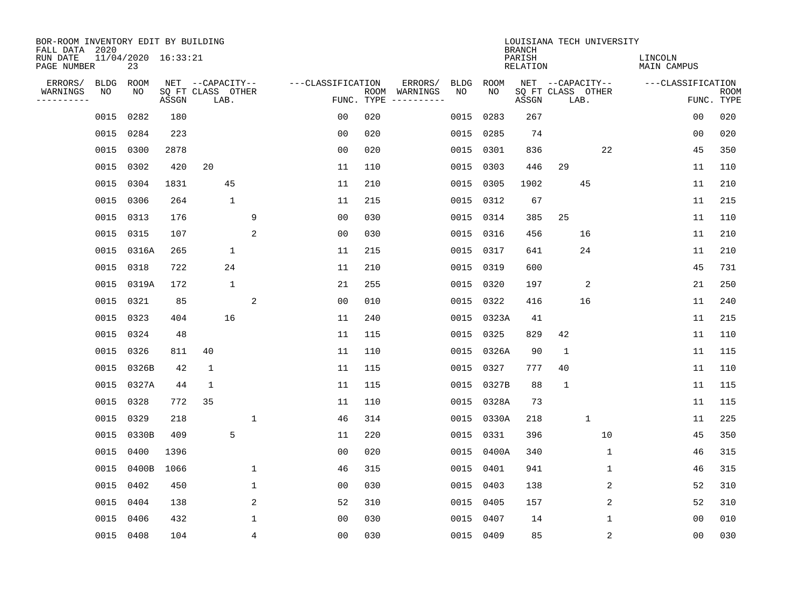| BOR-ROOM INVENTORY EDIT BY BUILDING<br>FALL DATA 2020 |                           |       |                                       |              |                   |     |                          |                   |            | <b>BRANCH</b>      | LOUISIANA TECH UNIVERSITY             |                |                        |             |
|-------------------------------------------------------|---------------------------|-------|---------------------------------------|--------------|-------------------|-----|--------------------------|-------------------|------------|--------------------|---------------------------------------|----------------|------------------------|-------------|
| RUN DATE<br>PAGE NUMBER                               | 11/04/2020 16:33:21<br>23 |       |                                       |              |                   |     |                          |                   |            | PARISH<br>RELATION |                                       |                | LINCOLN<br>MAIN CAMPUS |             |
| ERRORS/<br><b>BLDG</b><br>WARNINGS<br>NO              | ROOM<br>NO                |       | NET --CAPACITY--<br>SQ FT CLASS OTHER |              | ---CLASSIFICATION |     | ERRORS/<br>ROOM WARNINGS | <b>BLDG</b><br>NO | ROOM<br>NO |                    | NET --CAPACITY--<br>SQ FT CLASS OTHER |                | ---CLASSIFICATION      | <b>ROOM</b> |
| ----------                                            |                           | ASSGN | LAB.                                  |              |                   |     | FUNC. TYPE $------$      |                   |            | ASSGN              | LAB.                                  |                |                        | FUNC. TYPE  |
| 0015                                                  | 0282                      | 180   |                                       |              | 0 <sub>0</sub>    | 020 |                          | 0015              | 0283       | 267                |                                       |                | 00                     | 020         |
| 0015                                                  | 0284                      | 223   |                                       |              | 0 <sub>0</sub>    | 020 |                          | 0015              | 0285       | 74                 |                                       |                | 0 <sub>0</sub>         | 020         |
| 0015                                                  | 0300                      | 2878  |                                       |              | 0 <sub>0</sub>    | 020 |                          | 0015              | 0301       | 836                |                                       | 22             | 45                     | 350         |
| 0015                                                  | 0302                      | 420   | 20                                    |              | 11                | 110 |                          | 0015              | 0303       | 446                | 29                                    |                | 11                     | 110         |
| 0015                                                  | 0304                      | 1831  | 45                                    |              | 11                | 210 |                          | 0015              | 0305       | 1902               | 45                                    |                | 11                     | 210         |
| 0015                                                  | 0306                      | 264   | $\mathbf{1}$                          |              | 11                | 215 |                          |                   | 0015 0312  | 67                 |                                       |                | 11                     | 215         |
| 0015                                                  | 0313                      | 176   |                                       | 9            | 0 <sub>0</sub>    | 030 |                          |                   | 0015 0314  | 385                | 25                                    |                | 11                     | 110         |
|                                                       | 0015 0315                 | 107   |                                       | 2            | 0 <sub>0</sub>    | 030 |                          |                   | 0015 0316  | 456                | 16                                    |                | 11                     | 210         |
| 0015                                                  | 0316A                     | 265   | $\mathbf 1$                           |              | 11                | 215 |                          | 0015              | 0317       | 641                | 24                                    |                | 11                     | 210         |
| 0015                                                  | 0318                      | 722   | 24                                    |              | 11                | 210 |                          |                   | 0015 0319  | 600                |                                       |                | 45                     | 731         |
| 0015                                                  | 0319A                     | 172   | $\mathbf{1}$                          |              | 21                | 255 |                          | 0015              | 0320       | 197                | $\overline{2}$                        |                | 21                     | 250         |
| 0015                                                  | 0321                      | 85    |                                       | 2            | 0 <sub>0</sub>    | 010 |                          |                   | 0015 0322  | 416                | 16                                    |                | 11                     | 240         |
| 0015                                                  | 0323                      | 404   | 16                                    |              | 11                | 240 |                          | 0015              | 0323A      | 41                 |                                       |                | 11                     | 215         |
| 0015                                                  | 0324                      | 48    |                                       |              | 11                | 115 |                          | 0015              | 0325       | 829                | 42                                    |                | 11                     | 110         |
| 0015                                                  | 0326                      | 811   | 40                                    |              | 11                | 110 |                          |                   | 0015 0326A | 90                 | $\mathbf{1}$                          |                | 11                     | 115         |
| 0015                                                  | 0326B                     | 42    | $\mathbf{1}$                          |              | 11                | 115 |                          | 0015              | 0327       | 777                | 40                                    |                | 11                     | 110         |
| 0015                                                  | 0327A                     | 44    | $\mathbf{1}$                          |              | 11                | 115 |                          |                   | 0015 0327B | 88                 | $\mathbf{1}$                          |                | 11                     | 115         |
| 0015                                                  | 0328                      | 772   | 35                                    |              | 11                | 110 |                          | 0015              | 0328A      | 73                 |                                       |                | 11                     | 115         |
| 0015                                                  | 0329                      | 218   |                                       | $\mathbf{1}$ | 46                | 314 |                          |                   | 0015 0330A | 218                | $\mathbf{1}$                          |                | 11                     | 225         |
| 0015                                                  | 0330B                     | 409   | 5                                     |              | 11                | 220 |                          | 0015              | 0331       | 396                |                                       | 10             | 45                     | 350         |
| 0015                                                  | 0400                      | 1396  |                                       |              | 0 <sub>0</sub>    | 020 |                          |                   | 0015 0400A | 340                |                                       | 1              | 46                     | 315         |
| 0015                                                  | 0400B                     | 1066  |                                       | $\mathbf 1$  | 46                | 315 |                          | 0015              | 0401       | 941                |                                       | $\mathbf{1}$   | 46                     | 315         |
| 0015                                                  | 0402                      | 450   |                                       | $\mathbf{1}$ | 0 <sub>0</sub>    | 030 |                          |                   | 0015 0403  | 138                |                                       | $\overline{c}$ | 52                     | 310         |
| 0015                                                  | 0404                      | 138   |                                       | 2            | 52                | 310 |                          | 0015              | 0405       | 157                |                                       | 2              | 52                     | 310         |
| 0015                                                  | 0406                      | 432   |                                       | 1            | 0 <sub>0</sub>    | 030 |                          | 0015              | 0407       | 14                 |                                       | 1              | 0 <sub>0</sub>         | 010         |
|                                                       | 0015 0408                 | 104   |                                       | 4            | 0 <sub>0</sub>    | 030 |                          |                   | 0015 0409  | 85                 |                                       | 2              | 0 <sub>0</sub>         | 030         |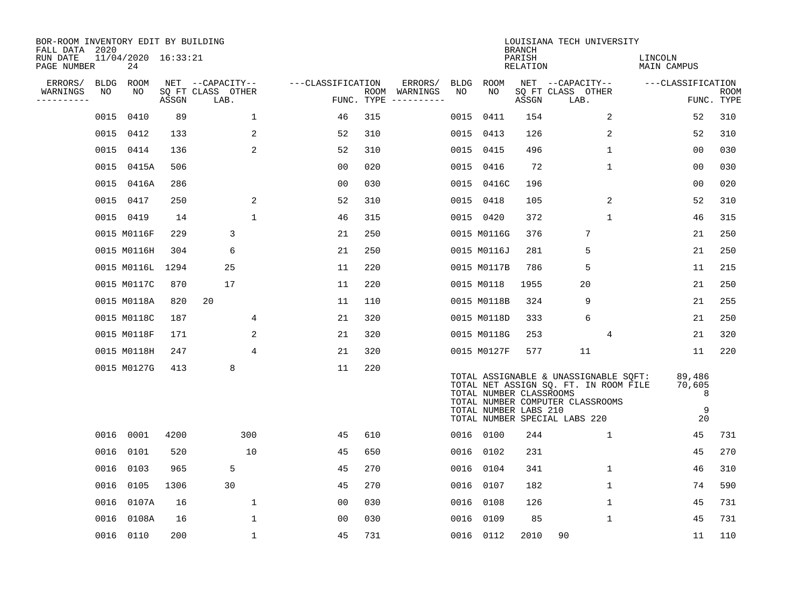| BOR-ROOM INVENTORY EDIT BY BUILDING<br>FALL DATA 2020 |             |                           |       |                           |                   |            |                                        |             |                                                  | <b>BRANCH</b>      | LOUISIANA TECH UNIVERSITY                                                                                                                           |                                  |                    |
|-------------------------------------------------------|-------------|---------------------------|-------|---------------------------|-------------------|------------|----------------------------------------|-------------|--------------------------------------------------|--------------------|-----------------------------------------------------------------------------------------------------------------------------------------------------|----------------------------------|--------------------|
| RUN DATE<br>PAGE NUMBER                               |             | 11/04/2020 16:33:21<br>24 |       |                           |                   |            |                                        |             |                                                  | PARISH<br>RELATION |                                                                                                                                                     | LINCOLN<br>MAIN CAMPUS           |                    |
| ERRORS/                                               | <b>BLDG</b> | ROOM                      |       | NET --CAPACITY--          | ---CLASSIFICATION |            | ERRORS/                                | <b>BLDG</b> | ROOM                                             |                    | NET --CAPACITY--                                                                                                                                    | ---CLASSIFICATION                |                    |
| WARNINGS<br>---------                                 | NO          | NO                        | ASSGN | SQ FT CLASS OTHER<br>LAB. |                   | FUNC. TYPE | ROOM WARNINGS<br>$- - - - - - - - - -$ | NO.         | NO.                                              | ASSGN              | SQ FT CLASS OTHER<br>LAB.                                                                                                                           |                                  | ROOM<br>FUNC. TYPE |
|                                                       | 0015        | 0410                      | 89    | $\mathbf 1$               | 46                | 315        |                                        | 0015        | 0411                                             | 154                | 2                                                                                                                                                   | 52                               | 310                |
|                                                       | 0015        | 0412                      | 133   | 2                         | 52                | 310        |                                        |             | 0015 0413                                        | 126                | 2                                                                                                                                                   | 52                               | 310                |
|                                                       | 0015        | 0414                      | 136   | 2                         | 52                | 310        |                                        |             | 0015 0415                                        | 496                | 1                                                                                                                                                   | 0 <sub>0</sub>                   | 030                |
|                                                       | 0015        | 0415A                     | 506   |                           | 0 <sub>0</sub>    | 020        |                                        |             | 0015 0416                                        | 72                 | 1                                                                                                                                                   | 00                               | 030                |
|                                                       | 0015        | 0416A                     | 286   |                           | 0 <sub>0</sub>    | 030        |                                        |             | 0015 0416C                                       | 196                |                                                                                                                                                     | 00                               | 020                |
|                                                       |             | 0015 0417                 | 250   | 2                         | 52                | 310        |                                        |             | 0015 0418                                        | 105                | 2                                                                                                                                                   | 52                               | 310                |
|                                                       |             | 0015 0419                 | 14    | $\mathbf{1}$              | 46                | 315        |                                        |             | 0015 0420                                        | 372                | $\mathbf{1}$                                                                                                                                        | 46                               | 315                |
|                                                       |             | 0015 M0116F               | 229   | 3                         | 21                | 250        |                                        |             | 0015 M0116G                                      | 376                | 7                                                                                                                                                   | 21                               | 250                |
|                                                       |             | 0015 M0116H               | 304   | 6                         | 21                | 250        |                                        |             | 0015 M0116J                                      | 281                | 5                                                                                                                                                   | 21                               | 250                |
|                                                       |             | 0015 M0116L 1294          |       | 25                        | 11                | 220        |                                        |             | 0015 M0117B                                      | 786                | 5                                                                                                                                                   | 11                               | 215                |
|                                                       |             | 0015 M0117C               | 870   | 17                        | 11                | 220        |                                        |             | 0015 M0118                                       | 1955               | 20                                                                                                                                                  | 21                               | 250                |
|                                                       |             | 0015 M0118A               | 820   | 20                        | 11                | 110        |                                        |             | 0015 M0118B                                      | 324                | 9                                                                                                                                                   | 21                               | 255                |
|                                                       |             | 0015 M0118C               | 187   | 4                         | 21                | 320        |                                        |             | 0015 M0118D                                      | 333                | 6                                                                                                                                                   | 21                               | 250                |
|                                                       |             | 0015 M0118F               | 171   | 2                         | 21                | 320        |                                        |             | 0015 M0118G                                      | 253                | 4                                                                                                                                                   | 21                               | 320                |
|                                                       |             | 0015 M0118H               | 247   | 4                         | 21                | 320        |                                        |             | 0015 M0127F                                      | 577                | 11                                                                                                                                                  | 11                               | 220                |
|                                                       |             | 0015 M0127G               | 413   | 8                         | 11                | 220        |                                        |             | TOTAL NUMBER CLASSROOMS<br>TOTAL NUMBER LABS 210 |                    | TOTAL ASSIGNABLE & UNASSIGNABLE SQFT:<br>TOTAL NET ASSIGN SQ. FT. IN ROOM FILE<br>TOTAL NUMBER COMPUTER CLASSROOMS<br>TOTAL NUMBER SPECIAL LABS 220 | 89,486<br>70,605<br>8<br>9<br>20 |                    |
|                                                       |             | 0016 0001                 | 4200  | 300                       | 45                | 610        |                                        |             | 0016 0100                                        | 244                | $\mathbf 1$                                                                                                                                         | 45                               | 731                |
|                                                       | 0016        | 0101                      | 520   | 10                        | 45                | 650        |                                        |             | 0016 0102                                        | 231                |                                                                                                                                                     | 45                               | 270                |
|                                                       | 0016        | 0103                      | 965   | 5                         | 45                | 270        |                                        |             | 0016 0104                                        | 341                | $\mathbf 1$                                                                                                                                         | 46                               | 310                |
|                                                       | 0016        | 0105                      | 1306  | 30                        | 45                | 270        |                                        |             | 0016 0107                                        | 182                | 1                                                                                                                                                   | 74                               | 590                |
|                                                       | 0016        | 0107A                     | 16    | 1                         | 00                | 030        |                                        | 0016        | 0108                                             | 126                | $\mathbf 1$                                                                                                                                         | 45                               | 731                |
|                                                       | 0016        | 0108A                     | 16    | $\mathbf 1$               | 0 <sub>0</sub>    | 030        |                                        | 0016        | 0109                                             | 85                 | $\mathbf 1$                                                                                                                                         | 45                               | 731                |
|                                                       |             | 0016 0110                 | 200   | $\mathbf{1}$              | 45                | 731        |                                        |             | 0016 0112                                        | 2010               | 90                                                                                                                                                  | 11                               | 110                |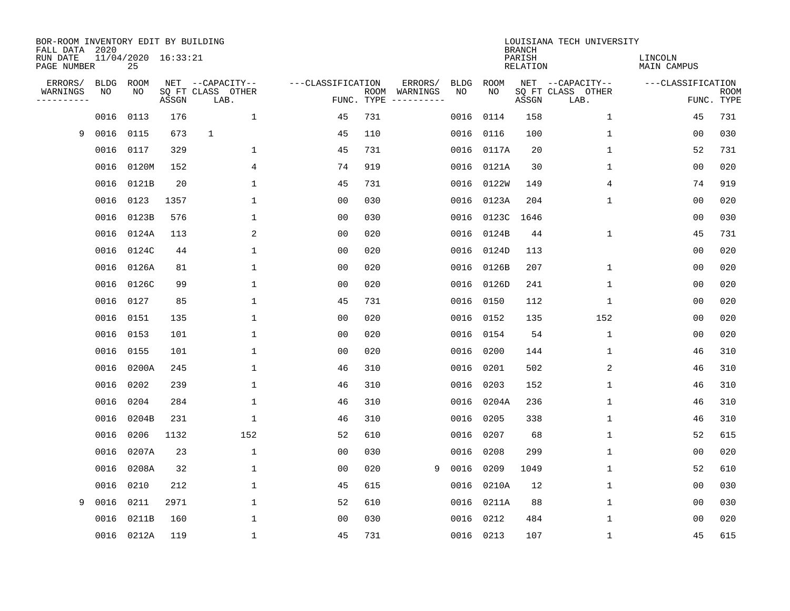| BOR-ROOM INVENTORY EDIT BY BUILDING<br>FALL DATA 2020<br>RUN DATE |                   | 11/04/2020 16:33:21 |       |                                       |                   |            |                          |                   |            | <b>BRANCH</b><br>PARISH | LOUISIANA TECH UNIVERSITY             | LINCOLN           |             |
|-------------------------------------------------------------------|-------------------|---------------------|-------|---------------------------------------|-------------------|------------|--------------------------|-------------------|------------|-------------------------|---------------------------------------|-------------------|-------------|
| PAGE NUMBER                                                       |                   | 25                  |       |                                       |                   |            |                          |                   |            | RELATION                |                                       | MAIN CAMPUS       |             |
| ERRORS/<br>WARNINGS                                               | <b>BLDG</b><br>NO | ROOM<br>NO          |       | NET --CAPACITY--<br>SQ FT CLASS OTHER | ---CLASSIFICATION |            | ERRORS/<br>ROOM WARNINGS | <b>BLDG</b><br>NO | ROOM<br>NO |                         | NET --CAPACITY--<br>SQ FT CLASS OTHER | ---CLASSIFICATION | <b>ROOM</b> |
| ----------                                                        |                   |                     | ASSGN | LAB.                                  |                   | FUNC. TYPE |                          |                   |            | ASSGN                   | LAB.                                  |                   | FUNC. TYPE  |
|                                                                   | 0016              | 0113                | 176   | $\mathbf{1}$                          | 45                | 731        |                          | 0016              | 0114       | 158                     | $\mathbf 1$                           | 45                | 731         |
| 9                                                                 | 0016              | 0115                | 673   | $\mathbf{1}$                          | 45                | 110        |                          |                   | 0016 0116  | 100                     | 1                                     | 00                | 030         |
|                                                                   | 0016              | 0117                | 329   | 1                                     | 45                | 731        |                          |                   | 0016 0117A | 20                      | $\mathbf 1$                           | 52                | 731         |
|                                                                   | 0016              | 0120M               | 152   | 4                                     | 74                | 919        |                          | 0016              | 0121A      | 30                      | $\mathbf 1$                           | 00                | 020         |
|                                                                   | 0016              | 0121B               | 20    | 1                                     | 45                | 731        |                          | 0016              | 0122W      | 149                     | 4                                     | 74                | 919         |
|                                                                   | 0016              | 0123                | 1357  | 1                                     | 0 <sub>0</sub>    | 030        |                          |                   | 0016 0123A | 204                     | 1                                     | 0 <sub>0</sub>    | 020         |
|                                                                   | 0016              | 0123B               | 576   | 1                                     | 00                | 030        |                          | 0016              | 0123C      | 1646                    |                                       | 0 <sub>0</sub>    | 030         |
|                                                                   | 0016              | 0124A               | 113   | 2                                     | 0 <sub>0</sub>    | 020        |                          | 0016              | 0124B      | 44                      | $\mathbf{1}$                          | 45                | 731         |
|                                                                   | 0016              | 0124C               | 44    | $\mathbf 1$                           | 0 <sub>0</sub>    | 020        |                          | 0016              | 0124D      | 113                     |                                       | 0 <sub>0</sub>    | 020         |
|                                                                   | 0016              | 0126A               | 81    | $\mathbf{1}$                          | 0 <sub>0</sub>    | 020        |                          |                   | 0016 0126B | 207                     | 1                                     | 0 <sub>0</sub>    | 020         |
|                                                                   | 0016              | 0126C               | 99    | $\mathbf{1}$                          | 0 <sub>0</sub>    | 020        |                          |                   | 0016 0126D | 241                     | 1                                     | 0 <sub>0</sub>    | 020         |
|                                                                   | 0016              | 0127                | 85    | 1                                     | 45                | 731        |                          | 0016              | 0150       | 112                     | 1                                     | 0 <sub>0</sub>    | 020         |
|                                                                   | 0016              | 0151                | 135   | 1                                     | 00                | 020        |                          |                   | 0016 0152  | 135                     | 152                                   | 00                | 020         |
|                                                                   | 0016              | 0153                | 101   | 1                                     | 00                | 020        |                          | 0016              | 0154       | 54                      | 1                                     | 00                | 020         |
|                                                                   | 0016              | 0155                | 101   | 1                                     | 00                | 020        |                          | 0016              | 0200       | 144                     | 1                                     | 46                | 310         |
|                                                                   | 0016              | 0200A               | 245   | 1                                     | 46                | 310        |                          | 0016              | 0201       | 502                     | 2                                     | 46                | 310         |
|                                                                   | 0016              | 0202                | 239   | 1                                     | 46                | 310        |                          | 0016              | 0203       | 152                     | 1                                     | 46                | 310         |
|                                                                   | 0016              | 0204                | 284   | 1                                     | 46                | 310        |                          | 0016              | 0204A      | 236                     | 1                                     | 46                | 310         |
|                                                                   | 0016              | 0204B               | 231   | 1                                     | 46                | 310        |                          | 0016              | 0205       | 338                     | $\mathbf 1$                           | 46                | 310         |
|                                                                   | 0016              | 0206                | 1132  | 152                                   | 52                | 610        |                          | 0016              | 0207       | 68                      | $\mathbf 1$                           | 52                | 615         |
|                                                                   | 0016              | 0207A               | 23    | $\mathbf 1$                           | 0 <sub>0</sub>    | 030        |                          | 0016              | 0208       | 299                     | $\mathbf 1$                           | 0 <sub>0</sub>    | 020         |
|                                                                   | 0016              | 0208A               | 32    | $\mathbf 1$                           | 0 <sub>0</sub>    | 020        | 9                        | 0016              | 0209       | 1049                    | $\mathbf{1}$                          | 52                | 610         |
|                                                                   | 0016              | 0210                | 212   | 1                                     | 45                | 615        |                          | 0016              | 0210A      | 12                      | 1                                     | 00                | 030         |
| 9                                                                 | 0016              | 0211                | 2971  | $\mathbf{1}$                          | 52                | 610        |                          | 0016              | 0211A      | 88                      | 1                                     | 00                | 030         |
|                                                                   | 0016              | 0211B               | 160   | 1                                     | 00                | 030        |                          | 0016              | 0212       | 484                     | 1                                     | 00                | 020         |
|                                                                   |                   | 0016 0212A          | 119   | 1                                     | 45                | 731        |                          |                   | 0016 0213  | 107                     | $\mathbf 1$                           | 45                | 615         |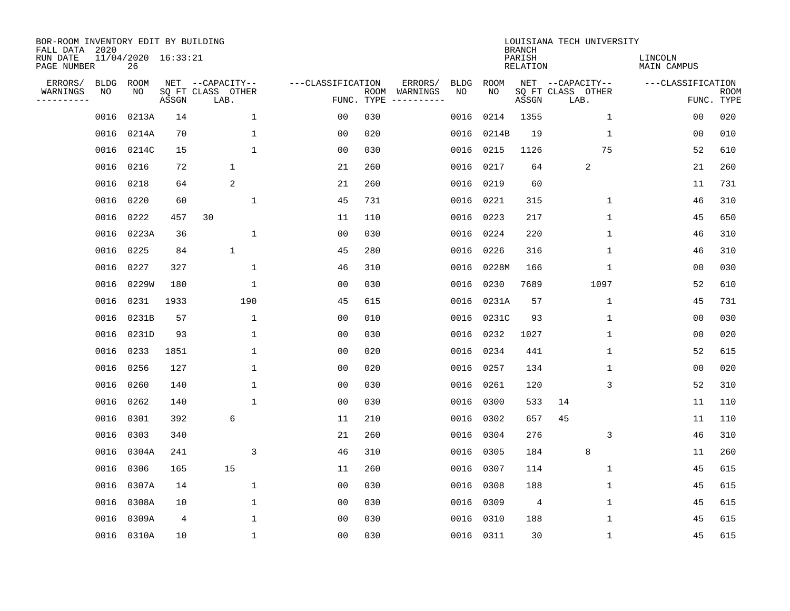| BOR-ROOM INVENTORY EDIT BY BUILDING<br>FALL DATA 2020 |             |                           |       |                           |                   |                    |                        |             |             | <b>BRANCH</b>             | LOUISIANA TECH UNIVERSITY |                        |                           |
|-------------------------------------------------------|-------------|---------------------------|-------|---------------------------|-------------------|--------------------|------------------------|-------------|-------------|---------------------------|---------------------------|------------------------|---------------------------|
| RUN DATE<br>PAGE NUMBER                               |             | 11/04/2020 16:33:21<br>26 |       |                           |                   |                    |                        |             |             | PARISH<br><b>RELATION</b> |                           | LINCOLN<br>MAIN CAMPUS |                           |
| ERRORS/                                               | <b>BLDG</b> | ROOM                      |       | NET --CAPACITY--          | ---CLASSIFICATION |                    | ERRORS/                | <b>BLDG</b> | <b>ROOM</b> |                           | NET --CAPACITY--          | ---CLASSIFICATION      |                           |
| WARNINGS<br>----------                                | NO          | NO                        | ASSGN | SQ FT CLASS OTHER<br>LAB. |                   | ROOM<br>FUNC. TYPE | WARNINGS<br>---------- | NO          | NO          | ASSGN                     | SQ FT CLASS OTHER<br>LAB. |                        | <b>ROOM</b><br>FUNC. TYPE |
|                                                       | 0016        | 0213A                     | 14    | $\mathbf 1$               | 00                | 030                |                        | 0016        | 0214        | 1355                      | 1                         | 00                     | 020                       |
|                                                       | 0016        | 0214A                     | 70    | 1                         | 0 <sub>0</sub>    | 020                |                        | 0016        | 0214B       | 19                        | 1                         | 00                     | 010                       |
|                                                       | 0016        | 0214C                     | 15    | $\mathbf{1}$              | 00                | 030                |                        | 0016        | 0215        | 1126                      | 75                        | 52                     | 610                       |
|                                                       | 0016        | 0216                      | 72    | $\mathbf 1$               | 21                | 260                |                        | 0016        | 0217        | 64                        | $\overline{2}$            | 21                     | 260                       |
|                                                       | 0016        | 0218                      | 64    | 2                         | 21                | 260                |                        | 0016        | 0219        | 60                        |                           | 11                     | 731                       |
|                                                       | 0016        | 0220                      | 60    | $\mathbf{1}$              | 45                | 731                |                        |             | 0016 0221   | 315                       | 1                         | 46                     | 310                       |
|                                                       | 0016        | 0222                      | 457   | 30                        | 11                | 110                |                        | 0016        | 0223        | 217                       | $\mathbf{1}$              | 45                     | 650                       |
|                                                       | 0016        | 0223A                     | 36    | $\mathbf{1}$              | 0 <sub>0</sub>    | 030                |                        |             | 0016 0224   | 220                       | $\mathbf{1}$              | 46                     | 310                       |
|                                                       | 0016        | 0225                      | 84    | $\mathbf{1}$              | 45                | 280                |                        | 0016        | 0226        | 316                       | $\mathbf{1}$              | 46                     | 310                       |
|                                                       | 0016        | 0227                      | 327   | $\mathbf 1$               | 46                | 310                |                        | 0016        | 0228M       | 166                       | 1                         | 0 <sub>0</sub>         | 030                       |
|                                                       | 0016        | 0229W                     | 180   | 1                         | 00                | 030                |                        | 0016        | 0230        | 7689                      | 1097                      | 52                     | 610                       |
|                                                       | 0016        | 0231                      | 1933  | 190                       | 45                | 615                |                        | 0016        | 0231A       | 57                        | $\mathbf 1$               | 45                     | 731                       |
|                                                       | 0016        | 0231B                     | 57    | 1                         | 0 <sub>0</sub>    | 010                |                        | 0016        | 0231C       | 93                        | 1                         | 0 <sub>0</sub>         | 030                       |
|                                                       | 0016        | 0231D                     | 93    | 1                         | 0 <sub>0</sub>    | 030                |                        | 0016        | 0232        | 1027                      | 1                         | 0 <sub>0</sub>         | 020                       |
|                                                       | 0016        | 0233                      | 1851  | 1                         | 0 <sub>0</sub>    | 020                |                        | 0016        | 0234        | 441                       | 1                         | 52                     | 615                       |
|                                                       | 0016        | 0256                      | 127   | $\mathbf{1}$              | 0 <sub>0</sub>    | 020                |                        | 0016        | 0257        | 134                       | 1                         | 0 <sub>0</sub>         | 020                       |
|                                                       | 0016        | 0260                      | 140   | $\mathbf{1}$              | 00                | 030                |                        | 0016        | 0261        | 120                       | 3                         | 52                     | 310                       |
|                                                       | 0016        | 0262                      | 140   | $\mathbf{1}$              | 0 <sub>0</sub>    | 030                |                        | 0016        | 0300        | 533                       | 14                        | 11                     | 110                       |
|                                                       | 0016        | 0301                      | 392   | 6                         | 11                | 210                |                        | 0016        | 0302        | 657                       | 45                        | 11                     | 110                       |
|                                                       | 0016        | 0303                      | 340   |                           | 21                | 260                |                        | 0016        | 0304        | 276                       | 3                         | 46                     | 310                       |
|                                                       | 0016        | 0304A                     | 241   | 3                         | 46                | 310                |                        | 0016        | 0305        | 184                       | 8                         | 11                     | 260                       |
|                                                       | 0016        | 0306                      | 165   | 15                        | 11                | 260                |                        | 0016        | 0307        | 114                       | 1                         | 45                     | 615                       |
|                                                       | 0016        | 0307A                     | 14    | 1                         | 0 <sub>0</sub>    | 030                |                        | 0016        | 0308        | 188                       | 1                         | 45                     | 615                       |
|                                                       | 0016        | 0308A                     | 10    | 1                         | 0 <sub>0</sub>    | 030                |                        | 0016        | 0309        | 4                         | $\mathbf 1$               | 45                     | 615                       |
|                                                       | 0016        | 0309A                     | 4     | $\mathbf{1}$              | 0 <sub>0</sub>    | 030                |                        | 0016        | 0310        | 188                       | $\mathbf{1}$              | 45                     | 615                       |
|                                                       |             | 0016 0310A                | 10    | $\mathbf{1}$              | 0 <sub>0</sub>    | 030                |                        |             | 0016 0311   | 30                        | 1                         | 45                     | 615                       |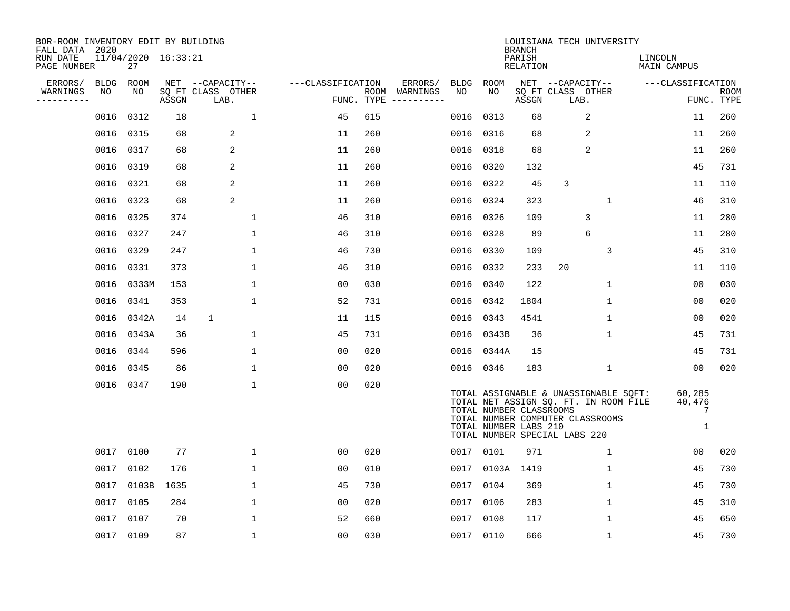| BOR-ROOM INVENTORY EDIT BY BUILDING<br>FALL DATA 2020 |             |                           |       |                           |                   |                    |                         |             |                                                  | <b>BRANCH</b>      |                                                                   | LOUISIANA TECH UNIVERSITY                                                      |                        |                            |                           |
|-------------------------------------------------------|-------------|---------------------------|-------|---------------------------|-------------------|--------------------|-------------------------|-------------|--------------------------------------------------|--------------------|-------------------------------------------------------------------|--------------------------------------------------------------------------------|------------------------|----------------------------|---------------------------|
| RUN DATE<br>PAGE NUMBER                               |             | 11/04/2020 16:33:21<br>27 |       |                           |                   |                    |                         |             |                                                  | PARISH<br>RELATION |                                                                   |                                                                                | LINCOLN<br>MAIN CAMPUS |                            |                           |
| ERRORS/                                               | <b>BLDG</b> | ROOM                      |       | NET --CAPACITY--          | ---CLASSIFICATION |                    | ERRORS/                 | <b>BLDG</b> | ROOM                                             |                    |                                                                   | NET --CAPACITY--                                                               | ---CLASSIFICATION      |                            |                           |
| WARNINGS<br>. _ _ _ _ _ _ _ _ _                       | NO          | NO.                       | ASSGN | SQ FT CLASS OTHER<br>LAB. |                   | ROOM<br>FUNC. TYPE | WARNINGS<br>----------- | NO          | NO.                                              | ASSGN              | SQ FT CLASS OTHER<br>LAB.                                         |                                                                                |                        |                            | <b>ROOM</b><br>FUNC. TYPE |
|                                                       | 0016        | 0312                      | 18    | $\mathbf{1}$              | 45                | 615                |                         | 0016        | 0313                                             | 68                 |                                                                   | 2                                                                              |                        | 11                         | 260                       |
|                                                       |             | 0016 0315                 | 68    | 2                         | 11                | 260                |                         |             | 0016 0316                                        | 68                 |                                                                   | 2                                                                              |                        | 11                         | 260                       |
|                                                       | 0016        | 0317                      | 68    | 2                         | 11                | 260                |                         | 0016        | 0318                                             | 68                 |                                                                   | $\overline{2}$                                                                 |                        | 11                         | 260                       |
|                                                       | 0016 0319   |                           | 68    | 2                         | 11                | 260                |                         |             | 0016 0320                                        | 132                |                                                                   |                                                                                |                        | 45                         | 731                       |
|                                                       | 0016 0321   |                           | 68    | 2                         | 11                | 260                |                         |             | 0016 0322                                        | 45                 | 3                                                                 |                                                                                |                        | 11                         | 110                       |
|                                                       |             | 0016 0323                 | 68    | 2                         | 11                | 260                |                         |             | 0016 0324                                        | 323                |                                                                   | $\mathbf 1$                                                                    |                        | 46                         | 310                       |
|                                                       |             | 0016 0325                 | 374   | $\mathbf{1}$              | 46                | 310                |                         |             | 0016 0326                                        | 109                |                                                                   | 3                                                                              |                        | 11                         | 280                       |
|                                                       |             | 0016 0327                 | 247   | 1                         | 46                | 310                |                         |             | 0016 0328                                        | 89                 |                                                                   | 6                                                                              |                        | 11                         | 280                       |
|                                                       | 0016        | 0329                      | 247   | 1                         | 46                | 730                |                         |             | 0016 0330                                        | 109                |                                                                   | 3                                                                              |                        | 45                         | 310                       |
|                                                       | 0016        | 0331                      | 373   | 1                         | 46                | 310                |                         |             | 0016 0332                                        | 233                | 20                                                                |                                                                                |                        | 11                         | 110                       |
|                                                       |             | 0016 0333M                | 153   | $\mathbf{1}$              | 0 <sub>0</sub>    | 030                |                         |             | 0016 0340                                        | 122                |                                                                   | $\mathbf{1}$                                                                   |                        | 0 <sub>0</sub>             | 030                       |
|                                                       |             | 0016 0341                 | 353   | $\mathbf{1}$              | 52                | 731                |                         |             | 0016 0342                                        | 1804               |                                                                   | $\mathbf{1}$                                                                   |                        | 00                         | 020                       |
|                                                       |             | 0016 0342A                | 14    | $\mathbf{1}$              | 11                | 115                |                         |             | 0016 0343                                        | 4541               |                                                                   | $\mathbf 1$                                                                    |                        | 0 <sub>0</sub>             | 020                       |
|                                                       |             | 0016 0343A                | 36    | 1                         | 45                | 731                |                         |             | 0016 0343B                                       | 36                 |                                                                   | 1                                                                              |                        | 45                         | 731                       |
|                                                       |             | 0016 0344                 | 596   | 1                         | 0 <sub>0</sub>    | 020                |                         |             | 0016 0344A                                       | 15                 |                                                                   |                                                                                |                        | 45                         | 731                       |
|                                                       |             | 0016 0345                 | 86    | 1                         | 0 <sub>0</sub>    | 020                |                         |             | 0016 0346                                        | 183                |                                                                   | $\mathbf{1}$                                                                   |                        | 0 <sub>0</sub>             | 020                       |
|                                                       |             | 0016 0347                 | 190   | 1                         | 0 <sub>0</sub>    | 020                |                         |             | TOTAL NUMBER CLASSROOMS<br>TOTAL NUMBER LABS 210 |                    | TOTAL NUMBER COMPUTER CLASSROOMS<br>TOTAL NUMBER SPECIAL LABS 220 | TOTAL ASSIGNABLE & UNASSIGNABLE SQFT:<br>TOTAL NET ASSIGN SQ. FT. IN ROOM FILE |                        | 60,285<br>40,476<br>7<br>1 |                           |
|                                                       |             | 0017 0100                 | 77    | $\mathbf 1$               | 0 <sub>0</sub>    | 020                |                         |             | 0017 0101                                        | 971                |                                                                   | $\mathbf{1}$                                                                   |                        | 00                         | 020                       |
|                                                       | 0017        | 0102                      | 176   | $\mathbf{1}$              | 00                | 010                |                         | 0017        | 0103A                                            | 1419               |                                                                   | 1                                                                              |                        | 45                         | 730                       |
|                                                       |             | 0017 0103B                | 1635  | 1                         | 45                | 730                |                         |             | 0017 0104                                        | 369                |                                                                   | 1                                                                              |                        | 45                         | 730                       |
|                                                       | 0017        | 0105                      | 284   | 1                         | 0 <sub>0</sub>    | 020                |                         |             | 0017 0106                                        | 283                |                                                                   | $\mathbf 1$                                                                    |                        | 45                         | 310                       |
|                                                       | 0017        | 0107                      | 70    | 1                         | 52                | 660                |                         |             | 0017 0108                                        | 117                |                                                                   | $\mathbf 1$                                                                    |                        | 45                         | 650                       |
|                                                       |             | 0017 0109                 | 87    | $\mathbf{1}$              | 0 <sub>0</sub>    | 030                |                         |             | 0017 0110                                        | 666                |                                                                   | $\mathbf{1}$                                                                   |                        | 45                         | 730                       |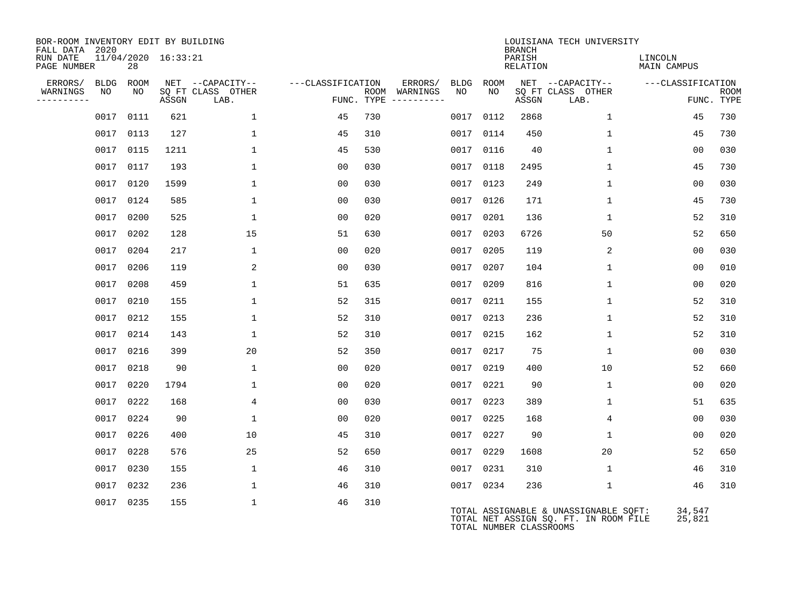| BOR-ROOM INVENTORY EDIT BY BUILDING<br>FALL DATA 2020 |           |                     |                           |                   |                                      |                 |           | <b>BRANCH</b>           | LOUISIANA TECH UNIVERSITY                                                      |                        |                           |
|-------------------------------------------------------|-----------|---------------------|---------------------------|-------------------|--------------------------------------|-----------------|-----------|-------------------------|--------------------------------------------------------------------------------|------------------------|---------------------------|
| RUN DATE<br>PAGE NUMBER                               | 28        | 11/04/2020 16:33:21 |                           |                   |                                      |                 |           | PARISH<br>RELATION      |                                                                                | LINCOLN<br>MAIN CAMPUS |                           |
| ERRORS/<br>BLDG                                       | ROOM      |                     | NET --CAPACITY--          | ---CLASSIFICATION |                                      | ERRORS/<br>BLDG | ROOM      |                         | NET --CAPACITY--                                                               | ---CLASSIFICATION      |                           |
| WARNINGS<br>NO<br>---------                           | NO        | ASSGN               | SQ FT CLASS OTHER<br>LAB. |                   | ROOM WARNINGS<br>FUNC. TYPE $------$ | NO              | NO.       | ASSGN                   | SQ FT CLASS OTHER<br>LAB.                                                      |                        | <b>ROOM</b><br>FUNC. TYPE |
| 0017                                                  | 0111      | 621                 | $\mathbf{1}$              | 45                | 730                                  | 0017            | 0112      | 2868                    | $\mathbf{1}$                                                                   | 45                     | 730                       |
|                                                       | 0017 0113 | 127                 | 1                         | 45                | 310                                  | 0017            | 0114      | 450                     | $\mathbf{1}$                                                                   | 45                     | 730                       |
|                                                       | 0017 0115 | 1211                | $\mathbf{1}$              | 45                | 530                                  |                 | 0017 0116 | 40                      | $\mathbf{1}$                                                                   | 00                     | 030                       |
|                                                       | 0017 0117 | 193                 | $\mathbf{1}$              | 0 <sub>0</sub>    | 030                                  | 0017            | 0118      | 2495                    | $\mathbf 1$                                                                    | 45                     | 730                       |
|                                                       | 0017 0120 | 1599                | $\mathbf{1}$              | 0 <sub>0</sub>    | 030                                  |                 | 0017 0123 | 249                     | $\mathbf{1}$                                                                   | 0 <sub>0</sub>         | 030                       |
|                                                       | 0017 0124 | 585                 | $\mathbf{1}$              | 00                | 030                                  | 0017            | 0126      | 171                     | $\mathbf{1}$                                                                   | 45                     | 730                       |
|                                                       | 0017 0200 | 525                 | $\mathbf{1}$              | 0 <sub>0</sub>    | 020                                  | 0017 0201       |           | 136                     | $\mathbf{1}$                                                                   | 52                     | 310                       |
|                                                       | 0017 0202 | 128                 | 15                        | 51                | 630                                  | 0017            | 0203      | 6726                    | 50                                                                             | 52                     | 650                       |
|                                                       | 0017 0204 | 217                 | $\mathbf{1}$              | 0 <sub>0</sub>    | 020                                  | 0017            | 0205      | 119                     | 2                                                                              | 0 <sub>0</sub>         | 030                       |
|                                                       | 0017 0206 | 119                 | $\overline{a}$            | 00                | 030                                  | 0017            | 0207      | 104                     | $\mathbf{1}$                                                                   | 00                     | 010                       |
|                                                       | 0017 0208 | 459                 | $\mathbf{1}$              | 51                | 635                                  | 0017 0209       |           | 816                     | $\mathbf{1}$                                                                   | 00                     | 020                       |
|                                                       | 0017 0210 | 155                 | $\mathbf 1$               | 52                | 315                                  | 0017            | 0211      | 155                     | $\mathbf{1}$                                                                   | 52                     | 310                       |
|                                                       | 0017 0212 | 155                 | $\mathbf{1}$              | 52                | 310                                  | 0017 0213       |           | 236                     | $\mathbf{1}$                                                                   | 52                     | 310                       |
|                                                       | 0017 0214 | 143                 | $\mathbf{1}$              | 52                | 310                                  | 0017            | 0215      | 162                     | $\mathbf{1}$                                                                   | 52                     | 310                       |
|                                                       | 0017 0216 | 399                 | 20                        | 52                | 350                                  |                 | 0017 0217 | 75                      | $\mathbf{1}$                                                                   | 00                     | 030                       |
|                                                       | 0017 0218 | 90                  | 1                         | 0 <sub>0</sub>    | 020                                  | 0017            | 0219      | 400                     | 10                                                                             | 52                     | 660                       |
|                                                       | 0017 0220 | 1794                | $\mathbf{1}$              | 0 <sub>0</sub>    | 020                                  | 0017            | 0221      | 90                      | $\mathbf{1}$                                                                   | 0 <sub>0</sub>         | 020                       |
|                                                       | 0017 0222 | 168                 | 4                         | 0 <sub>0</sub>    | 030                                  |                 | 0017 0223 | 389                     | $\mathbf{1}$                                                                   | 51                     | 635                       |
|                                                       | 0017 0224 | 90                  | $\mathbf{1}$              | 0 <sub>0</sub>    | 020                                  | 0017            | 0225      | 168                     | 4                                                                              | 00                     | 030                       |
|                                                       | 0017 0226 | 400                 | 10                        | 45                | 310                                  |                 | 0017 0227 | 90                      | $\mathbf{1}$                                                                   | 0 <sub>0</sub>         | 020                       |
|                                                       | 0017 0228 | 576                 | 25                        | 52                | 650                                  | 0017 0229       |           | 1608                    | 20                                                                             | 52                     | 650                       |
|                                                       | 0017 0230 | 155                 | $\mathbf{1}$              | 46                | 310                                  |                 | 0017 0231 | 310                     | $\mathbf{1}$                                                                   | 46                     | 310                       |
|                                                       | 0017 0232 | 236                 | $\mathbf 1$               | 46                | 310                                  |                 | 0017 0234 | 236                     | $\mathbf{1}$                                                                   | 46                     | 310                       |
|                                                       | 0017 0235 | 155                 | $\mathbf 1$               | 46                | 310                                  |                 |           | TOTAL NUMBER CLASSROOMS | TOTAL ASSIGNABLE & UNASSIGNABLE SQFT:<br>TOTAL NET ASSIGN SQ. FT. IN ROOM FILE | 34,547<br>25,821       |                           |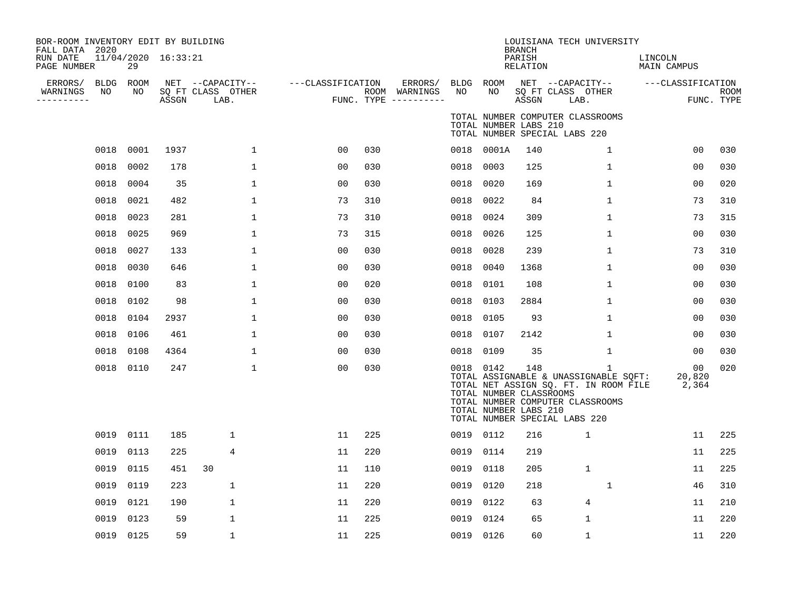| BOR-ROOM INVENTORY EDIT BY BUILDING<br>FALL DATA 2020<br>RUN DATE<br>PAGE NUMBER |      | 29              | 11/04/2020 16:33:21 |                                               |                   |     |                                                 |                 |                                                               | <b>BRANCH</b><br>PARISH<br>RELATION | LOUISIANA TECH UNIVERSITY                                                                                                                                           | LINCOLN<br>MAIN CAMPUS |                           |
|----------------------------------------------------------------------------------|------|-----------------|---------------------|-----------------------------------------------|-------------------|-----|-------------------------------------------------|-----------------|---------------------------------------------------------------|-------------------------------------|---------------------------------------------------------------------------------------------------------------------------------------------------------------------|------------------------|---------------------------|
| ERRORS/<br>WARNINGS<br>----------                                                | NO   | BLDG ROOM<br>NO | ASSGN               | NET --CAPACITY--<br>SQ FT CLASS OTHER<br>LAB. | ---CLASSIFICATION |     | ERRORS/<br>ROOM WARNINGS<br>FUNC. TYPE $------$ | BLDG ROOM<br>NO | NO                                                            | ASSGN                               | NET --CAPACITY--<br>SQ FT CLASS OTHER<br>LAB.                                                                                                                       | ---CLASSIFICATION      | <b>ROOM</b><br>FUNC. TYPE |
|                                                                                  |      |                 |                     |                                               |                   |     |                                                 |                 | TOTAL NUMBER LABS 210                                         |                                     | TOTAL NUMBER COMPUTER CLASSROOMS<br>TOTAL NUMBER SPECIAL LABS 220                                                                                                   |                        |                           |
|                                                                                  | 0018 | 0001            | 1937                | $\mathbf{1}$                                  | 00                | 030 |                                                 |                 | 0018 0001A                                                    | 140                                 | 1                                                                                                                                                                   | 00                     | 030                       |
|                                                                                  | 0018 | 0002            | 178                 | $\mathbf{1}$                                  | 0 <sub>0</sub>    | 030 |                                                 | 0018            | 0003                                                          | 125                                 | $\mathbf 1$                                                                                                                                                         | 0 <sub>0</sub>         | 030                       |
|                                                                                  | 0018 | 0004            | 35                  | $\mathbf{1}$                                  | 00                | 030 |                                                 | 0018            | 0020                                                          | 169                                 | 1                                                                                                                                                                   | 0 <sub>0</sub>         | 020                       |
|                                                                                  | 0018 | 0021            | 482                 | 1                                             | 73                | 310 |                                                 | 0018            | 0022                                                          | 84                                  | $\mathbf 1$                                                                                                                                                         | 73                     | 310                       |
|                                                                                  | 0018 | 0023            | 281                 | 1                                             | 73                | 310 |                                                 | 0018            | 0024                                                          | 309                                 | 1                                                                                                                                                                   | 73                     | 315                       |
|                                                                                  | 0018 | 0025            | 969                 | $\mathbf 1$                                   | 73                | 315 |                                                 | 0018            | 0026                                                          | 125                                 | $\mathbf{1}$                                                                                                                                                        | 0 <sub>0</sub>         | 030                       |
|                                                                                  | 0018 | 0027            | 133                 | 1                                             | 00                | 030 |                                                 | 0018            | 0028                                                          | 239                                 | 1                                                                                                                                                                   | 73                     | 310                       |
|                                                                                  | 0018 | 0030            | 646                 | 1                                             | 0 <sub>0</sub>    | 030 |                                                 | 0018            | 0040                                                          | 1368                                | 1                                                                                                                                                                   | 0 <sub>0</sub>         | 030                       |
|                                                                                  | 0018 | 0100            | 83                  | 1                                             | 0 <sub>0</sub>    | 020 |                                                 | 0018            | 0101                                                          | 108                                 | 1                                                                                                                                                                   | 0 <sub>0</sub>         | 030                       |
|                                                                                  | 0018 | 0102            | 98                  | $\mathbf{1}$                                  | 00                | 030 |                                                 | 0018            | 0103                                                          | 2884                                | $\mathbf 1$                                                                                                                                                         | 00                     | 030                       |
|                                                                                  | 0018 | 0104            | 2937                | 1                                             | 00                | 030 |                                                 | 0018            | 0105                                                          | 93                                  | 1                                                                                                                                                                   | 00                     | 030                       |
|                                                                                  | 0018 | 0106            | 461                 | $\mathbf 1$                                   | 0 <sub>0</sub>    | 030 |                                                 | 0018            | 0107                                                          | 2142                                | 1                                                                                                                                                                   | 00                     | 030                       |
|                                                                                  | 0018 | 0108            | 4364                | $\mathbf 1$                                   | 0 <sub>0</sub>    | 030 |                                                 | 0018            | 0109                                                          | 35                                  | $\mathbf 1$                                                                                                                                                         | 00                     | 030                       |
|                                                                                  |      | 0018 0110       | 247                 | $\mathbf{1}$                                  | 0 <sub>0</sub>    | 030 |                                                 |                 | 0018 0142<br>TOTAL NUMBER CLASSROOMS<br>TOTAL NUMBER LABS 210 | 148                                 | $\mathbf{1}$<br>TOTAL ASSIGNABLE & UNASSIGNABLE SQFT:<br>TOTAL NET ASSIGN SQ. FT. IN ROOM FILE<br>TOTAL NUMBER COMPUTER CLASSROOMS<br>TOTAL NUMBER SPECIAL LABS 220 | 00<br>20,820<br>2,364  | 020                       |
|                                                                                  |      | 0019 0111       | 185                 | $\mathbf 1$                                   | 11                | 225 |                                                 |                 | 0019 0112                                                     | 216                                 | $\mathbf{1}$                                                                                                                                                        | 11                     | 225                       |
|                                                                                  | 0019 | 0113            | 225                 | 4                                             | 11                | 220 |                                                 |                 | 0019 0114                                                     | 219                                 |                                                                                                                                                                     | 11                     | 225                       |
|                                                                                  | 0019 | 0115            | 451                 | 30                                            | 11                | 110 |                                                 | 0019            | 0118                                                          | 205                                 | $\mathbf{1}$                                                                                                                                                        | 11                     | 225                       |
|                                                                                  | 0019 | 0119            | 223                 | 1                                             | 11                | 220 |                                                 | 0019            | 0120                                                          | 218                                 | 1                                                                                                                                                                   | 46                     | 310                       |
|                                                                                  | 0019 | 0121            | 190                 | 1                                             | 11                | 220 |                                                 | 0019            | 0122                                                          | 63                                  | $\overline{4}$                                                                                                                                                      | 11                     | 210                       |
|                                                                                  | 0019 | 0123            | 59                  | 1                                             | 11                | 225 |                                                 | 0019            | 0124                                                          | 65                                  | $\mathbf{1}$                                                                                                                                                        | 11                     | 220                       |
|                                                                                  |      | 0019 0125       | 59                  | $\mathbf 1$                                   | 11                | 225 |                                                 |                 | 0019 0126                                                     | 60                                  | $\mathbf{1}$                                                                                                                                                        | 11                     | 220                       |
|                                                                                  |      |                 |                     |                                               |                   |     |                                                 |                 |                                                               |                                     |                                                                                                                                                                     |                        |                           |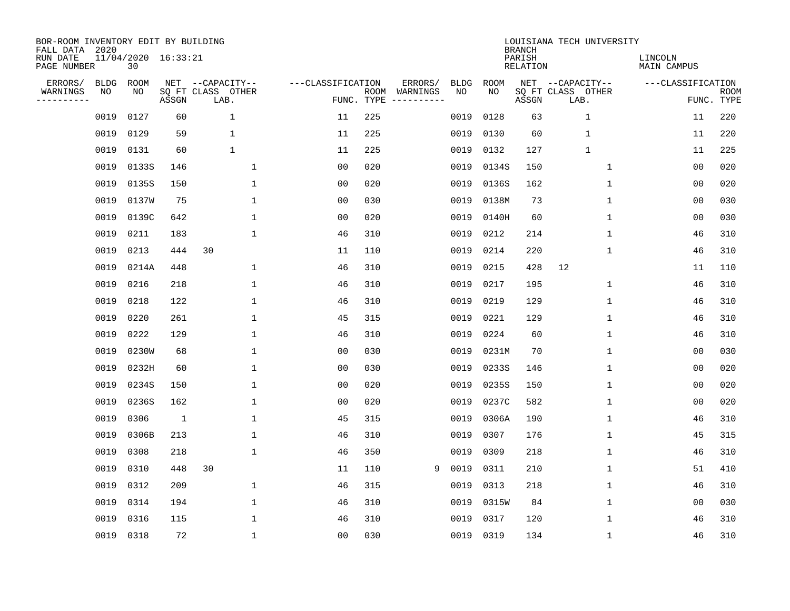| BOR-ROOM INVENTORY EDIT BY BUILDING<br>FALL DATA 2020 |             |                           |       |                           |                   |                    |                         |             |       | <b>BRANCH</b>             | LOUISIANA TECH UNIVERSITY |                               |                           |
|-------------------------------------------------------|-------------|---------------------------|-------|---------------------------|-------------------|--------------------|-------------------------|-------------|-------|---------------------------|---------------------------|-------------------------------|---------------------------|
| RUN DATE<br>PAGE NUMBER                               |             | 11/04/2020 16:33:21<br>30 |       |                           |                   |                    |                         |             |       | PARISH<br><b>RELATION</b> |                           | LINCOLN<br><b>MAIN CAMPUS</b> |                           |
| ERRORS/                                               | <b>BLDG</b> | ROOM                      |       | NET --CAPACITY--          | ---CLASSIFICATION |                    | ERRORS/                 | <b>BLDG</b> | ROOM  |                           | NET --CAPACITY--          | ---CLASSIFICATION             |                           |
| WARNINGS<br>-----------                               | NO          | ΝO                        | ASSGN | SQ FT CLASS OTHER<br>LAB. |                   | ROOM<br>FUNC. TYPE | WARNINGS<br>----------- | NO          | NO    | ASSGN                     | SQ FT CLASS OTHER<br>LAB. |                               | <b>ROOM</b><br>FUNC. TYPE |
|                                                       | 0019        | 0127                      | 60    | 1                         | 11                | 225                |                         | 0019        | 0128  | 63                        | $\mathbf 1$               | 11                            | 220                       |
|                                                       | 0019        | 0129                      | 59    | 1                         | 11                | 225                |                         | 0019        | 0130  | 60                        | $\mathbf{1}$              | 11                            | 220                       |
|                                                       | 0019        | 0131                      | 60    | $\mathbf{1}$              | 11                | 225                |                         | 0019        | 0132  | 127                       | $\mathbf{1}$              | 11                            | 225                       |
|                                                       | 0019        | 0133S                     | 146   | 1                         | 0 <sub>0</sub>    | 020                |                         | 0019        | 0134S | 150                       | 1                         | 0 <sub>0</sub>                | 020                       |
|                                                       | 0019        | 0135S                     | 150   | $\mathbf 1$               | 0 <sub>0</sub>    | 020                |                         | 0019        | 0136S | 162                       | $\mathbf 1$               | 0 <sub>0</sub>                | 020                       |
|                                                       | 0019        | 0137W                     | 75    | $\mathbf 1$               | 0 <sub>0</sub>    | 030                |                         | 0019        | 0138M | 73                        | 1                         | 0 <sub>0</sub>                | 030                       |
|                                                       | 0019        | 0139C                     | 642   | $\mathbf{1}$              | 0 <sub>0</sub>    | 020                |                         | 0019        | 0140H | 60                        | $\mathbf{1}$              | 0 <sub>0</sub>                | 030                       |
|                                                       | 0019        | 0211                      | 183   | $\mathbf{1}$              | 46                | 310                |                         | 0019        | 0212  | 214                       | 1                         | 46                            | 310                       |
|                                                       | 0019        | 0213                      | 444   | 30                        | 11                | 110                |                         | 0019        | 0214  | 220                       | $\mathbf 1$               | 46                            | 310                       |
|                                                       | 0019        | 0214A                     | 448   | 1                         | 46                | 310                |                         | 0019        | 0215  | 428                       | 12                        | 11                            | 110                       |
|                                                       | 0019        | 0216                      | 218   | $\mathbf{1}$              | 46                | 310                |                         | 0019        | 0217  | 195                       | $\mathbf 1$               | 46                            | 310                       |
|                                                       | 0019        | 0218                      | 122   | $\mathbf 1$               | 46                | 310                |                         | 0019        | 0219  | 129                       | 1                         | 46                            | 310                       |
|                                                       | 0019        | 0220                      | 261   | $\mathbf{1}$              | 45                | 315                |                         | 0019        | 0221  | 129                       | 1                         | 46                            | 310                       |
|                                                       | 0019        | 0222                      | 129   | 1                         | 46                | 310                |                         | 0019        | 0224  | 60                        | 1                         | 46                            | 310                       |
|                                                       | 0019        | 0230W                     | 68    | 1                         | 0 <sub>0</sub>    | 030                |                         | 0019        | 0231M | 70                        | 1                         | 00                            | 030                       |
|                                                       | 0019        | 0232H                     | 60    | 1                         | 0 <sub>0</sub>    | 030                |                         | 0019        | 0233S | 146                       | 1                         | 0 <sub>0</sub>                | 020                       |
|                                                       | 0019        | 0234S                     | 150   | 1                         | 0 <sub>0</sub>    | 020                |                         | 0019        | 0235S | 150                       | 1                         | 0 <sub>0</sub>                | 020                       |
|                                                       | 0019        | 0236S                     | 162   | $\mathbf 1$               | 0 <sub>0</sub>    | 020                |                         | 0019        | 0237C | 582                       | 1                         | 0 <sub>0</sub>                | 020                       |
|                                                       | 0019        | 0306                      | 1     | $\mathbf{1}$              | 45                | 315                |                         | 0019        | 0306A | 190                       | 1                         | 46                            | 310                       |
|                                                       | 0019        | 0306B                     | 213   | $\mathbf{1}$              | 46                | 310                |                         | 0019        | 0307  | 176                       | 1                         | 45                            | 315                       |
|                                                       | 0019        | 0308                      | 218   | $\mathbf{1}$              | 46                | 350                |                         | 0019        | 0309  | 218                       | 1                         | 46                            | 310                       |
|                                                       | 0019        | 0310                      | 448   | 30                        | 11                | 110                | 9                       | 0019        | 0311  | 210                       | 1                         | 51                            | 410                       |
|                                                       | 0019        | 0312                      | 209   | 1                         | 46                | 315                |                         | 0019        | 0313  | 218                       | 1                         | 46                            | 310                       |
|                                                       | 0019        | 0314                      | 194   | 1                         | 46                | 310                |                         | 0019        | 0315W | 84                        | 1                         | 00                            | 030                       |
|                                                       | 0019        | 0316                      | 115   | 1                         | 46                | 310                |                         | 0019        | 0317  | 120                       | 1                         | 46                            | 310                       |
|                                                       |             | 0019 0318                 | 72    | $\mathbf 1$               | 0 <sub>0</sub>    | 030                |                         | 0019        | 0319  | 134                       | 1                         | 46                            | 310                       |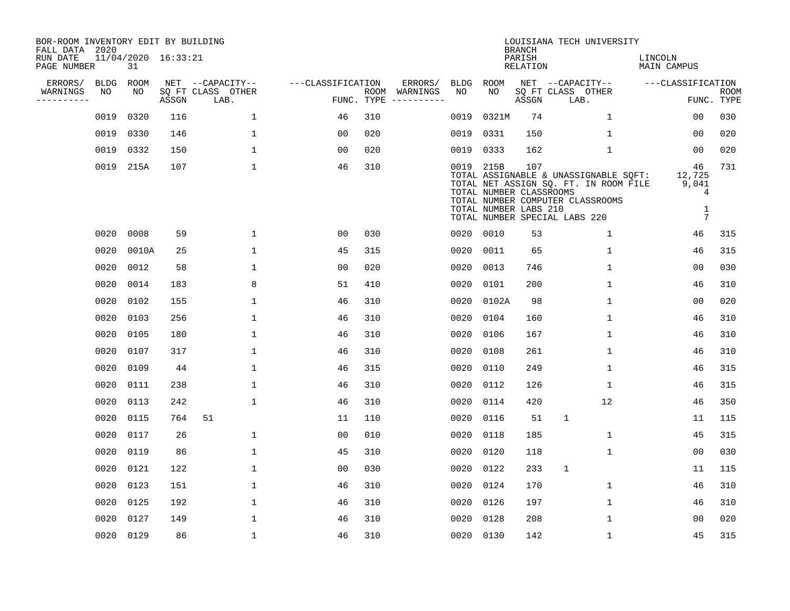| BOR-ROOM INVENTORY EDIT BY BUILDING<br>FALL DATA 2020 |             |           |                     |                           |                   |     |                                      |             |                                                               | <b>BRANCH</b>             | LOUISIANA TECH UNIVERSITY                                                                                                                           |                                                              |                           |
|-------------------------------------------------------|-------------|-----------|---------------------|---------------------------|-------------------|-----|--------------------------------------|-------------|---------------------------------------------------------------|---------------------------|-----------------------------------------------------------------------------------------------------------------------------------------------------|--------------------------------------------------------------|---------------------------|
| RUN DATE<br>PAGE NUMBER                               |             | 31        | 11/04/2020 16:33:21 |                           |                   |     |                                      |             |                                                               | PARISH<br><b>RELATION</b> |                                                                                                                                                     | LINCOLN<br><b>MAIN CAMPUS</b>                                |                           |
| ERRORS/                                               | <b>BLDG</b> | ROOM      |                     | NET --CAPACITY--          | ---CLASSIFICATION |     | ERRORS/                              | <b>BLDG</b> | <b>ROOM</b>                                                   |                           | NET --CAPACITY--                                                                                                                                    | ---CLASSIFICATION                                            |                           |
| WARNINGS<br>----------                                | NO          | NO        | ASSGN               | SQ FT CLASS OTHER<br>LAB. |                   |     | ROOM WARNINGS<br>FUNC. TYPE $------$ | NO          | NO.                                                           | ASSGN                     | SQ FT CLASS OTHER<br>LAB.                                                                                                                           |                                                              | <b>ROOM</b><br>FUNC. TYPE |
|                                                       | 0019        | 0320      | 116                 | $\mathbf{1}$              | 46                | 310 |                                      | 0019        | 0321M                                                         | 74                        | $\mathbf{1}$                                                                                                                                        | 0 <sub>0</sub>                                               | 030                       |
|                                                       | 0019        | 0330      | 146                 | $\mathbf 1$               | 0 <sub>0</sub>    | 020 |                                      | 0019        | 0331                                                          | 150                       | 1                                                                                                                                                   | 0 <sub>0</sub>                                               | 020                       |
|                                                       |             | 0019 0332 | 150                 | $\mathbf 1$               | 0 <sub>0</sub>    | 020 |                                      | 0019        | 0333                                                          | 162                       | $\mathbf 1$                                                                                                                                         | 0 <sub>0</sub>                                               | 020                       |
|                                                       |             | 0019 215A | 107                 | $\mathbf{1}$              | 46                | 310 |                                      |             | 0019 215B<br>TOTAL NUMBER CLASSROOMS<br>TOTAL NUMBER LABS 210 | 107                       | TOTAL ASSIGNABLE & UNASSIGNABLE SOFT:<br>TOTAL NET ASSIGN SQ. FT. IN ROOM FILE<br>TOTAL NUMBER COMPUTER CLASSROOMS<br>TOTAL NUMBER SPECIAL LABS 220 | 46<br>12,725<br>9,041<br>4<br>$\mathbf 1$<br>$7\phantom{.0}$ | 731                       |
|                                                       | 0020        | 0008      | 59                  | $\mathbf 1$               | 0 <sub>0</sub>    | 030 |                                      |             | 0020 0010                                                     | 53                        | $\mathbf 1$                                                                                                                                         | 46                                                           | 315                       |
|                                                       | 0020        | 0010A     | 25                  | $\mathbf 1$               | 45                | 315 |                                      | 0020        | 0011                                                          | 65                        | $\mathbf 1$                                                                                                                                         | 46                                                           | 315                       |
|                                                       | 0020        | 0012      | 58                  | $\mathbf{1}$              | 0 <sub>0</sub>    | 020 |                                      | 0020        | 0013                                                          | 746                       | $\mathbf 1$                                                                                                                                         | 00                                                           | 030                       |
|                                                       | 0020        | 0014      | 183                 | 8                         | 51                | 410 |                                      | 0020        | 0101                                                          | 200                       | $\mathbf 1$                                                                                                                                         | 46                                                           | 310                       |
|                                                       | 0020        | 0102      | 155                 | $\mathbf{1}$              | 46                | 310 |                                      | 0020        | 0102A                                                         | 98                        | $\mathbf{1}$                                                                                                                                        | 0 <sub>0</sub>                                               | 020                       |
|                                                       | 0020        | 0103      | 256                 | $\mathbf 1$               | 46                | 310 |                                      | 0020        | 0104                                                          | 160                       | $\mathbf 1$                                                                                                                                         | 46                                                           | 310                       |
|                                                       | 0020        | 0105      | 180                 | $\mathbf 1$               | 46                | 310 |                                      | 0020        | 0106                                                          | 167                       | 1                                                                                                                                                   | 46                                                           | 310                       |
|                                                       | 0020        | 0107      | 317                 | $\mathbf{1}$              | 46                | 310 |                                      | 0020        | 0108                                                          | 261                       | 1                                                                                                                                                   | 46                                                           | 310                       |
|                                                       | 0020        | 0109      | 44                  | $\mathbf 1$               | 46                | 315 |                                      | 0020        | 0110                                                          | 249                       | 1                                                                                                                                                   | 46                                                           | 315                       |
|                                                       | 0020        | 0111      | 238                 | $\mathbf{1}$              | 46                | 310 |                                      | 0020        | 0112                                                          | 126                       | 1                                                                                                                                                   | 46                                                           | 315                       |
|                                                       | 0020        | 0113      | 242                 | $\mathbf{1}$              | 46                | 310 |                                      | 0020        | 0114                                                          | 420                       | 12                                                                                                                                                  | 46                                                           | 350                       |
|                                                       | 0020        | 0115      | 764                 | 51                        | 11                | 110 |                                      | 0020        | 0116                                                          | 51                        | $\mathbf{1}$                                                                                                                                        | 11                                                           | 115                       |
|                                                       | 0020        | 0117      | 26                  | $\mathbf 1$               | 0 <sub>0</sub>    | 010 |                                      | 0020        | 0118                                                          | 185                       | 1                                                                                                                                                   | 45                                                           | 315                       |
|                                                       | 0020        | 0119      | 86                  | $\mathbf 1$               | 45                | 310 |                                      | 0020        | 0120                                                          | 118                       | 1                                                                                                                                                   | 0 <sub>0</sub>                                               | 030                       |
|                                                       | 0020        | 0121      | 122                 | $\mathbf 1$               | 0 <sub>0</sub>    | 030 |                                      | 0020        | 0122                                                          | 233                       | 1                                                                                                                                                   | 11                                                           | 115                       |
|                                                       | 0020        | 0123      | 151                 | $\mathbf 1$               | 46                | 310 |                                      | 0020        | 0124                                                          | 170                       | $\mathbf 1$                                                                                                                                         | 46                                                           | 310                       |
|                                                       | 0020        | 0125      | 192                 | $\mathbf 1$               | 46                | 310 |                                      | 0020        | 0126                                                          | 197                       | $\mathbf 1$                                                                                                                                         | 46                                                           | 310                       |
|                                                       | 0020        | 0127      | 149                 | $\mathbf{1}$              | 46                | 310 |                                      | 0020        | 0128                                                          | 208                       | $\mathbf{1}$                                                                                                                                        | 0 <sub>0</sub>                                               | 020                       |
|                                                       |             | 0020 0129 | 86                  | $\mathbf{1}$              | 46                | 310 |                                      | 0020 0130   |                                                               | 142                       | 1                                                                                                                                                   | 45                                                           | 315                       |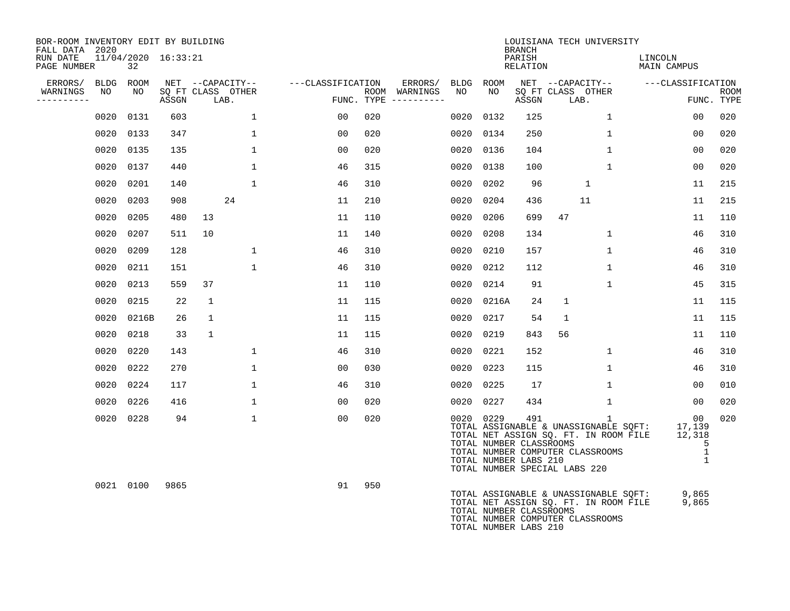| BOR-ROOM INVENTORY EDIT BY BUILDING<br>FALL DATA 2020 |                               |       |              |                   |                   |     |                                        |      |           | <b>BRANCH</b>                                           |                               | LOUISIANA TECH UNIVERSITY                                                                                                          |                                    |                                                             |             |
|-------------------------------------------------------|-------------------------------|-------|--------------|-------------------|-------------------|-----|----------------------------------------|------|-----------|---------------------------------------------------------|-------------------------------|------------------------------------------------------------------------------------------------------------------------------------|------------------------------------|-------------------------------------------------------------|-------------|
| RUN DATE<br>PAGE NUMBER                               | $11/04/2020$ $16:33:21$<br>32 |       |              |                   |                   |     |                                        |      |           | PARISH<br>RELATION                                      |                               |                                                                                                                                    | LINCOLN<br>MAIN CAMPUS             |                                                             |             |
| ERRORS/                                               | BLDG ROOM                     |       |              | NET --CAPACITY--  | ---CLASSIFICATION |     | ERRORS/                                | BLDG | ROOM      |                                                         |                               |                                                                                                                                    | NET --CAPACITY-- ---CLASSIFICATION |                                                             |             |
| WARNINGS<br>NO<br>----------                          | NO                            | ASSGN | LAB.         | SQ FT CLASS OTHER |                   |     | ROOM WARNINGS<br>FUNC. TYPE ---------- | NO   | NO        | ASSGN                                                   | LAB.                          | SQ FT CLASS OTHER                                                                                                                  |                                    | FUNC. TYPE                                                  | <b>ROOM</b> |
| 0020                                                  | 0131                          | 603   |              | $\mathbf 1$       | 00                | 020 |                                        | 0020 | 0132      | 125                                                     |                               | $\mathbf 1$                                                                                                                        |                                    | 0 <sub>0</sub>                                              | 020         |
| 0020                                                  | 0133                          | 347   |              | $\mathbf{1}$      | 00                | 020 |                                        | 0020 | 0134      | 250                                                     |                               | $\mathbf{1}$                                                                                                                       |                                    | 00                                                          | 020         |
|                                                       | 0020 0135                     | 135   |              | $\mathbf{1}$      | 00                | 020 |                                        | 0020 | 0136      | 104                                                     |                               | $\mathbf{1}$                                                                                                                       |                                    | 00                                                          | 020         |
| 0020                                                  | 0137                          | 440   |              | $\mathbf{1}$      | 46                | 315 |                                        | 0020 | 0138      | 100                                                     |                               | $\mathbf{1}$                                                                                                                       |                                    | 00                                                          | 020         |
| 0020                                                  | 0201                          | 140   |              | $\mathbf{1}$      | 46                | 310 |                                        | 0020 | 0202      | 96                                                      |                               | $\mathbf{1}$                                                                                                                       |                                    | 11                                                          | 215         |
| 0020                                                  | 0203                          | 908   |              | 24                | 11                | 210 |                                        | 0020 | 0204      | 436                                                     |                               | 11                                                                                                                                 |                                    | 11                                                          | 215         |
| 0020                                                  | 0205                          | 480   | 13           |                   | 11                | 110 |                                        | 0020 | 0206      | 699                                                     | 47                            |                                                                                                                                    |                                    | 11                                                          | 110         |
| 0020                                                  | 0207                          | 511   | 10           |                   | 11                | 140 |                                        | 0020 | 0208      | 134                                                     |                               | $\mathbf{1}$                                                                                                                       |                                    | 46                                                          | 310         |
| 0020                                                  | 0209                          | 128   |              | $\mathbf 1$       | 46                | 310 |                                        | 0020 | 0210      | 157                                                     |                               | $\mathbf 1$                                                                                                                        |                                    | 46                                                          | 310         |
| 0020                                                  | 0211                          | 151   |              | $\mathbf{1}$      | 46                | 310 |                                        | 0020 | 0212      | 112                                                     |                               | $\mathbf{1}$                                                                                                                       |                                    | 46                                                          | 310         |
| 0020                                                  | 0213                          | 559   | 37           |                   | 11                | 110 |                                        | 0020 | 0214      | 91                                                      |                               | $\mathbf{1}$                                                                                                                       |                                    | 45                                                          | 315         |
| 0020                                                  | 0215                          | 22    | $\mathbf{1}$ |                   | 11                | 115 |                                        | 0020 | 0216A     | 24                                                      | $\mathbf{1}$                  |                                                                                                                                    |                                    | 11                                                          | 115         |
| 0020                                                  | 0216B                         | 26    | $\mathbf{1}$ |                   | 11                | 115 |                                        | 0020 | 0217      | 54                                                      | $\mathbf{1}$                  |                                                                                                                                    |                                    | 11                                                          | 115         |
| 0020                                                  | 0218                          | 33    | $\mathbf{1}$ |                   | 11                | 115 |                                        | 0020 | 0219      | 843                                                     | 56                            |                                                                                                                                    |                                    | 11                                                          | 110         |
| 0020                                                  | 0220                          | 143   |              | $\mathbf 1$       | 46                | 310 |                                        | 0020 | 0221      | 152                                                     |                               | $\mathbf{1}$                                                                                                                       |                                    | 46                                                          | 310         |
|                                                       | 0020 0222                     | 270   |              | $\mathbf{1}$      | 00                | 030 |                                        | 0020 | 0223      | 115                                                     |                               | $\mathbf{1}$                                                                                                                       |                                    | 46                                                          | 310         |
|                                                       | 0020 0224                     | 117   |              | $\mathbf{1}$      | 46                | 310 |                                        | 0020 | 0225      | 17                                                      |                               | $\mathbf{1}$                                                                                                                       |                                    | 00                                                          | 010         |
| 0020                                                  | 0226                          | 416   |              | $\mathbf{1}$      | 00                | 020 |                                        | 0020 | 0227      | 434                                                     |                               | $\mathbf 1$                                                                                                                        |                                    | 00                                                          | 020         |
|                                                       | 0020 0228                     | 94    |              | $\mathbf{1}$      | 00                | 020 |                                        |      | 0020 0229 | 491<br>TOTAL NUMBER CLASSROOMS<br>TOTAL NUMBER LABS 210 | TOTAL NUMBER SPECIAL LABS 220 | $\mathbf{1}$<br>TOTAL ASSIGNABLE & UNASSIGNABLE SQFT:<br>TOTAL NET ASSIGN SQ. FT. IN ROOM FILE<br>TOTAL NUMBER COMPUTER CLASSROOMS |                                    | 00<br>17,139<br>12,318<br>5<br>$\mathbf{1}$<br>$\mathbf{1}$ | 020         |
|                                                       | 0021 0100                     | 9865  |              |                   | 91                | 950 |                                        |      |           | TOTAL NUMBER CLASSROOMS<br>TOTAL NUMBER LABS 210        |                               | TOTAL ASSIGNABLE & UNASSIGNABLE SQFT:<br>TOTAL NET ASSIGN SQ. FT. IN ROOM FILE<br>TOTAL NUMBER COMPUTER CLASSROOMS                 |                                    | 9,865<br>9,865                                              |             |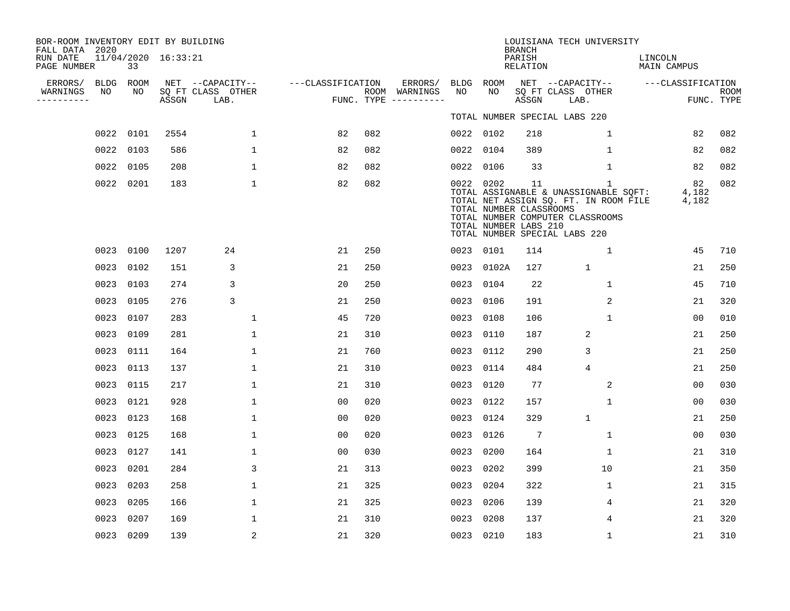| RUN DATE<br>PAGE NUMBER                | 33             |                                                                                                                                                                                                                                                                   |                             |                                                                                                                                       |                                    |                                        |               |                     |                                                                                                                                                                                                                                                |                                                      | LINCOLN<br>MAIN CAMPUS                                                                                                                                                                                                                                            |                                                                                                                                                                                    |
|----------------------------------------|----------------|-------------------------------------------------------------------------------------------------------------------------------------------------------------------------------------------------------------------------------------------------------------------|-----------------------------|---------------------------------------------------------------------------------------------------------------------------------------|------------------------------------|----------------------------------------|---------------|---------------------|------------------------------------------------------------------------------------------------------------------------------------------------------------------------------------------------------------------------------------------------|------------------------------------------------------|-------------------------------------------------------------------------------------------------------------------------------------------------------------------------------------------------------------------------------------------------------------------|------------------------------------------------------------------------------------------------------------------------------------------------------------------------------------|
| ERRORS/<br>NO<br>WARNINGS<br>--------- | ROOM<br>NO     |                                                                                                                                                                                                                                                                   |                             |                                                                                                                                       |                                    | ERRORS/                                | NO            | NO                  |                                                                                                                                                                                                                                                |                                                      |                                                                                                                                                                                                                                                                   | <b>ROOM</b>                                                                                                                                                                        |
|                                        |                |                                                                                                                                                                                                                                                                   |                             |                                                                                                                                       |                                    |                                        |               |                     |                                                                                                                                                                                                                                                |                                                      |                                                                                                                                                                                                                                                                   |                                                                                                                                                                                    |
|                                        |                |                                                                                                                                                                                                                                                                   |                             |                                                                                                                                       |                                    |                                        |               |                     |                                                                                                                                                                                                                                                |                                                      |                                                                                                                                                                                                                                                                   | 082                                                                                                                                                                                |
|                                        |                |                                                                                                                                                                                                                                                                   |                             |                                                                                                                                       |                                    |                                        |               |                     |                                                                                                                                                                                                                                                |                                                      |                                                                                                                                                                                                                                                                   | 082                                                                                                                                                                                |
|                                        |                |                                                                                                                                                                                                                                                                   |                             |                                                                                                                                       |                                    |                                        |               |                     |                                                                                                                                                                                                                                                |                                                      |                                                                                                                                                                                                                                                                   | 082                                                                                                                                                                                |
|                                        |                | 183                                                                                                                                                                                                                                                               | $\mathbf 1$                 | 82                                                                                                                                    | 082                                |                                        |               |                     | 11                                                                                                                                                                                                                                             | $\mathbf{1}$                                         | 82                                                                                                                                                                                                                                                                | 082                                                                                                                                                                                |
|                                        |                | 1207                                                                                                                                                                                                                                                              | 24                          | 21                                                                                                                                    | 250                                |                                        |               |                     | 114                                                                                                                                                                                                                                            | $\mathbf{1}$                                         | 45                                                                                                                                                                                                                                                                | 710                                                                                                                                                                                |
|                                        |                | 151                                                                                                                                                                                                                                                               | 3                           | 21                                                                                                                                    | 250                                |                                        |               |                     | 127                                                                                                                                                                                                                                            | $\mathbf{1}$                                         | 21                                                                                                                                                                                                                                                                | 250                                                                                                                                                                                |
|                                        | 0103           | 274                                                                                                                                                                                                                                                               | 3                           | 20                                                                                                                                    | 250                                |                                        |               | 0104                | 22                                                                                                                                                                                                                                             | $\mathbf{1}$                                         | 45                                                                                                                                                                                                                                                                | 710                                                                                                                                                                                |
|                                        |                | 276                                                                                                                                                                                                                                                               | 3                           | 21                                                                                                                                    | 250                                |                                        |               |                     | 191                                                                                                                                                                                                                                            | 2                                                    | 21                                                                                                                                                                                                                                                                | 320                                                                                                                                                                                |
|                                        | 0107           | 283                                                                                                                                                                                                                                                               | $\mathbf 1$                 | 45                                                                                                                                    | 720                                |                                        |               | 0108                | 106                                                                                                                                                                                                                                            | 1                                                    | 0 <sub>0</sub>                                                                                                                                                                                                                                                    | 010                                                                                                                                                                                |
|                                        |                | 281                                                                                                                                                                                                                                                               | $\mathbf 1$                 | 21                                                                                                                                    | 310                                |                                        | 0023          | 0110                | 187                                                                                                                                                                                                                                            | 2                                                    | 21                                                                                                                                                                                                                                                                | 250                                                                                                                                                                                |
|                                        |                | 164                                                                                                                                                                                                                                                               | $\mathbf 1$                 | 21                                                                                                                                    | 760                                |                                        |               |                     | 290                                                                                                                                                                                                                                            | 3                                                    | 21                                                                                                                                                                                                                                                                | 250                                                                                                                                                                                |
|                                        |                | 137                                                                                                                                                                                                                                                               | 1                           | 21                                                                                                                                    | 310                                |                                        |               | 0114                | 484                                                                                                                                                                                                                                            | 4                                                    | 21                                                                                                                                                                                                                                                                | 250                                                                                                                                                                                |
|                                        |                | 217                                                                                                                                                                                                                                                               | $\mathbf 1$                 | 21                                                                                                                                    | 310                                |                                        |               |                     | 77                                                                                                                                                                                                                                             | $\overline{c}$                                       | 0 <sub>0</sub>                                                                                                                                                                                                                                                    | 030                                                                                                                                                                                |
|                                        |                | 928                                                                                                                                                                                                                                                               | $\mathbf{1}$                | 0 <sub>0</sub>                                                                                                                        | 020                                |                                        |               | 0122                | 157                                                                                                                                                                                                                                            | $\mathbf{1}$                                         | 0 <sub>0</sub>                                                                                                                                                                                                                                                    | 030                                                                                                                                                                                |
|                                        |                | 168                                                                                                                                                                                                                                                               | $\mathbf{1}$                | 0 <sub>0</sub>                                                                                                                        | 020                                |                                        |               |                     | 329                                                                                                                                                                                                                                            | $\mathbf{1}$                                         | 21                                                                                                                                                                                                                                                                | 250                                                                                                                                                                                |
|                                        |                | 168                                                                                                                                                                                                                                                               | $\mathbf 1$                 | 00                                                                                                                                    | 020                                |                                        |               | 0126                | 7                                                                                                                                                                                                                                              | $\mathbf 1$                                          | 0 <sub>0</sub>                                                                                                                                                                                                                                                    | 030                                                                                                                                                                                |
|                                        |                | 141                                                                                                                                                                                                                                                               | $\mathbf 1$                 | 0 <sub>0</sub>                                                                                                                        | 030                                |                                        |               |                     | 164                                                                                                                                                                                                                                            | $\mathbf 1$                                          | 21                                                                                                                                                                                                                                                                | 310                                                                                                                                                                                |
|                                        | 0201           | 284                                                                                                                                                                                                                                                               | 3                           | 21                                                                                                                                    | 313                                |                                        |               | 0202                | 399                                                                                                                                                                                                                                            | 10                                                   | 21                                                                                                                                                                                                                                                                | 350                                                                                                                                                                                |
|                                        |                | 258                                                                                                                                                                                                                                                               | $\mathbf{1}$                | 21                                                                                                                                    | 325                                |                                        |               | 0204                | 322                                                                                                                                                                                                                                            | $\mathbf 1$                                          | 21                                                                                                                                                                                                                                                                | 315                                                                                                                                                                                |
|                                        | 0205           | 166                                                                                                                                                                                                                                                               | 1                           | 21                                                                                                                                    | 325                                |                                        |               | 0206                | 139                                                                                                                                                                                                                                            | 4                                                    | 21                                                                                                                                                                                                                                                                | 320                                                                                                                                                                                |
| 0023                                   | 0207           | 169                                                                                                                                                                                                                                                               | 1                           | 21                                                                                                                                    | 310                                |                                        |               | 0208                | 137                                                                                                                                                                                                                                            | 4                                                    | 21                                                                                                                                                                                                                                                                | 320                                                                                                                                                                                |
|                                        |                | 139                                                                                                                                                                                                                                                               | 2                           | 21                                                                                                                                    | 320                                |                                        |               |                     | 183                                                                                                                                                                                                                                            | $\mathbf 1$                                          | 21                                                                                                                                                                                                                                                                | 310                                                                                                                                                                                |
|                                        | FALL DATA 2020 | BLDG<br>0022 0101<br>0022 0103<br>0022 0105<br>0022 0201<br>0023 0100<br>0023 0102<br>0023<br>0023 0105<br>0023<br>0023 0109<br>0023 0111<br>0023 0113<br>0023 0115<br>0023 0121<br>0023 0123<br>0023 0125<br>0023 0127<br>0023<br>0023 0203<br>0023<br>0023 0209 | ASSGN<br>2554<br>586<br>208 | BOR-ROOM INVENTORY EDIT BY BUILDING<br>11/04/2020 16:33:21<br>SQ FT CLASS OTHER<br>LAB.<br>$\mathbf 1$<br>$\mathbf{1}$<br>$\mathbf 1$ | NET --CAPACITY--<br>82<br>82<br>82 | ---CLASSIFICATION<br>082<br>082<br>082 | ROOM WARNINGS | FUNC. TYPE $------$ | BLDG ROOM<br>0022 0102<br>0022 0104<br>0022 0106<br>0022 0202<br>0023 0101<br>0023 0102A<br>0023<br>0023 0106<br>0023<br>0023 0112<br>0023<br>0023 0120<br>0023<br>0023 0124<br>0023<br>0023 0200<br>0023<br>0023<br>0023<br>0023<br>0023 0210 | <b>BRANCH</b><br>PARISH<br>ASSGN<br>218<br>389<br>33 | RELATION<br>NET --CAPACITY--<br>SQ FT CLASS OTHER<br>LAB.<br>TOTAL NUMBER SPECIAL LABS 220<br>$\mathbf 1$<br>$\mathbf{1}$<br>$\mathbf 1$<br>TOTAL NUMBER CLASSROOMS<br>TOTAL NUMBER COMPUTER CLASSROOMS<br>TOTAL NUMBER LABS 210<br>TOTAL NUMBER SPECIAL LABS 220 | LOUISIANA TECH UNIVERSITY<br>---CLASSIFICATION<br>FUNC. TYPE<br>82<br>82<br>82<br>TOTAL ASSIGNABLE & UNASSIGNABLE SQFT:<br>4,182<br>TOTAL NET ASSIGN SQ. FT. IN ROOM FILE<br>4,182 |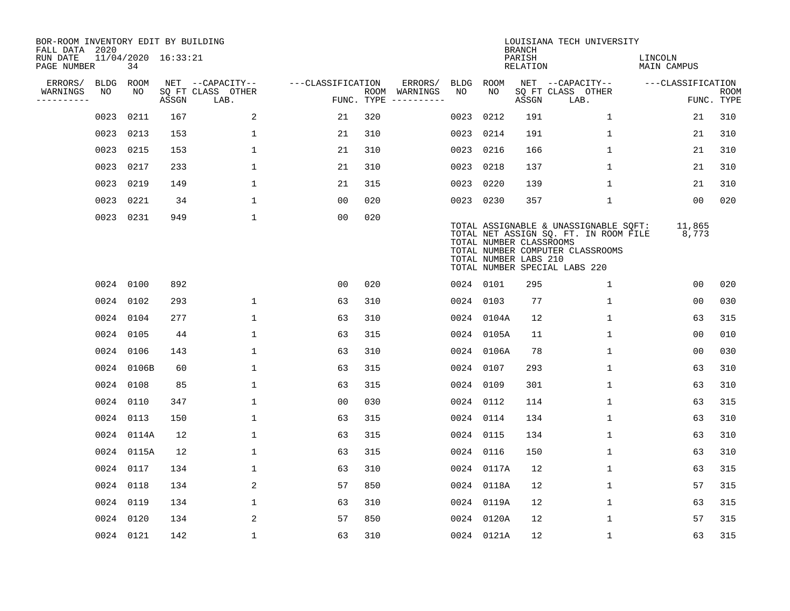| BOR-ROOM INVENTORY EDIT BY BUILDING<br>FALL DATA 2020 |             |            |                     |                           |                   |     |                                      |      |                                                  | <b>BRANCH</b>      | LOUISIANA TECH UNIVERSITY                                                                                                                           |                               |                           |
|-------------------------------------------------------|-------------|------------|---------------------|---------------------------|-------------------|-----|--------------------------------------|------|--------------------------------------------------|--------------------|-----------------------------------------------------------------------------------------------------------------------------------------------------|-------------------------------|---------------------------|
| RUN DATE<br>PAGE NUMBER                               |             | 34         | 11/04/2020 16:33:21 |                           |                   |     |                                      |      |                                                  | PARISH<br>RELATION |                                                                                                                                                     | LINCOLN<br><b>MAIN CAMPUS</b> |                           |
| ERRORS/                                               | <b>BLDG</b> | ROOM       |                     | NET --CAPACITY--          | ---CLASSIFICATION |     | ERRORS/                              | BLDG | ROOM                                             |                    | NET --CAPACITY--                                                                                                                                    | ---CLASSIFICATION             |                           |
| WARNINGS<br>----------                                | NO          | NO         | ASSGN               | SQ FT CLASS OTHER<br>LAB. |                   |     | ROOM WARNINGS<br>FUNC. TYPE $------$ | NO   | NO                                               | ASSGN              | SQ FT CLASS OTHER<br>LAB.                                                                                                                           |                               | <b>ROOM</b><br>FUNC. TYPE |
|                                                       | 0023        | 0211       | 167                 | 2                         | 21                | 320 |                                      | 0023 | 0212                                             | 191                | $\mathbf 1$                                                                                                                                         | 21                            | 310                       |
|                                                       | 0023 0213   |            | 153                 | $\mathbf{1}$              | 21                | 310 |                                      | 0023 | 0214                                             | 191                | $\mathbf{1}$                                                                                                                                        | 21                            | 310                       |
|                                                       | 0023 0215   |            | 153                 | 1                         | 21                | 310 |                                      | 0023 | 0216                                             | 166                | $\mathbf{1}$                                                                                                                                        | 21                            | 310                       |
|                                                       | 0023 0217   |            | 233                 | $\mathbf 1$               | 21                | 310 |                                      | 0023 | 0218                                             | 137                | $\mathbf 1$                                                                                                                                         | 21                            | 310                       |
|                                                       | 0023 0219   |            | 149                 | $\mathbf 1$               | 21                | 315 |                                      | 0023 | 0220                                             | 139                | $\mathbf 1$                                                                                                                                         | 21                            | 310                       |
|                                                       | 0023 0221   |            | 34                  | $\mathbf{1}$              | 0 <sub>0</sub>    | 020 |                                      |      | 0023 0230                                        | 357                | $\mathbf{1}$                                                                                                                                        | 00                            | 020                       |
|                                                       | 0023 0231   |            | 949                 | $\mathbf{1}$              | 0 <sub>0</sub>    | 020 |                                      |      | TOTAL NUMBER CLASSROOMS<br>TOTAL NUMBER LABS 210 |                    | TOTAL ASSIGNABLE & UNASSIGNABLE SQFT:<br>TOTAL NET ASSIGN SQ. FT. IN ROOM FILE<br>TOTAL NUMBER COMPUTER CLASSROOMS<br>TOTAL NUMBER SPECIAL LABS 220 | 11,865<br>8,773               |                           |
|                                                       | 0024 0100   |            | 892                 |                           | 0 <sub>0</sub>    | 020 |                                      |      | 0024 0101                                        | 295                | $\mathbf 1$                                                                                                                                         | 0 <sub>0</sub>                | 020                       |
|                                                       | 0024 0102   |            | 293                 | $\mathbf{1}$              | 63                | 310 |                                      |      | 0024 0103                                        | 77                 | $\mathbf{1}$                                                                                                                                        | 0 <sub>0</sub>                | 030                       |
|                                                       | 0024 0104   |            | 277                 | 1                         | 63                | 310 |                                      |      | 0024 0104A                                       | 12                 | 1                                                                                                                                                   | 63                            | 315                       |
|                                                       | 0024 0105   |            | 44                  | $\mathbf{1}$              | 63                | 315 |                                      |      | 0024 0105A                                       | 11                 | 1                                                                                                                                                   | 0 <sub>0</sub>                | 010                       |
|                                                       | 0024 0106   |            | 143                 | 1                         | 63                | 310 |                                      |      | 0024 0106A                                       | 78                 | 1                                                                                                                                                   | 0 <sub>0</sub>                | 030                       |
|                                                       |             | 0024 0106B | 60                  | $\mathbf{1}$              | 63                | 315 |                                      |      | 0024 0107                                        | 293                | $\mathbf{1}$                                                                                                                                        | 63                            | 310                       |
|                                                       | 0024 0108   |            | 85                  | $\mathbf{1}$              | 63                | 315 |                                      |      | 0024 0109                                        | 301                | $\mathbf{1}$                                                                                                                                        | 63                            | 310                       |
|                                                       | 0024 0110   |            | 347                 | $\mathbf 1$               | 0 <sub>0</sub>    | 030 |                                      |      | 0024 0112                                        | 114                | $\mathbf 1$                                                                                                                                         | 63                            | 315                       |
|                                                       | 0024 0113   |            | 150                 | $\mathbf{1}$              | 63                | 315 |                                      |      | 0024 0114                                        | 134                | 1                                                                                                                                                   | 63                            | 310                       |
|                                                       |             | 0024 0114A | 12                  | $\mathbf{1}$              | 63                | 315 |                                      |      | 0024 0115                                        | 134                | $\mathbf{1}$                                                                                                                                        | 63                            | 310                       |
|                                                       |             | 0024 0115A | 12                  | $\mathbf 1$               | 63                | 315 |                                      |      | 0024 0116                                        | 150                | $\mathbf{1}$                                                                                                                                        | 63                            | 310                       |
|                                                       | 0024 0117   |            | 134                 | 1                         | 63                | 310 |                                      |      | 0024 0117A                                       | 12                 | $\mathbf{1}$                                                                                                                                        | 63                            | 315                       |
|                                                       |             | 0024 0118  | 134                 | 2                         | 57                | 850 |                                      |      | 0024 0118A                                       | 12                 | 1                                                                                                                                                   | 57                            | 315                       |
|                                                       | 0024 0119   |            | 134                 | $\mathbf 1$               | 63                | 310 |                                      |      | 0024 0119A                                       | 12                 | $\mathbf 1$                                                                                                                                         | 63                            | 315                       |
|                                                       | 0024 0120   |            | 134                 | 2                         | 57                | 850 |                                      |      | 0024 0120A                                       | 12                 | $\mathbf{1}$                                                                                                                                        | 57                            | 315                       |
|                                                       | 0024 0121   |            | 142                 | $\mathbf{1}$              | 63                | 310 |                                      |      | 0024 0121A                                       | 12                 | $\mathbf{1}$                                                                                                                                        | 63                            | 315                       |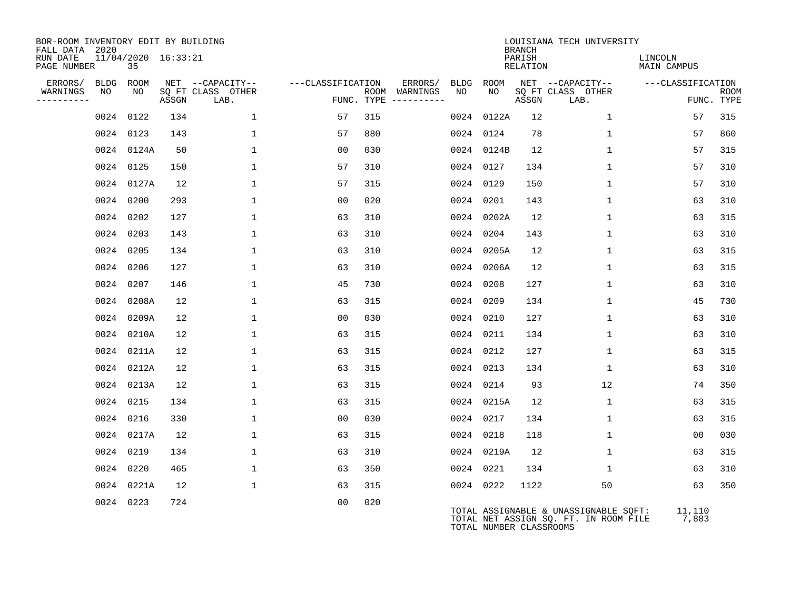| BOR-ROOM INVENTORY EDIT BY BUILDING<br>FALL DATA 2020 |                           |       |                           |                   |                                      |                      |                         | <b>BRANCH</b>      | LOUISIANA TECH UNIVERSITY                                                      |                        |                           |
|-------------------------------------------------------|---------------------------|-------|---------------------------|-------------------|--------------------------------------|----------------------|-------------------------|--------------------|--------------------------------------------------------------------------------|------------------------|---------------------------|
| RUN DATE<br>PAGE NUMBER                               | 11/04/2020 16:33:21<br>35 |       |                           |                   |                                      |                      |                         | PARISH<br>RELATION |                                                                                | LINCOLN<br>MAIN CAMPUS |                           |
| ERRORS/                                               | BLDG ROOM                 |       | NET --CAPACITY--          | ---CLASSIFICATION |                                      | ERRORS/<br>BLDG ROOM |                         |                    | NET --CAPACITY--                                                               | ---CLASSIFICATION      |                           |
| WARNINGS<br>NO<br>----------                          | NO                        | ASSGN | SQ FT CLASS OTHER<br>LAB. |                   | ROOM WARNINGS<br>FUNC. TYPE $------$ | NO                   | NO.                     | ASSGN              | SQ FT CLASS OTHER<br>LAB.                                                      |                        | <b>ROOM</b><br>FUNC. TYPE |
|                                                       | 0024 0122                 | 134   | $\mathbf{1}$              | 57                | 315                                  | 0024                 | 0122A                   | 12                 | 1                                                                              | 57                     | 315                       |
|                                                       | 0024 0123                 | 143   | 1                         | 57                | 880                                  | 0024                 | 0124                    | 78                 | $\mathbf{1}$                                                                   | 57                     | 860                       |
|                                                       | 0024 0124A                | 50    | $\mathbf{1}$              | 0 <sub>0</sub>    | 030                                  |                      | 0024 0124B              | 12                 | $\mathbf{1}$                                                                   | 57                     | 315                       |
|                                                       | 0024 0125                 | 150   | $\mathbf{1}$              | 57                | 310                                  | 0024 0127            |                         | 134                | $\mathbf 1$                                                                    | 57                     | 310                       |
|                                                       | 0024 0127A                | 12    | $\mathbf 1$               | 57                | 315                                  | 0024 0129            |                         | 150                | $\mathbf{1}$                                                                   | 57                     | 310                       |
|                                                       | 0024 0200                 | 293   | $\mathbf{1}$              | 00                | 020                                  | 0024 0201            |                         | 143                | $\mathbf{1}$                                                                   | 63                     | 310                       |
|                                                       | 0024 0202                 | 127   | $\mathbf{1}$              | 63                | 310                                  |                      | 0024 0202A              | 12                 | $\mathbf{1}$                                                                   | 63                     | 315                       |
|                                                       | 0024 0203                 | 143   | $\mathbf{1}$              | 63                | 310                                  | 0024 0204            |                         | 143                | $\mathbf{1}$                                                                   | 63                     | 310                       |
|                                                       | 0024 0205                 | 134   | $\mathbf 1$               | 63                | 310                                  |                      | 0024 0205A              | 12                 | $\mathbf{1}$                                                                   | 63                     | 315                       |
|                                                       | 0024 0206                 | 127   | 1                         | 63                | 310                                  |                      | 0024 0206A              | 12                 | $\mathbf{1}$                                                                   | 63                     | 315                       |
|                                                       | 0024 0207                 | 146   | $\mathbf{1}$              | 45                | 730                                  | 0024 0208            |                         | 127                | $\mathbf{1}$                                                                   | 63                     | 310                       |
|                                                       | 0024 0208A                | 12    | $\mathbf 1$               | 63                | 315                                  | 0024 0209            |                         | 134                | $\mathbf{1}$                                                                   | 45                     | 730                       |
|                                                       | 0024 0209A                | 12    | $\mathbf{1}$              | 0 <sub>0</sub>    | 030                                  | 0024 0210            |                         | 127                | $\mathbf{1}$                                                                   | 63                     | 310                       |
|                                                       | 0024 0210A                | 12    | 1                         | 63                | 315                                  | 0024 0211            |                         | 134                | $\mathbf{1}$                                                                   | 63                     | 310                       |
|                                                       | 0024 0211A                | 12    | $\mathbf{1}$              | 63                | 315                                  | 0024 0212            |                         | 127                | $\mathbf{1}$                                                                   | 63                     | 315                       |
|                                                       | 0024 0212A                | 12    | $\mathbf 1$               | 63                | 315                                  | 0024 0213            |                         | 134                | $\mathbf 1$                                                                    | 63                     | 310                       |
|                                                       | 0024 0213A                | 12    | $\mathbf{1}$              | 63                | 315                                  | 0024 0214            |                         | 93                 | 12                                                                             | 74                     | 350                       |
|                                                       | 0024 0215                 | 134   | $\mathbf{1}$              | 63                | 315                                  |                      | 0024 0215A              | 12                 | $\mathbf{1}$                                                                   | 63                     | 315                       |
|                                                       | 0024 0216                 | 330   | $\mathbf{1}$              | 00                | 030                                  | 0024 0217            |                         | 134                | $\mathbf{1}$                                                                   | 63                     | 315                       |
|                                                       | 0024 0217A                | 12    | $\mathbf{1}$              | 63                | 315                                  | 0024 0218            |                         | 118                | $\mathbf{1}$                                                                   | 0 <sub>0</sub>         | 030                       |
|                                                       | 0024 0219                 | 134   | $\mathbf{1}$              | 63                | 310                                  |                      | 0024 0219A              | 12                 | $\mathbf{1}$                                                                   | 63                     | 315                       |
|                                                       | 0024 0220                 | 465   | $\mathbf{1}$              | 63                | 350                                  | 0024 0221            |                         | 134                | $\mathbf{1}$                                                                   | 63                     | 310                       |
|                                                       | 0024 0221A                | 12    | $\mathbf 1$               | 63                | 315                                  | 0024 0222            |                         | 1122               | 50                                                                             | 63                     | 350                       |
|                                                       | 0024 0223                 | 724   |                           | 0 <sub>0</sub>    | 020                                  |                      | TOTAL NUMBER CLASSROOMS |                    | TOTAL ASSIGNABLE & UNASSIGNABLE SQFT:<br>TOTAL NET ASSIGN SO. FT. IN ROOM FILE | 11,110<br>7,883        |                           |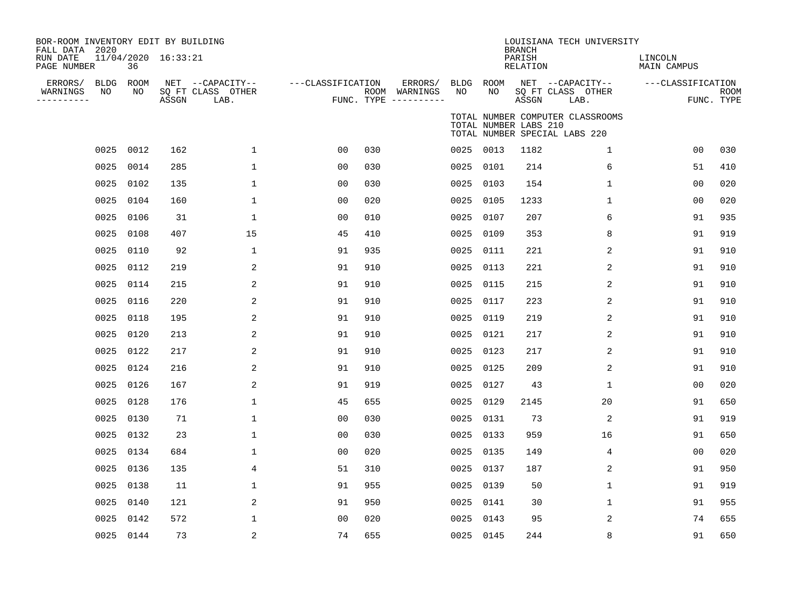| BOR-ROOM INVENTORY EDIT BY BUILDING<br>FALL DATA 2020<br>RUN DATE<br>PAGE NUMBER |           | 36         | 11/04/2020 16:33:21 |                                               |                   |     |                                                 |                   |             | <b>BRANCH</b><br>PARISH<br>RELATION | LOUISIANA TECH UNIVERSITY                                         | LINCOLN<br>MAIN CAMPUS |                           |
|----------------------------------------------------------------------------------|-----------|------------|---------------------|-----------------------------------------------|-------------------|-----|-------------------------------------------------|-------------------|-------------|-------------------------------------|-------------------------------------------------------------------|------------------------|---------------------------|
| ERRORS/<br>WARNINGS<br>NO<br>----------                                          | BLDG      | ROOM<br>NO | ASSGN               | NET --CAPACITY--<br>SQ FT CLASS OTHER<br>LAB. | ---CLASSIFICATION |     | ERRORS/<br>ROOM WARNINGS<br>FUNC. TYPE $------$ | <b>BLDG</b><br>NO | ROOM<br>NO. | ASSGN                               | NET --CAPACITY--<br>SQ FT CLASS OTHER<br>LAB.                     | ---CLASSIFICATION      | <b>ROOM</b><br>FUNC. TYPE |
|                                                                                  |           |            |                     |                                               |                   |     |                                                 |                   |             | TOTAL NUMBER LABS 210               | TOTAL NUMBER COMPUTER CLASSROOMS<br>TOTAL NUMBER SPECIAL LABS 220 |                        |                           |
|                                                                                  | 0025      | 0012       | 162                 | 1                                             | 00                | 030 |                                                 |                   | 0025 0013   | 1182                                | 1                                                                 | 00                     | 030                       |
|                                                                                  | 0025      | 0014       | 285                 | $\mathbf{1}$                                  | 00                | 030 |                                                 | 0025              | 0101        | 214                                 | 6                                                                 | 51                     | 410                       |
|                                                                                  | 0025      | 0102       | 135                 | 1                                             | 00                | 030 |                                                 | 0025              | 0103        | 154                                 | 1                                                                 | 00                     | 020                       |
|                                                                                  | 0025      | 0104       | 160                 | $\mathbf 1$                                   | 0 <sub>0</sub>    | 020 |                                                 | 0025              | 0105        | 1233                                | $\mathbf 1$                                                       | 00                     | 020                       |
|                                                                                  | 0025      | 0106       | 31                  | 1                                             | 0 <sub>0</sub>    | 010 |                                                 | 0025              | 0107        | 207                                 | 6                                                                 | 91                     | 935                       |
|                                                                                  | 0025      | 0108       | 407                 | 15                                            | 45                | 410 |                                                 | 0025              | 0109        | 353                                 | 8                                                                 | 91                     | 919                       |
|                                                                                  | 0025      | 0110       | 92                  | 1                                             | 91                | 935 |                                                 | 0025              | 0111        | 221                                 | $\overline{a}$                                                    | 91                     | 910                       |
|                                                                                  | 0025      | 0112       | 219                 | 2                                             | 91                | 910 |                                                 | 0025              | 0113        | 221                                 | 2                                                                 | 91                     | 910                       |
|                                                                                  | 0025      | 0114       | 215                 | 2                                             | 91                | 910 |                                                 | 0025              | 0115        | 215                                 | 2                                                                 | 91                     | 910                       |
|                                                                                  | 0025      | 0116       | 220                 | 2                                             | 91                | 910 |                                                 | 0025              | 0117        | 223                                 | 2                                                                 | 91                     | 910                       |
|                                                                                  | 0025      | 0118       | 195                 | 2                                             | 91                | 910 |                                                 | 0025              | 0119        | 219                                 | $\overline{a}$                                                    | 91                     | 910                       |
|                                                                                  | 0025      | 0120       | 213                 | 2                                             | 91                | 910 |                                                 | 0025              | 0121        | 217                                 | 2                                                                 | 91                     | 910                       |
|                                                                                  | 0025      | 0122       | 217                 | 2                                             | 91                | 910 |                                                 | 0025              | 0123        | 217                                 | 2                                                                 | 91                     | 910                       |
|                                                                                  | 0025      | 0124       | 216                 | $\overline{c}$                                | 91                | 910 |                                                 | 0025              | 0125        | 209                                 | $\mathbf 2$                                                       | 91                     | 910                       |
|                                                                                  | 0025      | 0126       | 167                 | 2                                             | 91                | 919 |                                                 | 0025              | 0127        | 43                                  | 1                                                                 | 00                     | 020                       |
|                                                                                  | 0025      | 0128       | 176                 | $\mathbf 1$                                   | 45                | 655 |                                                 | 0025              | 0129        | 2145                                | 20                                                                | 91                     | 650                       |
|                                                                                  | 0025      | 0130       | 71                  | $\mathbf 1$                                   | 0 <sub>0</sub>    | 030 |                                                 | 0025              | 0131        | 73                                  | 2                                                                 | 91                     | 919                       |
|                                                                                  | 0025      | 0132       | 23                  | $\mathbf 1$                                   | 0 <sub>0</sub>    | 030 |                                                 | 0025              | 0133        | 959                                 | 16                                                                | 91                     | 650                       |
|                                                                                  | 0025      | 0134       | 684                 | $\mathbf 1$                                   | 0 <sub>0</sub>    | 020 |                                                 | 0025              | 0135        | 149                                 | 4                                                                 | 0 <sub>0</sub>         | 020                       |
|                                                                                  | 0025      | 0136       | 135                 | $\overline{4}$                                | 51                | 310 |                                                 | 0025              | 0137        | 187                                 | 2                                                                 | 91                     | 950                       |
|                                                                                  | 0025      | 0138       | 11                  | 1                                             | 91                | 955 |                                                 | 0025              | 0139        | 50                                  | 1                                                                 | 91                     | 919                       |
|                                                                                  | 0025      | 0140       | 121                 | 2                                             | 91                | 950 |                                                 | 0025              | 0141        | 30                                  | $\mathbf 1$                                                       | 91                     | 955                       |
|                                                                                  | 0025      | 0142       | 572                 | 1                                             | 0 <sub>0</sub>    | 020 |                                                 | 0025              | 0143        | 95                                  | 2                                                                 | 74                     | 655                       |
|                                                                                  | 0025 0144 |            | 73                  | 2                                             | 74                | 655 |                                                 |                   | 0025 0145   | 244                                 | 8                                                                 | 91                     | 650                       |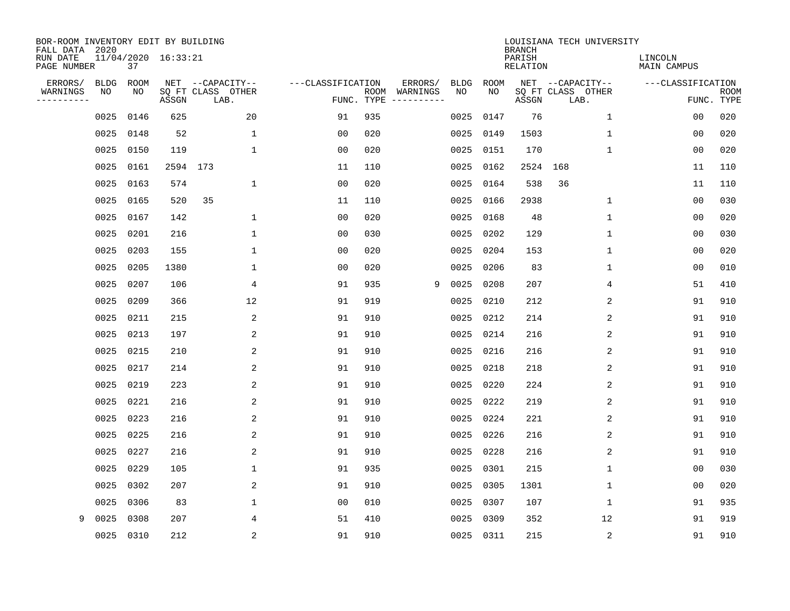| BOR-ROOM INVENTORY EDIT BY BUILDING<br>FALL DATA 2020 |                   |             |                     |                           |                   |                    |                         |                   |      | <b>BRANCH</b>      | LOUISIANA TECH UNIVERSITY |                        |                           |
|-------------------------------------------------------|-------------------|-------------|---------------------|---------------------------|-------------------|--------------------|-------------------------|-------------------|------|--------------------|---------------------------|------------------------|---------------------------|
| RUN DATE<br>PAGE NUMBER                               |                   | 37          | 11/04/2020 16:33:21 |                           |                   |                    |                         |                   |      | PARISH<br>RELATION |                           | LINCOLN<br>MAIN CAMPUS |                           |
| ERRORS/                                               | <b>BLDG</b><br>NO | <b>ROOM</b> |                     | NET --CAPACITY--          | ---CLASSIFICATION |                    | ERRORS/                 | <b>BLDG</b><br>NO | ROOM |                    | NET --CAPACITY--          | ---CLASSIFICATION      |                           |
| WARNINGS<br>---------                                 |                   | NO          | ASSGN               | SQ FT CLASS OTHER<br>LAB. |                   | ROOM<br>FUNC. TYPE | WARNINGS<br>----------- |                   | NO   | ASSGN              | SQ FT CLASS OTHER<br>LAB. |                        | <b>ROOM</b><br>FUNC. TYPE |
|                                                       | 0025              | 0146        | 625                 | 20                        | 91                | 935                |                         | 0025              | 0147 | 76                 | 1                         | 00                     | 020                       |
|                                                       | 0025              | 0148        | 52                  | 1                         | 00                | 020                |                         | 0025              | 0149 | 1503               | 1                         | 00                     | 020                       |
|                                                       | 0025              | 0150        | 119                 | $\mathbf{1}$              | 0 <sub>0</sub>    | 020                |                         | 0025              | 0151 | 170                | $\mathbf 1$               | 0 <sub>0</sub>         | 020                       |
|                                                       | 0025              | 0161        |                     | 2594 173                  | 11                | 110                |                         | 0025              | 0162 | 2524               | 168                       | 11                     | 110                       |
|                                                       | 0025              | 0163        | 574                 | $\mathbf 1$               | 0 <sub>0</sub>    | 020                |                         | 0025              | 0164 | 538                | 36                        | 11                     | 110                       |
|                                                       | 0025              | 0165        | 520                 | 35                        | 11                | 110                |                         | 0025              | 0166 | 2938               | $\mathbf 1$               | 0 <sub>0</sub>         | 030                       |
|                                                       | 0025              | 0167        | 142                 | $\mathbf{1}$              | 0 <sub>0</sub>    | 020                |                         | 0025              | 0168 | 48                 | $\mathbf{1}$              | 00                     | 020                       |
|                                                       | 0025              | 0201        | 216                 | $\mathbf{1}$              | 00                | 030                |                         | 0025              | 0202 | 129                | $\mathbf{1}$              | 00                     | 030                       |
|                                                       | 0025              | 0203        | 155                 | $\mathbf{1}$              | 00                | 020                |                         | 0025              | 0204 | 153                | $\mathbf{1}$              | 0 <sub>0</sub>         | 020                       |
|                                                       | 0025              | 0205        | 1380                | 1                         | 0 <sub>0</sub>    | 020                |                         | 0025              | 0206 | 83                 | $\mathbf 1$               | 0 <sub>0</sub>         | 010                       |
|                                                       | 0025              | 0207        | 106                 | 4                         | 91                | 935                | 9                       | 0025              | 0208 | 207                | 4                         | 51                     | 410                       |
|                                                       | 0025              | 0209        | 366                 | 12                        | 91                | 919                |                         | 0025              | 0210 | 212                | 2                         | 91                     | 910                       |
|                                                       | 0025              | 0211        | 215                 | 2                         | 91                | 910                |                         | 0025              | 0212 | 214                | $\overline{a}$            | 91                     | 910                       |
|                                                       | 0025              | 0213        | 197                 | 2                         | 91                | 910                |                         | 0025              | 0214 | 216                | 2                         | 91                     | 910                       |
|                                                       | 0025              | 0215        | 210                 | 2                         | 91                | 910                |                         | 0025              | 0216 | 216                | 2                         | 91                     | 910                       |
|                                                       | 0025              | 0217        | 214                 | 2                         | 91                | 910                |                         | 0025              | 0218 | 218                | 2                         | 91                     | 910                       |
|                                                       | 0025              | 0219        | 223                 | 2                         | 91                | 910                |                         | 0025              | 0220 | 224                | 2                         | 91                     | 910                       |
|                                                       | 0025              | 0221        | 216                 | 2                         | 91                | 910                |                         | 0025              | 0222 | 219                | 2                         | 91                     | 910                       |
|                                                       | 0025              | 0223        | 216                 | 2                         | 91                | 910                |                         | 0025              | 0224 | 221                | 2                         | 91                     | 910                       |
|                                                       | 0025              | 0225        | 216                 | 2                         | 91                | 910                |                         | 0025              | 0226 | 216                | 2                         | 91                     | 910                       |
|                                                       | 0025              | 0227        | 216                 | 2                         | 91                | 910                |                         | 0025              | 0228 | 216                | 2                         | 91                     | 910                       |
|                                                       | 0025              | 0229        | 105                 | $\mathbf 1$               | 91                | 935                |                         | 0025              | 0301 | 215                | $\mathbf 1$               | 0 <sub>0</sub>         | 030                       |
|                                                       | 0025              | 0302        | 207                 | $\overline{2}$            | 91                | 910                |                         | 0025              | 0305 | 1301               | 1                         | 0 <sub>0</sub>         | 020                       |
|                                                       | 0025              | 0306        | 83                  | $\mathbf 1$               | 0 <sub>0</sub>    | 010                |                         | 0025              | 0307 | 107                | 1                         | 91                     | 935                       |
| 9                                                     | 0025              | 0308        | 207                 | 4                         | 51                | 410                |                         | 0025              | 0309 | 352                | 12                        | 91                     | 919                       |
|                                                       |                   | 0025 0310   | 212                 | 2                         | 91                | 910                |                         | 0025              | 0311 | 215                | 2                         | 91                     | 910                       |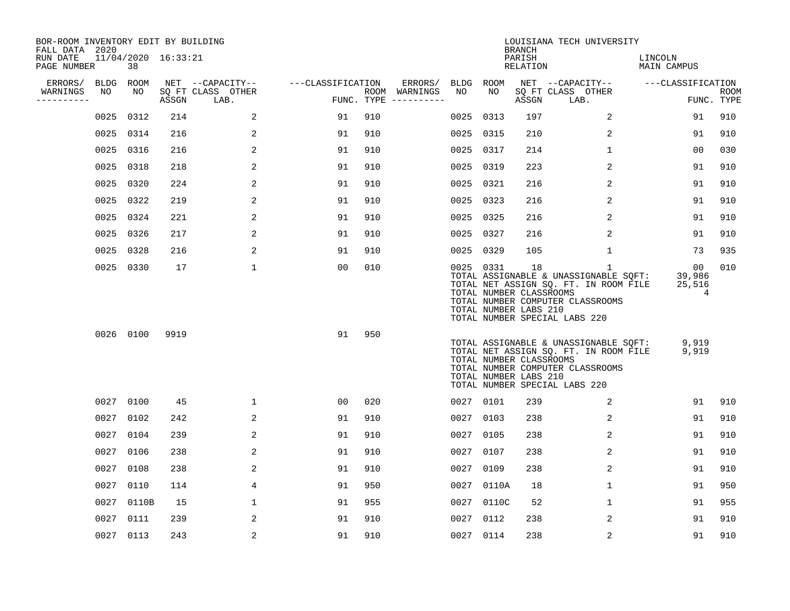| BOR-ROOM INVENTORY EDIT BY BUILDING<br>FALL DATA 2020 |      |           |                     |                           |                   |     |                                      |      |            | <b>BRANCH</b>                                          | LOUISIANA TECH UNIVERSITY                                                                                                                                |                             |                           |
|-------------------------------------------------------|------|-----------|---------------------|---------------------------|-------------------|-----|--------------------------------------|------|------------|--------------------------------------------------------|----------------------------------------------------------------------------------------------------------------------------------------------------------|-----------------------------|---------------------------|
| RUN DATE<br>PAGE NUMBER                               |      | 38        | 11/04/2020 16:33:21 |                           |                   |     |                                      |      |            | PARISH<br>RELATION                                     |                                                                                                                                                          | LINCOLN<br>MAIN CAMPUS      |                           |
| ERRORS/                                               |      | BLDG ROOM |                     | NET --CAPACITY--          | ---CLASSIFICATION |     | ERRORS/                              |      | BLDG ROOM  |                                                        | NET --CAPACITY--                                                                                                                                         | ---CLASSIFICATION           |                           |
| WARNINGS<br>----------                                | NO   | NO        | ASSGN               | SQ FT CLASS OTHER<br>LAB. |                   |     | ROOM WARNINGS<br>FUNC. TYPE $------$ | NO   | NO         | ASSGN                                                  | SQ FT CLASS OTHER<br>LAB.                                                                                                                                |                             | <b>ROOM</b><br>FUNC. TYPE |
|                                                       | 0025 | 0312      | 214                 | 2                         | 91                | 910 |                                      | 0025 | 0313       | 197                                                    | 2                                                                                                                                                        | 91                          | 910                       |
|                                                       |      | 0025 0314 | 216                 | 2                         | 91                | 910 |                                      |      | 0025 0315  | 210                                                    | 2                                                                                                                                                        | 91                          | 910                       |
|                                                       |      | 0025 0316 | 216                 | $\overline{a}$            | 91                | 910 |                                      |      | 0025 0317  | 214                                                    | $\mathbf{1}$                                                                                                                                             | 00                          | 030                       |
|                                                       |      | 0025 0318 | 218                 | 2                         | 91                | 910 |                                      |      | 0025 0319  | 223                                                    | 2                                                                                                                                                        | 91                          | 910                       |
|                                                       | 0025 | 0320      | 224                 | 2                         | 91                | 910 |                                      |      | 0025 0321  | 216                                                    | 2                                                                                                                                                        | 91                          | 910                       |
|                                                       |      | 0025 0322 | 219                 | 2                         | 91                | 910 |                                      |      | 0025 0323  | 216                                                    | 2                                                                                                                                                        | 91                          | 910                       |
|                                                       |      | 0025 0324 | 221                 | 2                         | 91                | 910 |                                      |      | 0025 0325  | 216                                                    | 2                                                                                                                                                        | 91                          | 910                       |
|                                                       |      | 0025 0326 | 217                 | 2                         | 91                | 910 |                                      |      | 0025 0327  | 216                                                    | 2                                                                                                                                                        | 91                          | 910                       |
|                                                       | 0025 | 0328      | 216                 | 2                         | 91                | 910 |                                      |      | 0025 0329  | 105                                                    | 1                                                                                                                                                        | 73                          | 935                       |
|                                                       |      | 0025 0330 | 17                  | $\mathbf 1$               | 0 <sub>0</sub>    | 010 |                                      |      | 0025 0331  | 18<br>TOTAL NUMBER CLASSROOMS<br>TOTAL NUMBER LABS 210 | 1<br>TOTAL ASSIGNABLE & UNASSIGNABLE SQFT:<br>TOTAL NET ASSIGN SQ. FT. IN ROOM FILE<br>TOTAL NUMBER COMPUTER CLASSROOMS<br>TOTAL NUMBER SPECIAL LABS 220 | 00<br>39,986<br>25,516<br>4 | 010                       |
|                                                       |      | 0026 0100 | 9919                |                           | 91                | 950 |                                      |      |            | TOTAL NUMBER CLASSROOMS<br>TOTAL NUMBER LABS 210       | TOTAL ASSIGNABLE & UNASSIGNABLE SQFT:<br>TOTAL NET ASSIGN SQ. FT. IN ROOM FILE<br>TOTAL NUMBER COMPUTER CLASSROOMS<br>TOTAL NUMBER SPECIAL LABS 220      | 9,919<br>9,919              |                           |
|                                                       |      | 0027 0100 | 45                  | $\mathbf 1$               | 00                | 020 |                                      |      | 0027 0101  | 239                                                    | 2                                                                                                                                                        | 91                          | 910                       |
|                                                       | 0027 | 0102      | 242                 | 2                         | 91                | 910 |                                      |      | 0027 0103  | 238                                                    | 2                                                                                                                                                        | 91                          | 910                       |
|                                                       | 0027 | 0104      | 239                 | 2                         | 91                | 910 |                                      |      | 0027 0105  | 238                                                    | 2                                                                                                                                                        | 91                          | 910                       |
|                                                       | 0027 | 0106      | 238                 | 2                         | 91                | 910 |                                      |      | 0027 0107  | 238                                                    | 2                                                                                                                                                        | 91                          | 910                       |
|                                                       | 0027 | 0108      | 238                 | 2                         | 91                | 910 |                                      | 0027 | 0109       | 238                                                    | 2                                                                                                                                                        | 91                          | 910                       |
|                                                       | 0027 | 0110      | 114                 | 4                         | 91                | 950 |                                      |      | 0027 0110A | 18                                                     | 1                                                                                                                                                        | 91                          | 950                       |
|                                                       | 0027 | 0110B     | 15                  | 1                         | 91                | 955 |                                      |      | 0027 0110C | 52                                                     | 1                                                                                                                                                        | 91                          | 955                       |
|                                                       | 0027 | 0111      | 239                 | 2                         | 91                | 910 |                                      | 0027 | 0112       | 238                                                    | 2                                                                                                                                                        | 91                          | 910                       |
|                                                       |      | 0027 0113 | 243                 | 2                         | 91                | 910 |                                      |      | 0027 0114  | 238                                                    | 2                                                                                                                                                        | 91                          | 910                       |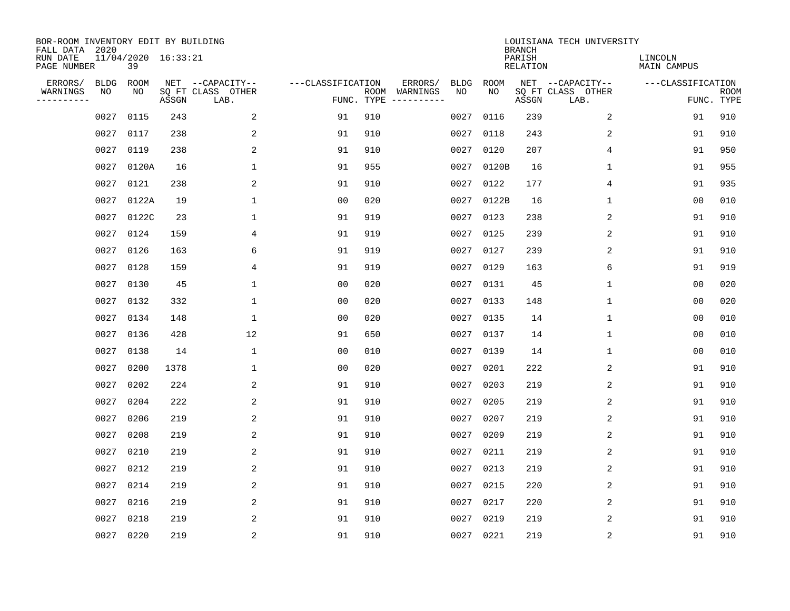| BOR-ROOM INVENTORY EDIT BY BUILDING<br>FALL DATA 2020 |             |       |                     |                           |                   |            |                              |             |             | <b>BRANCH</b>             | LOUISIANA TECH UNIVERSITY |                               |                           |
|-------------------------------------------------------|-------------|-------|---------------------|---------------------------|-------------------|------------|------------------------------|-------------|-------------|---------------------------|---------------------------|-------------------------------|---------------------------|
| RUN DATE<br>PAGE NUMBER                               |             | 39    | 11/04/2020 16:33:21 |                           |                   |            |                              |             |             | PARISH<br><b>RELATION</b> |                           | LINCOLN<br><b>MAIN CAMPUS</b> |                           |
| ERRORS/                                               | <b>BLDG</b> | ROOM  |                     | NET --CAPACITY--          | ---CLASSIFICATION |            | ERRORS/                      | <b>BLDG</b> | <b>ROOM</b> |                           | NET --CAPACITY--          | ---CLASSIFICATION             |                           |
| WARNINGS<br>----------                                | NO          | NO    | ASSGN               | SQ FT CLASS OTHER<br>LAB. |                   | FUNC. TYPE | ROOM WARNINGS<br>----------- | NO          | NO          | ASSGN                     | SQ FT CLASS OTHER<br>LAB. |                               | <b>ROOM</b><br>FUNC. TYPE |
|                                                       | 0027        | 0115  | 243                 | 2                         | 91                | 910        |                              | 0027        | 0116        | 239                       | 2                         | 91                            | 910                       |
|                                                       | 0027        | 0117  | 238                 | 2                         | 91                | 910        |                              | 0027        | 0118        | 243                       | 2                         | 91                            | 910                       |
|                                                       | 0027        | 0119  | 238                 | 2                         | 91                | 910        |                              | 0027        | 0120        | 207                       | 4                         | 91                            | 950                       |
|                                                       | 0027        | 0120A | 16                  | $\mathbf{1}$              | 91                | 955        |                              | 0027        | 0120B       | 16                        | $\mathbf 1$               | 91                            | 955                       |
|                                                       | 0027        | 0121  | 238                 | $\overline{2}$            | 91                | 910        |                              | 0027        | 0122        | 177                       | 4                         | 91                            | 935                       |
|                                                       | 0027        | 0122A | 19                  | $\mathbf{1}$              | 0 <sub>0</sub>    | 020        |                              | 0027        | 0122B       | 16                        | $\mathbf{1}$              | 0 <sub>0</sub>                | 010                       |
|                                                       | 0027        | 0122C | 23                  | $\mathbf{1}$              | 91                | 919        |                              | 0027        | 0123        | 238                       | 2                         | 91                            | 910                       |
|                                                       | 0027 0124   |       | 159                 | 4                         | 91                | 919        |                              | 0027        | 0125        | 239                       | 2                         | 91                            | 910                       |
|                                                       | 0027 0126   |       | 163                 | 6                         | 91                | 919        |                              | 0027        | 0127        | 239                       | 2                         | 91                            | 910                       |
|                                                       | 0027 0128   |       | 159                 | 4                         | 91                | 919        |                              | 0027        | 0129        | 163                       | 6                         | 91                            | 919                       |
|                                                       | 0027        | 0130  | 45                  | $\mathbf{1}$              | 0 <sub>0</sub>    | 020        |                              | 0027        | 0131        | 45                        | $\mathbf{1}$              | 0 <sub>0</sub>                | 020                       |
|                                                       | 0027 0132   |       | 332                 | $\mathbf{1}$              | 0 <sub>0</sub>    | 020        |                              | 0027        | 0133        | 148                       | $\mathbf{1}$              | 0 <sub>0</sub>                | 020                       |
|                                                       | 0027        | 0134  | 148                 | $\mathbf{1}$              | 0 <sub>0</sub>    | 020        |                              | 0027        | 0135        | 14                        | $\mathbf 1$               | 0 <sub>0</sub>                | 010                       |
|                                                       | 0027        | 0136  | 428                 | 12                        | 91                | 650        |                              | 0027        | 0137        | 14                        | 1                         | 0 <sub>0</sub>                | 010                       |
|                                                       | 0027        | 0138  | 14                  | 1                         | 00                | 010        |                              | 0027        | 0139        | 14                        | 1                         | 0 <sub>0</sub>                | 010                       |
|                                                       | 0027        | 0200  | 1378                | 1                         | 0 <sub>0</sub>    | 020        |                              | 0027        | 0201        | 222                       | 2                         | 91                            | 910                       |
|                                                       | 0027        | 0202  | 224                 | 2                         | 91                | 910        |                              | 0027        | 0203        | 219                       | 2                         | 91                            | 910                       |
|                                                       | 0027        | 0204  | 222                 | 2                         | 91                | 910        |                              | 0027        | 0205        | 219                       | 2                         | 91                            | 910                       |
|                                                       | 0027        | 0206  | 219                 | $\overline{2}$            | 91                | 910        |                              | 0027        | 0207        | 219                       | 2                         | 91                            | 910                       |
|                                                       | 0027        | 0208  | 219                 | 2                         | 91                | 910        |                              | 0027        | 0209        | 219                       | 2                         | 91                            | 910                       |
|                                                       | 0027        | 0210  | 219                 | 2                         | 91                | 910        |                              | 0027        | 0211        | 219                       | 2                         | 91                            | 910                       |
|                                                       | 0027        | 0212  | 219                 | 2                         | 91                | 910        |                              | 0027        | 0213        | 219                       | 2                         | 91                            | 910                       |
|                                                       | 0027        | 0214  | 219                 | 2                         | 91                | 910        |                              | 0027        | 0215        | 220                       | 2                         | 91                            | 910                       |
|                                                       | 0027        | 0216  | 219                 | 2                         | 91                | 910        |                              | 0027        | 0217        | 220                       | 2                         | 91                            | 910                       |
|                                                       | 0027        | 0218  | 219                 | 2                         | 91                | 910        |                              | 0027        | 0219        | 219                       | 2                         | 91                            | 910                       |
|                                                       | 0027 0220   |       | 219                 | $\overline{2}$            | 91                | 910        |                              |             | 0027 0221   | 219                       | $\sqrt{2}$                | 91                            | 910                       |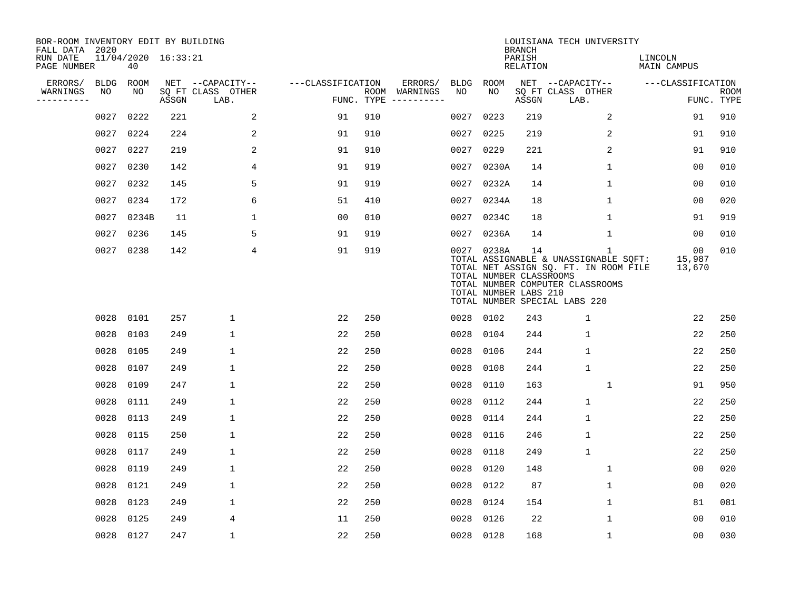| BOR-ROOM INVENTORY EDIT BY BUILDING<br>FALL DATA 2020 |             |                           |       |                           |                   |     |                                      |      |                                                                | <b>BRANCH</b>             | LOUISIANA TECH UNIVERSITY                                                                                                                                           |                               |                           |
|-------------------------------------------------------|-------------|---------------------------|-------|---------------------------|-------------------|-----|--------------------------------------|------|----------------------------------------------------------------|---------------------------|---------------------------------------------------------------------------------------------------------------------------------------------------------------------|-------------------------------|---------------------------|
| RUN DATE<br>PAGE NUMBER                               |             | 11/04/2020 16:33:21<br>40 |       |                           |                   |     |                                      |      |                                                                | PARISH<br><b>RELATION</b> |                                                                                                                                                                     | LINCOLN<br><b>MAIN CAMPUS</b> |                           |
| ERRORS/                                               | <b>BLDG</b> | ROOM                      |       | NET --CAPACITY--          | ---CLASSIFICATION |     | ERRORS/                              | BLDG | ROOM                                                           |                           | NET --CAPACITY--                                                                                                                                                    | ---CLASSIFICATION             |                           |
| WARNINGS<br>----------                                | NO          | NO                        | ASSGN | SQ FT CLASS OTHER<br>LAB. |                   |     | ROOM WARNINGS<br>FUNC. TYPE $------$ | NO   | NO                                                             | ASSGN                     | SQ FT CLASS OTHER<br>LAB.                                                                                                                                           |                               | <b>ROOM</b><br>FUNC. TYPE |
|                                                       | 0027        | 0222                      | 221   | 2                         | 91                | 910 |                                      | 0027 | 0223                                                           | 219                       | 2                                                                                                                                                                   | 91                            | 910                       |
|                                                       | 0027        | 0224                      | 224   | 2                         | 91                | 910 |                                      | 0027 | 0225                                                           | 219                       | 2                                                                                                                                                                   | 91                            | 910                       |
|                                                       | 0027        | 0227                      | 219   | 2                         | 91                | 910 |                                      |      | 0027 0229                                                      | 221                       | 2                                                                                                                                                                   | 91                            | 910                       |
|                                                       | 0027        | 0230                      | 142   | 4                         | 91                | 919 |                                      |      | 0027 0230A                                                     | 14                        | $\mathbf 1$                                                                                                                                                         | 0 <sub>0</sub>                | 010                       |
|                                                       | 0027        | 0232                      | 145   | 5                         | 91                | 919 |                                      |      | 0027 0232A                                                     | 14                        | $\mathbf 1$                                                                                                                                                         | 0 <sub>0</sub>                | 010                       |
|                                                       | 0027        | 0234                      | 172   | 6                         | 51                | 410 |                                      |      | 0027 0234A                                                     | 18                        | $\mathbf 1$                                                                                                                                                         | 00                            | 020                       |
|                                                       |             | 0027 0234B                | 11    | $\mathbf{1}$              | 0 <sub>0</sub>    | 010 |                                      |      | 0027 0234C                                                     | 18                        | $\mathbf 1$                                                                                                                                                         | 91                            | 919                       |
|                                                       | 0027        | 0236                      | 145   | 5                         | 91                | 919 |                                      |      | 0027 0236A                                                     | 14                        | $\mathbf{1}$                                                                                                                                                        | 00                            | 010                       |
|                                                       | 0027        | 0238                      | 142   | 4                         | 91                | 919 |                                      |      | 0027 0238A<br>TOTAL NUMBER CLASSROOMS<br>TOTAL NUMBER LABS 210 | 14                        | $\mathbf{1}$<br>TOTAL ASSIGNABLE & UNASSIGNABLE SQFT:<br>TOTAL NET ASSIGN SQ. FT. IN ROOM FILE<br>TOTAL NUMBER COMPUTER CLASSROOMS<br>TOTAL NUMBER SPECIAL LABS 220 | 00<br>15,987<br>13,670        | 010                       |
|                                                       |             | 0028 0101                 | 257   | $\mathbf 1$               | 22                | 250 |                                      |      | 0028 0102                                                      | 243                       | $\mathbf{1}$                                                                                                                                                        | 22                            | 250                       |
|                                                       | 0028        | 0103                      | 249   | $\mathbf{1}$              | 22                | 250 |                                      | 0028 | 0104                                                           | 244                       | $\mathbf{1}$                                                                                                                                                        | 22                            | 250                       |
|                                                       | 0028        | 0105                      | 249   | $\mathbf 1$               | 22                | 250 |                                      | 0028 | 0106                                                           | 244                       | $\mathbf{1}$                                                                                                                                                        | 22                            | 250                       |
|                                                       | 0028        | 0107                      | 249   | 1                         | 22                | 250 |                                      | 0028 | 0108                                                           | 244                       | $\mathbf{1}$                                                                                                                                                        | 22                            | 250                       |
|                                                       | 0028        | 0109                      | 247   | $\mathbf 1$               | 22                | 250 |                                      | 0028 | 0110                                                           | 163                       | 1                                                                                                                                                                   | 91                            | 950                       |
|                                                       | 0028        | 0111                      | 249   | $\mathbf 1$               | 22                | 250 |                                      | 0028 | 0112                                                           | 244                       | $\mathbf{1}$                                                                                                                                                        | 22                            | 250                       |
|                                                       | 0028        | 0113                      | 249   | $\mathbf 1$               | 22                | 250 |                                      | 0028 | 0114                                                           | 244                       | $\mathbf{1}$                                                                                                                                                        | 22                            | 250                       |
|                                                       | 0028        | 0115                      | 250   | $\mathbf 1$               | 22                | 250 |                                      | 0028 | 0116                                                           | 246                       | $\mathbf{1}$                                                                                                                                                        | 22                            | 250                       |
|                                                       | 0028        | 0117                      | 249   | 1                         | 22                | 250 |                                      | 0028 | 0118                                                           | 249                       | $\mathbf{1}$                                                                                                                                                        | 22                            | 250                       |
|                                                       | 0028        | 0119                      | 249   | $\mathbf 1$               | 22                | 250 |                                      | 0028 | 0120                                                           | 148                       | $\mathbf 1$                                                                                                                                                         | 00                            | 020                       |
|                                                       | 0028        | 0121                      | 249   | 1                         | 22                | 250 |                                      | 0028 | 0122                                                           | 87                        | 1                                                                                                                                                                   | 0 <sub>0</sub>                | 020                       |
|                                                       | 0028        | 0123                      | 249   | $\mathbf 1$               | 22                | 250 |                                      | 0028 | 0124                                                           | 154                       | $\mathbf 1$                                                                                                                                                         | 81                            | 081                       |
|                                                       | 0028        | 0125                      | 249   | 4                         | 11                | 250 |                                      | 0028 | 0126                                                           | 22                        | 1                                                                                                                                                                   | 0 <sub>0</sub>                | 010                       |
|                                                       |             | 0028 0127                 | 247   | $\mathbf{1}$              | 22                | 250 |                                      |      | 0028 0128                                                      | 168                       | $\mathbf{1}$                                                                                                                                                        | 0 <sub>0</sub>                | 030                       |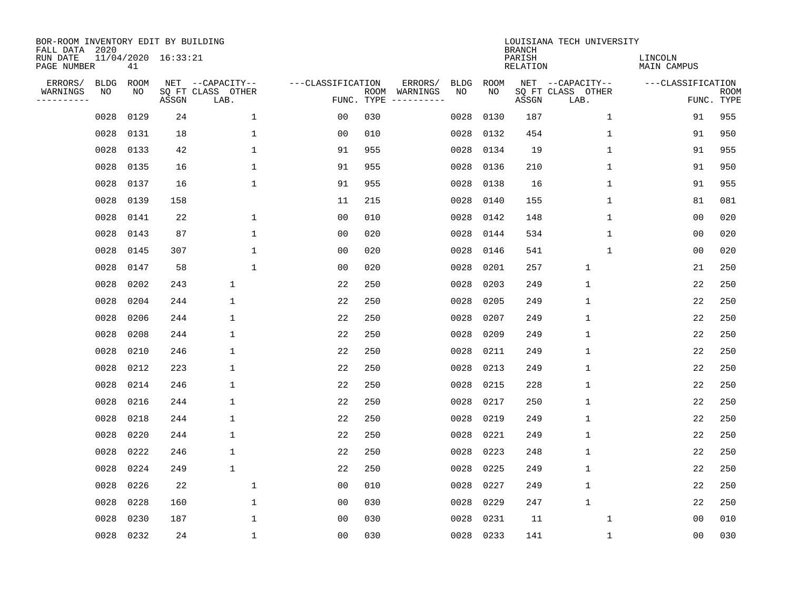| BOR-ROOM INVENTORY EDIT BY BUILDING<br>FALL DATA 2020 |                   |            |                     |                                       |                   |            |                     |                   |                   | <b>BRANCH</b>             | LOUISIANA TECH UNIVERSITY             |                               |             |
|-------------------------------------------------------|-------------------|------------|---------------------|---------------------------------------|-------------------|------------|---------------------|-------------------|-------------------|---------------------------|---------------------------------------|-------------------------------|-------------|
| RUN DATE<br>PAGE NUMBER                               |                   | 41         | 11/04/2020 16:33:21 |                                       |                   |            |                     |                   |                   | PARISH<br><b>RELATION</b> |                                       | LINCOLN<br><b>MAIN CAMPUS</b> |             |
| ERRORS/<br>WARNINGS                                   | <b>BLDG</b><br>NO | ROOM<br>NO |                     | NET --CAPACITY--<br>SQ FT CLASS OTHER | ---CLASSIFICATION | ROOM       | ERRORS/<br>WARNINGS | <b>BLDG</b><br>NO | <b>ROOM</b><br>NO |                           | NET --CAPACITY--<br>SQ FT CLASS OTHER | ---CLASSIFICATION             | <b>ROOM</b> |
| ----------                                            |                   |            | ASSGN               | LAB.                                  |                   | FUNC. TYPE |                     |                   |                   | ASSGN                     | LAB.                                  |                               | FUNC. TYPE  |
|                                                       | 0028              | 0129       | 24                  | $\mathbf 1$                           | 0 <sub>0</sub>    | 030        |                     | 0028              | 0130              | 187                       | $\mathbf 1$                           | 91                            | 955         |
|                                                       | 0028              | 0131       | 18                  | $\mathbf{1}$                          | 00                | 010        |                     | 0028              | 0132              | 454                       | 1                                     | 91                            | 950         |
|                                                       | 0028              | 0133       | 42                  | $\mathbf{1}$                          | 91                | 955        |                     | 0028              | 0134              | 19                        | 1                                     | 91                            | 955         |
|                                                       | 0028              | 0135       | 16                  | 1                                     | 91                | 955        |                     | 0028              | 0136              | 210                       | $\mathbf 1$                           | 91                            | 950         |
|                                                       | 0028              | 0137       | 16                  | $\mathbf 1$                           | 91                | 955        |                     | 0028              | 0138              | 16                        | $\mathbf 1$                           | 91                            | 955         |
|                                                       | 0028              | 0139       | 158                 |                                       | 11                | 215        |                     | 0028              | 0140              | 155                       | 1                                     | 81                            | 081         |
|                                                       | 0028              | 0141       | 22                  | $\mathbf 1$                           | 0 <sub>0</sub>    | 010        |                     | 0028              | 0142              | 148                       | $\mathbf 1$                           | 0 <sub>0</sub>                | 020         |
|                                                       | 0028              | 0143       | 87                  | $\mathbf{1}$                          | 0 <sub>0</sub>    | 020        |                     | 0028              | 0144              | 534                       | $\mathbf{1}$                          | 0 <sub>0</sub>                | 020         |
|                                                       | 0028              | 0145       | 307                 | $\mathbf{1}$                          | 0 <sub>0</sub>    | 020        |                     | 0028              | 0146              | 541                       | 1                                     | 0 <sub>0</sub>                | 020         |
|                                                       | 0028              | 0147       | 58                  | $\mathbf{1}$                          | 0 <sub>0</sub>    | 020        |                     | 0028              | 0201              | 257                       | $\mathbf{1}$                          | 21                            | 250         |
|                                                       | 0028              | 0202       | 243                 | $\mathbf 1$                           | 22                | 250        |                     | 0028              | 0203              | 249                       | $\mathbf 1$                           | 22                            | 250         |
|                                                       | 0028              | 0204       | 244                 | $\mathbf 1$                           | 22                | 250        |                     | 0028              | 0205              | 249                       | $\mathbf{1}$                          | 22                            | 250         |
|                                                       | 0028              | 0206       | 244                 | $\mathbf 1$                           | 22                | 250        |                     | 0028              | 0207              | 249                       | $\mathbf{1}$                          | 22                            | 250         |
|                                                       | 0028              | 0208       | 244                 | $\mathbf 1$                           | 22                | 250        |                     | 0028              | 0209              | 249                       | 1                                     | 22                            | 250         |
|                                                       | 0028              | 0210       | 246                 | 1                                     | 22                | 250        |                     | 0028              | 0211              | 249                       | $\mathbf 1$                           | 22                            | 250         |
|                                                       | 0028              | 0212       | 223                 | $\mathbf 1$                           | 22                | 250        |                     | 0028              | 0213              | 249                       | 1                                     | 22                            | 250         |
|                                                       | 0028              | 0214       | 246                 | 1                                     | 22                | 250        |                     | 0028              | 0215              | 228                       | $\mathbf 1$                           | 22                            | 250         |
|                                                       | 0028              | 0216       | 244                 | $\mathbf 1$                           | 22                | 250        |                     | 0028              | 0217              | 250                       | 1                                     | 22                            | 250         |
|                                                       | 0028              | 0218       | 244                 | 1                                     | 22                | 250        |                     | 0028              | 0219              | 249                       | $\mathbf{1}$                          | 22                            | 250         |
|                                                       | 0028              | 0220       | 244                 | $\mathbf 1$                           | 22                | 250        |                     | 0028              | 0221              | 249                       | $\mathbf{1}$                          | 22                            | 250         |
|                                                       | 0028              | 0222       | 246                 | $\mathbf 1$                           | 22                | 250        |                     | 0028              | 0223              | 248                       | $\mathbf{1}$                          | 22                            | 250         |
|                                                       | 0028              | 0224       | 249                 | $\mathbf{1}$                          | 22                | 250        |                     | 0028              | 0225              | 249                       | $\mathbf{1}$                          | 22                            | 250         |
|                                                       | 0028              | 0226       | 22                  | $\mathbf{1}$                          | 00                | 010        |                     | 0028              | 0227              | 249                       | $\mathbf{1}$                          | 22                            | 250         |
|                                                       | 0028              | 0228       | 160                 | $\mathbf{1}$                          | 00                | 030        |                     | 0028              | 0229              | 247                       | $\mathbf{1}$                          | 22                            | 250         |
|                                                       | 0028              | 0230       | 187                 | 1                                     | 0 <sub>0</sub>    | 030        |                     | 0028              | 0231              | 11                        | 1                                     | 0 <sub>0</sub>                | 010         |
|                                                       | 0028              | 0232       | 24                  | $\mathbf{1}$                          | 0 <sub>0</sub>    | 030        |                     | 0028              | 0233              | 141                       | 1                                     | 0 <sub>0</sub>                | 030         |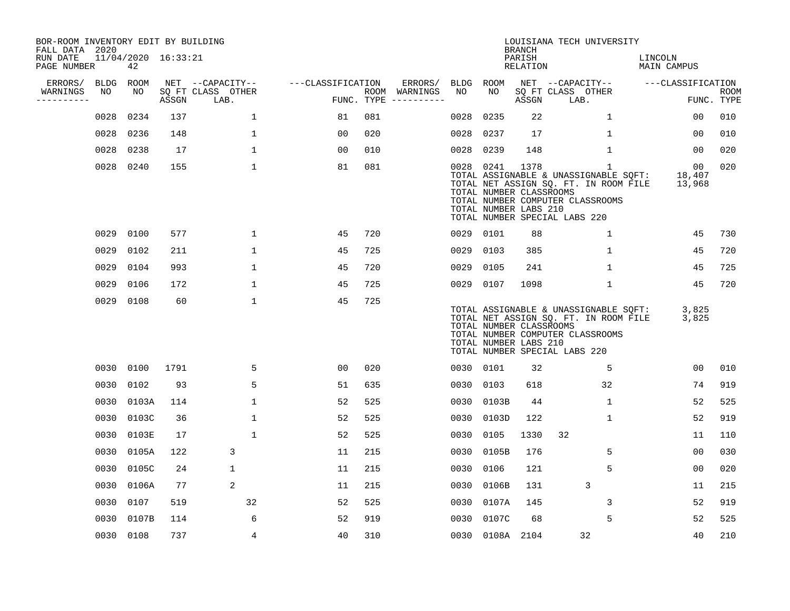| BOR-ROOM INVENTORY EDIT BY BUILDING<br>FALL DATA 2020 |             |                           |       |                           |                   |     |                                      |           |                                                  | <b>BRANCH</b>      | LOUISIANA TECH UNIVERSITY                                                                                                                                |                                     |                           |
|-------------------------------------------------------|-------------|---------------------------|-------|---------------------------|-------------------|-----|--------------------------------------|-----------|--------------------------------------------------|--------------------|----------------------------------------------------------------------------------------------------------------------------------------------------------|-------------------------------------|---------------------------|
| RUN DATE<br>PAGE NUMBER                               |             | 11/04/2020 16:33:21<br>42 |       |                           |                   |     |                                      |           |                                                  | PARISH<br>RELATION |                                                                                                                                                          | LINCOLN<br>MAIN CAMPUS              |                           |
| ERRORS/                                               | <b>BLDG</b> | ROOM                      |       | NET --CAPACITY--          | ---CLASSIFICATION |     | ERRORS/                              | BLDG      | ROOM                                             |                    | NET --CAPACITY--                                                                                                                                         | ---CLASSIFICATION                   |                           |
| WARNINGS<br>----------                                | NO          | NO                        | ASSGN | SQ FT CLASS OTHER<br>LAB. |                   |     | ROOM WARNINGS<br>FUNC. TYPE $------$ | NO        | NO                                               | ASSGN              | SQ FT CLASS OTHER<br>LAB.                                                                                                                                |                                     | <b>ROOM</b><br>FUNC. TYPE |
|                                                       | 0028        | 0234                      | 137   | $\mathbf{1}$              | 81                | 081 |                                      | 0028      | 0235                                             | 22                 | 1                                                                                                                                                        | 00                                  | 010                       |
|                                                       | 0028        | 0236                      | 148   | 1                         | 00                | 020 |                                      | 0028      | 0237                                             | 17                 | 1                                                                                                                                                        | 00                                  | 010                       |
|                                                       | 0028        | 0238                      | 17    | $\mathbf 1$               | 00                | 010 |                                      | 0028      | 0239                                             | 148                | $\mathbf 1$                                                                                                                                              | 00                                  | 020                       |
|                                                       | 0028        | 0240                      | 155   | $\mathbf 1$               | 81                | 081 |                                      | 0028 0241 | TOTAL NUMBER CLASSROOMS<br>TOTAL NUMBER LABS 210 | 1378               | 1<br>TOTAL ASSIGNABLE & UNASSIGNABLE SQFT:<br>TOTAL NET ASSIGN SQ. FT. IN ROOM FILE<br>TOTAL NUMBER COMPUTER CLASSROOMS<br>TOTAL NUMBER SPECIAL LABS 220 | 00 <sub>o</sub><br>18,407<br>13,968 | 020                       |
|                                                       | 0029        | 0100                      | 577   | $\mathbf 1$               | 45                | 720 |                                      | 0029 0101 |                                                  | 88                 | $\mathbf 1$                                                                                                                                              | 45                                  | 730                       |
|                                                       | 0029        | 0102                      | 211   | $\mathbf 1$               | 45                | 725 |                                      | 0029      | 0103                                             | 385                | $\mathbf 1$                                                                                                                                              | 45                                  | 720                       |
|                                                       | 0029        | 0104                      | 993   | $\mathbf 1$               | 45                | 720 |                                      | 0029      | 0105                                             | 241                | $\mathbf{1}$                                                                                                                                             | 45                                  | 725                       |
|                                                       | 0029        | 0106                      | 172   | $\mathbf{1}$              | 45                | 725 |                                      | 0029 0107 |                                                  | 1098               | $\mathbf{1}$                                                                                                                                             | 45                                  | 720                       |
|                                                       | 0029        | 0108                      | 60    | $\mathbf 1$               | 45                | 725 |                                      |           | TOTAL NUMBER CLASSROOMS<br>TOTAL NUMBER LABS 210 |                    | TOTAL ASSIGNABLE & UNASSIGNABLE SQFT:<br>TOTAL NET ASSIGN SQ. FT. IN ROOM FILE<br>TOTAL NUMBER COMPUTER CLASSROOMS<br>TOTAL NUMBER SPECIAL LABS 220      | 3,825<br>3,825                      |                           |
|                                                       | 0030        | 0100                      | 1791  | 5                         | 0 <sub>0</sub>    | 020 |                                      | 0030 0101 |                                                  | 32                 | 5                                                                                                                                                        | 00                                  | 010                       |
|                                                       | 0030        | 0102                      | 93    | 5                         | 51                | 635 |                                      | 0030      | 0103                                             | 618                | 32                                                                                                                                                       | 74                                  | 919                       |
|                                                       | 0030        | 0103A                     | 114   | $\mathbf{1}$              | 52                | 525 |                                      | 0030      | 0103B                                            | 44                 | $\mathbf 1$                                                                                                                                              | 52                                  | 525                       |
|                                                       | 0030        | 0103C                     | 36    | $\mathbf 1$               | 52                | 525 |                                      | 0030      | 0103D                                            | 122                | $\mathbf 1$                                                                                                                                              | 52                                  | 919                       |
|                                                       | 0030        | 0103E                     | 17    | $\mathbf{1}$              | 52                | 525 |                                      | 0030      | 0105                                             | 1330               | 32                                                                                                                                                       | 11                                  | 110                       |
|                                                       | 0030        | 0105A                     | 122   | 3                         | 11                | 215 |                                      | 0030      | 0105B                                            | 176                | 5                                                                                                                                                        | 0 <sub>0</sub>                      | 030                       |
|                                                       | 0030        | 0105C                     | 24    | $\mathbf 1$               | 11                | 215 |                                      | 0030      | 0106                                             | 121                | 5                                                                                                                                                        | 00                                  | 020                       |
|                                                       | 0030        | 0106A                     | 77    | 2                         | 11                | 215 |                                      | 0030      | 0106B                                            | 131                | 3                                                                                                                                                        | 11                                  | 215                       |
|                                                       | 0030        | 0107                      | 519   | 32                        | 52                | 525 |                                      | 0030      | 0107A                                            | 145                | 3                                                                                                                                                        | 52                                  | 919                       |
|                                                       | 0030        | 0107B                     | 114   | 6                         | 52                | 919 |                                      | 0030      | 0107C                                            | 68                 | 5                                                                                                                                                        | 52                                  | 525                       |
|                                                       | 0030        | 0108                      | 737   | 4                         | 40                | 310 |                                      |           | 0030 0108A 2104                                  |                    | 32                                                                                                                                                       | 40                                  | 210                       |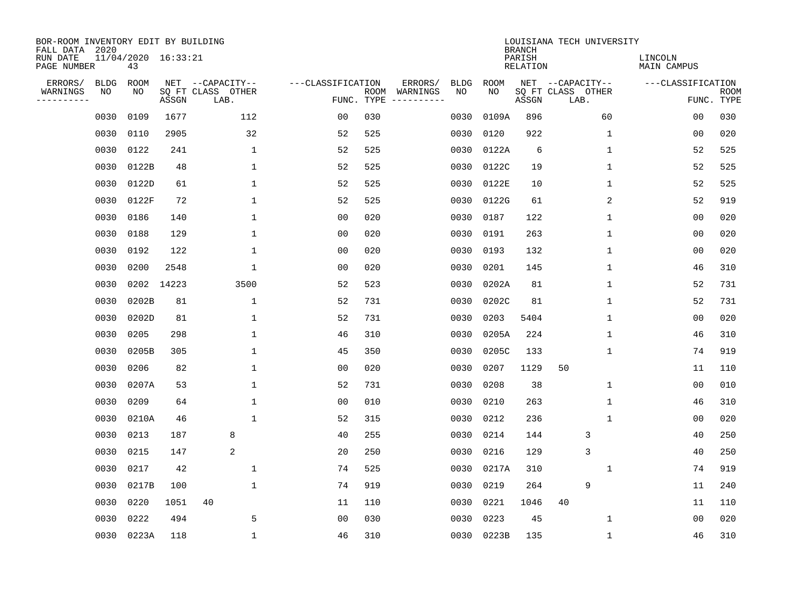| BOR-ROOM INVENTORY EDIT BY BUILDING<br>FALL DATA 2020 |                   |            |                     |                                       |                   |            |                         |                   |                   | <b>BRANCH</b>             | LOUISIANA TECH UNIVERSITY             |                               |                           |
|-------------------------------------------------------|-------------------|------------|---------------------|---------------------------------------|-------------------|------------|-------------------------|-------------------|-------------------|---------------------------|---------------------------------------|-------------------------------|---------------------------|
| RUN DATE<br>PAGE NUMBER                               |                   | 43         | 11/04/2020 16:33:21 |                                       |                   |            |                         |                   |                   | PARISH<br><b>RELATION</b> |                                       | LINCOLN<br><b>MAIN CAMPUS</b> |                           |
| ERRORS/<br>WARNINGS                                   | <b>BLDG</b><br>NO | ROOM<br>NO |                     | NET --CAPACITY--<br>SQ FT CLASS OTHER | ---CLASSIFICATION | ROOM       | ERRORS/                 | <b>BLDG</b><br>NO | <b>ROOM</b><br>NO |                           | NET --CAPACITY--<br>SQ FT CLASS OTHER | ---CLASSIFICATION             |                           |
| ----------                                            |                   |            | ASSGN               | LAB.                                  |                   | FUNC. TYPE | WARNINGS<br>----------- |                   |                   | ASSGN                     | LAB.                                  |                               | <b>ROOM</b><br>FUNC. TYPE |
|                                                       | 0030              | 0109       | 1677                | 112                                   | 00                | 030        |                         | 0030              | 0109A             | 896                       | 60                                    | 00                            | 030                       |
|                                                       | 0030              | 0110       | 2905                | 32                                    | 52                | 525        |                         | 0030              | 0120              | 922                       | 1                                     | 00                            | 020                       |
|                                                       | 0030              | 0122       | 241                 | $\mathbf 1$                           | 52                | 525        |                         | 0030              | 0122A             | 6                         | $\mathbf 1$                           | 52                            | 525                       |
|                                                       | 0030              | 0122B      | 48                  | 1                                     | 52                | 525        |                         | 0030              | 0122C             | 19                        | 1                                     | 52                            | 525                       |
|                                                       | 0030              | 0122D      | 61                  | $\mathbf 1$                           | 52                | 525        |                         | 0030              | 0122E             | 10                        | $\mathbf 1$                           | 52                            | 525                       |
|                                                       | 0030              | 0122F      | 72                  | $\mathbf{1}$                          | 52                | 525        |                         | 0030              | 0122G             | 61                        | 2                                     | 52                            | 919                       |
|                                                       | 0030              | 0186       | 140                 | $\mathbf{1}$                          | 0 <sub>0</sub>    | 020        |                         | 0030              | 0187              | 122                       | $\mathbf 1$                           | 0 <sub>0</sub>                | 020                       |
|                                                       | 0030              | 0188       | 129                 | $\mathbf{1}$                          | 0 <sub>0</sub>    | 020        |                         | 0030              | 0191              | 263                       | $\mathbf{1}$                          | 0 <sub>0</sub>                | 020                       |
|                                                       | 0030              | 0192       | 122                 | $\mathbf{1}$                          | 0 <sub>0</sub>    | 020        |                         | 0030              | 0193              | 132                       | $\mathbf 1$                           | 0 <sub>0</sub>                | 020                       |
|                                                       | 0030              | 0200       | 2548                | 1                                     | 0 <sub>0</sub>    | 020        |                         | 0030              | 0201              | 145                       | 1                                     | 46                            | 310                       |
|                                                       | 0030              | 0202       | 14223               | 3500                                  | 52                | 523        |                         | 0030              | 0202A             | 81                        | 1                                     | 52                            | 731                       |
|                                                       | 0030              | 0202B      | 81                  | $\mathbf{1}$                          | 52                | 731        |                         | 0030              | 0202C             | 81                        | 1                                     | 52                            | 731                       |
|                                                       | 0030              | 0202D      | 81                  | $\mathbf{1}$                          | 52                | 731        |                         | 0030              | 0203              | 5404                      | $\mathbf 1$                           | 00                            | 020                       |
|                                                       | 0030              | 0205       | 298                 | 1                                     | 46                | 310        |                         | 0030              | 0205A             | 224                       | 1                                     | 46                            | 310                       |
|                                                       | 0030              | 0205B      | 305                 | 1                                     | 45                | 350        |                         | 0030              | 0205C             | 133                       | 1                                     | 74                            | 919                       |
|                                                       | 0030              | 0206       | 82                  | 1                                     | 00                | 020        |                         | 0030              | 0207              | 1129                      | 50                                    | 11                            | 110                       |
|                                                       | 0030              | 0207A      | 53                  | 1                                     | 52                | 731        |                         | 0030              | 0208              | 38                        | 1                                     | 00                            | 010                       |
|                                                       | 0030              | 0209       | 64                  | 1                                     | 00                | 010        |                         | 0030              | 0210              | 263                       | 1                                     | 46                            | 310                       |
|                                                       | 0030              | 0210A      | 46                  | 1                                     | 52                | 315        |                         | 0030              | 0212              | 236                       | 1                                     | 0 <sub>0</sub>                | 020                       |
|                                                       | 0030              | 0213       | 187                 | 8                                     | 40                | 255        |                         | 0030              | 0214              | 144                       | 3                                     | 40                            | 250                       |
|                                                       | 0030              | 0215       | 147                 | 2                                     | 20                | 250        |                         | 0030              | 0216              | 129                       | 3                                     | 40                            | 250                       |
|                                                       | 0030              | 0217       | 42                  | $\mathbf{1}$                          | 74                | 525        |                         | 0030              | 0217A             | 310                       | $\mathbf{1}$                          | 74                            | 919                       |
|                                                       | 0030              | 0217B      | 100                 | $\mathbf{1}$                          | 74                | 919        |                         | 0030              | 0219              | 264                       | 9                                     | 11                            | 240                       |
|                                                       | 0030              | 0220       | 1051                | 40                                    | 11                | 110        |                         | 0030              | 0221              | 1046                      | 40                                    | 11                            | 110                       |
|                                                       | 0030              | 0222       | 494                 | 5                                     | 0 <sub>0</sub>    | 030        |                         | 0030              | 0223              | 45                        | 1                                     | 00                            | 020                       |
|                                                       |                   | 0030 0223A | 118                 | $\mathbf 1$                           | 46                | 310        |                         |                   | 0030 0223B        | 135                       | 1                                     | 46                            | 310                       |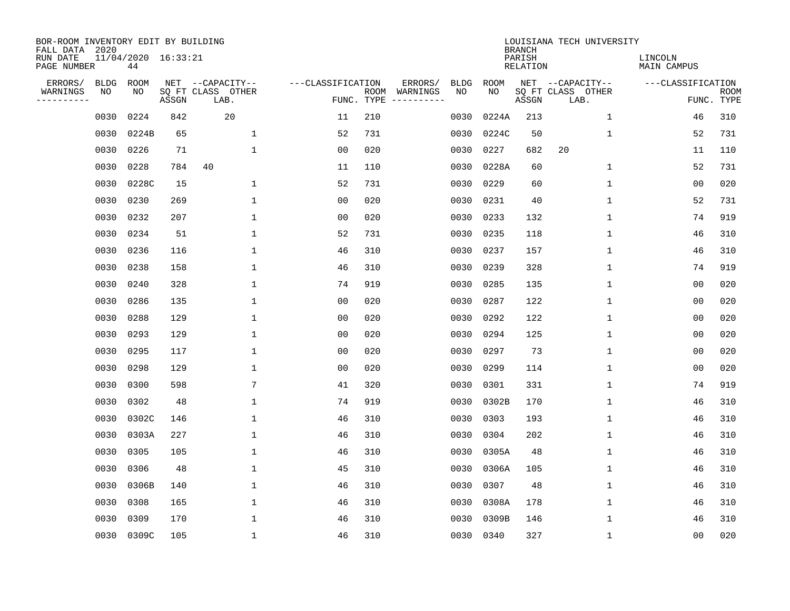| BOR-ROOM INVENTORY EDIT BY BUILDING<br>FALL DATA 2020 |             |                           |       |                           |                   |      |                                 |             |             | <b>BRANCH</b>             | LOUISIANA TECH UNIVERSITY |                               |                           |
|-------------------------------------------------------|-------------|---------------------------|-------|---------------------------|-------------------|------|---------------------------------|-------------|-------------|---------------------------|---------------------------|-------------------------------|---------------------------|
| RUN DATE<br>PAGE NUMBER                               |             | 11/04/2020 16:33:21<br>44 |       |                           |                   |      |                                 |             |             | PARISH<br><b>RELATION</b> |                           | LINCOLN<br><b>MAIN CAMPUS</b> |                           |
| ERRORS/                                               | <b>BLDG</b> | ROOM                      |       | NET --CAPACITY--          | ---CLASSIFICATION |      | ERRORS/                         | <b>BLDG</b> | <b>ROOM</b> |                           | NET --CAPACITY--          | ---CLASSIFICATION             |                           |
| WARNINGS<br>----------                                | NO          | NO                        | ASSGN | SQ FT CLASS OTHER<br>LAB. |                   | ROOM | WARNINGS<br>FUNC. TYPE $------$ | NO          | NO          | ASSGN                     | SQ FT CLASS OTHER<br>LAB. |                               | <b>ROOM</b><br>FUNC. TYPE |
|                                                       | 0030        | 0224                      | 842   | 20                        | 11                | 210  |                                 | 0030        | 0224A       | 213                       | $\mathbf 1$               | 46                            | 310                       |
|                                                       | 0030        | 0224B                     | 65    | $\mathbf 1$               | 52                | 731  |                                 | 0030        | 0224C       | 50                        | 1                         | 52                            | 731                       |
|                                                       | 0030        | 0226                      | 71    | $\mathbf 1$               | 0 <sub>0</sub>    | 020  |                                 | 0030        | 0227        | 682                       | 20                        | 11                            | 110                       |
|                                                       | 0030        | 0228                      | 784   | 40                        | 11                | 110  |                                 | 0030        | 0228A       | 60                        | 1                         | 52                            | 731                       |
|                                                       | 0030        | 0228C                     | 15    | $\mathbf 1$               | 52                | 731  |                                 | 0030        | 0229        | 60                        | $\mathbf{1}$              | 0 <sub>0</sub>                | 020                       |
|                                                       | 0030        | 0230                      | 269   | $\mathbf{1}$              | 0 <sub>0</sub>    | 020  |                                 | 0030        | 0231        | 40                        | $\mathbf 1$               | 52                            | 731                       |
|                                                       | 0030        | 0232                      | 207   | $\mathbf{1}$              | 0 <sub>0</sub>    | 020  |                                 | 0030        | 0233        | 132                       | $\mathbf{1}$              | 74                            | 919                       |
|                                                       | 0030        | 0234                      | 51    | $\mathbf{1}$              | 52                | 731  |                                 |             | 0030 0235   | 118                       | 1                         | 46                            | 310                       |
|                                                       | 0030        | 0236                      | 116   | $\mathbf{1}$              | 46                | 310  |                                 | 0030        | 0237        | 157                       | $\mathbf 1$               | 46                            | 310                       |
|                                                       | 0030        | 0238                      | 158   | 1                         | 46                | 310  |                                 | 0030        | 0239        | 328                       | $\mathbf 1$               | 74                            | 919                       |
|                                                       | 0030        | 0240                      | 328   | $\mathbf{1}$              | 74                | 919  |                                 | 0030        | 0285        | 135                       | $\mathbf 1$               | 0 <sub>0</sub>                | 020                       |
|                                                       | 0030        | 0286                      | 135   | $\mathbf{1}$              | 0 <sub>0</sub>    | 020  |                                 | 0030        | 0287        | 122                       | $\mathbf 1$               | 0 <sub>0</sub>                | 020                       |
|                                                       | 0030        | 0288                      | 129   | 1                         | 0 <sub>0</sub>    | 020  |                                 | 0030        | 0292        | 122                       | $\mathbf 1$               | 0 <sub>0</sub>                | 020                       |
|                                                       | 0030        | 0293                      | 129   | 1                         | 00                | 020  |                                 | 0030        | 0294        | 125                       | 1                         | 00                            | 020                       |
|                                                       | 0030        | 0295                      | 117   | $\mathbf 1$               | 0 <sub>0</sub>    | 020  |                                 | 0030        | 0297        | 73                        | 1                         | 0 <sub>0</sub>                | 020                       |
|                                                       | 0030        | 0298                      | 129   | 1                         | 0 <sub>0</sub>    | 020  |                                 | 0030        | 0299        | 114                       | 1                         | 0 <sub>0</sub>                | 020                       |
|                                                       | 0030        | 0300                      | 598   | 7                         | 41                | 320  |                                 | 0030        | 0301        | 331                       | 1                         | 74                            | 919                       |
|                                                       | 0030        | 0302                      | 48    | $\mathbf{1}$              | 74                | 919  |                                 | 0030        | 0302B       | 170                       | 1                         | 46                            | 310                       |
|                                                       | 0030        | 0302C                     | 146   | $\mathbf{1}$              | 46                | 310  |                                 | 0030        | 0303        | 193                       | 1                         | 46                            | 310                       |
|                                                       | 0030        | 0303A                     | 227   | 1                         | 46                | 310  |                                 | 0030        | 0304        | 202                       | 1                         | 46                            | 310                       |
|                                                       | 0030        | 0305                      | 105   | 1                         | 46                | 310  |                                 | 0030        | 0305A       | 48                        | 1                         | 46                            | 310                       |
|                                                       | 0030        | 0306                      | 48    | $\mathbf{1}$              | 45                | 310  |                                 | 0030        | 0306A       | 105                       | 1                         | 46                            | 310                       |
|                                                       | 0030        | 0306B                     | 140   | 1                         | 46                | 310  |                                 | 0030        | 0307        | 48                        | 1                         | 46                            | 310                       |
|                                                       | 0030        | 0308                      | 165   | $\mathbf 1$               | 46                | 310  |                                 | 0030        | 0308A       | 178                       | 1                         | 46                            | 310                       |
|                                                       | 0030        | 0309                      | 170   | $\mathbf{1}$              | 46                | 310  |                                 | 0030        | 0309B       | 146                       | 1                         | 46                            | 310                       |
|                                                       |             | 0030 0309C                | 105   | $\mathbf{1}$              | 46                | 310  |                                 |             | 0030 0340   | 327                       | 1                         | 00                            | 020                       |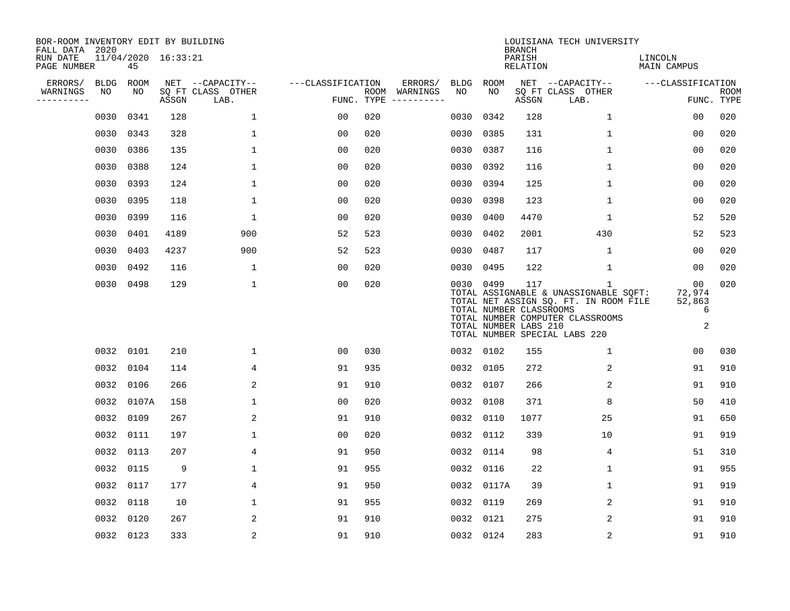| BOR-ROOM INVENTORY EDIT BY BUILDING<br>FALL DATA 2020 |             |                           |       |                           |                   |            |                              |      |            | <b>BRANCH</b>                                           | LOUISIANA TECH UNIVERSITY                                                                                                                                |                                           |                           |
|-------------------------------------------------------|-------------|---------------------------|-------|---------------------------|-------------------|------------|------------------------------|------|------------|---------------------------------------------------------|----------------------------------------------------------------------------------------------------------------------------------------------------------|-------------------------------------------|---------------------------|
| RUN DATE<br>PAGE NUMBER                               |             | 11/04/2020 16:33:21<br>45 |       |                           |                   |            |                              |      |            | PARISH<br>RELATION                                      |                                                                                                                                                          | LINCOLN<br>MAIN CAMPUS                    |                           |
| ERRORS/                                               | <b>BLDG</b> | ROOM                      |       | NET --CAPACITY--          | ---CLASSIFICATION |            | ERRORS/                      | BLDG | ROOM       |                                                         | NET --CAPACITY--                                                                                                                                         | ---CLASSIFICATION                         |                           |
| WARNINGS<br>----------                                | NO          | NO                        | ASSGN | SQ FT CLASS OTHER<br>LAB. |                   | FUNC. TYPE | ROOM WARNINGS<br>----------- | NO   | NO.        | ASSGN                                                   | SQ FT CLASS OTHER<br>LAB.                                                                                                                                |                                           | <b>ROOM</b><br>FUNC. TYPE |
|                                                       | 0030        | 0341                      | 128   | $\mathbf 1$               | 0 <sub>0</sub>    | 020        |                              | 0030 | 0342       | 128                                                     | $\mathbf{1}$                                                                                                                                             | 00                                        | 020                       |
|                                                       | 0030        | 0343                      | 328   | 1                         | 00                | 020        |                              | 0030 | 0385       | 131                                                     | 1                                                                                                                                                        | 00                                        | 020                       |
|                                                       | 0030        | 0386                      | 135   | $\mathbf 1$               | 0 <sub>0</sub>    | 020        |                              | 0030 | 0387       | 116                                                     | $\mathbf{1}$                                                                                                                                             | 0 <sub>0</sub>                            | 020                       |
|                                                       | 0030        | 0388                      | 124   | $\mathbf{1}$              | 0 <sub>0</sub>    | 020        |                              | 0030 | 0392       | 116                                                     | $\mathbf 1$                                                                                                                                              | 00                                        | 020                       |
|                                                       | 0030        | 0393                      | 124   | $\mathbf{1}$              | 0 <sub>0</sub>    | 020        |                              | 0030 | 0394       | 125                                                     | $\mathbf 1$                                                                                                                                              | 00                                        | 020                       |
|                                                       | 0030        | 0395                      | 118   | 1                         | 0 <sub>0</sub>    | 020        |                              | 0030 | 0398       | 123                                                     | $\mathbf{1}$                                                                                                                                             | 00                                        | 020                       |
|                                                       | 0030        | 0399                      | 116   | 1                         | 0 <sub>0</sub>    | 020        |                              | 0030 | 0400       | 4470                                                    | $\mathbf 1$                                                                                                                                              | 52                                        | 520                       |
|                                                       | 0030        | 0401                      | 4189  | 900                       | 52                | 523        |                              | 0030 | 0402       | 2001                                                    | 430                                                                                                                                                      | 52                                        | 523                       |
|                                                       | 0030        | 0403                      | 4237  | 900                       | 52                | 523        |                              | 0030 | 0487       | 117                                                     | $\mathbf{1}$                                                                                                                                             | 0 <sub>0</sub>                            | 020                       |
|                                                       | 0030        | 0492                      | 116   | $\mathbf{1}$              | 0 <sub>0</sub>    | 020        |                              | 0030 | 0495       | 122                                                     | $\mathbf{1}$                                                                                                                                             | 0 <sub>0</sub>                            | 020                       |
|                                                       | 0030        | 0498                      | 129   | $\mathbf 1$               | 00                | 020        |                              |      | 0030 0499  | 117<br>TOTAL NUMBER CLASSROOMS<br>TOTAL NUMBER LABS 210 | 1<br>TOTAL ASSIGNABLE & UNASSIGNABLE SQFT:<br>TOTAL NET ASSIGN SQ. FT. IN ROOM FILE<br>TOTAL NUMBER COMPUTER CLASSROOMS<br>TOTAL NUMBER SPECIAL LABS 220 | 00<br>72,974<br>52,863<br>6<br>$\sqrt{2}$ | 020                       |
|                                                       | 0032        | 0101                      | 210   | 1                         | 0 <sub>0</sub>    | 030        |                              |      | 0032 0102  | 155                                                     | 1                                                                                                                                                        | 00                                        | 030                       |
|                                                       | 0032        | 0104                      | 114   | 4                         | 91                | 935        |                              | 0032 | 0105       | 272                                                     | 2                                                                                                                                                        | 91                                        | 910                       |
|                                                       | 0032        | 0106                      | 266   | 2                         | 91                | 910        |                              | 0032 | 0107       | 266                                                     | $\overline{2}$                                                                                                                                           | 91                                        | 910                       |
|                                                       | 0032        | 0107A                     | 158   | $\mathbf 1$               | 0 <sub>0</sub>    | 020        |                              | 0032 | 0108       | 371                                                     | 8                                                                                                                                                        | 50                                        | 410                       |
|                                                       | 0032        | 0109                      | 267   | 2                         | 91                | 910        |                              | 0032 | 0110       | 1077                                                    | 25                                                                                                                                                       | 91                                        | 650                       |
|                                                       | 0032        | 0111                      | 197   | $\mathbf 1$               | 0 <sub>0</sub>    | 020        |                              | 0032 | 0112       | 339                                                     | 10                                                                                                                                                       | 91                                        | 919                       |
|                                                       | 0032        | 0113                      | 207   | 4                         | 91                | 950        |                              | 0032 | 0114       | 98                                                      | 4                                                                                                                                                        | 51                                        | 310                       |
|                                                       | 0032        | 0115                      | 9     | $\mathbf{1}$              | 91                | 955        |                              | 0032 | 0116       | 22                                                      | $\mathbf 1$                                                                                                                                              | 91                                        | 955                       |
|                                                       | 0032        | 0117                      | 177   | 4                         | 91                | 950        |                              |      | 0032 0117A | 39                                                      | 1                                                                                                                                                        | 91                                        | 919                       |
|                                                       | 0032        | 0118                      | 10    | 1                         | 91                | 955        |                              | 0032 | 0119       | 269                                                     | 2                                                                                                                                                        | 91                                        | 910                       |
|                                                       | 0032        | 0120                      | 267   | 2                         | 91                | 910        |                              | 0032 | 0121       | 275                                                     | 2                                                                                                                                                        | 91                                        | 910                       |
|                                                       |             | 0032 0123                 | 333   | $\overline{a}$            | 91                | 910        |                              |      | 0032 0124  | 283                                                     | $\overline{2}$                                                                                                                                           | 91                                        | 910                       |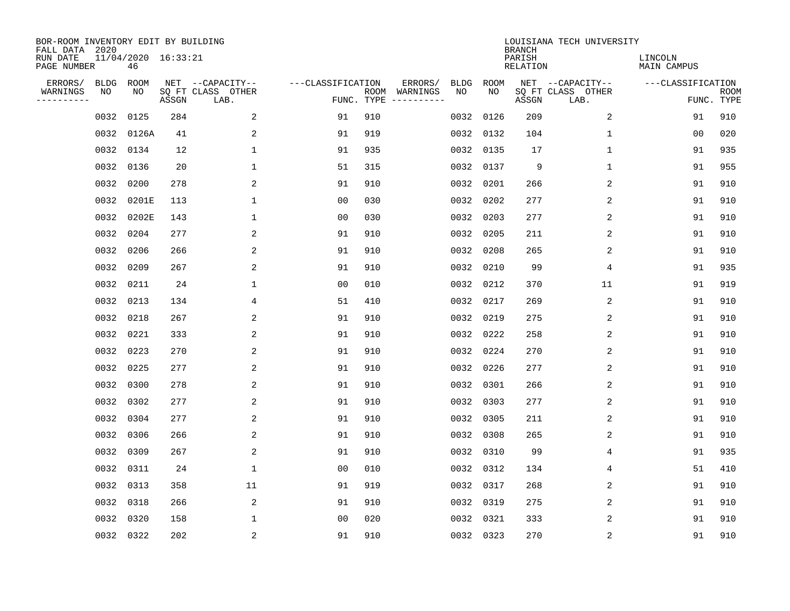| BOR-ROOM INVENTORY EDIT BY BUILDING<br>FALL DATA 2020 |             |                           |       |                           |                   |                    |                         |             |             | <b>BRANCH</b>             | LOUISIANA TECH UNIVERSITY |                               |                           |
|-------------------------------------------------------|-------------|---------------------------|-------|---------------------------|-------------------|--------------------|-------------------------|-------------|-------------|---------------------------|---------------------------|-------------------------------|---------------------------|
| RUN DATE<br>PAGE NUMBER                               |             | 11/04/2020 16:33:21<br>46 |       |                           |                   |                    |                         |             |             | PARISH<br><b>RELATION</b> |                           | LINCOLN<br><b>MAIN CAMPUS</b> |                           |
| ERRORS/                                               | <b>BLDG</b> | ROOM                      |       | NET --CAPACITY--          | ---CLASSIFICATION |                    | ERRORS/                 | <b>BLDG</b> | <b>ROOM</b> |                           | NET --CAPACITY--          | ---CLASSIFICATION             |                           |
| WARNINGS<br>----------                                | NO          | NO                        | ASSGN | SQ FT CLASS OTHER<br>LAB. |                   | ROOM<br>FUNC. TYPE | WARNINGS<br>----------- | NO          | NO          | ASSGN                     | SQ FT CLASS OTHER<br>LAB. |                               | <b>ROOM</b><br>FUNC. TYPE |
|                                                       | 0032        | 0125                      | 284   | 2                         | 91                | 910                |                         | 0032        | 0126        | 209                       | 2                         | 91                            | 910                       |
|                                                       | 0032        | 0126A                     | 41    | 2                         | 91                | 919                |                         | 0032        | 0132        | 104                       | 1                         | 00                            | 020                       |
|                                                       | 0032        | 0134                      | 12    | $\mathbf 1$               | 91                | 935                |                         | 0032        | 0135        | 17                        | 1                         | 91                            | 935                       |
|                                                       | 0032        | 0136                      | 20    | 1                         | 51                | 315                |                         |             | 0032 0137   | 9                         | 1                         | 91                            | 955                       |
|                                                       | 0032        | 0200                      | 278   | 2                         | 91                | 910                |                         | 0032        | 0201        | 266                       | 2                         | 91                            | 910                       |
|                                                       | 0032        | 0201E                     | 113   | $\mathbf 1$               | 0 <sub>0</sub>    | 030                |                         |             | 0032 0202   | 277                       | 2                         | 91                            | 910                       |
|                                                       | 0032        | 0202E                     | 143   | $\mathbf{1}$              | 0 <sub>0</sub>    | 030                |                         | 0032        | 0203        | 277                       | 2                         | 91                            | 910                       |
|                                                       | 0032        | 0204                      | 277   | 2                         | 91                | 910                |                         |             | 0032 0205   | 211                       | 2                         | 91                            | 910                       |
|                                                       | 0032        | 0206                      | 266   | 2                         | 91                | 910                |                         | 0032        | 0208        | 265                       | 2                         | 91                            | 910                       |
|                                                       | 0032        | 0209                      | 267   | 2                         | 91                | 910                |                         |             | 0032 0210   | 99                        | 4                         | 91                            | 935                       |
|                                                       | 0032        | 0211                      | 24    | 1                         | 0 <sub>0</sub>    | 010                |                         | 0032        | 0212        | 370                       | 11                        | 91                            | 919                       |
|                                                       | 0032        | 0213                      | 134   | 4                         | 51                | 410                |                         | 0032        | 0217        | 269                       | 2                         | 91                            | 910                       |
|                                                       | 0032        | 0218                      | 267   | 2                         | 91                | 910                |                         | 0032        | 0219        | 275                       | 2                         | 91                            | 910                       |
|                                                       | 0032        | 0221                      | 333   | 2                         | 91                | 910                |                         | 0032        | 0222        | 258                       | $\overline{c}$            | 91                            | 910                       |
|                                                       | 0032        | 0223                      | 270   | 2                         | 91                | 910                |                         | 0032        | 0224        | 270                       | 2                         | 91                            | 910                       |
|                                                       | 0032        | 0225                      | 277   | 2                         | 91                | 910                |                         | 0032        | 0226        | 277                       | 2                         | 91                            | 910                       |
|                                                       | 0032        | 0300                      | 278   | 2                         | 91                | 910                |                         | 0032        | 0301        | 266                       | 2                         | 91                            | 910                       |
|                                                       | 0032        | 0302                      | 277   | 2                         | 91                | 910                |                         | 0032        | 0303        | 277                       | $\overline{2}$            | 91                            | 910                       |
|                                                       | 0032        | 0304                      | 277   | 2                         | 91                | 910                |                         | 0032        | 0305        | 211                       | 2                         | 91                            | 910                       |
|                                                       | 0032        | 0306                      | 266   | 2                         | 91                | 910                |                         | 0032        | 0308        | 265                       | 2                         | 91                            | 910                       |
|                                                       | 0032        | 0309                      | 267   | 2                         | 91                | 910                |                         |             | 0032 0310   | 99                        | 4                         | 91                            | 935                       |
|                                                       | 0032        | 0311                      | 24    | $\mathbf{1}$              | 0 <sub>0</sub>    | 010                |                         | 0032        | 0312        | 134                       | 4                         | 51                            | 410                       |
|                                                       | 0032        | 0313                      | 358   | 11                        | 91                | 919                |                         |             | 0032 0317   | 268                       | 2                         | 91                            | 910                       |
|                                                       | 0032        | 0318                      | 266   | 2                         | 91                | 910                |                         |             | 0032 0319   | 275                       | 2                         | 91                            | 910                       |
|                                                       | 0032        | 0320                      | 158   | 1                         | 0 <sub>0</sub>    | 020                |                         |             | 0032 0321   | 333                       | 2                         | 91                            | 910                       |
|                                                       |             | 0032 0322                 | 202   | 2                         | 91                | 910                |                         |             | 0032 0323   | 270                       | $\sqrt{2}$                | 91                            | 910                       |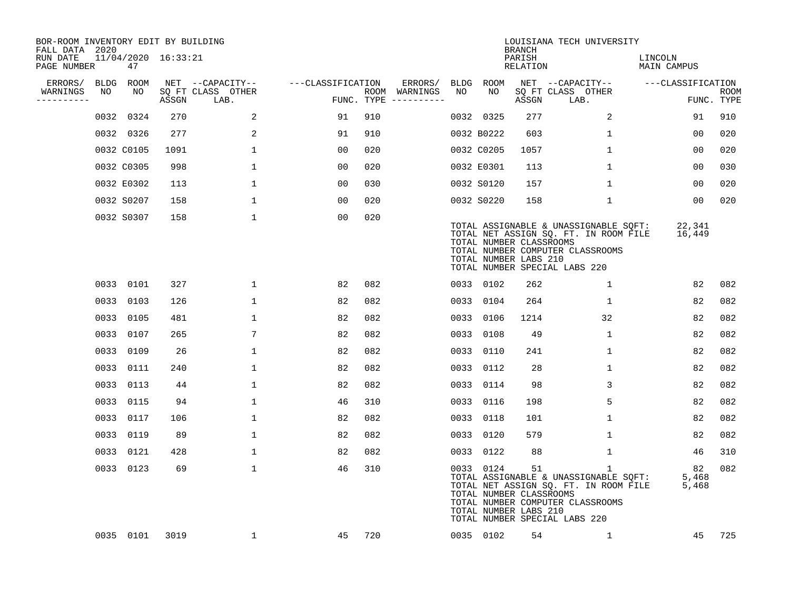| BOR-ROOM INVENTORY EDIT BY BUILDING<br>FALL DATA 2020 |    |                           |       |                           |                   |     |                                      |             |            | <b>BRANCH</b>                                          | LOUISIANA TECH UNIVERSITY                                                                                                                                           |                        |                           |
|-------------------------------------------------------|----|---------------------------|-------|---------------------------|-------------------|-----|--------------------------------------|-------------|------------|--------------------------------------------------------|---------------------------------------------------------------------------------------------------------------------------------------------------------------------|------------------------|---------------------------|
| RUN DATE<br>PAGE NUMBER                               |    | 11/04/2020 16:33:21<br>47 |       |                           |                   |     |                                      |             |            | PARISH<br>RELATION                                     |                                                                                                                                                                     | LINCOLN<br>MAIN CAMPUS |                           |
| ERRORS/                                               |    | BLDG ROOM                 |       | NET --CAPACITY--          | ---CLASSIFICATION |     | ERRORS/                              | <b>BLDG</b> | ROOM       |                                                        | NET --CAPACITY--                                                                                                                                                    | ---CLASSIFICATION      |                           |
| WARNINGS<br>----------                                | NO | NO                        | ASSGN | SQ FT CLASS OTHER<br>LAB. |                   |     | ROOM WARNINGS<br>FUNC. TYPE $------$ | NO          | NO         | ASSGN                                                  | SQ FT CLASS OTHER<br>LAB.                                                                                                                                           |                        | <b>ROOM</b><br>FUNC. TYPE |
|                                                       |    | 0032 0324                 | 270   | 2                         | 91                | 910 |                                      |             | 0032 0325  | 277                                                    | 2                                                                                                                                                                   | 91                     | 910                       |
|                                                       |    | 0032 0326                 | 277   | 2                         | 91                | 910 |                                      |             | 0032 B0222 | 603                                                    | $\mathbf{1}$                                                                                                                                                        | 0 <sub>0</sub>         | 020                       |
|                                                       |    | 0032 C0105                | 1091  | $\mathbf{1}$              | 00                | 020 |                                      |             | 0032 C0205 | 1057                                                   | $\mathbf{1}$                                                                                                                                                        | 00                     | 020                       |
|                                                       |    | 0032 C0305                | 998   | 1                         | 00                | 020 |                                      |             | 0032 E0301 | 113                                                    | $\mathbf{1}$                                                                                                                                                        | 00                     | 030                       |
|                                                       |    | 0032 E0302                | 113   | $\mathbf{1}$              | 00                | 030 |                                      |             | 0032 S0120 | 157                                                    | $\mathbf{1}$                                                                                                                                                        | 00                     | 020                       |
|                                                       |    | 0032 S0207                | 158   | 1                         | 00                | 020 |                                      |             | 0032 S0220 | 158                                                    | $\mathbf 1$                                                                                                                                                         | 0 <sub>0</sub>         | 020                       |
|                                                       |    | 0032 S0307                | 158   | $\mathbf 1$               | 0 <sub>0</sub>    | 020 |                                      |             |            | TOTAL NUMBER CLASSROOMS<br>TOTAL NUMBER LABS 210       | TOTAL ASSIGNABLE & UNASSIGNABLE SQFT:<br>TOTAL NET ASSIGN SQ. FT. IN ROOM FILE<br>TOTAL NUMBER COMPUTER CLASSROOMS<br>TOTAL NUMBER SPECIAL LABS 220                 | 22,341<br>16,449       |                           |
|                                                       |    | 0033 0101                 | 327   | $\mathbf{1}$              | 82                | 082 |                                      |             | 0033 0102  | 262                                                    | 1                                                                                                                                                                   | 82                     | 082                       |
|                                                       |    | 0033 0103                 | 126   | $\mathbf{1}$              | 82                | 082 |                                      |             | 0033 0104  | 264                                                    | 1                                                                                                                                                                   | 82                     | 082                       |
|                                                       |    | 0033 0105                 | 481   | $\mathbf{1}$              | 82                | 082 |                                      | 0033        | 0106       | 1214                                                   | 32                                                                                                                                                                  | 82                     | 082                       |
|                                                       |    | 0033 0107                 | 265   | 7                         | 82                | 082 |                                      |             | 0033 0108  | 49                                                     | $\mathbf{1}$                                                                                                                                                        | 82                     | 082                       |
|                                                       |    | 0033 0109                 | 26    | $\mathbf 1$               | 82                | 082 |                                      | 0033        | 0110       | 241                                                    | $\mathbf{1}$                                                                                                                                                        | 82                     | 082                       |
|                                                       |    | 0033 0111                 | 240   | $\mathbf{1}$              | 82                | 082 |                                      |             | 0033 0112  | 28                                                     | $\mathbf{1}$                                                                                                                                                        | 82                     | 082                       |
|                                                       |    | 0033 0113                 | 44    | $\mathbf{1}$              | 82                | 082 |                                      | 0033        | 0114       | 98                                                     | 3                                                                                                                                                                   | 82                     | 082                       |
|                                                       |    | 0033 0115                 | 94    | $\mathbf{1}$              | 46                | 310 |                                      | 0033        | 0116       | 198                                                    | 5                                                                                                                                                                   | 82                     | 082                       |
|                                                       |    | 0033 0117                 | 106   | 1                         | 82                | 082 |                                      | 0033        | 0118       | 101                                                    | $\mathbf{1}$                                                                                                                                                        | 82                     | 082                       |
|                                                       |    | 0033 0119                 | 89    | 1                         | 82                | 082 |                                      |             | 0033 0120  | 579                                                    | $\mathbf{1}$                                                                                                                                                        | 82                     | 082                       |
|                                                       |    | 0033 0121                 | 428   | 1                         | 82                | 082 |                                      | 0033        | 0122       | 88                                                     | $\mathbf 1$                                                                                                                                                         | 46                     | 310                       |
|                                                       |    | 0033 0123                 | 69    | $\mathbf{1}$              | 46                | 310 |                                      |             | 0033 0124  | 51<br>TOTAL NUMBER CLASSROOMS<br>TOTAL NUMBER LABS 210 | $\mathbf{1}$<br>TOTAL ASSIGNABLE & UNASSIGNABLE SQFT:<br>TOTAL NET ASSIGN SQ. FT. IN ROOM FILE<br>TOTAL NUMBER COMPUTER CLASSROOMS<br>TOTAL NUMBER SPECIAL LABS 220 | 82<br>5,468<br>5,468   | 082                       |
|                                                       |    | 0035 0101                 | 3019  | 1                         | 45                | 720 |                                      |             | 0035 0102  | 54                                                     | $\mathbf{1}$                                                                                                                                                        | 45                     | 725                       |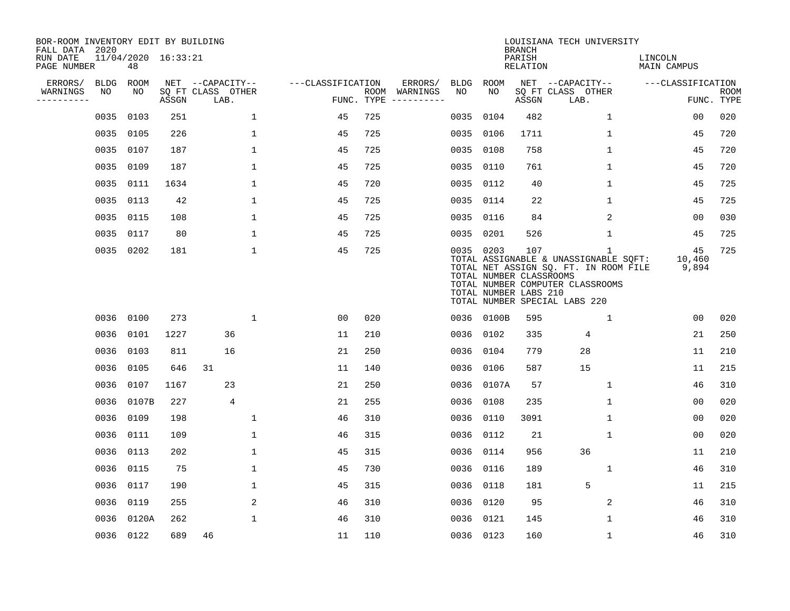| BOR-ROOM INVENTORY EDIT BY BUILDING<br>FALL DATA 2020 |             |                           |       |                           |              |                   |     |                                      |             |                                                               | <b>BRANCH</b>             | LOUISIANA TECH UNIVERSITY                                                                                                                                           |                               |                           |
|-------------------------------------------------------|-------------|---------------------------|-------|---------------------------|--------------|-------------------|-----|--------------------------------------|-------------|---------------------------------------------------------------|---------------------------|---------------------------------------------------------------------------------------------------------------------------------------------------------------------|-------------------------------|---------------------------|
| RUN DATE<br>PAGE NUMBER                               |             | 11/04/2020 16:33:21<br>48 |       |                           |              |                   |     |                                      |             |                                                               | PARISH<br><b>RELATION</b> |                                                                                                                                                                     | LINCOLN<br><b>MAIN CAMPUS</b> |                           |
| ERRORS/                                               | <b>BLDG</b> | ROOM                      |       | NET --CAPACITY--          |              | ---CLASSIFICATION |     | ERRORS/                              | <b>BLDG</b> | <b>ROOM</b>                                                   |                           | NET --CAPACITY--                                                                                                                                                    | ---CLASSIFICATION             |                           |
| WARNINGS<br>. <u>.</u> .                              | NO          | NO                        | ASSGN | SQ FT CLASS OTHER<br>LAB. |              |                   |     | ROOM WARNINGS<br>FUNC. TYPE $------$ | NO          | NO                                                            | ASSGN                     | SQ FT CLASS OTHER<br>LAB.                                                                                                                                           |                               | <b>ROOM</b><br>FUNC. TYPE |
|                                                       | 0035        | 0103                      | 251   |                           | 1            | 45                | 725 |                                      | 0035        | 0104                                                          | 482                       | $\mathbf 1$                                                                                                                                                         | 00                            | 020                       |
|                                                       | 0035        | 0105                      | 226   |                           | $\mathbf 1$  | 45                | 725 |                                      | 0035        | 0106                                                          | 1711                      | 1                                                                                                                                                                   | 45                            | 720                       |
|                                                       | 0035        | 0107                      | 187   |                           | $\mathbf 1$  | 45                | 725 |                                      | 0035        | 0108                                                          | 758                       | 1                                                                                                                                                                   | 45                            | 720                       |
|                                                       | 0035        | 0109                      | 187   |                           | $\mathbf 1$  | 45                | 725 |                                      | 0035        | 0110                                                          | 761                       | $\mathbf 1$                                                                                                                                                         | 45                            | 720                       |
|                                                       | 0035        | 0111                      | 1634  |                           | $\mathbf{1}$ | 45                | 720 |                                      | 0035        | 0112                                                          | 40                        | 1                                                                                                                                                                   | 45                            | 725                       |
|                                                       |             | 0035 0113                 | 42    |                           | $\mathbf{1}$ | 45                | 725 |                                      |             | 0035 0114                                                     | 22                        | 1                                                                                                                                                                   | 45                            | 725                       |
|                                                       |             | 0035 0115                 | 108   |                           | $\mathbf{1}$ | 45                | 725 |                                      | 0035        | 0116                                                          | 84                        | 2                                                                                                                                                                   | 00                            | 030                       |
|                                                       |             | 0035 0117                 | 80    |                           | $\mathbf{1}$ | 45                | 725 |                                      |             | 0035 0201                                                     | 526                       | $\mathbf{1}$                                                                                                                                                        | 45                            | 725                       |
|                                                       |             | 0035 0202                 | 181   |                           | $\mathbf{1}$ | 45                | 725 |                                      |             | 0035 0203<br>TOTAL NUMBER CLASSROOMS<br>TOTAL NUMBER LABS 210 | 107                       | $\mathbf{1}$<br>TOTAL ASSIGNABLE & UNASSIGNABLE SQFT:<br>TOTAL NET ASSIGN SQ. FT. IN ROOM FILE<br>TOTAL NUMBER COMPUTER CLASSROOMS<br>TOTAL NUMBER SPECIAL LABS 220 | 45<br>10,460<br>9,894         | 725                       |
|                                                       |             | 0036 0100                 | 273   |                           | $\mathbf 1$  | 0 <sub>0</sub>    | 020 |                                      | 0036        | 0100B                                                         | 595                       | $\mathbf{1}$                                                                                                                                                        | 0 <sub>0</sub>                | 020                       |
|                                                       | 0036        | 0101                      | 1227  | 36                        |              | 11                | 210 |                                      | 0036        | 0102                                                          | 335                       | 4                                                                                                                                                                   | 21                            | 250                       |
|                                                       |             | 0036 0103                 | 811   | 16                        |              | 21                | 250 |                                      | 0036        | 0104                                                          | 779                       | 28                                                                                                                                                                  | 11                            | 210                       |
|                                                       |             | 0036 0105                 | 646   | 31                        |              | 11                | 140 |                                      | 0036        | 0106                                                          | 587                       | 15                                                                                                                                                                  | 11                            | 215                       |
|                                                       | 0036        | 0107                      | 1167  | 23                        |              | 21                | 250 |                                      | 0036        | 0107A                                                         | 57                        | 1                                                                                                                                                                   | 46                            | 310                       |
|                                                       |             | 0036 0107B                | 227   | 4                         |              | 21                | 255 |                                      | 0036        | 0108                                                          | 235                       | 1                                                                                                                                                                   | 00                            | 020                       |
|                                                       | 0036        | 0109                      | 198   |                           | 1            | 46                | 310 |                                      | 0036        | 0110                                                          | 3091                      | 1                                                                                                                                                                   | 0 <sub>0</sub>                | 020                       |
|                                                       | 0036        | 0111                      | 109   |                           | $\mathbf{1}$ | 46                | 315 |                                      | 0036        | 0112                                                          | 21                        | 1                                                                                                                                                                   | 00                            | 020                       |
|                                                       | 0036        | 0113                      | 202   |                           | $\mathbf{1}$ | 45                | 315 |                                      | 0036        | 0114                                                          | 956                       | 36                                                                                                                                                                  | 11                            | 210                       |
|                                                       | 0036        | 0115                      | 75    |                           | $\mathbf{1}$ | 45                | 730 |                                      | 0036        | 0116                                                          | 189                       | $\mathbf{1}$                                                                                                                                                        | 46                            | 310                       |
|                                                       |             | 0036 0117                 | 190   |                           | $\mathbf{1}$ | 45                | 315 |                                      | 0036        | 0118                                                          | 181                       | 5                                                                                                                                                                   | 11                            | 215                       |
|                                                       | 0036        | 0119                      | 255   |                           | 2            | 46                | 310 |                                      | 0036        | 0120                                                          | 95                        | 2                                                                                                                                                                   | 46                            | 310                       |
|                                                       | 0036        | 0120A                     | 262   |                           | $\mathbf{1}$ | 46                | 310 |                                      | 0036        | 0121                                                          | 145                       | 1                                                                                                                                                                   | 46                            | 310                       |
|                                                       |             | 0036 0122                 | 689   | 46                        |              | 11                | 110 |                                      |             | 0036 0123                                                     | 160                       | 1                                                                                                                                                                   | 46                            | 310                       |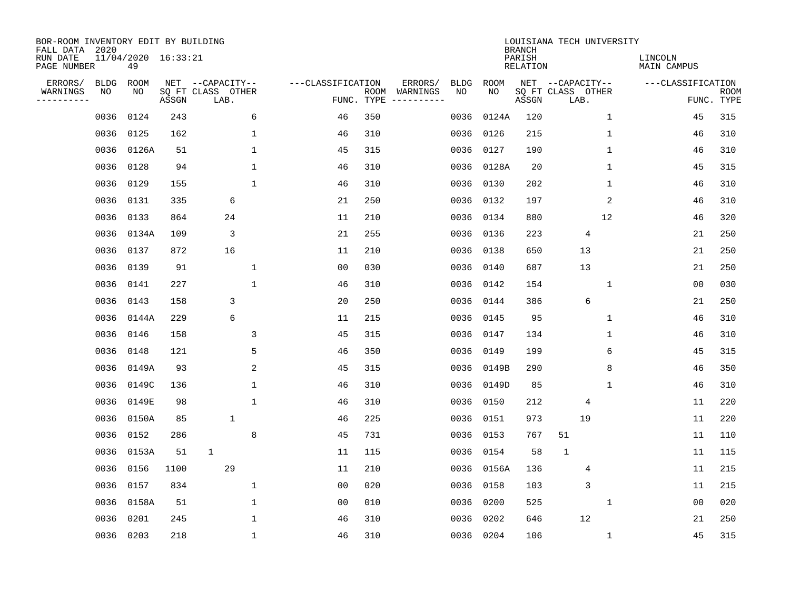| BOR-ROOM INVENTORY EDIT BY BUILDING<br>FALL DATA 2020 |             |                           |       |                           |              |                   |                    |                         |             |           | <b>BRANCH</b>             | LOUISIANA TECH UNIVERSITY |              |                               |                           |
|-------------------------------------------------------|-------------|---------------------------|-------|---------------------------|--------------|-------------------|--------------------|-------------------------|-------------|-----------|---------------------------|---------------------------|--------------|-------------------------------|---------------------------|
| RUN DATE<br>PAGE NUMBER                               |             | 11/04/2020 16:33:21<br>49 |       |                           |              |                   |                    |                         |             |           | PARISH<br><b>RELATION</b> |                           |              | LINCOLN<br><b>MAIN CAMPUS</b> |                           |
| ERRORS/                                               | <b>BLDG</b> | ROOM                      |       | NET --CAPACITY--          |              | ---CLASSIFICATION |                    | ERRORS/                 | <b>BLDG</b> | ROOM      |                           | NET --CAPACITY--          |              | ---CLASSIFICATION             |                           |
| WARNINGS<br>----------                                | ΝO          | ΝO                        | ASSGN | SQ FT CLASS OTHER<br>LAB. |              |                   | ROOM<br>FUNC. TYPE | WARNINGS<br>----------- | NO          | NO        | ASSGN                     | SQ FT CLASS OTHER<br>LAB. |              |                               | <b>ROOM</b><br>FUNC. TYPE |
|                                                       | 0036        | 0124                      | 243   |                           | 6            | 46                | 350                |                         | 0036        | 0124A     | 120                       |                           | $\mathbf 1$  | 45                            | 315                       |
|                                                       | 0036        | 0125                      | 162   |                           | $\mathbf 1$  | 46                | 310                |                         | 0036        | 0126      | 215                       |                           | 1            | 46                            | 310                       |
|                                                       | 0036        | 0126A                     | 51    |                           | $\mathbf{1}$ | 45                | 315                |                         | 0036        | 0127      | 190                       |                           | $\mathbf{1}$ | 46                            | 310                       |
|                                                       | 0036        | 0128                      | 94    |                           | $\mathbf 1$  | 46                | 310                |                         | 0036        | 0128A     | 20                        |                           | $\mathbf{1}$ | 45                            | 315                       |
|                                                       | 0036        | 0129                      | 155   |                           | $\mathbf 1$  | 46                | 310                |                         | 0036        | 0130      | 202                       |                           | 1            | 46                            | 310                       |
|                                                       | 0036        | 0131                      | 335   | 6                         |              | 21                | 250                |                         |             | 0036 0132 | 197                       |                           | 2            | 46                            | 310                       |
|                                                       | 0036        | 0133                      | 864   | 24                        |              | 11                | 210                |                         | 0036        | 0134      | 880                       |                           | 12           | 46                            | 320                       |
|                                                       | 0036        | 0134A                     | 109   | 3                         |              | 21                | 255                |                         | 0036        | 0136      | 223                       | 4                         |              | 21                            | 250                       |
|                                                       | 0036        | 0137                      | 872   | 16                        |              | 11                | 210                |                         | 0036        | 0138      | 650                       | 13                        |              | 21                            | 250                       |
|                                                       |             | 0036 0139                 | 91    |                           | 1            | 0 <sub>0</sub>    | 030                |                         | 0036        | 0140      | 687                       | 13                        |              | 21                            | 250                       |
|                                                       | 0036        | 0141                      | 227   |                           | $\mathbf{1}$ | 46                | 310                |                         | 0036        | 0142      | 154                       |                           | 1            | 0 <sub>0</sub>                | 030                       |
|                                                       | 0036        | 0143                      | 158   | 3                         |              | 20                | 250                |                         | 0036        | 0144      | 386                       | 6                         |              | 21                            | 250                       |
|                                                       | 0036        | 0144A                     | 229   | 6                         |              | 11                | 215                |                         | 0036        | 0145      | 95                        |                           | $\mathbf{1}$ | 46                            | 310                       |
|                                                       | 0036        | 0146                      | 158   |                           | 3            | 45                | 315                |                         | 0036        | 0147      | 134                       |                           | 1            | 46                            | 310                       |
|                                                       | 0036        | 0148                      | 121   |                           | 5            | 46                | 350                |                         | 0036        | 0149      | 199                       |                           | 6            | 45                            | 315                       |
|                                                       | 0036        | 0149A                     | 93    |                           | 2            | 45                | 315                |                         | 0036        | 0149B     | 290                       |                           | 8            | 46                            | 350                       |
|                                                       | 0036        | 0149C                     | 136   |                           | 1            | 46                | 310                |                         | 0036        | 0149D     | 85                        |                           | 1            | 46                            | 310                       |
|                                                       | 0036        | 0149E                     | 98    |                           | $\mathbf 1$  | 46                | 310                |                         | 0036        | 0150      | 212                       | 4                         |              | 11                            | 220                       |
|                                                       | 0036        | 0150A                     | 85    | $\mathbf 1$               |              | 46                | 225                |                         | 0036        | 0151      | 973                       | 19                        |              | 11                            | 220                       |
|                                                       | 0036        | 0152                      | 286   |                           | 8            | 45                | 731                |                         | 0036        | 0153      | 767                       | 51                        |              | 11                            | 110                       |
|                                                       | 0036        | 0153A                     | 51    | $\mathbf{1}$              |              | 11                | 115                |                         | 0036        | 0154      | 58                        | $\mathbf{1}$              |              | 11                            | 115                       |
|                                                       | 0036        | 0156                      | 1100  | 29                        |              | 11                | 210                |                         | 0036        | 0156A     | 136                       | 4                         |              | 11                            | 215                       |
|                                                       | 0036        | 0157                      | 834   |                           | 1            | 00                | 020                |                         | 0036        | 0158      | 103                       | 3                         |              | 11                            | 215                       |
|                                                       | 0036        | 0158A                     | 51    |                           | 1            | 00                | 010                |                         | 0036        | 0200      | 525                       |                           | 1            | 00                            | 020                       |
|                                                       | 0036        | 0201                      | 245   |                           | 1            | 46                | 310                |                         | 0036        | 0202      | 646                       | 12                        |              | 21                            | 250                       |
|                                                       |             | 0036 0203                 | 218   |                           | $\mathbf 1$  | 46                | 310                |                         |             | 0036 0204 | 106                       |                           | $\mathbf 1$  | 45                            | 315                       |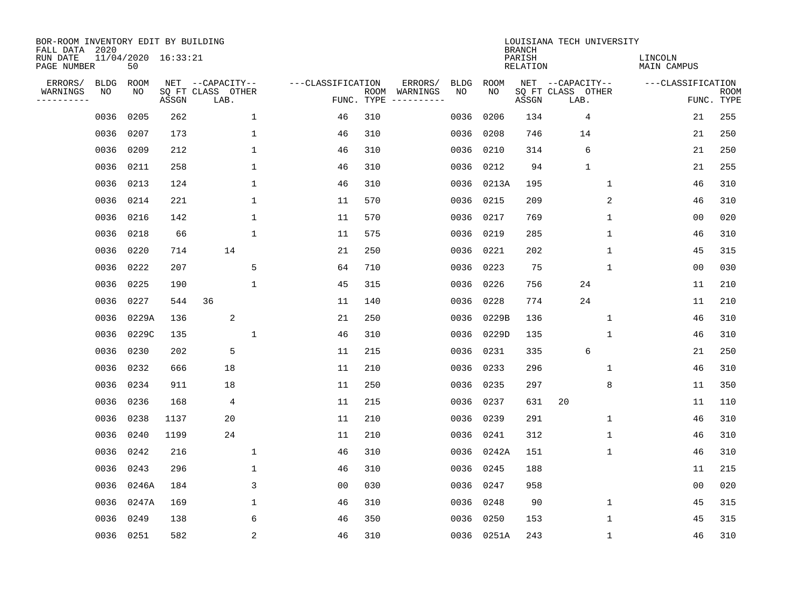| BOR-ROOM INVENTORY EDIT BY BUILDING<br>FALL DATA 2020 |             |                           |       |                           |                |                   |                    |          |             |             | <b>BRANCH</b>             | LOUISIANA TECH UNIVERSITY |              |                               |                           |
|-------------------------------------------------------|-------------|---------------------------|-------|---------------------------|----------------|-------------------|--------------------|----------|-------------|-------------|---------------------------|---------------------------|--------------|-------------------------------|---------------------------|
| RUN DATE<br>PAGE NUMBER                               |             | 11/04/2020 16:33:21<br>50 |       |                           |                |                   |                    |          |             |             | PARISH<br><b>RELATION</b> |                           |              | LINCOLN<br><b>MAIN CAMPUS</b> |                           |
| ERRORS/                                               | <b>BLDG</b> | ROOM                      |       | NET --CAPACITY--          |                | ---CLASSIFICATION |                    | ERRORS/  | <b>BLDG</b> | <b>ROOM</b> |                           | NET --CAPACITY--          |              | ---CLASSIFICATION             |                           |
| WARNINGS<br>----------                                | NO          | NO                        | ASSGN | SQ FT CLASS OTHER<br>LAB. |                |                   | ROOM<br>FUNC. TYPE | WARNINGS | NO          | NO          | ASSGN                     | SQ FT CLASS OTHER<br>LAB. |              |                               | <b>ROOM</b><br>FUNC. TYPE |
|                                                       | 0036        | 0205                      | 262   |                           | $\mathbf 1$    | 46                | 310                |          | 0036        | 0206        | 134                       | 4                         |              | 21                            | 255                       |
|                                                       | 0036        | 0207                      | 173   |                           | 1              | 46                | 310                |          | 0036        | 0208        | 746                       | 14                        |              | 21                            | 250                       |
|                                                       | 0036        | 0209                      | 212   |                           | $\mathbf 1$    | 46                | 310                |          | 0036        | 0210        | 314                       | 6                         |              | 21                            | 250                       |
|                                                       | 0036        | 0211                      | 258   |                           | 1              | 46                | 310                |          |             | 0036 0212   | 94                        | $\mathbf{1}$              |              | 21                            | 255                       |
|                                                       | 0036        | 0213                      | 124   |                           | $\mathbf{1}$   | 46                | 310                |          |             | 0036 0213A  | 195                       |                           | 1            | 46                            | 310                       |
|                                                       | 0036        | 0214                      | 221   |                           | $\mathbf{1}$   | 11                | 570                |          |             | 0036 0215   | 209                       |                           | 2            | 46                            | 310                       |
|                                                       | 0036        | 0216                      | 142   |                           | $\mathbf{1}$   | 11                | 570                |          | 0036        | 0217        | 769                       |                           | $\mathbf{1}$ | 0 <sub>0</sub>                | 020                       |
|                                                       | 0036        | 0218                      | 66    |                           | $\mathbf{1}$   | 11                | 575                |          |             | 0036 0219   | 285                       |                           | $\mathbf{1}$ | 46                            | 310                       |
|                                                       | 0036        | 0220                      | 714   | 14                        |                | 21                | 250                |          | 0036        | 0221        | 202                       |                           | $\mathbf{1}$ | 45                            | 315                       |
|                                                       | 0036        | 0222                      | 207   |                           | 5              | 64                | 710                |          | 0036        | 0223        | 75                        |                           | 1            | 0 <sub>0</sub>                | 030                       |
|                                                       | 0036        | 0225                      | 190   |                           | 1              | 45                | 315                |          | 0036        | 0226        | 756                       | 24                        |              | 11                            | 210                       |
|                                                       | 0036        | 0227                      | 544   | 36                        |                | 11                | 140                |          | 0036        | 0228        | 774                       | 24                        |              | 11                            | 210                       |
|                                                       | 0036        | 0229A                     | 136   | 2                         |                | 21                | 250                |          | 0036        | 0229B       | 136                       |                           | 1            | 46                            | 310                       |
|                                                       | 0036        | 0229C                     | 135   |                           | $\mathbf 1$    | 46                | 310                |          | 0036        | 0229D       | 135                       |                           | 1            | 46                            | 310                       |
|                                                       | 0036        | 0230                      | 202   | 5                         |                | 11                | 215                |          | 0036        | 0231        | 335                       | 6                         |              | 21                            | 250                       |
|                                                       | 0036        | 0232                      | 666   | 18                        |                | 11                | 210                |          | 0036        | 0233        | 296                       |                           | 1            | 46                            | 310                       |
|                                                       | 0036        | 0234                      | 911   | 18                        |                | 11                | 250                |          | 0036        | 0235        | 297                       |                           | 8            | 11                            | 350                       |
|                                                       | 0036        | 0236                      | 168   | 4                         |                | 11                | 215                |          | 0036        | 0237        | 631                       | 20                        |              | 11                            | 110                       |
|                                                       | 0036        | 0238                      | 1137  | 20                        |                | 11                | 210                |          | 0036        | 0239        | 291                       |                           | 1            | 46                            | 310                       |
|                                                       | 0036        | 0240                      | 1199  | 24                        |                | 11                | 210                |          | 0036        | 0241        | 312                       |                           | 1            | 46                            | 310                       |
|                                                       | 0036        | 0242                      | 216   |                           | 1              | 46                | 310                |          | 0036        | 0242A       | 151                       |                           | 1            | 46                            | 310                       |
|                                                       | 0036        | 0243                      | 296   |                           | 1              | 46                | 310                |          | 0036        | 0245        | 188                       |                           |              | 11                            | 215                       |
|                                                       | 0036        | 0246A                     | 184   |                           | 3              | 0 <sub>0</sub>    | 030                |          | 0036        | 0247        | 958                       |                           |              | 0 <sub>0</sub>                | 020                       |
|                                                       | 0036        | 0247A                     | 169   |                           | $\mathbf 1$    | 46                | 310                |          | 0036        | 0248        | 90                        |                           | $\mathbf 1$  | 45                            | 315                       |
|                                                       | 0036        | 0249                      | 138   |                           | 6              | 46                | 350                |          | 0036        | 0250        | 153                       |                           | 1            | 45                            | 315                       |
|                                                       | 0036 0251   |                           | 582   |                           | $\overline{2}$ | 46                | 310                |          |             | 0036 0251A  | 243                       |                           | 1            | 46                            | 310                       |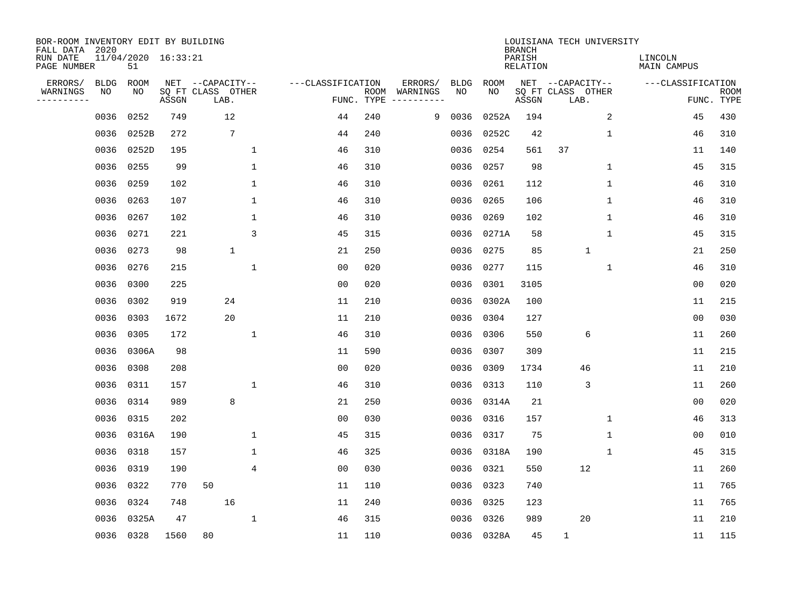| BOR-ROOM INVENTORY EDIT BY BUILDING<br>FALL DATA 2020 |             |                           |       |                   |             |              |                   |                |      |                        |             |             | <b>BRANCH</b>             | LOUISIANA TECH UNIVERSITY |              |              |                               |                |                           |
|-------------------------------------------------------|-------------|---------------------------|-------|-------------------|-------------|--------------|-------------------|----------------|------|------------------------|-------------|-------------|---------------------------|---------------------------|--------------|--------------|-------------------------------|----------------|---------------------------|
| RUN DATE<br>PAGE NUMBER                               |             | 11/04/2020 16:33:21<br>51 |       |                   |             |              |                   |                |      |                        |             |             | PARISH<br><b>RELATION</b> |                           |              |              | LINCOLN<br><b>MAIN CAMPUS</b> |                |                           |
| ERRORS/                                               | <b>BLDG</b> | ROOM                      |       | NET --CAPACITY--  |             |              | ---CLASSIFICATION |                |      | ERRORS/                | <b>BLDG</b> | <b>ROOM</b> |                           | NET --CAPACITY--          |              |              | ---CLASSIFICATION             |                |                           |
| WARNINGS<br>-----------                               | ΝO          | ΝO                        | ASSGN | SQ FT CLASS OTHER | LAB.        |              |                   | FUNC. TYPE     | ROOM | WARNINGS<br>---------- | NO          | NO          | ASSGN                     | SQ FT CLASS OTHER<br>LAB. |              |              |                               |                | <b>ROOM</b><br>FUNC. TYPE |
|                                                       | 0036        | 0252                      | 749   |                   | 12          |              |                   | 44             | 240  | 9                      | 0036        | 0252A       | 194                       |                           |              | 2            |                               | 45             | 430                       |
|                                                       | 0036        | 0252B                     | 272   |                   | 7           |              |                   | 44             | 240  |                        | 0036        | 0252C       | 42                        |                           |              | 1            |                               | 46             | 310                       |
|                                                       | 0036        | 0252D                     | 195   |                   |             | $\mathbf{1}$ |                   | 46             | 310  |                        | 0036        | 0254        | 561                       | 37                        |              |              |                               | 11             | 140                       |
|                                                       | 0036        | 0255                      | 99    |                   |             | $\mathbf 1$  |                   | 46             | 310  |                        | 0036        | 0257        | 98                        |                           |              | 1            |                               | 45             | 315                       |
|                                                       | 0036        | 0259                      | 102   |                   |             | $\mathbf{1}$ |                   | 46             | 310  |                        | 0036        | 0261        | 112                       |                           |              | $\mathbf{1}$ |                               | 46             | 310                       |
|                                                       | 0036        | 0263                      | 107   |                   |             | $\mathbf{1}$ |                   | 46             | 310  |                        | 0036        | 0265        | 106                       |                           |              | $\mathbf{1}$ |                               | 46             | 310                       |
|                                                       | 0036        | 0267                      | 102   |                   |             | $\mathbf{1}$ |                   | 46             | 310  |                        | 0036        | 0269        | 102                       |                           |              | $\mathbf{1}$ |                               | 46             | 310                       |
|                                                       | 0036        | 0271                      | 221   |                   |             | 3            |                   | 45             | 315  |                        | 0036        | 0271A       | 58                        |                           |              | $\mathbf{1}$ |                               | 45             | 315                       |
|                                                       | 0036        | 0273                      | 98    |                   | $\mathbf 1$ |              |                   | 21             | 250  |                        | 0036        | 0275        | 85                        |                           | $\mathbf{1}$ |              |                               | 21             | 250                       |
|                                                       |             | 0036 0276                 | 215   |                   |             | $\mathbf 1$  |                   | 0 <sub>0</sub> | 020  |                        | 0036        | 0277        | 115                       |                           |              | $\mathbf 1$  |                               | 46             | 310                       |
|                                                       | 0036        | 0300                      | 225   |                   |             |              |                   | 0 <sub>0</sub> | 020  |                        | 0036        | 0301        | 3105                      |                           |              |              |                               | 0 <sub>0</sub> | 020                       |
|                                                       | 0036        | 0302                      | 919   |                   | 24          |              |                   | 11             | 210  |                        | 0036        | 0302A       | 100                       |                           |              |              |                               | 11             | 215                       |
|                                                       | 0036        | 0303                      | 1672  |                   | 20          |              |                   | 11             | 210  |                        | 0036        | 0304        | 127                       |                           |              |              |                               | 0 <sub>0</sub> | 030                       |
|                                                       | 0036        | 0305                      | 172   |                   |             | 1            |                   | 46             | 310  |                        | 0036        | 0306        | 550                       |                           | 6            |              |                               | 11             | 260                       |
|                                                       | 0036        | 0306A                     | 98    |                   |             |              |                   | 11             | 590  |                        | 0036        | 0307        | 309                       |                           |              |              |                               | 11             | 215                       |
|                                                       | 0036        | 0308                      | 208   |                   |             |              |                   | 0 <sub>0</sub> | 020  |                        | 0036        | 0309        | 1734                      |                           | 46           |              |                               | 11             | 210                       |
|                                                       | 0036        | 0311                      | 157   |                   |             | $\mathbf{1}$ |                   | 46             | 310  |                        | 0036        | 0313        | 110                       |                           | 3            |              |                               | 11             | 260                       |
|                                                       | 0036        | 0314                      | 989   |                   | 8           |              |                   | 21             | 250  |                        | 0036        | 0314A       | 21                        |                           |              |              |                               | 0 <sub>0</sub> | 020                       |
|                                                       | 0036        | 0315                      | 202   |                   |             |              |                   | 0 <sub>0</sub> | 030  |                        | 0036        | 0316        | 157                       |                           |              | 1            |                               | 46             | 313                       |
|                                                       | 0036        | 0316A                     | 190   |                   |             | 1            |                   | 45             | 315  |                        | 0036        | 0317        | 75                        |                           |              | 1            |                               | 0 <sub>0</sub> | 010                       |
|                                                       | 0036        | 0318                      | 157   |                   |             | 1            |                   | 46             | 325  |                        | 0036        | 0318A       | 190                       |                           |              | 1            |                               | 45             | 315                       |
|                                                       | 0036        | 0319                      | 190   |                   |             | 4            |                   | 0 <sub>0</sub> | 030  |                        | 0036        | 0321        | 550                       |                           | 12           |              |                               | 11             | 260                       |
|                                                       | 0036        | 0322                      | 770   | 50                |             |              |                   | 11             | 110  |                        | 0036        | 0323        | 740                       |                           |              |              |                               | 11             | 765                       |
|                                                       | 0036        | 0324                      | 748   |                   | 16          |              |                   | 11             | 240  |                        | 0036        | 0325        | 123                       |                           |              |              |                               | 11             | 765                       |
|                                                       | 0036        | 0325A                     | 47    |                   |             | $\mathbf 1$  |                   | 46             | 315  |                        | 0036        | 0326        | 989                       |                           | 20           |              |                               | 11             | 210                       |
|                                                       |             | 0036 0328                 | 1560  | 80                |             |              |                   | 11             | 110  |                        |             | 0036 0328A  | 45                        | $\mathbf{1}$              |              |              |                               | 11             | 115                       |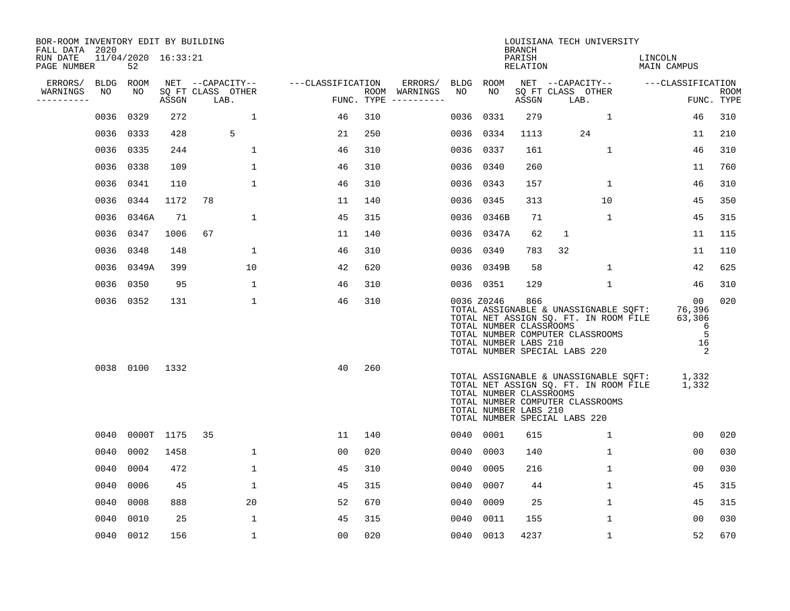| BOR-ROOM INVENTORY EDIT BY BUILDING<br>FALL DATA 2020 |           |                           |            |                           |                   |     |                                      |      |                                                                | <b>BRANCH</b>      | LOUISIANA TECH UNIVERSITY                                                                                                                           |                                             |                           |
|-------------------------------------------------------|-----------|---------------------------|------------|---------------------------|-------------------|-----|--------------------------------------|------|----------------------------------------------------------------|--------------------|-----------------------------------------------------------------------------------------------------------------------------------------------------|---------------------------------------------|---------------------------|
| RUN DATE<br>PAGE NUMBER                               |           | 11/04/2020 16:33:21<br>52 |            |                           |                   |     |                                      |      |                                                                | PARISH<br>RELATION |                                                                                                                                                     | LINCOLN<br>MAIN CAMPUS                      |                           |
| ERRORS/                                               | BLDG ROOM |                           |            | NET --CAPACITY--          | ---CLASSIFICATION |     | ERRORS/                              |      | BLDG ROOM                                                      |                    | NET --CAPACITY-- ---CLASSIFICATION                                                                                                                  |                                             |                           |
| WARNINGS<br>----------                                | NO        | NO                        | ASSGN      | SQ FT CLASS OTHER<br>LAB. |                   |     | ROOM WARNINGS<br>FUNC. TYPE $------$ | NO   | NO                                                             | ASSGN              | SQ FT CLASS OTHER<br>LAB.                                                                                                                           |                                             | <b>ROOM</b><br>FUNC. TYPE |
|                                                       | 0036      | 0329                      | 272        | $\mathbf{1}$              | 46                | 310 |                                      | 0036 | 0331                                                           | 279                | 1                                                                                                                                                   | 46                                          | 310                       |
|                                                       | 0036      | 0333                      | 428        | 5                         | 21                | 250 |                                      |      | 0036 0334                                                      | 1113               | 24                                                                                                                                                  | 11                                          | 210                       |
|                                                       | 0036      | 0335                      | 244        | $\mathbf 1$               | 46                | 310 |                                      |      | 0036 0337                                                      | 161                | $\mathbf 1$                                                                                                                                         | 46                                          | 310                       |
|                                                       | 0036      | 0338                      | 109        | 1                         | 46                | 310 |                                      |      | 0036 0340                                                      | 260                |                                                                                                                                                     | 11                                          | 760                       |
|                                                       | 0036      | 0341                      | 110        | $\mathbf{1}$              | 46                | 310 |                                      |      | 0036 0343                                                      | 157                | $\mathbf{1}$                                                                                                                                        | 46                                          | 310                       |
|                                                       | 0036      | 0344                      | 1172       | 78                        | 11                | 140 |                                      |      | 0036 0345                                                      | 313                | 10                                                                                                                                                  | 45                                          | 350                       |
|                                                       |           | 0036 0346A                | 71         | $\mathbf 1$               | 45                | 315 |                                      |      | 0036 0346B                                                     | 71                 | $\mathbf{1}$                                                                                                                                        | 45                                          | 315                       |
|                                                       | 0036      | 0347                      | 1006       | 67                        | 11                | 140 |                                      |      | 0036 0347A                                                     | 62                 | $\mathbf{1}$                                                                                                                                        | 11                                          | 115                       |
|                                                       | 0036      | 0348                      | 148        | 1                         | 46                | 310 |                                      | 0036 | 0349                                                           | 783                | 32                                                                                                                                                  | 11                                          | 110                       |
|                                                       |           | 0036 0349A                | 399        | 10                        | 42                | 620 |                                      |      | 0036 0349B                                                     | 58                 | 1                                                                                                                                                   | 42                                          | 625                       |
|                                                       | 0036      | 0350                      | 95         | $\mathbf{1}$              | 46                | 310 |                                      |      | 0036 0351                                                      | 129                | $\mathbf 1$                                                                                                                                         | 46                                          | 310                       |
|                                                       |           | 0036 0352                 | 131        | $\mathbf 1$               | 46                | 310 |                                      |      | 0036 Z0246<br>TOTAL NUMBER CLASSROOMS<br>TOTAL NUMBER LABS 210 | 866                | TOTAL ASSIGNABLE & UNASSIGNABLE SQFT:<br>TOTAL NET ASSIGN SQ. FT. IN ROOM FILE<br>TOTAL NUMBER COMPUTER CLASSROOMS<br>TOTAL NUMBER SPECIAL LABS 220 | 00<br>76,396<br>63,306<br>6<br>5<br>16<br>2 | 020                       |
|                                                       |           | 0038 0100                 | 1332       |                           | 40                | 260 |                                      |      | TOTAL NUMBER CLASSROOMS<br>TOTAL NUMBER LABS 210               |                    | TOTAL ASSIGNABLE & UNASSIGNABLE SQFT:<br>TOTAL NET ASSIGN SQ. FT. IN ROOM FILE<br>TOTAL NUMBER COMPUTER CLASSROOMS<br>TOTAL NUMBER SPECIAL LABS 220 | 1,332<br>1,332                              |                           |
|                                                       | 0040      |                           | 0000T 1175 | 35                        | 11                | 140 |                                      |      | 0040 0001                                                      | 615                | $\mathbf{1}$                                                                                                                                        | 00                                          | 020                       |
|                                                       | 0040      | 0002                      | 1458       | $\mathbf{1}$              | 0 <sub>0</sub>    | 020 |                                      | 0040 | 0003                                                           | 140                | $\mathbf{1}$                                                                                                                                        | 00                                          | 030                       |
|                                                       | 0040      | 0004                      | 472        | $\mathbf{1}$              | 45                | 310 |                                      | 0040 | 0005                                                           | 216                | $\mathbf 1$                                                                                                                                         | 0 <sub>0</sub>                              | 030                       |
|                                                       | 0040      | 0006                      | 45         | $\mathbf 1$               | 45                | 315 |                                      | 0040 | 0007                                                           | 44                 | $\mathbf 1$                                                                                                                                         | 45                                          | 315                       |
|                                                       | 0040      | 0008                      | 888        | 20                        | 52                | 670 |                                      | 0040 | 0009                                                           | 25                 | $\mathbf 1$                                                                                                                                         | 45                                          | 315                       |
|                                                       | 0040      | 0010                      | 25         | 1                         | 45                | 315 |                                      | 0040 | 0011                                                           | 155                | $\mathbf{1}$                                                                                                                                        | 00                                          | 030                       |
|                                                       |           | 0040 0012                 | 156        | 1                         | 00                | 020 |                                      |      | 0040 0013                                                      | 4237               | 1                                                                                                                                                   | 52                                          | 670                       |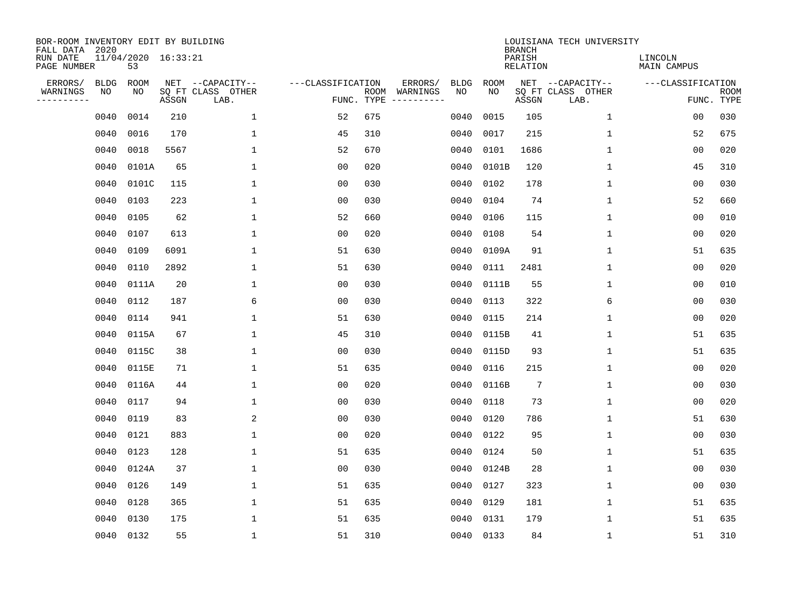| BOR-ROOM INVENTORY EDIT BY BUILDING<br>FALL DATA 2020 |             |                           |       |                           |                   |                    |          |             |             | <b>BRANCH</b>             | LOUISIANA TECH UNIVERSITY |                               |                           |
|-------------------------------------------------------|-------------|---------------------------|-------|---------------------------|-------------------|--------------------|----------|-------------|-------------|---------------------------|---------------------------|-------------------------------|---------------------------|
| RUN DATE<br>PAGE NUMBER                               |             | 11/04/2020 16:33:21<br>53 |       |                           |                   |                    |          |             |             | PARISH<br><b>RELATION</b> |                           | LINCOLN<br><b>MAIN CAMPUS</b> |                           |
| ERRORS/                                               | <b>BLDG</b> | ROOM                      |       | NET --CAPACITY--          | ---CLASSIFICATION |                    | ERRORS/  | <b>BLDG</b> | <b>ROOM</b> |                           | NET --CAPACITY--          | ---CLASSIFICATION             |                           |
| WARNINGS<br>----------                                | NO          | NO                        | ASSGN | SQ FT CLASS OTHER<br>LAB. |                   | ROOM<br>FUNC. TYPE | WARNINGS | NO          | NO          | ASSGN                     | SQ FT CLASS OTHER<br>LAB. |                               | <b>ROOM</b><br>FUNC. TYPE |
|                                                       | 0040        | 0014                      | 210   | $\mathbf 1$               | 52                | 675                |          | 0040        | 0015        | 105                       | 1                         | 00                            | 030                       |
|                                                       | 0040        | 0016                      | 170   | 1                         | 45                | 310                |          | 0040        | 0017        | 215                       | 1                         | 52                            | 675                       |
|                                                       | 0040        | 0018                      | 5567  | $\mathbf 1$               | 52                | 670                |          | 0040        | 0101        | 1686                      | 1                         | 0 <sub>0</sub>                | 020                       |
|                                                       | 0040        | 0101A                     | 65    | $\mathbf{1}$              | 0 <sub>0</sub>    | 020                |          | 0040        | 0101B       | 120                       | 1                         | 45                            | 310                       |
|                                                       | 0040        | 0101C                     | 115   | $\mathbf{1}$              | 0 <sub>0</sub>    | 030                |          | 0040        | 0102        | 178                       | $\mathbf 1$               | 0 <sub>0</sub>                | 030                       |
|                                                       | 0040        | 0103                      | 223   | $\mathbf 1$               | 0 <sub>0</sub>    | 030                |          | 0040        | 0104        | 74                        | $\mathbf 1$               | 52                            | 660                       |
|                                                       | 0040        | 0105                      | 62    | $\mathbf{1}$              | 52                | 660                |          | 0040        | 0106        | 115                       | $\mathbf{1}$              | 0 <sub>0</sub>                | 010                       |
|                                                       | 0040        | 0107                      | 613   | $\mathbf{1}$              | 0 <sub>0</sub>    | 020                |          | 0040        | 0108        | 54                        | $\mathbf{1}$              | 0 <sub>0</sub>                | 020                       |
|                                                       | 0040        | 0109                      | 6091  | $\mathbf{1}$              | 51                | 630                |          | 0040        | 0109A       | 91                        | $\mathbf{1}$              | 51                            | 635                       |
|                                                       | 0040        | 0110                      | 2892  | 1                         | 51                | 630                |          | 0040        | 0111        | 2481                      | 1                         | 0 <sub>0</sub>                | 020                       |
|                                                       | 0040        | 0111A                     | 20    | 1                         | 0 <sub>0</sub>    | 030                |          | 0040        | 0111B       | 55                        | 1                         | 0 <sub>0</sub>                | 010                       |
|                                                       | 0040        | 0112                      | 187   | 6                         | 0 <sub>0</sub>    | 030                |          | 0040        | 0113        | 322                       | 6                         | 0 <sub>0</sub>                | 030                       |
|                                                       | 0040        | 0114                      | 941   | 1                         | 51                | 630                |          | 0040        | 0115        | 214                       | 1                         | 0 <sub>0</sub>                | 020                       |
|                                                       | 0040        | 0115A                     | 67    | 1                         | 45                | 310                |          | 0040        | 0115B       | 41                        | 1                         | 51                            | 635                       |
|                                                       | 0040        | 0115C                     | 38    | 1                         | 0 <sub>0</sub>    | 030                |          | 0040        | 0115D       | 93                        | 1                         | 51                            | 635                       |
|                                                       | 0040        | 0115E                     | 71    | 1                         | 51                | 635                |          | 0040        | 0116        | 215                       | 1                         | 0 <sub>0</sub>                | 020                       |
|                                                       | 0040        | 0116A                     | 44    | 1                         | 0 <sub>0</sub>    | 020                |          | 0040        | 0116B       | 7                         | 1                         | 0 <sub>0</sub>                | 030                       |
|                                                       | 0040        | 0117                      | 94    | 1                         | 0 <sub>0</sub>    | 030                |          | 0040        | 0118        | 73                        | 1                         | 0 <sub>0</sub>                | 020                       |
|                                                       | 0040        | 0119                      | 83    | 2                         | 0 <sub>0</sub>    | 030                |          | 0040        | 0120        | 786                       | 1                         | 51                            | 630                       |
|                                                       | 0040        | 0121                      | 883   | 1                         | 0 <sub>0</sub>    | 020                |          | 0040        | 0122        | 95                        | 1                         | 0 <sub>0</sub>                | 030                       |
|                                                       | 0040        | 0123                      | 128   | 1                         | 51                | 635                |          | 0040        | 0124        | 50                        | 1                         | 51                            | 635                       |
|                                                       | 0040        | 0124A                     | 37    | $\mathbf{1}$              | 0 <sub>0</sub>    | 030                |          | 0040        | 0124B       | 28                        | 1                         | 00                            | 030                       |
|                                                       | 0040        | 0126                      | 149   | 1                         | 51                | 635                |          | 0040        | 0127        | 323                       | 1                         | 0 <sub>0</sub>                | 030                       |
|                                                       | 0040        | 0128                      | 365   | $\mathbf 1$               | 51                | 635                |          | 0040        | 0129        | 181                       | $\mathbf 1$               | 51                            | 635                       |
|                                                       | 0040        | 0130                      | 175   | 1                         | 51                | 635                |          | 0040        | 0131        | 179                       | 1                         | 51                            | 635                       |
|                                                       |             | 0040 0132                 | 55    | $\mathbf{1}$              | 51                | 310                |          |             | 0040 0133   | 84                        | 1                         | 51                            | 310                       |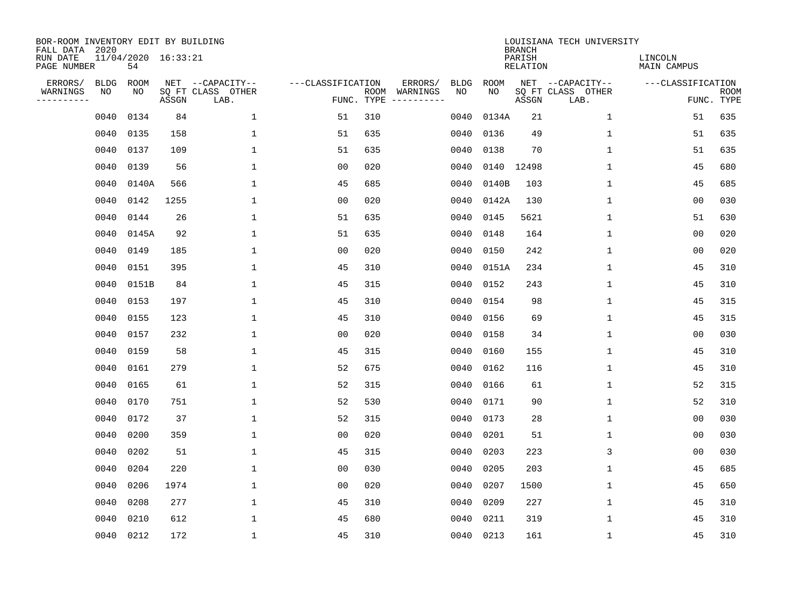| BOR-ROOM INVENTORY EDIT BY BUILDING<br>FALL DATA 2020 |             |                           |       |                           |                   |                    |                         |             |           | <b>BRANCH</b>             | LOUISIANA TECH UNIVERSITY |                               |                           |
|-------------------------------------------------------|-------------|---------------------------|-------|---------------------------|-------------------|--------------------|-------------------------|-------------|-----------|---------------------------|---------------------------|-------------------------------|---------------------------|
| RUN DATE<br>PAGE NUMBER                               |             | 11/04/2020 16:33:21<br>54 |       |                           |                   |                    |                         |             |           | PARISH<br><b>RELATION</b> |                           | LINCOLN<br><b>MAIN CAMPUS</b> |                           |
| ERRORS/                                               | <b>BLDG</b> | ROOM                      |       | NET --CAPACITY--          | ---CLASSIFICATION |                    | ERRORS/                 | <b>BLDG</b> | ROOM      |                           | NET --CAPACITY--          | ---CLASSIFICATION             |                           |
| WARNINGS<br>----------                                | NO          | NO                        | ASSGN | SQ FT CLASS OTHER<br>LAB. |                   | ROOM<br>FUNC. TYPE | WARNINGS<br>----------- | NO          | NO        | ASSGN                     | SQ FT CLASS OTHER<br>LAB. |                               | <b>ROOM</b><br>FUNC. TYPE |
|                                                       | 0040        | 0134                      | 84    | $\mathbf 1$               | 51                | 310                |                         | 0040        | 0134A     | 21                        | 1                         | 51                            | 635                       |
|                                                       | 0040        | 0135                      | 158   | 1                         | 51                | 635                |                         | 0040        | 0136      | 49                        | 1                         | 51                            | 635                       |
|                                                       | 0040        | 0137                      | 109   | $\mathbf 1$               | 51                | 635                |                         | 0040        | 0138      | 70                        | 1                         | 51                            | 635                       |
|                                                       | 0040        | 0139                      | 56    | $\mathbf{1}$              | 0 <sub>0</sub>    | 020                |                         | 0040        |           | 0140 12498                | 1                         | 45                            | 680                       |
|                                                       | 0040        | 0140A                     | 566   | $\mathbf{1}$              | 45                | 685                |                         | 0040        | 0140B     | 103                       | $\mathbf{1}$              | 45                            | 685                       |
|                                                       | 0040        | 0142                      | 1255  | $\mathbf 1$               | 0 <sub>0</sub>    | 020                |                         | 0040        | 0142A     | 130                       | $\mathbf{1}$              | 00                            | 030                       |
|                                                       | 0040        | 0144                      | 26    | $\mathbf{1}$              | 51                | 635                |                         | 0040        | 0145      | 5621                      | $\mathbf{1}$              | 51                            | 630                       |
|                                                       | 0040        | 0145A                     | 92    | $\mathbf{1}$              | 51                | 635                |                         | 0040        | 0148      | 164                       | $\mathbf{1}$              | 0 <sub>0</sub>                | 020                       |
|                                                       | 0040        | 0149                      | 185   | $\mathbf{1}$              | 0 <sub>0</sub>    | 020                |                         | 0040        | 0150      | 242                       | $\mathbf{1}$              | 0 <sub>0</sub>                | 020                       |
|                                                       | 0040        | 0151                      | 395   | 1                         | 45                | 310                |                         | 0040        | 0151A     | 234                       | $\mathbf 1$               | 45                            | 310                       |
|                                                       | 0040        | 0151B                     | 84    | 1                         | 45                | 315                |                         | 0040        | 0152      | 243                       | 1                         | 45                            | 310                       |
|                                                       | 0040        | 0153                      | 197   | 1                         | 45                | 310                |                         | 0040        | 0154      | 98                        | $\mathbf 1$               | 45                            | 315                       |
|                                                       | 0040        | 0155                      | 123   | 1                         | 45                | 310                |                         | 0040        | 0156      | 69                        | 1                         | 45                            | 315                       |
|                                                       | 0040        | 0157                      | 232   | 1                         | 0 <sub>0</sub>    | 020                |                         | 0040        | 0158      | 34                        | 1                         | 0 <sub>0</sub>                | 030                       |
|                                                       | 0040        | 0159                      | 58    | 1                         | 45                | 315                |                         | 0040        | 0160      | 155                       | 1                         | 45                            | 310                       |
|                                                       | 0040        | 0161                      | 279   | $\mathbf{1}$              | 52                | 675                |                         | 0040        | 0162      | 116                       | 1                         | 45                            | 310                       |
|                                                       | 0040        | 0165                      | 61    | 1                         | 52                | 315                |                         | 0040        | 0166      | 61                        | 1                         | 52                            | 315                       |
|                                                       | 0040        | 0170                      | 751   | 1                         | 52                | 530                |                         | 0040        | 0171      | 90                        | 1                         | 52                            | 310                       |
|                                                       | 0040        | 0172                      | 37    | 1                         | 52                | 315                |                         | 0040        | 0173      | 28                        | 1                         | 0 <sub>0</sub>                | 030                       |
|                                                       | 0040        | 0200                      | 359   | 1                         | 0 <sub>0</sub>    | 020                |                         | 0040        | 0201      | 51                        | 1                         | 0 <sub>0</sub>                | 030                       |
|                                                       | 0040        | 0202                      | 51    | 1                         | 45                | 315                |                         | 0040        | 0203      | 223                       | 3                         | 0 <sub>0</sub>                | 030                       |
|                                                       | 0040        | 0204                      | 220   | $\mathbf{1}$              | 0 <sub>0</sub>    | 030                |                         | 0040        | 0205      | 203                       | 1                         | 45                            | 685                       |
|                                                       | 0040        | 0206                      | 1974  | $\mathbf{1}$              | 0 <sub>0</sub>    | 020                |                         | 0040        | 0207      | 1500                      | 1                         | 45                            | 650                       |
|                                                       | 0040        | 0208                      | 277   | $\mathbf 1$               | 45                | 310                |                         | 0040        | 0209      | 227                       | $\mathbf 1$               | 45                            | 310                       |
|                                                       | 0040        | 0210                      | 612   | $\mathbf{1}$              | 45                | 680                |                         | 0040        | 0211      | 319                       | 1                         | 45                            | 310                       |
|                                                       |             | 0040 0212                 | 172   | $\mathbf{1}$              | 45                | 310                |                         |             | 0040 0213 | 161                       | 1                         | 45                            | 310                       |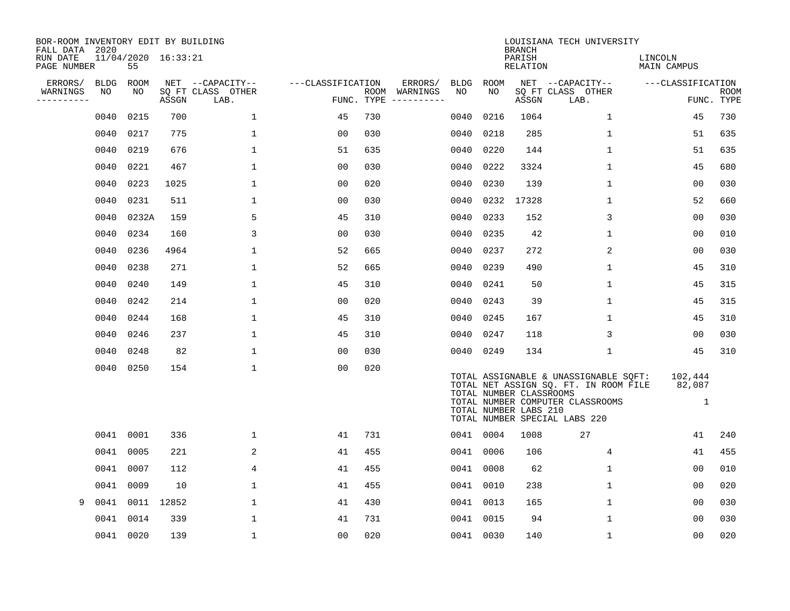| BOR-ROOM INVENTORY EDIT BY BUILDING<br>FALL DATA 2020 |             |             |                     |                           |                   |      |                                 |             |                                                  | <b>BRANCH</b>      | LOUISIANA TECH UNIVERSITY                                                                                                                           |                                   |             |
|-------------------------------------------------------|-------------|-------------|---------------------|---------------------------|-------------------|------|---------------------------------|-------------|--------------------------------------------------|--------------------|-----------------------------------------------------------------------------------------------------------------------------------------------------|-----------------------------------|-------------|
| RUN DATE<br>PAGE NUMBER                               |             | 55          | 11/04/2020 16:33:21 |                           |                   |      |                                 |             |                                                  | PARISH<br>RELATION |                                                                                                                                                     | LINCOLN<br>MAIN CAMPUS            |             |
| ERRORS/                                               | <b>BLDG</b> | <b>ROOM</b> |                     | NET --CAPACITY--          | ---CLASSIFICATION |      | ERRORS/                         | <b>BLDG</b> | <b>ROOM</b>                                      |                    | NET --CAPACITY--                                                                                                                                    | ---CLASSIFICATION                 |             |
| WARNINGS<br>----------                                | NO          | NO.         | ASSGN               | SQ FT CLASS OTHER<br>LAB. |                   | ROOM | WARNINGS<br>FUNC. TYPE $------$ | NO.         | NO.                                              | ASSGN              | SQ FT CLASS OTHER<br>LAB.                                                                                                                           | FUNC. TYPE                        | <b>ROOM</b> |
|                                                       | 0040        | 0215        | 700                 | $\mathbf{1}$              | 45                | 730  |                                 | 0040        | 0216                                             | 1064               | $\mathbf{1}$                                                                                                                                        | 45                                | 730         |
|                                                       | 0040        | 0217        | 775                 | $\mathbf 1$               | 0 <sub>0</sub>    | 030  |                                 | 0040        | 0218                                             | 285                | $\mathbf 1$                                                                                                                                         | 51                                | 635         |
|                                                       | 0040        | 0219        | 676                 | 1                         | 51                | 635  |                                 | 0040        | 0220                                             | 144                | 1                                                                                                                                                   | 51                                | 635         |
|                                                       | 0040        | 0221        | 467                 | 1                         | 0 <sub>0</sub>    | 030  |                                 | 0040        | 0222                                             | 3324               | $1\,$                                                                                                                                               | 45                                | 680         |
|                                                       | 0040        | 0223        | 1025                | $\mathbf 1$               | 0 <sub>0</sub>    | 020  |                                 | 0040        | 0230                                             | 139                | $\mathbf 1$                                                                                                                                         | 00                                | 030         |
|                                                       | 0040        | 0231        | 511                 | $\mathbf 1$               | 0 <sub>0</sub>    | 030  |                                 | 0040        | 0232                                             | 17328              | $\mathbf 1$                                                                                                                                         | 52                                | 660         |
|                                                       | 0040        | 0232A       | 159                 | 5                         | 45                | 310  |                                 | 0040        | 0233                                             | 152                | 3                                                                                                                                                   | 0 <sub>0</sub>                    | 030         |
|                                                       | 0040        | 0234        | 160                 | 3                         | 0 <sub>0</sub>    | 030  |                                 | 0040        | 0235                                             | 42                 | $\mathbf 1$                                                                                                                                         | 0 <sub>0</sub>                    | 010         |
|                                                       | 0040        | 0236        | 4964                | 1                         | 52                | 665  |                                 | 0040        | 0237                                             | 272                | 2                                                                                                                                                   | 00                                | 030         |
|                                                       | 0040        | 0238        | 271                 | 1                         | 52                | 665  |                                 | 0040        | 0239                                             | 490                | $\mathbf 1$                                                                                                                                         | 45                                | 310         |
|                                                       | 0040        | 0240        | 149                 | $\mathbf{1}$              | 45                | 310  |                                 | 0040        | 0241                                             | 50                 | $\mathbf{1}$                                                                                                                                        | 45                                | 315         |
|                                                       | 0040        | 0242        | 214                 | $\mathbf{1}$              | 0 <sub>0</sub>    | 020  |                                 | 0040        | 0243                                             | 39                 | $\mathbf{1}$                                                                                                                                        | 45                                | 315         |
|                                                       | 0040        | 0244        | 168                 | 1                         | 45                | 310  |                                 | 0040        | 0245                                             | 167                | 1                                                                                                                                                   | 45                                | 310         |
|                                                       | 0040        | 0246        | 237                 | 1                         | 45                | 310  |                                 | 0040        | 0247                                             | 118                | 3                                                                                                                                                   | 00                                | 030         |
|                                                       | 0040        | 0248        | 82                  | 1                         | 0 <sub>0</sub>    | 030  |                                 | 0040 0249   |                                                  | 134                | $\mathbf 1$                                                                                                                                         | 45                                | 310         |
|                                                       | 0040        | 0250        | 154                 | $\mathbf 1$               | 0 <sub>0</sub>    | 020  |                                 |             | TOTAL NUMBER CLASSROOMS<br>TOTAL NUMBER LABS 210 |                    | TOTAL ASSIGNABLE & UNASSIGNABLE SQFT:<br>TOTAL NET ASSIGN SQ. FT. IN ROOM FILE<br>TOTAL NUMBER COMPUTER CLASSROOMS<br>TOTAL NUMBER SPECIAL LABS 220 | 102,444<br>82,087<br>$\mathbf{1}$ |             |
|                                                       | 0041        | 0001        | 336                 | 1                         | 41                | 731  |                                 | 0041 0004   |                                                  | 1008               | 27                                                                                                                                                  | 41                                | 240         |
|                                                       | 0041        | 0005        | 221                 | 2                         | 41                | 455  |                                 | 0041 0006   |                                                  | 106                | 4                                                                                                                                                   | 41                                | 455         |
|                                                       | 0041        | 0007        | 112                 | 4                         | 41                | 455  |                                 | 0041        | 0008                                             | 62                 | 1                                                                                                                                                   | 00                                | 010         |
|                                                       | 0041        | 0009        | 10                  | 1                         | 41                | 455  |                                 | 0041 0010   |                                                  | 238                | 1                                                                                                                                                   | 00                                | 020         |
| 9                                                     | 0041        | 0011        | 12852               | $\mathbf{1}$              | 41                | 430  |                                 | 0041 0013   |                                                  | 165                | $\mathbf 1$                                                                                                                                         | 00                                | 030         |
|                                                       | 0041        | 0014        | 339                 | $\mathbf 1$               | 41                | 731  |                                 | 0041        | 0015                                             | 94                 | $\mathbf 1$                                                                                                                                         | 0 <sub>0</sub>                    | 030         |
|                                                       | 0041        | 0020        | 139                 | $1\,$                     | 0 <sub>0</sub>    | 020  |                                 | 0041 0030   |                                                  | 140                | $\mathbf 1$                                                                                                                                         | 0 <sub>0</sub>                    | 020         |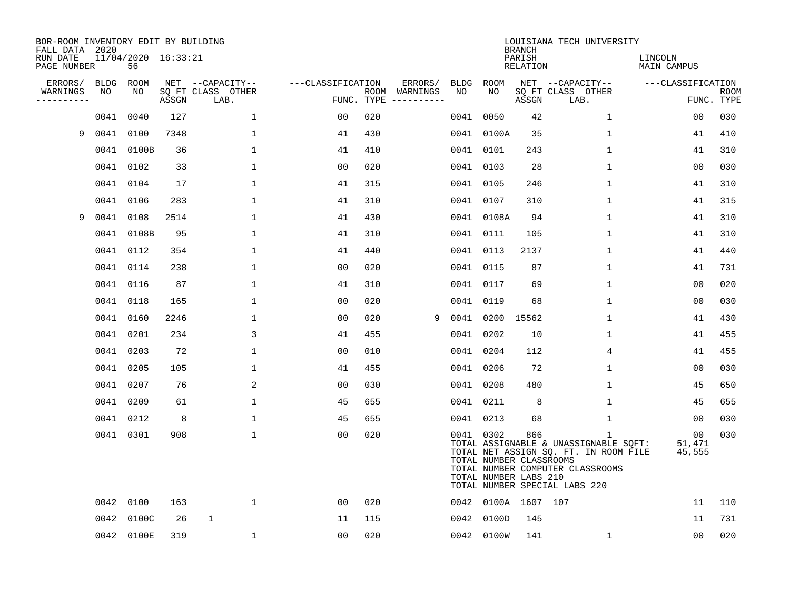| BOR-ROOM INVENTORY EDIT BY BUILDING<br>FALL DATA 2020 |           |                           |       |                           |                   |     |                                      |      |                                                               | <b>BRANCH</b>      | LOUISIANA TECH UNIVERSITY                                                                                                                                           |                        |                           |
|-------------------------------------------------------|-----------|---------------------------|-------|---------------------------|-------------------|-----|--------------------------------------|------|---------------------------------------------------------------|--------------------|---------------------------------------------------------------------------------------------------------------------------------------------------------------------|------------------------|---------------------------|
| RUN DATE<br>PAGE NUMBER                               |           | 11/04/2020 16:33:21<br>56 |       |                           |                   |     |                                      |      |                                                               | PARISH<br>RELATION |                                                                                                                                                                     | LINCOLN<br>MAIN CAMPUS |                           |
| ERRORS/                                               | BLDG      | <b>ROOM</b>               |       | NET --CAPACITY--          | ---CLASSIFICATION |     | ERRORS/                              | BLDG | ROOM                                                          |                    | NET --CAPACITY--                                                                                                                                                    | ---CLASSIFICATION      |                           |
| WARNINGS<br>----------                                | NO        | NO.                       | ASSGN | SQ FT CLASS OTHER<br>LAB. |                   |     | ROOM WARNINGS<br>FUNC. TYPE $------$ | NO   | NO.                                                           | ASSGN              | SQ FT CLASS OTHER<br>LAB.                                                                                                                                           |                        | <b>ROOM</b><br>FUNC. TYPE |
|                                                       | 0041      | 0040                      | 127   | $\mathbf{1}$              | 0 <sub>0</sub>    | 020 |                                      |      | 0041 0050                                                     | 42                 | $\mathbf{1}$                                                                                                                                                        | 00                     | 030                       |
| 9                                                     |           | 0041 0100                 | 7348  | $\mathbf{1}$              | 41                | 430 |                                      |      | 0041 0100A                                                    | 35                 | $\mathbf 1$                                                                                                                                                         | 41                     | 410                       |
|                                                       |           | 0041 0100B                | 36    | $\mathbf 1$               | 41                | 410 |                                      |      | 0041 0101                                                     | 243                | 1                                                                                                                                                                   | 41                     | 310                       |
|                                                       |           | 0041 0102                 | 33    | 1                         | 0 <sub>0</sub>    | 020 |                                      |      | 0041 0103                                                     | 28                 | $\mathbf 1$                                                                                                                                                         | 0 <sub>0</sub>         | 030                       |
|                                                       |           | 0041 0104                 | 17    | 1                         | 41                | 315 |                                      |      | 0041 0105                                                     | 246                | $\mathbf 1$                                                                                                                                                         | 41                     | 310                       |
|                                                       |           | 0041 0106                 | 283   | 1                         | 41                | 310 |                                      |      | 0041 0107                                                     | 310                | $\mathbf 1$                                                                                                                                                         | 41                     | 315                       |
| 9                                                     | 0041 0108 |                           | 2514  | $\mathbf{1}$              | 41                | 430 |                                      |      | 0041 0108A                                                    | 94                 | $\mathbf{1}$                                                                                                                                                        | 41                     | 310                       |
|                                                       |           | 0041 0108B                | 95    | 1                         | 41                | 310 |                                      |      | 0041 0111                                                     | 105                | $\mathbf{1}$                                                                                                                                                        | 41                     | 310                       |
|                                                       |           | 0041 0112                 | 354   | $\mathbf 1$               | 41                | 440 |                                      |      | 0041 0113                                                     | 2137               | $\mathbf 1$                                                                                                                                                         | 41                     | 440                       |
|                                                       |           | 0041 0114                 | 238   | 1                         | 0 <sub>0</sub>    | 020 |                                      |      | 0041 0115                                                     | 87                 | $\mathbf 1$                                                                                                                                                         | 41                     | 731                       |
|                                                       |           | 0041 0116                 | 87    | $\mathbf{1}$              | 41                | 310 |                                      |      | 0041 0117                                                     | 69                 | $\mathbf 1$                                                                                                                                                         | 0 <sub>0</sub>         | 020                       |
|                                                       |           | 0041 0118                 | 165   | 1                         | 0 <sub>0</sub>    | 020 |                                      |      | 0041 0119                                                     | 68                 | $\mathbf{1}$                                                                                                                                                        | 0 <sub>0</sub>         | 030                       |
|                                                       |           | 0041 0160                 | 2246  | $\mathbf 1$               | 0 <sub>0</sub>    | 020 | 9                                    |      | 0041 0200                                                     | 15562              | $\mathbf 1$                                                                                                                                                         | 41                     | 430                       |
|                                                       |           | 0041 0201                 | 234   | 3                         | 41                | 455 |                                      |      | 0041 0202                                                     | 10                 | 1                                                                                                                                                                   | 41                     | 455                       |
|                                                       |           | 0041 0203                 | 72    | $\mathbf{1}$              | 0 <sub>0</sub>    | 010 |                                      | 0041 | 0204                                                          | 112                | 4                                                                                                                                                                   | 41                     | 455                       |
|                                                       |           | 0041 0205                 | 105   | 1                         | 41                | 455 |                                      |      | 0041 0206                                                     | 72                 | $\mathbf 1$                                                                                                                                                         | 00                     | 030                       |
|                                                       |           | 0041 0207                 | 76    | 2                         | 00                | 030 |                                      | 0041 | 0208                                                          | 480                | 1                                                                                                                                                                   | 45                     | 650                       |
|                                                       |           | 0041 0209                 | 61    | $\mathbf 1$               | 45                | 655 |                                      |      | 0041 0211                                                     | 8                  | 1                                                                                                                                                                   | 45                     | 655                       |
|                                                       |           | 0041 0212                 | 8     | $\mathbf 1$               | 45                | 655 |                                      |      | 0041 0213                                                     | 68                 | $\mathbf 1$                                                                                                                                                         | 00                     | 030                       |
|                                                       |           | 0041 0301                 | 908   | $\mathbf{1}$              | 0 <sub>0</sub>    | 020 |                                      |      | 0041 0302<br>TOTAL NUMBER CLASSROOMS<br>TOTAL NUMBER LABS 210 | 866                | $\mathbf{1}$<br>TOTAL ASSIGNABLE & UNASSIGNABLE SQFT:<br>TOTAL NET ASSIGN SQ. FT. IN ROOM FILE<br>TOTAL NUMBER COMPUTER CLASSROOMS<br>TOTAL NUMBER SPECIAL LABS 220 | 00<br>51,471<br>45,555 | 030                       |
|                                                       |           | 0042 0100                 | 163   | $\mathbf 1$               | 0 <sub>0</sub>    | 020 |                                      |      | 0042 0100A 1607 107                                           |                    |                                                                                                                                                                     | 11                     | 110                       |
|                                                       | 0042      | 0100C                     | 26    | $\mathbf{1}$              | 11                | 115 |                                      |      | 0042 0100D                                                    | 145                |                                                                                                                                                                     | 11                     | 731                       |
|                                                       |           | 0042 0100E                | 319   | $\mathbf{1}$              | 0 <sub>0</sub>    | 020 |                                      |      | 0042 0100W                                                    | 141                | $\mathbf{1}$                                                                                                                                                        | 0 <sub>0</sub>         | 020                       |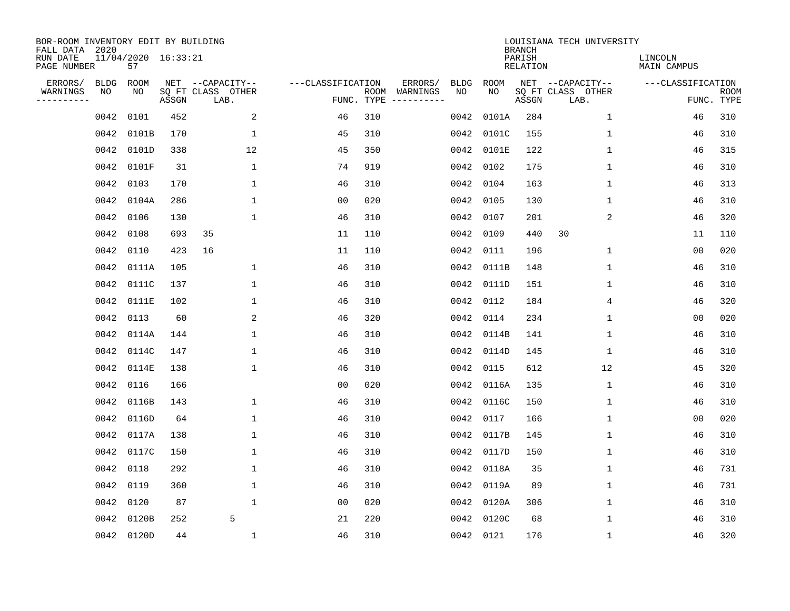| BOR-ROOM INVENTORY EDIT BY BUILDING<br>FALL DATA 2020 |             |                           |       |                           |                   |                    |                         |      |             | <b>BRANCH</b>             | LOUISIANA TECH UNIVERSITY |                               |                           |
|-------------------------------------------------------|-------------|---------------------------|-------|---------------------------|-------------------|--------------------|-------------------------|------|-------------|---------------------------|---------------------------|-------------------------------|---------------------------|
| RUN DATE<br>PAGE NUMBER                               |             | 11/04/2020 16:33:21<br>57 |       |                           |                   |                    |                         |      |             | PARISH<br><b>RELATION</b> |                           | LINCOLN<br><b>MAIN CAMPUS</b> |                           |
| ERRORS/                                               | <b>BLDG</b> | ROOM                      |       | NET --CAPACITY--          | ---CLASSIFICATION |                    | ERRORS/                 | BLDG | <b>ROOM</b> |                           | NET --CAPACITY--          | ---CLASSIFICATION             |                           |
| WARNINGS<br>-----------                               | NO          | ΝO                        | ASSGN | SQ FT CLASS OTHER<br>LAB. |                   | ROOM<br>FUNC. TYPE | WARNINGS<br>----------- | NO   | NO          | ASSGN                     | SQ FT CLASS OTHER<br>LAB. |                               | <b>ROOM</b><br>FUNC. TYPE |
|                                                       | 0042        | 0101                      | 452   | 2                         | 46                | 310                |                         | 0042 | 0101A       | 284                       | $\mathbf{1}$              | 46                            | 310                       |
|                                                       | 0042        | 0101B                     | 170   | $\mathbf{1}$              | 45                | 310                |                         | 0042 | 0101C       | 155                       | 1                         | 46                            | 310                       |
|                                                       | 0042        | 0101D                     | 338   | 12                        | 45                | 350                |                         | 0042 | 0101E       | 122                       | $\mathbf 1$               | 46                            | 315                       |
|                                                       | 0042        | 0101F                     | 31    | 1                         | 74                | 919                |                         | 0042 | 0102        | 175                       | $\mathbf 1$               | 46                            | 310                       |
|                                                       | 0042        | 0103                      | 170   | $\mathbf{1}$              | 46                | 310                |                         | 0042 | 0104        | 163                       | 1                         | 46                            | 313                       |
|                                                       |             | 0042 0104A                | 286   | $\mathbf{1}$              | 0 <sub>0</sub>    | 020                |                         | 0042 | 0105        | 130                       | $\mathbf 1$               | 46                            | 310                       |
|                                                       | 0042        | 0106                      | 130   | $\mathbf{1}$              | 46                | 310                |                         | 0042 | 0107        | 201                       | 2                         | 46                            | 320                       |
|                                                       | 0042        | 0108                      | 693   | 35                        | 11                | 110                |                         | 0042 | 0109        | 440                       | 30                        | 11                            | 110                       |
|                                                       | 0042        | 0110                      | 423   | 16                        | 11                | 110                |                         | 0042 | 0111        | 196                       | $\mathbf 1$               | 0 <sub>0</sub>                | 020                       |
|                                                       | 0042        | 0111A                     | 105   | 1                         | 46                | 310                |                         | 0042 | 0111B       | 148                       | 1                         | 46                            | 310                       |
|                                                       | 0042        | 0111C                     | 137   | $\mathbf 1$               | 46                | 310                |                         | 0042 | 0111D       | 151                       | 1                         | 46                            | 310                       |
|                                                       | 0042        | 0111E                     | 102   | $\mathbf 1$               | 46                | 310                |                         | 0042 | 0112        | 184                       | 4                         | 46                            | 320                       |
|                                                       | 0042        | 0113                      | 60    | 2                         | 46                | 320                |                         | 0042 | 0114        | 234                       | 1                         | 0 <sub>0</sub>                | 020                       |
|                                                       | 0042        | 0114A                     | 144   | 1                         | 46                | 310                |                         | 0042 | 0114B       | 141                       | 1                         | 46                            | 310                       |
|                                                       | 0042        | 0114C                     | 147   | $\mathbf 1$               | 46                | 310                |                         | 0042 | 0114D       | 145                       | 1                         | 46                            | 310                       |
|                                                       | 0042        | 0114E                     | 138   | $\mathbf{1}$              | 46                | 310                |                         | 0042 | 0115        | 612                       | 12                        | 45                            | 320                       |
|                                                       | 0042        | 0116                      | 166   |                           | 00                | 020                |                         | 0042 | 0116A       | 135                       | 1                         | 46                            | 310                       |
|                                                       | 0042        | 0116B                     | 143   | 1                         | 46                | 310                |                         | 0042 | 0116C       | 150                       | 1                         | 46                            | 310                       |
|                                                       |             | 0042 0116D                | 64    | 1                         | 46                | 310                |                         | 0042 | 0117        | 166                       | 1                         | 0 <sub>0</sub>                | 020                       |
|                                                       | 0042        | 0117A                     | 138   | 1                         | 46                | 310                |                         | 0042 | 0117B       | 145                       | 1                         | 46                            | 310                       |
|                                                       | 0042        | 0117C                     | 150   | 1                         | 46                | 310                |                         | 0042 | 0117D       | 150                       | 1                         | 46                            | 310                       |
|                                                       | 0042        | 0118                      | 292   | $\mathbf 1$               | 46                | 310                |                         | 0042 | 0118A       | 35                        | 1                         | 46                            | 731                       |
|                                                       | 0042        | 0119                      | 360   | 1                         | 46                | 310                |                         | 0042 | 0119A       | 89                        | 1                         | 46                            | 731                       |
|                                                       | 0042        | 0120                      | 87    | $\mathbf{1}$              | 0 <sub>0</sub>    | 020                |                         | 0042 | 0120A       | 306                       | $\mathbf 1$               | 46                            | 310                       |
|                                                       | 0042        | 0120B                     | 252   | 5                         | 21                | 220                |                         | 0042 | 0120C       | 68                        | $\mathbf{1}$              | 46                            | 310                       |
|                                                       |             | 0042 0120D                | 44    | 1                         | 46                | 310                |                         |      | 0042 0121   | 176                       | 1                         | 46                            | 320                       |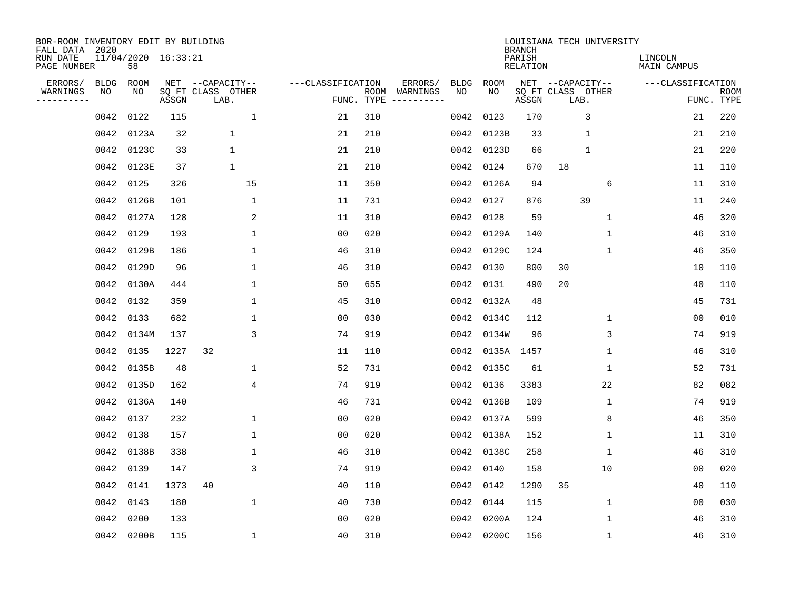| BOR-ROOM INVENTORY EDIT BY BUILDING<br>FALL DATA 2020 |             |                           |       |                           |                   |                    |                         |             |            | <b>BRANCH</b>             |                           | LOUISIANA TECH UNIVERSITY |                               |                           |
|-------------------------------------------------------|-------------|---------------------------|-------|---------------------------|-------------------|--------------------|-------------------------|-------------|------------|---------------------------|---------------------------|---------------------------|-------------------------------|---------------------------|
| RUN DATE<br>PAGE NUMBER                               |             | 11/04/2020 16:33:21<br>58 |       |                           |                   |                    |                         |             |            | PARISH<br><b>RELATION</b> |                           |                           | LINCOLN<br><b>MAIN CAMPUS</b> |                           |
| ERRORS/                                               | <b>BLDG</b> | ROOM                      |       | NET --CAPACITY--          | ---CLASSIFICATION |                    | ERRORS/                 | <b>BLDG</b> | ROOM       |                           | NET --CAPACITY--          |                           | ---CLASSIFICATION             |                           |
| WARNINGS<br>----------                                | NO          | NO                        | ASSGN | SQ FT CLASS OTHER<br>LAB. |                   | ROOM<br>FUNC. TYPE | WARNINGS<br>----------- | NO          | NO         | ASSGN                     | SQ FT CLASS OTHER<br>LAB. |                           |                               | <b>ROOM</b><br>FUNC. TYPE |
|                                                       | 0042        | 0122                      | 115   | $\mathbf{1}$              | 21                | 310                |                         | 0042        | 0123       | 170                       |                           | 3                         | 21                            | 220                       |
|                                                       | 0042        | 0123A                     | 32    | 1                         | 21                | 210                |                         | 0042        | 0123B      | 33                        |                           | $\mathbf 1$               | 21                            | 210                       |
|                                                       | 0042        | 0123C                     | 33    | $\mathbf 1$               | 21                | 210                |                         | 0042        | 0123D      | 66                        |                           | $\mathbf 1$               | 21                            | 220                       |
|                                                       | 0042        | 0123E                     | 37    | 1                         | 21                | 210                |                         | 0042        | 0124       | 670                       | 18                        |                           | 11                            | 110                       |
|                                                       | 0042        | 0125                      | 326   | 15                        | 11                | 350                |                         | 0042        | 0126A      | 94                        |                           | 6                         | 11                            | 310                       |
|                                                       | 0042        | 0126B                     | 101   | $\mathbf{1}$              | 11                | 731                |                         |             | 0042 0127  | 876                       |                           | 39                        | 11                            | 240                       |
|                                                       | 0042        | 0127A                     | 128   | 2                         | 11                | 310                |                         | 0042        | 0128       | 59                        |                           | $\mathbf{1}$              | 46                            | 320                       |
|                                                       | 0042        | 0129                      | 193   | $\mathbf{1}$              | 0 <sub>0</sub>    | 020                |                         | 0042        | 0129A      | 140                       |                           | $\mathbf 1$               | 46                            | 310                       |
|                                                       | 0042        | 0129B                     | 186   | $\mathbf{1}$              | 46                | 310                |                         | 0042        | 0129C      | 124                       |                           | 1                         | 46                            | 350                       |
|                                                       | 0042        | 0129D                     | 96    | 1                         | 46                | 310                |                         | 0042        | 0130       | 800                       | 30                        |                           | 10                            | 110                       |
|                                                       | 0042        | 0130A                     | 444   | 1                         | 50                | 655                |                         | 0042        | 0131       | 490                       | 20                        |                           | 40                            | 110                       |
|                                                       | 0042        | 0132                      | 359   | 1                         | 45                | 310                |                         | 0042        | 0132A      | 48                        |                           |                           | 45                            | 731                       |
|                                                       | 0042        | 0133                      | 682   | 1                         | 0 <sub>0</sub>    | 030                |                         | 0042        | 0134C      | 112                       |                           | $\mathbf 1$               | 0 <sub>0</sub>                | 010                       |
|                                                       | 0042        | 0134M                     | 137   | 3                         | 74                | 919                |                         | 0042        | 0134W      | 96                        |                           | 3                         | 74                            | 919                       |
|                                                       | 0042        | 0135                      | 1227  | 32                        | 11                | 110                |                         | 0042        | 0135A 1457 |                           |                           | 1                         | 46                            | 310                       |
|                                                       | 0042        | 0135B                     | 48    | 1                         | 52                | 731                |                         | 0042        | 0135C      | 61                        |                           | 1                         | 52                            | 731                       |
|                                                       | 0042        | 0135D                     | 162   | $\overline{4}$            | 74                | 919                |                         | 0042        | 0136       | 3383                      |                           | 22                        | 82                            | 082                       |
|                                                       | 0042        | 0136A                     | 140   |                           | 46                | 731                |                         | 0042        | 0136B      | 109                       |                           | 1                         | 74                            | 919                       |
|                                                       | 0042        | 0137                      | 232   | 1                         | 0 <sub>0</sub>    | 020                |                         | 0042        | 0137A      | 599                       |                           | 8                         | 46                            | 350                       |
|                                                       | 0042        | 0138                      | 157   | 1                         | 0 <sub>0</sub>    | 020                |                         | 0042        | 0138A      | 152                       |                           | 1                         | 11                            | 310                       |
|                                                       | 0042        | 0138B                     | 338   | 1                         | 46                | 310                |                         | 0042        | 0138C      | 258                       |                           | 1                         | 46                            | 310                       |
|                                                       | 0042        | 0139                      | 147   | 3                         | 74                | 919                |                         | 0042        | 0140       | 158                       |                           | 10                        | 00                            | 020                       |
|                                                       | 0042        | 0141                      | 1373  | 40                        | 40                | 110                |                         | 0042        | 0142       | 1290                      | 35                        |                           | 40                            | 110                       |
|                                                       | 0042        | 0143                      | 180   | $\mathbf 1$               | 40                | 730                |                         | 0042        | 0144       | 115                       |                           | $\mathbf 1$               | 0 <sub>0</sub>                | 030                       |
|                                                       | 0042        | 0200                      | 133   |                           | 0 <sub>0</sub>    | 020                |                         | 0042        | 0200A      | 124                       |                           | $\mathbf{1}$              | 46                            | 310                       |
|                                                       |             | 0042 0200B                | 115   | $\mathbf{1}$              | 40                | 310                |                         |             | 0042 0200C | 156                       |                           | 1                         | 46                            | 310                       |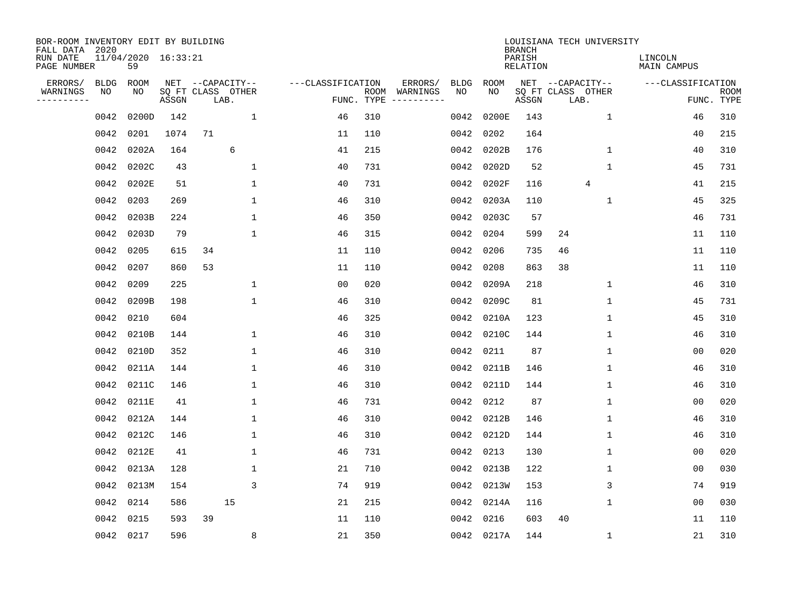| BOR-ROOM INVENTORY EDIT BY BUILDING<br>FALL DATA 2020 |             |                           |       |    |                           |                   |                    |          |      |             | <b>BRANCH</b>             | LOUISIANA TECH UNIVERSITY |                               |                           |
|-------------------------------------------------------|-------------|---------------------------|-------|----|---------------------------|-------------------|--------------------|----------|------|-------------|---------------------------|---------------------------|-------------------------------|---------------------------|
| RUN DATE<br>PAGE NUMBER                               |             | 11/04/2020 16:33:21<br>59 |       |    |                           |                   |                    |          |      |             | PARISH<br><b>RELATION</b> |                           | LINCOLN<br><b>MAIN CAMPUS</b> |                           |
| ERRORS/                                               | <b>BLDG</b> | ROOM                      |       |    | NET --CAPACITY--          | ---CLASSIFICATION |                    | ERRORS/  | BLDG | <b>ROOM</b> |                           | NET --CAPACITY--          | ---CLASSIFICATION             |                           |
| WARNINGS<br>----------                                | NO          | NO                        | ASSGN |    | SQ FT CLASS OTHER<br>LAB. |                   | ROOM<br>FUNC. TYPE | WARNINGS | NO   | NO          | ASSGN                     | SQ FT CLASS OTHER<br>LAB. |                               | <b>ROOM</b><br>FUNC. TYPE |
|                                                       | 0042        | 0200D                     | 142   |    | 1                         | 46                | 310                |          | 0042 | 0200E       | 143                       | $\mathbf{1}$              | 46                            | 310                       |
|                                                       | 0042        | 0201                      | 1074  | 71 |                           | 11                | 110                |          | 0042 | 0202        | 164                       |                           | 40                            | 215                       |
|                                                       | 0042        | 0202A                     | 164   |    | 6                         | 41                | 215                |          | 0042 | 0202B       | 176                       | $\mathbf 1$               | 40                            | 310                       |
|                                                       | 0042        | 0202C                     | 43    |    | 1                         | 40                | 731                |          | 0042 | 0202D       | 52                        | $\mathbf 1$               | 45                            | 731                       |
|                                                       | 0042        | 0202E                     | 51    |    | $\mathbf{1}$              | 40                | 731                |          | 0042 | 0202F       | 116                       | 4                         | 41                            | 215                       |
|                                                       | 0042        | 0203                      | 269   |    | $\mathbf{1}$              | 46                | 310                |          | 0042 | 0203A       | 110                       | $\mathbf 1$               | 45                            | 325                       |
|                                                       | 0042        | 0203B                     | 224   |    | $\mathbf{1}$              | 46                | 350                |          | 0042 | 0203C       | 57                        |                           | 46                            | 731                       |
|                                                       | 0042        | 0203D                     | 79    |    | $\mathbf 1$               | 46                | 315                |          | 0042 | 0204        | 599                       | 24                        | 11                            | 110                       |
|                                                       | 0042        | 0205                      | 615   | 34 |                           | 11                | 110                |          | 0042 | 0206        | 735                       | 46                        | 11                            | 110                       |
|                                                       | 0042        | 0207                      | 860   | 53 |                           | 11                | 110                |          | 0042 | 0208        | 863                       | 38                        | 11                            | 110                       |
|                                                       | 0042        | 0209                      | 225   |    | $\mathbf 1$               | 0 <sub>0</sub>    | 020                |          | 0042 | 0209A       | 218                       | $\mathbf{1}$              | 46                            | 310                       |
|                                                       | 0042        | 0209B                     | 198   |    | $\mathbf{1}$              | 46                | 310                |          | 0042 | 0209C       | 81                        | 1                         | 45                            | 731                       |
|                                                       | 0042        | 0210                      | 604   |    |                           | 46                | 325                |          | 0042 | 0210A       | 123                       | 1                         | 45                            | 310                       |
|                                                       | 0042        | 0210B                     | 144   |    | 1                         | 46                | 310                |          | 0042 | 0210C       | 144                       | 1                         | 46                            | 310                       |
|                                                       | 0042        | 0210D                     | 352   |    | 1                         | 46                | 310                |          | 0042 | 0211        | 87                        | 1                         | 0 <sub>0</sub>                | 020                       |
|                                                       | 0042        | 0211A                     | 144   |    | $\mathbf 1$               | 46                | 310                |          | 0042 | 0211B       | 146                       | 1                         | 46                            | 310                       |
|                                                       | 0042        | 0211C                     | 146   |    | $\mathbf 1$               | 46                | 310                |          | 0042 | 0211D       | 144                       | 1                         | 46                            | 310                       |
|                                                       | 0042        | 0211E                     | 41    |    | $\mathbf{1}$              | 46                | 731                |          | 0042 | 0212        | 87                        | $\mathbf{1}$              | 00                            | 020                       |
|                                                       | 0042        | 0212A                     | 144   |    | $\mathbf 1$               | 46                | 310                |          | 0042 | 0212B       | 146                       | $\mathbf{1}$              | 46                            | 310                       |
|                                                       | 0042        | 0212C                     | 146   |    | 1                         | 46                | 310                |          | 0042 | 0212D       | 144                       | 1                         | 46                            | 310                       |
|                                                       | 0042        | 0212E                     | 41    |    | 1                         | 46                | 731                |          | 0042 | 0213        | 130                       | 1                         | 0 <sub>0</sub>                | 020                       |
|                                                       | 0042        | 0213A                     | 128   |    | $\mathbf 1$               | 21                | 710                |          | 0042 | 0213B       | 122                       | 1                         | 00                            | 030                       |
|                                                       | 0042        | 0213M                     | 154   |    | 3                         | 74                | 919                |          | 0042 | 0213W       | 153                       | 3                         | 74                            | 919                       |
|                                                       | 0042        | 0214                      | 586   |    | 15                        | 21                | 215                |          | 0042 | 0214A       | 116                       | 1                         | 00                            | 030                       |
|                                                       | 0042        | 0215                      | 593   | 39 |                           | 11                | 110                |          | 0042 | 0216        | 603                       | 40                        | 11                            | 110                       |
|                                                       |             | 0042 0217                 | 596   |    | 8                         | 21                | 350                |          |      | 0042 0217A  | 144                       | $\mathbf{1}$              | 21                            | 310                       |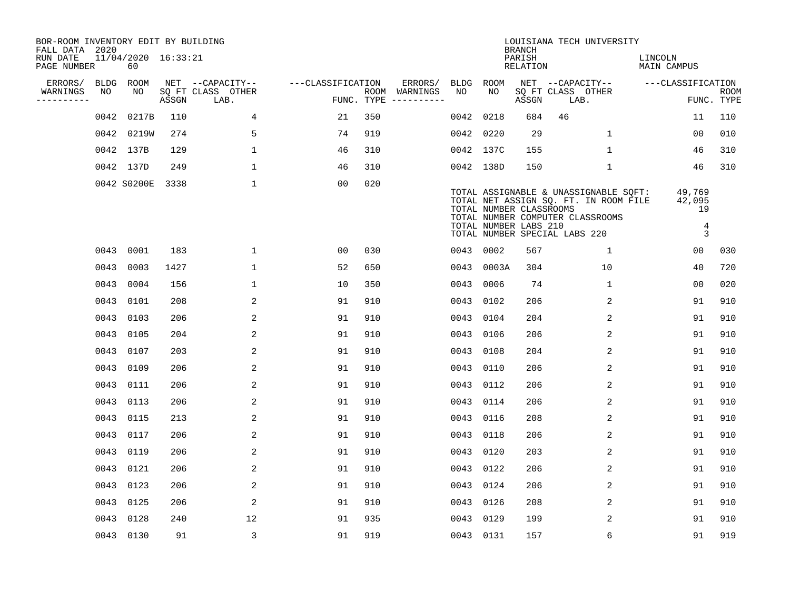| BOR-ROOM INVENTORY EDIT BY BUILDING<br>FALL DATA 2020 |      |                           |       |                           |                   |     |                                      |      |                                                  | <b>BRANCH</b>      | LOUISIANA TECH UNIVERSITY                                                                                                                           |                                  |                           |
|-------------------------------------------------------|------|---------------------------|-------|---------------------------|-------------------|-----|--------------------------------------|------|--------------------------------------------------|--------------------|-----------------------------------------------------------------------------------------------------------------------------------------------------|----------------------------------|---------------------------|
| RUN DATE<br>PAGE NUMBER                               |      | 11/04/2020 16:33:21<br>60 |       |                           |                   |     |                                      |      |                                                  | PARISH<br>RELATION |                                                                                                                                                     | LINCOLN<br>MAIN CAMPUS           |                           |
| ERRORS/                                               |      | BLDG ROOM                 |       | NET --CAPACITY--          | ---CLASSIFICATION |     | ERRORS/                              | BLDG | ROOM                                             |                    | NET --CAPACITY--                                                                                                                                    | ---CLASSIFICATION                |                           |
| WARNINGS<br>----------                                | NO   | NO                        | ASSGN | SQ FT CLASS OTHER<br>LAB. |                   |     | ROOM WARNINGS<br>FUNC. TYPE $------$ | NO   | NO                                               | ASSGN              | SQ FT CLASS OTHER<br>LAB.                                                                                                                           |                                  | <b>ROOM</b><br>FUNC. TYPE |
|                                                       | 0042 | 0217B                     | 110   | 4                         | 21                | 350 |                                      | 0042 | 0218                                             | 684                | 46                                                                                                                                                  | 11                               | 110                       |
|                                                       |      | 0042 0219W                | 274   | 5                         | 74                | 919 |                                      | 0042 | 0220                                             | 29                 | $\mathbf{1}$                                                                                                                                        | 0 <sub>0</sub>                   | 010                       |
|                                                       |      | 0042 137B                 | 129   | $\mathbf{1}$              | 46                | 310 |                                      |      | 0042 137C                                        | 155                | $\mathbf 1$                                                                                                                                         | 46                               | 310                       |
|                                                       |      | 0042 137D                 | 249   | 1                         | 46                | 310 |                                      |      | 0042 138D                                        | 150                | $\mathbf{1}$                                                                                                                                        | 46                               | 310                       |
|                                                       |      | 0042 S0200E               | 3338  | $\mathbf 1$               | 0 <sub>0</sub>    | 020 |                                      |      | TOTAL NUMBER CLASSROOMS<br>TOTAL NUMBER LABS 210 |                    | TOTAL ASSIGNABLE & UNASSIGNABLE SQFT:<br>TOTAL NET ASSIGN SQ. FT. IN ROOM FILE<br>TOTAL NUMBER COMPUTER CLASSROOMS<br>TOTAL NUMBER SPECIAL LABS 220 | 49,769<br>42,095<br>19<br>4<br>3 |                           |
|                                                       |      | 0043 0001                 | 183   | $\mathbf{1}$              | 0 <sub>0</sub>    | 030 |                                      |      | 0043 0002                                        | 567                | $\mathbf{1}$                                                                                                                                        | 0 <sub>0</sub>                   | 030                       |
|                                                       |      | 0043 0003                 | 1427  | $\mathbf 1$               | 52                | 650 |                                      |      | 0043 0003A                                       | 304                | 10                                                                                                                                                  | 40                               | 720                       |
|                                                       |      | 0043 0004                 | 156   | $\mathbf 1$               | 10                | 350 |                                      | 0043 | 0006                                             | 74                 | $\mathbf 1$                                                                                                                                         | 0 <sub>0</sub>                   | 020                       |
|                                                       |      | 0043 0101                 | 208   | 2                         | 91                | 910 |                                      | 0043 | 0102                                             | 206                | 2                                                                                                                                                   | 91                               | 910                       |
|                                                       |      | 0043 0103                 | 206   | 2                         | 91                | 910 |                                      | 0043 | 0104                                             | 204                | 2                                                                                                                                                   | 91                               | 910                       |
|                                                       |      | 0043 0105                 | 204   | 2                         | 91                | 910 |                                      | 0043 | 0106                                             | 206                | 2                                                                                                                                                   | 91                               | 910                       |
|                                                       |      | 0043 0107                 | 203   | 2                         | 91                | 910 |                                      | 0043 | 0108                                             | 204                | 2                                                                                                                                                   | 91                               | 910                       |
|                                                       |      | 0043 0109                 | 206   | 2                         | 91                | 910 |                                      | 0043 | 0110                                             | 206                | 2                                                                                                                                                   | 91                               | 910                       |
|                                                       |      | 0043 0111                 | 206   | 2                         | 91                | 910 |                                      | 0043 | 0112                                             | 206                | 2                                                                                                                                                   | 91                               | 910                       |
|                                                       |      | 0043 0113                 | 206   | 2                         | 91                | 910 |                                      | 0043 | 0114                                             | 206                | 2                                                                                                                                                   | 91                               | 910                       |
|                                                       |      | 0043 0115                 | 213   | 2                         | 91                | 910 |                                      |      | 0043 0116                                        | 208                | 2                                                                                                                                                   | 91                               | 910                       |
|                                                       |      | 0043 0117                 | 206   | 2                         | 91                | 910 |                                      |      | 0043 0118                                        | 206                | 2                                                                                                                                                   | 91                               | 910                       |
|                                                       |      | 0043 0119                 | 206   | 2                         | 91                | 910 |                                      | 0043 | 0120                                             | 203                | 2                                                                                                                                                   | 91                               | 910                       |
|                                                       |      | 0043 0121                 | 206   | 2                         | 91                | 910 |                                      | 0043 | 0122                                             | 206                | 2                                                                                                                                                   | 91                               | 910                       |
|                                                       |      | 0043 0123                 | 206   | 2                         | 91                | 910 |                                      |      | 0043 0124                                        | 206                | 2                                                                                                                                                   | 91                               | 910                       |
|                                                       |      | 0043 0125                 | 206   | 2                         | 91                | 910 |                                      | 0043 | 0126                                             | 208                | 2                                                                                                                                                   | 91                               | 910                       |
|                                                       |      | 0043 0128                 | 240   | 12                        | 91                | 935 |                                      |      | 0043 0129                                        | 199                | 2                                                                                                                                                   | 91                               | 910                       |
|                                                       |      | 0043 0130                 | 91    | $\overline{3}$            | 91                | 919 |                                      |      | 0043 0131                                        | 157                | 6                                                                                                                                                   | 91                               | 919                       |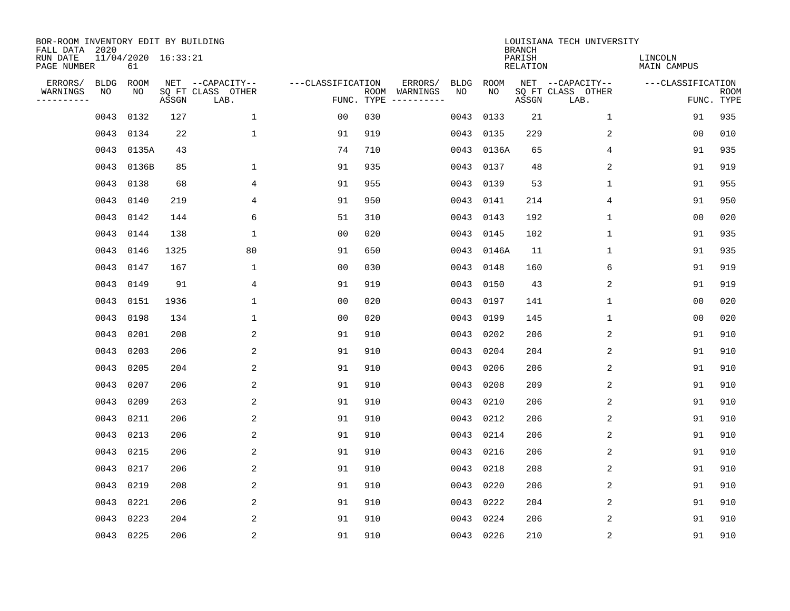| BOR-ROOM INVENTORY EDIT BY BUILDING<br>FALL DATA 2020 |                   |                           |       |                                       |                   |            |                     |                   |            | <b>BRANCH</b>             | LOUISIANA TECH UNIVERSITY             |                               |             |
|-------------------------------------------------------|-------------------|---------------------------|-------|---------------------------------------|-------------------|------------|---------------------|-------------------|------------|---------------------------|---------------------------------------|-------------------------------|-------------|
| RUN DATE<br>PAGE NUMBER                               |                   | 11/04/2020 16:33:21<br>61 |       |                                       |                   |            |                     |                   |            | PARISH<br><b>RELATION</b> |                                       | LINCOLN<br><b>MAIN CAMPUS</b> |             |
| ERRORS/<br>WARNINGS                                   | <b>BLDG</b><br>NO | ROOM<br>NO                |       | NET --CAPACITY--<br>SQ FT CLASS OTHER | ---CLASSIFICATION | ROOM       | ERRORS/<br>WARNINGS | <b>BLDG</b><br>NO | ROOM<br>NO |                           | NET --CAPACITY--<br>SQ FT CLASS OTHER | ---CLASSIFICATION             | <b>ROOM</b> |
| ----------                                            |                   |                           | ASSGN | LAB.                                  |                   | FUNC. TYPE | -----------         |                   |            | ASSGN                     | LAB.                                  |                               | FUNC. TYPE  |
|                                                       | 0043              | 0132                      | 127   | $\mathbf{1}$                          | 00                | 030        |                     | 0043              | 0133       | 21                        | 1                                     | 91                            | 935         |
|                                                       | 0043              | 0134                      | 22    | $\mathbf 1$                           | 91                | 919        |                     | 0043              | 0135       | 229                       | 2                                     | 00                            | 010         |
|                                                       | 0043              | 0135A                     | 43    |                                       | 74                | 710        |                     | 0043              | 0136A      | 65                        | 4                                     | 91                            | 935         |
|                                                       | 0043              | 0136B                     | 85    | $\mathbf 1$                           | 91                | 935        |                     |                   | 0043 0137  | 48                        | 2                                     | 91                            | 919         |
|                                                       | 0043              | 0138                      | 68    | 4                                     | 91                | 955        |                     | 0043              | 0139       | 53                        | $\mathbf 1$                           | 91                            | 955         |
|                                                       | 0043              | 0140                      | 219   | 4                                     | 91                | 950        |                     |                   | 0043 0141  | 214                       | 4                                     | 91                            | 950         |
|                                                       | 0043              | 0142                      | 144   | 6                                     | 51                | 310        |                     |                   | 0043 0143  | 192                       | $\mathbf 1$                           | 0 <sub>0</sub>                | 020         |
|                                                       | 0043              | 0144                      | 138   | $\mathbf{1}$                          | 0 <sub>0</sub>    | 020        |                     |                   | 0043 0145  | 102                       | $\mathbf 1$                           | 91                            | 935         |
|                                                       | 0043              | 0146                      | 1325  | 80                                    | 91                | 650        |                     | 0043              | 0146A      | 11                        | 1                                     | 91                            | 935         |
|                                                       | 0043              | 0147                      | 167   | 1                                     | 00                | 030        |                     |                   | 0043 0148  | 160                       | 6                                     | 91                            | 919         |
|                                                       | 0043              | 0149                      | 91    | 4                                     | 91                | 919        |                     | 0043              | 0150       | 43                        | 2                                     | 91                            | 919         |
|                                                       | 0043              | 0151                      | 1936  | 1                                     | 0 <sub>0</sub>    | 020        |                     | 0043              | 0197       | 141                       | $\mathbf 1$                           | 0 <sub>0</sub>                | 020         |
|                                                       | 0043              | 0198                      | 134   | 1                                     | 0 <sub>0</sub>    | 020        |                     | 0043              | 0199       | 145                       | 1                                     | 0 <sub>0</sub>                | 020         |
|                                                       | 0043              | 0201                      | 208   | 2                                     | 91                | 910        |                     | 0043              | 0202       | 206                       | 2                                     | 91                            | 910         |
|                                                       | 0043              | 0203                      | 206   | 2                                     | 91                | 910        |                     | 0043              | 0204       | 204                       | 2                                     | 91                            | 910         |
|                                                       | 0043              | 0205                      | 204   | 2                                     | 91                | 910        |                     | 0043              | 0206       | 206                       | 2                                     | 91                            | 910         |
|                                                       | 0043              | 0207                      | 206   | 2                                     | 91                | 910        |                     | 0043              | 0208       | 209                       | 2                                     | 91                            | 910         |
|                                                       | 0043              | 0209                      | 263   | $\overline{c}$                        | 91                | 910        |                     | 0043              | 0210       | 206                       | $\overline{2}$                        | 91                            | 910         |
|                                                       | 0043              | 0211                      | 206   | 2                                     | 91                | 910        |                     | 0043              | 0212       | 206                       | 2                                     | 91                            | 910         |
|                                                       | 0043              | 0213                      | 206   | 2                                     | 91                | 910        |                     | 0043              | 0214       | 206                       | 2                                     | 91                            | 910         |
|                                                       | 0043              | 0215                      | 206   | 2                                     | 91                | 910        |                     | 0043              | 0216       | 206                       | 2                                     | 91                            | 910         |
|                                                       | 0043              | 0217                      | 206   | 2                                     | 91                | 910        |                     | 0043              | 0218       | 208                       | 2                                     | 91                            | 910         |
|                                                       | 0043              | 0219                      | 208   | 2                                     | 91                | 910        |                     | 0043              | 0220       | 206                       | 2                                     | 91                            | 910         |
|                                                       | 0043              | 0221                      | 206   | 2                                     | 91                | 910        |                     | 0043              | 0222       | 204                       | 2                                     | 91                            | 910         |
|                                                       | 0043              | 0223                      | 204   | 2                                     | 91                | 910        |                     | 0043              | 0224       | 206                       | 2                                     | 91                            | 910         |
|                                                       |                   | 0043 0225                 | 206   | $\overline{2}$                        | 91                | 910        |                     |                   | 0043 0226  | 210                       | 2                                     | 91                            | 910         |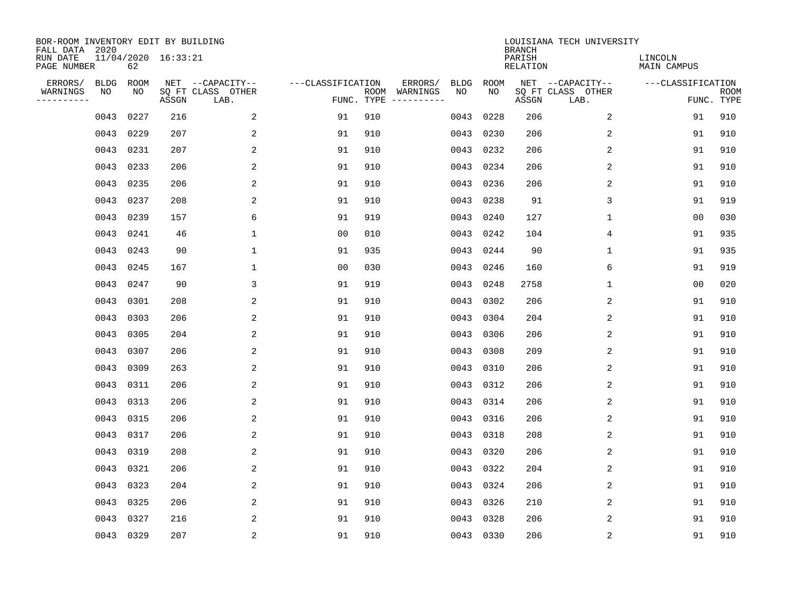| BOR-ROOM INVENTORY EDIT BY BUILDING<br>FALL DATA 2020 |             |      |                     |                           |                   |     |                                      |             |             | <b>BRANCH</b>             | LOUISIANA TECH UNIVERSITY |                               |                           |
|-------------------------------------------------------|-------------|------|---------------------|---------------------------|-------------------|-----|--------------------------------------|-------------|-------------|---------------------------|---------------------------|-------------------------------|---------------------------|
| RUN DATE<br>PAGE NUMBER                               |             | 62   | 11/04/2020 16:33:21 |                           |                   |     |                                      |             |             | PARISH<br><b>RELATION</b> |                           | LINCOLN<br><b>MAIN CAMPUS</b> |                           |
| ERRORS/                                               | <b>BLDG</b> | ROOM |                     | NET --CAPACITY--          | ---CLASSIFICATION |     | ERRORS/                              | <b>BLDG</b> | <b>ROOM</b> |                           | NET --CAPACITY--          | ---CLASSIFICATION             |                           |
| WARNINGS<br>----------                                | NO          | NO   | ASSGN               | SQ FT CLASS OTHER<br>LAB. |                   |     | ROOM WARNINGS<br>FUNC. TYPE $------$ | NO          | NO          | ASSGN                     | SQ FT CLASS OTHER<br>LAB. |                               | <b>ROOM</b><br>FUNC. TYPE |
|                                                       | 0043        | 0227 | 216                 | 2                         | 91                | 910 |                                      | 0043        | 0228        | 206                       | 2                         | 91                            | 910                       |
|                                                       | 0043        | 0229 | 207                 | 2                         | 91                | 910 |                                      | 0043        | 0230        | 206                       | 2                         | 91                            | 910                       |
|                                                       | 0043        | 0231 | 207                 | 2                         | 91                | 910 |                                      | 0043        | 0232        | 206                       | 2                         | 91                            | 910                       |
|                                                       | 0043        | 0233 | 206                 | 2                         | 91                | 910 |                                      | 0043        | 0234        | 206                       | 2                         | 91                            | 910                       |
|                                                       | 0043        | 0235 | 206                 | 2                         | 91                | 910 |                                      | 0043        | 0236        | 206                       | $\overline{2}$            | 91                            | 910                       |
|                                                       | 0043        | 0237 | 208                 | 2                         | 91                | 910 |                                      |             | 0043 0238   | 91                        | 3                         | 91                            | 919                       |
|                                                       | 0043        | 0239 | 157                 | 6                         | 91                | 919 |                                      |             | 0043 0240   | 127                       | $\mathbf 1$               | 0 <sub>0</sub>                | 030                       |
|                                                       | 0043        | 0241 | 46                  | $\mathbf{1}$              | 0 <sub>0</sub>    | 010 |                                      |             | 0043 0242   | 104                       | 4                         | 91                            | 935                       |
|                                                       | 0043        | 0243 | 90                  | $\mathbf{1}$              | 91                | 935 |                                      | 0043        | 0244        | 90                        | 1                         | 91                            | 935                       |
|                                                       | 0043        | 0245 | 167                 | 1                         | 0 <sub>0</sub>    | 030 |                                      | 0043        | 0246        | 160                       | 6                         | 91                            | 919                       |
|                                                       | 0043        | 0247 | 90                  | 3                         | 91                | 919 |                                      | 0043        | 0248        | 2758                      | 1                         | 0 <sub>0</sub>                | 020                       |
|                                                       | 0043        | 0301 | 208                 | $\overline{2}$            | 91                | 910 |                                      | 0043        | 0302        | 206                       | 2                         | 91                            | 910                       |
|                                                       | 0043        | 0303 | 206                 | 2                         | 91                | 910 |                                      | 0043        | 0304        | 204                       | 2                         | 91                            | 910                       |
|                                                       | 0043        | 0305 | 204                 | 2                         | 91                | 910 |                                      | 0043        | 0306        | 206                       | 2                         | 91                            | 910                       |
|                                                       | 0043        | 0307 | 206                 | 2                         | 91                | 910 |                                      | 0043        | 0308        | 209                       | 2                         | 91                            | 910                       |
|                                                       | 0043        | 0309 | 263                 | 2                         | 91                | 910 |                                      | 0043        | 0310        | 206                       | 2                         | 91                            | 910                       |
|                                                       | 0043        | 0311 | 206                 | 2                         | 91                | 910 |                                      | 0043        | 0312        | 206                       | 2                         | 91                            | 910                       |
|                                                       | 0043        | 0313 | 206                 | 2                         | 91                | 910 |                                      | 0043        | 0314        | 206                       | $\overline{2}$            | 91                            | 910                       |
|                                                       | 0043        | 0315 | 206                 | 2                         | 91                | 910 |                                      |             | 0043 0316   | 206                       | 2                         | 91                            | 910                       |
|                                                       | 0043        | 0317 | 206                 | 2                         | 91                | 910 |                                      | 0043        | 0318        | 208                       | 2                         | 91                            | 910                       |
|                                                       | 0043        | 0319 | 208                 | 2                         | 91                | 910 |                                      | 0043        | 0320        | 206                       | 2                         | 91                            | 910                       |
|                                                       | 0043        | 0321 | 206                 | 2                         | 91                | 910 |                                      | 0043        | 0322        | 204                       | 2                         | 91                            | 910                       |
|                                                       | 0043        | 0323 | 204                 | 2                         | 91                | 910 |                                      | 0043        | 0324        | 206                       | 2                         | 91                            | 910                       |
|                                                       | 0043        | 0325 | 206                 | 2                         | 91                | 910 |                                      | 0043        | 0326        | 210                       | 2                         | 91                            | 910                       |
|                                                       | 0043        | 0327 | 216                 | 2                         | 91                | 910 |                                      | 0043        | 0328        | 206                       | 2                         | 91                            | 910                       |
|                                                       | 0043 0329   |      | 207                 | $\overline{c}$            | 91                | 910 |                                      |             | 0043 0330   | 206                       | $\sqrt{2}$                | 91                            | 910                       |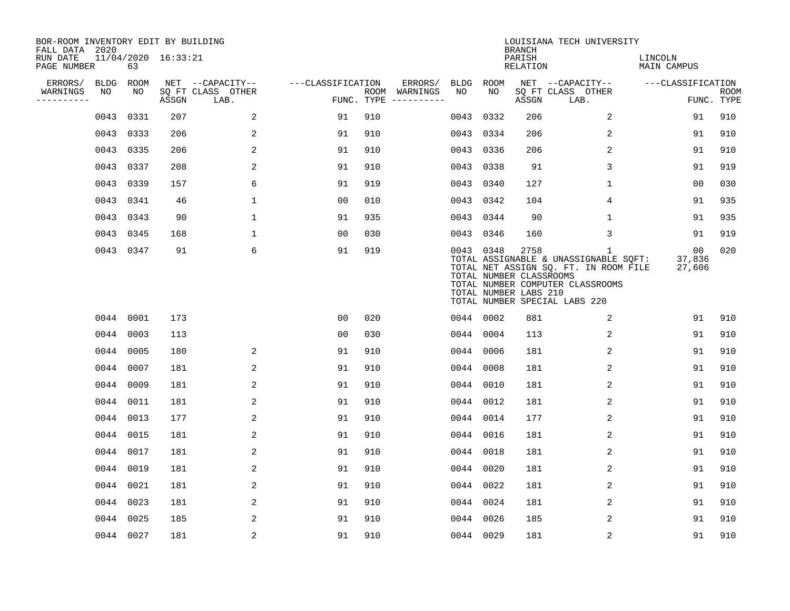| BOR-ROOM INVENTORY EDIT BY BUILDING<br>FALL DATA 2020 |             |           |                     |                           |                   |     |                                      |           |           | <b>BRANCH</b>                                            | LOUISIANA TECH UNIVERSITY                                                                                                                                           |                               |                           |
|-------------------------------------------------------|-------------|-----------|---------------------|---------------------------|-------------------|-----|--------------------------------------|-----------|-----------|----------------------------------------------------------|---------------------------------------------------------------------------------------------------------------------------------------------------------------------|-------------------------------|---------------------------|
| RUN DATE<br>PAGE NUMBER                               |             | 63        | 11/04/2020 16:33:21 |                           |                   |     |                                      |           |           | PARISH<br><b>RELATION</b>                                |                                                                                                                                                                     | LINCOLN<br><b>MAIN CAMPUS</b> |                           |
| ERRORS/                                               | <b>BLDG</b> | ROOM      |                     | NET --CAPACITY--          | ---CLASSIFICATION |     | ERRORS/                              | BLDG      | ROOM      |                                                          | NET --CAPACITY--                                                                                                                                                    | ---CLASSIFICATION             |                           |
| WARNINGS<br>----------                                | NO          | NO        | ASSGN               | SQ FT CLASS OTHER<br>LAB. |                   |     | ROOM WARNINGS<br>FUNC. TYPE $------$ | NO        | NO        | ASSGN                                                    | SQ FT CLASS OTHER<br>LAB.                                                                                                                                           |                               | <b>ROOM</b><br>FUNC. TYPE |
|                                                       | 0043        | 0331      | 207                 | 2                         | 91                | 910 |                                      | 0043      | 0332      | 206                                                      | 2                                                                                                                                                                   | 91                            | 910                       |
|                                                       |             | 0043 0333 | 206                 | 2                         | 91                | 910 |                                      | 0043 0334 |           | 206                                                      | 2                                                                                                                                                                   | 91                            | 910                       |
|                                                       |             | 0043 0335 | 206                 | 2                         | 91                | 910 |                                      | 0043 0336 |           | 206                                                      | 2                                                                                                                                                                   | 91                            | 910                       |
|                                                       | 0043 0337   |           | 208                 | 2                         | 91                | 910 |                                      |           | 0043 0338 | 91                                                       | 3                                                                                                                                                                   | 91                            | 919                       |
|                                                       | 0043 0339   |           | 157                 | 6                         | 91                | 919 |                                      | 0043 0340 |           | 127                                                      | $\mathbf 1$                                                                                                                                                         | 00                            | 030                       |
|                                                       |             | 0043 0341 | 46                  | $\mathbf 1$               | 0 <sub>0</sub>    | 010 |                                      | 0043 0342 |           | 104                                                      | 4                                                                                                                                                                   | 91                            | 935                       |
|                                                       |             | 0043 0343 | 90                  | $\mathbf{1}$              | 91                | 935 |                                      | 0043 0344 |           | 90                                                       | $\mathbf{1}$                                                                                                                                                        | 91                            | 935                       |
|                                                       |             | 0043 0345 | 168                 | $\mathbf{1}$              | 0 <sub>0</sub>    | 030 |                                      | 0043 0346 |           | 160                                                      | 3                                                                                                                                                                   | 91                            | 919                       |
|                                                       |             | 0043 0347 | 91                  | 6                         | 91                | 919 |                                      |           | 0043 0348 | 2758<br>TOTAL NUMBER CLASSROOMS<br>TOTAL NUMBER LABS 210 | $\mathbf{1}$<br>TOTAL ASSIGNABLE & UNASSIGNABLE SOFT:<br>TOTAL NET ASSIGN SQ. FT. IN ROOM FILE<br>TOTAL NUMBER COMPUTER CLASSROOMS<br>TOTAL NUMBER SPECIAL LABS 220 | 00<br>37,836<br>27,606        | 020                       |
|                                                       |             | 0044 0001 | 173                 |                           | 00                | 020 |                                      | 0044 0002 |           | 881                                                      | 2                                                                                                                                                                   | 91                            | 910                       |
|                                                       | 0044 0003   |           | 113                 |                           | 0 <sub>0</sub>    | 030 |                                      | 0044 0004 |           | 113                                                      | 2                                                                                                                                                                   | 91                            | 910                       |
|                                                       | 0044 0005   |           | 180                 | 2                         | 91                | 910 |                                      | 0044 0006 |           | 181                                                      | 2                                                                                                                                                                   | 91                            | 910                       |
|                                                       | 0044 0007   |           | 181                 | 2                         | 91                | 910 |                                      | 0044 0008 |           | 181                                                      | 2                                                                                                                                                                   | 91                            | 910                       |
|                                                       | 0044 0009   |           | 181                 | 2                         | 91                | 910 |                                      | 0044 0010 |           | 181                                                      | 2                                                                                                                                                                   | 91                            | 910                       |
|                                                       | 0044 0011   |           | 181                 | 2                         | 91                | 910 |                                      | 0044 0012 |           | 181                                                      | 2                                                                                                                                                                   | 91                            | 910                       |
|                                                       |             | 0044 0013 | 177                 | 2                         | 91                | 910 |                                      | 0044 0014 |           | 177                                                      | 2                                                                                                                                                                   | 91                            | 910                       |
|                                                       |             | 0044 0015 | 181                 | 2                         | 91                | 910 |                                      | 0044 0016 |           | 181                                                      | 2                                                                                                                                                                   | 91                            | 910                       |
|                                                       |             | 0044 0017 | 181                 | 2                         | 91                | 910 |                                      |           | 0044 0018 | 181                                                      | 2                                                                                                                                                                   | 91                            | 910                       |
|                                                       | 0044 0019   |           | 181                 | $\overline{c}$            | 91                | 910 |                                      | 0044 0020 |           | 181                                                      | $\overline{c}$                                                                                                                                                      | 91                            | 910                       |
|                                                       | 0044 0021   |           | 181                 | 2                         | 91                | 910 |                                      |           | 0044 0022 | 181                                                      | 2                                                                                                                                                                   | 91                            | 910                       |
|                                                       |             | 0044 0023 | 181                 | 2                         | 91                | 910 |                                      | 0044 0024 |           | 181                                                      | 2                                                                                                                                                                   | 91                            | 910                       |
|                                                       | 0044 0025   |           | 185                 | 2                         | 91                | 910 |                                      | 0044 0026 |           | 185                                                      | 2                                                                                                                                                                   | 91                            | 910                       |
|                                                       |             | 0044 0027 | 181                 | 2                         | 91                | 910 |                                      | 0044 0029 |           | 181                                                      | 2                                                                                                                                                                   | 91                            | 910                       |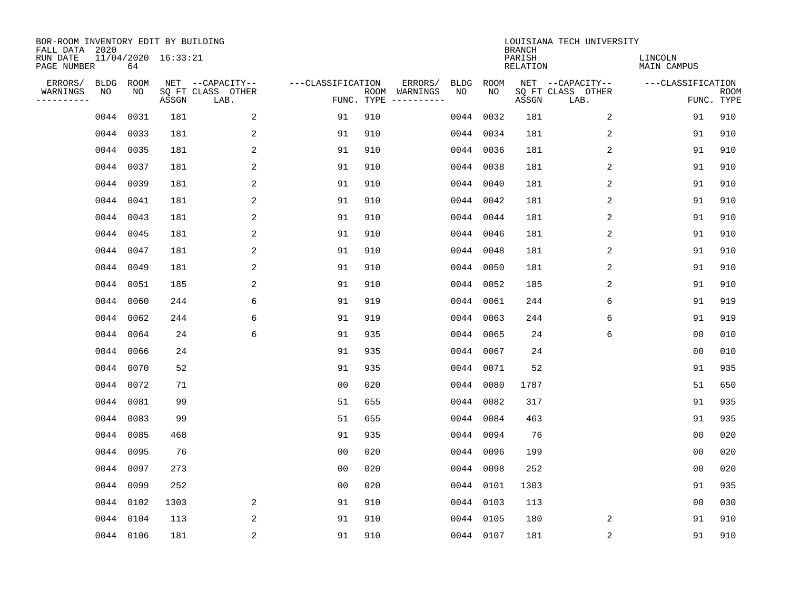| BOR-ROOM INVENTORY EDIT BY BUILDING<br>FALL DATA 2020 |      |           |                     |                           |                   |                                      |      |           | <b>BRANCH</b>      | LOUISIANA TECH UNIVERSITY |                               |                           |
|-------------------------------------------------------|------|-----------|---------------------|---------------------------|-------------------|--------------------------------------|------|-----------|--------------------|---------------------------|-------------------------------|---------------------------|
| RUN DATE<br>PAGE NUMBER                               |      | 64        | 11/04/2020 16:33:21 |                           |                   |                                      |      |           | PARISH<br>RELATION |                           | LINCOLN<br><b>MAIN CAMPUS</b> |                           |
| ERRORS/                                               | BLDG | ROOM      |                     | NET --CAPACITY--          | ---CLASSIFICATION | ERRORS/                              | BLDG | ROOM      |                    | NET --CAPACITY--          | ---CLASSIFICATION             |                           |
| WARNINGS<br>----------                                | NO   | NO        | ASSGN               | SQ FT CLASS OTHER<br>LAB. |                   | ROOM WARNINGS<br>FUNC. TYPE $------$ | NO   | NO        | ASSGN              | SQ FT CLASS OTHER<br>LAB. |                               | <b>ROOM</b><br>FUNC. TYPE |
|                                                       | 0044 | 0031      | 181                 | 2                         | 91                | 910                                  | 0044 | 0032      | 181                | 2                         | 91                            | 910                       |
|                                                       |      | 0044 0033 | 181                 | 2                         | 91                | 910                                  |      | 0044 0034 | 181                | 2                         | 91                            | 910                       |
|                                                       |      | 0044 0035 | 181                 | 2                         | 91                | 910                                  |      | 0044 0036 | 181                | 2                         | 91                            | 910                       |
|                                                       |      | 0044 0037 | 181                 | 2                         | 91                | 910                                  |      | 0044 0038 | 181                | 2                         | 91                            | 910                       |
|                                                       |      | 0044 0039 | 181                 | 2                         | 91                | 910                                  |      | 0044 0040 | 181                | 2                         | 91                            | 910                       |
|                                                       |      | 0044 0041 | 181                 | 2                         | 91                | 910                                  |      | 0044 0042 | 181                | 2                         | 91                            | 910                       |
|                                                       |      | 0044 0043 | 181                 | 2                         | 91                | 910                                  |      | 0044 0044 | 181                | 2                         | 91                            | 910                       |
|                                                       |      | 0044 0045 | 181                 | 2                         | 91                | 910                                  |      | 0044 0046 | 181                | 2                         | 91                            | 910                       |
|                                                       | 0044 | 0047      | 181                 | 2                         | 91                | 910                                  |      | 0044 0048 | 181                | 2                         | 91                            | 910                       |
|                                                       |      | 0044 0049 | 181                 | 2                         | 91                | 910                                  |      | 0044 0050 | 181                | 2                         | 91                            | 910                       |
|                                                       |      | 0044 0051 | 185                 | 2                         | 91                | 910                                  |      | 0044 0052 | 185                | 2                         | 91                            | 910                       |
|                                                       |      | 0044 0060 | 244                 | 6                         | 91                | 919                                  |      | 0044 0061 | 244                | 6                         | 91                            | 919                       |
|                                                       | 0044 | 0062      | 244                 | 6                         | 91                | 919                                  | 0044 | 0063      | 244                | 6                         | 91                            | 919                       |
|                                                       |      | 0044 0064 | 24                  | 6                         | 91                | 935                                  | 0044 | 0065      | 24                 | 6                         | 0 <sub>0</sub>                | 010                       |
|                                                       | 0044 | 0066      | 24                  |                           | 91                | 935                                  | 0044 | 0067      | 24                 |                           | 0 <sub>0</sub>                | 010                       |
|                                                       |      | 0044 0070 | 52                  |                           | 91                | 935                                  | 0044 | 0071      | 52                 |                           | 91                            | 935                       |
|                                                       |      | 0044 0072 | 71                  |                           | 0 <sub>0</sub>    | 020                                  | 0044 | 0080      | 1787               |                           | 51                            | 650                       |
|                                                       | 0044 | 0081      | 99                  |                           | 51                | 655                                  | 0044 | 0082      | 317                |                           | 91                            | 935                       |
|                                                       |      | 0044 0083 | 99                  |                           | 51                | 655                                  |      | 0044 0084 | 463                |                           | 91                            | 935                       |
|                                                       |      | 0044 0085 | 468                 |                           | 91                | 935                                  |      | 0044 0094 | 76                 |                           | 0 <sub>0</sub>                | 020                       |
|                                                       |      | 0044 0095 | 76                  |                           | 0 <sub>0</sub>    | 020                                  |      | 0044 0096 | 199                |                           | 0 <sub>0</sub>                | 020                       |
|                                                       | 0044 | 0097      | 273                 |                           | 0 <sub>0</sub>    | 020                                  |      | 0044 0098 | 252                |                           | 0 <sub>0</sub>                | 020                       |
|                                                       |      | 0044 0099 | 252                 |                           | 0 <sub>0</sub>    | 020                                  |      | 0044 0101 | 1303               |                           | 91                            | 935                       |
|                                                       |      | 0044 0102 | 1303                | 2                         | 91                | 910                                  |      | 0044 0103 | 113                |                           | 0 <sub>0</sub>                | 030                       |
|                                                       |      | 0044 0104 | 113                 | 2                         | 91                | 910                                  |      | 0044 0105 | 180                | 2                         | 91                            | 910                       |
|                                                       |      | 0044 0106 | 181                 | 2                         | 91                | 910                                  |      | 0044 0107 | 181                | $\overline{c}$            | 91                            | 910                       |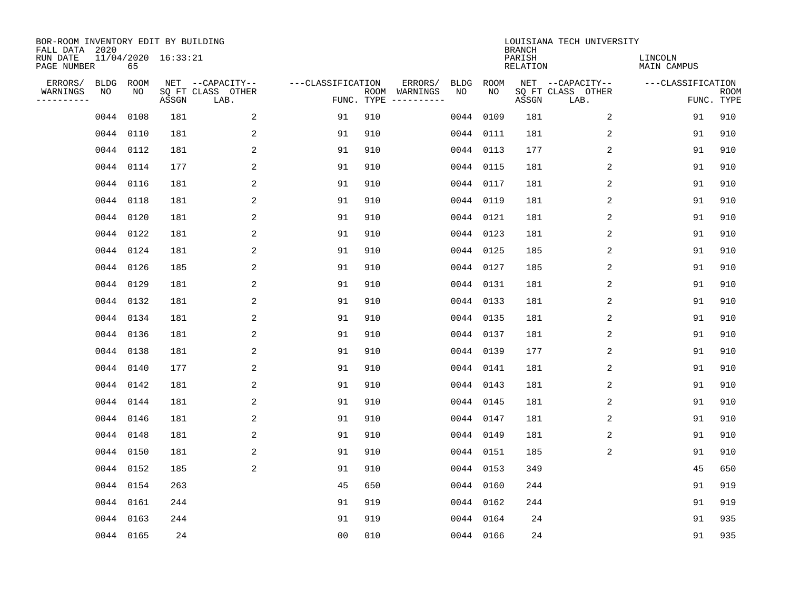| BOR-ROOM INVENTORY EDIT BY BUILDING       |             |           |                     |                           |                   |     |                                      |      |           |                                     | LOUISIANA TECH UNIVERSITY |                               |                           |
|-------------------------------------------|-------------|-----------|---------------------|---------------------------|-------------------|-----|--------------------------------------|------|-----------|-------------------------------------|---------------------------|-------------------------------|---------------------------|
| FALL DATA 2020<br>RUN DATE<br>PAGE NUMBER |             | 65        | 11/04/2020 16:33:21 |                           |                   |     |                                      |      |           | <b>BRANCH</b><br>PARISH<br>RELATION |                           | LINCOLN<br><b>MAIN CAMPUS</b> |                           |
| ERRORS/                                   | <b>BLDG</b> | ROOM      |                     | NET --CAPACITY--          | ---CLASSIFICATION |     | ERRORS/                              | BLDG | ROOM      |                                     | NET --CAPACITY--          | ---CLASSIFICATION             |                           |
| WARNINGS<br>----------                    | NO          | NO        | ASSGN               | SQ FT CLASS OTHER<br>LAB. |                   |     | ROOM WARNINGS<br>FUNC. TYPE $------$ | NO   | NO        | ASSGN                               | SQ FT CLASS OTHER<br>LAB. |                               | <b>ROOM</b><br>FUNC. TYPE |
|                                           | 0044        | 0108      | 181                 | 2                         | 91                | 910 |                                      | 0044 | 0109      | 181                                 | 2                         | 91                            | 910                       |
|                                           |             | 0044 0110 | 181                 | 2                         | 91                | 910 |                                      |      | 0044 0111 | 181                                 | 2                         | 91                            | 910                       |
|                                           |             | 0044 0112 | 181                 | $\overline{c}$            | 91                | 910 |                                      |      | 0044 0113 | 177                                 | $\sqrt{2}$                | 91                            | 910                       |
|                                           |             | 0044 0114 | 177                 | 2                         | 91                | 910 |                                      |      | 0044 0115 | 181                                 | 2                         | 91                            | 910                       |
|                                           |             | 0044 0116 | 181                 | 2                         | 91                | 910 |                                      |      | 0044 0117 | 181                                 | 2                         | 91                            | 910                       |
|                                           |             | 0044 0118 | 181                 | 2                         | 91                | 910 |                                      |      | 0044 0119 | 181                                 | 2                         | 91                            | 910                       |
|                                           |             | 0044 0120 | 181                 | 2                         | 91                | 910 |                                      |      | 0044 0121 | 181                                 | 2                         | 91                            | 910                       |
|                                           |             | 0044 0122 | 181                 | 2                         | 91                | 910 |                                      |      | 0044 0123 | 181                                 | 2                         | 91                            | 910                       |
|                                           |             | 0044 0124 | 181                 | 2                         | 91                | 910 |                                      |      | 0044 0125 | 185                                 | 2                         | 91                            | 910                       |
|                                           |             | 0044 0126 | 185                 | 2                         | 91                | 910 |                                      |      | 0044 0127 | 185                                 | 2                         | 91                            | 910                       |
|                                           |             | 0044 0129 | 181                 | 2                         | 91                | 910 |                                      |      | 0044 0131 | 181                                 | 2                         | 91                            | 910                       |
|                                           |             | 0044 0132 | 181                 | 2                         | 91                | 910 |                                      |      | 0044 0133 | 181                                 | 2                         | 91                            | 910                       |
|                                           |             | 0044 0134 | 181                 | 2                         | 91                | 910 |                                      |      | 0044 0135 | 181                                 | 2                         | 91                            | 910                       |
|                                           |             | 0044 0136 | 181                 | 2                         | 91                | 910 |                                      |      | 0044 0137 | 181                                 | 2                         | 91                            | 910                       |
|                                           |             | 0044 0138 | 181                 | 2                         | 91                | 910 |                                      |      | 0044 0139 | 177                                 | 2                         | 91                            | 910                       |
|                                           |             | 0044 0140 | 177                 | 2                         | 91                | 910 |                                      |      | 0044 0141 | 181                                 | 2                         | 91                            | 910                       |
|                                           |             | 0044 0142 | 181                 | 2                         | 91                | 910 |                                      |      | 0044 0143 | 181                                 | 2                         | 91                            | 910                       |
|                                           |             | 0044 0144 | 181                 | 2                         | 91                | 910 |                                      |      | 0044 0145 | 181                                 | 2                         | 91                            | 910                       |
|                                           |             | 0044 0146 | 181                 | 2                         | 91                | 910 |                                      |      | 0044 0147 | 181                                 | 2                         | 91                            | 910                       |
|                                           |             | 0044 0148 | 181                 | 2                         | 91                | 910 |                                      |      | 0044 0149 | 181                                 | 2                         | 91                            | 910                       |
|                                           |             | 0044 0150 | 181                 | 2                         | 91                | 910 |                                      |      | 0044 0151 | 185                                 | 2                         | 91                            | 910                       |
|                                           |             | 0044 0152 | 185                 | 2                         | 91                | 910 |                                      |      | 0044 0153 | 349                                 |                           | 45                            | 650                       |
|                                           |             | 0044 0154 | 263                 |                           | 45                | 650 |                                      |      | 0044 0160 | 244                                 |                           | 91                            | 919                       |
|                                           |             | 0044 0161 | 244                 |                           | 91                | 919 |                                      |      | 0044 0162 | 244                                 |                           | 91                            | 919                       |
|                                           |             | 0044 0163 | 244                 |                           | 91                | 919 |                                      |      | 0044 0164 | 24                                  |                           | 91                            | 935                       |
|                                           |             | 0044 0165 | 24                  |                           | 0 <sub>0</sub>    | 010 |                                      |      | 0044 0166 | 24                                  |                           | 91                            | 935                       |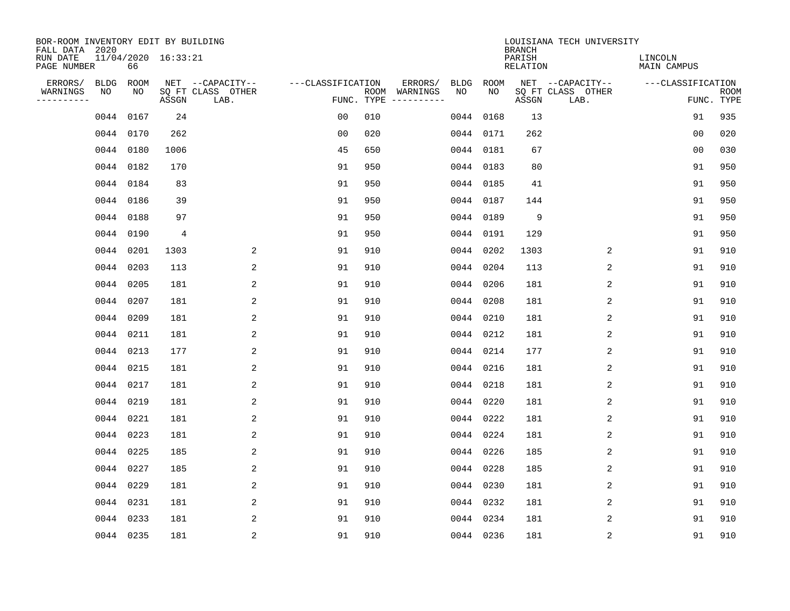| BOR-ROOM INVENTORY EDIT BY BUILDING<br>FALL DATA 2020 |                           |       |                           |                   |     |                                            |           | <b>BRANCH</b> |                 | LOUISIANA TECH UNIVERSITY |                               |                           |
|-------------------------------------------------------|---------------------------|-------|---------------------------|-------------------|-----|--------------------------------------------|-----------|---------------|-----------------|---------------------------|-------------------------------|---------------------------|
| RUN DATE<br>PAGE NUMBER                               | 11/04/2020 16:33:21<br>66 |       |                           |                   |     |                                            |           | PARISH        | <b>RELATION</b> |                           | LINCOLN<br><b>MAIN CAMPUS</b> |                           |
| ERRORS/<br><b>BLDG</b>                                | ROOM                      |       | NET --CAPACITY--          | ---CLASSIFICATION |     | ERRORS/<br><b>BLDG</b>                     |           | ROOM          |                 | NET --CAPACITY--          | ---CLASSIFICATION             |                           |
| WARNINGS<br>NO<br>----------                          | NO                        | ASSGN | SQ FT CLASS OTHER<br>LAB. |                   |     | ROOM WARNINGS<br>NO<br>FUNC. TYPE $------$ |           | NO            | ASSGN           | SQ FT CLASS OTHER<br>LAB. |                               | <b>ROOM</b><br>FUNC. TYPE |
|                                                       | 0044 0167                 | 24    |                           | 0 <sub>0</sub>    | 010 |                                            | 0044 0168 |               | 13              |                           | 91                            | 935                       |
|                                                       | 0044 0170                 | 262   |                           | 0 <sub>0</sub>    | 020 |                                            | 0044 0171 |               | 262             |                           | 00                            | 020                       |
|                                                       | 0044 0180                 | 1006  |                           | 45                | 650 |                                            | 0044 0181 |               | 67              |                           | 0 <sub>0</sub>                | 030                       |
|                                                       | 0044 0182                 | 170   |                           | 91                | 950 |                                            | 0044 0183 |               | 80              |                           | 91                            | 950                       |
|                                                       | 0044 0184                 | 83    |                           | 91                | 950 |                                            | 0044 0185 |               | 41              |                           | 91                            | 950                       |
|                                                       | 0044 0186                 | 39    |                           | 91                | 950 |                                            | 0044 0187 |               | 144             |                           | 91                            | 950                       |
|                                                       | 0044 0188                 | 97    |                           | 91                | 950 |                                            | 0044 0189 |               | 9               |                           | 91                            | 950                       |
|                                                       | 0044 0190                 | 4     |                           | 91                | 950 |                                            | 0044 0191 |               | 129             |                           | 91                            | 950                       |
|                                                       | 0044 0201                 | 1303  | 2                         | 91                | 910 |                                            | 0044 0202 |               | 1303            | 2                         | 91                            | 910                       |
|                                                       | 0044 0203                 | 113   | 2                         | 91                | 910 |                                            | 0044 0204 |               | 113             | 2                         | 91                            | 910                       |
|                                                       | 0044 0205                 | 181   | 2                         | 91                | 910 |                                            | 0044 0206 |               | 181             | 2                         | 91                            | 910                       |
|                                                       | 0044 0207                 | 181   | $\overline{2}$            | 91                | 910 |                                            | 0044 0208 |               | 181             | 2                         | 91                            | 910                       |
|                                                       | 0044 0209                 | 181   | 2                         | 91                | 910 |                                            | 0044 0210 |               | 181             | 2                         | 91                            | 910                       |
|                                                       | 0044 0211                 | 181   | 2                         | 91                | 910 |                                            | 0044 0212 |               | 181             | 2                         | 91                            | 910                       |
|                                                       | 0044 0213                 | 177   | 2                         | 91                | 910 |                                            | 0044 0214 |               | 177             | 2                         | 91                            | 910                       |
|                                                       | 0044 0215                 | 181   | 2                         | 91                | 910 |                                            | 0044 0216 |               | 181             | 2                         | 91                            | 910                       |
|                                                       | 0044 0217                 | 181   | 2                         | 91                | 910 |                                            | 0044      | 0218          | 181             | 2                         | 91                            | 910                       |
|                                                       | 0044 0219                 | 181   | 2                         | 91                | 910 |                                            | 0044      | 0220          | 181             | 2                         | 91                            | 910                       |
|                                                       | 0044 0221                 | 181   | 2                         | 91                | 910 |                                            | 0044 0222 |               | 181             | 2                         | 91                            | 910                       |
|                                                       | 0044 0223                 | 181   | 2                         | 91                | 910 |                                            | 0044 0224 |               | 181             | 2                         | 91                            | 910                       |
|                                                       | 0044 0225                 | 185   | 2                         | 91                | 910 |                                            | 0044 0226 |               | 185             | 2                         | 91                            | 910                       |
|                                                       | 0044 0227                 | 185   | 2                         | 91                | 910 |                                            | 0044 0228 |               | 185             | 2                         | 91                            | 910                       |
|                                                       | 0044 0229                 | 181   | 2                         | 91                | 910 |                                            | 0044 0230 |               | 181             | 2                         | 91                            | 910                       |
|                                                       | 0044 0231                 | 181   | 2                         | 91                | 910 |                                            | 0044 0232 |               | 181             | 2                         | 91                            | 910                       |
|                                                       | 0044 0233                 | 181   | 2                         | 91                | 910 |                                            | 0044 0234 |               | 181             | 2                         | 91                            | 910                       |
|                                                       | 0044 0235                 | 181   | 2                         | 91                | 910 |                                            | 0044 0236 |               | 181             | 2                         | 91                            | 910                       |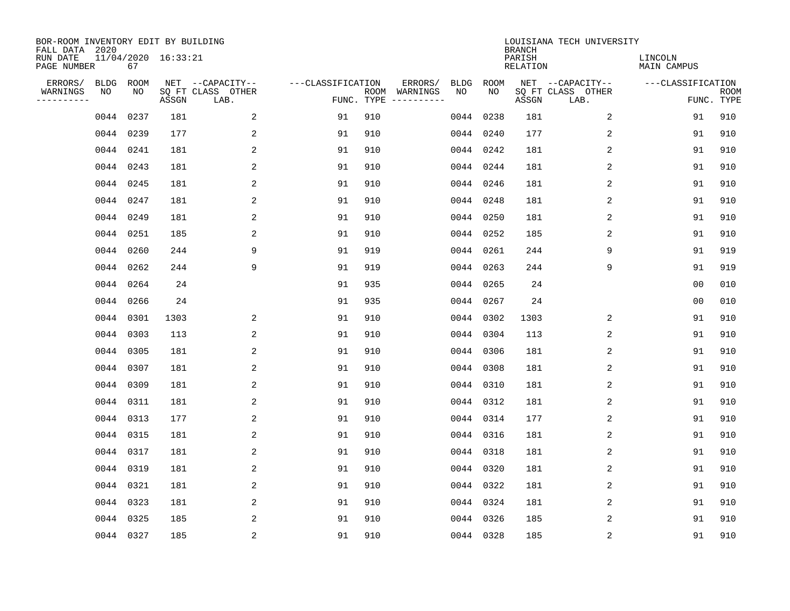| BOR-ROOM INVENTORY EDIT BY BUILDING<br>FALL DATA 2020 |                           |       |                           |                   |     |                                      |             |           | <b>BRANCH</b>             | LOUISIANA TECH UNIVERSITY |                               |                           |
|-------------------------------------------------------|---------------------------|-------|---------------------------|-------------------|-----|--------------------------------------|-------------|-----------|---------------------------|---------------------------|-------------------------------|---------------------------|
| RUN DATE<br>PAGE NUMBER                               | 11/04/2020 16:33:21<br>67 |       |                           |                   |     |                                      |             |           | PARISH<br><b>RELATION</b> |                           | LINCOLN<br><b>MAIN CAMPUS</b> |                           |
| ERRORS/                                               | <b>BLDG</b><br>ROOM       |       | NET --CAPACITY--          | ---CLASSIFICATION |     | ERRORS/                              | <b>BLDG</b> | ROOM      |                           | NET --CAPACITY--          | ---CLASSIFICATION             |                           |
| WARNINGS<br>NO<br>----------                          | NO                        | ASSGN | SQ FT CLASS OTHER<br>LAB. |                   |     | ROOM WARNINGS<br>FUNC. TYPE $------$ | NO          | NO        | ASSGN                     | SQ FT CLASS OTHER<br>LAB. |                               | <b>ROOM</b><br>FUNC. TYPE |
|                                                       | 0044 0237                 | 181   | 2                         | 91                | 910 |                                      |             | 0044 0238 | 181                       | 2                         | 91                            | 910                       |
|                                                       | 0044 0239                 | 177   | 2                         | 91                | 910 |                                      |             | 0044 0240 | 177                       | 2                         | 91                            | 910                       |
|                                                       | 0044 0241                 | 181   | 2                         | 91                | 910 |                                      |             | 0044 0242 | 181                       | 2                         | 91                            | 910                       |
|                                                       | 0044 0243                 | 181   | 2                         | 91                | 910 |                                      |             | 0044 0244 | 181                       | 2                         | 91                            | 910                       |
|                                                       | 0044 0245                 | 181   | 2                         | 91                | 910 |                                      |             | 0044 0246 | 181                       | $\overline{2}$            | 91                            | 910                       |
|                                                       | 0044 0247                 | 181   | 2                         | 91                | 910 |                                      |             | 0044 0248 | 181                       | 2                         | 91                            | 910                       |
|                                                       | 0044 0249                 | 181   | 2                         | 91                | 910 |                                      |             | 0044 0250 | 181                       | 2                         | 91                            | 910                       |
|                                                       | 0044 0251                 | 185   | 2                         | 91                | 910 |                                      |             | 0044 0252 | 185                       | 2                         | 91                            | 910                       |
|                                                       | 0044 0260                 | 244   | 9                         | 91                | 919 |                                      |             | 0044 0261 | 244                       | 9                         | 91                            | 919                       |
|                                                       | 0044 0262                 | 244   | 9                         | 91                | 919 |                                      |             | 0044 0263 | 244                       | 9                         | 91                            | 919                       |
|                                                       | 0044 0264                 | 24    |                           | 91                | 935 |                                      |             | 0044 0265 | 24                        |                           | 0 <sub>0</sub>                | 010                       |
|                                                       | 0044 0266                 | 24    |                           | 91                | 935 |                                      |             | 0044 0267 | 24                        |                           | 0 <sub>0</sub>                | 010                       |
|                                                       | 0044 0301                 | 1303  | 2                         | 91                | 910 |                                      |             | 0044 0302 | 1303                      | 2                         | 91                            | 910                       |
|                                                       | 0044 0303                 | 113   | 2                         | 91                | 910 |                                      |             | 0044 0304 | 113                       | 2                         | 91                            | 910                       |
|                                                       | 0044 0305                 | 181   | 2                         | 91                | 910 |                                      | 0044        | 0306      | 181                       | 2                         | 91                            | 910                       |
|                                                       | 0044 0307                 | 181   | 2                         | 91                | 910 |                                      |             | 0044 0308 | 181                       | 2                         | 91                            | 910                       |
|                                                       | 0044 0309                 | 181   | 2                         | 91                | 910 |                                      | 0044        | 0310      | 181                       | 2                         | 91                            | 910                       |
|                                                       | 0044 0311                 | 181   | 2                         | 91                | 910 |                                      |             | 0044 0312 | 181                       | 2                         | 91                            | 910                       |
|                                                       | 0044 0313                 | 177   | 2                         | 91                | 910 |                                      |             | 0044 0314 | 177                       | 2                         | 91                            | 910                       |
|                                                       | 0044 0315                 | 181   | 2                         | 91                | 910 |                                      |             | 0044 0316 | 181                       | 2                         | 91                            | 910                       |
|                                                       | 0044 0317                 | 181   | 2                         | 91                | 910 |                                      |             | 0044 0318 | 181                       | 2                         | 91                            | 910                       |
|                                                       | 0044 0319                 | 181   | 2                         | 91                | 910 |                                      |             | 0044 0320 | 181                       | 2                         | 91                            | 910                       |
|                                                       | 0044 0321                 | 181   | 2                         | 91                | 910 |                                      |             | 0044 0322 | 181                       | 2                         | 91                            | 910                       |
|                                                       | 0044 0323                 | 181   | 2                         | 91                | 910 |                                      |             | 0044 0324 | 181                       | 2                         | 91                            | 910                       |
|                                                       | 0044 0325                 | 185   | 2                         | 91                | 910 |                                      |             | 0044 0326 | 185                       | 2                         | 91                            | 910                       |
|                                                       | 0044 0327                 | 185   | $\overline{2}$            | 91                | 910 |                                      |             | 0044 0328 | 185                       | 2                         | 91                            | 910                       |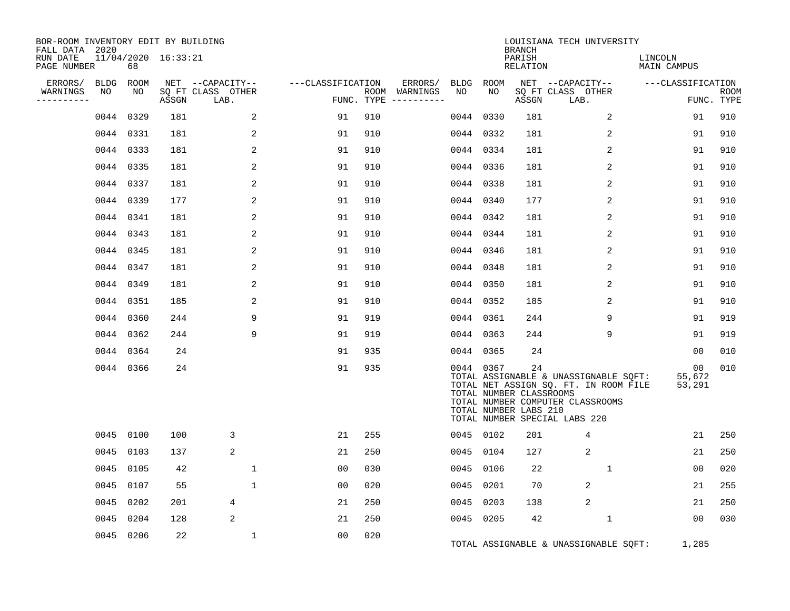| BOR-ROOM INVENTORY EDIT BY BUILDING<br>FALL DATA 2020 |                   |            |                     |                                               |                   |            |                          |                 |           | <b>BRANCH</b>                                          | LOUISIANA TECH UNIVERSITY                                                                                                                           |                        |                           |
|-------------------------------------------------------|-------------------|------------|---------------------|-----------------------------------------------|-------------------|------------|--------------------------|-----------------|-----------|--------------------------------------------------------|-----------------------------------------------------------------------------------------------------------------------------------------------------|------------------------|---------------------------|
| RUN DATE<br>PAGE NUMBER                               |                   | 68         | 11/04/2020 16:33:21 |                                               |                   |            |                          |                 |           | PARISH<br><b>RELATION</b>                              |                                                                                                                                                     | LINCOLN<br>MAIN CAMPUS |                           |
| ERRORS/<br>WARNINGS<br>---------                      | <b>BLDG</b><br>NO | ROOM<br>NO | ASSGN               | NET --CAPACITY--<br>SQ FT CLASS OTHER<br>LAB. | ---CLASSIFICATION | FUNC. TYPE | ERRORS/<br>ROOM WARNINGS | BLDG ROOM<br>NO | NO        | ASSGN                                                  | NET --CAPACITY--<br>SQ FT CLASS OTHER<br>LAB.                                                                                                       | ---CLASSIFICATION      | <b>ROOM</b><br>FUNC. TYPE |
|                                                       | 0044              | 0329       | 181                 | 2                                             | 91                | 910        |                          | 0044            | 0330      | 181                                                    | 2                                                                                                                                                   | 91                     | 910                       |
|                                                       |                   | 0044 0331  | 181                 | 2                                             | 91                | 910        |                          | 0044 0332       |           | 181                                                    | 2                                                                                                                                                   | 91                     | 910                       |
|                                                       |                   | 0044 0333  | 181                 | 2                                             | 91                | 910        |                          | 0044 0334       |           | 181                                                    | 2                                                                                                                                                   | 91                     | 910                       |
|                                                       |                   | 0044 0335  | 181                 | 2                                             | 91                | 910        |                          | 0044 0336       |           | 181                                                    | 2                                                                                                                                                   | 91                     | 910                       |
|                                                       |                   | 0044 0337  | 181                 | 2                                             | 91                | 910        |                          | 0044 0338       |           | 181                                                    | 2                                                                                                                                                   | 91                     | 910                       |
|                                                       |                   | 0044 0339  | 177                 | 2                                             | 91                | 910        |                          | 0044 0340       |           | 177                                                    | 2                                                                                                                                                   | 91                     | 910                       |
|                                                       |                   | 0044 0341  | 181                 | 2                                             | 91                | 910        |                          | 0044 0342       |           | 181                                                    | 2                                                                                                                                                   | 91                     | 910                       |
|                                                       |                   | 0044 0343  | 181                 | 2                                             | 91                | 910        |                          | 0044 0344       |           | 181                                                    | 2                                                                                                                                                   | 91                     | 910                       |
|                                                       |                   | 0044 0345  | 181                 | 2                                             | 91                | 910        |                          | 0044 0346       |           | 181                                                    | 2                                                                                                                                                   | 91                     | 910                       |
|                                                       |                   | 0044 0347  | 181                 | 2                                             | 91                | 910        |                          | 0044 0348       |           | 181                                                    | 2                                                                                                                                                   | 91                     | 910                       |
|                                                       |                   | 0044 0349  | 181                 | 2                                             | 91                | 910        |                          | 0044 0350       |           | 181                                                    | 2                                                                                                                                                   | 91                     | 910                       |
|                                                       |                   | 0044 0351  | 185                 | 2                                             | 91                | 910        |                          | 0044 0352       |           | 185                                                    | 2                                                                                                                                                   | 91                     | 910                       |
|                                                       |                   | 0044 0360  | 244                 | 9                                             | 91                | 919        |                          | 0044 0361       |           | 244                                                    | 9                                                                                                                                                   | 91                     | 919                       |
|                                                       | 0044              | 0362       | 244                 | 9                                             | 91                | 919        |                          | 0044 0363       |           | 244                                                    | 9                                                                                                                                                   | 91                     | 919                       |
|                                                       |                   | 0044 0364  | 24                  |                                               | 91                | 935        |                          | 0044 0365       |           | 24                                                     |                                                                                                                                                     | 00                     | 010                       |
|                                                       |                   | 0044 0366  | 24                  |                                               | 91                | 935        |                          | 0044 0367       |           | 24<br>TOTAL NUMBER CLASSROOMS<br>TOTAL NUMBER LABS 210 | TOTAL ASSIGNABLE & UNASSIGNABLE SQFT:<br>TOTAL NET ASSIGN SQ. FT. IN ROOM FILE<br>TOTAL NUMBER COMPUTER CLASSROOMS<br>TOTAL NUMBER SPECIAL LABS 220 | 00<br>55,672<br>53,291 | 010                       |
|                                                       |                   | 0045 0100  | 100                 | 3                                             | 21                | 255        |                          | 0045 0102       |           | 201                                                    | 4                                                                                                                                                   | 21                     | 250                       |
|                                                       | 0045              | 0103       | 137                 | 2                                             | 21                | 250        |                          | 0045            | 0104      | 127                                                    | 2                                                                                                                                                   | 21                     | 250                       |
|                                                       | 0045              | 0105       | 42                  | $\mathbf 1$                                   | 00                | 030        |                          |                 | 0045 0106 | 22                                                     | $\mathbf 1$                                                                                                                                         | 0 <sub>0</sub>         | 020                       |
|                                                       | 0045              | 0107       | 55                  | $\mathbf{1}$                                  | 00                | 020        |                          | 0045            | 0201      | 70                                                     | 2                                                                                                                                                   | 21                     | 255                       |
|                                                       | 0045              | 0202       | 201                 | 4                                             | 21                | 250        |                          | 0045            | 0203      | 138                                                    | 2                                                                                                                                                   | 21                     | 250                       |
|                                                       | 0045              | 0204       | 128                 | 2                                             | 21                | 250        |                          | 0045 0205       |           | 42                                                     | 1                                                                                                                                                   | 00                     | 030                       |
|                                                       |                   | 0045 0206  | 22                  | 1                                             | 0 <sub>0</sub>    | 020        |                          |                 |           |                                                        | TOTAL ASSIGNABLE & UNASSIGNABLE SQFT:                                                                                                               | 1,285                  |                           |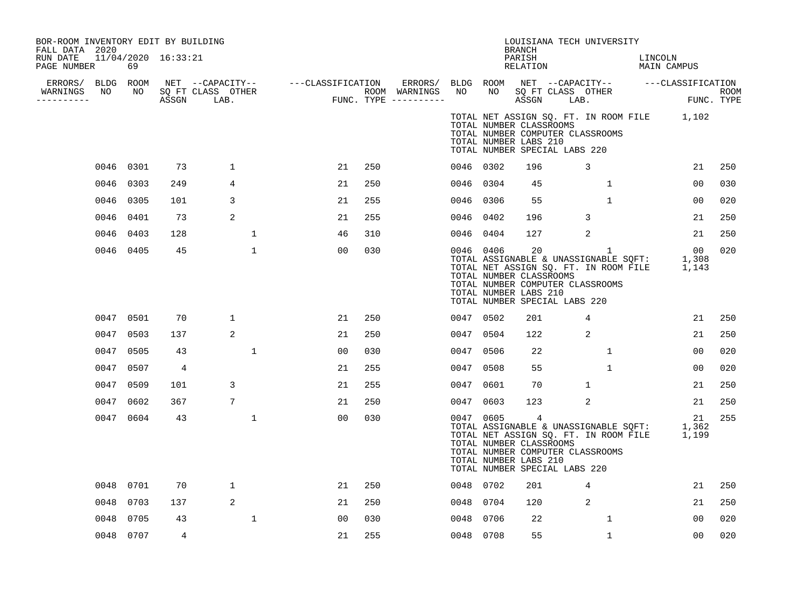| BOR-ROOM INVENTORY EDIT BY BUILDING<br>FALL DATA 2020<br>RUN DATE 11/04/2020 16:33:21<br>PAGE NUMBER | 69        |                |                      |                                                                                                                                                                                                              |     |           |           | <b>BRANCH</b><br>PARISH<br>RELATION                                | LOUISIANA TECH UNIVERSITY                                         |              | LINCOLN<br>MAIN CAMPUS                                                                     |                |     |
|------------------------------------------------------------------------------------------------------|-----------|----------------|----------------------|--------------------------------------------------------------------------------------------------------------------------------------------------------------------------------------------------------------|-----|-----------|-----------|--------------------------------------------------------------------|-------------------------------------------------------------------|--------------|--------------------------------------------------------------------------------------------|----------------|-----|
| ERRORS/ BLDG ROOM<br>NO<br>WARNINGS<br>-----------                                                   |           |                | NO SQ FT CLASS OTHER | NET --CAPACITY-- ----CLASSIFICATION ERRORS/BLDGROOM NET --CAPACITY-- ----CLASSIFICATION<br>SQFTCLASS OTHER ROOM WARNINGS NO NO SQFTCLASS OTHER ROOM<br>ASSGN LAB. FUNC.TYPE ----------- ASSGN LAB. FUNC.TYPE |     |           |           |                                                                    |                                                                   |              | ROOM NEI --CAFACIII<br>NO SQFT-CLASS OTHER<br>ASSGN LAB.                                   |                |     |
|                                                                                                      |           |                |                      |                                                                                                                                                                                                              |     |           |           | TOTAL NUMBER CLASSROOMS<br>TOTAL NUMBER LABS 210                   | TOTAL NUMBER COMPUTER CLASSROOMS<br>TOTAL NUMBER SPECIAL LABS 220 |              | TOTAL NET ASSIGN SQ. FT. IN ROOM FILE 1,102                                                |                |     |
|                                                                                                      | 0046 0301 | 73             | $\mathbf{1}$         | 21                                                                                                                                                                                                           | 250 | 0046 0302 |           | 196                                                                | 3                                                                 |              |                                                                                            | 21             | 250 |
| 0046                                                                                                 | 0303      | 249            | 4                    | 21                                                                                                                                                                                                           | 250 | 0046 0304 |           | 45                                                                 |                                                                   | $\mathbf{1}$ |                                                                                            | 0 <sub>0</sub> | 030 |
|                                                                                                      | 0046 0305 | 101            | 3                    | 21                                                                                                                                                                                                           | 255 | 0046 0306 |           | 55                                                                 |                                                                   | $\mathbf{1}$ |                                                                                            | 00             | 020 |
|                                                                                                      | 0046 0401 | 73             | 2                    | 21                                                                                                                                                                                                           | 255 | 0046 0402 |           | 196                                                                | $\overline{3}$                                                    |              |                                                                                            | 21             | 250 |
|                                                                                                      | 0046 0403 | 128            | $\mathbf 1$          | 46                                                                                                                                                                                                           | 310 | 0046 0404 |           | 127                                                                | 2                                                                 |              |                                                                                            | 21             | 250 |
|                                                                                                      | 0046 0405 | 45             | $\mathbf 1$          | 00                                                                                                                                                                                                           | 030 |           | 0046 0406 | 20<br>TOTAL NUMBER CLASSROOMS<br>TOTAL NUMBER LABS 210             | TOTAL NUMBER COMPUTER CLASSROOMS<br>TOTAL NUMBER SPECIAL LABS 220 | $\mathbf{1}$ | TOTAL ASSIGNABLE & UNASSIGNABLE SQFT: 1,308<br>TOTAL NET ASSIGN SQ. FT. IN ROOM FILE 1,143 | 00             | 020 |
|                                                                                                      | 0047 0501 | 70             | 1                    | 21                                                                                                                                                                                                           | 250 | 0047 0502 |           | 201                                                                | 4                                                                 |              |                                                                                            | 21             | 250 |
| 0047                                                                                                 | 0503      | 137            | 2                    | 21                                                                                                                                                                                                           | 250 | 0047 0504 |           | 122                                                                | 2                                                                 |              |                                                                                            | 21             | 250 |
|                                                                                                      | 0047 0505 | 43             | $\mathbf{1}$         | 00                                                                                                                                                                                                           | 030 | 0047 0506 |           | 22                                                                 |                                                                   | $\mathbf{1}$ |                                                                                            | 0 <sub>0</sub> | 020 |
|                                                                                                      | 0047 0507 | $\overline{4}$ |                      | 21                                                                                                                                                                                                           | 255 | 0047 0508 |           | 55                                                                 |                                                                   | $\mathbf{1}$ |                                                                                            | 00             | 020 |
| 0047                                                                                                 | 0509      | 101            | 3                    | 21                                                                                                                                                                                                           | 255 | 0047 0601 |           | 70                                                                 | $\mathbf{1}$                                                      |              |                                                                                            | 21             | 250 |
| 0047                                                                                                 | 0602      | 367            | 7                    | 21                                                                                                                                                                                                           | 250 | 0047 0603 |           | 123                                                                | 2                                                                 |              |                                                                                            | 21             | 250 |
|                                                                                                      | 0047 0604 | 43             | $\mathbf 1$          | 00                                                                                                                                                                                                           | 030 |           | 0047 0605 | $\overline{4}$<br>TOTAL NUMBER CLASSROOMS<br>TOTAL NUMBER LABS 210 | TOTAL NUMBER COMPUTER CLASSROOMS<br>TOTAL NUMBER SPECIAL LABS 220 |              | TOTAL ASSIGNABLE & UNASSIGNABLE SQFT: 1,362<br>TOTAL NET ASSIGN SQ. FT. IN ROOM FILE 1,199 | 21             | 255 |
|                                                                                                      | 0048 0701 | 70             | 1                    | 21                                                                                                                                                                                                           | 250 | 0048 0702 |           | 201                                                                | 4                                                                 |              |                                                                                            | 21             | 250 |
|                                                                                                      | 0048 0703 | 137            | 2                    | 21                                                                                                                                                                                                           | 250 | 0048 0704 |           | 120                                                                | 2                                                                 |              |                                                                                            | 21             | 250 |
| 0048                                                                                                 | 0705      | 43             | $\mathbf{1}$         | 0 <sub>0</sub>                                                                                                                                                                                               | 030 | 0048 0706 |           | 22                                                                 |                                                                   | $\mathbf{1}$ |                                                                                            | 0 <sub>0</sub> | 020 |
|                                                                                                      | 0048 0707 | 4              |                      | 21                                                                                                                                                                                                           | 255 | 0048 0708 |           | 55                                                                 |                                                                   | $\mathbf{1}$ |                                                                                            | 0 <sub>0</sub> | 020 |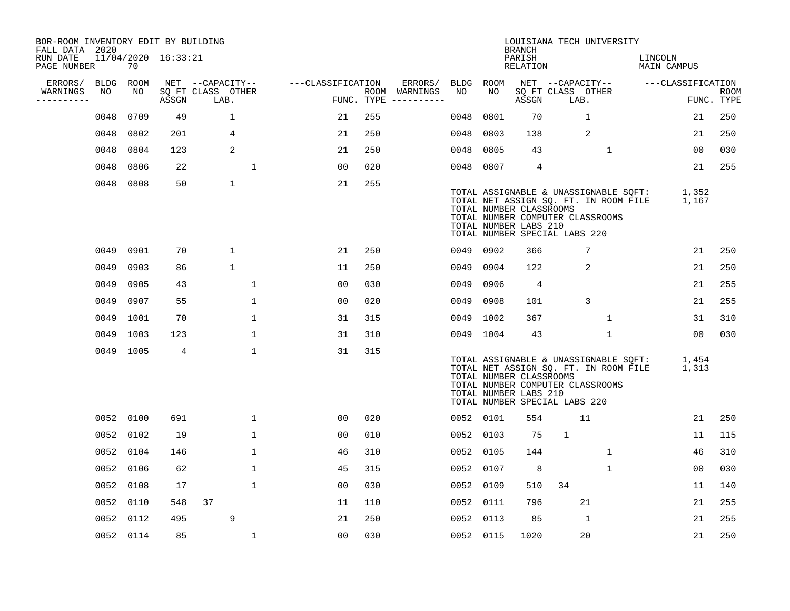| BOR-ROOM INVENTORY EDIT BY BUILDING<br>FALL DATA 2020 |      |           |                         |                           |              |                   |     |                                      |      |                                                                                                                                                                                                         | LOUISIANA TECH UNIVERSITY<br><b>BRANCH</b> |                           |              |              |                        |                   |                           |
|-------------------------------------------------------|------|-----------|-------------------------|---------------------------|--------------|-------------------|-----|--------------------------------------|------|---------------------------------------------------------------------------------------------------------------------------------------------------------------------------------------------------------|--------------------------------------------|---------------------------|--------------|--------------|------------------------|-------------------|---------------------------|
| RUN DATE<br>PAGE NUMBER                               |      | 70        | $11/04/2020$ $16:33:21$ |                           |              |                   |     |                                      |      |                                                                                                                                                                                                         | PARISH<br>RELATION                         |                           |              |              | LINCOLN<br>MAIN CAMPUS |                   |                           |
| ERRORS/                                               | BLDG | ROOM      |                         | NET --CAPACITY--          |              | ---CLASSIFICATION |     | ERRORS/                              | BLDG | ROOM                                                                                                                                                                                                    |                                            | NET --CAPACITY--          |              |              |                        | ---CLASSIFICATION |                           |
| WARNINGS<br>----------                                | NO   | NO        | ASSGN                   | SQ FT CLASS OTHER<br>LAB. |              |                   |     | ROOM WARNINGS<br>FUNC. TYPE $------$ | NO.  | NO.                                                                                                                                                                                                     | ASSGN                                      | SQ FT CLASS OTHER<br>LAB. |              |              |                        |                   | <b>ROOM</b><br>FUNC. TYPE |
|                                                       | 0048 | 0709      | 49                      | $\mathbf 1$               |              | 21                | 255 |                                      | 0048 | 0801                                                                                                                                                                                                    | 70                                         |                           | $\mathbf{1}$ |              |                        | 21                | 250                       |
|                                                       | 0048 | 0802      | 201                     | 4                         |              | 21                | 250 |                                      | 0048 | 0803                                                                                                                                                                                                    | 138                                        |                           | 2            |              |                        | 21                | 250                       |
|                                                       | 0048 | 0804      | 123                     | 2                         |              | 21                | 250 |                                      | 0048 | 0805                                                                                                                                                                                                    | 43                                         |                           |              | $\mathbf 1$  |                        | 00                | 030                       |
|                                                       | 0048 | 0806      | 22                      |                           | $\mathbf 1$  | 0 <sub>0</sub>    | 020 |                                      | 0048 | 0807                                                                                                                                                                                                    | 4                                          |                           |              |              |                        | 21                | 255                       |
|                                                       | 0048 | 0808      | 50                      | $\mathbf 1$               |              | 21                | 255 |                                      |      | TOTAL ASSIGNABLE & UNASSIGNABLE SQFT:<br>TOTAL NET ASSIGN SQ. FT. IN ROOM FILE<br>TOTAL NUMBER CLASSROOMS<br>TOTAL NUMBER COMPUTER CLASSROOMS<br>TOTAL NUMBER LABS 210<br>TOTAL NUMBER SPECIAL LABS 220 |                                            |                           |              |              |                        | 1,352<br>1,167    |                           |
|                                                       |      | 0049 0901 | 70                      | $\mathbf 1$               |              | 21                | 250 |                                      |      | 0049 0902                                                                                                                                                                                               | 366                                        |                           | 7            |              |                        | 21                | 250                       |
|                                                       | 0049 | 0903      | 86                      | $\mathbf{1}$              |              | 11                | 250 |                                      | 0049 | 0904                                                                                                                                                                                                    | 122                                        |                           | 2            |              |                        | 21                | 250                       |
|                                                       | 0049 | 0905      | 43                      |                           | 1            | 00                | 030 |                                      | 0049 | 0906                                                                                                                                                                                                    | 4                                          |                           |              |              |                        | 21                | 255                       |
|                                                       | 0049 | 0907      | 55                      |                           | $\mathbf{1}$ | 0 <sub>0</sub>    | 020 |                                      | 0049 | 0908                                                                                                                                                                                                    | 101                                        |                           | 3            |              |                        | 21                | 255                       |
|                                                       | 0049 | 1001      | 70                      |                           | $\mathbf{1}$ | 31                | 315 |                                      | 0049 | 1002                                                                                                                                                                                                    | 367                                        |                           |              | 1            |                        | 31                | 310                       |
|                                                       |      | 0049 1003 | 123                     |                           | $\mathbf{1}$ | 31                | 310 |                                      |      | 0049 1004                                                                                                                                                                                               | 43                                         |                           |              | $\mathbf{1}$ |                        | 0 <sub>0</sub>    | 030                       |
|                                                       |      | 0049 1005 | $\overline{4}$          |                           | $\mathbf 1$  | 31                | 315 |                                      |      | TOTAL ASSIGNABLE & UNASSIGNABLE SQFT:<br>TOTAL NET ASSIGN SQ. FT. IN ROOM FILE<br>TOTAL NUMBER CLASSROOMS<br>TOTAL NUMBER COMPUTER CLASSROOMS<br>TOTAL NUMBER LABS 210<br>TOTAL NUMBER SPECIAL LABS 220 |                                            |                           |              |              |                        | 1,454<br>1,313    |                           |
|                                                       |      | 0052 0100 | 691                     |                           | $\mathbf{1}$ | 00                | 020 |                                      |      | 0052 0101                                                                                                                                                                                               | 554                                        |                           | 11           |              |                        | 21                | 250                       |
|                                                       |      | 0052 0102 | 19                      |                           | $\mathbf 1$  | 00                | 010 |                                      |      | 0052 0103                                                                                                                                                                                               | 75                                         | $\mathbf{1}$              |              |              |                        | 11                | 115                       |
|                                                       |      | 0052 0104 | 146                     |                           | $\mathbf{1}$ | 46                | 310 |                                      | 0052 | 0105                                                                                                                                                                                                    | 144                                        |                           |              | $\mathbf{1}$ |                        | 46                | 310                       |
|                                                       |      | 0052 0106 | 62                      |                           | $\mathbf{1}$ | 45                | 315 |                                      | 0052 | 0107                                                                                                                                                                                                    | 8                                          |                           |              | $\mathbf{1}$ |                        | 0 <sub>0</sub>    | 030                       |
|                                                       |      | 0052 0108 | 17                      |                           | $\mathbf 1$  | 0 <sub>0</sub>    | 030 |                                      | 0052 | 0109                                                                                                                                                                                                    | 510                                        | 34                        |              |              |                        | 11                | 140                       |
|                                                       |      | 0052 0110 | 548                     | 37                        |              | 11                | 110 |                                      | 0052 | 0111                                                                                                                                                                                                    | 796                                        |                           | 21           |              |                        | 21                | 255                       |
|                                                       |      | 0052 0112 | 495                     | 9                         |              | 21                | 250 |                                      | 0052 | 0113                                                                                                                                                                                                    | 85                                         |                           | 1            |              |                        | 21                | 255                       |
|                                                       |      | 0052 0114 | 85                      |                           | $\mathbf{1}$ | 0 <sub>0</sub>    | 030 |                                      |      | 0052 0115                                                                                                                                                                                               | 1020                                       |                           | 20           |              |                        | 21                | 250                       |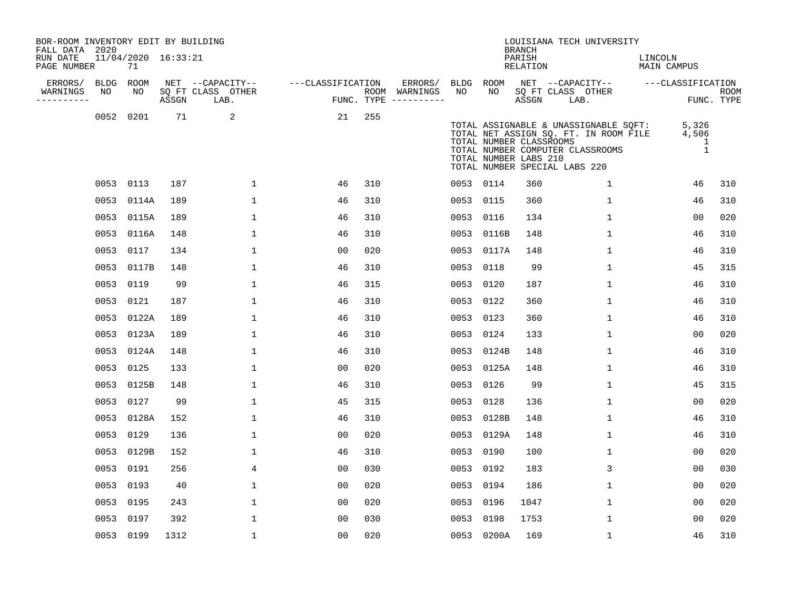| BOR-ROOM INVENTORY EDIT BY BUILDING<br>FALL DATA 2020 |      |                           |       |                           |                   |     |                                      |           |            | <b>BRANCH</b>                                    | LOUISIANA TECH UNIVERSITY                                                                                                                           |                                     |                    |
|-------------------------------------------------------|------|---------------------------|-------|---------------------------|-------------------|-----|--------------------------------------|-----------|------------|--------------------------------------------------|-----------------------------------------------------------------------------------------------------------------------------------------------------|-------------------------------------|--------------------|
| RUN DATE<br>PAGE NUMBER                               |      | 11/04/2020 16:33:21<br>71 |       |                           |                   |     |                                      |           |            | PARISH<br>RELATION                               |                                                                                                                                                     | LINCOLN<br>MAIN CAMPUS              |                    |
| ERRORS/                                               |      | BLDG ROOM                 |       | NET --CAPACITY--          | ---CLASSIFICATION |     | ERRORS/                              |           | BLDG ROOM  |                                                  | NET --CAPACITY-- ---CLASSIFICATION                                                                                                                  |                                     |                    |
| WARNINGS<br>----------                                | NO   | NO                        | ASSGN | SQ FT CLASS OTHER<br>LAB. |                   |     | ROOM WARNINGS<br>FUNC. TYPE $------$ | NO        | NO         | ASSGN                                            | SQ FT CLASS OTHER<br>LAB.                                                                                                                           |                                     | ROOM<br>FUNC. TYPE |
|                                                       | 0052 | 0201                      | 71    | 2                         | 21                | 255 |                                      |           |            | TOTAL NUMBER CLASSROOMS<br>TOTAL NUMBER LABS 210 | TOTAL ASSIGNABLE & UNASSIGNABLE SQFT:<br>TOTAL NET ASSIGN SQ. FT. IN ROOM FILE<br>TOTAL NUMBER COMPUTER CLASSROOMS<br>TOTAL NUMBER SPECIAL LABS 220 | 5,326<br>4,506<br>1<br>$\mathbf{1}$ |                    |
|                                                       |      | 0053 0113                 | 187   | $\mathbf 1$               | 46                | 310 |                                      |           | 0053 0114  | 360                                              | $\mathbf{1}$                                                                                                                                        | 46                                  | 310                |
|                                                       | 0053 | 0114A                     | 189   | 1                         | 46                | 310 |                                      |           | 0053 0115  | 360                                              | $\mathbf{1}$                                                                                                                                        | 46                                  | 310                |
|                                                       |      | 0053 0115A                | 189   | $\mathbf{1}$              | 46                | 310 |                                      |           | 0053 0116  | 134                                              | $\mathbf{1}$                                                                                                                                        | 0 <sub>0</sub>                      | 020                |
|                                                       | 0053 | 0116A                     | 148   | $\mathbf 1$               | 46                | 310 |                                      |           | 0053 0116B | 148                                              | $\mathbf{1}$                                                                                                                                        | 46                                  | 310                |
|                                                       | 0053 | 0117                      | 134   | $\mathbf{1}$              | 0 <sub>0</sub>    | 020 |                                      |           | 0053 0117A | 148                                              | $\mathbf{1}$                                                                                                                                        | 46                                  | 310                |
|                                                       | 0053 | 0117B                     | 148   | 1                         | 46                | 310 |                                      |           | 0053 0118  | 99                                               | $\mathbf 1$                                                                                                                                         | 45                                  | 315                |
|                                                       | 0053 | 0119                      | 99    | 1                         | 46                | 315 |                                      | 0053 0120 |            | 187                                              | 1                                                                                                                                                   | 46                                  | 310                |
|                                                       | 0053 | 0121                      | 187   | $\mathbf 1$               | 46                | 310 |                                      |           | 0053 0122  | 360                                              | $\mathbf{1}$                                                                                                                                        | 46                                  | 310                |
|                                                       | 0053 | 0122A                     | 189   | 1                         | 46                | 310 |                                      | 0053 0123 |            | 360                                              | $\mathbf{1}$                                                                                                                                        | 46                                  | 310                |
|                                                       | 0053 | 0123A                     | 189   | $\mathbf 1$               | 46                | 310 |                                      |           | 0053 0124  | 133                                              | $\mathbf{1}$                                                                                                                                        | 0 <sub>0</sub>                      | 020                |
|                                                       | 0053 | 0124A                     | 148   | $\mathbf{1}$              | 46                | 310 |                                      |           | 0053 0124B | 148                                              | 1                                                                                                                                                   | 46                                  | 310                |
|                                                       | 0053 | 0125                      | 133   | $\mathbf 1$               | 0 <sub>0</sub>    | 020 |                                      |           | 0053 0125A | 148                                              | $\mathbf{1}$                                                                                                                                        | 46                                  | 310                |
|                                                       | 0053 | 0125B                     | 148   | 1                         | 46                | 310 |                                      |           | 0053 0126  | 99                                               | $\mathbf{1}$                                                                                                                                        | 45                                  | 315                |
|                                                       | 0053 | 0127                      | 99    | $\mathbf 1$               | 45                | 315 |                                      |           | 0053 0128  | 136                                              | $\mathbf{1}$                                                                                                                                        | 0 <sub>0</sub>                      | 020                |
|                                                       | 0053 | 0128A                     | 152   | $\mathbf 1$               | 46                | 310 |                                      |           | 0053 0128B | 148                                              | $\mathbf{1}$                                                                                                                                        | 46                                  | 310                |
|                                                       | 0053 | 0129                      | 136   | $\mathbf{1}$              | 0 <sub>0</sub>    | 020 |                                      |           | 0053 0129A | 148                                              | $\mathbf{1}$                                                                                                                                        | 46                                  | 310                |
|                                                       | 0053 | 0129B                     | 152   | 1                         | 46                | 310 |                                      | 0053 0190 |            | 100                                              | $\mathbf{1}$                                                                                                                                        | 0 <sub>0</sub>                      | 020                |
|                                                       | 0053 | 0191                      | 256   | 4                         | 0 <sub>0</sub>    | 030 |                                      |           | 0053 0192  | 183                                              | 3                                                                                                                                                   | 00                                  | 030                |
|                                                       | 0053 | 0193                      | 40    | $\mathbf 1$               | 0 <sub>0</sub>    | 020 |                                      |           | 0053 0194  | 186                                              | $\mathbf{1}$                                                                                                                                        | 00                                  | 020                |
|                                                       | 0053 | 0195                      | 243   | $\mathbf{1}$              | 00                | 020 |                                      |           | 0053 0196  | 1047                                             | $\mathbf{1}$                                                                                                                                        | 00                                  | 020                |
|                                                       | 0053 | 0197                      | 392   | 1                         | 0 <sub>0</sub>    | 030 |                                      |           | 0053 0198  | 1753                                             | $\mathbf{1}$                                                                                                                                        | 00                                  | 020                |
|                                                       |      | 0053 0199                 | 1312  | $\mathbf{1}$              | 0 <sub>0</sub>    | 020 |                                      |           | 0053 0200A | 169                                              | $\mathbf{1}$                                                                                                                                        | 46                                  | 310                |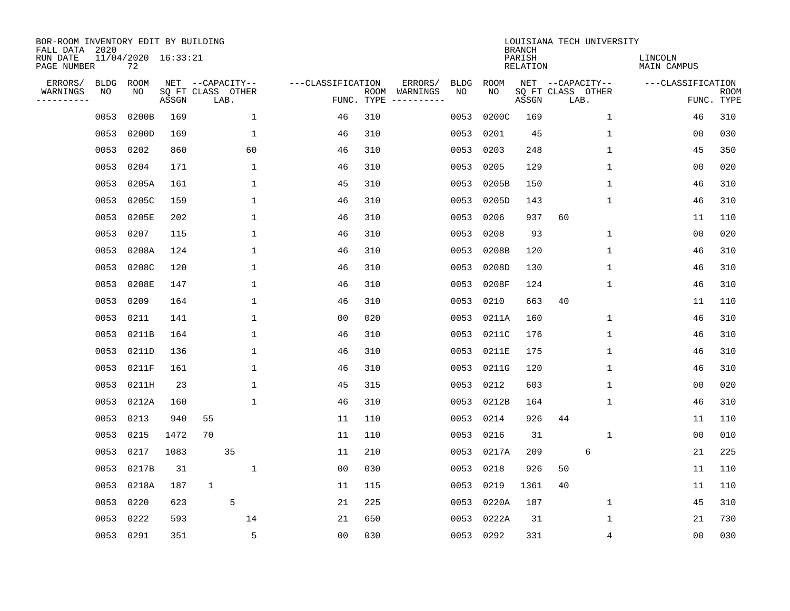| BOR-ROOM INVENTORY EDIT BY BUILDING<br>FALL DATA 2020 |             |                           |                            |                  |      |              |                   |            |                              |             |             | <b>BRANCH</b>             | LOUISIANA TECH UNIVERSITY |              |                        |                |                           |
|-------------------------------------------------------|-------------|---------------------------|----------------------------|------------------|------|--------------|-------------------|------------|------------------------------|-------------|-------------|---------------------------|---------------------------|--------------|------------------------|----------------|---------------------------|
| RUN DATE<br>PAGE NUMBER                               |             | 11/04/2020 16:33:21<br>72 |                            |                  |      |              |                   |            |                              |             |             | PARISH<br><b>RELATION</b> |                           |              | LINCOLN<br>MAIN CAMPUS |                |                           |
| ERRORS/                                               | <b>BLDG</b> | <b>ROOM</b>               |                            | NET --CAPACITY-- |      |              | ---CLASSIFICATION |            | ERRORS/                      | <b>BLDG</b> | <b>ROOM</b> |                           | NET --CAPACITY--          |              | ---CLASSIFICATION      |                |                           |
| WARNINGS<br>----------                                | NO          | NO                        | SQ FT CLASS OTHER<br>ASSGN |                  | LAB. |              |                   | FUNC. TYPE | ROOM WARNINGS<br>----------- | NO          | NO          | ASSGN                     | SQ FT CLASS OTHER<br>LAB. |              |                        |                | <b>ROOM</b><br>FUNC. TYPE |
|                                                       | 0053        | 0200B                     | 169                        |                  |      | 1            | 46                | 310        |                              | 0053        | 0200C       | 169                       |                           | $\mathbf 1$  |                        | 46             | 310                       |
|                                                       | 0053        | 0200D                     | 169                        |                  |      | $\mathbf 1$  | 46                | 310        |                              | 0053        | 0201        | 45                        |                           | 1            |                        | 00             | 030                       |
|                                                       | 0053        | 0202                      | 860                        |                  |      | 60           | 46                | 310        |                              | 0053        | 0203        | 248                       |                           | 1            |                        | 45             | 350                       |
|                                                       | 0053        | 0204                      | 171                        |                  |      | 1            | 46                | 310        |                              | 0053        | 0205        | 129                       |                           | 1            |                        | 0 <sub>0</sub> | 020                       |
|                                                       | 0053        | 0205A                     | 161                        |                  |      | $\mathbf 1$  | 45                | 310        |                              | 0053        | 0205B       | 150                       |                           | $\mathbf 1$  |                        | 46             | 310                       |
|                                                       | 0053        | 0205C                     | 159                        |                  |      | $\mathbf 1$  | 46                | 310        |                              | 0053        | 0205D       | 143                       |                           | 1            |                        | 46             | 310                       |
|                                                       | 0053        | 0205E                     | 202                        |                  |      | $\mathbf{1}$ | 46                | 310        |                              | 0053        | 0206        | 937                       | 60                        |              |                        | 11             | 110                       |
|                                                       | 0053        | 0207                      | 115                        |                  |      | $\mathbf{1}$ | 46                | 310        |                              | 0053        | 0208        | 93                        |                           | $\mathbf 1$  |                        | 0 <sub>0</sub> | 020                       |
|                                                       | 0053        | 0208A                     | 124                        |                  |      | $\mathbf{1}$ | 46                | 310        |                              | 0053        | 0208B       | 120                       |                           | $\mathbf{1}$ |                        | 46             | 310                       |
|                                                       | 0053        | 0208C                     | 120                        |                  |      | 1            | 46                | 310        |                              | 0053        | 0208D       | 130                       |                           | 1            |                        | 46             | 310                       |
|                                                       | 0053        | 0208E                     | 147                        |                  |      | 1            | 46                | 310        |                              | 0053        | 0208F       | 124                       |                           | 1            |                        | 46             | 310                       |
|                                                       | 0053        | 0209                      | 164                        |                  |      | $\mathbf 1$  | 46                | 310        |                              | 0053        | 0210        | 663                       | 40                        |              |                        | 11             | 110                       |
|                                                       | 0053        | 0211                      | 141                        |                  |      | 1            | 0 <sub>0</sub>    | 020        |                              | 0053        | 0211A       | 160                       |                           | $\mathbf 1$  |                        | 46             | 310                       |
|                                                       | 0053        | 0211B                     | 164                        |                  |      | $\mathbf 1$  | 46                | 310        |                              | 0053        | 0211C       | 176                       |                           | 1            |                        | 46             | 310                       |
|                                                       | 0053        | 0211D                     | 136                        |                  |      | $\mathbf{1}$ | 46                | 310        |                              | 0053        | 0211E       | 175                       |                           | $\mathbf{1}$ |                        | 46             | 310                       |
|                                                       | 0053        | 0211F                     | 161                        |                  |      | 1            | 46                | 310        |                              | 0053        | 0211G       | 120                       |                           | 1            |                        | 46             | 310                       |
|                                                       | 0053        | 0211H                     | 23                         |                  |      | $\mathbf{1}$ | 45                | 315        |                              | 0053        | 0212        | 603                       |                           | 1            |                        | 00             | 020                       |
|                                                       | 0053        | 0212A                     | 160                        |                  |      | 1            | 46                | 310        |                              | 0053        | 0212B       | 164                       |                           | 1            |                        | 46             | 310                       |
|                                                       | 0053        | 0213                      | 940                        | 55               |      |              | 11                | 110        |                              | 0053        | 0214        | 926                       | 44                        |              |                        | 11             | 110                       |
|                                                       | 0053        | 0215                      | 1472                       | 70               |      |              | 11                | 110        |                              | 0053        | 0216        | 31                        |                           | 1            |                        | 0 <sub>0</sub> | 010                       |
|                                                       | 0053        | 0217                      | 1083                       |                  | 35   |              | 11                | 210        |                              | 0053        | 0217A       | 209                       |                           | 6            |                        | 21             | 225                       |
|                                                       | 0053        | 0217B                     | 31                         |                  |      | $\mathbf{1}$ | 0 <sub>0</sub>    | 030        |                              | 0053        | 0218        | 926                       | 50                        |              |                        | 11             | 110                       |
|                                                       | 0053        | 0218A                     | 187                        | $\mathbf{1}$     |      |              | 11                | 115        |                              | 0053        | 0219        | 1361                      | 40                        |              |                        | 11             | 110                       |
|                                                       | 0053        | 0220                      | 623                        |                  | 5    |              | 21                | 225        |                              | 0053        | 0220A       | 187                       |                           | 1            |                        | 45             | 310                       |
|                                                       | 0053        | 0222                      | 593                        |                  |      | 14           | 21                | 650        |                              | 0053        | 0222A       | 31                        |                           | 1            |                        | 21             | 730                       |
|                                                       | 0053 0291   |                           | 351                        |                  |      | 5            | 0 <sub>0</sub>    | 030        |                              |             | 0053 0292   | 331                       |                           | 4            |                        | 0 <sub>0</sub> | 030                       |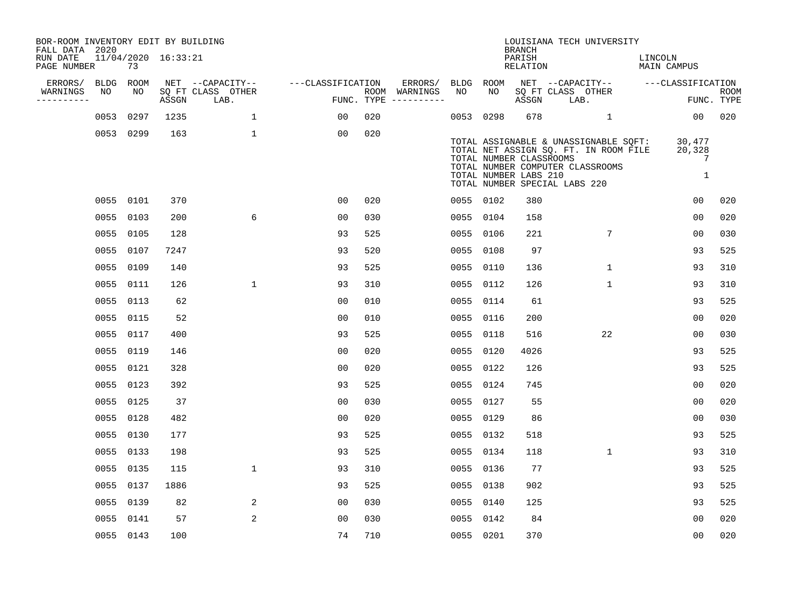| BOR-ROOM INVENTORY EDIT BY BUILDING<br>FALL DATA 2020 |           |                     |                           |                   |     |                                      |             |                                                  | <b>BRANCH</b>      | LOUISIANA TECH UNIVERSITY                                                                                                                           |                            |                           |
|-------------------------------------------------------|-----------|---------------------|---------------------------|-------------------|-----|--------------------------------------|-------------|--------------------------------------------------|--------------------|-----------------------------------------------------------------------------------------------------------------------------------------------------|----------------------------|---------------------------|
| RUN DATE<br>PAGE NUMBER                               | 73        | 11/04/2020 16:33:21 |                           |                   |     |                                      |             |                                                  | PARISH<br>RELATION |                                                                                                                                                     | LINCOLN<br>MAIN CAMPUS     |                           |
| ERRORS/<br><b>BLDG</b>                                | ROOM      |                     | NET --CAPACITY--          | ---CLASSIFICATION |     | ERRORS/                              | <b>BLDG</b> | ROOM                                             |                    | NET --CAPACITY--                                                                                                                                    | ---CLASSIFICATION          |                           |
| WARNINGS<br>NO<br>----------                          | NO        | ASSGN               | SQ FT CLASS OTHER<br>LAB. |                   |     | ROOM WARNINGS<br>FUNC. TYPE $------$ | NO          | NO                                               | ASSGN              | SQ FT CLASS OTHER<br>LAB.                                                                                                                           |                            | <b>ROOM</b><br>FUNC. TYPE |
|                                                       | 0053 0297 | 1235                | $\mathbf{1}$              | 00                | 020 |                                      | 0053 0298   |                                                  | 678                | $\mathbf{1}$                                                                                                                                        | 00                         | 020                       |
|                                                       | 0053 0299 | 163                 | 1                         | 00                | 020 |                                      |             | TOTAL NUMBER CLASSROOMS<br>TOTAL NUMBER LABS 210 |                    | TOTAL ASSIGNABLE & UNASSIGNABLE SQFT:<br>TOTAL NET ASSIGN SQ. FT. IN ROOM FILE<br>TOTAL NUMBER COMPUTER CLASSROOMS<br>TOTAL NUMBER SPECIAL LABS 220 | 30,477<br>20,328<br>7<br>1 |                           |
|                                                       | 0055 0101 | 370                 |                           | 0 <sub>0</sub>    | 020 |                                      | 0055 0102   |                                                  | 380                |                                                                                                                                                     | 0 <sub>0</sub>             | 020                       |
|                                                       | 0055 0103 | 200                 | 6                         | 0 <sub>0</sub>    | 030 |                                      | 0055 0104   |                                                  | 158                |                                                                                                                                                     | 0 <sub>0</sub>             | 020                       |
|                                                       | 0055 0105 | 128                 |                           | 93                | 525 |                                      | 0055 0106   |                                                  | 221                | 7                                                                                                                                                   | 00                         | 030                       |
|                                                       | 0055 0107 | 7247                |                           | 93                | 520 |                                      | 0055        | 0108                                             | 97                 |                                                                                                                                                     | 93                         | 525                       |
|                                                       | 0055 0109 | 140                 |                           | 93                | 525 |                                      | 0055 0110   |                                                  | 136                | $\mathbf{1}$                                                                                                                                        | 93                         | 310                       |
|                                                       | 0055 0111 | 126                 | $\mathbf{1}$              | 93                | 310 |                                      | 0055        | 0112                                             | 126                | $\mathbf{1}$                                                                                                                                        | 93                         | 310                       |
|                                                       | 0055 0113 | 62                  |                           | 0 <sub>0</sub>    | 010 |                                      | 0055 0114   |                                                  | 61                 |                                                                                                                                                     | 93                         | 525                       |
|                                                       | 0055 0115 | 52                  |                           | 0 <sub>0</sub>    | 010 |                                      | 0055        | 0116                                             | 200                |                                                                                                                                                     | 0 <sub>0</sub>             | 020                       |
|                                                       | 0055 0117 | 400                 |                           | 93                | 525 |                                      | 0055        | 0118                                             | 516                | 22                                                                                                                                                  | 0 <sub>0</sub>             | 030                       |
|                                                       | 0055 0119 | 146                 |                           | 0 <sub>0</sub>    | 020 |                                      | 0055        | 0120                                             | 4026               |                                                                                                                                                     | 93                         | 525                       |
|                                                       | 0055 0121 | 328                 |                           | 0 <sub>0</sub>    | 020 |                                      | 0055        | 0122                                             | 126                |                                                                                                                                                     | 93                         | 525                       |
|                                                       | 0055 0123 | 392                 |                           | 93                | 525 |                                      | 0055        | 0124                                             | 745                |                                                                                                                                                     | 0 <sub>0</sub>             | 020                       |
|                                                       | 0055 0125 | 37                  |                           | 0 <sub>0</sub>    | 030 |                                      | 0055 0127   |                                                  | 55                 |                                                                                                                                                     | 0 <sub>0</sub>             | 020                       |
|                                                       | 0055 0128 | 482                 |                           | 0 <sub>0</sub>    | 020 |                                      | 0055 0129   |                                                  | 86                 |                                                                                                                                                     | 0 <sub>0</sub>             | 030                       |
|                                                       | 0055 0130 | 177                 |                           | 93                | 525 |                                      | 0055        | 0132                                             | 518                |                                                                                                                                                     | 93                         | 525                       |
|                                                       | 0055 0133 | 198                 |                           | 93                | 525 |                                      | 0055        | 0134                                             | 118                | 1                                                                                                                                                   | 93                         | 310                       |
|                                                       | 0055 0135 | 115                 | $\mathbf 1$               | 93                | 310 |                                      | 0055        | 0136                                             | 77                 |                                                                                                                                                     | 93                         | 525                       |
|                                                       | 0055 0137 | 1886                |                           | 93                | 525 |                                      | 0055 0138   |                                                  | 902                |                                                                                                                                                     | 93                         | 525                       |
|                                                       | 0055 0139 | 82                  | 2                         | 0 <sub>0</sub>    | 030 |                                      | 0055 0140   |                                                  | 125                |                                                                                                                                                     | 93                         | 525                       |
|                                                       | 0055 0141 | 57                  | $\overline{a}$            | 0 <sub>0</sub>    | 030 |                                      | 0055 0142   |                                                  | 84                 |                                                                                                                                                     | 0 <sub>0</sub>             | 020                       |
|                                                       | 0055 0143 | 100                 |                           | 74                | 710 |                                      | 0055 0201   |                                                  | 370                |                                                                                                                                                     | 0 <sub>0</sub>             | 020                       |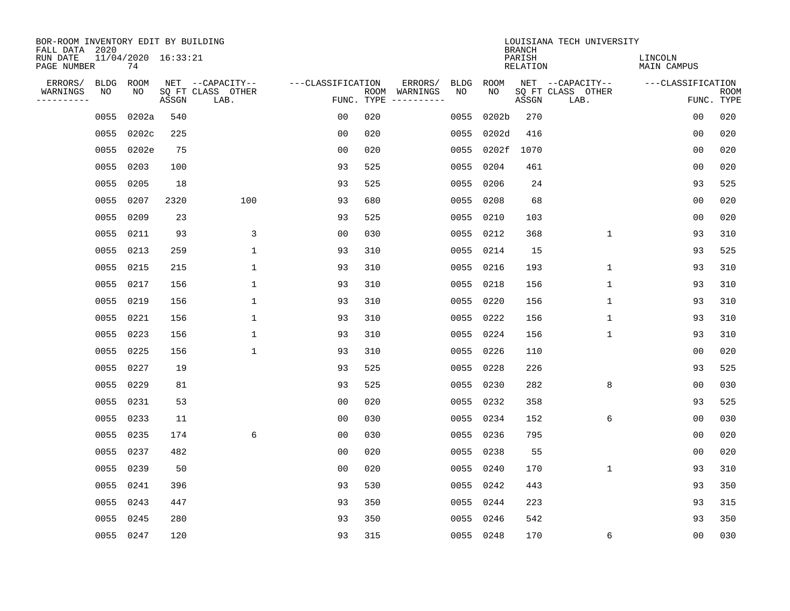| BOR-ROOM INVENTORY EDIT BY BUILDING<br>FALL DATA 2020 |                   |                           |       |                           |                   |     |                          |                   |            | <b>BRANCH</b>             | LOUISIANA TECH UNIVERSITY |                               |                           |
|-------------------------------------------------------|-------------------|---------------------------|-------|---------------------------|-------------------|-----|--------------------------|-------------------|------------|---------------------------|---------------------------|-------------------------------|---------------------------|
| RUN DATE<br>PAGE NUMBER                               |                   | 11/04/2020 16:33:21<br>74 |       |                           |                   |     |                          |                   |            | PARISH<br><b>RELATION</b> |                           | LINCOLN<br><b>MAIN CAMPUS</b> |                           |
| ERRORS/<br>WARNINGS                                   | <b>BLDG</b><br>NO | ROOM<br>NO                |       | NET --CAPACITY--          | ---CLASSIFICATION |     | ERRORS/<br>ROOM WARNINGS | <b>BLDG</b><br>NO | ROOM<br>NO |                           | NET --CAPACITY--          | ---CLASSIFICATION             |                           |
| ----------                                            |                   |                           | ASSGN | SQ FT CLASS OTHER<br>LAB. |                   |     | FUNC. TYPE $------$      |                   |            | ASSGN                     | SQ FT CLASS OTHER<br>LAB. |                               | <b>ROOM</b><br>FUNC. TYPE |
|                                                       | 0055              | 0202a                     | 540   |                           | 0 <sub>0</sub>    | 020 |                          | 0055              | 0202b      | 270                       |                           | 0 <sub>0</sub>                | 020                       |
|                                                       | 0055              | 0202c                     | 225   |                           | 0 <sub>0</sub>    | 020 |                          | 0055              | 0202d      | 416                       |                           | 00                            | 020                       |
|                                                       | 0055              | 0202e                     | 75    |                           | 0 <sub>0</sub>    | 020 |                          |                   | 0055 0202f | 1070                      |                           | 0 <sub>0</sub>                | 020                       |
|                                                       | 0055              | 0203                      | 100   |                           | 93                | 525 |                          | 0055              | 0204       | 461                       |                           | 0 <sub>0</sub>                | 020                       |
|                                                       | 0055              | 0205                      | 18    |                           | 93                | 525 |                          | 0055              | 0206       | 24                        |                           | 93                            | 525                       |
|                                                       | 0055              | 0207                      | 2320  | 100                       | 93                | 680 |                          |                   | 0055 0208  | 68                        |                           | 0 <sub>0</sub>                | 020                       |
|                                                       | 0055              | 0209                      | 23    |                           | 93                | 525 |                          | 0055 0210         |            | 103                       |                           | 0 <sub>0</sub>                | 020                       |
|                                                       | 0055              | 0211                      | 93    | 3                         | 0 <sub>0</sub>    | 030 |                          | 0055 0212         |            | 368                       | $\mathbf 1$               | 93                            | 310                       |
|                                                       | 0055              | 0213                      | 259   | $\mathbf 1$               | 93                | 310 |                          | 0055              | 0214       | 15                        |                           | 93                            | 525                       |
|                                                       | 0055 0215         |                           | 215   | 1                         | 93                | 310 |                          | 0055 0216         |            | 193                       | $\mathbf 1$               | 93                            | 310                       |
|                                                       | 0055              | 0217                      | 156   | $\mathbf{1}$              | 93                | 310 |                          | 0055              | 0218       | 156                       | $\mathbf 1$               | 93                            | 310                       |
|                                                       | 0055              | 0219                      | 156   | $\mathbf{1}$              | 93                | 310 |                          | 0055 0220         |            | 156                       | $\mathbf{1}$              | 93                            | 310                       |
|                                                       | 0055              | 0221                      | 156   | $\mathbf 1$               | 93                | 310 |                          | 0055              | 0222       | 156                       | $\mathbf 1$               | 93                            | 310                       |
|                                                       | 0055              | 0223                      | 156   | 1                         | 93                | 310 |                          |                   | 0055 0224  | 156                       | 1                         | 93                            | 310                       |
|                                                       | 0055              | 0225                      | 156   | $\mathbf{1}$              | 93                | 310 |                          | 0055              | 0226       | 110                       |                           | 0 <sub>0</sub>                | 020                       |
|                                                       | 0055              | 0227                      | 19    |                           | 93                | 525 |                          | 0055 0228         |            | 226                       |                           | 93                            | 525                       |
|                                                       | 0055              | 0229                      | 81    |                           | 93                | 525 |                          | 0055              | 0230       | 282                       | 8                         | 0 <sub>0</sub>                | 030                       |
|                                                       | 0055              | 0231                      | 53    |                           | 0 <sub>0</sub>    | 020 |                          | 0055 0232         |            | 358                       |                           | 93                            | 525                       |
|                                                       | 0055              | 0233                      | 11    |                           | 0 <sub>0</sub>    | 030 |                          | 0055 0234         |            | 152                       | 6                         | 0 <sub>0</sub>                | 030                       |
|                                                       | 0055              | 0235                      | 174   | 6                         | 0 <sub>0</sub>    | 030 |                          | 0055              | 0236       | 795                       |                           | 0 <sub>0</sub>                | 020                       |
|                                                       | 0055              | 0237                      | 482   |                           | 0 <sub>0</sub>    | 020 |                          | 0055              | 0238       | 55                        |                           | 0 <sub>0</sub>                | 020                       |
|                                                       | 0055              | 0239                      | 50    |                           | 0 <sub>0</sub>    | 020 |                          | 0055              | 0240       | 170                       | $\mathbf 1$               | 93                            | 310                       |
|                                                       | 0055              | 0241                      | 396   |                           | 93                | 530 |                          | 0055 0242         |            | 443                       |                           | 93                            | 350                       |
|                                                       | 0055              | 0243                      | 447   |                           | 93                | 350 |                          | 0055 0244         |            | 223                       |                           | 93                            | 315                       |
|                                                       | 0055              | 0245                      | 280   |                           | 93                | 350 |                          |                   | 0055 0246  | 542                       |                           | 93                            | 350                       |
|                                                       | 0055 0247         |                           | 120   |                           | 93                | 315 |                          | 0055 0248         |            | 170                       | 6                         | 00                            | 030                       |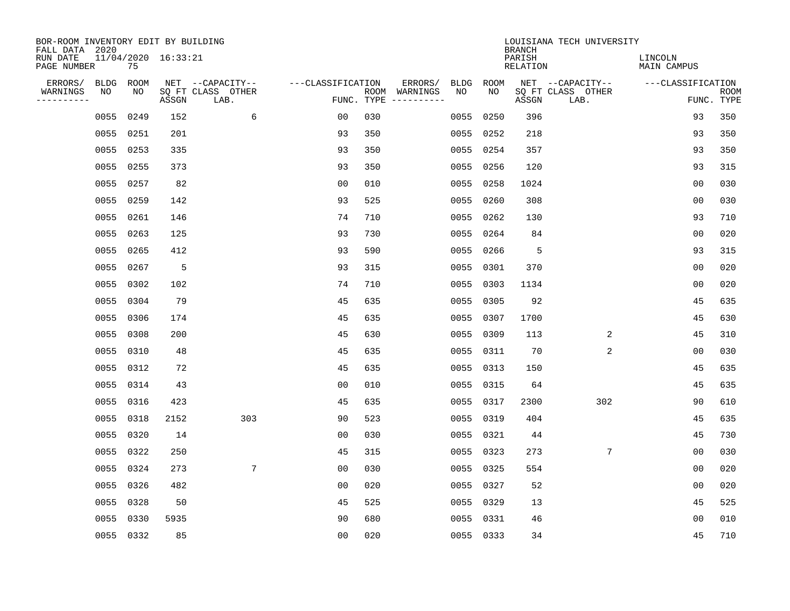| BOR-ROOM INVENTORY EDIT BY BUILDING<br>FALL DATA 2020 |           |           |                     |                           |                   |     |                                      |             |           | <b>BRANCH</b>      | LOUISIANA TECH UNIVERSITY |                               |                           |
|-------------------------------------------------------|-----------|-----------|---------------------|---------------------------|-------------------|-----|--------------------------------------|-------------|-----------|--------------------|---------------------------|-------------------------------|---------------------------|
| RUN DATE<br>PAGE NUMBER                               |           | 75        | 11/04/2020 16:33:21 |                           |                   |     |                                      |             |           | PARISH<br>RELATION |                           | LINCOLN<br><b>MAIN CAMPUS</b> |                           |
| ERRORS/                                               | BLDG      | ROOM      |                     | NET --CAPACITY--          | ---CLASSIFICATION |     | ERRORS/                              | <b>BLDG</b> | ROOM      |                    | NET --CAPACITY--          | ---CLASSIFICATION             |                           |
| WARNINGS<br>----------                                | ΝO        | NO        | ASSGN               | SQ FT CLASS OTHER<br>LAB. |                   |     | ROOM WARNINGS<br>FUNC. TYPE $------$ | NO          | NO        | ASSGN              | SQ FT CLASS OTHER<br>LAB. |                               | <b>ROOM</b><br>FUNC. TYPE |
|                                                       | 0055      | 0249      | 152                 | 6                         | 00                | 030 |                                      | 0055        | 0250      | 396                |                           | 93                            | 350                       |
|                                                       | 0055      | 0251      | 201                 |                           | 93                | 350 |                                      |             | 0055 0252 | 218                |                           | 93                            | 350                       |
|                                                       | 0055      | 0253      | 335                 |                           | 93                | 350 |                                      |             | 0055 0254 | 357                |                           | 93                            | 350                       |
|                                                       | 0055      | 0255      | 373                 |                           | 93                | 350 |                                      |             | 0055 0256 | 120                |                           | 93                            | 315                       |
|                                                       | 0055      | 0257      | 82                  |                           | 0 <sub>0</sub>    | 010 |                                      | 0055        | 0258      | 1024               |                           | 0 <sub>0</sub>                | 030                       |
|                                                       | 0055 0259 |           | 142                 |                           | 93                | 525 |                                      |             | 0055 0260 | 308                |                           | 0 <sub>0</sub>                | 030                       |
|                                                       |           | 0055 0261 | 146                 |                           | 74                | 710 |                                      |             | 0055 0262 | 130                |                           | 93                            | 710                       |
|                                                       |           | 0055 0263 | 125                 |                           | 93                | 730 |                                      |             | 0055 0264 | 84                 |                           | 0 <sub>0</sub>                | 020                       |
|                                                       | 0055      | 0265      | 412                 |                           | 93                | 590 |                                      | 0055        | 0266      | 5                  |                           | 93                            | 315                       |
|                                                       | 0055      | 0267      | 5                   |                           | 93                | 315 |                                      |             | 0055 0301 | 370                |                           | 00                            | 020                       |
|                                                       | 0055      | 0302      | 102                 |                           | 74                | 710 |                                      | 0055        | 0303      | 1134               |                           | 0 <sub>0</sub>                | 020                       |
|                                                       | 0055      | 0304      | 79                  |                           | 45                | 635 |                                      |             | 0055 0305 | 92                 |                           | 45                            | 635                       |
|                                                       | 0055      | 0306      | 174                 |                           | 45                | 635 |                                      | 0055        | 0307      | 1700               |                           | 45                            | 630                       |
|                                                       | 0055      | 0308      | 200                 |                           | 45                | 630 |                                      |             | 0055 0309 | 113                | 2                         | 45                            | 310                       |
|                                                       | 0055      | 0310      | 48                  |                           | 45                | 635 |                                      |             | 0055 0311 | 70                 | 2                         | 00                            | 030                       |
|                                                       | 0055      | 0312      | 72                  |                           | 45                | 635 |                                      |             | 0055 0313 | 150                |                           | 45                            | 635                       |
|                                                       | 0055      | 0314      | 43                  |                           | 0 <sub>0</sub>    | 010 |                                      |             | 0055 0315 | 64                 |                           | 45                            | 635                       |
|                                                       | 0055      | 0316      | 423                 |                           | 45                | 635 |                                      |             | 0055 0317 | 2300               | 302                       | 90                            | 610                       |
|                                                       | 0055      | 0318      | 2152                | 303                       | 90                | 523 |                                      |             | 0055 0319 | 404                |                           | 45                            | 635                       |
|                                                       | 0055      | 0320      | 14                  |                           | 0 <sub>0</sub>    | 030 |                                      |             | 0055 0321 | 44                 |                           | 45                            | 730                       |
|                                                       | 0055      | 0322      | 250                 |                           | 45                | 315 |                                      |             | 0055 0323 | 273                | 7                         | 0 <sub>0</sub>                | 030                       |
|                                                       | 0055      | 0324      | 273                 | $7\phantom{.0}$           | 0 <sub>0</sub>    | 030 |                                      | 0055        | 0325      | 554                |                           | 0 <sub>0</sub>                | 020                       |
|                                                       | 0055      | 0326      | 482                 |                           | 0 <sub>0</sub>    | 020 |                                      |             | 0055 0327 | 52                 |                           | 0 <sub>0</sub>                | 020                       |
|                                                       | 0055      | 0328      | 50                  |                           | 45                | 525 |                                      |             | 0055 0329 | 13                 |                           | 45                            | 525                       |
|                                                       | 0055      | 0330      | 5935                |                           | 90                | 680 |                                      |             | 0055 0331 | 46                 |                           | 0 <sub>0</sub>                | 010                       |
|                                                       |           | 0055 0332 | 85                  |                           | 0 <sub>0</sub>    | 020 |                                      |             | 0055 0333 | 34                 |                           | 45                            | 710                       |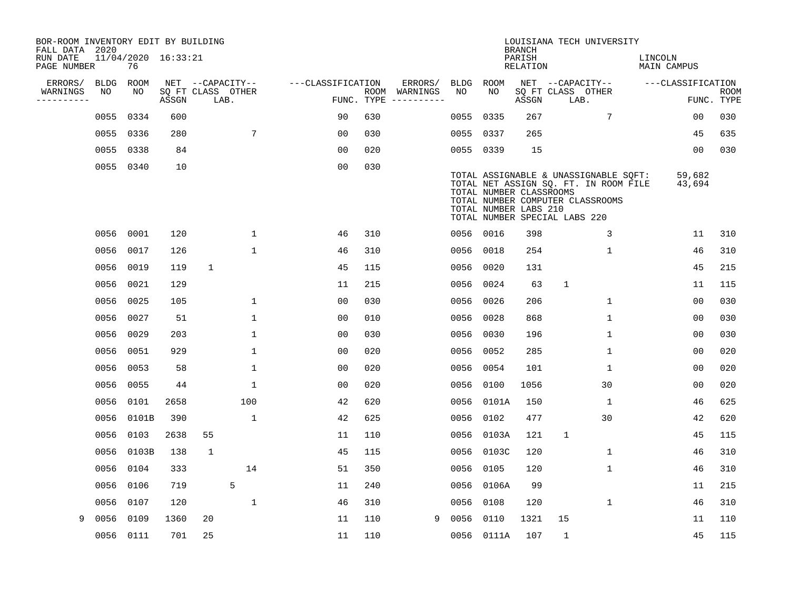| BOR-ROOM INVENTORY EDIT BY BUILDING<br>FALL DATA 2020 |             |                           |       |              |                           |                   |            |               |           |                                                  | <b>BRANCH</b>      | LOUISIANA TECH UNIVERSITY                                                                                                                           |         |                   |             |
|-------------------------------------------------------|-------------|---------------------------|-------|--------------|---------------------------|-------------------|------------|---------------|-----------|--------------------------------------------------|--------------------|-----------------------------------------------------------------------------------------------------------------------------------------------------|---------|-------------------|-------------|
| RUN DATE<br>PAGE NUMBER                               |             | 11/04/2020 16:33:21<br>76 |       |              |                           |                   |            |               |           |                                                  | PARISH<br>RELATION |                                                                                                                                                     | LINCOLN | MAIN CAMPUS       |             |
| ERRORS/                                               | <b>BLDG</b> | <b>ROOM</b>               |       |              | NET --CAPACITY--          | ---CLASSIFICATION |            | ERRORS/       | BLDG      | ROOM                                             |                    | NET --CAPACITY--                                                                                                                                    |         | ---CLASSIFICATION |             |
| WARNINGS<br>----------                                | NO          | NO                        | ASSGN |              | SQ FT CLASS OTHER<br>LAB. |                   | FUNC. TYPE | ROOM WARNINGS | NO        | NO                                               | ASSGN              | SQ FT CLASS OTHER<br>LAB.                                                                                                                           |         | FUNC. TYPE        | <b>ROOM</b> |
|                                                       | 0055        | 0334                      | 600   |              |                           | 90                | 630        |               | 0055      | 0335                                             | 267                | 7                                                                                                                                                   |         | 00                | 030         |
|                                                       | 0055        | 0336                      | 280   |              | 7                         | 0 <sub>0</sub>    | 030        |               | 0055      | 0337                                             | 265                |                                                                                                                                                     |         | 45                | 635         |
|                                                       | 0055        | 0338                      | 84    |              |                           | 0 <sub>0</sub>    | 020        |               | 0055 0339 |                                                  | 15                 |                                                                                                                                                     |         | 00                | 030         |
|                                                       | 0055        | 0340                      | 10    |              |                           | 0 <sub>0</sub>    | 030        |               |           | TOTAL NUMBER CLASSROOMS<br>TOTAL NUMBER LABS 210 |                    | TOTAL ASSIGNABLE & UNASSIGNABLE SQFT:<br>TOTAL NET ASSIGN SQ. FT. IN ROOM FILE<br>TOTAL NUMBER COMPUTER CLASSROOMS<br>TOTAL NUMBER SPECIAL LABS 220 |         | 59,682<br>43,694  |             |
|                                                       | 0056        | 0001                      | 120   |              | 1                         | 46                | 310        |               | 0056 0016 |                                                  | 398                | 3                                                                                                                                                   |         | 11                | 310         |
|                                                       | 0056        | 0017                      | 126   |              | $\mathbf 1$               | 46                | 310        |               | 0056      | 0018                                             | 254                | $\mathbf 1$                                                                                                                                         |         | 46                | 310         |
|                                                       | 0056        | 0019                      | 119   | $\mathbf{1}$ |                           | 45                | 115        |               | 0056 0020 |                                                  | 131                |                                                                                                                                                     |         | 45                | 215         |
|                                                       | 0056        | 0021                      | 129   |              |                           | 11                | 215        |               | 0056      | 0024                                             | 63                 | $\mathbf{1}$                                                                                                                                        |         | 11                | 115         |
|                                                       | 0056        | 0025                      | 105   |              | 1                         | 0 <sub>0</sub>    | 030        |               | 0056      | 0026                                             | 206                | $\mathbf 1$                                                                                                                                         |         | 0 <sub>0</sub>    | 030         |
|                                                       | 0056        | 0027                      | 51    |              | $\mathbf 1$               | 00                | 010        |               | 0056      | 0028                                             | 868                | $\mathbf 1$                                                                                                                                         |         | 0 <sub>0</sub>    | 030         |
|                                                       | 0056        | 0029                      | 203   |              | $\mathbf{1}$              | 0 <sub>0</sub>    | 030        |               | 0056      | 0030                                             | 196                | $\mathbf{1}$                                                                                                                                        |         | 00                | 030         |
|                                                       | 0056        | 0051                      | 929   |              | $\mathbf{1}$              | 0 <sub>0</sub>    | 020        |               | 0056      | 0052                                             | 285                | $\mathbf{1}$                                                                                                                                        |         | 00                | 020         |
|                                                       | 0056        | 0053                      | 58    |              | 1                         | 0 <sub>0</sub>    | 020        |               | 0056      | 0054                                             | 101                | 1                                                                                                                                                   |         | 00                | 020         |
|                                                       | 0056        | 0055                      | 44    |              | 1                         | 0 <sub>0</sub>    | 020        |               | 0056      | 0100                                             | 1056               | 30                                                                                                                                                  |         | 00                | 020         |
|                                                       | 0056        | 0101                      | 2658  |              | 100                       | 42                | 620        |               |           | 0056 0101A                                       | 150                | $\mathbf 1$                                                                                                                                         |         | 46                | 625         |
|                                                       | 0056        | 0101B                     | 390   |              | 1                         | 42                | 625        |               | 0056 0102 |                                                  | 477                | 30                                                                                                                                                  |         | 42                | 620         |
|                                                       | 0056        | 0103                      | 2638  | 55           |                           | 11                | 110        |               |           | 0056 0103A                                       | 121                | $\mathbf{1}$                                                                                                                                        |         | 45                | 115         |
|                                                       | 0056        | 0103B                     | 138   | $\mathbf{1}$ |                           | 45                | 115        |               | 0056      | 0103C                                            | 120                | $\mathbf{1}$                                                                                                                                        |         | 46                | 310         |
|                                                       | 0056        | 0104                      | 333   |              | 14                        | 51                | 350        |               | 0056      | 0105                                             | 120                | $\mathbf 1$                                                                                                                                         |         | 46                | 310         |
|                                                       | 0056        | 0106                      | 719   |              | 5                         | 11                | 240        |               |           | 0056 0106A                                       | 99                 |                                                                                                                                                     |         | 11                | 215         |
|                                                       | 0056        | 0107                      | 120   |              | $\mathbf{1}$              | 46                | 310        |               | 0056      | 0108                                             | 120                | 1                                                                                                                                                   |         | 46                | 310         |
| 9                                                     | 0056        | 0109                      | 1360  | 20           |                           | 11                | 110        | 9             | 0056      | 0110                                             | 1321               | 15                                                                                                                                                  |         | 11                | 110         |
|                                                       | 0056 0111   |                           | 701   | 25           |                           | 11                | 110        |               |           | 0056 0111A                                       | 107                | 1                                                                                                                                                   |         | 45                | 115         |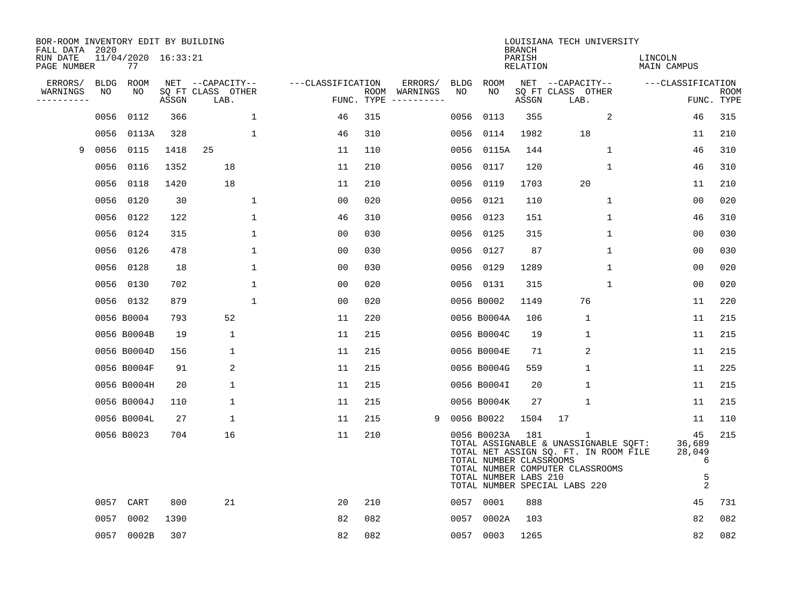| BOR-ROOM INVENTORY EDIT BY BUILDING<br>FALL DATA 2020 |             |                           |       |                           |              |                   |     |                                                                                                                                                                                                                                                                                                                                                                                                                                                                                              |             |                                                                 | <b>BRANCH</b>             | LOUISIANA TECH UNIVERSITY                                                                                                                                |              |                               |                                          |                           |
|-------------------------------------------------------|-------------|---------------------------|-------|---------------------------|--------------|-------------------|-----|----------------------------------------------------------------------------------------------------------------------------------------------------------------------------------------------------------------------------------------------------------------------------------------------------------------------------------------------------------------------------------------------------------------------------------------------------------------------------------------------|-------------|-----------------------------------------------------------------|---------------------------|----------------------------------------------------------------------------------------------------------------------------------------------------------|--------------|-------------------------------|------------------------------------------|---------------------------|
| RUN DATE<br>PAGE NUMBER                               |             | 11/04/2020 16:33:21<br>77 |       |                           |              |                   |     |                                                                                                                                                                                                                                                                                                                                                                                                                                                                                              |             |                                                                 | PARISH<br><b>RELATION</b> |                                                                                                                                                          |              | LINCOLN<br><b>MAIN CAMPUS</b> |                                          |                           |
| ERRORS/                                               | <b>BLDG</b> | ROOM                      |       | NET --CAPACITY--          |              | ---CLASSIFICATION |     | ERRORS/                                                                                                                                                                                                                                                                                                                                                                                                                                                                                      | <b>BLDG</b> | ROOM                                                            |                           | NET --CAPACITY--                                                                                                                                         |              | ---CLASSIFICATION             |                                          |                           |
| WARNINGS<br>----------                                | NO          | NO                        | ASSGN | SQ FT CLASS OTHER<br>LAB. |              | FUNC. TYPE        |     | ROOM WARNINGS<br>$\begin{tabular}{ccccccccc} \multicolumn{2}{c }{\multicolumn{2}{c }{\multicolumn{2}{c }{\multicolumn{2}{c }{\multicolumn{2}{c}}}} & \multicolumn{2}{c }{\multicolumn{2}{c }{\multicolumn{2}{c }{\multicolumn{2}{c}}}} & \multicolumn{2}{c }{\multicolumn{2}{c }{\multicolumn{2}{c }{\multicolumn{2}{c}}}} & \multicolumn{2}{c }{\multicolumn{2}{c }{\multicolumn{2}{c }{\multicolumn{2}{c}}}} & \multicolumn{2}{c }{\multicolumn{2}{c }{\multicolumn{2}{c }{\multicolumn{2$ | NO          | NO                                                              | ASSGN                     | SQ FT CLASS OTHER<br>LAB.                                                                                                                                |              |                               |                                          | <b>ROOM</b><br>FUNC. TYPE |
|                                                       | 0056        | 0112                      | 366   |                           | $\mathbf 1$  | 46                | 315 |                                                                                                                                                                                                                                                                                                                                                                                                                                                                                              | 0056        | 0113                                                            | 355                       |                                                                                                                                                          | 2            |                               | 46                                       | 315                       |
|                                                       | 0056        | 0113A                     | 328   |                           | $\mathbf 1$  | 46                | 310 |                                                                                                                                                                                                                                                                                                                                                                                                                                                                                              | 0056        | 0114                                                            | 1982                      | 18                                                                                                                                                       |              |                               | 11                                       | 210                       |
| 9                                                     | 0056        | 0115                      | 1418  | 25                        |              | 11                | 110 |                                                                                                                                                                                                                                                                                                                                                                                                                                                                                              | 0056        | 0115A                                                           | 144                       |                                                                                                                                                          | $\mathbf{1}$ |                               | 46                                       | 310                       |
|                                                       | 0056        | 0116                      | 1352  | 18                        |              | 11                | 210 |                                                                                                                                                                                                                                                                                                                                                                                                                                                                                              | 0056        | 0117                                                            | 120                       |                                                                                                                                                          | 1            |                               | 46                                       | 310                       |
|                                                       | 0056        | 0118                      | 1420  | 18                        |              | 11                | 210 |                                                                                                                                                                                                                                                                                                                                                                                                                                                                                              | 0056        | 0119                                                            | 1703                      | 20                                                                                                                                                       |              |                               | 11                                       | 210                       |
|                                                       | 0056        | 0120                      | 30    |                           | 1            | 0 <sub>0</sub>    | 020 |                                                                                                                                                                                                                                                                                                                                                                                                                                                                                              | 0056        | 0121                                                            | 110                       |                                                                                                                                                          | $\mathbf 1$  |                               | 0 <sub>0</sub>                           | 020                       |
|                                                       | 0056        | 0122                      | 122   |                           | $\mathbf{1}$ | 46                | 310 |                                                                                                                                                                                                                                                                                                                                                                                                                                                                                              | 0056        | 0123                                                            | 151                       |                                                                                                                                                          | $\mathbf{1}$ |                               | 46                                       | 310                       |
|                                                       | 0056        | 0124                      | 315   |                           | $\mathbf{1}$ | 0 <sub>0</sub>    | 030 |                                                                                                                                                                                                                                                                                                                                                                                                                                                                                              | 0056        | 0125                                                            | 315                       |                                                                                                                                                          | $\mathbf{1}$ |                               | 0 <sub>0</sub>                           | 030                       |
|                                                       | 0056        | 0126                      | 478   |                           | 1            | 0 <sub>0</sub>    | 030 |                                                                                                                                                                                                                                                                                                                                                                                                                                                                                              | 0056        | 0127                                                            | 87                        |                                                                                                                                                          | $\mathbf 1$  |                               | 0 <sub>0</sub>                           | 030                       |
|                                                       | 0056        | 0128                      | 18    |                           | 1            | 0 <sub>0</sub>    | 030 |                                                                                                                                                                                                                                                                                                                                                                                                                                                                                              | 0056        | 0129                                                            | 1289                      |                                                                                                                                                          | $\mathbf 1$  |                               | 0 <sub>0</sub>                           | 020                       |
|                                                       | 0056        | 0130                      | 702   |                           | $\mathbf 1$  | 0 <sub>0</sub>    | 020 |                                                                                                                                                                                                                                                                                                                                                                                                                                                                                              |             | 0056 0131                                                       | 315                       |                                                                                                                                                          | $\mathbf{1}$ |                               | 0 <sub>0</sub>                           | 020                       |
|                                                       |             | 0056 0132                 | 879   |                           | $\mathbf{1}$ | 0 <sub>0</sub>    | 020 |                                                                                                                                                                                                                                                                                                                                                                                                                                                                                              |             | 0056 B0002                                                      | 1149                      | 76                                                                                                                                                       |              |                               | 11                                       | 220                       |
|                                                       |             | 0056 B0004                | 793   | 52                        |              | 11                | 220 |                                                                                                                                                                                                                                                                                                                                                                                                                                                                                              |             | 0056 B0004A                                                     | 106                       | 1                                                                                                                                                        |              |                               | 11                                       | 215                       |
|                                                       |             | 0056 B0004B               | 19    | 1                         |              | 11                | 215 |                                                                                                                                                                                                                                                                                                                                                                                                                                                                                              |             | 0056 B0004C                                                     | 19                        | $\mathbf{1}$                                                                                                                                             |              |                               | 11                                       | 215                       |
|                                                       |             | 0056 B0004D               | 156   | 1                         |              | 11                | 215 |                                                                                                                                                                                                                                                                                                                                                                                                                                                                                              |             | 0056 B0004E                                                     | 71                        | 2                                                                                                                                                        |              |                               | 11                                       | 215                       |
|                                                       |             | 0056 B0004F               | 91    | 2                         |              | 11                | 215 |                                                                                                                                                                                                                                                                                                                                                                                                                                                                                              |             | 0056 B0004G                                                     | 559                       | 1                                                                                                                                                        |              |                               | 11                                       | 225                       |
|                                                       |             | 0056 B0004H               | 20    | 1                         |              | 11                | 215 |                                                                                                                                                                                                                                                                                                                                                                                                                                                                                              |             | 0056 B0004I                                                     | 20                        | 1                                                                                                                                                        |              |                               | 11                                       | 215                       |
|                                                       |             | 0056 B0004J               | 110   | 1                         |              | 11                | 215 |                                                                                                                                                                                                                                                                                                                                                                                                                                                                                              |             | 0056 B0004K                                                     | 27                        | $\mathbf{1}$                                                                                                                                             |              |                               | 11                                       | 215                       |
|                                                       |             | 0056 B0004L               | 27    | 1                         |              | 11                | 215 | 9                                                                                                                                                                                                                                                                                                                                                                                                                                                                                            |             | 0056 B0022                                                      | 1504                      | 17                                                                                                                                                       |              |                               | 11                                       | 110                       |
|                                                       |             | 0056 B0023                | 704   | 16                        |              | 11                | 210 |                                                                                                                                                                                                                                                                                                                                                                                                                                                                                              |             | 0056 B0023A<br>TOTAL NUMBER CLASSROOMS<br>TOTAL NUMBER LABS 210 | 181                       | 1<br>TOTAL ASSIGNABLE & UNASSIGNABLE SQFT:<br>TOTAL NET ASSIGN SQ. FT. IN ROOM FILE<br>TOTAL NUMBER COMPUTER CLASSROOMS<br>TOTAL NUMBER SPECIAL LABS 220 |              | 36,689                        | 45<br>28,049<br>6<br>5<br>$\overline{c}$ | 215                       |
|                                                       | 0057        | CART                      | 800   | 21                        |              | 20                | 210 |                                                                                                                                                                                                                                                                                                                                                                                                                                                                                              |             | 0057 0001                                                       | 888                       |                                                                                                                                                          |              |                               | 45                                       | 731                       |
|                                                       | 0057        | 0002                      | 1390  |                           |              | 82                | 082 |                                                                                                                                                                                                                                                                                                                                                                                                                                                                                              | 0057        | 0002A                                                           | 103                       |                                                                                                                                                          |              |                               | 82                                       | 082                       |
|                                                       | 0057        | 0002B                     | 307   |                           |              | 82                | 082 |                                                                                                                                                                                                                                                                                                                                                                                                                                                                                              |             | 0057 0003                                                       | 1265                      |                                                                                                                                                          |              |                               | 82                                       | 082                       |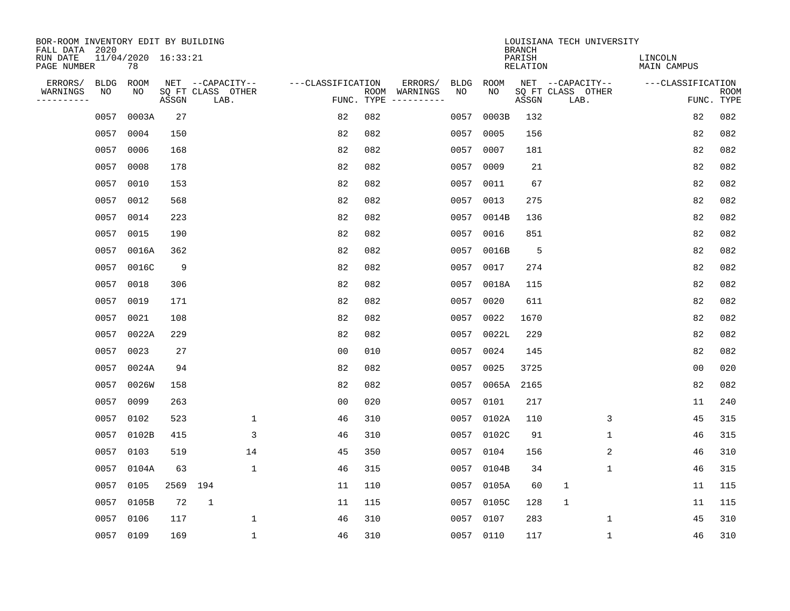| BOR-ROOM INVENTORY EDIT BY BUILDING<br>FALL DATA 2020 |             |       |                     |                           |                   |                    |                         |             |             | <b>BRANCH</b>             | LOUISIANA TECH UNIVERSITY |                               |                           |
|-------------------------------------------------------|-------------|-------|---------------------|---------------------------|-------------------|--------------------|-------------------------|-------------|-------------|---------------------------|---------------------------|-------------------------------|---------------------------|
| RUN DATE<br>PAGE NUMBER                               |             | 78    | 11/04/2020 16:33:21 |                           |                   |                    |                         |             |             | PARISH<br><b>RELATION</b> |                           | LINCOLN<br><b>MAIN CAMPUS</b> |                           |
| ERRORS/                                               | <b>BLDG</b> | ROOM  |                     | NET --CAPACITY--          | ---CLASSIFICATION |                    | ERRORS/                 | <b>BLDG</b> | <b>ROOM</b> |                           | NET --CAPACITY--          | ---CLASSIFICATION             |                           |
| WARNINGS<br>----------                                | NO          | NO    | ASSGN               | SQ FT CLASS OTHER<br>LAB. |                   | ROOM<br>FUNC. TYPE | WARNINGS<br>----------- | NO          | NO          | ASSGN                     | SQ FT CLASS OTHER<br>LAB. |                               | <b>ROOM</b><br>FUNC. TYPE |
|                                                       | 0057        | 0003A | 27                  |                           | 82                | 082                |                         | 0057        | 0003B       | 132                       |                           | 82                            | 082                       |
|                                                       | 0057        | 0004  | 150                 |                           | 82                | 082                |                         | 0057        | 0005        | 156                       |                           | 82                            | 082                       |
|                                                       | 0057        | 0006  | 168                 |                           | 82                | 082                |                         | 0057        | 0007        | 181                       |                           | 82                            | 082                       |
|                                                       | 0057        | 0008  | 178                 |                           | 82                | 082                |                         |             | 0057 0009   | 21                        |                           | 82                            | 082                       |
|                                                       | 0057        | 0010  | 153                 |                           | 82                | 082                |                         | 0057        | 0011        | 67                        |                           | 82                            | 082                       |
|                                                       | 0057        | 0012  | 568                 |                           | 82                | 082                |                         |             | 0057 0013   | 275                       |                           | 82                            | 082                       |
|                                                       | 0057        | 0014  | 223                 |                           | 82                | 082                |                         |             | 0057 0014B  | 136                       |                           | 82                            | 082                       |
|                                                       | 0057        | 0015  | 190                 |                           | 82                | 082                |                         |             | 0057 0016   | 851                       |                           | 82                            | 082                       |
|                                                       | 0057        | 0016A | 362                 |                           | 82                | 082                |                         | 0057        | 0016B       | 5                         |                           | 82                            | 082                       |
|                                                       | 0057        | 0016C | 9                   |                           | 82                | 082                |                         |             | 0057 0017   | 274                       |                           | 82                            | 082                       |
|                                                       | 0057        | 0018  | 306                 |                           | 82                | 082                |                         | 0057        | 0018A       | 115                       |                           | 82                            | 082                       |
|                                                       | 0057        | 0019  | 171                 |                           | 82                | 082                |                         | 0057        | 0020        | 611                       |                           | 82                            | 082                       |
|                                                       | 0057        | 0021  | 108                 |                           | 82                | 082                |                         | 0057        | 0022        | 1670                      |                           | 82                            | 082                       |
|                                                       | 0057        | 0022A | 229                 |                           | 82                | 082                |                         | 0057        | 0022L       | 229                       |                           | 82                            | 082                       |
|                                                       | 0057        | 0023  | 27                  |                           | 0 <sub>0</sub>    | 010                |                         | 0057        | 0024        | 145                       |                           | 82                            | 082                       |
|                                                       | 0057        | 0024A | 94                  |                           | 82                | 082                |                         | 0057        | 0025        | 3725                      |                           | 0 <sub>0</sub>                | 020                       |
|                                                       | 0057        | 0026W | 158                 |                           | 82                | 082                |                         | 0057        | 0065A       | 2165                      |                           | 82                            | 082                       |
|                                                       | 0057        | 0099  | 263                 |                           | 0 <sub>0</sub>    | 020                |                         | 0057        | 0101        | 217                       |                           | 11                            | 240                       |
|                                                       | 0057        | 0102  | 523                 | 1                         | 46                | 310                |                         | 0057        | 0102A       | 110                       | 3                         | 45                            | 315                       |
|                                                       | 0057        | 0102B | 415                 | 3                         | 46                | 310                |                         | 0057        | 0102C       | 91                        | 1                         | 46                            | 315                       |
|                                                       | 0057        | 0103  | 519                 | 14                        | 45                | 350                |                         | 0057        | 0104        | 156                       | 2                         | 46                            | 310                       |
|                                                       | 0057        | 0104A | 63                  | $\mathbf{1}$              | 46                | 315                |                         | 0057        | 0104B       | 34                        | 1                         | 46                            | 315                       |
|                                                       | 0057        | 0105  | 2569 194            |                           | 11                | 110                |                         |             | 0057 0105A  | 60                        | 1                         | 11                            | 115                       |
|                                                       | 0057        | 0105B | 72                  | $\mathbf{1}$              | 11                | 115                |                         | 0057        | 0105C       | 128                       | 1                         | 11                            | 115                       |
|                                                       | 0057        | 0106  | 117                 | 1                         | 46                | 310                |                         |             | 0057 0107   | 283                       | 1                         | 45                            | 310                       |
|                                                       | 0057 0109   |       | 169                 | $\mathbf{1}$              | 46                | 310                |                         |             | 0057 0110   | 117                       | $\mathbf 1$               | 46                            | 310                       |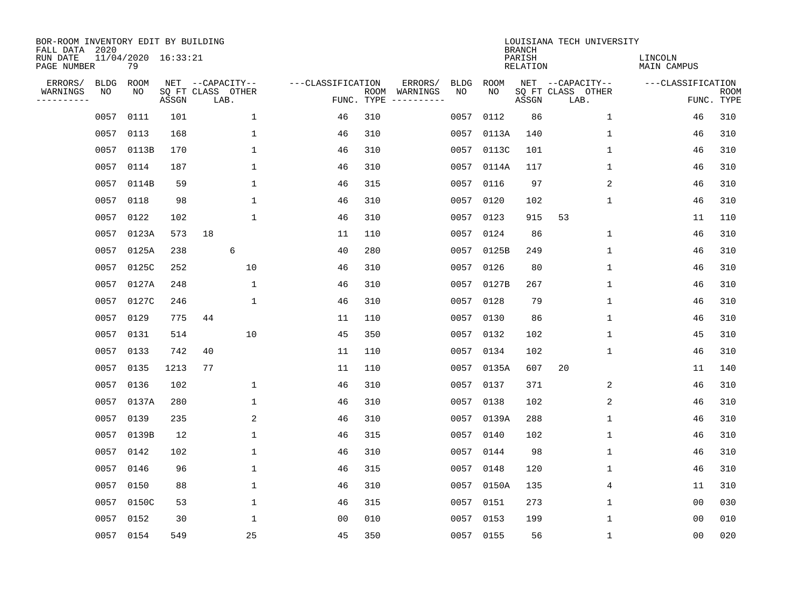| BOR-ROOM INVENTORY EDIT BY BUILDING<br>FALL DATA 2020 |             |                           |       |                           |              |                   |                    |          |             |             | <b>BRANCH</b>             | LOUISIANA TECH UNIVERSITY |                               |                           |
|-------------------------------------------------------|-------------|---------------------------|-------|---------------------------|--------------|-------------------|--------------------|----------|-------------|-------------|---------------------------|---------------------------|-------------------------------|---------------------------|
| RUN DATE<br>PAGE NUMBER                               |             | 11/04/2020 16:33:21<br>79 |       |                           |              |                   |                    |          |             |             | PARISH<br><b>RELATION</b> |                           | LINCOLN<br><b>MAIN CAMPUS</b> |                           |
| ERRORS/                                               | <b>BLDG</b> | ROOM                      |       | NET --CAPACITY--          |              | ---CLASSIFICATION |                    | ERRORS/  | <b>BLDG</b> | <b>ROOM</b> |                           | NET --CAPACITY--          | ---CLASSIFICATION             |                           |
| WARNINGS<br>----------                                | NO          | NO                        | ASSGN | SQ FT CLASS OTHER<br>LAB. |              |                   | ROOM<br>FUNC. TYPE | WARNINGS | NO          | NO          | ASSGN                     | SQ FT CLASS OTHER<br>LAB. |                               | <b>ROOM</b><br>FUNC. TYPE |
|                                                       | 0057        | 0111                      | 101   |                           | 1            | 46                | 310                |          | 0057        | 0112        | 86                        | 1                         | 46                            | 310                       |
|                                                       | 0057        | 0113                      | 168   |                           | 1            | 46                | 310                |          | 0057        | 0113A       | 140                       | 1                         | 46                            | 310                       |
|                                                       | 0057        | 0113B                     | 170   |                           | $\mathbf{1}$ | 46                | 310                |          | 0057        | 0113C       | 101                       | $\mathbf 1$               | 46                            | 310                       |
|                                                       | 0057        | 0114                      | 187   |                           | $\mathbf{1}$ | 46                | 310                |          |             | 0057 0114A  | 117                       | $\mathbf 1$               | 46                            | 310                       |
|                                                       | 0057        | 0114B                     | 59    |                           | $\mathbf{1}$ | 46                | 315                |          | 0057        | 0116        | 97                        | 2                         | 46                            | 310                       |
|                                                       | 0057        | 0118                      | 98    |                           | $\mathbf{1}$ | 46                | 310                |          |             | 0057 0120   | 102                       | $\mathbf{1}$              | 46                            | 310                       |
|                                                       | 0057        | 0122                      | 102   |                           | $\mathbf{1}$ | 46                | 310                |          | 0057        | 0123        | 915                       | 53                        | 11                            | 110                       |
|                                                       | 0057        | 0123A                     | 573   | 18                        |              | 11                | 110                |          |             | 0057 0124   | 86                        | 1                         | 46                            | 310                       |
|                                                       | 0057        | 0125A                     | 238   | 6                         |              | 40                | 280                |          | 0057        | 0125B       | 249                       | $\mathbf 1$               | 46                            | 310                       |
|                                                       | 0057        | 0125C                     | 252   |                           | 10           | 46                | 310                |          |             | 0057 0126   | 80                        | $\mathbf 1$               | 46                            | 310                       |
|                                                       | 0057        | 0127A                     | 248   |                           | 1            | 46                | 310                |          | 0057        | 0127B       | 267                       | 1                         | 46                            | 310                       |
|                                                       | 0057        | 0127C                     | 246   |                           | 1            | 46                | 310                |          |             | 0057 0128   | 79                        | 1                         | 46                            | 310                       |
|                                                       | 0057        | 0129                      | 775   | 44                        |              | 11                | 110                |          | 0057        | 0130        | 86                        | 1                         | 46                            | 310                       |
|                                                       | 0057        | 0131                      | 514   |                           | 10           | 45                | 350                |          | 0057        | 0132        | 102                       | 1                         | 45                            | 310                       |
|                                                       | 0057        | 0133                      | 742   | 40                        |              | 11                | 110                |          | 0057        | 0134        | 102                       | 1                         | 46                            | 310                       |
|                                                       | 0057        | 0135                      | 1213  | 77                        |              | 11                | 110                |          | 0057        | 0135A       | 607                       | 20                        | 11                            | 140                       |
|                                                       | 0057        | 0136                      | 102   |                           | 1            | 46                | 310                |          |             | 0057 0137   | 371                       | 2                         | 46                            | 310                       |
|                                                       | 0057        | 0137A                     | 280   |                           | $\mathbf{1}$ | 46                | 310                |          | 0057        | 0138        | 102                       | 2                         | 46                            | 310                       |
|                                                       | 0057        | 0139                      | 235   |                           | 2            | 46                | 310                |          |             | 0057 0139A  | 288                       | 1                         | 46                            | 310                       |
|                                                       | 0057        | 0139B                     | 12    |                           | $\mathbf{1}$ | 46                | 315                |          | 0057        | 0140        | 102                       | 1                         | 46                            | 310                       |
|                                                       | 0057        | 0142                      | 102   |                           | 1            | 46                | 310                |          |             | 0057 0144   | 98                        | 1                         | 46                            | 310                       |
|                                                       | 0057        | 0146                      | 96    |                           | $\mathbf 1$  | 46                | 315                |          | 0057        | 0148        | 120                       | 1                         | 46                            | 310                       |
|                                                       | 0057        | 0150                      | 88    |                           | 1            | 46                | 310                |          |             | 0057 0150A  | 135                       | 4                         | 11                            | 310                       |
|                                                       | 0057        | 0150C                     | 53    |                           | $\mathbf{1}$ | 46                | 315                |          | 0057        | 0151        | 273                       | 1                         | 00                            | 030                       |
|                                                       | 0057        | 0152                      | 30    |                           | $\mathbf{1}$ | 0 <sub>0</sub>    | 010                |          |             | 0057 0153   | 199                       | 1                         | 0 <sub>0</sub>                | 010                       |
|                                                       |             | 0057 0154                 | 549   |                           | 25           | 45                | 350                |          |             | 0057 0155   | 56                        | $\mathbf{1}$              | 0 <sub>0</sub>                | 020                       |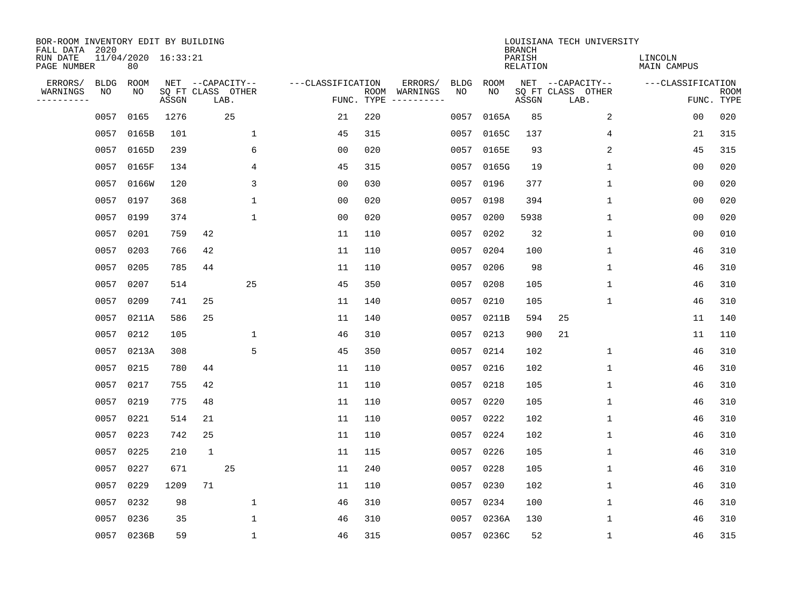| BOR-ROOM INVENTORY EDIT BY BUILDING<br>FALL DATA 2020 |             |                           |       |                           |              |                   |                    |                         |             |             | <b>BRANCH</b>             | LOUISIANA TECH UNIVERSITY |                               |                           |
|-------------------------------------------------------|-------------|---------------------------|-------|---------------------------|--------------|-------------------|--------------------|-------------------------|-------------|-------------|---------------------------|---------------------------|-------------------------------|---------------------------|
| RUN DATE<br>PAGE NUMBER                               |             | 11/04/2020 16:33:21<br>80 |       |                           |              |                   |                    |                         |             |             | PARISH<br><b>RELATION</b> |                           | LINCOLN<br><b>MAIN CAMPUS</b> |                           |
| ERRORS/                                               | <b>BLDG</b> | ROOM                      |       | NET --CAPACITY--          |              | ---CLASSIFICATION |                    | ERRORS/                 | <b>BLDG</b> | <b>ROOM</b> |                           | NET --CAPACITY--          | ---CLASSIFICATION             |                           |
| WARNINGS<br>----------                                | NO          | NO                        | ASSGN | SQ FT CLASS OTHER<br>LAB. |              |                   | ROOM<br>FUNC. TYPE | WARNINGS<br>----------- | NO          | NO          | ASSGN                     | SQ FT CLASS OTHER<br>LAB. |                               | <b>ROOM</b><br>FUNC. TYPE |
|                                                       | 0057        | 0165                      | 1276  |                           | 25           | 21                | 220                |                         | 0057        | 0165A       | 85                        | 2                         | 00                            | 020                       |
|                                                       | 0057        | 0165B                     | 101   |                           | 1            | 45                | 315                |                         | 0057        | 0165C       | 137                       | 4                         | 21                            | 315                       |
|                                                       | 0057        | 0165D                     | 239   |                           | 6            | 00                | 020                |                         | 0057        | 0165E       | 93                        | 2                         | 45                            | 315                       |
|                                                       | 0057        | 0165F                     | 134   |                           | 4            | 45                | 315                |                         |             | 0057 0165G  | 19                        | 1                         | 0 <sub>0</sub>                | 020                       |
|                                                       | 0057        | 0166W                     | 120   |                           | 3            | 0 <sub>0</sub>    | 030                |                         | 0057        | 0196        | 377                       | $\mathbf 1$               | 0 <sub>0</sub>                | 020                       |
|                                                       | 0057        | 0197                      | 368   |                           | $\mathbf{1}$ | 0 <sub>0</sub>    | 020                |                         |             | 0057 0198   | 394                       | 1                         | 0 <sub>0</sub>                | 020                       |
|                                                       | 0057        | 0199                      | 374   |                           | $\mathbf{1}$ | 0 <sub>0</sub>    | 020                |                         | 0057        | 0200        | 5938                      | $\mathbf 1$               | 0 <sub>0</sub>                | 020                       |
|                                                       | 0057        | 0201                      | 759   | 42                        |              | 11                | 110                |                         |             | 0057 0202   | 32                        | $\mathbf 1$               | 0 <sub>0</sub>                | 010                       |
|                                                       | 0057        | 0203                      | 766   | 42                        |              | 11                | 110                |                         | 0057        | 0204        | 100                       | $\mathbf{1}$              | 46                            | 310                       |
|                                                       | 0057        | 0205                      | 785   | 44                        |              | 11                | 110                |                         | 0057        | 0206        | 98                        | 1                         | 46                            | 310                       |
|                                                       | 0057        | 0207                      | 514   |                           | 25           | 45                | 350                |                         | 0057        | 0208        | 105                       | 1                         | 46                            | 310                       |
|                                                       | 0057        | 0209                      | 741   | 25                        |              | 11                | 140                |                         |             | 0057 0210   | 105                       | 1                         | 46                            | 310                       |
|                                                       | 0057        | 0211A                     | 586   | 25                        |              | 11                | 140                |                         | 0057        | 0211B       | 594                       | 25                        | 11                            | 140                       |
|                                                       | 0057        | 0212                      | 105   |                           | 1            | 46                | 310                |                         | 0057        | 0213        | 900                       | 21                        | 11                            | 110                       |
|                                                       | 0057        | 0213A                     | 308   |                           | 5            | 45                | 350                |                         | 0057        | 0214        | 102                       | 1                         | 46                            | 310                       |
|                                                       | 0057        | 0215                      | 780   | 44                        |              | 11                | 110                |                         | 0057        | 0216        | 102                       | 1                         | 46                            | 310                       |
|                                                       | 0057        | 0217                      | 755   | 42                        |              | 11                | 110                |                         | 0057        | 0218        | 105                       | 1                         | 46                            | 310                       |
|                                                       | 0057        | 0219                      | 775   | 48                        |              | 11                | 110                |                         | 0057        | 0220        | 105                       | 1                         | 46                            | 310                       |
|                                                       | 0057        | 0221                      | 514   | 21                        |              | 11                | 110                |                         | 0057        | 0222        | 102                       | 1                         | 46                            | 310                       |
|                                                       | 0057        | 0223                      | 742   | 25                        |              | 11                | 110                |                         | 0057        | 0224        | 102                       | 1                         | 46                            | 310                       |
|                                                       | 0057        | 0225                      | 210   | $\mathbf{1}$              |              | 11                | 115                |                         | 0057        | 0226        | 105                       | 1                         | 46                            | 310                       |
|                                                       | 0057        | 0227                      | 671   |                           | 25           | 11                | 240                |                         | 0057        | 0228        | 105                       | $\mathbf 1$               | 46                            | 310                       |
|                                                       | 0057        | 0229                      | 1209  | 71                        |              | 11                | 110                |                         | 0057        | 0230        | 102                       | 1                         | 46                            | 310                       |
|                                                       | 0057        | 0232                      | 98    |                           | $\mathbf 1$  | 46                | 310                |                         | 0057        | 0234        | 100                       | $\mathbf 1$               | 46                            | 310                       |
|                                                       | 0057        | 0236                      | 35    |                           | 1            | 46                | 310                |                         | 0057        | 0236A       | 130                       | $\mathbf{1}$              | 46                            | 310                       |
|                                                       |             | 0057 0236B                | 59    |                           | $\mathbf{1}$ | 46                | 315                |                         |             | 0057 0236C  | 52                        | 1                         | 46                            | 315                       |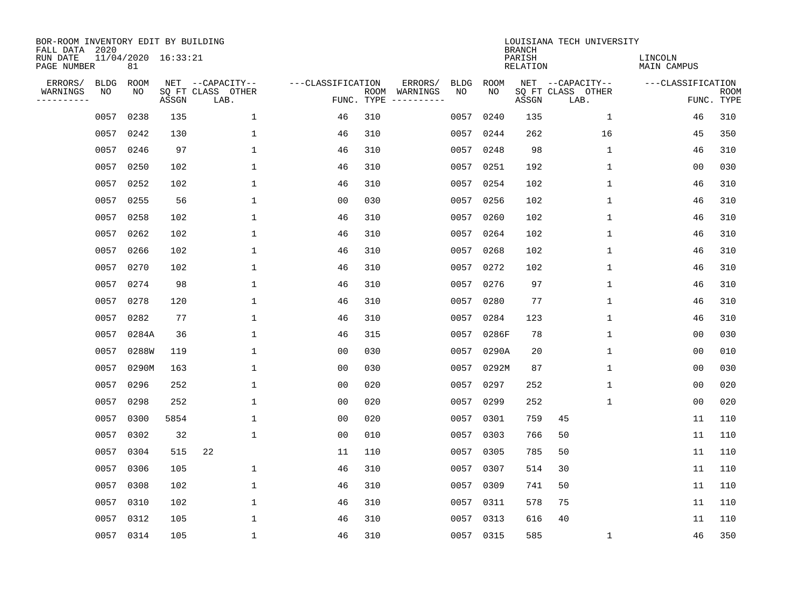| BOR-ROOM INVENTORY EDIT BY BUILDING<br>FALL DATA 2020 |             |                           |       |                           |                   |                    |          |             |             | <b>BRANCH</b>             | LOUISIANA TECH UNIVERSITY |                               |                           |
|-------------------------------------------------------|-------------|---------------------------|-------|---------------------------|-------------------|--------------------|----------|-------------|-------------|---------------------------|---------------------------|-------------------------------|---------------------------|
| RUN DATE<br>PAGE NUMBER                               |             | 11/04/2020 16:33:21<br>81 |       |                           |                   |                    |          |             |             | PARISH<br><b>RELATION</b> |                           | LINCOLN<br><b>MAIN CAMPUS</b> |                           |
| ERRORS/                                               | <b>BLDG</b> | ROOM                      |       | NET --CAPACITY--          | ---CLASSIFICATION |                    | ERRORS/  | <b>BLDG</b> | <b>ROOM</b> |                           | NET --CAPACITY--          | ---CLASSIFICATION             |                           |
| WARNINGS<br>----------                                | NO          | NO                        | ASSGN | SQ FT CLASS OTHER<br>LAB. |                   | ROOM<br>FUNC. TYPE | WARNINGS | NO          | NO          | ASSGN                     | SQ FT CLASS OTHER<br>LAB. |                               | <b>ROOM</b><br>FUNC. TYPE |
|                                                       | 0057        | 0238                      | 135   | $\mathbf{1}$              | 46                | 310                |          | 0057        | 0240        | 135                       | 1                         | 46                            | 310                       |
|                                                       | 0057        | 0242                      | 130   | 1                         | 46                | 310                |          |             | 0057 0244   | 262                       | 16                        | 45                            | 350                       |
|                                                       | 0057        | 0246                      | 97    | $\mathbf 1$               | 46                | 310                |          | 0057        | 0248        | 98                        | 1                         | 46                            | 310                       |
|                                                       | 0057        | 0250                      | 102   | 1                         | 46                | 310                |          |             | 0057 0251   | 192                       | 1                         | 0 <sub>0</sub>                | 030                       |
|                                                       | 0057        | 0252                      | 102   | $\mathbf{1}$              | 46                | 310                |          | 0057        | 0254        | 102                       | $\mathbf{1}$              | 46                            | 310                       |
|                                                       | 0057        | 0255                      | 56    | $\mathbf{1}$              | 0 <sub>0</sub>    | 030                |          |             | 0057 0256   | 102                       | $\mathbf 1$               | 46                            | 310                       |
|                                                       | 0057        | 0258                      | 102   | $\mathbf{1}$              | 46                | 310                |          |             | 0057 0260   | 102                       | $\mathbf{1}$              | 46                            | 310                       |
|                                                       | 0057        | 0262                      | 102   | $\mathbf{1}$              | 46                | 310                |          |             | 0057 0264   | 102                       | $\mathbf 1$               | 46                            | 310                       |
|                                                       | 0057        | 0266                      | 102   | $\mathbf{1}$              | 46                | 310                |          | 0057        | 0268        | 102                       | $\mathbf{1}$              | 46                            | 310                       |
|                                                       | 0057        | 0270                      | 102   | 1                         | 46                | 310                |          |             | 0057 0272   | 102                       | $\mathbf 1$               | 46                            | 310                       |
|                                                       | 0057        | 0274                      | 98    | 1                         | 46                | 310                |          | 0057        | 0276        | 97                        | $\mathbf 1$               | 46                            | 310                       |
|                                                       | 0057        | 0278                      | 120   | 1                         | 46                | 310                |          | 0057        | 0280        | 77                        | $\mathbf 1$               | 46                            | 310                       |
|                                                       | 0057        | 0282                      | 77    | 1                         | 46                | 310                |          | 0057        | 0284        | 123                       | $\mathbf 1$               | 46                            | 310                       |
|                                                       | 0057        | 0284A                     | 36    | 1                         | 46                | 315                |          | 0057        | 0286F       | 78                        | 1                         | 0 <sub>0</sub>                | 030                       |
|                                                       | 0057        | 0288W                     | 119   | 1                         | 0 <sub>0</sub>    | 030                |          | 0057        | 0290A       | 20                        | 1                         | 0 <sub>0</sub>                | 010                       |
|                                                       | 0057        | 0290M                     | 163   | 1                         | 0 <sub>0</sub>    | 030                |          | 0057        | 0292M       | 87                        | 1                         | 0 <sub>0</sub>                | 030                       |
|                                                       | 0057        | 0296                      | 252   | 1                         | 0 <sub>0</sub>    | 020                |          | 0057        | 0297        | 252                       | 1                         | 0 <sub>0</sub>                | 020                       |
|                                                       | 0057        | 0298                      | 252   | 1                         | 0 <sub>0</sub>    | 020                |          | 0057        | 0299        | 252                       | 1                         | 0 <sub>0</sub>                | 020                       |
|                                                       | 0057        | 0300                      | 5854  | 1                         | 0 <sub>0</sub>    | 020                |          | 0057        | 0301        | 759                       | 45                        | 11                            | 110                       |
|                                                       | 0057        | 0302                      | 32    | $\mathbf 1$               | 0 <sub>0</sub>    | 010                |          | 0057        | 0303        | 766                       | 50                        | 11                            | 110                       |
|                                                       | 0057        | 0304                      | 515   | 22                        | 11                | 110                |          | 0057        | 0305        | 785                       | 50                        | 11                            | 110                       |
|                                                       | 0057        | 0306                      | 105   | $\mathbf 1$               | 46                | 310                |          | 0057        | 0307        | 514                       | 30                        | 11                            | 110                       |
|                                                       | 0057        | 0308                      | 102   | 1                         | 46                | 310                |          | 0057        | 0309        | 741                       | 50                        | 11                            | 110                       |
|                                                       | 0057        | 0310                      | 102   | $\mathbf 1$               | 46                | 310                |          | 0057        | 0311        | 578                       | 75                        | 11                            | 110                       |
|                                                       | 0057        | 0312                      | 105   | 1                         | 46                | 310                |          |             | 0057 0313   | 616                       | 40                        | 11                            | 110                       |
|                                                       |             | 0057 0314                 | 105   | $\mathbf{1}$              | 46                | 310                |          |             | 0057 0315   | 585                       | 1                         | 46                            | 350                       |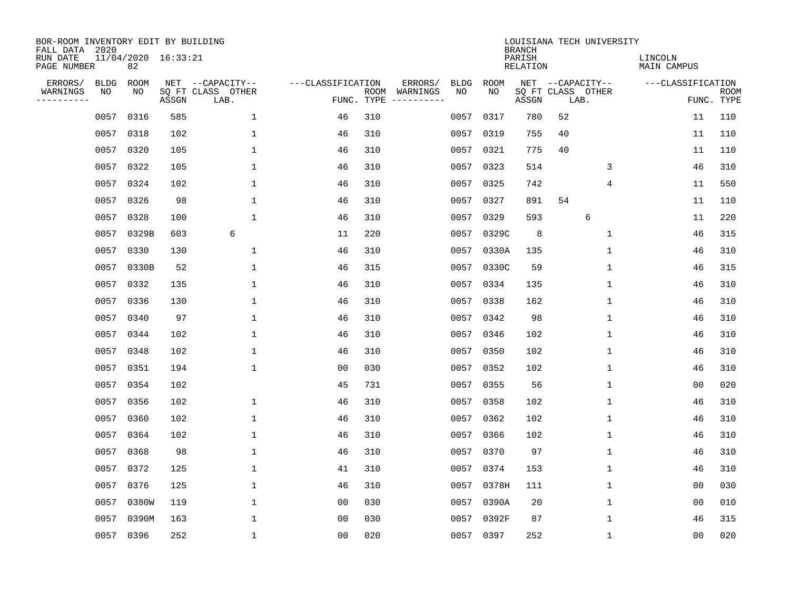| BOR-ROOM INVENTORY EDIT BY BUILDING<br>FALL DATA 2020 |             |                           |       |                           |                   |      |                                 |             |             | <b>BRANCH</b>             |                           | LOUISIANA TECH UNIVERSITY |                               |                |                           |
|-------------------------------------------------------|-------------|---------------------------|-------|---------------------------|-------------------|------|---------------------------------|-------------|-------------|---------------------------|---------------------------|---------------------------|-------------------------------|----------------|---------------------------|
| RUN DATE<br>PAGE NUMBER                               |             | 11/04/2020 16:33:21<br>82 |       |                           |                   |      |                                 |             |             | PARISH<br><b>RELATION</b> |                           |                           | LINCOLN<br><b>MAIN CAMPUS</b> |                |                           |
| ERRORS/                                               | <b>BLDG</b> | ROOM                      |       | NET --CAPACITY--          | ---CLASSIFICATION |      | ERRORS/                         | <b>BLDG</b> | <b>ROOM</b> |                           |                           | NET --CAPACITY--          | ---CLASSIFICATION             |                |                           |
| WARNINGS<br>----------                                | NO          | NO                        | ASSGN | SQ FT CLASS OTHER<br>LAB. |                   | ROOM | WARNINGS<br>FUNC. TYPE $------$ | NO          | NO          | ASSGN                     | SQ FT CLASS OTHER<br>LAB. |                           |                               |                | <b>ROOM</b><br>FUNC. TYPE |
|                                                       | 0057        | 0316                      | 585   | 1                         | 46                | 310  |                                 | 0057        | 0317        | 780                       | 52                        |                           |                               | 11             | 110                       |
|                                                       | 0057        | 0318                      | 102   | 1                         | 46                | 310  |                                 |             | 0057 0319   | 755                       | 40                        |                           |                               | 11             | 110                       |
|                                                       | 0057        | 0320                      | 105   | $\mathbf 1$               | 46                | 310  |                                 |             | 0057 0321   | 775                       | 40                        |                           |                               | 11             | 110                       |
|                                                       | 0057        | 0322                      | 105   | $\mathbf{1}$              | 46                | 310  |                                 |             | 0057 0323   | 514                       |                           | 3                         |                               | 46             | 310                       |
|                                                       | 0057        | 0324                      | 102   | $\mathbf{1}$              | 46                | 310  |                                 | 0057        | 0325        | 742                       |                           | $\overline{4}$            |                               | 11             | 550                       |
|                                                       | 0057        | 0326                      | 98    | $\mathbf{1}$              | 46                | 310  |                                 |             | 0057 0327   | 891                       | 54                        |                           |                               | 11             | 110                       |
|                                                       | 0057        | 0328                      | 100   | $\mathbf{1}$              | 46                | 310  |                                 | 0057        | 0329        | 593                       |                           | 6                         |                               | 11             | 220                       |
|                                                       | 0057        | 0329B                     | 603   | 6                         | 11                | 220  |                                 |             | 0057 0329C  | 8                         |                           | $\mathbf 1$               |                               | 46             | 315                       |
|                                                       | 0057        | 0330                      | 130   | $\mathbf{1}$              | 46                | 310  |                                 | 0057        | 0330A       | 135                       |                           | $\mathbf 1$               |                               | 46             | 310                       |
|                                                       | 0057        | 0330B                     | 52    | $\mathbf{1}$              | 46                | 315  |                                 |             | 0057 0330C  | 59                        |                           | $\mathbf 1$               |                               | 46             | 315                       |
|                                                       | 0057        | 0332                      | 135   | $\mathbf{1}$              | 46                | 310  |                                 |             | 0057 0334   | 135                       |                           | $\mathbf 1$               |                               | 46             | 310                       |
|                                                       | 0057        | 0336                      | 130   | $\mathbf{1}$              | 46                | 310  |                                 |             | 0057 0338   | 162                       |                           | $\mathbf{1}$              |                               | 46             | 310                       |
|                                                       | 0057        | 0340                      | 97    | 1                         | 46                | 310  |                                 | 0057        | 0342        | 98                        |                           | $\mathbf 1$               |                               | 46             | 310                       |
|                                                       | 0057        | 0344                      | 102   | 1                         | 46                | 310  |                                 | 0057        | 0346        | 102                       |                           | 1                         |                               | 46             | 310                       |
|                                                       | 0057        | 0348                      | 102   | 1                         | 46                | 310  |                                 | 0057        | 0350        | 102                       |                           | 1                         |                               | 46             | 310                       |
|                                                       | 0057        | 0351                      | 194   | 1                         | 0 <sub>0</sub>    | 030  |                                 | 0057        | 0352        | 102                       |                           | 1                         |                               | 46             | 310                       |
|                                                       | 0057        | 0354                      | 102   |                           | 45                | 731  |                                 | 0057        | 0355        | 56                        |                           | 1                         |                               | 0 <sub>0</sub> | 020                       |
|                                                       | 0057        | 0356                      | 102   | 1                         | 46                | 310  |                                 | 0057        | 0358        | 102                       |                           | 1                         |                               | 46             | 310                       |
|                                                       | 0057        | 0360                      | 102   | $\mathbf{1}$              | 46                | 310  |                                 | 0057        | 0362        | 102                       |                           | 1                         |                               | 46             | 310                       |
|                                                       | 0057        | 0364                      | 102   | $\mathbf 1$               | 46                | 310  |                                 | 0057        | 0366        | 102                       |                           | 1                         |                               | 46             | 310                       |
|                                                       | 0057        | 0368                      | 98    | 1                         | 46                | 310  |                                 | 0057        | 0370        | 97                        |                           | 1                         |                               | 46             | 310                       |
|                                                       | 0057        | 0372                      | 125   | $\mathbf 1$               | 41                | 310  |                                 | 0057        | 0374        | 153                       |                           | 1                         |                               | 46             | 310                       |
|                                                       | 0057        | 0376                      | 125   | 1                         | 46                | 310  |                                 |             | 0057 0378H  | 111                       |                           | 1                         |                               | 0 <sub>0</sub> | 030                       |
|                                                       | 0057        | 0380W                     | 119   | $\mathbf 1$               | 0 <sub>0</sub>    | 030  |                                 |             | 0057 0390A  | 20                        |                           | $\mathbf 1$               |                               | 0 <sub>0</sub> | 010                       |
|                                                       | 0057        | 0390M                     | 163   | $\mathbf{1}$              | 0 <sub>0</sub>    | 030  |                                 |             | 0057 0392F  | 87                        |                           | $\mathbf{1}$              |                               | 46             | 315                       |
|                                                       |             | 0057 0396                 | 252   | $\mathbf{1}$              | 0 <sub>0</sub>    | 020  |                                 |             | 0057 0397   | 252                       |                           | 1                         |                               | 00             | 020                       |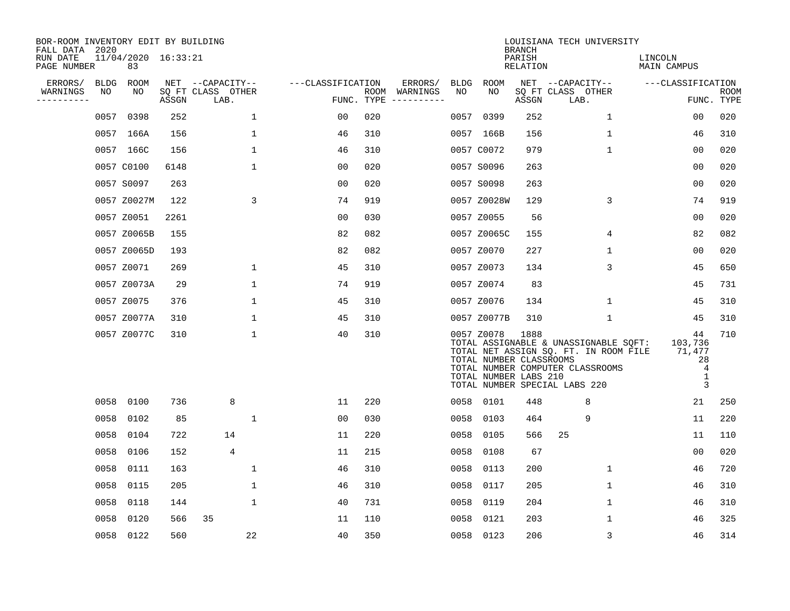| BOR-ROOM INVENTORY EDIT BY BUILDING<br>FALL DATA 2020 |             |                           |       |                           |                   |                    |                         |             |                                                                | <b>BRANCH</b>      | LOUISIANA TECH UNIVERSITY                                                                                                                           |                                                           |                    |
|-------------------------------------------------------|-------------|---------------------------|-------|---------------------------|-------------------|--------------------|-------------------------|-------------|----------------------------------------------------------------|--------------------|-----------------------------------------------------------------------------------------------------------------------------------------------------|-----------------------------------------------------------|--------------------|
| RUN DATE<br>PAGE NUMBER                               |             | 11/04/2020 16:33:21<br>83 |       |                           |                   |                    |                         |             |                                                                | PARISH<br>RELATION |                                                                                                                                                     | LINCOLN<br>MAIN CAMPUS                                    |                    |
| ERRORS/                                               | <b>BLDG</b> | ROOM                      |       | NET --CAPACITY--          | ---CLASSIFICATION |                    | ERRORS/                 | <b>BLDG</b> | ROOM                                                           |                    | NET --CAPACITY--                                                                                                                                    | ---CLASSIFICATION                                         |                    |
| WARNINGS<br>----------                                | NO          | NO                        | ASSGN | SQ FT CLASS OTHER<br>LAB. |                   | ROOM<br>FUNC. TYPE | WARNINGS<br>----------- | NO          | NO                                                             | ASSGN              | SQ FT CLASS OTHER<br>LAB.                                                                                                                           |                                                           | ROOM<br>FUNC. TYPE |
|                                                       | 0057        | 0398                      | 252   | $\mathbf 1$               | 0 <sub>0</sub>    | 020                |                         | 0057        | 0399                                                           | 252                | $\mathbf 1$                                                                                                                                         | 0 <sub>0</sub>                                            | 020                |
|                                                       |             | 0057 166A                 | 156   | 1                         | 46                | 310                |                         |             | 0057 166B                                                      | 156                | 1                                                                                                                                                   | 46                                                        | 310                |
|                                                       |             | 0057 166C                 | 156   | $\mathbf 1$               | 46                | 310                |                         |             | 0057 C0072                                                     | 979                | $\mathbf 1$                                                                                                                                         | 00                                                        | 020                |
|                                                       |             | 0057 C0100                | 6148  | $\mathbf 1$               | 0 <sub>0</sub>    | 020                |                         |             | 0057 S0096                                                     | 263                |                                                                                                                                                     | 0 <sub>0</sub>                                            | 020                |
|                                                       |             | 0057 S0097                | 263   |                           | 0 <sub>0</sub>    | 020                |                         |             | 0057 S0098                                                     | 263                |                                                                                                                                                     | 0 <sub>0</sub>                                            | 020                |
|                                                       |             | 0057 Z0027M               | 122   | 3                         | 74                | 919                |                         |             | 0057 Z0028W                                                    | 129                | 3                                                                                                                                                   | 74                                                        | 919                |
|                                                       |             | 0057 Z0051                | 2261  |                           | 0 <sub>0</sub>    | 030                |                         |             | 0057 Z0055                                                     | 56                 |                                                                                                                                                     | 0 <sub>0</sub>                                            | 020                |
|                                                       |             | 0057 Z0065B               | 155   |                           | 82                | 082                |                         |             | 0057 Z0065C                                                    | 155                | 4                                                                                                                                                   | 82                                                        | 082                |
|                                                       |             | 0057 Z0065D               | 193   |                           | 82                | 082                |                         |             | 0057 Z0070                                                     | 227                | 1                                                                                                                                                   | 0 <sub>0</sub>                                            | 020                |
|                                                       |             | 0057 Z0071                | 269   | 1                         | 45                | 310                |                         |             | 0057 Z0073                                                     | 134                | 3                                                                                                                                                   | 45                                                        | 650                |
|                                                       |             | 0057 Z0073A               | 29    | $\mathbf{1}$              | 74                | 919                |                         |             | 0057 Z0074                                                     | 83                 |                                                                                                                                                     | 45                                                        | 731                |
|                                                       |             | 0057 Z0075                | 376   | 1                         | 45                | 310                |                         |             | 0057 Z0076                                                     | 134                | 1                                                                                                                                                   | 45                                                        | 310                |
|                                                       |             | 0057 Z0077A               | 310   | 1                         | 45                | 310                |                         |             | 0057 Z0077B                                                    | 310                | $\mathbf 1$                                                                                                                                         | 45                                                        | 310                |
|                                                       |             | 0057 Z0077C               | 310   | $\mathbf{1}$              | 40                | 310                |                         |             | 0057 Z0078<br>TOTAL NUMBER CLASSROOMS<br>TOTAL NUMBER LABS 210 | 1888               | TOTAL ASSIGNABLE & UNASSIGNABLE SQFT:<br>TOTAL NET ASSIGN SQ. FT. IN ROOM FILE<br>TOTAL NUMBER COMPUTER CLASSROOMS<br>TOTAL NUMBER SPECIAL LABS 220 | 44<br>103,736<br>71,477<br>28<br>$\overline{4}$<br>1<br>3 | 710                |
|                                                       | 0058        | 0100                      | 736   | 8                         | 11                | 220                |                         | 0058        | 0101                                                           | 448                | 8                                                                                                                                                   | 21                                                        | 250                |
|                                                       | 0058        | 0102                      | 85    | 1                         | 0 <sub>0</sub>    | 030                |                         | 0058        | 0103                                                           | 464                | 9                                                                                                                                                   | 11                                                        | 220                |
|                                                       | 0058        | 0104                      | 722   | 14                        | 11                | 220                |                         | 0058        | 0105                                                           | 566                | 25                                                                                                                                                  | 11                                                        | 110                |
|                                                       | 0058        | 0106                      | 152   | 4                         | 11                | 215                |                         | 0058        | 0108                                                           | 67                 |                                                                                                                                                     | 0 <sub>0</sub>                                            | 020                |
|                                                       | 0058        | 0111                      | 163   | 1                         | 46                | 310                |                         | 0058        | 0113                                                           | 200                | $\mathbf 1$                                                                                                                                         | 46                                                        | 720                |
|                                                       | 0058        | 0115                      | 205   | 1                         | 46                | 310                |                         | 0058        | 0117                                                           | 205                | $\mathbf 1$                                                                                                                                         | 46                                                        | 310                |
|                                                       | 0058        | 0118                      | 144   | $\mathbf 1$               | 40                | 731                |                         | 0058        | 0119                                                           | 204                | 1                                                                                                                                                   | 46                                                        | 310                |
|                                                       | 0058        | 0120                      | 566   | 35                        | 11                | 110                |                         | 0058        | 0121                                                           | 203                | 1                                                                                                                                                   | 46                                                        | 325                |
|                                                       | 0058        | 0122                      | 560   | 22                        | 40                | 350                |                         | 0058        | 0123                                                           | 206                | 3                                                                                                                                                   | 46                                                        | 314                |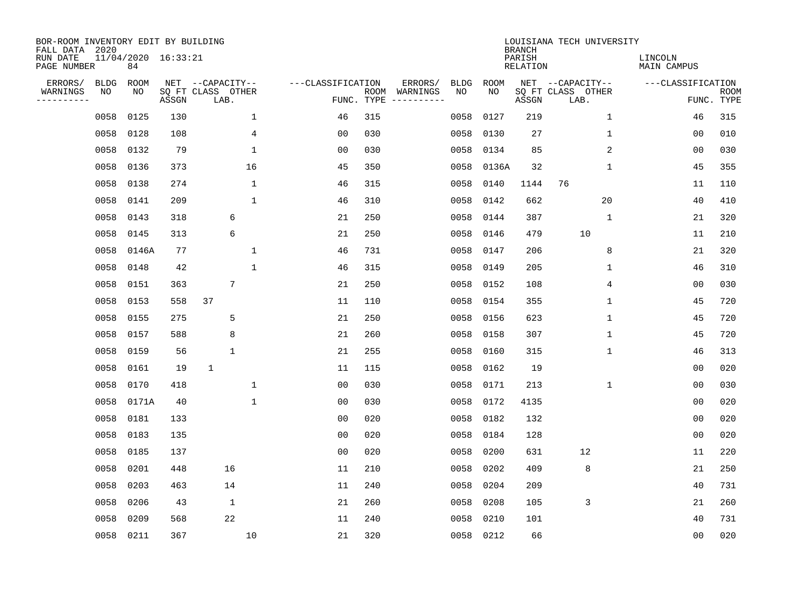| BOR-ROOM INVENTORY EDIT BY BUILDING<br>FALL DATA 2020 |             |           |                     |                           |              |                   |                    |                         |             |                   | <b>BRANCH</b>             | LOUISIANA TECH UNIVERSITY |              |                               |                           |
|-------------------------------------------------------|-------------|-----------|---------------------|---------------------------|--------------|-------------------|--------------------|-------------------------|-------------|-------------------|---------------------------|---------------------------|--------------|-------------------------------|---------------------------|
| RUN DATE<br>PAGE NUMBER                               |             | 84        | 11/04/2020 16:33:21 |                           |              |                   |                    |                         |             |                   | PARISH<br><b>RELATION</b> |                           |              | LINCOLN<br><b>MAIN CAMPUS</b> |                           |
| ERRORS/                                               | <b>BLDG</b> | ROOM      |                     | NET --CAPACITY--          |              | ---CLASSIFICATION |                    | ERRORS/                 | <b>BLDG</b> | <b>ROOM</b><br>NO |                           | NET --CAPACITY--          |              | ---CLASSIFICATION             |                           |
| WARNINGS<br>-----------                               | NO          | ΝO        | ASSGN               | SQ FT CLASS OTHER<br>LAB. |              |                   | ROOM<br>FUNC. TYPE | WARNINGS<br>----------- | NO          |                   | ASSGN                     | SQ FT CLASS OTHER<br>LAB. |              |                               | <b>ROOM</b><br>FUNC. TYPE |
|                                                       | 0058        | 0125      | 130                 |                           | $\mathbf{1}$ | 46                | 315                |                         | 0058        | 0127              | 219                       |                           | $\mathbf{1}$ | 46                            | 315                       |
|                                                       | 0058        | 0128      | 108                 |                           | 4            | 00                | 030                |                         | 0058        | 0130              | 27                        |                           | 1            | 00                            | 010                       |
|                                                       | 0058        | 0132      | 79                  |                           | $\mathbf 1$  | 0 <sub>0</sub>    | 030                |                         | 0058        | 0134              | 85                        |                           | 2            | 00                            | 030                       |
|                                                       | 0058        | 0136      | 373                 |                           | 16           | 45                | 350                |                         | 0058        | 0136A             | 32                        |                           | $\mathbf 1$  | 45                            | 355                       |
|                                                       | 0058        | 0138      | 274                 |                           | $\mathbf{1}$ | 46                | 315                |                         | 0058        | 0140              | 1144                      | 76                        |              | 11                            | 110                       |
|                                                       | 0058        | 0141      | 209                 |                           | $\mathbf{1}$ | 46                | 310                |                         | 0058        | 0142              | 662                       |                           | 20           | 40                            | 410                       |
|                                                       | 0058        | 0143      | 318                 | 6                         |              | 21                | 250                |                         | 0058        | 0144              | 387                       |                           | $\mathbf{1}$ | 21                            | 320                       |
|                                                       | 0058        | 0145      | 313                 | 6                         |              | 21                | 250                |                         | 0058        | 0146              | 479                       | 10                        |              | 11                            | 210                       |
|                                                       | 0058        | 0146A     | 77                  |                           | $\mathbf 1$  | 46                | 731                |                         | 0058        | 0147              | 206                       |                           | 8            | 21                            | 320                       |
|                                                       | 0058        | 0148      | 42                  |                           | $\mathbf 1$  | 46                | 315                |                         | 0058        | 0149              | 205                       |                           | 1            | 46                            | 310                       |
|                                                       | 0058        | 0151      | 363                 | 7                         |              | 21                | 250                |                         | 0058        | 0152              | 108                       |                           | 4            | 0 <sub>0</sub>                | 030                       |
|                                                       | 0058        | 0153      | 558                 | 37                        |              | 11                | 110                |                         | 0058        | 0154              | 355                       |                           | 1            | 45                            | 720                       |
|                                                       | 0058        | 0155      | 275                 | 5                         |              | 21                | 250                |                         | 0058        | 0156              | 623                       |                           | 1            | 45                            | 720                       |
|                                                       | 0058        | 0157      | 588                 | 8                         |              | 21                | 260                |                         | 0058        | 0158              | 307                       |                           | 1            | 45                            | 720                       |
|                                                       | 0058        | 0159      | 56                  | 1                         |              | 21                | 255                |                         | 0058        | 0160              | 315                       |                           | 1            | 46                            | 313                       |
|                                                       | 0058        | 0161      | 19                  | $\mathbf{1}$              |              | 11                | 115                |                         | 0058        | 0162              | 19                        |                           |              | 00                            | 020                       |
|                                                       | 0058        | 0170      | 418                 |                           | $\mathbf 1$  | 0 <sub>0</sub>    | 030                |                         | 0058        | 0171              | 213                       |                           | 1            | 0 <sub>0</sub>                | 030                       |
|                                                       | 0058        | 0171A     | 40                  |                           | $\mathbf 1$  | 00                | 030                |                         | 0058        | 0172              | 4135                      |                           |              | 0 <sub>0</sub>                | 020                       |
|                                                       | 0058        | 0181      | 133                 |                           |              | 0 <sub>0</sub>    | 020                |                         | 0058        | 0182              | 132                       |                           |              | 0 <sub>0</sub>                | 020                       |
|                                                       | 0058        | 0183      | 135                 |                           |              | 0 <sub>0</sub>    | 020                |                         | 0058        | 0184              | 128                       |                           |              | 0 <sub>0</sub>                | 020                       |
|                                                       | 0058        | 0185      | 137                 |                           |              | 0 <sub>0</sub>    | 020                |                         | 0058        | 0200              | 631                       | 12                        |              | 11                            | 220                       |
|                                                       | 0058        | 0201      | 448                 | 16                        |              | 11                | 210                |                         | 0058        | 0202              | 409                       | 8                         |              | 21                            | 250                       |
|                                                       | 0058        | 0203      | 463                 | 14                        |              | 11                | 240                |                         | 0058        | 0204              | 209                       |                           |              | 40                            | 731                       |
|                                                       | 0058        | 0206      | 43                  | $\mathbf 1$               |              | 21                | 260                |                         | 0058        | 0208              | 105                       | 3                         |              | 21                            | 260                       |
|                                                       | 0058        | 0209      | 568                 | 22                        |              | 11                | 240                |                         | 0058        | 0210              | 101                       |                           |              | 40                            | 731                       |
|                                                       |             | 0058 0211 | 367                 |                           | 10           | 21                | 320                |                         | 0058        | 0212              | 66                        |                           |              | 00                            | 020                       |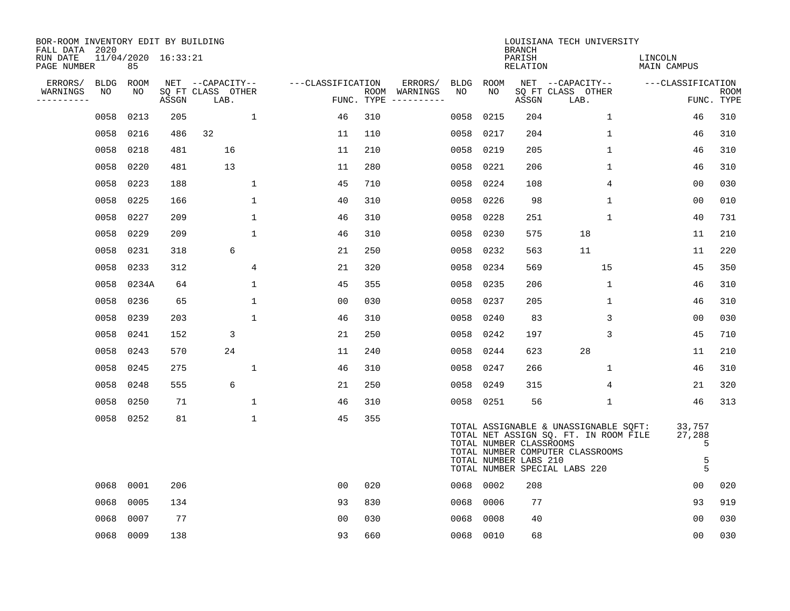| BOR-ROOM INVENTORY EDIT BY BUILDING<br>FALL DATA 2020 |      |                           |       |                           |                   |            |                              |             |      | <b>BRANCH</b>                                    | LOUISIANA TECH UNIVERSITY                                                                                                                           |                                 |                           |
|-------------------------------------------------------|------|---------------------------|-------|---------------------------|-------------------|------------|------------------------------|-------------|------|--------------------------------------------------|-----------------------------------------------------------------------------------------------------------------------------------------------------|---------------------------------|---------------------------|
| RUN DATE<br>PAGE NUMBER                               |      | 11/04/2020 16:33:21<br>85 |       |                           |                   |            |                              |             |      | PARISH<br>RELATION                               |                                                                                                                                                     | LINCOLN<br>MAIN CAMPUS          |                           |
| ERRORS/                                               | BLDG | ROOM                      |       | NET --CAPACITY--          | ---CLASSIFICATION |            | ERRORS/                      | <b>BLDG</b> | ROOM |                                                  | NET --CAPACITY--                                                                                                                                    | ---CLASSIFICATION               |                           |
| WARNINGS<br>----------                                | NO   | NO                        | ASSGN | SQ FT CLASS OTHER<br>LAB. |                   | FUNC. TYPE | ROOM WARNINGS<br>----------- | NO          | NO   | ASSGN                                            | SQ FT CLASS OTHER<br>LAB.                                                                                                                           |                                 | <b>ROOM</b><br>FUNC. TYPE |
|                                                       | 0058 | 0213                      | 205   | $\mathbf{1}$              | 46                | 310        |                              | 0058        | 0215 | 204                                              | 1                                                                                                                                                   | 46                              | 310                       |
|                                                       | 0058 | 0216                      | 486   | 32                        | 11                | 110        |                              | 0058        | 0217 | 204                                              | $\mathbf 1$                                                                                                                                         | 46                              | 310                       |
|                                                       | 0058 | 0218                      | 481   | 16                        | 11                | 210        |                              | 0058        | 0219 | 205                                              | $\mathbf 1$                                                                                                                                         | 46                              | 310                       |
|                                                       | 0058 | 0220                      | 481   | 13                        | 11                | 280        |                              | 0058        | 0221 | 206                                              | $\mathbf{1}$                                                                                                                                        | 46                              | 310                       |
|                                                       | 0058 | 0223                      | 188   | $\mathbf 1$               | 45                | 710        |                              | 0058        | 0224 | 108                                              | 4                                                                                                                                                   | 00                              | 030                       |
|                                                       | 0058 | 0225                      | 166   | 1                         | 40                | 310        |                              | 0058        | 0226 | 98                                               | $\mathbf{1}$                                                                                                                                        | 0 <sub>0</sub>                  | 010                       |
|                                                       | 0058 | 0227                      | 209   | $\mathbf{1}$              | 46                | 310        |                              | 0058        | 0228 | 251                                              | $\mathbf{1}$                                                                                                                                        | 40                              | 731                       |
|                                                       | 0058 | 0229                      | 209   | $\mathbf{1}$              | 46                | 310        |                              | 0058        | 0230 | 575                                              | 18                                                                                                                                                  | 11                              | 210                       |
|                                                       | 0058 | 0231                      | 318   | 6                         | 21                | 250        |                              | 0058        | 0232 | 563                                              | 11                                                                                                                                                  | 11                              | 220                       |
|                                                       | 0058 | 0233                      | 312   | 4                         | 21                | 320        |                              | 0058        | 0234 | 569                                              | 15                                                                                                                                                  | 45                              | 350                       |
|                                                       | 0058 | 0234A                     | 64    | 1                         | 45                | 355        |                              | 0058        | 0235 | 206                                              | 1                                                                                                                                                   | 46                              | 310                       |
|                                                       | 0058 | 0236                      | 65    | $\mathbf{1}$              | 00                | 030        |                              | 0058        | 0237 | 205                                              | $\mathbf 1$                                                                                                                                         | 46                              | 310                       |
|                                                       | 0058 | 0239                      | 203   | 1                         | 46                | 310        |                              | 0058        | 0240 | 83                                               | 3                                                                                                                                                   | 00                              | 030                       |
|                                                       | 0058 | 0241                      | 152   | 3                         | 21                | 250        |                              | 0058        | 0242 | 197                                              | 3                                                                                                                                                   | 45                              | 710                       |
|                                                       | 0058 | 0243                      | 570   | 24                        | 11                | 240        |                              | 0058        | 0244 | 623                                              | 28                                                                                                                                                  | 11                              | 210                       |
|                                                       | 0058 | 0245                      | 275   | $\mathbf{1}$              | 46                | 310        |                              | 0058        | 0247 | 266                                              | $\mathbf 1$                                                                                                                                         | 46                              | 310                       |
|                                                       | 0058 | 0248                      | 555   | 6                         | 21                | 250        |                              | 0058        | 0249 | 315                                              | 4                                                                                                                                                   | 21                              | 320                       |
|                                                       | 0058 | 0250                      | 71    | $\mathbf 1$               | 46                | 310        |                              | 0058 0251   |      | 56                                               | $\mathbf{1}$                                                                                                                                        | 46                              | 313                       |
|                                                       |      | 0058 0252                 | 81    | $\mathbf 1$               | 45                | 355        |                              |             |      | TOTAL NUMBER CLASSROOMS<br>TOTAL NUMBER LABS 210 | TOTAL ASSIGNABLE & UNASSIGNABLE SQFT:<br>TOTAL NET ASSIGN SQ. FT. IN ROOM FILE<br>TOTAL NUMBER COMPUTER CLASSROOMS<br>TOTAL NUMBER SPECIAL LABS 220 | 33,757<br>27,288<br>5<br>5<br>5 |                           |
|                                                       | 0068 | 0001                      | 206   |                           | 0 <sub>0</sub>    | 020        |                              | 0068 0002   |      | 208                                              |                                                                                                                                                     | 0 <sub>0</sub>                  | 020                       |
|                                                       | 0068 | 0005                      | 134   |                           | 93                | 830        |                              | 0068        | 0006 | 77                                               |                                                                                                                                                     | 93                              | 919                       |
|                                                       | 0068 | 0007                      | 77    |                           | 0 <sub>0</sub>    | 030        |                              | 0068        | 0008 | 40                                               |                                                                                                                                                     | 0 <sub>0</sub>                  | 030                       |
|                                                       | 0068 | 0009                      | 138   |                           | 93                | 660        |                              | 0068 0010   |      | 68                                               |                                                                                                                                                     | 00                              | 030                       |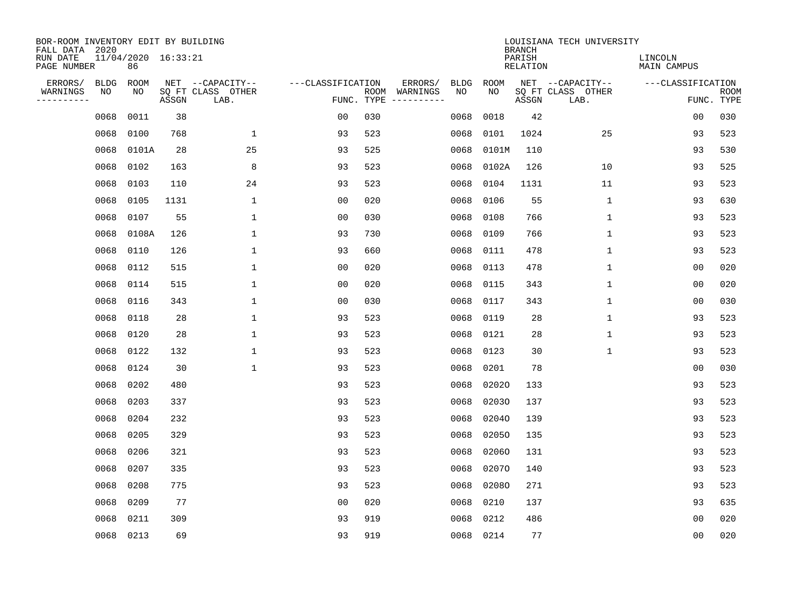| BOR-ROOM INVENTORY EDIT BY BUILDING<br>FALL DATA 2020 |      |                           |       |                           |                   |            |                              |             |             | <b>BRANCH</b>             | LOUISIANA TECH UNIVERSITY |                               |                           |
|-------------------------------------------------------|------|---------------------------|-------|---------------------------|-------------------|------------|------------------------------|-------------|-------------|---------------------------|---------------------------|-------------------------------|---------------------------|
| RUN DATE<br>PAGE NUMBER                               |      | 11/04/2020 16:33:21<br>86 |       |                           |                   |            |                              |             |             | PARISH<br><b>RELATION</b> |                           | LINCOLN<br><b>MAIN CAMPUS</b> |                           |
| ERRORS/                                               | BLDG | ROOM                      |       | NET --CAPACITY--          | ---CLASSIFICATION |            | ERRORS/                      | <b>BLDG</b> | <b>ROOM</b> |                           | NET --CAPACITY--          | ---CLASSIFICATION             |                           |
| WARNINGS<br>----------                                | ΝO   | NO                        | ASSGN | SQ FT CLASS OTHER<br>LAB. |                   | FUNC. TYPE | ROOM WARNINGS<br>----------- | NO          | NO          | ASSGN                     | SQ FT CLASS OTHER<br>LAB. |                               | <b>ROOM</b><br>FUNC. TYPE |
|                                                       | 0068 | 0011                      | 38    |                           | 00                | 030        |                              | 0068        | 0018        | 42                        |                           | 00                            | 030                       |
|                                                       | 0068 | 0100                      | 768   | 1                         | 93                | 523        |                              | 0068        | 0101        | 1024                      | 25                        | 93                            | 523                       |
|                                                       | 0068 | 0101A                     | 28    | 25                        | 93                | 525        |                              | 0068        | 0101M       | 110                       |                           | 93                            | 530                       |
|                                                       | 0068 | 0102                      | 163   | 8                         | 93                | 523        |                              | 0068        | 0102A       | 126                       | 10                        | 93                            | 525                       |
|                                                       | 0068 | 0103                      | 110   | 24                        | 93                | 523        |                              | 0068        | 0104        | 1131                      | 11                        | 93                            | 523                       |
|                                                       | 0068 | 0105                      | 1131  | $\mathbf{1}$              | 0 <sub>0</sub>    | 020        |                              | 0068        | 0106        | 55                        | $\mathbf 1$               | 93                            | 630                       |
|                                                       | 0068 | 0107                      | 55    | $\mathbf{1}$              | 0 <sub>0</sub>    | 030        |                              | 0068        | 0108        | 766                       | $\mathbf{1}$              | 93                            | 523                       |
|                                                       | 0068 | 0108A                     | 126   | $\mathbf{1}$              | 93                | 730        |                              | 0068        | 0109        | 766                       | $\mathbf{1}$              | 93                            | 523                       |
|                                                       | 0068 | 0110                      | 126   | $\mathbf{1}$              | 93                | 660        |                              | 0068        | 0111        | 478                       | $\mathbf{1}$              | 93                            | 523                       |
|                                                       | 0068 | 0112                      | 515   | $\mathbf{1}$              | 00                | 020        |                              | 0068        | 0113        | 478                       | $\mathbf{1}$              | 0 <sub>0</sub>                | 020                       |
|                                                       | 0068 | 0114                      | 515   | $\mathbf{1}$              | 0 <sub>0</sub>    | 020        |                              | 0068        | 0115        | 343                       | $\mathbf 1$               | 0 <sub>0</sub>                | 020                       |
|                                                       | 0068 | 0116                      | 343   | $\mathbf{1}$              | 0 <sub>0</sub>    | 030        |                              | 0068        | 0117        | 343                       | $\mathbf 1$               | 0 <sub>0</sub>                | 030                       |
|                                                       | 0068 | 0118                      | 28    | $\mathbf{1}$              | 93                | 523        |                              | 0068        | 0119        | 28                        | $\mathbf 1$               | 93                            | 523                       |
|                                                       | 0068 | 0120                      | 28    | $\mathbf{1}$              | 93                | 523        |                              | 0068        | 0121        | 28                        | 1                         | 93                            | 523                       |
|                                                       | 0068 | 0122                      | 132   | $\mathbf{1}$              | 93                | 523        |                              | 0068        | 0123        | 30                        | 1                         | 93                            | 523                       |
|                                                       | 0068 | 0124                      | 30    | $\mathbf{1}$              | 93                | 523        |                              | 0068        | 0201        | 78                        |                           | 0 <sub>0</sub>                | 030                       |
|                                                       | 0068 | 0202                      | 480   |                           | 93                | 523        |                              | 0068        | 02020       | 133                       |                           | 93                            | 523                       |
|                                                       | 0068 | 0203                      | 337   |                           | 93                | 523        |                              | 0068        | 02030       | 137                       |                           | 93                            | 523                       |
|                                                       | 0068 | 0204                      | 232   |                           | 93                | 523        |                              | 0068        | 02040       | 139                       |                           | 93                            | 523                       |
|                                                       | 0068 | 0205                      | 329   |                           | 93                | 523        |                              | 0068        | 02050       | 135                       |                           | 93                            | 523                       |
|                                                       | 0068 | 0206                      | 321   |                           | 93                | 523        |                              | 0068        | 02060       | 131                       |                           | 93                            | 523                       |
|                                                       | 0068 | 0207                      | 335   |                           | 93                | 523        |                              | 0068        | 02070       | 140                       |                           | 93                            | 523                       |
|                                                       | 0068 | 0208                      | 775   |                           | 93                | 523        |                              | 0068        | 02080       | 271                       |                           | 93                            | 523                       |
|                                                       | 0068 | 0209                      | 77    |                           | 0 <sub>0</sub>    | 020        |                              | 0068        | 0210        | 137                       |                           | 93                            | 635                       |
|                                                       | 0068 | 0211                      | 309   |                           | 93                | 919        |                              | 0068        | 0212        | 486                       |                           | 0 <sub>0</sub>                | 020                       |
|                                                       |      | 0068 0213                 | 69    |                           | 93                | 919        |                              |             | 0068 0214   | 77                        |                           | 0 <sub>0</sub>                | 020                       |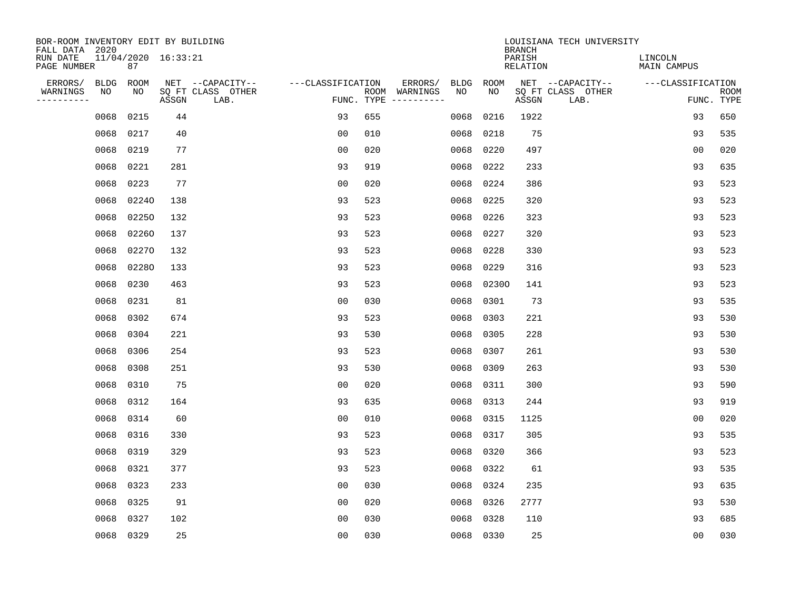| BOR-ROOM INVENTORY EDIT BY BUILDING<br>FALL DATA 2020 |           |                           |       |                           |                   |            |               |             |           | <b>BRANCH</b>             | LOUISIANA TECH UNIVERSITY |                               |                           |
|-------------------------------------------------------|-----------|---------------------------|-------|---------------------------|-------------------|------------|---------------|-------------|-----------|---------------------------|---------------------------|-------------------------------|---------------------------|
| RUN DATE<br>PAGE NUMBER                               |           | 11/04/2020 16:33:21<br>87 |       |                           |                   |            |               |             |           | PARISH<br><b>RELATION</b> |                           | LINCOLN<br><b>MAIN CAMPUS</b> |                           |
| ERRORS/                                               | BLDG      | ROOM                      |       | NET --CAPACITY--          | ---CLASSIFICATION |            | ERRORS/       | <b>BLDG</b> | ROOM      |                           | NET --CAPACITY--          | ---CLASSIFICATION             |                           |
| WARNINGS<br>-----------                               | NO        | NO                        | ASSGN | SQ FT CLASS OTHER<br>LAB. |                   | FUNC. TYPE | ROOM WARNINGS | NO          | NO        | ASSGN                     | SQ FT CLASS OTHER<br>LAB. |                               | <b>ROOM</b><br>FUNC. TYPE |
|                                                       | 0068      | 0215                      | 44    |                           | 93                | 655        |               | 0068        | 0216      | 1922                      |                           | 93                            | 650                       |
|                                                       | 0068      | 0217                      | 40    |                           | 0 <sub>0</sub>    | 010        |               | 0068        | 0218      | 75                        |                           | 93                            | 535                       |
|                                                       | 0068      | 0219                      | 77    |                           | 0 <sub>0</sub>    | 020        |               | 0068        | 0220      | 497                       |                           | 0 <sub>0</sub>                | 020                       |
|                                                       | 0068      | 0221                      | 281   |                           | 93                | 919        |               | 0068        | 0222      | 233                       |                           | 93                            | 635                       |
|                                                       | 0068      | 0223                      | 77    |                           | 0 <sub>0</sub>    | 020        |               | 0068        | 0224      | 386                       |                           | 93                            | 523                       |
|                                                       | 0068      | 02240                     | 138   |                           | 93                | 523        |               | 0068        | 0225      | 320                       |                           | 93                            | 523                       |
|                                                       | 0068      | 02250                     | 132   |                           | 93                | 523        |               | 0068        | 0226      | 323                       |                           | 93                            | 523                       |
|                                                       | 0068      | 02260                     | 137   |                           | 93                | 523        |               | 0068        | 0227      | 320                       |                           | 93                            | 523                       |
|                                                       | 0068      | 02270                     | 132   |                           | 93                | 523        |               | 0068        | 0228      | 330                       |                           | 93                            | 523                       |
|                                                       | 0068      | 02280                     | 133   |                           | 93                | 523        |               | 0068        | 0229      | 316                       |                           | 93                            | 523                       |
|                                                       | 0068      | 0230                      | 463   |                           | 93                | 523        |               | 0068        | 02300     | 141                       |                           | 93                            | 523                       |
|                                                       | 0068      | 0231                      | 81    |                           | 0 <sub>0</sub>    | 030        |               | 0068        | 0301      | 73                        |                           | 93                            | 535                       |
|                                                       | 0068      | 0302                      | 674   |                           | 93                | 523        |               | 0068        | 0303      | 221                       |                           | 93                            | 530                       |
|                                                       | 0068      | 0304                      | 221   |                           | 93                | 530        |               | 0068        | 0305      | 228                       |                           | 93                            | 530                       |
|                                                       | 0068      | 0306                      | 254   |                           | 93                | 523        |               | 0068        | 0307      | 261                       |                           | 93                            | 530                       |
|                                                       | 0068      | 0308                      | 251   |                           | 93                | 530        |               | 0068        | 0309      | 263                       |                           | 93                            | 530                       |
|                                                       | 0068      | 0310                      | 75    |                           | 0 <sub>0</sub>    | 020        |               | 0068        | 0311      | 300                       |                           | 93                            | 590                       |
|                                                       | 0068      | 0312                      | 164   |                           | 93                | 635        |               | 0068        | 0313      | 244                       |                           | 93                            | 919                       |
|                                                       | 0068      | 0314                      | 60    |                           | 0 <sub>0</sub>    | 010        |               | 0068        | 0315      | 1125                      |                           | 0 <sub>0</sub>                | 020                       |
|                                                       | 0068      | 0316                      | 330   |                           | 93                | 523        |               | 0068        | 0317      | 305                       |                           | 93                            | 535                       |
|                                                       | 0068      | 0319                      | 329   |                           | 93                | 523        |               | 0068        | 0320      | 366                       |                           | 93                            | 523                       |
|                                                       | 0068      | 0321                      | 377   |                           | 93                | 523        |               | 0068        | 0322      | 61                        |                           | 93                            | 535                       |
|                                                       | 0068      | 0323                      | 233   |                           | 0 <sub>0</sub>    | 030        |               | 0068        | 0324      | 235                       |                           | 93                            | 635                       |
|                                                       | 0068      | 0325                      | 91    |                           | 0 <sub>0</sub>    | 020        |               | 0068        | 0326      | 2777                      |                           | 93                            | 530                       |
|                                                       | 0068      | 0327                      | 102   |                           | 0 <sub>0</sub>    | 030        |               | 0068        | 0328      | 110                       |                           | 93                            | 685                       |
|                                                       | 0068 0329 |                           | 25    |                           | 0 <sub>0</sub>    | 030        |               |             | 0068 0330 | 25                        |                           | 0 <sub>0</sub>                | 030                       |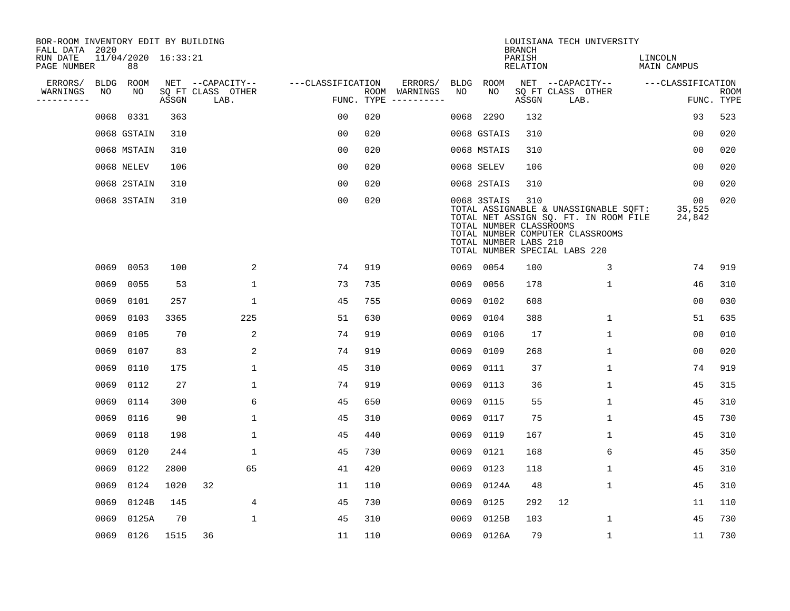| BOR-ROOM INVENTORY EDIT BY BUILDING<br>FALL DATA 2020 |             |                           |       |                           |                   |                    |          |             |                                                                 | <b>BRANCH</b>             | LOUISIANA TECH UNIVERSITY                                                                                                                           |                               |                           |
|-------------------------------------------------------|-------------|---------------------------|-------|---------------------------|-------------------|--------------------|----------|-------------|-----------------------------------------------------------------|---------------------------|-----------------------------------------------------------------------------------------------------------------------------------------------------|-------------------------------|---------------------------|
| RUN DATE<br>PAGE NUMBER                               |             | 11/04/2020 16:33:21<br>88 |       |                           |                   |                    |          |             |                                                                 | PARISH<br><b>RELATION</b> |                                                                                                                                                     | LINCOLN<br><b>MAIN CAMPUS</b> |                           |
| ERRORS/                                               | <b>BLDG</b> | ROOM                      |       | NET --CAPACITY--          | ---CLASSIFICATION |                    | ERRORS/  | <b>BLDG</b> | <b>ROOM</b>                                                     |                           | NET --CAPACITY--                                                                                                                                    | ---CLASSIFICATION             |                           |
| WARNINGS<br>----------                                | NO          | NO                        | ASSGN | SQ FT CLASS OTHER<br>LAB. |                   | ROOM<br>FUNC. TYPE | WARNINGS | NO          | NO                                                              | ASSGN                     | SQ FT CLASS OTHER<br>LAB.                                                                                                                           |                               | <b>ROOM</b><br>FUNC. TYPE |
|                                                       | 0068        | 0331                      | 363   |                           | 00                | 020                |          | 0068        | 2290                                                            | 132                       |                                                                                                                                                     | 93                            | 523                       |
|                                                       |             | 0068 GSTAIN               | 310   |                           | 00                | 020                |          |             | 0068 GSTAIS                                                     | 310                       |                                                                                                                                                     | 00                            | 020                       |
|                                                       |             | 0068 MSTAIN               | 310   |                           | 0 <sub>0</sub>    | 020                |          |             | 0068 MSTAIS                                                     | 310                       |                                                                                                                                                     | 0 <sub>0</sub>                | 020                       |
|                                                       |             | 0068 NELEV                | 106   |                           | 0 <sub>0</sub>    | 020                |          |             | 0068 SELEV                                                      | 106                       |                                                                                                                                                     | 0 <sub>0</sub>                | 020                       |
|                                                       |             | 0068 2STAIN               | 310   |                           | 0 <sub>0</sub>    | 020                |          |             | 0068 2STAIS                                                     | 310                       |                                                                                                                                                     | 00                            | 020                       |
|                                                       |             | 0068 3STAIN               | 310   |                           | 0 <sub>0</sub>    | 020                |          |             | 0068 3STAIS<br>TOTAL NUMBER CLASSROOMS<br>TOTAL NUMBER LABS 210 | 310                       | TOTAL ASSIGNABLE & UNASSIGNABLE SQFT:<br>TOTAL NET ASSIGN SQ. FT. IN ROOM FILE<br>TOTAL NUMBER COMPUTER CLASSROOMS<br>TOTAL NUMBER SPECIAL LABS 220 | 00<br>35,525<br>24,842        | 020                       |
|                                                       | 0069        | 0053                      | 100   | 2                         | 74                | 919                |          |             | 0069 0054                                                       | 100                       | 3                                                                                                                                                   | 74                            | 919                       |
|                                                       | 0069        | 0055                      | 53    | $\mathbf 1$               | 73                | 735                |          | 0069        | 0056                                                            | 178                       | $\mathbf 1$                                                                                                                                         | 46                            | 310                       |
|                                                       | 0069        | 0101                      | 257   | 1                         | 45                | 755                |          | 0069        | 0102                                                            | 608                       |                                                                                                                                                     | 0 <sub>0</sub>                | 030                       |
|                                                       | 0069        | 0103                      | 3365  | 225                       | 51                | 630                |          | 0069        | 0104                                                            | 388                       | $\mathbf 1$                                                                                                                                         | 51                            | 635                       |
|                                                       | 0069        | 0105                      | 70    | 2                         | 74                | 919                |          | 0069        | 0106                                                            | 17                        | 1                                                                                                                                                   | 0 <sub>0</sub>                | 010                       |
|                                                       | 0069        | 0107                      | 83    | 2                         | 74                | 919                |          | 0069        | 0109                                                            | 268                       | 1                                                                                                                                                   | 0 <sub>0</sub>                | 020                       |
|                                                       | 0069        | 0110                      | 175   | $\mathbf{1}$              | 45                | 310                |          | 0069        | 0111                                                            | 37                        | $\mathbf{1}$                                                                                                                                        | 74                            | 919                       |
|                                                       | 0069        | 0112                      | 27    | 1                         | 74                | 919                |          | 0069        | 0113                                                            | 36                        | 1                                                                                                                                                   | 45                            | 315                       |
|                                                       | 0069        | 0114                      | 300   | 6                         | 45                | 650                |          | 0069        | 0115                                                            | 55                        | 1                                                                                                                                                   | 45                            | 310                       |
|                                                       | 0069        | 0116                      | 90    | 1                         | 45                | 310                |          | 0069        | 0117                                                            | 75                        | 1                                                                                                                                                   | 45                            | 730                       |
|                                                       | 0069        | 0118                      | 198   | 1                         | 45                | 440                |          | 0069        | 0119                                                            | 167                       | 1                                                                                                                                                   | 45                            | 310                       |
|                                                       | 0069        | 0120                      | 244   | 1                         | 45                | 730                |          | 0069        | 0121                                                            | 168                       | 6                                                                                                                                                   | 45                            | 350                       |
|                                                       | 0069        | 0122                      | 2800  | 65                        | 41                | 420                |          | 0069        | 0123                                                            | 118                       | $\mathbf 1$                                                                                                                                         | 45                            | 310                       |
|                                                       | 0069        | 0124                      | 1020  | 32                        | 11                | 110                |          | 0069        | 0124A                                                           | 48                        | 1                                                                                                                                                   | 45                            | 310                       |
|                                                       | 0069        | 0124B                     | 145   | 4                         | 45                | 730                |          | 0069        | 0125                                                            | 292                       | 12                                                                                                                                                  | 11                            | 110                       |
|                                                       | 0069        | 0125A                     | 70    | $\mathbf{1}$              | 45                | 310                |          | 0069        | 0125B                                                           | 103                       | 1                                                                                                                                                   | 45                            | 730                       |
|                                                       |             | 0069 0126                 | 1515  | 36                        | 11                | 110                |          |             | 0069 0126A                                                      | 79                        | 1                                                                                                                                                   | 11                            | 730                       |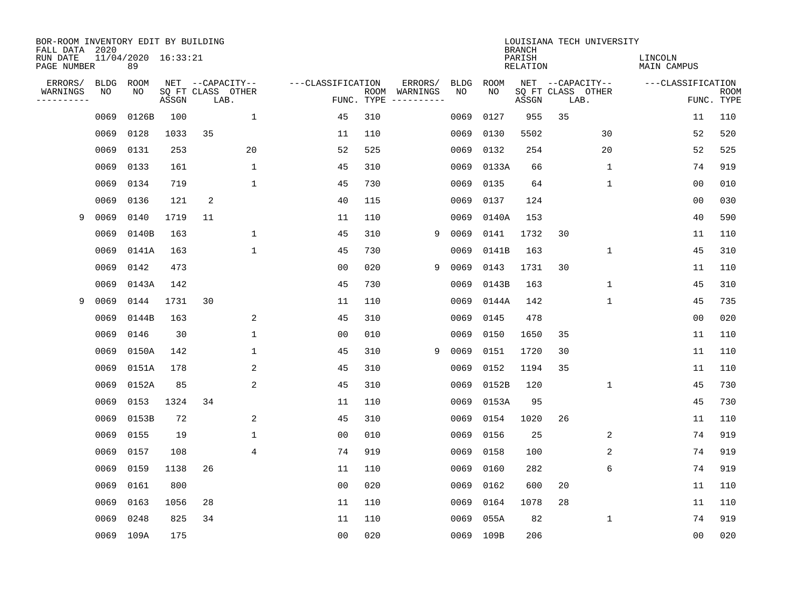| BOR-ROOM INVENTORY EDIT BY BUILDING<br>FALL DATA 2020 |             |                           |       |                           |              |                   |                    |          |             |             | <b>BRANCH</b>             |    | LOUISIANA TECH UNIVERSITY |                        |                           |
|-------------------------------------------------------|-------------|---------------------------|-------|---------------------------|--------------|-------------------|--------------------|----------|-------------|-------------|---------------------------|----|---------------------------|------------------------|---------------------------|
| RUN DATE<br>PAGE NUMBER                               |             | 11/04/2020 16:33:21<br>89 |       |                           |              |                   |                    |          |             |             | PARISH<br><b>RELATION</b> |    |                           | LINCOLN<br>MAIN CAMPUS |                           |
| ERRORS/                                               | <b>BLDG</b> | ROOM                      |       | NET --CAPACITY--          |              | ---CLASSIFICATION |                    | ERRORS/  | <b>BLDG</b> | <b>ROOM</b> |                           |    | NET --CAPACITY--          | ---CLASSIFICATION      |                           |
| WARNINGS<br>----------                                | NO          | NO                        | ASSGN | SQ FT CLASS OTHER<br>LAB. |              |                   | ROOM<br>FUNC. TYPE | WARNINGS | NO          | NO          | ASSGN                     |    | SQ FT CLASS OTHER<br>LAB. |                        | <b>ROOM</b><br>FUNC. TYPE |
|                                                       | 0069        | 0126B                     | 100   |                           | $\mathbf 1$  | 45                | 310                |          | 0069        | 0127        | 955                       | 35 |                           | 11                     | 110                       |
|                                                       | 0069        | 0128                      | 1033  | 35                        |              | 11                | 110                |          | 0069        | 0130        | 5502                      |    | 30                        | 52                     | 520                       |
|                                                       | 0069        | 0131                      | 253   |                           | 20           | 52                | 525                |          | 0069        | 0132        | 254                       |    | 20                        | 52                     | 525                       |
|                                                       | 0069        | 0133                      | 161   |                           | $\mathbf{1}$ | 45                | 310                |          | 0069        | 0133A       | 66                        |    | 1                         | 74                     | 919                       |
|                                                       | 0069        | 0134                      | 719   |                           | $\mathbf{1}$ | 45                | 730                |          | 0069        | 0135        | 64                        |    | 1                         | 0 <sub>0</sub>         | 010                       |
|                                                       | 0069        | 0136                      | 121   | 2                         |              | 40                | 115                |          | 0069        | 0137        | 124                       |    |                           | 0 <sub>0</sub>         | 030                       |
| 9                                                     | 0069        | 0140                      | 1719  | 11                        |              | 11                | 110                |          | 0069        | 0140A       | 153                       |    |                           | 40                     | 590                       |
|                                                       | 0069        | 0140B                     | 163   |                           | $\mathbf{1}$ | 45                | 310                | 9        | 0069        | 0141        | 1732                      | 30 |                           | 11                     | 110                       |
|                                                       | 0069        | 0141A                     | 163   |                           | $\mathbf{1}$ | 45                | 730                |          | 0069        | 0141B       | 163                       |    | $\mathbf 1$               | 45                     | 310                       |
|                                                       | 0069        | 0142                      | 473   |                           |              | 00                | 020                | 9        | 0069        | 0143        | 1731                      | 30 |                           | 11                     | 110                       |
|                                                       | 0069        | 0143A                     | 142   |                           |              | 45                | 730                |          | 0069        | 0143B       | 163                       |    | $\mathbf 1$               | 45                     | 310                       |
| 9                                                     | 0069        | 0144                      | 1731  | 30                        |              | 11                | 110                |          | 0069        | 0144A       | 142                       |    | $\mathbf 1$               | 45                     | 735                       |
|                                                       | 0069        | 0144B                     | 163   |                           | 2            | 45                | 310                |          | 0069        | 0145        | 478                       |    |                           | 0 <sub>0</sub>         | 020                       |
|                                                       | 0069        | 0146                      | 30    |                           | 1            | 00                | 010                |          | 0069        | 0150        | 1650                      | 35 |                           | 11                     | 110                       |
|                                                       | 0069        | 0150A                     | 142   |                           | 1            | 45                | 310                | 9        | 0069        | 0151        | 1720                      | 30 |                           | 11                     | 110                       |
|                                                       | 0069        | 0151A                     | 178   |                           | 2            | 45                | 310                |          | 0069        | 0152        | 1194                      | 35 |                           | 11                     | 110                       |
|                                                       | 0069        | 0152A                     | 85    |                           | 2            | 45                | 310                |          | 0069        | 0152B       | 120                       |    | 1                         | 45                     | 730                       |
|                                                       | 0069        | 0153                      | 1324  | 34                        |              | 11                | 110                |          | 0069        | 0153A       | 95                        |    |                           | 45                     | 730                       |
|                                                       | 0069        | 0153B                     | 72    |                           | 2            | 45                | 310                |          | 0069        | 0154        | 1020                      | 26 |                           | 11                     | 110                       |
|                                                       | 0069        | 0155                      | 19    |                           | 1            | 0 <sub>0</sub>    | 010                |          | 0069        | 0156        | 25                        |    | 2                         | 74                     | 919                       |
|                                                       | 0069        | 0157                      | 108   |                           | 4            | 74                | 919                |          | 0069        | 0158        | 100                       |    | 2                         | 74                     | 919                       |
|                                                       | 0069        | 0159                      | 1138  | 26                        |              | 11                | 110                |          | 0069        | 0160        | 282                       |    | 6                         | 74                     | 919                       |
|                                                       | 0069        | 0161                      | 800   |                           |              | 0 <sub>0</sub>    | 020                |          | 0069        | 0162        | 600                       | 20 |                           | 11                     | 110                       |
|                                                       | 0069        | 0163                      | 1056  | 28                        |              | 11                | 110                |          | 0069        | 0164        | 1078                      | 28 |                           | 11                     | 110                       |
|                                                       | 0069        | 0248                      | 825   | 34                        |              | 11                | 110                |          | 0069        | 055A        | 82                        |    | 1                         | 74                     | 919                       |
|                                                       |             | 0069 109A                 | 175   |                           |              | 0 <sub>0</sub>    | 020                |          | 0069        | 109B        | 206                       |    |                           | 00                     | 020                       |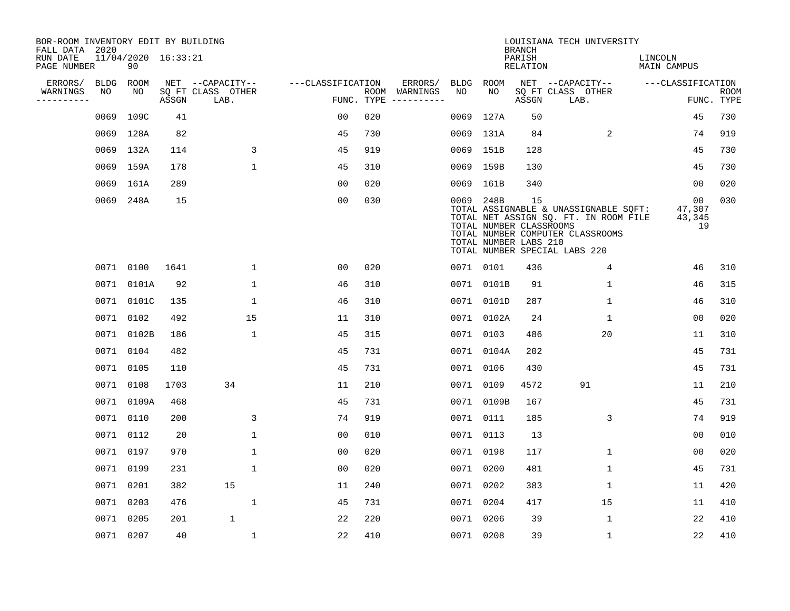| BOR-ROOM INVENTORY EDIT BY BUILDING<br>FALL DATA 2020 |           |                           |       |                           |                   |                    |          |             |                                                               | <b>BRANCH</b>      | LOUISIANA TECH UNIVERSITY                                                                                                                           |                               |                           |
|-------------------------------------------------------|-----------|---------------------------|-------|---------------------------|-------------------|--------------------|----------|-------------|---------------------------------------------------------------|--------------------|-----------------------------------------------------------------------------------------------------------------------------------------------------|-------------------------------|---------------------------|
| RUN DATE<br>PAGE NUMBER                               |           | 11/04/2020 16:33:21<br>90 |       |                           |                   |                    |          |             |                                                               | PARISH<br>RELATION |                                                                                                                                                     | LINCOLN<br><b>MAIN CAMPUS</b> |                           |
| ERRORS/                                               | BLDG      | ROOM                      |       | NET --CAPACITY--          | ---CLASSIFICATION |                    | ERRORS/  | <b>BLDG</b> | ROOM                                                          |                    | NET --CAPACITY--                                                                                                                                    | ---CLASSIFICATION             |                           |
| WARNINGS<br>---------                                 | NO        | NO                        | ASSGN | SQ FT CLASS OTHER<br>LAB. |                   | ROOM<br>FUNC. TYPE | WARNINGS | NO          | NO                                                            | ASSGN              | SQ FT CLASS OTHER<br>LAB.                                                                                                                           |                               | <b>ROOM</b><br>FUNC. TYPE |
|                                                       | 0069      | 109C                      | 41    |                           | 0 <sub>0</sub>    | 020                |          | 0069        | 127A                                                          | 50                 |                                                                                                                                                     | 45                            | 730                       |
|                                                       |           | 0069 128A                 | 82    |                           | 45                | 730                |          |             | 0069 131A                                                     | 84                 | 2                                                                                                                                                   | 74                            | 919                       |
|                                                       |           | 0069 132A                 | 114   | $\overline{3}$            | 45                | 919                |          |             | 0069 151B                                                     | 128                |                                                                                                                                                     | 45                            | 730                       |
|                                                       |           | 0069 159A                 | 178   | $\mathbf 1$               | 45                | 310                |          |             | 0069 159B                                                     | 130                |                                                                                                                                                     | 45                            | 730                       |
|                                                       | 0069      | 161A                      | 289   |                           | 0 <sub>0</sub>    | 020                |          |             | 0069 161B                                                     | 340                |                                                                                                                                                     | 0 <sub>0</sub>                | 020                       |
|                                                       |           | 0069 248A                 | 15    |                           | 0 <sub>0</sub>    | 030                |          |             | 0069 248B<br>TOTAL NUMBER CLASSROOMS<br>TOTAL NUMBER LABS 210 | 15                 | TOTAL ASSIGNABLE & UNASSIGNABLE SOFT:<br>TOTAL NET ASSIGN SQ. FT. IN ROOM FILE<br>TOTAL NUMBER COMPUTER CLASSROOMS<br>TOTAL NUMBER SPECIAL LABS 220 | 00<br>47,307<br>43,345<br>19  | 030                       |
|                                                       |           | 0071 0100                 | 1641  | $\mathbf{1}$              | 00                | 020                |          |             | 0071 0101                                                     | 436                | 4                                                                                                                                                   | 46                            | 310                       |
|                                                       | 0071      | 0101A                     | 92    | $\mathbf{1}$              | 46                | 310                |          |             | 0071 0101B                                                    | 91                 | 1                                                                                                                                                   | 46                            | 315                       |
|                                                       | 0071      | 0101C                     | 135   | 1                         | 46                | 310                |          |             | 0071 0101D                                                    | 287                | 1                                                                                                                                                   | 46                            | 310                       |
|                                                       | 0071      | 0102                      | 492   | 15                        | 11                | 310                |          |             | 0071 0102A                                                    | 24                 | 1                                                                                                                                                   | 0 <sub>0</sub>                | 020                       |
|                                                       | 0071      | 0102B                     | 186   | $\mathbf 1$               | 45                | 315                |          |             | 0071 0103                                                     | 486                | 20                                                                                                                                                  | 11                            | 310                       |
|                                                       |           | 0071 0104                 | 482   |                           | 45                | 731                |          |             | 0071 0104A                                                    | 202                |                                                                                                                                                     | 45                            | 731                       |
|                                                       |           | 0071 0105                 | 110   |                           | 45                | 731                |          |             | 0071 0106                                                     | 430                |                                                                                                                                                     | 45                            | 731                       |
|                                                       |           | 0071 0108                 | 1703  | 34                        | 11                | 210                |          |             | 0071 0109                                                     | 4572               | 91                                                                                                                                                  | 11                            | 210                       |
|                                                       |           | 0071 0109A                | 468   |                           | 45                | 731                |          |             | 0071 0109B                                                    | 167                |                                                                                                                                                     | 45                            | 731                       |
|                                                       |           | 0071 0110                 | 200   | 3                         | 74                | 919                |          |             | 0071 0111                                                     | 185                | 3                                                                                                                                                   | 74                            | 919                       |
|                                                       |           | 0071 0112                 | 20    | $\mathbf{1}$              | 0 <sub>0</sub>    | 010                |          |             | 0071 0113                                                     | 13                 |                                                                                                                                                     | 0 <sub>0</sub>                | 010                       |
|                                                       |           | 0071 0197                 | 970   | $\mathbf{1}$              | 0 <sub>0</sub>    | 020                |          |             | 0071 0198                                                     | 117                | $\mathbf 1$                                                                                                                                         | 0 <sub>0</sub>                | 020                       |
|                                                       | 0071 0199 |                           | 231   | $\mathbf{1}$              | 0 <sub>0</sub>    | 020                |          |             | 0071 0200                                                     | 481                | $\mathbf{1}$                                                                                                                                        | 45                            | 731                       |
|                                                       | 0071 0201 |                           | 382   | 15                        | 11                | 240                |          |             | 0071 0202                                                     | 383                | $\mathbf 1$                                                                                                                                         | 11                            | 420                       |
|                                                       | 0071      | 0203                      | 476   | $\mathbf{1}$              | 45                | 731                |          |             | 0071 0204                                                     | 417                | 15                                                                                                                                                  | 11                            | 410                       |
|                                                       | 0071      | 0205                      | 201   | $\mathbf 1$               | 22                | 220                |          |             | 0071 0206                                                     | 39                 | 1                                                                                                                                                   | 22                            | 410                       |
|                                                       |           | 0071 0207                 | 40    | $\mathbf 1$               | 22                | 410                |          |             | 0071 0208                                                     | 39                 | $\mathbf 1$                                                                                                                                         | 22                            | 410                       |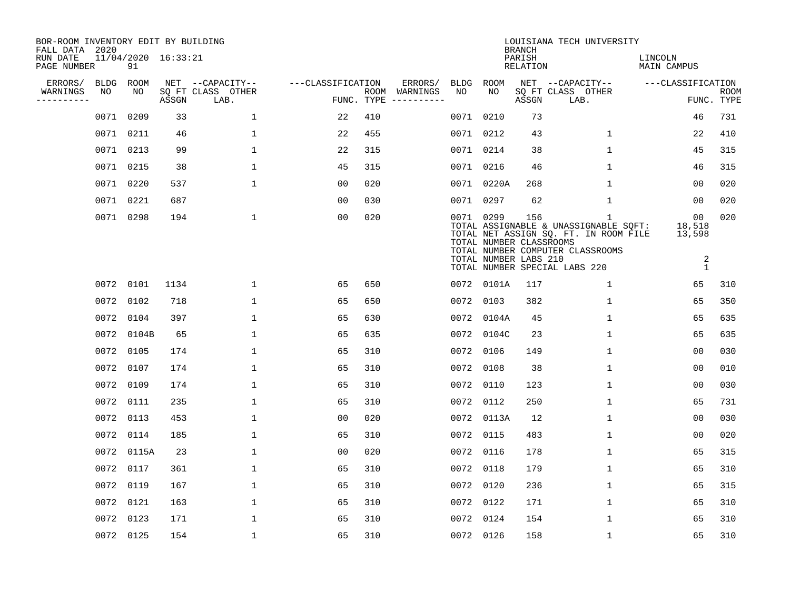| BOR-ROOM INVENTORY EDIT BY BUILDING<br>FALL DATA 2020 |           |            |                     |                           |                   |     |                                      |           |                                                  | <b>BRANCH</b>      | LOUISIANA TECH UNIVERSITY                                                                                                                                |                                                         |                           |
|-------------------------------------------------------|-----------|------------|---------------------|---------------------------|-------------------|-----|--------------------------------------|-----------|--------------------------------------------------|--------------------|----------------------------------------------------------------------------------------------------------------------------------------------------------|---------------------------------------------------------|---------------------------|
| RUN DATE<br>PAGE NUMBER                               |           | 91         | 11/04/2020 16:33:21 |                           |                   |     |                                      |           |                                                  | PARISH<br>RELATION |                                                                                                                                                          | LINCOLN<br><b>MAIN CAMPUS</b>                           |                           |
| ERRORS/                                               | BLDG      | ROOM       |                     | NET --CAPACITY--          | ---CLASSIFICATION |     | ERRORS/                              | BLDG      | ROOM                                             |                    | NET --CAPACITY--                                                                                                                                         | ---CLASSIFICATION                                       |                           |
| WARNINGS<br>----------                                | NO        | NO         | ASSGN               | SQ FT CLASS OTHER<br>LAB. |                   |     | ROOM WARNINGS<br>FUNC. TYPE $------$ | NO        | NO                                               | ASSGN              | SQ FT CLASS OTHER<br>LAB.                                                                                                                                |                                                         | <b>ROOM</b><br>FUNC. TYPE |
|                                                       |           | 0071 0209  | 33                  | $\mathbf{1}$              | 22                | 410 |                                      | 0071 0210 |                                                  | 73                 |                                                                                                                                                          | 46                                                      | 731                       |
|                                                       |           | 0071 0211  | 46                  | $\mathbf{1}$              | 22                | 455 |                                      | 0071 0212 |                                                  | 43                 | $\mathbf{1}$                                                                                                                                             | 22                                                      | 410                       |
|                                                       |           | 0071 0213  | 99                  | 1                         | 22                | 315 |                                      | 0071 0214 |                                                  | 38                 | $\mathbf{1}$                                                                                                                                             | 45                                                      | 315                       |
|                                                       | 0071 0215 |            | 38                  | $\mathbf{1}$              | 45                | 315 |                                      | 0071 0216 |                                                  | 46                 | $\mathbf{1}$                                                                                                                                             | 46                                                      | 315                       |
|                                                       |           | 0071 0220  | 537                 | $\mathbf 1$               | 0 <sub>0</sub>    | 020 |                                      |           | 0071 0220A                                       | 268                | $\mathbf 1$                                                                                                                                              | 0 <sub>0</sub>                                          | 020                       |
|                                                       |           | 0071 0221  | 687                 |                           | 0 <sub>0</sub>    | 030 |                                      | 0071 0297 |                                                  | 62                 | $\mathbf{1}$                                                                                                                                             | 00                                                      | 020                       |
|                                                       |           | 0071 0298  | 194                 | $\mathbf{1}$              | 00                | 020 |                                      | 0071 0299 | TOTAL NUMBER CLASSROOMS<br>TOTAL NUMBER LABS 210 | 156                | 1<br>TOTAL ASSIGNABLE & UNASSIGNABLE SQFT:<br>TOTAL NET ASSIGN SQ. FT. IN ROOM FILE<br>TOTAL NUMBER COMPUTER CLASSROOMS<br>TOTAL NUMBER SPECIAL LABS 220 | 00 <sub>o</sub><br>18,518<br>13,598<br>2<br>$\mathbf 1$ | 020                       |
|                                                       |           | 0072 0101  | 1134                | $\mathbf{1}$              | 65                | 650 |                                      |           | 0072 0101A                                       | 117                | $\mathbf{1}$                                                                                                                                             | 65                                                      | 310                       |
|                                                       |           | 0072 0102  | 718                 | $\mathbf{1}$              | 65                | 650 |                                      | 0072 0103 |                                                  | 382                | $\mathbf{1}$                                                                                                                                             | 65                                                      | 350                       |
|                                                       |           | 0072 0104  | 397                 | 1                         | 65                | 630 |                                      |           | 0072 0104A                                       | 45                 | 1                                                                                                                                                        | 65                                                      | 635                       |
|                                                       |           | 0072 0104B | 65                  | $\mathbf{1}$              | 65                | 635 |                                      |           | 0072 0104C                                       | 23                 | 1                                                                                                                                                        | 65                                                      | 635                       |
|                                                       |           | 0072 0105  | 174                 | 1                         | 65                | 310 |                                      | 0072 0106 |                                                  | 149                | 1                                                                                                                                                        | 0 <sub>0</sub>                                          | 030                       |
|                                                       |           | 0072 0107  | 174                 | $\mathbf{1}$              | 65                | 310 |                                      | 0072 0108 |                                                  | 38                 | $\mathbf{1}$                                                                                                                                             | 00                                                      | 010                       |
|                                                       |           | 0072 0109  | 174                 | $\mathbf{1}$              | 65                | 310 |                                      | 0072 0110 |                                                  | 123                | $\mathbf{1}$                                                                                                                                             | 0 <sub>0</sub>                                          | 030                       |
|                                                       |           | 0072 0111  | 235                 | $\mathbf 1$               | 65                | 310 |                                      | 0072 0112 |                                                  | 250                | $\mathbf{1}$                                                                                                                                             | 65                                                      | 731                       |
|                                                       |           | 0072 0113  | 453                 | 1                         | 0 <sub>0</sub>    | 020 |                                      |           | 0072 0113A                                       | 12                 | 1                                                                                                                                                        | 0 <sub>0</sub>                                          | 030                       |
|                                                       |           | 0072 0114  | 185                 | $\mathbf{1}$              | 65                | 310 |                                      | 0072 0115 |                                                  | 483                | $\mathbf{1}$                                                                                                                                             | 0 <sub>0</sub>                                          | 020                       |
|                                                       |           | 0072 0115A | 23                  | $\mathbf{1}$              | 0 <sub>0</sub>    | 020 |                                      | 0072 0116 |                                                  | 178                | $\mathbf{1}$                                                                                                                                             | 65                                                      | 315                       |
|                                                       |           | 0072 0117  | 361                 | 1                         | 65                | 310 |                                      | 0072 0118 |                                                  | 179                | $\mathbf{1}$                                                                                                                                             | 65                                                      | 310                       |
|                                                       |           | 0072 0119  | 167                 | 1                         | 65                | 310 |                                      | 0072 0120 |                                                  | 236                | 1                                                                                                                                                        | 65                                                      | 315                       |
|                                                       |           | 0072 0121  | 163                 | $\mathbf{1}$              | 65                | 310 |                                      | 0072      | 0122                                             | 171                | $\mathbf 1$                                                                                                                                              | 65                                                      | 310                       |
|                                                       |           | 0072 0123  | 171                 | $\mathbf{1}$              | 65                | 310 |                                      | 0072 0124 |                                                  | 154                | $\mathbf{1}$                                                                                                                                             | 65                                                      | 310                       |
|                                                       |           | 0072 0125  | 154                 | $\mathbf{1}$              | 65                | 310 |                                      | 0072 0126 |                                                  | 158                | $\mathbf{1}$                                                                                                                                             | 65                                                      | 310                       |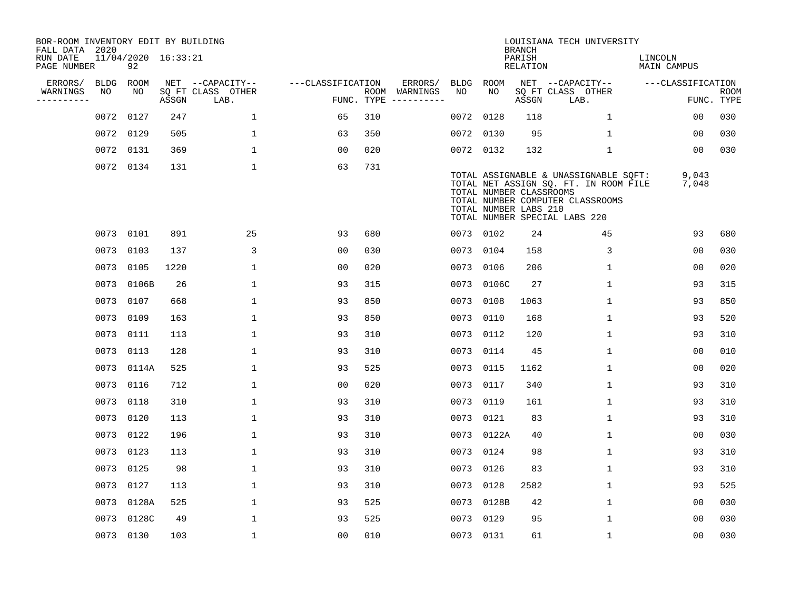| BOR-ROOM INVENTORY EDIT BY BUILDING<br>FALL DATA 2020 |           |                           |       |                           |                   |     |                                      |           |                                                  | <b>BRANCH</b>      | LOUISIANA TECH UNIVERSITY                                                                                                                           |                        |                           |
|-------------------------------------------------------|-----------|---------------------------|-------|---------------------------|-------------------|-----|--------------------------------------|-----------|--------------------------------------------------|--------------------|-----------------------------------------------------------------------------------------------------------------------------------------------------|------------------------|---------------------------|
| RUN DATE<br>PAGE NUMBER                               |           | 11/04/2020 16:33:21<br>92 |       |                           |                   |     |                                      |           |                                                  | PARISH<br>RELATION |                                                                                                                                                     | LINCOLN<br>MAIN CAMPUS |                           |
| ERRORS/                                               | BLDG ROOM |                           |       | NET --CAPACITY--          | ---CLASSIFICATION |     | ERRORS/                              | BLDG ROOM |                                                  |                    | NET --CAPACITY--                                                                                                                                    | ---CLASSIFICATION      |                           |
| WARNINGS<br>----------                                | NO        | NO                        | ASSGN | SQ FT CLASS OTHER<br>LAB. |                   |     | ROOM WARNINGS<br>FUNC. TYPE $------$ | NO        | NO                                               | ASSGN              | SQ FT CLASS OTHER<br>LAB.                                                                                                                           |                        | <b>ROOM</b><br>FUNC. TYPE |
|                                                       | 0072 0127 |                           | 247   | $\mathbf{1}$              | 65                | 310 |                                      | 0072      | 0128                                             | 118                | $\mathbf{1}$                                                                                                                                        | 00                     | 030                       |
|                                                       | 0072 0129 |                           | 505   | 1                         | 63                | 350 |                                      | 0072      | 0130                                             | 95                 | $\mathbf{1}$                                                                                                                                        | 00                     | 030                       |
|                                                       | 0072 0131 |                           | 369   | $\mathbf 1$               | 0 <sub>0</sub>    | 020 |                                      |           | 0072 0132                                        | 132                | $\mathbf 1$                                                                                                                                         | 0 <sub>0</sub>         | 030                       |
|                                                       |           | 0072 0134                 | 131   | $\mathbf 1$               | 63                | 731 |                                      |           | TOTAL NUMBER CLASSROOMS<br>TOTAL NUMBER LABS 210 |                    | TOTAL ASSIGNABLE & UNASSIGNABLE SQFT:<br>TOTAL NET ASSIGN SQ. FT. IN ROOM FILE<br>TOTAL NUMBER COMPUTER CLASSROOMS<br>TOTAL NUMBER SPECIAL LABS 220 | 9,043<br>7,048         |                           |
|                                                       | 0073 0101 |                           | 891   | 25                        | 93                | 680 |                                      |           | 0073 0102                                        | 24                 | 45                                                                                                                                                  | 93                     | 680                       |
|                                                       | 0073      | 0103                      | 137   | 3                         | 0 <sub>0</sub>    | 030 |                                      |           | 0073 0104                                        | 158                | 3                                                                                                                                                   | 00                     | 030                       |
|                                                       | 0073 0105 |                           | 1220  | $\mathbf{1}$              | 0 <sub>0</sub>    | 020 |                                      |           | 0073 0106                                        | 206                | $\mathbf{1}$                                                                                                                                        | 00                     | 020                       |
|                                                       |           | 0073 0106B                | 26    | $\mathbf{1}$              | 93                | 315 |                                      |           | 0073 0106C                                       | 27                 | $\mathbf{1}$                                                                                                                                        | 93                     | 315                       |
|                                                       |           | 0073 0107                 | 668   | $\mathbf 1$               | 93                | 850 |                                      | 0073      | 0108                                             | 1063               | $\mathbf 1$                                                                                                                                         | 93                     | 850                       |
|                                                       | 0073 0109 |                           | 163   | $\mathbf 1$               | 93                | 850 |                                      | 0073      | 0110                                             | 168                | $\mathbf 1$                                                                                                                                         | 93                     | 520                       |
|                                                       | 0073 0111 |                           | 113   | $\mathbf 1$               | 93                | 310 |                                      |           | 0073 0112                                        | 120                | $\mathbf 1$                                                                                                                                         | 93                     | 310                       |
|                                                       | 0073 0113 |                           | 128   | $\mathbf{1}$              | 93                | 310 |                                      | 0073      | 0114                                             | 45                 | $\mathbf{1}$                                                                                                                                        | 0 <sub>0</sub>         | 010                       |
|                                                       |           | 0073 0114A                | 525   | $\mathbf{1}$              | 93                | 525 |                                      | 0073      | 0115                                             | 1162               | $\mathbf 1$                                                                                                                                         | 00                     | 020                       |
|                                                       | 0073 0116 |                           | 712   | $\mathbf 1$               | 00                | 020 |                                      | 0073      | 0117                                             | 340                | $\mathbf{1}$                                                                                                                                        | 93                     | 310                       |
|                                                       | 0073 0118 |                           | 310   | $\mathbf 1$               | 93                | 310 |                                      | 0073      | 0119                                             | 161                | 1                                                                                                                                                   | 93                     | 310                       |
|                                                       | 0073      | 0120                      | 113   | $\mathbf{1}$              | 93                | 310 |                                      |           | 0073 0121                                        | 83                 | 1                                                                                                                                                   | 93                     | 310                       |
|                                                       | 0073 0122 |                           | 196   | $\mathbf{1}$              | 93                | 310 |                                      |           | 0073 0122A                                       | 40                 | 1                                                                                                                                                   | 0 <sub>0</sub>         | 030                       |
|                                                       | 0073 0123 |                           | 113   | 1                         | 93                | 310 |                                      | 0073 0124 |                                                  | 98                 | 1                                                                                                                                                   | 93                     | 310                       |
|                                                       | 0073 0125 |                           | 98    | $\mathbf 1$               | 93                | 310 |                                      | 0073      | 0126                                             | 83                 | $\mathbf 1$                                                                                                                                         | 93                     | 310                       |
|                                                       | 0073 0127 |                           | 113   | $\mathbf 1$               | 93                | 310 |                                      | 0073      | 0128                                             | 2582               | 1                                                                                                                                                   | 93                     | 525                       |
|                                                       |           | 0073 0128A                | 525   | $\mathbf 1$               | 93                | 525 |                                      |           | 0073 0128B                                       | 42                 | $\mathbf 1$                                                                                                                                         | 0 <sub>0</sub>         | 030                       |
|                                                       |           | 0073 0128C                | 49    | $\mathbf{1}$              | 93                | 525 |                                      | 0073 0129 |                                                  | 95                 | $\mathbf{1}$                                                                                                                                        | 0 <sub>0</sub>         | 030                       |
|                                                       |           | 0073 0130                 | 103   | $\mathbf{1}$              | 0 <sub>0</sub>    | 010 |                                      | 0073 0131 |                                                  | 61                 | 1                                                                                                                                                   | 0 <sub>0</sub>         | 030                       |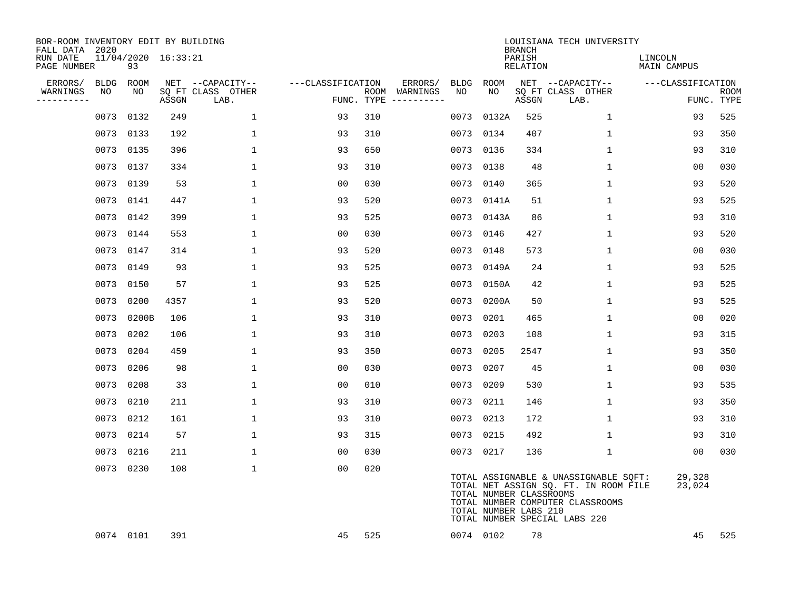| BOR-ROOM INVENTORY EDIT BY BUILDING<br>FALL DATA 2020 |           |            |                     |                           |                   |     |                                      |      |                                                  | <b>BRANCH</b>      | LOUISIANA TECH UNIVERSITY                                                                                                                           |                        |                           |
|-------------------------------------------------------|-----------|------------|---------------------|---------------------------|-------------------|-----|--------------------------------------|------|--------------------------------------------------|--------------------|-----------------------------------------------------------------------------------------------------------------------------------------------------|------------------------|---------------------------|
| RUN DATE<br>PAGE NUMBER                               |           | 93         | 11/04/2020 16:33:21 |                           |                   |     |                                      |      |                                                  | PARISH<br>RELATION |                                                                                                                                                     | LINCOLN<br>MAIN CAMPUS |                           |
| ERRORS/                                               | BLDG      | ROOM       |                     | NET --CAPACITY--          | ---CLASSIFICATION |     | ERRORS/                              | BLDG | ROOM                                             |                    | NET --CAPACITY--                                                                                                                                    | ---CLASSIFICATION      |                           |
| WARNINGS<br>----------                                | NO        | NO         | ASSGN               | SQ FT CLASS OTHER<br>LAB. |                   |     | ROOM WARNINGS<br>FUNC. TYPE $------$ | NO   | NO                                               | ASSGN              | SQ FT CLASS OTHER<br>LAB.                                                                                                                           |                        | <b>ROOM</b><br>FUNC. TYPE |
|                                                       |           | 0073 0132  | 249                 | 1                         | 93                | 310 |                                      | 0073 | 0132A                                            | 525                | 1                                                                                                                                                   | 93                     | 525                       |
|                                                       |           | 0073 0133  | 192                 | $\mathbf{1}$              | 93                | 310 |                                      |      | 0073 0134                                        | 407                | $\mathbf{1}$                                                                                                                                        | 93                     | 350                       |
|                                                       |           | 0073 0135  | 396                 | $\mathbf{1}$              | 93                | 650 |                                      |      | 0073 0136                                        | 334                | $\mathbf{1}$                                                                                                                                        | 93                     | 310                       |
|                                                       |           | 0073 0137  | 334                 | $\mathbf{1}$              | 93                | 310 |                                      |      | 0073 0138                                        | 48                 | $\mathbf{1}$                                                                                                                                        | 0 <sub>0</sub>         | 030                       |
|                                                       |           | 0073 0139  | 53                  | $\mathbf{1}$              | 0 <sub>0</sub>    | 030 |                                      |      | 0073 0140                                        | 365                | $\mathbf{1}$                                                                                                                                        | 93                     | 520                       |
|                                                       |           | 0073 0141  | 447                 | $\mathbf{1}$              | 93                | 520 |                                      |      | 0073 0141A                                       | 51                 | $\mathbf{1}$                                                                                                                                        | 93                     | 525                       |
|                                                       |           | 0073 0142  | 399                 | $\mathbf{1}$              | 93                | 525 |                                      |      | 0073 0143A                                       | 86                 | $\mathbf{1}$                                                                                                                                        | 93                     | 310                       |
|                                                       |           | 0073 0144  | 553                 | $\mathbf{1}$              | 0 <sub>0</sub>    | 030 |                                      |      | 0073 0146                                        | 427                | $\mathbf{1}$                                                                                                                                        | 93                     | 520                       |
|                                                       |           | 0073 0147  | 314                 | 1                         | 93                | 520 |                                      | 0073 | 0148                                             | 573                | 1                                                                                                                                                   | 0 <sub>0</sub>         | 030                       |
|                                                       | 0073 0149 |            | 93                  | $\mathbf{1}$              | 93                | 525 |                                      |      | 0073 0149A                                       | 24                 | $\mathbf{1}$                                                                                                                                        | 93                     | 525                       |
|                                                       |           | 0073 0150  | 57                  | $\mathbf{1}$              | 93                | 525 |                                      |      | 0073 0150A                                       | 42                 | $\mathbf 1$                                                                                                                                         | 93                     | 525                       |
|                                                       |           | 0073 0200  | 4357                | $\mathbf{1}$              | 93                | 520 |                                      | 0073 | 0200A                                            | 50                 | $\mathbf{1}$                                                                                                                                        | 93                     | 525                       |
|                                                       |           | 0073 0200B | 106                 | $\mathbf{1}$              | 93                | 310 |                                      | 0073 | 0201                                             | 465                | $\mathbf 1$                                                                                                                                         | 0 <sub>0</sub>         | 020                       |
|                                                       |           | 0073 0202  | 106                 | $\mathbf{1}$              | 93                | 310 |                                      | 0073 | 0203                                             | 108                | $\mathbf{1}$                                                                                                                                        | 93                     | 315                       |
|                                                       |           | 0073 0204  | 459                 | 1                         | 93                | 350 |                                      | 0073 | 0205                                             | 2547               | 1                                                                                                                                                   | 93                     | 350                       |
|                                                       |           | 0073 0206  | 98                  | $\mathbf{1}$              | 0 <sub>0</sub>    | 030 |                                      | 0073 | 0207                                             | 45                 | $\mathbf{1}$                                                                                                                                        | 00                     | 030                       |
|                                                       | 0073 0208 |            | 33                  | $\mathbf{1}$              | 0 <sub>0</sub>    | 010 |                                      |      | 0073 0209                                        | 530                | $\mathbf{1}$                                                                                                                                        | 93                     | 535                       |
|                                                       |           | 0073 0210  | 211                 | $\mathbf{1}$              | 93                | 310 |                                      | 0073 | 0211                                             | 146                | $\mathbf{1}$                                                                                                                                        | 93                     | 350                       |
|                                                       |           | 0073 0212  | 161                 | $\mathbf{1}$              | 93                | 310 |                                      |      | 0073 0213                                        | 172                | $\mathbf{1}$                                                                                                                                        | 93                     | 310                       |
|                                                       |           | 0073 0214  | 57                  | $\mathbf{1}$              | 93                | 315 |                                      |      | 0073 0215                                        | 492                | $\mathbf{1}$                                                                                                                                        | 93                     | 310                       |
|                                                       |           | 0073 0216  | 211                 | $\mathbf{1}$              | 0 <sub>0</sub>    | 030 |                                      |      | 0073 0217                                        | 136                | $\mathbf 1$                                                                                                                                         | 0 <sub>0</sub>         | 030                       |
|                                                       |           | 0073 0230  | 108                 | $\mathbf{1}$              | 0 <sub>0</sub>    | 020 |                                      |      | TOTAL NUMBER CLASSROOMS<br>TOTAL NUMBER LABS 210 |                    | TOTAL ASSIGNABLE & UNASSIGNABLE SQFT:<br>TOTAL NET ASSIGN SQ. FT. IN ROOM FILE<br>TOTAL NUMBER COMPUTER CLASSROOMS<br>TOTAL NUMBER SPECIAL LABS 220 | 29,328<br>23,024       |                           |
|                                                       |           | 0074 0101  | 391                 |                           | 45                | 525 |                                      |      | 0074 0102                                        | 78                 |                                                                                                                                                     | 45                     | 525                       |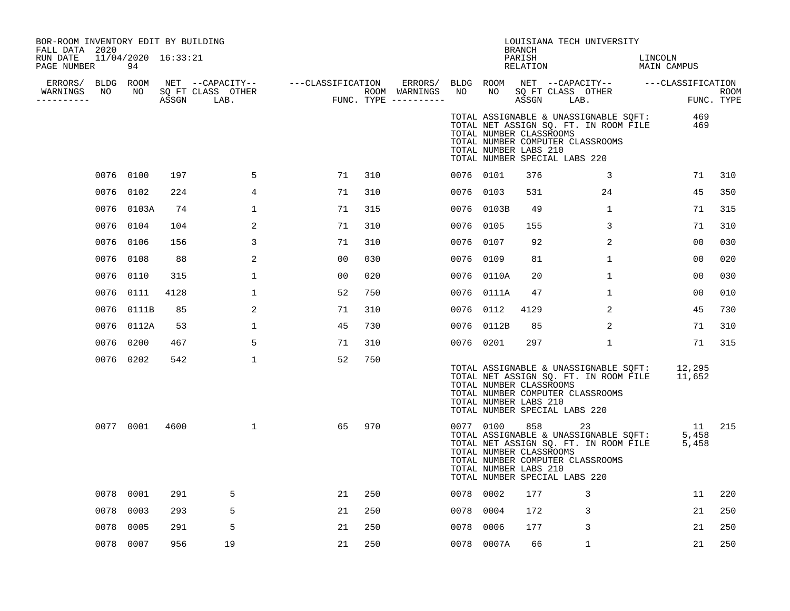| BOR-ROOM INVENTORY EDIT BY BUILDING<br>FALL DATA 2020<br>RUN DATE<br>PAGE NUMBER |      | 11/04/2020 16:33:21<br>94 |      |                                                     |                                                                               |     |           |                                                               | <b>BRANCH</b><br>PARISH<br>RELATION | LOUISIANA TECH UNIVERSITY                                                                                                                                           | LINCOLN<br>MAIN CAMPUS |                           |
|----------------------------------------------------------------------------------|------|---------------------------|------|-----------------------------------------------------|-------------------------------------------------------------------------------|-----|-----------|---------------------------------------------------------------|-------------------------------------|---------------------------------------------------------------------------------------------------------------------------------------------------------------------|------------------------|---------------------------|
| ERRORS/ BLDG ROOM<br>WARNINGS<br>-----------                                     | NO   | NO                        |      | NET --CAPACITY--<br>SQ FT CLASS OTHER<br>ASSGN LAB. | ---CLASSIFICATION ERRORS/ BLDG ROOM<br>ROOM WARNINGS<br>FUNC. TYPE ---------- |     | NO        | NO.                                                           | ASSGN                               | NET --CAPACITY-- ---CLASSIFICATION<br>SQ FT CLASS OTHER<br>LAB.                                                                                                     |                        | <b>ROOM</b><br>FUNC. TYPE |
|                                                                                  |      |                           |      |                                                     |                                                                               |     |           | TOTAL NUMBER CLASSROOMS<br>TOTAL NUMBER LABS 210              |                                     | TOTAL ASSIGNABLE & UNASSIGNABLE SQFT:<br>TOTAL NET ASSIGN SQ. FT. IN ROOM FILE<br>TOTAL NUMBER COMPUTER CLASSROOMS<br>TOTAL NUMBER SPECIAL LABS 220                 | 469<br>469             |                           |
|                                                                                  |      | 0076 0100                 | 197  | 5                                                   | 71                                                                            | 310 | 0076 0101 |                                                               | 376                                 | 3                                                                                                                                                                   | 71                     | 310                       |
|                                                                                  | 0076 | 0102                      | 224  | 4                                                   | 71                                                                            | 310 | 0076 0103 |                                                               | 531                                 | 24                                                                                                                                                                  | 45                     | 350                       |
|                                                                                  |      | 0076 0103A                | 74   | $\mathbf 1$                                         | 71                                                                            | 315 |           | 0076 0103B                                                    | 49                                  | $\mathbf{1}$                                                                                                                                                        | 71                     | 315                       |
|                                                                                  | 0076 | 0104                      | 104  | 2                                                   | 71                                                                            | 310 | 0076 0105 |                                                               | 155                                 | 3                                                                                                                                                                   | 71                     | 310                       |
|                                                                                  | 0076 | 0106                      | 156  | 3                                                   | 71                                                                            | 310 | 0076 0107 |                                                               | 92                                  | 2                                                                                                                                                                   | 0 <sub>0</sub>         | 030                       |
|                                                                                  |      | 0076 0108                 | 88   | 2                                                   | 0 <sub>0</sub>                                                                | 030 | 0076 0109 |                                                               | 81                                  | $\mathbf{1}$                                                                                                                                                        | 00                     | 020                       |
|                                                                                  | 0076 | 0110                      | 315  | $\mathbf{1}$                                        | 00                                                                            | 020 |           | 0076 0110A                                                    | 20                                  | $\mathbf{1}$                                                                                                                                                        | 00                     | 030                       |
|                                                                                  |      | 0076 0111                 | 4128 | $\mathbf{1}$                                        | 52                                                                            | 750 |           | 0076 0111A                                                    | 47                                  | $\mathbf 1$                                                                                                                                                         | 00                     | 010                       |
|                                                                                  | 0076 | 0111B                     | 85   | 2                                                   | 71                                                                            | 310 | 0076 0112 |                                                               | 4129                                | 2                                                                                                                                                                   | 45                     | 730                       |
|                                                                                  | 0076 | 0112A                     | 53   | $\mathbf{1}$                                        | 45                                                                            | 730 | 0076      | 0112B                                                         | 85                                  | 2                                                                                                                                                                   | 71                     | 310                       |
|                                                                                  |      | 0076 0200                 | 467  | 5                                                   | 71                                                                            | 310 | 0076 0201 |                                                               | 297                                 | $\mathbf 1$                                                                                                                                                         | 71                     | 315                       |
|                                                                                  |      | 0076 0202                 | 542  | $\mathbf{1}$                                        | 52                                                                            | 750 |           | TOTAL NUMBER CLASSROOMS<br>TOTAL NUMBER LABS 210              |                                     | TOTAL ASSIGNABLE & UNASSIGNABLE SOFT: 12,295<br>TOTAL NET ASSIGN SQ. FT. IN ROOM FILE<br>TOTAL NUMBER COMPUTER CLASSROOMS<br>TOTAL NUMBER SPECIAL LABS 220          | 11,652                 |                           |
|                                                                                  |      | 0077 0001                 | 4600 | $\mathbf{1}$                                        | 65                                                                            | 970 |           | 0077 0100<br>TOTAL NUMBER CLASSROOMS<br>TOTAL NUMBER LABS 210 |                                     | 858 30<br>23<br>TOTAL ASSIGNABLE & UNASSIGNABLE SQFT:<br>TOTAL NET ASSIGN SQ. FT. IN ROOM FILE<br>TOTAL NUMBER COMPUTER CLASSROOMS<br>TOTAL NUMBER SPECIAL LABS 220 | 11<br>5,458<br>5,458   | 215                       |
|                                                                                  |      | 0078 0001                 | 291  | 5                                                   | 21                                                                            | 250 | 0078 0002 |                                                               | 177                                 | 3                                                                                                                                                                   | 11                     | 220                       |
|                                                                                  | 0078 | 0003                      | 293  | 5                                                   | 21                                                                            | 250 | 0078 0004 |                                                               | 172                                 | 3                                                                                                                                                                   | 21                     | 250                       |
|                                                                                  | 0078 | 0005                      | 291  | 5                                                   | 21                                                                            | 250 | 0078 0006 |                                                               | 177                                 | 3                                                                                                                                                                   | 21                     | 250                       |
|                                                                                  |      | 0078 0007                 | 956  | 19                                                  | 21                                                                            | 250 |           | 0078 0007A                                                    | 66                                  | $\mathbf{1}$                                                                                                                                                        | 21                     | 250                       |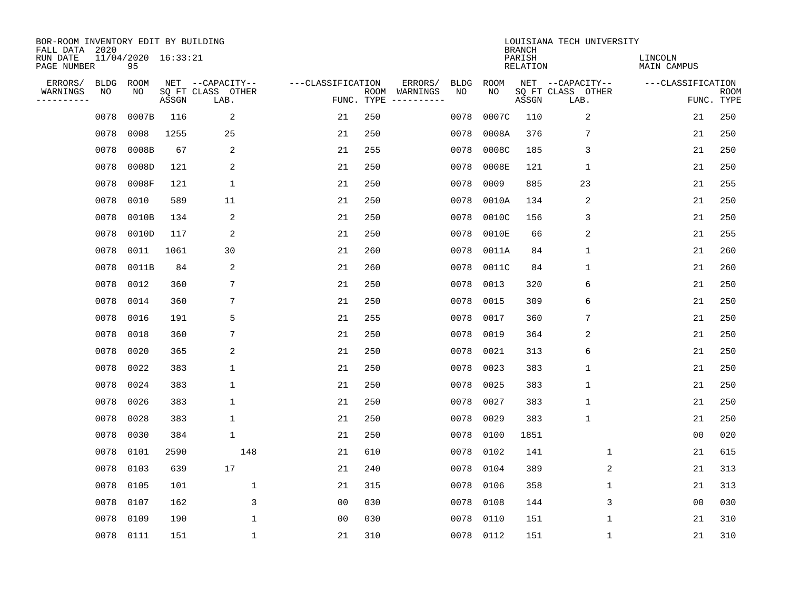| BOR-ROOM INVENTORY EDIT BY BUILDING<br>FALL DATA 2020 |           |                           |       |                           |                   |                    |          |             |             | <b>BRANCH</b>             | LOUISIANA TECH UNIVERSITY |                        |                           |
|-------------------------------------------------------|-----------|---------------------------|-------|---------------------------|-------------------|--------------------|----------|-------------|-------------|---------------------------|---------------------------|------------------------|---------------------------|
| RUN DATE<br>PAGE NUMBER                               |           | 11/04/2020 16:33:21<br>95 |       |                           |                   |                    |          |             |             | PARISH<br><b>RELATION</b> |                           | LINCOLN<br>MAIN CAMPUS |                           |
| ERRORS/                                               | BLDG      | ROOM                      |       | NET --CAPACITY--          | ---CLASSIFICATION |                    | ERRORS/  | <b>BLDG</b> | <b>ROOM</b> |                           | NET --CAPACITY--          | ---CLASSIFICATION      |                           |
| WARNINGS<br>----------                                | ΝO        | NO                        | ASSGN | SQ FT CLASS OTHER<br>LAB. |                   | ROOM<br>FUNC. TYPE | WARNINGS | NO          | NO          | ASSGN                     | SQ FT CLASS OTHER<br>LAB. |                        | <b>ROOM</b><br>FUNC. TYPE |
|                                                       | 0078      | 0007B                     | 116   | 2                         | 21                | 250                |          | 0078        | 0007C       | 110                       | 2                         | 21                     | 250                       |
|                                                       | 0078      | 0008                      | 1255  | 25                        | 21                | 250                |          | 0078        | 0008A       | 376                       | 7                         | 21                     | 250                       |
|                                                       | 0078      | 0008B                     | 67    | 2                         | 21                | 255                |          | 0078        | 0008C       | 185                       | 3                         | 21                     | 250                       |
|                                                       | 0078      | 0008D                     | 121   | 2                         | 21                | 250                |          | 0078        | 0008E       | 121                       | $\mathbf 1$               | 21                     | 250                       |
|                                                       | 0078      | 0008F                     | 121   | $\mathbf 1$               | 21                | 250                |          | 0078        | 0009        | 885                       | 23                        | 21                     | 255                       |
|                                                       | 0078      | 0010                      | 589   | 11                        | 21                | 250                |          | 0078        | 0010A       | 134                       | $\overline{2}$            | 21                     | 250                       |
|                                                       | 0078      | 0010B                     | 134   | 2                         | 21                | 250                |          | 0078        | 0010C       | 156                       | 3                         | 21                     | 250                       |
|                                                       | 0078      | 0010D                     | 117   | 2                         | 21                | 250                |          | 0078        | 0010E       | 66                        | $\overline{a}$            | 21                     | 255                       |
|                                                       | 0078      | 0011                      | 1061  | 30                        | 21                | 260                |          | 0078        | 0011A       | 84                        | $\mathbf{1}$              | 21                     | 260                       |
|                                                       | 0078      | 0011B                     | 84    | 2                         | 21                | 260                |          | 0078        | 0011C       | 84                        | 1                         | 21                     | 260                       |
|                                                       | 0078      | 0012                      | 360   | 7                         | 21                | 250                |          | 0078        | 0013        | 320                       | 6                         | 21                     | 250                       |
|                                                       | 0078      | 0014                      | 360   | 7                         | 21                | 250                |          | 0078        | 0015        | 309                       | 6                         | 21                     | 250                       |
|                                                       | 0078      | 0016                      | 191   | 5                         | 21                | 255                |          | 0078        | 0017        | 360                       | 7                         | 21                     | 250                       |
|                                                       | 0078      | 0018                      | 360   | 7                         | 21                | 250                |          | 0078        | 0019        | 364                       | 2                         | 21                     | 250                       |
|                                                       | 0078      | 0020                      | 365   | 2                         | 21                | 250                |          | 0078        | 0021        | 313                       | 6                         | 21                     | 250                       |
|                                                       | 0078      | 0022                      | 383   | $\mathbf 1$               | 21                | 250                |          | 0078        | 0023        | 383                       | $\mathbf 1$               | 21                     | 250                       |
|                                                       | 0078      | 0024                      | 383   | 1                         | 21                | 250                |          | 0078        | 0025        | 383                       | 1                         | 21                     | 250                       |
|                                                       | 0078      | 0026                      | 383   | 1                         | 21                | 250                |          | 0078        | 0027        | 383                       | $\mathbf 1$               | 21                     | 250                       |
|                                                       | 0078      | 0028                      | 383   | 1                         | 21                | 250                |          | 0078        | 0029        | 383                       | $\mathbf 1$               | 21                     | 250                       |
|                                                       | 0078      | 0030                      | 384   | $\mathbf 1$               | 21                | 250                |          | 0078        | 0100        | 1851                      |                           | 0 <sub>0</sub>         | 020                       |
|                                                       | 0078      | 0101                      | 2590  | 148                       | 21                | 610                |          | 0078        | 0102        | 141                       | 1                         | 21                     | 615                       |
|                                                       | 0078      | 0103                      | 639   | 17                        | 21                | 240                |          | 0078        | 0104        | 389                       | 2                         | 21                     | 313                       |
|                                                       | 0078      | 0105                      | 101   | 1                         | 21                | 315                |          | 0078        | 0106        | 358                       | 1                         | 21                     | 313                       |
|                                                       | 0078      | 0107                      | 162   | 3                         | 0 <sub>0</sub>    | 030                |          | 0078        | 0108        | 144                       | 3                         | 0 <sub>0</sub>         | 030                       |
|                                                       | 0078      | 0109                      | 190   | $\mathbf{1}$              | 0 <sub>0</sub>    | 030                |          | 0078        | 0110        | 151                       | $\mathbf 1$               | 21                     | 310                       |
|                                                       | 0078 0111 |                           | 151   | $\mathbf{1}$              | 21                | 310                |          | 0078        | 0112        | 151                       | 1                         | 21                     | 310                       |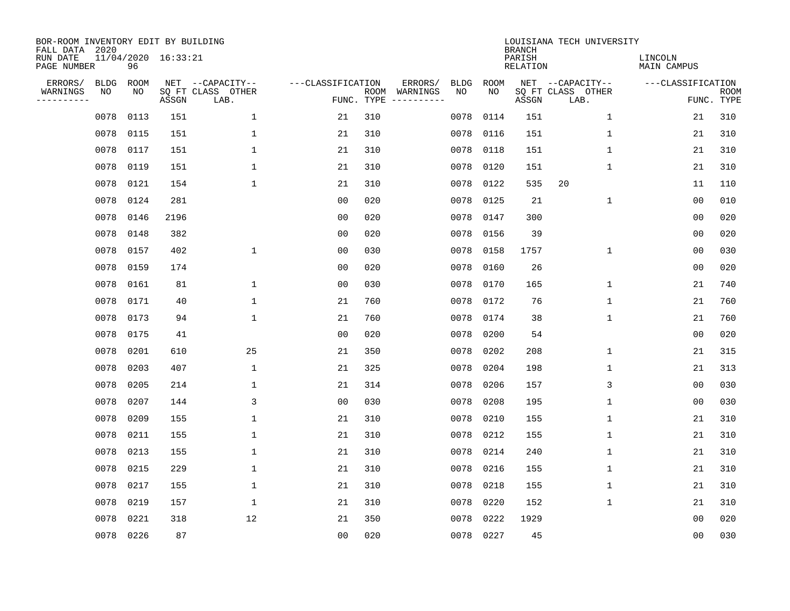| BOR-ROOM INVENTORY EDIT BY BUILDING<br>FALL DATA 2020 |             |           |                     |                           |                   |                    |          |             |             | <b>BRANCH</b>             | LOUISIANA TECH UNIVERSITY |                               |                           |
|-------------------------------------------------------|-------------|-----------|---------------------|---------------------------|-------------------|--------------------|----------|-------------|-------------|---------------------------|---------------------------|-------------------------------|---------------------------|
| RUN DATE<br>PAGE NUMBER                               |             | 96        | 11/04/2020 16:33:21 |                           |                   |                    |          |             |             | PARISH<br><b>RELATION</b> |                           | LINCOLN<br><b>MAIN CAMPUS</b> |                           |
| ERRORS/                                               | <b>BLDG</b> | ROOM      |                     | NET --CAPACITY--          | ---CLASSIFICATION |                    | ERRORS/  | <b>BLDG</b> | <b>ROOM</b> |                           | NET --CAPACITY--          | ---CLASSIFICATION             |                           |
| WARNINGS<br>----------                                | NO          | NO        | ASSGN               | SQ FT CLASS OTHER<br>LAB. |                   | ROOM<br>FUNC. TYPE | WARNINGS | NO          | NO          | ASSGN                     | SQ FT CLASS OTHER<br>LAB. |                               | <b>ROOM</b><br>FUNC. TYPE |
|                                                       | 0078        | 0113      | 151                 | $\mathbf 1$               | 21                | 310                |          | 0078        | 0114        | 151                       | 1                         | 21                            | 310                       |
|                                                       | 0078        | 0115      | 151                 | 1                         | 21                | 310                |          | 0078        | 0116        | 151                       | 1                         | 21                            | 310                       |
|                                                       | 0078        | 0117      | 151                 | $\mathbf 1$               | 21                | 310                |          | 0078        | 0118        | 151                       | 1                         | 21                            | 310                       |
|                                                       | 0078        | 0119      | 151                 | 1                         | 21                | 310                |          | 0078        | 0120        | 151                       | 1                         | 21                            | 310                       |
|                                                       | 0078        | 0121      | 154                 | $\mathbf 1$               | 21                | 310                |          | 0078        | 0122        | 535                       | 20                        | 11                            | 110                       |
|                                                       | 0078        | 0124      | 281                 |                           | 0 <sub>0</sub>    | 020                |          | 0078        | 0125        | 21                        | $\mathbf 1$               | 0 <sub>0</sub>                | 010                       |
|                                                       | 0078        | 0146      | 2196                |                           | 0 <sub>0</sub>    | 020                |          | 0078        | 0147        | 300                       |                           | 0 <sub>0</sub>                | 020                       |
|                                                       | 0078        | 0148      | 382                 |                           | 0 <sub>0</sub>    | 020                |          | 0078        | 0156        | 39                        |                           | 0 <sub>0</sub>                | 020                       |
|                                                       | 0078        | 0157      | 402                 | $\mathbf{1}$              | 0 <sub>0</sub>    | 030                |          | 0078        | 0158        | 1757                      | $\mathbf 1$               | 0 <sub>0</sub>                | 030                       |
|                                                       | 0078        | 0159      | 174                 |                           | 0 <sub>0</sub>    | 020                |          | 0078        | 0160        | 26                        |                           | 0 <sub>0</sub>                | 020                       |
|                                                       | 0078        | 0161      | 81                  | 1                         | 0 <sub>0</sub>    | 030                |          | 0078        | 0170        | 165                       | $\mathbf 1$               | 21                            | 740                       |
|                                                       | 0078        | 0171      | 40                  | 1                         | 21                | 760                |          | 0078        | 0172        | 76                        | $\mathbf 1$               | 21                            | 760                       |
|                                                       | 0078        | 0173      | 94                  | $\mathbf{1}$              | 21                | 760                |          | 0078        | 0174        | 38                        | $\mathbf 1$               | 21                            | 760                       |
|                                                       | 0078        | 0175      | 41                  |                           | 0 <sub>0</sub>    | 020                |          | 0078        | 0200        | 54                        |                           | 0 <sub>0</sub>                | 020                       |
|                                                       | 0078        | 0201      | 610                 | 25                        | 21                | 350                |          | 0078        | 0202        | 208                       | 1                         | 21                            | 315                       |
|                                                       | 0078        | 0203      | 407                 | $\mathbf{1}$              | 21                | 325                |          | 0078        | 0204        | 198                       | 1                         | 21                            | 313                       |
|                                                       | 0078        | 0205      | 214                 | 1                         | 21                | 314                |          | 0078        | 0206        | 157                       | 3                         | 0 <sub>0</sub>                | 030                       |
|                                                       | 0078        | 0207      | 144                 | $\mathsf{3}$              | 0 <sub>0</sub>    | 030                |          | 0078        | 0208        | 195                       | 1                         | 00                            | 030                       |
|                                                       | 0078        | 0209      | 155                 | 1                         | 21                | 310                |          | 0078        | 0210        | 155                       | 1                         | 21                            | 310                       |
|                                                       | 0078        | 0211      | 155                 | 1                         | 21                | 310                |          | 0078        | 0212        | 155                       | 1                         | 21                            | 310                       |
|                                                       | 0078        | 0213      | 155                 | 1                         | 21                | 310                |          | 0078        | 0214        | 240                       | 1                         | 21                            | 310                       |
|                                                       | 0078        | 0215      | 229                 | $\mathbf 1$               | 21                | 310                |          | 0078        | 0216        | 155                       | 1                         | 21                            | 310                       |
|                                                       | 0078        | 0217      | 155                 | 1                         | 21                | 310                |          | 0078        | 0218        | 155                       | 1                         | 21                            | 310                       |
|                                                       | 0078        | 0219      | 157                 | $\mathbf 1$               | 21                | 310                |          | 0078        | 0220        | 152                       | $\mathbf 1$               | 21                            | 310                       |
|                                                       | 0078        | 0221      | 318                 | 12                        | 21                | 350                |          | 0078        | 0222        | 1929                      |                           | 0 <sub>0</sub>                | 020                       |
|                                                       |             | 0078 0226 | 87                  |                           | 0 <sub>0</sub>    | 020                |          | 0078        | 0227        | 45                        |                           | 00                            | 030                       |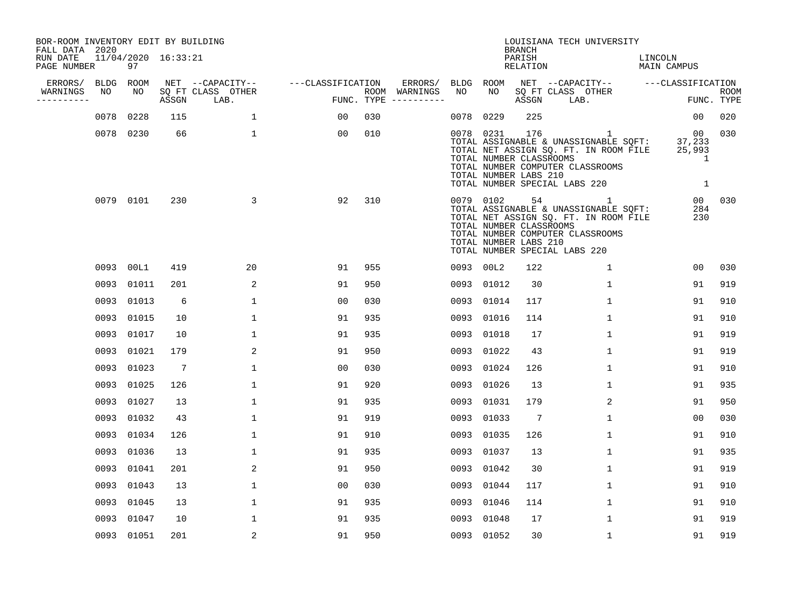| BOR-ROOM INVENTORY EDIT BY BUILDING<br>FALL DATA 2020 |            |                     |                           |                   |                                      |      |            | <b>BRANCH</b>                                           | LOUISIANA TECH UNIVERSITY                                                                                                                                |                                  |                           |
|-------------------------------------------------------|------------|---------------------|---------------------------|-------------------|--------------------------------------|------|------------|---------------------------------------------------------|----------------------------------------------------------------------------------------------------------------------------------------------------------|----------------------------------|---------------------------|
| RUN DATE<br>PAGE NUMBER                               | 97         | 11/04/2020 16:33:21 |                           |                   |                                      |      |            | PARISH<br>RELATION                                      |                                                                                                                                                          | LINCOLN<br><b>MAIN CAMPUS</b>    |                           |
| ERRORS/<br><b>BLDG</b>                                | ROOM       |                     | NET --CAPACITY--          | ---CLASSIFICATION | ERRORS/                              | BLDG | ROOM       |                                                         | NET --CAPACITY-- ---CLASSIFICATION                                                                                                                       |                                  |                           |
| WARNINGS<br>NO<br>----------                          | NO         | ASSGN               | SQ FT CLASS OTHER<br>LAB. |                   | ROOM WARNINGS<br>FUNC. TYPE $------$ | NO   | NO         | ASSGN                                                   | SQ FT CLASS OTHER<br>LAB.                                                                                                                                |                                  | <b>ROOM</b><br>FUNC. TYPE |
| 0078                                                  | 0228       | 115                 | $\mathbf{1}$              | 00                | 030                                  | 0078 | 0229       | 225                                                     |                                                                                                                                                          | 0 <sub>0</sub>                   | 020                       |
|                                                       | 0078 0230  | 66                  | $\mathbf{1}$              | 00                | 010                                  |      | 0078 0231  | 176<br>TOTAL NUMBER CLASSROOMS<br>TOTAL NUMBER LABS 210 | 1<br>TOTAL ASSIGNABLE & UNASSIGNABLE SQFT:<br>TOTAL NET ASSIGN SQ. FT. IN ROOM FILE<br>TOTAL NUMBER COMPUTER CLASSROOMS<br>TOTAL NUMBER SPECIAL LABS 220 | 00<br>37,233<br>25,993<br>1<br>1 | 030                       |
|                                                       | 0079 0101  | 230                 | 3                         | 92                | 310                                  |      | 0079 0102  | 54<br>TOTAL NUMBER CLASSROOMS<br>TOTAL NUMBER LABS 210  | 1<br>TOTAL ASSIGNABLE & UNASSIGNABLE SQFT:<br>TOTAL NET ASSIGN SQ. FT. IN ROOM FILE<br>TOTAL NUMBER COMPUTER CLASSROOMS<br>TOTAL NUMBER SPECIAL LABS 220 | 00<br>284<br>230                 | 030                       |
|                                                       | 0093 00L1  | 419                 | 20                        | 91                | 955                                  |      | 0093 00L2  | 122                                                     | $\mathbf 1$                                                                                                                                              | 0 <sub>0</sub>                   | 030                       |
|                                                       | 0093 01011 | 201                 | 2                         | 91                | 950                                  | 0093 | 01012      | 30                                                      | $\mathbf{1}$                                                                                                                                             | 91                               | 919                       |
|                                                       | 0093 01013 | 6                   | $\mathbf{1}$              | 00                | 030                                  | 0093 | 01014      | 117                                                     | $\mathbf{1}$                                                                                                                                             | 91                               | 910                       |
|                                                       | 0093 01015 | 10                  | $\mathbf 1$               | 91                | 935                                  | 0093 | 01016      | 114                                                     | $\mathbf 1$                                                                                                                                              | 91                               | 910                       |
|                                                       | 0093 01017 | 10                  | 1                         | 91                | 935                                  | 0093 | 01018      | 17                                                      | 1                                                                                                                                                        | 91                               | 919                       |
|                                                       | 0093 01021 | 179                 | 2                         | 91                | 950                                  | 0093 | 01022      | 43                                                      | 1                                                                                                                                                        | 91                               | 919                       |
|                                                       | 0093 01023 | 7                   | $\mathbf{1}$              | 0 <sub>0</sub>    | 030                                  | 0093 | 01024      | 126                                                     | $\mathbf 1$                                                                                                                                              | 91                               | 910                       |
|                                                       | 0093 01025 | 126                 | $\mathbf{1}$              | 91                | 920                                  | 0093 | 01026      | 13                                                      | $\mathbf 1$                                                                                                                                              | 91                               | 935                       |
| 0093                                                  | 01027      | 13                  | $\mathbf{1}$              | 91                | 935                                  | 0093 | 01031      | 179                                                     | 2                                                                                                                                                        | 91                               | 950                       |
|                                                       | 0093 01032 | 43                  | $\mathbf{1}$              | 91                | 919                                  | 0093 | 01033      | $7\phantom{.0}$                                         | $\mathbf 1$                                                                                                                                              | 0 <sub>0</sub>                   | 030                       |
|                                                       | 0093 01034 | 126                 | 1                         | 91                | 910                                  | 0093 | 01035      | 126                                                     | 1                                                                                                                                                        | 91                               | 910                       |
|                                                       | 0093 01036 | 13                  | $\mathbf{1}$              | 91                | 935                                  | 0093 | 01037      | 13                                                      | $\mathbf 1$                                                                                                                                              | 91                               | 935                       |
| 0093                                                  | 01041      | 201                 | 2                         | 91                | 950                                  | 0093 | 01042      | 30                                                      | 1                                                                                                                                                        | 91                               | 919                       |
|                                                       | 0093 01043 | 13                  | 1                         | 00                | 030                                  | 0093 | 01044      | 117                                                     | $\mathbf 1$                                                                                                                                              | 91                               | 910                       |
|                                                       | 0093 01045 | 13                  | $\mathbf{1}$              | 91                | 935                                  | 0093 | 01046      | 114                                                     | 1                                                                                                                                                        | 91                               | 910                       |
|                                                       | 0093 01047 | 10                  | $\mathbf{1}$              | 91                | 935                                  | 0093 | 01048      | 17                                                      | $\mathbf 1$                                                                                                                                              | 91                               | 919                       |
|                                                       | 0093 01051 | 201                 | $\overline{2}$            | 91                | 950                                  |      | 0093 01052 | 30                                                      | $\mathbf 1$                                                                                                                                              | 91                               | 919                       |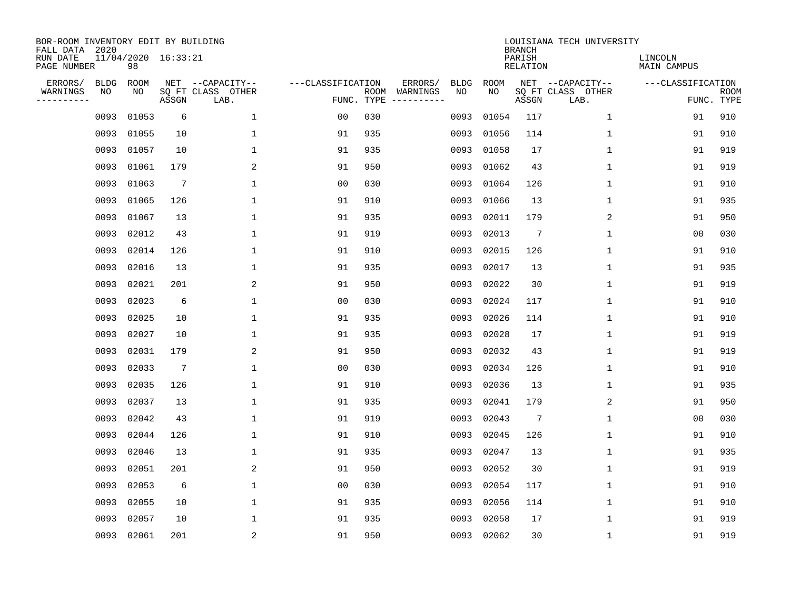| BOR-ROOM INVENTORY EDIT BY BUILDING<br>FALL DATA 2020 |             |                           |                 |                           |                   |                    |          |             |             | <b>BRANCH</b>             | LOUISIANA TECH UNIVERSITY |                               |                           |
|-------------------------------------------------------|-------------|---------------------------|-----------------|---------------------------|-------------------|--------------------|----------|-------------|-------------|---------------------------|---------------------------|-------------------------------|---------------------------|
| RUN DATE<br>PAGE NUMBER                               |             | 11/04/2020 16:33:21<br>98 |                 |                           |                   |                    |          |             |             | PARISH<br><b>RELATION</b> |                           | LINCOLN<br><b>MAIN CAMPUS</b> |                           |
| ERRORS/                                               | <b>BLDG</b> | ROOM                      |                 | NET --CAPACITY--          | ---CLASSIFICATION |                    | ERRORS/  | <b>BLDG</b> | <b>ROOM</b> |                           | NET --CAPACITY--          | ---CLASSIFICATION             |                           |
| WARNINGS<br>----------                                | NO          | NO                        | ASSGN           | SQ FT CLASS OTHER<br>LAB. |                   | ROOM<br>FUNC. TYPE | WARNINGS | NO          | NO          | ASSGN                     | SQ FT CLASS OTHER<br>LAB. |                               | <b>ROOM</b><br>FUNC. TYPE |
|                                                       | 0093        | 01053                     | 6               | $\mathbf 1$               | 00                | 030                |          | 0093        | 01054       | 117                       | 1                         | 91                            | 910                       |
|                                                       | 0093        | 01055                     | 10              | 1                         | 91                | 935                |          | 0093        | 01056       | 114                       | 1                         | 91                            | 910                       |
|                                                       | 0093        | 01057                     | 10              | $\mathbf 1$               | 91                | 935                |          | 0093        | 01058       | 17                        | 1                         | 91                            | 919                       |
|                                                       | 0093        | 01061                     | 179             | 2                         | 91                | 950                |          | 0093        | 01062       | 43                        | 1                         | 91                            | 919                       |
|                                                       | 0093        | 01063                     | $7\phantom{.0}$ | $\mathbf{1}$              | 0 <sub>0</sub>    | 030                |          | 0093        | 01064       | 126                       | 1                         | 91                            | 910                       |
|                                                       | 0093        | 01065                     | 126             | $\mathbf{1}$              | 91                | 910                |          | 0093        | 01066       | 13                        | 1                         | 91                            | 935                       |
|                                                       | 0093        | 01067                     | 13              | $\mathbf{1}$              | 91                | 935                |          | 0093        | 02011       | 179                       | 2                         | 91                            | 950                       |
|                                                       | 0093        | 02012                     | 43              | $\mathbf{1}$              | 91                | 919                |          | 0093        | 02013       | 7                         | $\mathbf{1}$              | 0 <sub>0</sub>                | 030                       |
|                                                       | 0093        | 02014                     | 126             | $\mathbf{1}$              | 91                | 910                |          | 0093        | 02015       | 126                       | 1                         | 91                            | 910                       |
|                                                       | 0093        | 02016                     | 13              | 1                         | 91                | 935                |          | 0093        | 02017       | 13                        | 1                         | 91                            | 935                       |
|                                                       | 0093        | 02021                     | 201             | 2                         | 91                | 950                |          | 0093        | 02022       | 30                        | 1                         | 91                            | 919                       |
|                                                       | 0093        | 02023                     | 6               | 1                         | 0 <sub>0</sub>    | 030                |          | 0093        | 02024       | 117                       | 1                         | 91                            | 910                       |
|                                                       | 0093        | 02025                     | 10              | 1                         | 91                | 935                |          | 0093        | 02026       | 114                       | 1                         | 91                            | 910                       |
|                                                       | 0093        | 02027                     | 10              | 1                         | 91                | 935                |          | 0093        | 02028       | 17                        | 1                         | 91                            | 919                       |
|                                                       | 0093        | 02031                     | 179             | 2                         | 91                | 950                |          | 0093        | 02032       | 43                        | 1                         | 91                            | 919                       |
|                                                       | 0093        | 02033                     | $7\phantom{.0}$ | $\mathbf{1}$              | 0 <sub>0</sub>    | 030                |          | 0093        | 02034       | 126                       | 1                         | 91                            | 910                       |
|                                                       | 0093        | 02035                     | 126             | 1                         | 91                | 910                |          | 0093        | 02036       | 13                        | 1                         | 91                            | 935                       |
|                                                       | 0093        | 02037                     | 13              | 1                         | 91                | 935                |          | 0093        | 02041       | 179                       | $\overline{2}$            | 91                            | 950                       |
|                                                       | 0093        | 02042                     | 43              | 1                         | 91                | 919                |          | 0093        | 02043       | 7                         | 1                         | 0 <sub>0</sub>                | 030                       |
|                                                       | 0093        | 02044                     | 126             | 1                         | 91                | 910                |          | 0093        | 02045       | 126                       | 1                         | 91                            | 910                       |
|                                                       | 0093        | 02046                     | 13              | 1                         | 91                | 935                |          | 0093        | 02047       | 13                        | 1                         | 91                            | 935                       |
|                                                       | 0093        | 02051                     | 201             | 2                         | 91                | 950                |          | 0093        | 02052       | 30                        | 1                         | 91                            | 919                       |
|                                                       | 0093        | 02053                     | 6               | 1                         | 0 <sub>0</sub>    | 030                |          | 0093        | 02054       | 117                       | 1                         | 91                            | 910                       |
|                                                       | 0093        | 02055                     | 10              | 1                         | 91                | 935                |          | 0093        | 02056       | 114                       | $\mathbf 1$               | 91                            | 910                       |
|                                                       | 0093        | 02057                     | 10              | 1                         | 91                | 935                |          | 0093        | 02058       | 17                        | 1                         | 91                            | 919                       |
|                                                       |             | 0093 02061                | 201             | 2                         | 91                | 950                |          |             | 0093 02062  | 30                        | 1                         | 91                            | 919                       |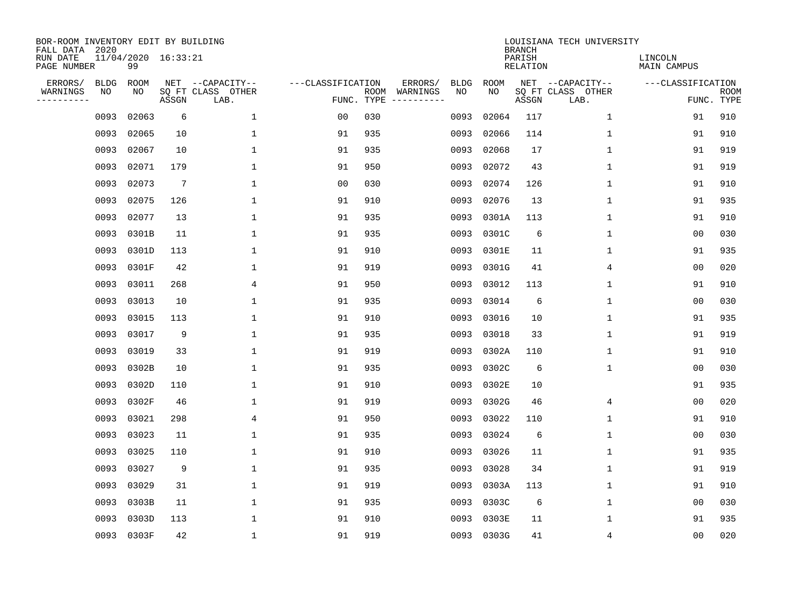| BOR-ROOM INVENTORY EDIT BY BUILDING<br>FALL DATA 2020 |                           |                 |                           |                   |            |                              |             |             | <b>BRANCH</b>             | LOUISIANA TECH UNIVERSITY |                               |                           |
|-------------------------------------------------------|---------------------------|-----------------|---------------------------|-------------------|------------|------------------------------|-------------|-------------|---------------------------|---------------------------|-------------------------------|---------------------------|
| RUN DATE<br>PAGE NUMBER                               | 11/04/2020 16:33:21<br>99 |                 |                           |                   |            |                              |             |             | PARISH<br><b>RELATION</b> |                           | LINCOLN<br><b>MAIN CAMPUS</b> |                           |
| ERRORS/<br><b>BLDG</b>                                | <b>ROOM</b>               |                 | NET --CAPACITY--          | ---CLASSIFICATION |            | ERRORS/                      | <b>BLDG</b> | <b>ROOM</b> |                           | NET --CAPACITY--          | ---CLASSIFICATION             |                           |
| WARNINGS<br>NO<br>----------                          | NO                        | ASSGN           | SQ FT CLASS OTHER<br>LAB. |                   | FUNC. TYPE | ROOM WARNINGS<br>----------- | NO          | NO          | ASSGN                     | SQ FT CLASS OTHER<br>LAB. |                               | <b>ROOM</b><br>FUNC. TYPE |
| 0093                                                  | 02063                     | 6               | $\mathbf 1$               | 00                | 030        |                              | 0093        | 02064       | 117                       | $\mathbf 1$               | 91                            | 910                       |
| 0093                                                  | 02065                     | 10              | 1                         | 91                | 935        |                              | 0093        | 02066       | 114                       | $\mathbf 1$               | 91                            | 910                       |
| 0093                                                  | 02067                     | 10              | $\mathbf{1}$              | 91                | 935        |                              | 0093        | 02068       | 17                        | $\mathbf{1}$              | 91                            | 919                       |
| 0093                                                  | 02071                     | 179             | $\mathbf{1}$              | 91                | 950        |                              | 0093        | 02072       | 43                        | $\mathbf 1$               | 91                            | 919                       |
| 0093                                                  | 02073                     | $7\phantom{.0}$ | $\mathbf 1$               | 0 <sub>0</sub>    | 030        |                              | 0093        | 02074       | 126                       | $\mathbf{1}$              | 91                            | 910                       |
| 0093                                                  | 02075                     | 126             | 1                         | 91                | 910        |                              | 0093        | 02076       | 13                        | $\mathbf{1}$              | 91                            | 935                       |
| 0093                                                  | 02077                     | 13              | $\mathbf{1}$              | 91                | 935        |                              | 0093        | 0301A       | 113                       | $\mathbf 1$               | 91                            | 910                       |
|                                                       | 0093 0301B                | 11              | $\mathbf{1}$              | 91                | 935        |                              | 0093        | 0301C       | 6                         | $\mathbf 1$               | 0 <sub>0</sub>                | 030                       |
| 0093                                                  | 0301D                     | 113             | $\mathbf{1}$              | 91                | 910        |                              | 0093        | 0301E       | 11                        | $\mathbf 1$               | 91                            | 935                       |
| 0093                                                  | 0301F                     | 42              | $\mathbf{1}$              | 91                | 919        |                              | 0093        | 0301G       | 41                        | 4                         | 0 <sub>0</sub>                | 020                       |
| 0093                                                  | 03011                     | 268             | 4                         | 91                | 950        |                              | 0093        | 03012       | 113                       | $\mathbf{1}$              | 91                            | 910                       |
| 0093                                                  | 03013                     | 10              | $\mathbf{1}$              | 91                | 935        |                              | 0093        | 03014       | 6                         | $\mathbf{1}$              | 0 <sub>0</sub>                | 030                       |
| 0093                                                  | 03015                     | 113             | $\mathbf{1}$              | 91                | 910        |                              | 0093        | 03016       | 10                        | $\mathbf 1$               | 91                            | 935                       |
| 0093                                                  | 03017                     | 9               | 1                         | 91                | 935        |                              | 0093        | 03018       | 33                        | 1                         | 91                            | 919                       |
| 0093                                                  | 03019                     | 33              | 1                         | 91                | 919        |                              | 0093        | 0302A       | 110                       | 1                         | 91                            | 910                       |
| 0093                                                  | 0302B                     | 10              | $\mathbf{1}$              | 91                | 935        |                              | 0093        | 0302C       | 6                         | $\mathbf 1$               | 0 <sub>0</sub>                | 030                       |
| 0093                                                  | 0302D                     | 110             | $\mathbf{1}$              | 91                | 910        |                              | 0093        | 0302E       | 10                        |                           | 91                            | 935                       |
| 0093                                                  | 0302F                     | 46              | $\mathbf{1}$              | 91                | 919        |                              | 0093        | 0302G       | 46                        | 4                         | 0 <sub>0</sub>                | 020                       |
| 0093                                                  | 03021                     | 298             | 4                         | 91                | 950        |                              | 0093        | 03022       | 110                       | $\mathbf 1$               | 91                            | 910                       |
| 0093                                                  | 03023                     | 11              | 1                         | 91                | 935        |                              | 0093        | 03024       | 6                         | 1                         | 0 <sub>0</sub>                | 030                       |
| 0093                                                  | 03025                     | 110             | $\mathbf{1}$              | 91                | 910        |                              | 0093        | 03026       | 11                        | 1                         | 91                            | 935                       |
| 0093                                                  | 03027                     | 9               | $\mathbf{1}$              | 91                | 935        |                              | 0093        | 03028       | 34                        | $\mathbf 1$               | 91                            | 919                       |
| 0093                                                  | 03029                     | 31              | $\mathbf{1}$              | 91                | 919        |                              | 0093        | 0303A       | 113                       | $\mathbf 1$               | 91                            | 910                       |
| 0093                                                  | 0303B                     | 11              | $\mathbf{1}$              | 91                | 935        |                              | 0093        | 0303C       | 6                         | $\mathbf 1$               | 0 <sub>0</sub>                | 030                       |
| 0093                                                  | 0303D                     | 113             | $\mathbf{1}$              | 91                | 910        |                              | 0093        | 0303E       | 11                        | $\mathbf 1$               | 91                            | 935                       |
|                                                       | 0093 0303F                | 42              | $\mathbf{1}$              | 91                | 919        |                              |             | 0093 0303G  | 41                        | 4                         | 0 <sub>0</sub>                | 020                       |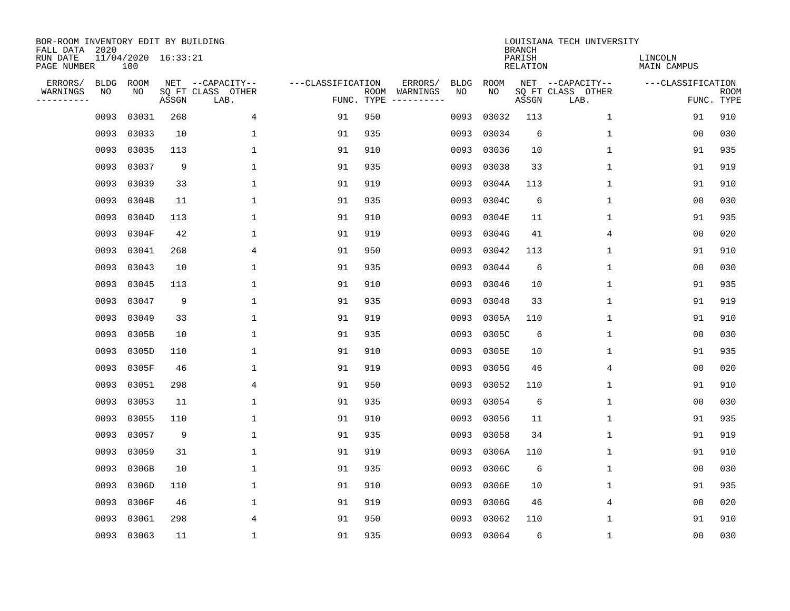| BOR-ROOM INVENTORY EDIT BY BUILDING<br>FALL DATA 2020 |                            |       |                           |                   |            |                              |             |             | <b>BRANCH</b>             | LOUISIANA TECH UNIVERSITY |                               |                           |
|-------------------------------------------------------|----------------------------|-------|---------------------------|-------------------|------------|------------------------------|-------------|-------------|---------------------------|---------------------------|-------------------------------|---------------------------|
| RUN DATE<br>PAGE NUMBER                               | 11/04/2020 16:33:21<br>100 |       |                           |                   |            |                              |             |             | PARISH<br><b>RELATION</b> |                           | LINCOLN<br><b>MAIN CAMPUS</b> |                           |
| ERRORS/<br><b>BLDG</b>                                | ROOM                       |       | NET --CAPACITY--          | ---CLASSIFICATION |            | ERRORS/                      | <b>BLDG</b> | <b>ROOM</b> |                           | NET --CAPACITY--          | ---CLASSIFICATION             |                           |
| WARNINGS<br>NO<br>----------                          | NO                         | ASSGN | SQ FT CLASS OTHER<br>LAB. |                   | FUNC. TYPE | ROOM WARNINGS<br>----------- | NO          | NO          | ASSGN                     | SQ FT CLASS OTHER<br>LAB. |                               | <b>ROOM</b><br>FUNC. TYPE |
| 0093                                                  | 03031                      | 268   | 4                         | 91                | 950        |                              | 0093        | 03032       | 113                       | $\mathbf 1$               | 91                            | 910                       |
| 0093                                                  | 03033                      | 10    | $\mathbf{1}$              | 91                | 935        |                              | 0093        | 03034       | 6                         | $\mathbf 1$               | 0 <sub>0</sub>                | 030                       |
| 0093                                                  | 03035                      | 113   | $\mathbf{1}$              | 91                | 910        |                              | 0093        | 03036       | 10                        | $\mathbf{1}$              | 91                            | 935                       |
| 0093                                                  | 03037                      | 9     | $\mathbf{1}$              | 91                | 935        |                              | 0093        | 03038       | 33                        | $\mathbf 1$               | 91                            | 919                       |
| 0093                                                  | 03039                      | 33    | $\mathbf 1$               | 91                | 919        |                              | 0093        | 0304A       | 113                       | $\mathbf{1}$              | 91                            | 910                       |
| 0093                                                  | 0304B                      | 11    | 1                         | 91                | 935        |                              | 0093        | 0304C       | 6                         | $\mathbf{1}$              | 00                            | 030                       |
| 0093                                                  | 0304D                      | 113   | $\mathbf{1}$              | 91                | 910        |                              | 0093        | 0304E       | 11                        | $\mathbf 1$               | 91                            | 935                       |
|                                                       | 0093 0304F                 | 42    | $\mathbf{1}$              | 91                | 919        |                              | 0093        | 0304G       | 41                        | 4                         | 0 <sub>0</sub>                | 020                       |
| 0093                                                  | 03041                      | 268   | 4                         | 91                | 950        |                              | 0093        | 03042       | 113                       | $\mathbf 1$               | 91                            | 910                       |
| 0093                                                  | 03043                      | 10    | $\mathbf{1}$              | 91                | 935        |                              | 0093        | 03044       | 6                         | $\mathbf 1$               | 0 <sub>0</sub>                | 030                       |
| 0093                                                  | 03045                      | 113   | $\mathbf{1}$              | 91                | 910        |                              | 0093        | 03046       | 10                        | $\mathbf{1}$              | 91                            | 935                       |
| 0093                                                  | 03047                      | 9     | $\mathbf{1}$              | 91                | 935        |                              | 0093        | 03048       | 33                        | $\mathbf{1}$              | 91                            | 919                       |
| 0093                                                  | 03049                      | 33    | $\mathbf{1}$              | 91                | 919        |                              | 0093        | 0305A       | 110                       | $\mathbf 1$               | 91                            | 910                       |
| 0093                                                  | 0305B                      | 10    | 1                         | 91                | 935        |                              | 0093        | 0305C       | 6                         | 1                         | 0 <sub>0</sub>                | 030                       |
| 0093                                                  | 0305D                      | 110   | 1                         | 91                | 910        |                              | 0093        | 0305E       | 10                        | 1                         | 91                            | 935                       |
| 0093                                                  | 0305F                      | 46    | 1                         | 91                | 919        |                              | 0093        | 0305G       | 46                        | 4                         | 0 <sub>0</sub>                | 020                       |
| 0093                                                  | 03051                      | 298   | 4                         | 91                | 950        |                              | 0093        | 03052       | 110                       | 1                         | 91                            | 910                       |
| 0093                                                  | 03053                      | 11    | $\mathbf{1}$              | 91                | 935        |                              | 0093        | 03054       | 6                         | $\mathbf 1$               | 0 <sub>0</sub>                | 030                       |
| 0093                                                  | 03055                      | 110   | $\mathbf{1}$              | 91                | 910        |                              | 0093        | 03056       | 11                        | $\mathbf 1$               | 91                            | 935                       |
| 0093                                                  | 03057                      | 9     | 1                         | 91                | 935        |                              | 0093        | 03058       | 34                        | 1                         | 91                            | 919                       |
| 0093                                                  | 03059                      | 31    | 1                         | 91                | 919        |                              | 0093        | 0306A       | 110                       | 1                         | 91                            | 910                       |
| 0093                                                  | 0306B                      | 10    | 1                         | 91                | 935        |                              | 0093        | 0306C       | 6                         | $\mathbf 1$               | 0 <sub>0</sub>                | 030                       |
| 0093                                                  | 0306D                      | 110   | $\mathbf{1}$              | 91                | 910        |                              | 0093        | 0306E       | 10                        | 1                         | 91                            | 935                       |
| 0093                                                  | 0306F                      | 46    | $\mathbf{1}$              | 91                | 919        |                              | 0093        | 0306G       | 46                        | 4                         | 0 <sub>0</sub>                | 020                       |
| 0093                                                  | 03061                      | 298   | 4                         | 91                | 950        |                              | 0093        | 03062       | 110                       | $\mathbf 1$               | 91                            | 910                       |
|                                                       | 0093 03063                 | 11    | $\mathbf{1}$              | 91                | 935        |                              | 0093        | 03064       | 6                         | $\mathbf 1$               | 0 <sub>0</sub>                | 030                       |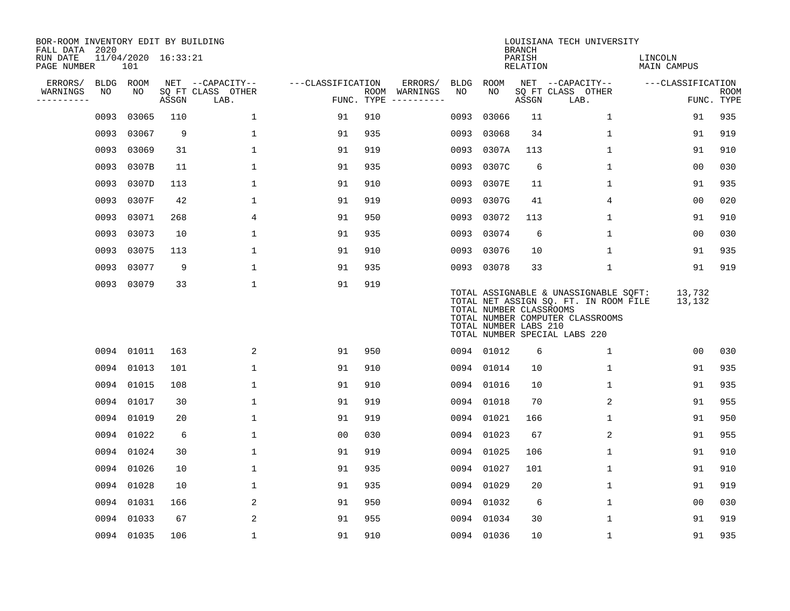| BOR-ROOM INVENTORY EDIT BY BUILDING<br>FALL DATA 2020 |      |                            |       |                           |                   |     |                                      |      |                                                  | <b>BRANCH</b>      | LOUISIANA TECH UNIVERSITY                                                                                                                           |                        |                           |
|-------------------------------------------------------|------|----------------------------|-------|---------------------------|-------------------|-----|--------------------------------------|------|--------------------------------------------------|--------------------|-----------------------------------------------------------------------------------------------------------------------------------------------------|------------------------|---------------------------|
| RUN DATE<br>PAGE NUMBER                               |      | 11/04/2020 16:33:21<br>101 |       |                           |                   |     |                                      |      |                                                  | PARISH<br>RELATION |                                                                                                                                                     | LINCOLN<br>MAIN CAMPUS |                           |
| ERRORS/                                               | BLDG | ROOM                       |       | NET --CAPACITY--          | ---CLASSIFICATION |     | ERRORS/                              | BLDG | ROOM                                             |                    | NET --CAPACITY--                                                                                                                                    | ---CLASSIFICATION      |                           |
| WARNINGS<br>----------                                | NO   | NO                         | ASSGN | SQ FT CLASS OTHER<br>LAB. |                   |     | ROOM WARNINGS<br>FUNC. TYPE $------$ | NO.  | NO.                                              | ASSGN              | SQ FT CLASS OTHER<br>LAB.                                                                                                                           |                        | <b>ROOM</b><br>FUNC. TYPE |
|                                                       | 0093 | 03065                      | 110   | $\mathbf{1}$              | 91                | 910 |                                      | 0093 | 03066                                            | 11                 | $\mathbf{1}$                                                                                                                                        | 91                     | 935                       |
|                                                       | 0093 | 03067                      | 9     | $\mathbf 1$               | 91                | 935 |                                      | 0093 | 03068                                            | 34                 | 1                                                                                                                                                   | 91                     | 919                       |
|                                                       | 0093 | 03069                      | 31    | $\mathbf{1}$              | 91                | 919 |                                      | 0093 | 0307A                                            | 113                | $\mathbf 1$                                                                                                                                         | 91                     | 910                       |
|                                                       | 0093 | 0307B                      | 11    | 1                         | 91                | 935 |                                      | 0093 | 0307C                                            | 6                  | 1                                                                                                                                                   | 00                     | 030                       |
|                                                       | 0093 | 0307D                      | 113   | $\mathbf 1$               | 91                | 910 |                                      | 0093 | 0307E                                            | 11                 | 1                                                                                                                                                   | 91                     | 935                       |
|                                                       | 0093 | 0307F                      | 42    | $\mathbf 1$               | 91                | 919 |                                      | 0093 | 0307G                                            | 41                 | 4                                                                                                                                                   | 0 <sub>0</sub>         | 020                       |
|                                                       | 0093 | 03071                      | 268   | 4                         | 91                | 950 |                                      |      | 0093 03072                                       | 113                | $\mathbf 1$                                                                                                                                         | 91                     | 910                       |
|                                                       | 0093 | 03073                      | 10    | $\mathbf{1}$              | 91                | 935 |                                      |      | 0093 03074                                       | 6                  | $\mathbf 1$                                                                                                                                         | 00                     | 030                       |
|                                                       | 0093 | 03075                      | 113   | $\mathbf{1}$              | 91                | 910 |                                      | 0093 | 03076                                            | 10                 | $\mathbf{1}$                                                                                                                                        | 91                     | 935                       |
|                                                       | 0093 | 03077                      | 9     | $\mathbf 1$               | 91                | 935 |                                      |      | 0093 03078                                       | 33                 | $\mathbf 1$                                                                                                                                         | 91                     | 919                       |
|                                                       |      | 0093 03079                 | 33    | $\mathbf 1$               | 91                | 919 |                                      |      | TOTAL NUMBER CLASSROOMS<br>TOTAL NUMBER LABS 210 |                    | TOTAL ASSIGNABLE & UNASSIGNABLE SQFT:<br>TOTAL NET ASSIGN SQ. FT. IN ROOM FILE<br>TOTAL NUMBER COMPUTER CLASSROOMS<br>TOTAL NUMBER SPECIAL LABS 220 | 13,732<br>13,132       |                           |
|                                                       |      | 0094 01011                 | 163   | 2                         | 91                | 950 |                                      |      | 0094 01012                                       | 6                  | 1                                                                                                                                                   | 00                     | 030                       |
|                                                       |      | 0094 01013                 | 101   | $\mathbf 1$               | 91                | 910 |                                      |      | 0094 01014                                       | 10                 | 1                                                                                                                                                   | 91                     | 935                       |
|                                                       |      | 0094 01015                 | 108   | $\mathbf{1}$              | 91                | 910 |                                      | 0094 | 01016                                            | 10                 | 1                                                                                                                                                   | 91                     | 935                       |
|                                                       |      | 0094 01017                 | 30    | $\mathbf 1$               | 91                | 919 |                                      | 0094 | 01018                                            | 70                 | 2                                                                                                                                                   | 91                     | 955                       |
|                                                       |      | 0094 01019                 | 20    | $\mathbf{1}$              | 91                | 919 |                                      | 0094 | 01021                                            | 166                | 1                                                                                                                                                   | 91                     | 950                       |
|                                                       |      | 0094 01022                 | 6     | $\mathbf{1}$              | 0 <sub>0</sub>    | 030 |                                      |      | 0094 01023                                       | 67                 | 2                                                                                                                                                   | 91                     | 955                       |
|                                                       |      | 0094 01024                 | 30    | $\mathbf 1$               | 91                | 919 |                                      | 0094 | 01025                                            | 106                | 1                                                                                                                                                   | 91                     | 910                       |
|                                                       |      | 0094 01026                 | 10    | $\mathbf 1$               | 91                | 935 |                                      | 0094 | 01027                                            | 101                | $\mathbf 1$                                                                                                                                         | 91                     | 910                       |
|                                                       |      | 0094 01028                 | 10    | $\mathbf 1$               | 91                | 935 |                                      |      | 0094 01029                                       | 20                 | 1                                                                                                                                                   | 91                     | 919                       |
|                                                       |      | 0094 01031                 | 166   | 2                         | 91                | 950 |                                      |      | 0094 01032                                       | 6                  | 1                                                                                                                                                   | 0 <sub>0</sub>         | 030                       |
|                                                       |      | 0094 01033                 | 67    | 2                         | 91                | 955 |                                      |      | 0094 01034                                       | 30                 | $\mathbf{1}$                                                                                                                                        | 91                     | 919                       |
|                                                       |      | 0094 01035                 | 106   | $\mathbf{1}$              | 91                | 910 |                                      |      | 0094 01036                                       | 10                 | 1                                                                                                                                                   | 91                     | 935                       |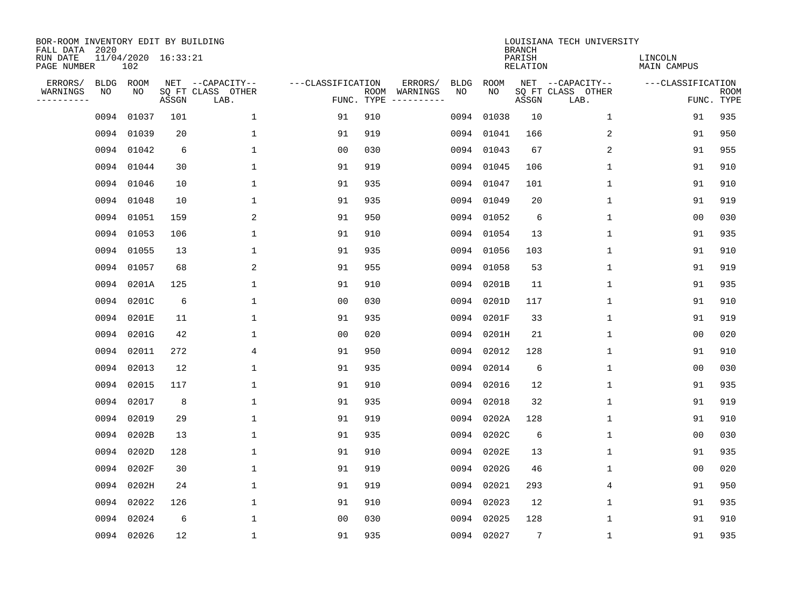| BOR-ROOM INVENTORY EDIT BY BUILDING<br>FALL DATA 2020 |             |                            |       |                           |                   |                    |          |             |             | <b>BRANCH</b>             | LOUISIANA TECH UNIVERSITY |                               |                           |
|-------------------------------------------------------|-------------|----------------------------|-------|---------------------------|-------------------|--------------------|----------|-------------|-------------|---------------------------|---------------------------|-------------------------------|---------------------------|
| RUN DATE<br>PAGE NUMBER                               |             | 11/04/2020 16:33:21<br>102 |       |                           |                   |                    |          |             |             | PARISH<br><b>RELATION</b> |                           | LINCOLN<br><b>MAIN CAMPUS</b> |                           |
| ERRORS/                                               | <b>BLDG</b> | ROOM                       |       | NET --CAPACITY--          | ---CLASSIFICATION |                    | ERRORS/  | <b>BLDG</b> | <b>ROOM</b> |                           | NET --CAPACITY--          | ---CLASSIFICATION             |                           |
| WARNINGS<br>----------                                | ΝO          | NO                         | ASSGN | SQ FT CLASS OTHER<br>LAB. |                   | ROOM<br>FUNC. TYPE | WARNINGS | NO          | NO          | ASSGN                     | SQ FT CLASS OTHER<br>LAB. |                               | <b>ROOM</b><br>FUNC. TYPE |
|                                                       | 0094        | 01037                      | 101   | 1                         | 91                | 910                |          | 0094        | 01038       | 10                        | 1                         | 91                            | 935                       |
|                                                       | 0094        | 01039                      | 20    | 1                         | 91                | 919                |          | 0094        | 01041       | 166                       | 2                         | 91                            | 950                       |
|                                                       | 0094        | 01042                      | 6     | 1                         | 0 <sub>0</sub>    | 030                |          | 0094        | 01043       | 67                        | 2                         | 91                            | 955                       |
|                                                       |             | 0094 01044                 | 30    | $\mathbf{1}$              | 91                | 919                |          | 0094        | 01045       | 106                       | 1                         | 91                            | 910                       |
|                                                       |             | 0094 01046                 | 10    | $\mathbf{1}$              | 91                | 935                |          | 0094        | 01047       | 101                       | $\mathbf{1}$              | 91                            | 910                       |
|                                                       |             | 0094 01048                 | 10    | $\mathbf{1}$              | 91                | 935                |          | 0094        | 01049       | 20                        | $\mathbf 1$               | 91                            | 919                       |
|                                                       |             | 0094 01051                 | 159   | 2                         | 91                | 950                |          | 0094        | 01052       | 6                         | $\mathbf{1}$              | 0 <sub>0</sub>                | 030                       |
|                                                       |             | 0094 01053                 | 106   | $\mathbf{1}$              | 91                | 910                |          | 0094        | 01054       | 13                        | $\mathbf{1}$              | 91                            | 935                       |
|                                                       |             | 0094 01055                 | 13    | $\mathbf{1}$              | 91                | 935                |          | 0094        | 01056       | 103                       | $\mathbf{1}$              | 91                            | 910                       |
|                                                       |             | 0094 01057                 | 68    | 2                         | 91                | 955                |          | 0094        | 01058       | 53                        | 1                         | 91                            | 919                       |
|                                                       |             | 0094 0201A                 | 125   | $\mathbf{1}$              | 91                | 910                |          | 0094        | 0201B       | 11                        | 1                         | 91                            | 935                       |
|                                                       |             | 0094 0201C                 | 6     | $\mathbf{1}$              | 0 <sub>0</sub>    | 030                |          | 0094        | 0201D       | 117                       | $\mathbf 1$               | 91                            | 910                       |
|                                                       |             | 0094 0201E                 | 11    | $\mathbf{1}$              | 91                | 935                |          | 0094        | 0201F       | 33                        | $\mathbf 1$               | 91                            | 919                       |
|                                                       | 0094        | 0201G                      | 42    | 1                         | 0 <sub>0</sub>    | 020                |          | 0094        | 0201H       | 21                        | 1                         | 0 <sub>0</sub>                | 020                       |
|                                                       | 0094        | 02011                      | 272   | 4                         | 91                | 950                |          | 0094        | 02012       | 128                       | 1                         | 91                            | 910                       |
|                                                       | 0094        | 02013                      | 12    | $\mathbf{1}$              | 91                | 935                |          | 0094        | 02014       | 6                         | $\mathbf 1$               | 00                            | 030                       |
|                                                       | 0094        | 02015                      | 117   | 1                         | 91                | 910                |          | 0094        | 02016       | 12                        | 1                         | 91                            | 935                       |
|                                                       | 0094        | 02017                      | 8     | 1                         | 91                | 935                |          | 0094        | 02018       | 32                        | 1                         | 91                            | 919                       |
|                                                       | 0094        | 02019                      | 29    | 1                         | 91                | 919                |          | 0094        | 0202A       | 128                       | 1                         | 91                            | 910                       |
|                                                       | 0094        | 0202B                      | 13    | 1                         | 91                | 935                |          | 0094        | 0202C       | 6                         | 1                         | 0 <sub>0</sub>                | 030                       |
|                                                       | 0094        | 0202D                      | 128   | $\mathbf{1}$              | 91                | 910                |          | 0094        | 0202E       | 13                        | 1                         | 91                            | 935                       |
|                                                       | 0094        | 0202F                      | 30    | $\mathbf{1}$              | 91                | 919                |          | 0094        | 0202G       | 46                        | $\mathbf 1$               | 0 <sub>0</sub>                | 020                       |
|                                                       | 0094        | 0202H                      | 24    | $\mathbf{1}$              | 91                | 919                |          | 0094        | 02021       | 293                       | 4                         | 91                            | 950                       |
|                                                       | 0094        | 02022                      | 126   | $\mathbf{1}$              | 91                | 910                |          | 0094        | 02023       | 12                        | $\mathbf 1$               | 91                            | 935                       |
|                                                       | 0094        | 02024                      | 6     | $\mathbf{1}$              | 0 <sub>0</sub>    | 030                |          | 0094        | 02025       | 128                       | $\mathbf 1$               | 91                            | 910                       |
|                                                       |             | 0094 02026                 | 12    | $\mathbf{1}$              | 91                | 935                |          |             | 0094 02027  | 7                         | $\mathbf 1$               | 91                            | 935                       |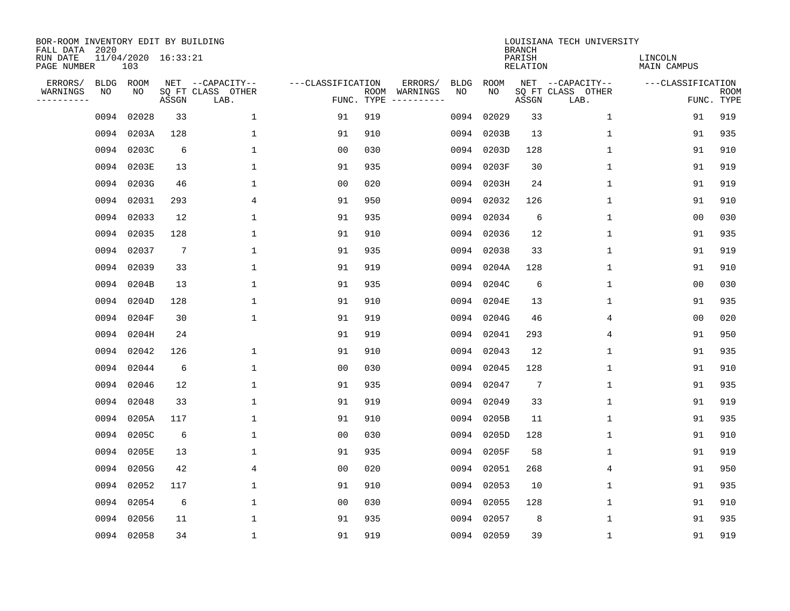| BOR-ROOM INVENTORY EDIT BY BUILDING<br>FALL DATA 2020 |             |                            |                 |                           |                   |                    |                         |             |            | <b>BRANCH</b>             | LOUISIANA TECH UNIVERSITY |                               |                           |
|-------------------------------------------------------|-------------|----------------------------|-----------------|---------------------------|-------------------|--------------------|-------------------------|-------------|------------|---------------------------|---------------------------|-------------------------------|---------------------------|
| RUN DATE<br>PAGE NUMBER                               |             | 11/04/2020 16:33:21<br>103 |                 |                           |                   |                    |                         |             |            | PARISH<br><b>RELATION</b> |                           | LINCOLN<br><b>MAIN CAMPUS</b> |                           |
| ERRORS/                                               | <b>BLDG</b> | ROOM                       |                 | NET --CAPACITY--          | ---CLASSIFICATION |                    | ERRORS/                 | <b>BLDG</b> | ROOM       |                           | NET --CAPACITY--          | ---CLASSIFICATION             |                           |
| WARNINGS<br>----------                                | NO          | NO                         | ASSGN           | SQ FT CLASS OTHER<br>LAB. |                   | ROOM<br>FUNC. TYPE | WARNINGS<br>----------- | NO          | NO         | ASSGN                     | SQ FT CLASS OTHER<br>LAB. |                               | <b>ROOM</b><br>FUNC. TYPE |
|                                                       | 0094        | 02028                      | 33              | $\mathbf 1$               | 91                | 919                |                         | 0094        | 02029      | 33                        | 1                         | 91                            | 919                       |
|                                                       | 0094        | 0203A                      | 128             | 1                         | 91                | 910                |                         | 0094        | 0203B      | 13                        | 1                         | 91                            | 935                       |
|                                                       | 0094        | 0203C                      | 6               | $\mathbf 1$               | 0 <sub>0</sub>    | 030                |                         | 0094        | 0203D      | 128                       | 1                         | 91                            | 910                       |
|                                                       | 0094        | 0203E                      | 13              | 1                         | 91                | 935                |                         |             | 0094 0203F | 30                        | 1                         | 91                            | 919                       |
|                                                       | 0094        | 0203G                      | 46              | $\mathbf{1}$              | 0 <sub>0</sub>    | 020                |                         | 0094        | 0203H      | 24                        | $\mathbf 1$               | 91                            | 919                       |
|                                                       |             | 0094 02031                 | 293             | 4                         | 91                | 950                |                         |             | 0094 02032 | 126                       | $\mathbf 1$               | 91                            | 910                       |
|                                                       | 0094        | 02033                      | 12              | $\mathbf{1}$              | 91                | 935                |                         |             | 0094 02034 | 6                         | $\mathbf 1$               | 0 <sub>0</sub>                | 030                       |
|                                                       | 0094        | 02035                      | 128             | $\mathbf{1}$              | 91                | 910                |                         |             | 0094 02036 | 12                        | $\mathbf 1$               | 91                            | 935                       |
|                                                       | 0094        | 02037                      | $7\phantom{.0}$ | $\mathbf{1}$              | 91                | 935                |                         | 0094        | 02038      | 33                        | $\mathbf 1$               | 91                            | 919                       |
|                                                       |             | 0094 02039                 | 33              | 1                         | 91                | 919                |                         | 0094        | 0204A      | 128                       | 1                         | 91                            | 910                       |
|                                                       | 0094        | 0204B                      | 13              | 1                         | 91                | 935                |                         | 0094        | 0204C      | 6                         | 1                         | 0 <sub>0</sub>                | 030                       |
|                                                       | 0094        | 0204D                      | 128             | 1                         | 91                | 910                |                         | 0094        | 0204E      | 13                        | 1                         | 91                            | 935                       |
|                                                       | 0094        | 0204F                      | 30              | $\mathbf{1}$              | 91                | 919                |                         | 0094        | 0204G      | 46                        | 4                         | 0 <sub>0</sub>                | 020                       |
|                                                       | 0094        | 0204H                      | 24              |                           | 91                | 919                |                         | 0094        | 02041      | 293                       | 4                         | 91                            | 950                       |
|                                                       | 0094        | 02042                      | 126             | 1                         | 91                | 910                |                         | 0094        | 02043      | 12                        | 1                         | 91                            | 935                       |
|                                                       | 0094        | 02044                      | 6               | 1                         | 0 <sub>0</sub>    | 030                |                         | 0094        | 02045      | 128                       | 1                         | 91                            | 910                       |
|                                                       | 0094        | 02046                      | 12              | 1                         | 91                | 935                |                         | 0094        | 02047      | $7\phantom{.0}$           | 1                         | 91                            | 935                       |
|                                                       | 0094        | 02048                      | 33              | 1                         | 91                | 919                |                         | 0094        | 02049      | 33                        | 1                         | 91                            | 919                       |
|                                                       | 0094        | 0205A                      | 117             | 1                         | 91                | 910                |                         | 0094        | 0205B      | 11                        | 1                         | 91                            | 935                       |
|                                                       | 0094        | 0205C                      | 6               | 1                         | 0 <sub>0</sub>    | 030                |                         | 0094        | 0205D      | 128                       | 1                         | 91                            | 910                       |
|                                                       | 0094        | 0205E                      | 13              | 1                         | 91                | 935                |                         | 0094        | 0205F      | 58                        | 1                         | 91                            | 919                       |
|                                                       | 0094        | 0205G                      | 42              | 4                         | 0 <sub>0</sub>    | 020                |                         | 0094        | 02051      | 268                       | 4                         | 91                            | 950                       |
|                                                       | 0094        | 02052                      | 117             | 1                         | 91                | 910                |                         | 0094        | 02053      | 10                        | 1                         | 91                            | 935                       |
|                                                       | 0094        | 02054                      | 6               | $\mathbf 1$               | 0 <sub>0</sub>    | 030                |                         | 0094        | 02055      | 128                       | $\mathbf 1$               | 91                            | 910                       |
|                                                       | 0094        | 02056                      | 11              | $\mathbf{1}$              | 91                | 935                |                         | 0094        | 02057      | 8                         | 1                         | 91                            | 935                       |
|                                                       |             | 0094 02058                 | 34              | $\mathbf{1}$              | 91                | 919                |                         |             | 0094 02059 | 39                        | 1                         | 91                            | 919                       |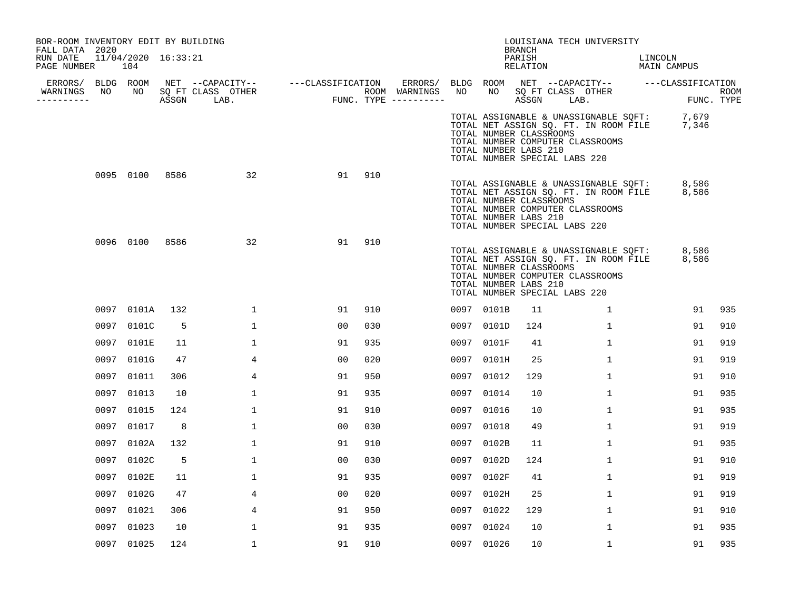| BOR-ROOM INVENTORY EDIT BY BUILDING<br>FALL DATA 2020 |                            |      |                                    |                                        |     |                  |      |                                                  | BRANCH             | LOUISIANA TECH UNIVERSITY                                                                                                                                       |                        |                    |
|-------------------------------------------------------|----------------------------|------|------------------------------------|----------------------------------------|-----|------------------|------|--------------------------------------------------|--------------------|-----------------------------------------------------------------------------------------------------------------------------------------------------------------|------------------------|--------------------|
| RUN DATE<br>PAGE NUMBER                               | 11/04/2020 16:33:21<br>104 |      |                                    |                                        |     |                  |      |                                                  | PARISH<br>RELATION |                                                                                                                                                                 | LINCOLN<br>MAIN CAMPUS |                    |
|                                                       |                            |      |                                    |                                        |     |                  |      |                                                  |                    | ERRORS/ BLDG ROOM NET --CAPACITY-- ----CLASSIFICATION ERRORS/ BLDG ROOM NET --CAPACITY-- ----CLASSIFICATION                                                     |                        |                    |
| WARNINGS<br>NO<br>----------                          |                            |      | NO SQ FT CLASS OTHER<br>ASSGN LAB. | ROOM WARNINGS<br>FUNC. TYPE ---------- |     | ROOM WARNINGS NO |      |                                                  |                    | NO SQ FT CLASS OTHER<br>ASSGN LAB.                                                                                                                              |                        | ROOM<br>FUNC. TYPE |
|                                                       |                            |      |                                    |                                        |     |                  |      | TOTAL NUMBER CLASSROOMS<br>TOTAL NUMBER LABS 210 |                    | TOTAL ASSIGNABLE & UNASSIGNABLE SQFT: 7,679<br>TOTAL NET ASSIGN SQ. FT. IN ROOM FILE 7,346<br>TOTAL NUMBER COMPUTER CLASSROOMS<br>TOTAL NUMBER SPECIAL LABS 220 |                        |                    |
|                                                       | 0095 0100 8586             |      | 32                                 | 91                                     | 910 |                  |      | TOTAL NUMBER CLASSROOMS<br>TOTAL NUMBER LABS 210 |                    | TOTAL ASSIGNABLE & UNASSIGNABLE SQFT:<br>TOTAL NET ASSIGN SQ. FT. IN ROOM FILE<br>TOTAL NUMBER COMPUTER CLASSROOMS<br>TOTAL NUMBER SPECIAL LABS 220             | 8,586<br>8,586         |                    |
|                                                       | 0096 0100                  | 8586 | 32                                 | 91                                     | 910 |                  |      | TOTAL NUMBER CLASSROOMS<br>TOTAL NUMBER LABS 210 |                    | TOTAL ASSIGNABLE & UNASSIGNABLE SQFT:<br>TOTAL NET ASSIGN SQ. FT. IN ROOM FILE 8,586<br>TOTAL NUMBER COMPUTER CLASSROOMS<br>TOTAL NUMBER SPECIAL LABS 220       | 8,586                  |                    |
|                                                       | 0097 0101A                 | 132  | $\mathbf{1}$                       | 91                                     | 910 |                  |      | 0097 0101B                                       | 11                 | $\mathbf{1}$                                                                                                                                                    | 91                     | 935                |
|                                                       | 0097 0101C                 | 5    | $\mathbf 1$                        | 0 <sub>0</sub>                         | 030 |                  |      | 0097 0101D                                       | 124                | $\mathbf{1}$                                                                                                                                                    | 91                     | 910                |
|                                                       | 0097 0101E                 | 11   | $\mathbf 1$                        | 91                                     | 935 |                  |      | 0097 0101F                                       | 41                 | $\mathbf{1}$                                                                                                                                                    | 91                     | 919                |
|                                                       | 0097 0101G                 | 47   | 4                                  | 0 <sub>0</sub>                         | 020 |                  |      | 0097 0101H                                       | 25                 | $\mathbf{1}$                                                                                                                                                    | 91                     | 919                |
| 0097                                                  | 01011                      | 306  | 4                                  | 91                                     | 950 |                  | 0097 | 01012                                            | 129                | $\mathbf{1}$                                                                                                                                                    | 91                     | 910                |
|                                                       | 0097 01013                 | 10   | $\mathbf{1}$                       | 91                                     | 935 |                  | 0097 | 01014                                            | 10                 | $\mathbf{1}$                                                                                                                                                    | 91                     | 935                |
|                                                       | 0097 01015                 | 124  | 1                                  | 91                                     | 910 |                  |      | 0097 01016                                       | 10                 | $\mathbf{1}$                                                                                                                                                    | 91                     | 935                |
|                                                       | 0097 01017                 | 8    | $\mathbf{1}$                       | 0 <sub>0</sub>                         | 030 |                  |      | 0097 01018                                       | 49                 | $\mathbf{1}$                                                                                                                                                    | 91                     | 919                |
|                                                       | 0097 0102A                 | 132  | $\mathbf 1$                        | 91                                     | 910 |                  |      | 0097 0102B                                       | 11                 | $\mathbf{1}$                                                                                                                                                    | 91                     | 935                |
|                                                       | 0097 0102C                 | 5    | $\mathbf 1$                        | 0 <sub>0</sub>                         | 030 |                  | 0097 | 0102D                                            | 124                | $\mathbf{1}$                                                                                                                                                    | 91                     | 910                |
|                                                       | 0097 0102E                 | 11   | $\mathbf 1$                        | 91                                     | 935 |                  | 0097 | 0102F                                            | 41                 | $\mathbf{1}$                                                                                                                                                    | 91                     | 919                |
|                                                       | 0097 0102G                 | 47   | 4                                  | 00                                     | 020 |                  | 0097 | 0102H                                            | 25                 | $\mathbf{1}$                                                                                                                                                    | 91                     | 919                |
|                                                       | 0097 01021                 | 306  | 4                                  | 91                                     | 950 |                  |      | 0097 01022                                       | 129                | $\mathbf 1$                                                                                                                                                     | 91                     | 910                |
| 0097                                                  | 01023                      | 10   | $\mathbf 1$                        | 91                                     | 935 |                  |      | 0097 01024                                       | 10                 | $\mathbf 1$                                                                                                                                                     | 91                     | 935                |
|                                                       | 0097 01025                 | 124  | $\mathbf{1}$                       | 91                                     | 910 |                  |      | 0097 01026                                       | 10 <sup>°</sup>    | $\mathbf{1}$                                                                                                                                                    | 91                     | 935                |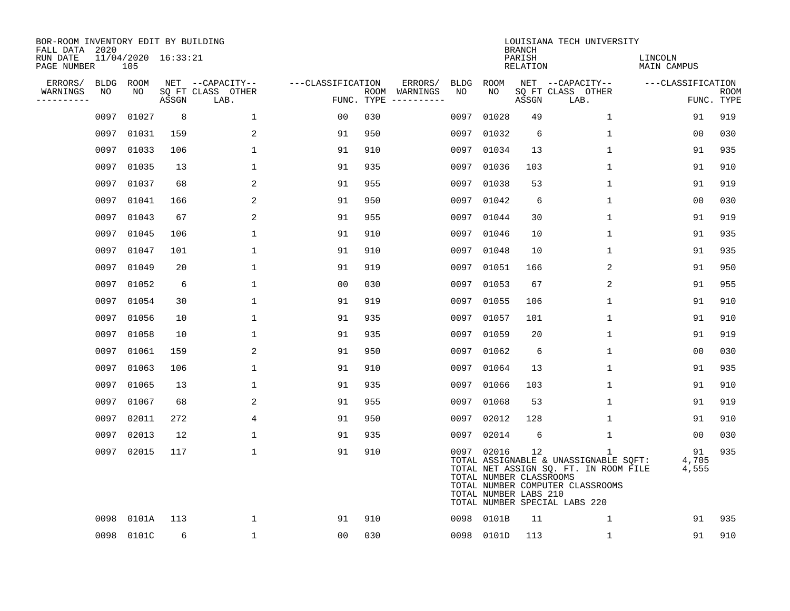| BOR-ROOM INVENTORY EDIT BY BUILDING<br>FALL DATA 2020 |      |                            |       |                           |                   |     |                                      |             |                                                                | <b>BRANCH</b>             | LOUISIANA TECH UNIVERSITY                                                                                                                                           |                               |                           |
|-------------------------------------------------------|------|----------------------------|-------|---------------------------|-------------------|-----|--------------------------------------|-------------|----------------------------------------------------------------|---------------------------|---------------------------------------------------------------------------------------------------------------------------------------------------------------------|-------------------------------|---------------------------|
| RUN DATE<br>PAGE NUMBER                               |      | 11/04/2020 16:33:21<br>105 |       |                           |                   |     |                                      |             |                                                                | PARISH<br><b>RELATION</b> |                                                                                                                                                                     | LINCOLN<br><b>MAIN CAMPUS</b> |                           |
| ERRORS/                                               |      | BLDG ROOM                  |       | NET --CAPACITY--          | ---CLASSIFICATION |     | ERRORS/                              | <b>BLDG</b> | <b>ROOM</b>                                                    |                           | NET --CAPACITY--                                                                                                                                                    | ---CLASSIFICATION             |                           |
| WARNINGS<br>-----------                               | NO   | NO                         | ASSGN | SQ FT CLASS OTHER<br>LAB. |                   |     | ROOM WARNINGS<br>FUNC. TYPE $------$ | NO          | NO                                                             | ASSGN                     | SQ FT CLASS OTHER<br>LAB.                                                                                                                                           |                               | <b>ROOM</b><br>FUNC. TYPE |
|                                                       | 0097 | 01027                      | 8     | $\mathbf 1$               | 0 <sub>0</sub>    | 030 |                                      | 0097        | 01028                                                          | 49                        | $\mathbf 1$                                                                                                                                                         | 91                            | 919                       |
|                                                       | 0097 | 01031                      | 159   | 2                         | 91                | 950 |                                      | 0097        | 01032                                                          | 6                         | 1                                                                                                                                                                   | 00                            | 030                       |
|                                                       | 0097 | 01033                      | 106   | $\mathbf{1}$              | 91                | 910 |                                      | 0097        | 01034                                                          | 13                        | 1                                                                                                                                                                   | 91                            | 935                       |
|                                                       | 0097 | 01035                      | 13    | 1                         | 91                | 935 |                                      |             | 0097 01036                                                     | 103                       | $\mathbf{1}$                                                                                                                                                        | 91                            | 910                       |
|                                                       | 0097 | 01037                      | 68    | 2                         | 91                | 955 |                                      | 0097        | 01038                                                          | 53                        | 1                                                                                                                                                                   | 91                            | 919                       |
|                                                       | 0097 | 01041                      | 166   | 2                         | 91                | 950 |                                      |             | 0097 01042                                                     | 6                         | 1                                                                                                                                                                   | 00                            | 030                       |
|                                                       | 0097 | 01043                      | 67    | 2                         | 91                | 955 |                                      |             | 0097 01044                                                     | 30                        | $\mathbf{1}$                                                                                                                                                        | 91                            | 919                       |
|                                                       | 0097 | 01045                      | 106   | $\mathbf 1$               | 91                | 910 |                                      |             | 0097 01046                                                     | 10                        | $\mathbf 1$                                                                                                                                                         | 91                            | 935                       |
|                                                       | 0097 | 01047                      | 101   | $\mathbf 1$               | 91                | 910 |                                      |             | 0097 01048                                                     | 10                        | $\mathbf 1$                                                                                                                                                         | 91                            | 935                       |
|                                                       | 0097 | 01049                      | 20    | $\mathbf 1$               | 91                | 919 |                                      |             | 0097 01051                                                     | 166                       | 2                                                                                                                                                                   | 91                            | 950                       |
|                                                       | 0097 | 01052                      | 6     | $\mathbf{1}$              | 0 <sub>0</sub>    | 030 |                                      |             | 0097 01053                                                     | 67                        | 2                                                                                                                                                                   | 91                            | 955                       |
|                                                       | 0097 | 01054                      | 30    | $\mathbf{1}$              | 91                | 919 |                                      |             | 0097 01055                                                     | 106                       | $\mathbf 1$                                                                                                                                                         | 91                            | 910                       |
|                                                       | 0097 | 01056                      | 10    | $\mathbf{1}$              | 91                | 935 |                                      |             | 0097 01057                                                     | 101                       | $\mathbf{1}$                                                                                                                                                        | 91                            | 910                       |
|                                                       | 0097 | 01058                      | 10    | 1                         | 91                | 935 |                                      |             | 0097 01059                                                     | 20                        | $\mathbf 1$                                                                                                                                                         | 91                            | 919                       |
|                                                       | 0097 | 01061                      | 159   | 2                         | 91                | 950 |                                      |             | 0097 01062                                                     | 6                         | $\mathbf 1$                                                                                                                                                         | 0 <sub>0</sub>                | 030                       |
|                                                       | 0097 | 01063                      | 106   | $\mathbf{1}$              | 91                | 910 |                                      |             | 0097 01064                                                     | 13                        | $\mathbf 1$                                                                                                                                                         | 91                            | 935                       |
|                                                       | 0097 | 01065                      | 13    | $\mathbf{1}$              | 91                | 935 |                                      | 0097        | 01066                                                          | 103                       | $\mathbf{1}$                                                                                                                                                        | 91                            | 910                       |
|                                                       | 0097 | 01067                      | 68    | 2                         | 91                | 955 |                                      |             | 0097 01068                                                     | 53                        | 1                                                                                                                                                                   | 91                            | 919                       |
|                                                       | 0097 | 02011                      | 272   | 4                         | 91                | 950 |                                      | 0097        | 02012                                                          | 128                       | 1                                                                                                                                                                   | 91                            | 910                       |
|                                                       | 0097 | 02013                      | 12    | 1                         | 91                | 935 |                                      | 0097        | 02014                                                          | 6                         | 1                                                                                                                                                                   | 00                            | 030                       |
|                                                       | 0097 | 02015                      | 117   | $\mathbf{1}$              | 91                | 910 |                                      |             | 0097 02016<br>TOTAL NUMBER CLASSROOMS<br>TOTAL NUMBER LABS 210 | 12                        | $\mathbf{1}$<br>TOTAL ASSIGNABLE & UNASSIGNABLE SQFT:<br>TOTAL NET ASSIGN SQ. FT. IN ROOM FILE<br>TOTAL NUMBER COMPUTER CLASSROOMS<br>TOTAL NUMBER SPECIAL LABS 220 | 91<br>4,705<br>4,555          | 935                       |
|                                                       | 0098 | 0101A                      | 113   | $\mathbf 1$               | 91                | 910 |                                      | 0098        | 0101B                                                          | 11                        | 1                                                                                                                                                                   | 91                            | 935                       |
|                                                       |      | 0098 0101C                 | 6     | $\mathbf{1}$              | 00                | 030 |                                      |             | 0098 0101D                                                     | 113                       | 1                                                                                                                                                                   | 91                            | 910                       |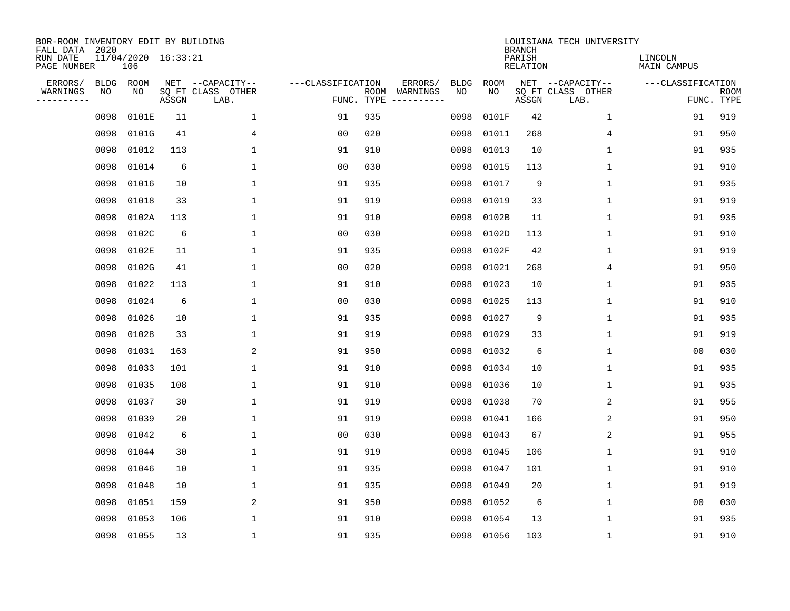| BOR-ROOM INVENTORY EDIT BY BUILDING<br>FALL DATA 2020 |             |                            |       |                           |                   |                    |          |             |             | <b>BRANCH</b>             | LOUISIANA TECH UNIVERSITY |                        |                           |
|-------------------------------------------------------|-------------|----------------------------|-------|---------------------------|-------------------|--------------------|----------|-------------|-------------|---------------------------|---------------------------|------------------------|---------------------------|
| RUN DATE<br>PAGE NUMBER                               |             | 11/04/2020 16:33:21<br>106 |       |                           |                   |                    |          |             |             | PARISH<br><b>RELATION</b> |                           | LINCOLN<br>MAIN CAMPUS |                           |
| ERRORS/                                               | <b>BLDG</b> | ROOM                       |       | NET --CAPACITY--          | ---CLASSIFICATION |                    | ERRORS/  | <b>BLDG</b> | <b>ROOM</b> |                           | NET --CAPACITY--          | ---CLASSIFICATION      |                           |
| WARNINGS<br>----------                                | ΝO          | NO                         | ASSGN | SQ FT CLASS OTHER<br>LAB. |                   | ROOM<br>FUNC. TYPE | WARNINGS | NO          | NO          | ASSGN                     | SQ FT CLASS OTHER<br>LAB. |                        | <b>ROOM</b><br>FUNC. TYPE |
|                                                       | 0098        | 0101E                      | 11    | $\mathbf 1$               | 91                | 935                |          | 0098        | 0101F       | 42                        | $\mathbf 1$               | 91                     | 919                       |
|                                                       | 0098        | 0101G                      | 41    | 4                         | 00                | 020                |          | 0098        | 01011       | 268                       | 4                         | 91                     | 950                       |
|                                                       | 0098        | 01012                      | 113   | 1                         | 91                | 910                |          | 0098        | 01013       | 10                        | 1                         | 91                     | 935                       |
|                                                       | 0098        | 01014                      | 6     | $\mathbf{1}$              | 0 <sub>0</sub>    | 030                |          | 0098        | 01015       | 113                       | $\mathbf 1$               | 91                     | 910                       |
|                                                       | 0098        | 01016                      | 10    | $\mathbf 1$               | 91                | 935                |          | 0098        | 01017       | 9                         | $\mathbf 1$               | 91                     | 935                       |
|                                                       | 0098        | 01018                      | 33    | 1                         | 91                | 919                |          | 0098        | 01019       | 33                        | $\mathbf 1$               | 91                     | 919                       |
|                                                       | 0098        | 0102A                      | 113   | $\mathbf{1}$              | 91                | 910                |          | 0098        | 0102B       | 11                        | $\mathbf{1}$              | 91                     | 935                       |
|                                                       | 0098        | 0102C                      | 6     | $\mathbf{1}$              | 0 <sub>0</sub>    | 030                |          | 0098        | 0102D       | 113                       | $\mathbf 1$               | 91                     | 910                       |
|                                                       | 0098        | 0102E                      | 11    | 1                         | 91                | 935                |          | 0098        | 0102F       | 42                        | 1                         | 91                     | 919                       |
|                                                       | 0098        | 0102G                      | 41    | $\mathbf{1}$              | 0 <sub>0</sub>    | 020                |          | 0098        | 01021       | 268                       | 4                         | 91                     | 950                       |
|                                                       | 0098        | 01022                      | 113   | $\mathbf{1}$              | 91                | 910                |          | 0098        | 01023       | 10                        | $\mathbf{1}$              | 91                     | 935                       |
|                                                       | 0098        | 01024                      | 6     | $\mathbf{1}$              | 0 <sub>0</sub>    | 030                |          | 0098        | 01025       | 113                       | $\mathbf 1$               | 91                     | 910                       |
|                                                       | 0098        | 01026                      | 10    | $\mathbf{1}$              | 91                | 935                |          | 0098        | 01027       | 9                         | $\mathbf{1}$              | 91                     | 935                       |
|                                                       | 0098        | 01028                      | 33    | 1                         | 91                | 919                |          | 0098        | 01029       | 33                        | 1                         | 91                     | 919                       |
|                                                       | 0098        | 01031                      | 163   | 2                         | 91                | 950                |          | 0098        | 01032       | 6                         | 1                         | 00                     | 030                       |
|                                                       | 0098        | 01033                      | 101   | 1                         | 91                | 910                |          | 0098        | 01034       | 10                        | 1                         | 91                     | 935                       |
|                                                       | 0098        | 01035                      | 108   | 1                         | 91                | 910                |          | 0098        | 01036       | 10                        | 1                         | 91                     | 935                       |
|                                                       | 0098        | 01037                      | 30    | 1                         | 91                | 919                |          | 0098        | 01038       | 70                        | $\overline{c}$            | 91                     | 955                       |
|                                                       | 0098        | 01039                      | 20    | 1                         | 91                | 919                |          | 0098        | 01041       | 166                       | 2                         | 91                     | 950                       |
|                                                       | 0098        | 01042                      | 6     | $\mathbf{1}$              | 0 <sub>0</sub>    | 030                |          | 0098        | 01043       | 67                        | 2                         | 91                     | 955                       |
|                                                       | 0098        | 01044                      | 30    | $\mathbf{1}$              | 91                | 919                |          | 0098        | 01045       | 106                       | $\mathbf 1$               | 91                     | 910                       |
|                                                       | 0098        | 01046                      | 10    | $\mathbf{1}$              | 91                | 935                |          | 0098        | 01047       | 101                       | $\mathbf 1$               | 91                     | 910                       |
|                                                       | 0098        | 01048                      | 10    | 1                         | 91                | 935                |          | 0098        | 01049       | 20                        | 1                         | 91                     | 919                       |
|                                                       | 0098        | 01051                      | 159   | $\overline{a}$            | 91                | 950                |          | 0098        | 01052       | 6                         | 1                         | 00                     | 030                       |
|                                                       | 0098        | 01053                      | 106   | $\mathbf{1}$              | 91                | 910                |          | 0098        | 01054       | 13                        | 1                         | 91                     | 935                       |
|                                                       | 0098        | 01055                      | 13    | 1                         | 91                | 935                |          | 0098        | 01056       | 103                       | 1                         | 91                     | 910                       |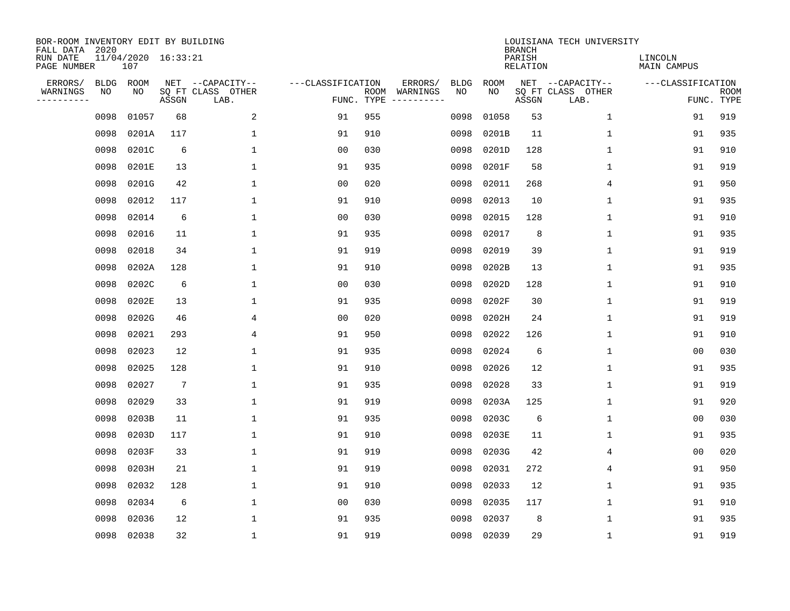| BOR-ROOM INVENTORY EDIT BY BUILDING<br>FALL DATA 2020 |             |                            |                 |                           |                   |                    |          |             |             | <b>BRANCH</b>             | LOUISIANA TECH UNIVERSITY |                        |                           |
|-------------------------------------------------------|-------------|----------------------------|-----------------|---------------------------|-------------------|--------------------|----------|-------------|-------------|---------------------------|---------------------------|------------------------|---------------------------|
| RUN DATE<br>PAGE NUMBER                               |             | 11/04/2020 16:33:21<br>107 |                 |                           |                   |                    |          |             |             | PARISH<br><b>RELATION</b> |                           | LINCOLN<br>MAIN CAMPUS |                           |
| ERRORS/                                               | <b>BLDG</b> | ROOM                       |                 | NET --CAPACITY--          | ---CLASSIFICATION |                    | ERRORS/  | <b>BLDG</b> | <b>ROOM</b> |                           | NET --CAPACITY--          | ---CLASSIFICATION      |                           |
| WARNINGS<br>----------                                | ΝO          | NO                         | ASSGN           | SQ FT CLASS OTHER<br>LAB. |                   | ROOM<br>FUNC. TYPE | WARNINGS | NO          | NO          | ASSGN                     | SQ FT CLASS OTHER<br>LAB. |                        | <b>ROOM</b><br>FUNC. TYPE |
|                                                       | 0098        | 01057                      | 68              | $\overline{a}$            | 91                | 955                |          | 0098        | 01058       | 53                        | 1                         | 91                     | 919                       |
|                                                       | 0098        | 0201A                      | 117             | 1                         | 91                | 910                |          | 0098        | 0201B       | 11                        | 1                         | 91                     | 935                       |
|                                                       | 0098        | 0201C                      | 6               | 1                         | 0 <sub>0</sub>    | 030                |          | 0098        | 0201D       | 128                       | 1                         | 91                     | 910                       |
|                                                       | 0098        | 0201E                      | 13              | 1                         | 91                | 935                |          | 0098        | 0201F       | 58                        | 1                         | 91                     | 919                       |
|                                                       | 0098        | 0201G                      | 42              | $\mathbf{1}$              | 0 <sub>0</sub>    | 020                |          | 0098        | 02011       | 268                       | 4                         | 91                     | 950                       |
|                                                       | 0098        | 02012                      | 117             | $\mathbf{1}$              | 91                | 910                |          | 0098        | 02013       | 10                        | $\mathbf 1$               | 91                     | 935                       |
|                                                       | 0098        | 02014                      | 6               | $\mathbf{1}$              | 0 <sub>0</sub>    | 030                |          | 0098        | 02015       | 128                       | $\mathbf{1}$              | 91                     | 910                       |
|                                                       | 0098        | 02016                      | 11              | $\mathbf{1}$              | 91                | 935                |          | 0098        | 02017       | 8                         | $\mathbf{1}$              | 91                     | 935                       |
|                                                       | 0098        | 02018                      | 34              | $\mathbf{1}$              | 91                | 919                |          | 0098        | 02019       | 39                        | $\mathbf{1}$              | 91                     | 919                       |
|                                                       | 0098        | 0202A                      | 128             | $\mathbf{1}$              | 91                | 910                |          | 0098        | 0202B       | 13                        | 1                         | 91                     | 935                       |
|                                                       | 0098        | 0202C                      | 6               | $\mathbf{1}$              | 0 <sub>0</sub>    | 030                |          | 0098        | 0202D       | 128                       | $\mathbf 1$               | 91                     | 910                       |
|                                                       | 0098        | 0202E                      | 13              | $\mathbf{1}$              | 91                | 935                |          | 0098        | 0202F       | 30                        | $\mathbf 1$               | 91                     | 919                       |
|                                                       | 0098        | 0202G                      | 46              | 4                         | 0 <sub>0</sub>    | 020                |          | 0098        | 0202H       | 24                        | $\mathbf 1$               | 91                     | 919                       |
|                                                       | 0098        | 02021                      | 293             | 4                         | 91                | 950                |          | 0098        | 02022       | 126                       | 1                         | 91                     | 910                       |
|                                                       | 0098        | 02023                      | 12              | 1                         | 91                | 935                |          | 0098        | 02024       | 6                         | $\mathbf 1$               | 0 <sub>0</sub>         | 030                       |
|                                                       | 0098        | 02025                      | 128             | $\mathbf{1}$              | 91                | 910                |          | 0098        | 02026       | 12                        | $\mathbf 1$               | 91                     | 935                       |
|                                                       | 0098        | 02027                      | $7\phantom{.0}$ | 1                         | 91                | 935                |          | 0098        | 02028       | 33                        | 1                         | 91                     | 919                       |
|                                                       | 0098        | 02029                      | 33              | $\mathbf{1}$              | 91                | 919                |          | 0098        | 0203A       | 125                       | 1                         | 91                     | 920                       |
|                                                       | 0098        | 0203B                      | 11              | 1                         | 91                | 935                |          | 0098        | 0203C       | 6                         | 1                         | 0 <sub>0</sub>         | 030                       |
|                                                       | 0098        | 0203D                      | 117             | $\mathbf{1}$              | 91                | 910                |          | 0098        | 0203E       | 11                        | 1                         | 91                     | 935                       |
|                                                       | 0098        | 0203F                      | 33              | $\mathbf{1}$              | 91                | 919                |          | 0098        | 0203G       | 42                        | 4                         | 0 <sub>0</sub>         | 020                       |
|                                                       | 0098        | 0203H                      | 21              | $\mathbf{1}$              | 91                | 919                |          | 0098        | 02031       | 272                       | 4                         | 91                     | 950                       |
|                                                       | 0098        | 02032                      | 128             | $\mathbf{1}$              | 91                | 910                |          | 0098        | 02033       | 12                        | $\mathbf 1$               | 91                     | 935                       |
|                                                       | 0098        | 02034                      | 6               | $\mathbf{1}$              | 0 <sub>0</sub>    | 030                |          | 0098        | 02035       | 117                       | $\mathbf 1$               | 91                     | 910                       |
|                                                       | 0098        | 02036                      | 12              | $\mathbf{1}$              | 91                | 935                |          | 0098        | 02037       | 8                         | $\mathbf 1$               | 91                     | 935                       |
|                                                       | 0098        | 02038                      | 32              | $\mathbf{1}$              | 91                | 919                |          | 0098        | 02039       | 29                        | $\mathbf 1$               | 91                     | 919                       |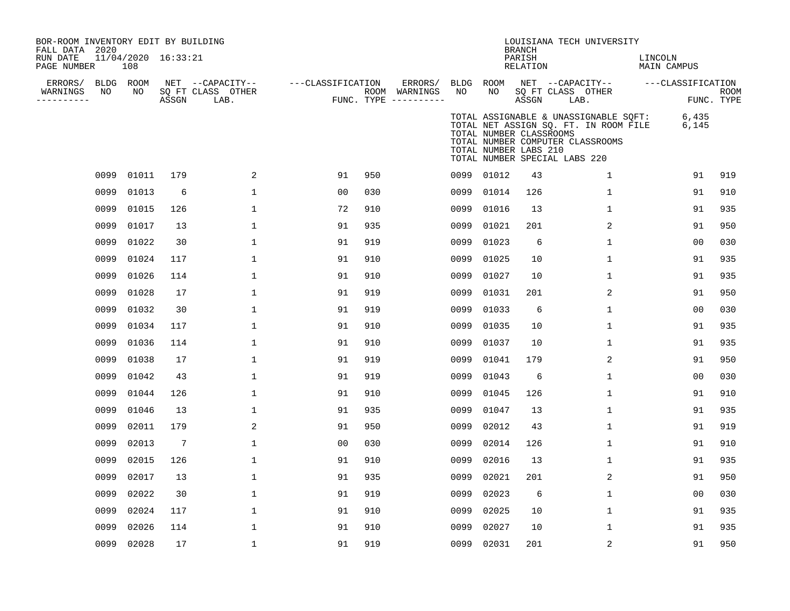| BOR-ROOM INVENTORY EDIT BY BUILDING<br>FALL DATA 2020<br>RUN DATE<br>PAGE NUMBER |      | 11/04/2020 16:33:21<br>108 |                 |                                               |                   |     |                                                 |            |                                                  | <b>BRANCH</b><br>PARISH<br>RELATION | LOUISIANA TECH UNIVERSITY                                                                                                                           | LINCOLN<br>MAIN CAMPUS |                           |
|----------------------------------------------------------------------------------|------|----------------------------|-----------------|-----------------------------------------------|-------------------|-----|-------------------------------------------------|------------|--------------------------------------------------|-------------------------------------|-----------------------------------------------------------------------------------------------------------------------------------------------------|------------------------|---------------------------|
| ERRORS/<br>WARNINGS<br>-----------                                               | NO   | BLDG ROOM<br>NO            | ASSGN           | NET --CAPACITY--<br>SQ FT CLASS OTHER<br>LAB. | ---CLASSIFICATION |     | ERRORS/<br>ROOM WARNINGS<br>FUNC. TYPE $------$ | BLDG<br>NO | ROOM<br>NO                                       | ASSGN                               | NET --CAPACITY--<br>SQ FT CLASS OTHER<br>LAB.                                                                                                       | ---CLASSIFICATION      | <b>ROOM</b><br>FUNC. TYPE |
|                                                                                  |      |                            |                 |                                               |                   |     |                                                 |            | TOTAL NUMBER CLASSROOMS<br>TOTAL NUMBER LABS 210 |                                     | TOTAL ASSIGNABLE & UNASSIGNABLE SQFT:<br>TOTAL NET ASSIGN SQ. FT. IN ROOM FILE<br>TOTAL NUMBER COMPUTER CLASSROOMS<br>TOTAL NUMBER SPECIAL LABS 220 | 6,435<br>6,145         |                           |
|                                                                                  | 0099 | 01011                      | 179             | 2                                             | 91                | 950 |                                                 | 0099       | 01012                                            | 43                                  | 1                                                                                                                                                   | 91                     | 919                       |
|                                                                                  | 0099 | 01013                      | 6               | $\mathbf 1$                                   | 00                | 030 |                                                 | 0099       | 01014                                            | 126                                 | $\mathbf 1$                                                                                                                                         | 91                     | 910                       |
|                                                                                  | 0099 | 01015                      | 126             | $\mathbf 1$                                   | 72                | 910 |                                                 | 0099       | 01016                                            | 13                                  | $\mathbf 1$                                                                                                                                         | 91                     | 935                       |
|                                                                                  | 0099 | 01017                      | 13              | $\mathbf{1}$                                  | 91                | 935 |                                                 | 0099       | 01021                                            | 201                                 | 2                                                                                                                                                   | 91                     | 950                       |
|                                                                                  | 0099 | 01022                      | 30              | $\mathbf 1$                                   | 91                | 919 |                                                 | 0099       | 01023                                            | 6                                   | 1                                                                                                                                                   | 00                     | 030                       |
|                                                                                  | 0099 | 01024                      | 117             | $\mathbf{1}$                                  | 91                | 910 |                                                 | 0099       | 01025                                            | 10                                  | $\mathbf 1$                                                                                                                                         | 91                     | 935                       |
|                                                                                  | 0099 | 01026                      | 114             | $\mathbf{1}$                                  | 91                | 910 |                                                 | 0099       | 01027                                            | 10                                  | $\mathbf{1}$                                                                                                                                        | 91                     | 935                       |
|                                                                                  | 0099 | 01028                      | 17              | 1                                             | 91                | 919 |                                                 | 0099       | 01031                                            | 201                                 | 2                                                                                                                                                   | 91                     | 950                       |
|                                                                                  | 0099 | 01032                      | 30              | $\mathbf 1$                                   | 91                | 919 |                                                 | 0099       | 01033                                            | 6                                   | $\mathbf 1$                                                                                                                                         | 0 <sub>0</sub>         | 030                       |
|                                                                                  | 0099 | 01034                      | 117             | $\mathbf 1$                                   | 91                | 910 |                                                 | 0099       | 01035                                            | 10                                  | $\mathbf 1$                                                                                                                                         | 91                     | 935                       |
|                                                                                  | 0099 | 01036                      | 114             | 1                                             | 91                | 910 |                                                 | 0099       | 01037                                            | 10                                  | 1                                                                                                                                                   | 91                     | 935                       |
|                                                                                  | 0099 | 01038                      | 17              | $\mathbf 1$                                   | 91                | 919 |                                                 | 0099       | 01041                                            | 179                                 | $\overline{2}$                                                                                                                                      | 91                     | 950                       |
|                                                                                  | 0099 | 01042                      | 43              | $\mathbf 1$                                   | 91                | 919 |                                                 | 0099       | 01043                                            | 6                                   | 1                                                                                                                                                   | 0 <sub>0</sub>         | 030                       |
|                                                                                  | 0099 | 01044                      | 126             | $\mathbf{1}$                                  | 91                | 910 |                                                 | 0099       | 01045                                            | 126                                 | $\mathbf 1$                                                                                                                                         | 91                     | 910                       |
|                                                                                  | 0099 | 01046                      | 13              | $\mathbf 1$                                   | 91                | 935 |                                                 | 0099       | 01047                                            | 13                                  | $\mathbf 1$                                                                                                                                         | 91                     | 935                       |
|                                                                                  | 0099 | 02011                      | 179             | 2                                             | 91                | 950 |                                                 | 0099       | 02012                                            | 43                                  | $\mathbf{1}$                                                                                                                                        | 91                     | 919                       |
|                                                                                  | 0099 | 02013                      | $7\phantom{.0}$ | $\mathbf 1$                                   | 0 <sub>0</sub>    | 030 |                                                 | 0099       | 02014                                            | 126                                 | $\mathbf 1$                                                                                                                                         | 91                     | 910                       |
|                                                                                  | 0099 | 02015                      | 126             | $\mathbf 1$                                   | 91                | 910 |                                                 | 0099       | 02016                                            | 13                                  | $\mathbf 1$                                                                                                                                         | 91                     | 935                       |
|                                                                                  | 0099 | 02017                      | 13              | $\mathbf 1$                                   | 91                | 935 |                                                 | 0099       | 02021                                            | 201                                 | 2                                                                                                                                                   | 91                     | 950                       |
|                                                                                  | 0099 | 02022                      | 30              | 1                                             | 91                | 919 |                                                 | 0099       | 02023                                            | 6                                   | $\mathbf 1$                                                                                                                                         | 00                     | 030                       |
|                                                                                  | 0099 | 02024                      | 117             | 1                                             | 91                | 910 |                                                 | 0099       | 02025                                            | 10                                  | $\mathbf 1$                                                                                                                                         | 91                     | 935                       |
|                                                                                  | 0099 | 02026                      | 114             | 1                                             | 91                | 910 |                                                 | 0099       | 02027                                            | 10                                  | 1                                                                                                                                                   | 91                     | 935                       |
|                                                                                  | 0099 | 02028                      | 17              | $\mathbf{1}$                                  | 91                | 919 |                                                 |            | 0099 02031                                       | 201                                 | 2                                                                                                                                                   | 91                     | 950                       |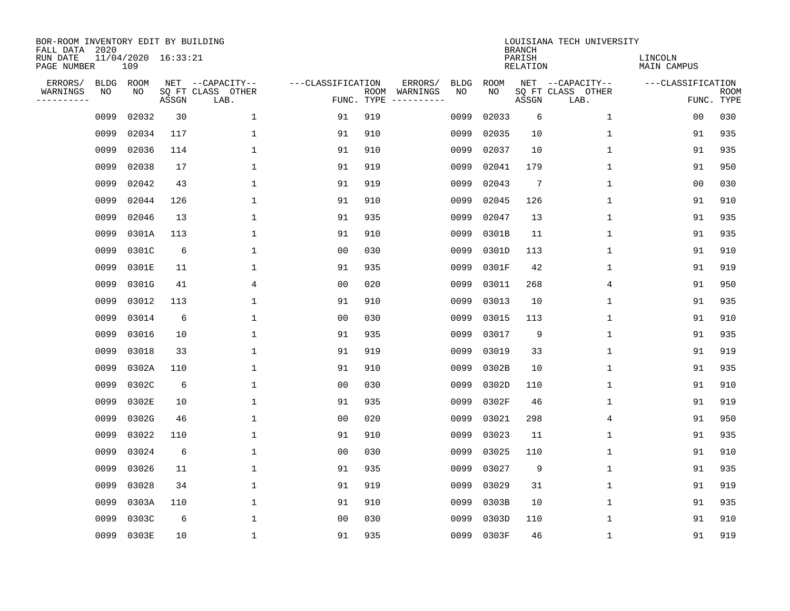| BOR-ROOM INVENTORY EDIT BY BUILDING<br>FALL DATA 2020 |             |                            |       |                           |                   |                    |                         |             |             | <b>BRANCH</b>             | LOUISIANA TECH UNIVERSITY |                               |                           |
|-------------------------------------------------------|-------------|----------------------------|-------|---------------------------|-------------------|--------------------|-------------------------|-------------|-------------|---------------------------|---------------------------|-------------------------------|---------------------------|
| RUN DATE<br>PAGE NUMBER                               |             | 11/04/2020 16:33:21<br>109 |       |                           |                   |                    |                         |             |             | PARISH<br><b>RELATION</b> |                           | LINCOLN<br><b>MAIN CAMPUS</b> |                           |
| ERRORS/                                               | <b>BLDG</b> | ROOM                       |       | NET --CAPACITY--          | ---CLASSIFICATION |                    | ERRORS/                 | <b>BLDG</b> | <b>ROOM</b> |                           | NET --CAPACITY--          | ---CLASSIFICATION             |                           |
| WARNINGS<br>----------                                | NO          | NO                         | ASSGN | SQ FT CLASS OTHER<br>LAB. |                   | ROOM<br>FUNC. TYPE | WARNINGS<br>----------- | NO          | NO          | ASSGN                     | SQ FT CLASS OTHER<br>LAB. |                               | <b>ROOM</b><br>FUNC. TYPE |
|                                                       | 0099        | 02032                      | 30    | 1                         | 91                | 919                |                         | 0099        | 02033       | 6                         | $\mathbf 1$               | 00                            | 030                       |
|                                                       | 0099        | 02034                      | 117   | 1                         | 91                | 910                |                         | 0099        | 02035       | 10                        | 1                         | 91                            | 935                       |
|                                                       | 0099        | 02036                      | 114   | $\mathbf 1$               | 91                | 910                |                         | 0099        | 02037       | 10                        | 1                         | 91                            | 935                       |
|                                                       | 0099        | 02038                      | 17    | 1                         | 91                | 919                |                         | 0099        | 02041       | 179                       | 1                         | 91                            | 950                       |
|                                                       | 0099        | 02042                      | 43    | $\mathbf 1$               | 91                | 919                |                         | 0099        | 02043       | $7\phantom{.0}$           | $\mathbf 1$               | 00                            | 030                       |
|                                                       | 0099        | 02044                      | 126   | $\mathbf{1}$              | 91                | 910                |                         | 0099        | 02045       | 126                       | 1                         | 91                            | 910                       |
|                                                       | 0099        | 02046                      | 13    | $\mathbf{1}$              | 91                | 935                |                         | 0099        | 02047       | 13                        | $\mathbf{1}$              | 91                            | 935                       |
|                                                       | 0099        | 0301A                      | 113   | $\mathbf{1}$              | 91                | 910                |                         | 0099        | 0301B       | 11                        | $\mathbf{1}$              | 91                            | 935                       |
|                                                       | 0099        | 0301C                      | 6     | $\mathbf{1}$              | 0 <sub>0</sub>    | 030                |                         | 0099        | 0301D       | 113                       | $\mathbf{1}$              | 91                            | 910                       |
|                                                       | 0099        | 0301E                      | 11    | 1                         | 91                | 935                |                         | 0099        | 0301F       | 42                        | 1                         | 91                            | 919                       |
|                                                       | 0099        | 0301G                      | 41    | 4                         | 0 <sub>0</sub>    | 020                |                         | 0099        | 03011       | 268                       | 4                         | 91                            | 950                       |
|                                                       | 0099        | 03012                      | 113   | 1                         | 91                | 910                |                         | 0099        | 03013       | 10                        | 1                         | 91                            | 935                       |
|                                                       | 0099        | 03014                      | 6     | $\mathbf{1}$              | 0 <sub>0</sub>    | 030                |                         | 0099        | 03015       | 113                       | $\mathbf 1$               | 91                            | 910                       |
|                                                       | 0099        | 03016                      | 10    | 1                         | 91                | 935                |                         | 0099        | 03017       | 9                         | 1                         | 91                            | 935                       |
|                                                       | 0099        | 03018                      | 33    | 1                         | 91                | 919                |                         | 0099        | 03019       | 33                        | 1                         | 91                            | 919                       |
|                                                       | 0099        | 0302A                      | 110   | 1                         | 91                | 910                |                         | 0099        | 0302B       | 10                        | 1                         | 91                            | 935                       |
|                                                       | 0099        | 0302C                      | 6     | 1                         | 0 <sub>0</sub>    | 030                |                         | 0099        | 0302D       | 110                       | 1                         | 91                            | 910                       |
|                                                       | 0099        | 0302E                      | 10    | 1                         | 91                | 935                |                         | 0099        | 0302F       | 46                        | 1                         | 91                            | 919                       |
|                                                       | 0099        | 0302G                      | 46    | 1                         | 0 <sub>0</sub>    | 020                |                         | 0099        | 03021       | 298                       | 4                         | 91                            | 950                       |
|                                                       | 0099        | 03022                      | 110   | 1                         | 91                | 910                |                         | 0099        | 03023       | 11                        | 1                         | 91                            | 935                       |
|                                                       | 0099        | 03024                      | 6     | 1                         | 0 <sub>0</sub>    | 030                |                         | 0099        | 03025       | 110                       | 1                         | 91                            | 910                       |
|                                                       | 0099        | 03026                      | 11    | $\mathbf{1}$              | 91                | 935                |                         | 0099        | 03027       | 9                         | 1                         | 91                            | 935                       |
|                                                       | 0099        | 03028                      | 34    | 1                         | 91                | 919                |                         | 0099        | 03029       | 31                        | 1                         | 91                            | 919                       |
|                                                       | 0099        | 0303A                      | 110   | $\mathbf{1}$              | 91                | 910                |                         | 0099        | 0303B       | 10                        | $\mathbf 1$               | 91                            | 935                       |
|                                                       | 0099        | 0303C                      | 6     | $\mathbf{1}$              | 0 <sub>0</sub>    | 030                |                         | 0099        | 0303D       | 110                       | 1                         | 91                            | 910                       |
|                                                       | 0099        | 0303E                      | 10    | $\mathbf{1}$              | 91                | 935                |                         | 0099        | 0303F       | 46                        | 1                         | 91                            | 919                       |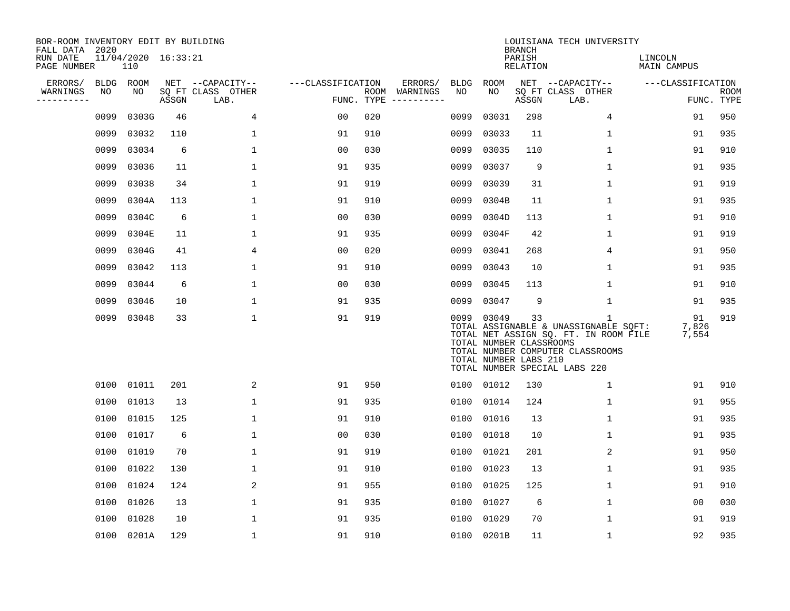| BOR-ROOM INVENTORY EDIT BY BUILDING<br>FALL DATA 2020 |           |                            |       |                           |                   |     |                                      |      |                                                           | <b>BRANCH</b>      | LOUISIANA TECH UNIVERSITY                                                                                                                                |                        |                           |
|-------------------------------------------------------|-----------|----------------------------|-------|---------------------------|-------------------|-----|--------------------------------------|------|-----------------------------------------------------------|--------------------|----------------------------------------------------------------------------------------------------------------------------------------------------------|------------------------|---------------------------|
| RUN DATE<br>PAGE NUMBER                               |           | 11/04/2020 16:33:21<br>110 |       |                           |                   |     |                                      |      |                                                           | PARISH<br>RELATION |                                                                                                                                                          | LINCOLN<br>MAIN CAMPUS |                           |
| ERRORS/                                               | BLDG ROOM |                            |       | NET --CAPACITY--          | ---CLASSIFICATION |     | ERRORS/                              | BLDG | <b>ROOM</b>                                               |                    | NET --CAPACITY--                                                                                                                                         | ---CLASSIFICATION      |                           |
| WARNINGS<br>----------                                | NO        | NO                         | ASSGN | SQ FT CLASS OTHER<br>LAB. |                   |     | ROOM WARNINGS<br>FUNC. TYPE $------$ | NO   | NO                                                        | ASSGN              | SQ FT CLASS OTHER<br>LAB.                                                                                                                                |                        | <b>ROOM</b><br>FUNC. TYPE |
|                                                       | 0099      | 0303G                      | 46    | 4                         | 0 <sub>0</sub>    | 020 |                                      | 0099 | 03031                                                     | 298                | $\overline{4}$                                                                                                                                           | 91                     | 950                       |
|                                                       | 0099      | 03032                      | 110   | $\mathbf 1$               | 91                | 910 |                                      | 0099 | 03033                                                     | 11                 | 1                                                                                                                                                        | 91                     | 935                       |
|                                                       | 0099      | 03034                      | 6     | $\mathbf{1}$              | 0 <sub>0</sub>    | 030 |                                      | 0099 | 03035                                                     | 110                | $\mathbf{1}$                                                                                                                                             | 91                     | 910                       |
|                                                       | 0099      | 03036                      | 11    | $\mathbf 1$               | 91                | 935 |                                      | 0099 | 03037                                                     | 9                  | $\mathbf{1}$                                                                                                                                             | 91                     | 935                       |
|                                                       | 0099      | 03038                      | 34    | $\mathbf 1$               | 91                | 919 |                                      | 0099 | 03039                                                     | 31                 | $\mathbf{1}$                                                                                                                                             | 91                     | 919                       |
|                                                       | 0099      | 0304A                      | 113   | $\mathbf{1}$              | 91                | 910 |                                      | 0099 | 0304B                                                     | 11                 | $\mathbf{1}$                                                                                                                                             | 91                     | 935                       |
|                                                       | 0099      | 0304C                      | 6     | $\mathbf 1$               | 0 <sub>0</sub>    | 030 |                                      | 0099 | 0304D                                                     | 113                | $\mathbf 1$                                                                                                                                              | 91                     | 910                       |
|                                                       | 0099      | 0304E                      | 11    | $\mathbf{1}$              | 91                | 935 |                                      | 0099 | 0304F                                                     | 42                 | 1                                                                                                                                                        | 91                     | 919                       |
|                                                       | 0099      | 0304G                      | 41    | 4                         | 0 <sub>0</sub>    | 020 |                                      | 0099 | 03041                                                     | 268                | 4                                                                                                                                                        | 91                     | 950                       |
|                                                       | 0099      | 03042                      | 113   | 1                         | 91                | 910 |                                      | 0099 | 03043                                                     | 10                 | 1                                                                                                                                                        | 91                     | 935                       |
|                                                       | 0099      | 03044                      | 6     | 1                         | 00                | 030 |                                      | 0099 | 03045                                                     | 113                | 1                                                                                                                                                        | 91                     | 910                       |
|                                                       | 0099      | 03046                      | 10    | $\mathbf{1}$              | 91                | 935 |                                      | 0099 | 03047                                                     | 9                  | $\mathbf 1$                                                                                                                                              | 91                     | 935                       |
|                                                       | 0099      | 03048                      | 33    | $\mathbf 1$               | 91                | 919 |                                      | 0099 | 03049<br>TOTAL NUMBER CLASSROOMS<br>TOTAL NUMBER LABS 210 | 33                 | 1<br>TOTAL ASSIGNABLE & UNASSIGNABLE SQFT:<br>TOTAL NET ASSIGN SQ. FT. IN ROOM FILE<br>TOTAL NUMBER COMPUTER CLASSROOMS<br>TOTAL NUMBER SPECIAL LABS 220 | 91<br>7,826<br>7,554   | 919                       |
|                                                       |           | 0100 01011                 | 201   | 2                         | 91                | 950 |                                      |      | 0100 01012                                                | 130                | 1                                                                                                                                                        | 91                     | 910                       |
|                                                       | 0100      | 01013                      | 13    | $\mathbf 1$               | 91                | 935 |                                      | 0100 | 01014                                                     | 124                | $\mathbf 1$                                                                                                                                              | 91                     | 955                       |
|                                                       | 0100      | 01015                      | 125   | $\mathbf{1}$              | 91                | 910 |                                      | 0100 | 01016                                                     | 13                 | $\mathbf{1}$                                                                                                                                             | 91                     | 935                       |
|                                                       | 0100      | 01017                      | 6     | $\mathbf{1}$              | 0 <sub>0</sub>    | 030 |                                      | 0100 | 01018                                                     | 10                 | $\mathbf 1$                                                                                                                                              | 91                     | 935                       |
|                                                       | 0100      | 01019                      | 70    | $\mathbf{1}$              | 91                | 919 |                                      | 0100 | 01021                                                     | 201                | 2                                                                                                                                                        | 91                     | 950                       |
|                                                       | 0100      | 01022                      | 130   | $\mathbf 1$               | 91                | 910 |                                      | 0100 | 01023                                                     | 13                 | $\mathbf 1$                                                                                                                                              | 91                     | 935                       |
|                                                       | 0100      | 01024                      | 124   | 2                         | 91                | 955 |                                      | 0100 | 01025                                                     | 125                | 1                                                                                                                                                        | 91                     | 910                       |
|                                                       | 0100      | 01026                      | 13    | $\mathbf 1$               | 91                | 935 |                                      | 0100 | 01027                                                     | 6                  | 1                                                                                                                                                        | 0 <sub>0</sub>         | 030                       |
|                                                       | 0100      | 01028                      | 10    | 1                         | 91                | 935 |                                      | 0100 | 01029                                                     | 70                 | 1                                                                                                                                                        | 91                     | 919                       |
|                                                       |           | 0100 0201A                 | 129   | $\mathbf 1$               | 91                | 910 |                                      |      | 0100 0201B                                                | 11                 | 1                                                                                                                                                        | 92                     | 935                       |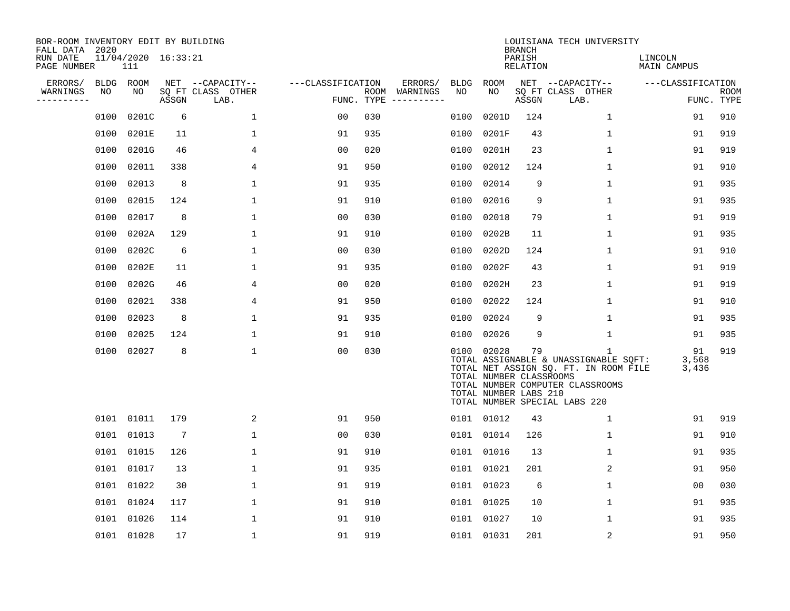| BOR-ROOM INVENTORY EDIT BY BUILDING<br>FALL DATA 2020 |             |                            |                 |                           |                   |            |                              |             |                                                                | <b>BRANCH</b>      | LOUISIANA TECH UNIVERSITY                                                                                                                                |                        |                           |
|-------------------------------------------------------|-------------|----------------------------|-----------------|---------------------------|-------------------|------------|------------------------------|-------------|----------------------------------------------------------------|--------------------|----------------------------------------------------------------------------------------------------------------------------------------------------------|------------------------|---------------------------|
| RUN DATE<br>PAGE NUMBER                               |             | 11/04/2020 16:33:21<br>111 |                 |                           |                   |            |                              |             |                                                                | PARISH<br>RELATION |                                                                                                                                                          | LINCOLN<br>MAIN CAMPUS |                           |
| ERRORS/                                               | <b>BLDG</b> | ROOM                       |                 | NET --CAPACITY--          | ---CLASSIFICATION |            | ERRORS/                      | <b>BLDG</b> | ROOM                                                           |                    | NET --CAPACITY--                                                                                                                                         | ---CLASSIFICATION      |                           |
| WARNINGS<br>----------                                | NO          | NO                         | ASSGN           | SQ FT CLASS OTHER<br>LAB. |                   | FUNC. TYPE | ROOM WARNINGS<br>----------- | NO          | NO                                                             | ASSGN              | SQ FT CLASS OTHER<br>LAB.                                                                                                                                |                        | <b>ROOM</b><br>FUNC. TYPE |
|                                                       | 0100        | 0201C                      | 6               | 1                         | 00                | 030        |                              | 0100        | 0201D                                                          | 124                | $\mathbf{1}$                                                                                                                                             | 91                     | 910                       |
|                                                       | 0100        | 0201E                      | 11              | 1                         | 91                | 935        |                              | 0100        | 0201F                                                          | 43                 | 1                                                                                                                                                        | 91                     | 919                       |
|                                                       | 0100        | 0201G                      | 46              | 4                         | 0 <sub>0</sub>    | 020        |                              | 0100        | 0201H                                                          | 23                 | $\mathbf{1}$                                                                                                                                             | 91                     | 919                       |
|                                                       | 0100        | 02011                      | 338             | 4                         | 91                | 950        |                              | 0100        | 02012                                                          | 124                | $\mathbf{1}$                                                                                                                                             | 91                     | 910                       |
|                                                       | 0100        | 02013                      | 8               | 1                         | 91                | 935        |                              | 0100        | 02014                                                          | 9                  | $\mathbf{1}$                                                                                                                                             | 91                     | 935                       |
|                                                       | 0100        | 02015                      | 124             | $\mathbf{1}$              | 91                | 910        |                              | 0100        | 02016                                                          | 9                  | $\mathbf{1}$                                                                                                                                             | 91                     | 935                       |
|                                                       | 0100        | 02017                      | 8               | 1                         | 0 <sub>0</sub>    | 030        |                              | 0100        | 02018                                                          | 79                 | $\mathbf 1$                                                                                                                                              | 91                     | 919                       |
|                                                       | 0100        | 0202A                      | 129             | $\mathbf 1$               | 91                | 910        |                              | 0100        | 0202B                                                          | 11                 | $\mathbf 1$                                                                                                                                              | 91                     | 935                       |
|                                                       | 0100        | 0202C                      | 6               | $\mathbf 1$               | 0 <sub>0</sub>    | 030        |                              | 0100        | 0202D                                                          | 124                | $\mathbf 1$                                                                                                                                              | 91                     | 910                       |
|                                                       | 0100        | 0202E                      | 11              | 1                         | 91                | 935        |                              | 0100        | 0202F                                                          | 43                 | 1                                                                                                                                                        | 91                     | 919                       |
|                                                       | 0100        | 0202G                      | 46              | 4                         | 00                | 020        |                              | 0100        | 0202H                                                          | 23                 | 1                                                                                                                                                        | 91                     | 919                       |
|                                                       | 0100        | 02021                      | 338             | 4                         | 91                | 950        |                              | 0100        | 02022                                                          | 124                | $\mathbf{1}$                                                                                                                                             | 91                     | 910                       |
|                                                       | 0100        | 02023                      | 8               | 1                         | 91                | 935        |                              | 0100        | 02024                                                          | 9                  | 1                                                                                                                                                        | 91                     | 935                       |
|                                                       | 0100        | 02025                      | 124             | 1                         | 91                | 910        |                              | 0100        | 02026                                                          | 9                  | $\mathbf 1$                                                                                                                                              | 91                     | 935                       |
|                                                       | 0100        | 02027                      | 8               | $\mathbf{1}$              | 0 <sub>0</sub>    | 030        |                              |             | 0100 02028<br>TOTAL NUMBER CLASSROOMS<br>TOTAL NUMBER LABS 210 | 79                 | 1<br>TOTAL ASSIGNABLE & UNASSIGNABLE SQFT:<br>TOTAL NET ASSIGN SQ. FT. IN ROOM FILE<br>TOTAL NUMBER COMPUTER CLASSROOMS<br>TOTAL NUMBER SPECIAL LABS 220 | 91<br>3,568<br>3,436   | 919                       |
|                                                       |             | 0101 01011                 | 179             | 2                         | 91                | 950        |                              |             | 0101 01012                                                     | 43                 | $\mathbf{1}$                                                                                                                                             | 91                     | 919                       |
|                                                       | 0101        | 01013                      | $7\phantom{.0}$ | $\mathbf 1$               | 0 <sub>0</sub>    | 030        |                              |             | 0101 01014                                                     | 126                | $\mathbf 1$                                                                                                                                              | 91                     | 910                       |
|                                                       | 0101        | 01015                      | 126             | $\mathbf 1$               | 91                | 910        |                              |             | 0101 01016                                                     | 13                 | $\mathbf{1}$                                                                                                                                             | 91                     | 935                       |
|                                                       | 0101        | 01017                      | 13              | $\mathbf 1$               | 91                | 935        |                              | 0101        | 01021                                                          | 201                | 2                                                                                                                                                        | 91                     | 950                       |
|                                                       | 0101        | 01022                      | 30              | 1                         | 91                | 919        |                              |             | 0101 01023                                                     | 6                  | $\mathbf 1$                                                                                                                                              | 0 <sub>0</sub>         | 030                       |
|                                                       | 0101        | 01024                      | 117             | $\mathbf 1$               | 91                | 910        |                              | 0101        | 01025                                                          | 10                 | $\mathbf 1$                                                                                                                                              | 91                     | 935                       |
|                                                       | 0101        | 01026                      | 114             | $\mathbf{1}$              | 91                | 910        |                              | 0101        | 01027                                                          | 10                 | 1                                                                                                                                                        | 91                     | 935                       |
|                                                       |             | 0101 01028                 | 17              | 1                         | 91                | 919        |                              |             | 0101 01031                                                     | 201                | 2                                                                                                                                                        | 91                     | 950                       |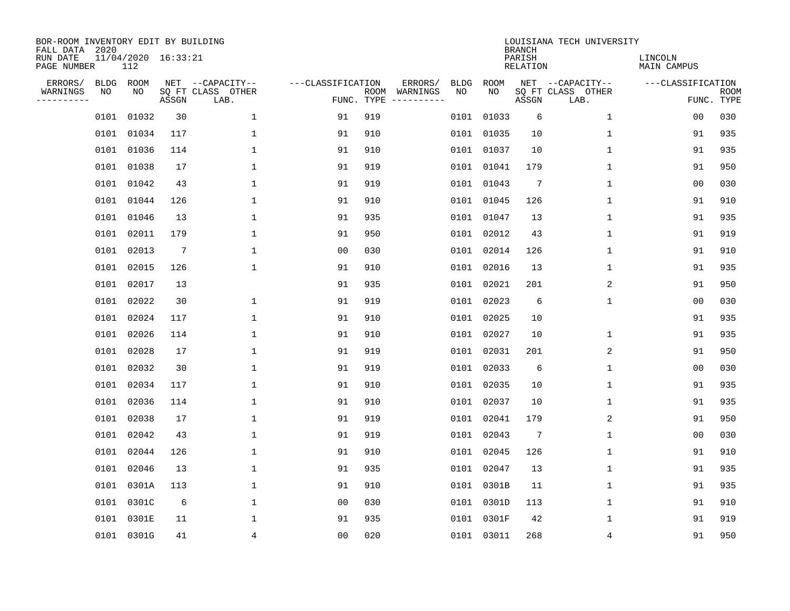| BOR-ROOM INVENTORY EDIT BY BUILDING<br>FALL DATA 2020 |      |                            |                 |                           |                   |                    |                         |             |            | <b>BRANCH</b>             | LOUISIANA TECH UNIVERSITY |                        |                           |
|-------------------------------------------------------|------|----------------------------|-----------------|---------------------------|-------------------|--------------------|-------------------------|-------------|------------|---------------------------|---------------------------|------------------------|---------------------------|
| RUN DATE<br>PAGE NUMBER                               |      | 11/04/2020 16:33:21<br>112 |                 |                           |                   |                    |                         |             |            | PARISH<br><b>RELATION</b> |                           | LINCOLN<br>MAIN CAMPUS |                           |
| ERRORS/                                               | BLDG | ROOM                       |                 | NET --CAPACITY--          | ---CLASSIFICATION |                    | ERRORS/                 | <b>BLDG</b> | ROOM       |                           | NET --CAPACITY--          | ---CLASSIFICATION      |                           |
| WARNINGS<br>----------                                | NO   | NO                         | ASSGN           | SQ FT CLASS OTHER<br>LAB. |                   | ROOM<br>FUNC. TYPE | WARNINGS<br>----------- | NO          | NO         | ASSGN                     | SQ FT CLASS OTHER<br>LAB. |                        | <b>ROOM</b><br>FUNC. TYPE |
|                                                       | 0101 | 01032                      | 30              | $\mathbf 1$               | 91                | 919                |                         | 0101        | 01033      | 6                         | $\mathbf 1$               | 0 <sub>0</sub>         | 030                       |
|                                                       | 0101 | 01034                      | 117             | 1                         | 91                | 910                |                         |             | 0101 01035 | 10                        | 1                         | 91                     | 935                       |
|                                                       | 0101 | 01036                      | 114             | $\mathbf{1}$              | 91                | 910                |                         |             | 0101 01037 | 10                        | 1                         | 91                     | 935                       |
|                                                       | 0101 | 01038                      | 17              | 1                         | 91                | 919                |                         |             | 0101 01041 | 179                       | $\mathbf 1$               | 91                     | 950                       |
|                                                       | 0101 | 01042                      | 43              | $\mathbf 1$               | 91                | 919                |                         |             | 0101 01043 | $7\phantom{.0}$           | $\mathbf{1}$              | 0 <sub>0</sub>         | 030                       |
|                                                       |      | 0101 01044                 | 126             | 1                         | 91                | 910                |                         |             | 0101 01045 | 126                       | 1                         | 91                     | 910                       |
|                                                       | 0101 | 01046                      | 13              | $\mathbf{1}$              | 91                | 935                |                         |             | 0101 01047 | 13                        | $\mathbf 1$               | 91                     | 935                       |
|                                                       | 0101 | 02011                      | 179             | $\mathbf{1}$              | 91                | 950                |                         |             | 0101 02012 | 43                        | 1                         | 91                     | 919                       |
|                                                       | 0101 | 02013                      | $7\phantom{.0}$ | $\mathbf{1}$              | 0 <sub>0</sub>    | 030                |                         |             | 0101 02014 | 126                       | 1                         | 91                     | 910                       |
|                                                       | 0101 | 02015                      | 126             | $\mathbf{1}$              | 91                | 910                |                         |             | 0101 02016 | 13                        | 1                         | 91                     | 935                       |
|                                                       | 0101 | 02017                      | 13              |                           | 91                | 935                |                         |             | 0101 02021 | 201                       | 2                         | 91                     | 950                       |
|                                                       | 0101 | 02022                      | 30              | 1                         | 91                | 919                |                         |             | 0101 02023 | 6                         | $\mathbf 1$               | 0 <sub>0</sub>         | 030                       |
|                                                       | 0101 | 02024                      | 117             | $\mathbf{1}$              | 91                | 910                |                         |             | 0101 02025 | 10                        |                           | 91                     | 935                       |
|                                                       | 0101 | 02026                      | 114             | 1                         | 91                | 910                |                         |             | 0101 02027 | 10                        | 1                         | 91                     | 935                       |
|                                                       | 0101 | 02028                      | 17              | 1                         | 91                | 919                |                         |             | 0101 02031 | 201                       | 2                         | 91                     | 950                       |
|                                                       | 0101 | 02032                      | 30              | 1                         | 91                | 919                |                         |             | 0101 02033 | 6                         | 1                         | 00                     | 030                       |
|                                                       | 0101 | 02034                      | 117             | 1                         | 91                | 910                |                         | 0101        | 02035      | 10                        | 1                         | 91                     | 935                       |
|                                                       | 0101 | 02036                      | 114             | 1                         | 91                | 910                |                         |             | 0101 02037 | 10                        | 1                         | 91                     | 935                       |
|                                                       | 0101 | 02038                      | 17              | 1                         | 91                | 919                |                         |             | 0101 02041 | 179                       | 2                         | 91                     | 950                       |
|                                                       | 0101 | 02042                      | 43              | $\mathbf{1}$              | 91                | 919                |                         |             | 0101 02043 | 7                         | 1                         | 0 <sub>0</sub>         | 030                       |
|                                                       | 0101 | 02044                      | 126             | 1                         | 91                | 910                |                         |             | 0101 02045 | 126                       | 1                         | 91                     | 910                       |
|                                                       | 0101 | 02046                      | 13              | $\mathbf{1}$              | 91                | 935                |                         |             | 0101 02047 | 13                        | 1                         | 91                     | 935                       |
|                                                       | 0101 | 0301A                      | 113             | 1                         | 91                | 910                |                         |             | 0101 0301B | 11                        | 1                         | 91                     | 935                       |
|                                                       | 0101 | 0301C                      | 6               | $\mathbf{1}$              | 00                | 030                |                         |             | 0101 0301D | 113                       | 1                         | 91                     | 910                       |
|                                                       | 0101 | 0301E                      | 11              | $\mathbf{1}$              | 91                | 935                |                         |             | 0101 0301F | 42                        | 1                         | 91                     | 919                       |
|                                                       |      | 0101 0301G                 | 41              | 4                         | 0 <sub>0</sub>    | 020                |                         |             | 0101 03011 | 268                       | 4                         | 91                     | 950                       |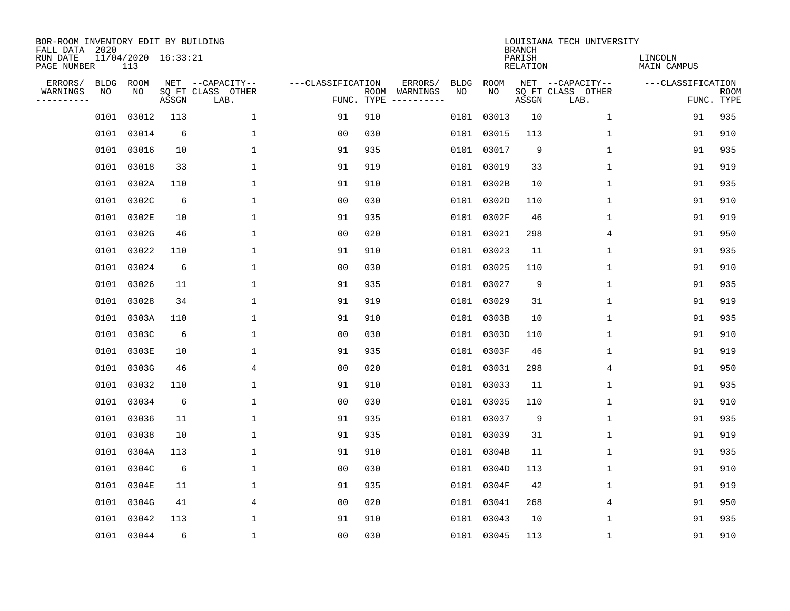| BOR-ROOM INVENTORY EDIT BY BUILDING<br>FALL DATA 2020 |             |                            |       |                           |                   |                    |                         |             |            | <b>BRANCH</b>             | LOUISIANA TECH UNIVERSITY |                        |                           |
|-------------------------------------------------------|-------------|----------------------------|-------|---------------------------|-------------------|--------------------|-------------------------|-------------|------------|---------------------------|---------------------------|------------------------|---------------------------|
| RUN DATE<br>PAGE NUMBER                               |             | 11/04/2020 16:33:21<br>113 |       |                           |                   |                    |                         |             |            | PARISH<br><b>RELATION</b> |                           | LINCOLN<br>MAIN CAMPUS |                           |
| ERRORS/                                               | <b>BLDG</b> | ROOM                       |       | NET --CAPACITY--          | ---CLASSIFICATION |                    | ERRORS/                 | <b>BLDG</b> | ROOM       |                           | NET --CAPACITY--          | ---CLASSIFICATION      |                           |
| WARNINGS<br>----------                                | NO          | NO                         | ASSGN | SQ FT CLASS OTHER<br>LAB. |                   | ROOM<br>FUNC. TYPE | WARNINGS<br>----------- | NO          | NO         | ASSGN                     | SQ FT CLASS OTHER<br>LAB. |                        | <b>ROOM</b><br>FUNC. TYPE |
|                                                       | 0101        | 03012                      | 113   | $\mathbf 1$               | 91                | 910                |                         | 0101        | 03013      | 10                        | $\mathbf 1$               | 91                     | 935                       |
|                                                       | 0101        | 03014                      | 6     | 1                         | 00                | 030                |                         |             | 0101 03015 | 113                       | 1                         | 91                     | 910                       |
|                                                       | 0101        | 03016                      | 10    | $\mathbf{1}$              | 91                | 935                |                         |             | 0101 03017 | 9                         | 1                         | 91                     | 935                       |
|                                                       | 0101        | 03018                      | 33    | 1                         | 91                | 919                |                         |             | 0101 03019 | 33                        | $\mathbf 1$               | 91                     | 919                       |
|                                                       | 0101        | 0302A                      | 110   | $\mathbf 1$               | 91                | 910                |                         |             | 0101 0302B | 10                        | $\mathbf{1}$              | 91                     | 935                       |
|                                                       |             | 0101 0302C                 | 6     | 1                         | 0 <sub>0</sub>    | 030                |                         |             | 0101 0302D | 110                       | 1                         | 91                     | 910                       |
|                                                       | 0101        | 0302E                      | 10    | $\mathbf{1}$              | 91                | 935                |                         |             | 0101 0302F | 46                        | $\mathbf 1$               | 91                     | 919                       |
|                                                       |             | 0101 0302G                 | 46    | $\mathbf{1}$              | 0 <sub>0</sub>    | 020                |                         |             | 0101 03021 | 298                       | 4                         | 91                     | 950                       |
|                                                       | 0101        | 03022                      | 110   | $\mathbf{1}$              | 91                | 910                |                         |             | 0101 03023 | 11                        | 1                         | 91                     | 935                       |
|                                                       | 0101        | 03024                      | 6     | 1                         | 0 <sub>0</sub>    | 030                |                         |             | 0101 03025 | 110                       | $\mathbf 1$               | 91                     | 910                       |
|                                                       | 0101        | 03026                      | 11    | $\mathbf{1}$              | 91                | 935                |                         |             | 0101 03027 | 9                         | $\mathbf 1$               | 91                     | 935                       |
|                                                       | 0101        | 03028                      | 34    | $\mathbf{1}$              | 91                | 919                |                         |             | 0101 03029 | 31                        | 1                         | 91                     | 919                       |
|                                                       | 0101        | 0303A                      | 110   | $\mathbf{1}$              | 91                | 910                |                         |             | 0101 0303B | 10                        | 1                         | 91                     | 935                       |
|                                                       | 0101        | 0303C                      | 6     | 1                         | 00                | 030                |                         |             | 0101 0303D | 110                       | 1                         | 91                     | 910                       |
|                                                       | 0101        | 0303E                      | 10    | 1                         | 91                | 935                |                         |             | 0101 0303F | 46                        | 1                         | 91                     | 919                       |
|                                                       | 0101        | 0303G                      | 46    | 4                         | 00                | 020                |                         |             | 0101 03031 | 298                       | 4                         | 91                     | 950                       |
|                                                       | 0101        | 03032                      | 110   | 1                         | 91                | 910                |                         | 0101        | 03033      | 11                        | 1                         | 91                     | 935                       |
|                                                       | 0101        | 03034                      | 6     | 1                         | 0 <sub>0</sub>    | 030                |                         |             | 0101 03035 | 110                       | 1                         | 91                     | 910                       |
|                                                       | 0101        | 03036                      | 11    | 1                         | 91                | 935                |                         |             | 0101 03037 | 9                         | 1                         | 91                     | 935                       |
|                                                       | 0101        | 03038                      | 10    | $\mathbf{1}$              | 91                | 935                |                         |             | 0101 03039 | 31                        | 1                         | 91                     | 919                       |
|                                                       | 0101        | 0304A                      | 113   | 1                         | 91                | 910                |                         |             | 0101 0304B | 11                        | 1                         | 91                     | 935                       |
|                                                       | 0101        | 0304C                      | 6     | $\mathbf{1}$              | 0 <sub>0</sub>    | 030                |                         |             | 0101 0304D | 113                       | 1                         | 91                     | 910                       |
|                                                       | 0101        | 0304E                      | 11    | 1                         | 91                | 935                |                         |             | 0101 0304F | 42                        | 1                         | 91                     | 919                       |
|                                                       | 0101        | 0304G                      | 41    | 4                         | 00                | 020                |                         |             | 0101 03041 | 268                       | 4                         | 91                     | 950                       |
|                                                       | 0101        | 03042                      | 113   | 1                         | 91                | 910                |                         |             | 0101 03043 | 10                        | 1                         | 91                     | 935                       |
|                                                       |             | 0101 03044                 | 6     | 1                         | 0 <sub>0</sub>    | 030                |                         |             | 0101 03045 | 113                       | 1                         | 91                     | 910                       |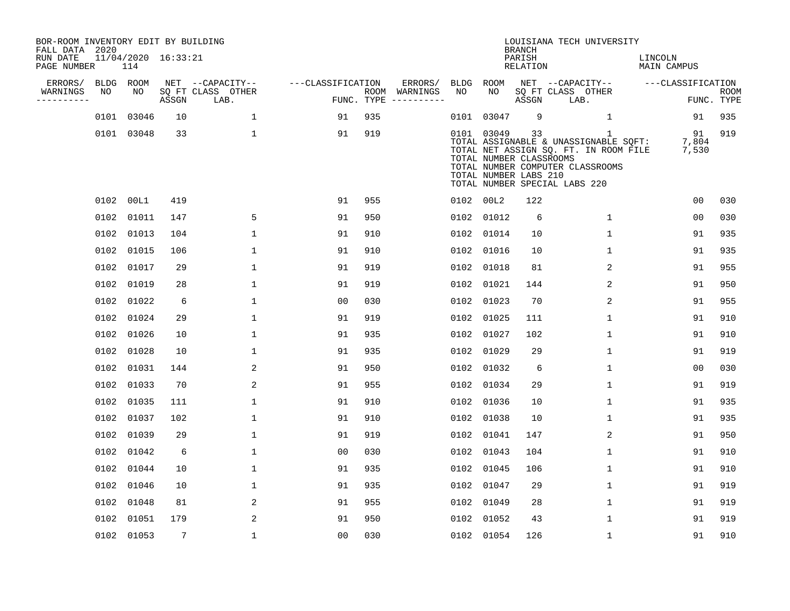| BOR-ROOM INVENTORY EDIT BY BUILDING<br>FALL DATA 2020 |    |                            |                 |                           |                   |            |                              |      |                                                                | <b>BRANCH</b>             | LOUISIANA TECH UNIVERSITY                                                                                                                                |                               |                           |
|-------------------------------------------------------|----|----------------------------|-----------------|---------------------------|-------------------|------------|------------------------------|------|----------------------------------------------------------------|---------------------------|----------------------------------------------------------------------------------------------------------------------------------------------------------|-------------------------------|---------------------------|
| RUN DATE<br>PAGE NUMBER                               |    | 11/04/2020 16:33:21<br>114 |                 |                           |                   |            |                              |      |                                                                | PARISH<br><b>RELATION</b> |                                                                                                                                                          | LINCOLN<br><b>MAIN CAMPUS</b> |                           |
| ERRORS/                                               |    | BLDG ROOM                  |                 | NET --CAPACITY--          | ---CLASSIFICATION |            | ERRORS/                      | BLDG | ROOM                                                           |                           | NET --CAPACITY--                                                                                                                                         | ---CLASSIFICATION             |                           |
| WARNINGS<br>----------                                | NO | NO                         | ASSGN           | SQ FT CLASS OTHER<br>LAB. |                   | FUNC. TYPE | ROOM WARNINGS<br>----------- | NO   | NO                                                             | ASSGN                     | SQ FT CLASS OTHER<br>LAB.                                                                                                                                |                               | <b>ROOM</b><br>FUNC. TYPE |
|                                                       |    | 0101 03046                 | 10              | $\mathbf{1}$              | 91                | 935        |                              |      | 0101 03047                                                     | 9                         | 1                                                                                                                                                        | 91                            | 935                       |
|                                                       |    | 0101 03048                 | 33              | 1                         | 91                | 919        |                              |      | 0101 03049<br>TOTAL NUMBER CLASSROOMS<br>TOTAL NUMBER LABS 210 | 33                        | 1<br>TOTAL ASSIGNABLE & UNASSIGNABLE SQFT:<br>TOTAL NET ASSIGN SQ. FT. IN ROOM FILE<br>TOTAL NUMBER COMPUTER CLASSROOMS<br>TOTAL NUMBER SPECIAL LABS 220 | 91<br>7,804<br>7,530          | 919                       |
|                                                       |    | 0102 00L1                  | 419             |                           | 91                | 955        |                              |      | 0102 00L2                                                      | 122                       |                                                                                                                                                          | 0 <sub>0</sub>                | 030                       |
|                                                       |    | 0102 01011                 | 147             | 5                         | 91                | 950        |                              | 0102 | 01012                                                          | 6                         | $\mathbf{1}$                                                                                                                                             | 00                            | 030                       |
|                                                       |    | 0102 01013                 | 104             | $\mathbf{1}$              | 91                | 910        |                              |      | 0102 01014                                                     | 10                        | $\mathbf{1}$                                                                                                                                             | 91                            | 935                       |
|                                                       |    | 0102 01015                 | 106             | $\mathbf{1}$              | 91                | 910        |                              | 0102 | 01016                                                          | 10                        | $\mathbf{1}$                                                                                                                                             | 91                            | 935                       |
|                                                       |    | 0102 01017                 | 29              | $\mathbf{1}$              | 91                | 919        |                              |      | 0102 01018                                                     | 81                        | 2                                                                                                                                                        | 91                            | 955                       |
|                                                       |    | 0102 01019                 | 28              | $\mathbf{1}$              | 91                | 919        |                              | 0102 | 01021                                                          | 144                       | 2                                                                                                                                                        | 91                            | 950                       |
|                                                       |    | 0102 01022                 | 6               | $\mathbf{1}$              | 0 <sub>0</sub>    | 030        |                              |      | 0102 01023                                                     | 70                        | 2                                                                                                                                                        | 91                            | 955                       |
|                                                       |    | 0102 01024                 | 29              | $\mathbf{1}$              | 91                | 919        |                              | 0102 | 01025                                                          | 111                       | $\mathbf 1$                                                                                                                                              | 91                            | 910                       |
|                                                       |    | 0102 01026                 | 10              | 1                         | 91                | 935        |                              | 0102 | 01027                                                          | 102                       | 1                                                                                                                                                        | 91                            | 910                       |
|                                                       |    | 0102 01028                 | 10              | 1                         | 91                | 935        |                              | 0102 | 01029                                                          | 29                        | 1                                                                                                                                                        | 91                            | 919                       |
|                                                       |    | 0102 01031                 | 144             | $\overline{a}$            | 91                | 950        |                              |      | 0102 01032                                                     | 6                         | $\mathbf 1$                                                                                                                                              | 00                            | 030                       |
|                                                       |    | 0102 01033                 | 70              | 2                         | 91                | 955        |                              | 0102 | 01034                                                          | 29                        | 1                                                                                                                                                        | 91                            | 919                       |
|                                                       |    | 0102 01035                 | 111             | $\mathbf{1}$              | 91                | 910        |                              | 0102 | 01036                                                          | 10                        | 1                                                                                                                                                        | 91                            | 935                       |
|                                                       |    | 0102 01037                 | 102             | 1                         | 91                | 910        |                              |      | 0102 01038                                                     | 10                        | 1                                                                                                                                                        | 91                            | 935                       |
|                                                       |    | 0102 01039                 | 29              | $\mathbf{1}$              | 91                | 919        |                              | 0102 | 01041                                                          | 147                       | 2                                                                                                                                                        | 91                            | 950                       |
|                                                       |    | 0102 01042                 | 6               | 1                         | 0 <sub>0</sub>    | 030        |                              | 0102 | 01043                                                          | 104                       | $\mathbf 1$                                                                                                                                              | 91                            | 910                       |
|                                                       |    | 0102 01044                 | 10              | $\mathbf{1}$              | 91                | 935        |                              | 0102 | 01045                                                          | 106                       | $\mathbf{1}$                                                                                                                                             | 91                            | 910                       |
|                                                       |    | 0102 01046                 | 10              | $\mathbf{1}$              | 91                | 935        |                              |      | 0102 01047                                                     | 29                        | $\mathbf 1$                                                                                                                                              | 91                            | 919                       |
|                                                       |    | 0102 01048                 | 81              | 2                         | 91                | 955        |                              | 0102 | 01049                                                          | 28                        | $\mathbf{1}$                                                                                                                                             | 91                            | 919                       |
|                                                       |    | 0102 01051                 | 179             | 2                         | 91                | 950        |                              |      | 0102 01052                                                     | 43                        | $\mathbf 1$                                                                                                                                              | 91                            | 919                       |
|                                                       |    | 0102 01053                 | $7\phantom{.0}$ | $\mathbf{1}$              | 0 <sub>0</sub>    | 030        |                              |      | 0102 01054                                                     | 126                       | $\mathbf 1$                                                                                                                                              | 91                            | 910                       |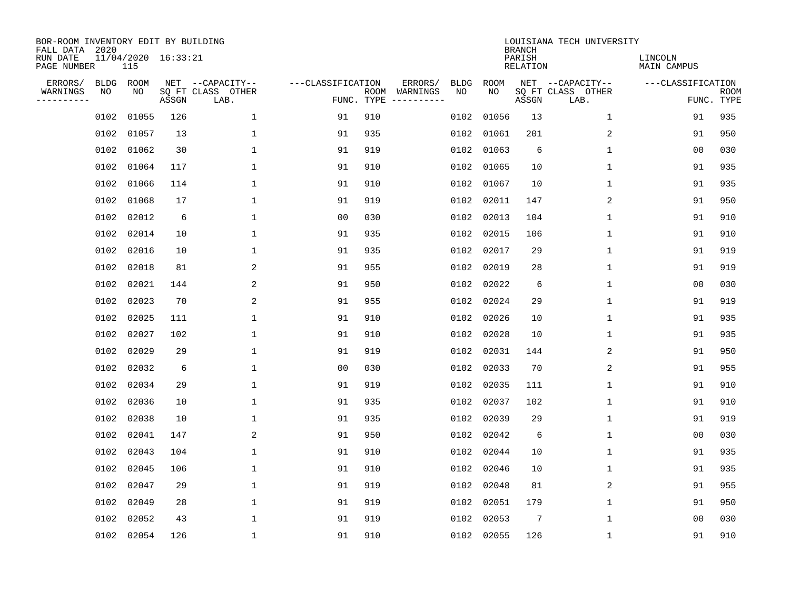| BOR-ROOM INVENTORY EDIT BY BUILDING<br>FALL DATA 2020 |      |                            |       |                           |                   |                    |          |             |             | <b>BRANCH</b>             | LOUISIANA TECH UNIVERSITY |                        |                           |
|-------------------------------------------------------|------|----------------------------|-------|---------------------------|-------------------|--------------------|----------|-------------|-------------|---------------------------|---------------------------|------------------------|---------------------------|
| RUN DATE<br>PAGE NUMBER                               |      | 11/04/2020 16:33:21<br>115 |       |                           |                   |                    |          |             |             | PARISH<br><b>RELATION</b> |                           | LINCOLN<br>MAIN CAMPUS |                           |
| ERRORS/                                               | BLDG | ROOM                       |       | NET --CAPACITY--          | ---CLASSIFICATION |                    | ERRORS/  | <b>BLDG</b> | <b>ROOM</b> |                           | NET --CAPACITY--          | ---CLASSIFICATION      |                           |
| WARNINGS<br>----------                                | ΝO   | NO                         | ASSGN | SQ FT CLASS OTHER<br>LAB. |                   | ROOM<br>FUNC. TYPE | WARNINGS | NO          | NO          | ASSGN                     | SQ FT CLASS OTHER<br>LAB. |                        | <b>ROOM</b><br>FUNC. TYPE |
|                                                       | 0102 | 01055                      | 126   | $\mathbf 1$               | 91                | 910                |          | 0102        | 01056       | 13                        | $\mathbf 1$               | 91                     | 935                       |
|                                                       | 0102 | 01057                      | 13    | 1                         | 91                | 935                |          | 0102        | 01061       | 201                       | 2                         | 91                     | 950                       |
|                                                       | 0102 | 01062                      | 30    | 1                         | 91                | 919                |          | 0102        | 01063       | 6                         | 1                         | 00                     | 030                       |
|                                                       | 0102 | 01064                      | 117   | $\mathbf{1}$              | 91                | 910                |          | 0102        | 01065       | 10                        | $\mathbf 1$               | 91                     | 935                       |
|                                                       | 0102 | 01066                      | 114   | $\mathbf 1$               | 91                | 910                |          | 0102        | 01067       | 10                        | $\mathbf 1$               | 91                     | 935                       |
|                                                       |      | 0102 01068                 | 17    | 1                         | 91                | 919                |          | 0102        | 02011       | 147                       | 2                         | 91                     | 950                       |
|                                                       |      | 0102 02012                 | 6     | $\mathbf{1}$              | 0 <sub>0</sub>    | 030                |          | 0102        | 02013       | 104                       | $\mathbf{1}$              | 91                     | 910                       |
|                                                       |      | 0102 02014                 | 10    | $\mathbf{1}$              | 91                | 935                |          | 0102        | 02015       | 106                       | $\mathbf 1$               | 91                     | 910                       |
|                                                       |      | 0102 02016                 | 10    | 1                         | 91                | 935                |          | 0102        | 02017       | 29                        | $\mathbf 1$               | 91                     | 919                       |
|                                                       |      | 0102 02018                 | 81    | 2                         | 91                | 955                |          | 0102        | 02019       | 28                        | $\mathbf{1}$              | 91                     | 919                       |
|                                                       |      | 0102 02021                 | 144   | 2                         | 91                | 950                |          | 0102        | 02022       | 6                         | $\mathbf{1}$              | 0 <sub>0</sub>         | 030                       |
|                                                       |      | 0102 02023                 | 70    | $\overline{a}$            | 91                | 955                |          | 0102        | 02024       | 29                        | $\mathbf 1$               | 91                     | 919                       |
|                                                       | 0102 | 02025                      | 111   | $\mathbf{1}$              | 91                | 910                |          | 0102        | 02026       | 10                        | 1                         | 91                     | 935                       |
|                                                       | 0102 | 02027                      | 102   | 1                         | 91                | 910                |          | 0102        | 02028       | 10                        | 1                         | 91                     | 935                       |
|                                                       | 0102 | 02029                      | 29    | 1                         | 91                | 919                |          | 0102        | 02031       | 144                       | 2                         | 91                     | 950                       |
|                                                       | 0102 | 02032                      | 6     | 1                         | 00                | 030                |          | 0102        | 02033       | 70                        | 2                         | 91                     | 955                       |
|                                                       | 0102 | 02034                      | 29    | 1                         | 91                | 919                |          | 0102        | 02035       | 111                       | 1                         | 91                     | 910                       |
|                                                       | 0102 | 02036                      | 10    | 1                         | 91                | 935                |          | 0102        | 02037       | 102                       | 1                         | 91                     | 910                       |
|                                                       |      | 0102 02038                 | 10    | 1                         | 91                | 935                |          | 0102        | 02039       | 29                        | 1                         | 91                     | 919                       |
|                                                       | 0102 | 02041                      | 147   | $\overline{a}$            | 91                | 950                |          | 0102        | 02042       | 6                         | $\mathbf 1$               | 0 <sub>0</sub>         | 030                       |
|                                                       |      | 0102 02043                 | 104   | $\mathbf{1}$              | 91                | 910                |          | 0102        | 02044       | 10                        | $\mathbf 1$               | 91                     | 935                       |
|                                                       | 0102 | 02045                      | 106   | $\mathbf{1}$              | 91                | 910                |          | 0102        | 02046       | 10                        | $\mathbf 1$               | 91                     | 935                       |
|                                                       |      | 0102 02047                 | 29    | 1                         | 91                | 919                |          | 0102        | 02048       | 81                        | 2                         | 91                     | 955                       |
|                                                       | 0102 | 02049                      | 28    | 1                         | 91                | 919                |          | 0102        | 02051       | 179                       | 1                         | 91                     | 950                       |
|                                                       | 0102 | 02052                      | 43    | 1                         | 91                | 919                |          | 0102        | 02053       | 7                         | 1                         | 00                     | 030                       |
|                                                       |      | 0102 02054                 | 126   | $\mathbf{1}$              | 91                | 910                |          |             | 0102 02055  | 126                       | 1                         | 91                     | 910                       |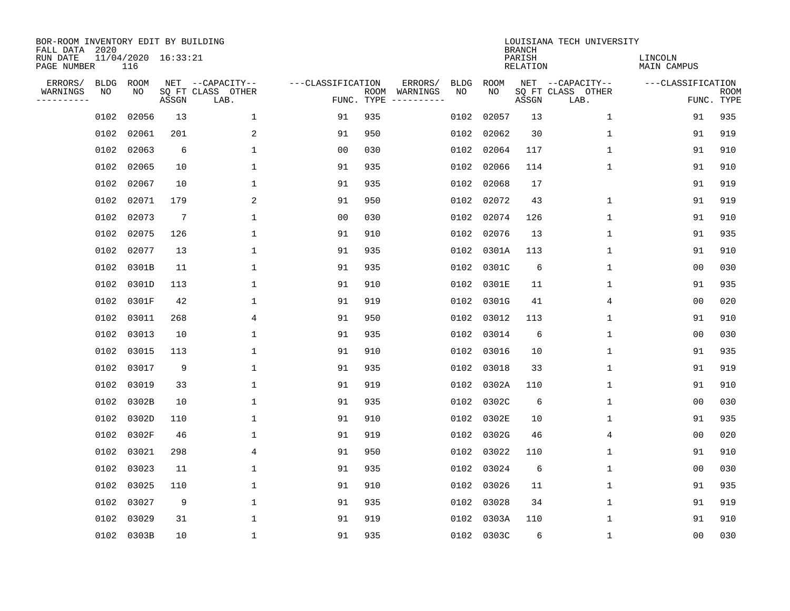| BOR-ROOM INVENTORY EDIT BY BUILDING<br>FALL DATA 2020 |             |                            |                 |                           |                   |                    |                         |             |             | <b>BRANCH</b>             | LOUISIANA TECH UNIVERSITY |                        |                           |
|-------------------------------------------------------|-------------|----------------------------|-----------------|---------------------------|-------------------|--------------------|-------------------------|-------------|-------------|---------------------------|---------------------------|------------------------|---------------------------|
| RUN DATE<br>PAGE NUMBER                               |             | 11/04/2020 16:33:21<br>116 |                 |                           |                   |                    |                         |             |             | PARISH<br><b>RELATION</b> |                           | LINCOLN<br>MAIN CAMPUS |                           |
| ERRORS/                                               | <b>BLDG</b> | ROOM                       |                 | NET --CAPACITY--          | ---CLASSIFICATION |                    | ERRORS/                 | <b>BLDG</b> | <b>ROOM</b> |                           | NET --CAPACITY--          | ---CLASSIFICATION      |                           |
| WARNINGS<br>----------                                | NO          | NO                         | ASSGN           | SQ FT CLASS OTHER<br>LAB. |                   | ROOM<br>FUNC. TYPE | WARNINGS<br>----------- | NO          | NO          | ASSGN                     | SQ FT CLASS OTHER<br>LAB. |                        | <b>ROOM</b><br>FUNC. TYPE |
|                                                       | 0102        | 02056                      | 13              | $\mathbf 1$               | 91                | 935                |                         | 0102        | 02057       | 13                        | 1                         | 91                     | 935                       |
|                                                       | 0102        | 02061                      | 201             | 2                         | 91                | 950                |                         | 0102        | 02062       | 30                        | 1                         | 91                     | 919                       |
|                                                       | 0102        | 02063                      | 6               | $\mathbf 1$               | 0 <sub>0</sub>    | 030                |                         | 0102        | 02064       | 117                       | 1                         | 91                     | 910                       |
|                                                       | 0102        | 02065                      | 10              | 1                         | 91                | 935                |                         | 0102        | 02066       | 114                       | 1                         | 91                     | 910                       |
|                                                       | 0102        | 02067                      | 10              | $\mathbf{1}$              | 91                | 935                |                         | 0102        | 02068       | 17                        |                           | 91                     | 919                       |
|                                                       | 0102        | 02071                      | 179             | 2                         | 91                | 950                |                         | 0102        | 02072       | 43                        | 1                         | 91                     | 919                       |
|                                                       | 0102        | 02073                      | $7\phantom{.0}$ | $\mathbf{1}$              | 0 <sub>0</sub>    | 030                |                         | 0102        | 02074       | 126                       | $\mathbf 1$               | 91                     | 910                       |
|                                                       | 0102        | 02075                      | 126             | $\mathbf{1}$              | 91                | 910                |                         | 0102        | 02076       | 13                        | $\mathbf 1$               | 91                     | 935                       |
|                                                       | 0102        | 02077                      | 13              | $\mathbf{1}$              | 91                | 935                |                         | 0102        | 0301A       | 113                       | $\mathbf 1$               | 91                     | 910                       |
|                                                       | 0102        | 0301B                      | 11              | 1                         | 91                | 935                |                         | 0102        | 0301C       | 6                         | 1                         | 0 <sub>0</sub>         | 030                       |
|                                                       | 0102        | 0301D                      | 113             | 1                         | 91                | 910                |                         | 0102        | 0301E       | 11                        | 1                         | 91                     | 935                       |
|                                                       | 0102        | 0301F                      | 42              | 1                         | 91                | 919                |                         | 0102        | 0301G       | 41                        | 4                         | 0 <sub>0</sub>         | 020                       |
|                                                       | 0102        | 03011                      | 268             | 4                         | 91                | 950                |                         | 0102        | 03012       | 113                       | 1                         | 91                     | 910                       |
|                                                       | 0102        | 03013                      | 10              | 1                         | 91                | 935                |                         | 0102        | 03014       | 6                         | 1                         | 0 <sub>0</sub>         | 030                       |
|                                                       | 0102        | 03015                      | 113             | 1                         | 91                | 910                |                         | 0102        | 03016       | 10                        | 1                         | 91                     | 935                       |
|                                                       | 0102        | 03017                      | 9               | 1                         | 91                | 935                |                         | 0102        | 03018       | 33                        | 1                         | 91                     | 919                       |
|                                                       | 0102        | 03019                      | 33              | 1                         | 91                | 919                |                         | 0102        | 0302A       | 110                       | 1                         | 91                     | 910                       |
|                                                       | 0102        | 0302B                      | 10              | 1                         | 91                | 935                |                         | 0102        | 0302C       | 6                         | 1                         | 0 <sub>0</sub>         | 030                       |
|                                                       | 0102        | 0302D                      | 110             | 1                         | 91                | 910                |                         | 0102        | 0302E       | 10                        | 1                         | 91                     | 935                       |
|                                                       | 0102        | 0302F                      | 46              | 1                         | 91                | 919                |                         | 0102        | 0302G       | 46                        | 4                         | 0 <sub>0</sub>         | 020                       |
|                                                       | 0102        | 03021                      | 298             | 4                         | 91                | 950                |                         | 0102        | 03022       | 110                       | 1                         | 91                     | 910                       |
|                                                       | 0102        | 03023                      | 11              | 1                         | 91                | 935                |                         | 0102        | 03024       | 6                         | 1                         | 00                     | 030                       |
|                                                       | 0102        | 03025                      | 110             | 1                         | 91                | 910                |                         | 0102        | 03026       | 11                        | 1                         | 91                     | 935                       |
|                                                       | 0102        | 03027                      | 9               | $\mathbf 1$               | 91                | 935                |                         | 0102        | 03028       | 34                        | $\mathbf 1$               | 91                     | 919                       |
|                                                       | 0102        | 03029                      | 31              | 1                         | 91                | 919                |                         | 0102        | 0303A       | 110                       | 1                         | 91                     | 910                       |
|                                                       |             | 0102 0303B                 | 10              | $\mathbf{1}$              | 91                | 935                |                         |             | 0102 0303C  | 6                         | 1                         | 00                     | 030                       |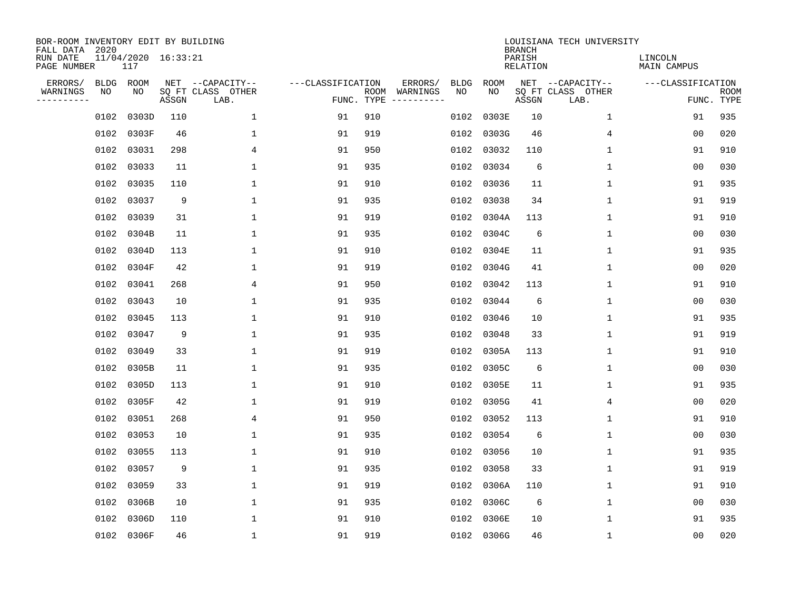| BOR-ROOM INVENTORY EDIT BY BUILDING<br>FALL DATA 2020 |             |                            |       |                           |                   |                    |                         |             |             | <b>BRANCH</b>             | LOUISIANA TECH UNIVERSITY |                        |                           |
|-------------------------------------------------------|-------------|----------------------------|-------|---------------------------|-------------------|--------------------|-------------------------|-------------|-------------|---------------------------|---------------------------|------------------------|---------------------------|
| RUN DATE<br>PAGE NUMBER                               |             | 11/04/2020 16:33:21<br>117 |       |                           |                   |                    |                         |             |             | PARISH<br><b>RELATION</b> |                           | LINCOLN<br>MAIN CAMPUS |                           |
| ERRORS/                                               | <b>BLDG</b> | ROOM                       |       | NET --CAPACITY--          | ---CLASSIFICATION |                    | ERRORS/                 | <b>BLDG</b> | <b>ROOM</b> |                           | NET --CAPACITY--          | ---CLASSIFICATION      |                           |
| WARNINGS<br>----------                                | NO          | NO                         | ASSGN | SQ FT CLASS OTHER<br>LAB. |                   | ROOM<br>FUNC. TYPE | WARNINGS<br>----------- | NO          | NO          | ASSGN                     | SQ FT CLASS OTHER<br>LAB. |                        | <b>ROOM</b><br>FUNC. TYPE |
|                                                       | 0102        | 0303D                      | 110   | $\mathbf 1$               | 91                | 910                |                         | 0102        | 0303E       | 10                        | 1                         | 91                     | 935                       |
|                                                       | 0102        | 0303F                      | 46    | 1                         | 91                | 919                |                         | 0102        | 0303G       | 46                        | 4                         | 00                     | 020                       |
|                                                       | 0102        | 03031                      | 298   | 4                         | 91                | 950                |                         | 0102        | 03032       | 110                       | 1                         | 91                     | 910                       |
|                                                       | 0102        | 03033                      | 11    | 1                         | 91                | 935                |                         |             | 0102 03034  | 6                         | 1                         | 0 <sub>0</sub>         | 030                       |
|                                                       | 0102        | 03035                      | 110   | $\mathbf{1}$              | 91                | 910                |                         | 0102        | 03036       | 11                        | $\mathbf 1$               | 91                     | 935                       |
|                                                       | 0102        | 03037                      | 9     | $\mathbf 1$               | 91                | 935                |                         |             | 0102 03038  | 34                        | 1                         | 91                     | 919                       |
|                                                       | 0102        | 03039                      | 31    | $\mathbf{1}$              | 91                | 919                |                         | 0102        | 0304A       | 113                       | $\mathbf 1$               | 91                     | 910                       |
|                                                       | 0102        | 0304B                      | 11    | $\mathbf{1}$              | 91                | 935                |                         |             | 0102 0304C  | 6                         | $\mathbf 1$               | 0 <sub>0</sub>         | 030                       |
|                                                       | 0102        | 0304D                      | 113   | $\mathbf{1}$              | 91                | 910                |                         | 0102        | 0304E       | 11                        | $\mathbf 1$               | 91                     | 935                       |
|                                                       | 0102        | 0304F                      | 42    | 1                         | 91                | 919                |                         | 0102        | 0304G       | 41                        | 1                         | 0 <sub>0</sub>         | 020                       |
|                                                       | 0102        | 03041                      | 268   | 4                         | 91                | 950                |                         | 0102        | 03042       | 113                       | 1                         | 91                     | 910                       |
|                                                       | 0102        | 03043                      | 10    | 1                         | 91                | 935                |                         | 0102        | 03044       | 6                         | 1                         | 0 <sub>0</sub>         | 030                       |
|                                                       | 0102        | 03045                      | 113   | 1                         | 91                | 910                |                         | 0102        | 03046       | 10                        | 1                         | 91                     | 935                       |
|                                                       | 0102        | 03047                      | 9     | 1                         | 91                | 935                |                         | 0102        | 03048       | 33                        | 1                         | 91                     | 919                       |
|                                                       | 0102        | 03049                      | 33    | 1                         | 91                | 919                |                         | 0102        | 0305A       | 113                       | 1                         | 91                     | 910                       |
|                                                       | 0102        | 0305B                      | 11    | 1                         | 91                | 935                |                         | 0102        | 0305C       | 6                         | 1                         | 0 <sub>0</sub>         | 030                       |
|                                                       | 0102        | 0305D                      | 113   | 1                         | 91                | 910                |                         | 0102        | 0305E       | 11                        | 1                         | 91                     | 935                       |
|                                                       | 0102        | 0305F                      | 42    | 1                         | 91                | 919                |                         | 0102        | 0305G       | 41                        | 4                         | 0 <sub>0</sub>         | 020                       |
|                                                       | 0102        | 03051                      | 268   | 4                         | 91                | 950                |                         | 0102        | 03052       | 113                       | 1                         | 91                     | 910                       |
|                                                       | 0102        | 03053                      | 10    | 1                         | 91                | 935                |                         | 0102        | 03054       | 6                         | 1                         | 0 <sub>0</sub>         | 030                       |
|                                                       | 0102        | 03055                      | 113   | 1                         | 91                | 910                |                         | 0102        | 03056       | 10                        | 1                         | 91                     | 935                       |
|                                                       | 0102        | 03057                      | 9     | $\mathbf{1}$              | 91                | 935                |                         | 0102        | 03058       | 33                        | 1                         | 91                     | 919                       |
|                                                       | 0102        | 03059                      | 33    | 1                         | 91                | 919                |                         | 0102        | 0306A       | 110                       | 1                         | 91                     | 910                       |
|                                                       | 0102        | 0306B                      | 10    | 1                         | 91                | 935                |                         | 0102        | 0306C       | 6                         | $\mathbf 1$               | 0 <sub>0</sub>         | 030                       |
|                                                       | 0102        | 0306D                      | 110   | 1                         | 91                | 910                |                         | 0102        | 0306E       | 10                        | 1                         | 91                     | 935                       |
|                                                       |             | 0102 0306F                 | 46    | $\mathbf{1}$              | 91                | 919                |                         |             | 0102 0306G  | 46                        | 1                         | 00                     | 020                       |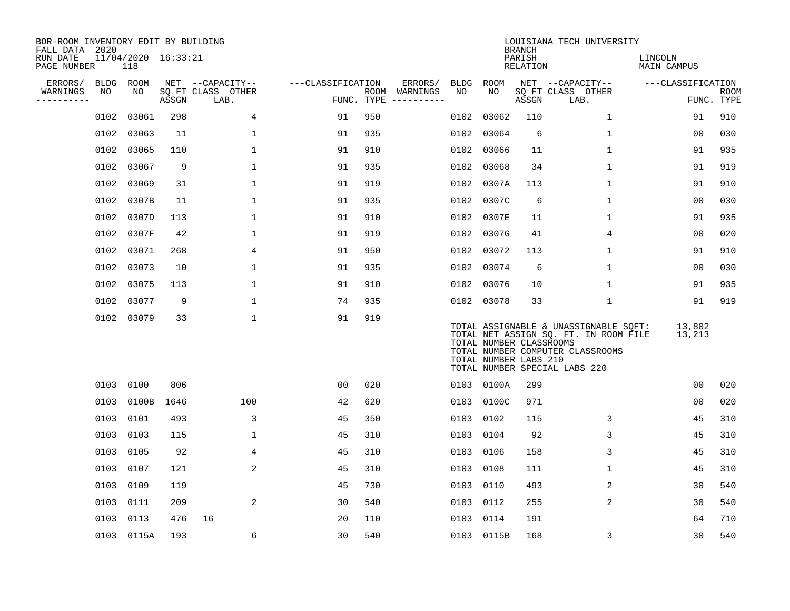| BOR-ROOM INVENTORY EDIT BY BUILDING<br>FALL DATA 2020 |      |                            |       |                           |                   |     |                                      |           |                                                  | <b>BRANCH</b>      | LOUISIANA TECH UNIVERSITY                                                                                                                           |                        |                           |
|-------------------------------------------------------|------|----------------------------|-------|---------------------------|-------------------|-----|--------------------------------------|-----------|--------------------------------------------------|--------------------|-----------------------------------------------------------------------------------------------------------------------------------------------------|------------------------|---------------------------|
| RUN DATE<br>PAGE NUMBER                               |      | 11/04/2020 16:33:21<br>118 |       |                           |                   |     |                                      |           |                                                  | PARISH<br>RELATION |                                                                                                                                                     | LINCOLN<br>MAIN CAMPUS |                           |
| ERRORS/                                               |      | BLDG ROOM                  |       | NET --CAPACITY--          | ---CLASSIFICATION |     | ERRORS/                              | BLDG      | ROOM                                             |                    | NET --CAPACITY--                                                                                                                                    | ---CLASSIFICATION      |                           |
| WARNINGS<br>----------                                | NO   | NO                         | ASSGN | SQ FT CLASS OTHER<br>LAB. |                   |     | ROOM WARNINGS<br>FUNC. TYPE $------$ | NO        | NO                                               | ASSGN              | SQ FT CLASS OTHER<br>LAB.                                                                                                                           |                        | <b>ROOM</b><br>FUNC. TYPE |
|                                                       | 0102 | 03061                      | 298   | $\overline{4}$            | 91                | 950 |                                      | 0102      | 03062                                            | 110                | $\mathbf{1}$                                                                                                                                        | 91                     | 910                       |
|                                                       | 0102 | 03063                      | 11    | 1                         | 91                | 935 |                                      | 0102      | 03064                                            | 6                  | 1                                                                                                                                                   | 00                     | 030                       |
|                                                       | 0102 | 03065                      | 110   | $\mathbf{1}$              | 91                | 910 |                                      | 0102      | 03066                                            | 11                 | $\mathbf 1$                                                                                                                                         | 91                     | 935                       |
|                                                       | 0102 | 03067                      | 9     | $\mathbf{1}$              | 91                | 935 |                                      | 0102      | 03068                                            | 34                 | $\mathbf{1}$                                                                                                                                        | 91                     | 919                       |
|                                                       | 0102 | 03069                      | 31    | $\mathbf 1$               | 91                | 919 |                                      | 0102      | 0307A                                            | 113                | $\mathbf 1$                                                                                                                                         | 91                     | 910                       |
|                                                       | 0102 | 0307B                      | 11    | $\mathbf 1$               | 91                | 935 |                                      | 0102      | 0307C                                            | 6                  | $\mathbf{1}$                                                                                                                                        | 0 <sub>0</sub>         | 030                       |
|                                                       | 0102 | 0307D                      | 113   | $\mathbf{1}$              | 91                | 910 |                                      | 0102      | 0307E                                            | 11                 | $\mathbf{1}$                                                                                                                                        | 91                     | 935                       |
|                                                       | 0102 | 0307F                      | 42    | 1                         | 91                | 919 |                                      | 0102      | 0307G                                            | 41                 | 4                                                                                                                                                   | 0 <sub>0</sub>         | 020                       |
|                                                       | 0102 | 03071                      | 268   | 4                         | 91                | 950 |                                      | 0102      | 03072                                            | 113                | $\mathbf 1$                                                                                                                                         | 91                     | 910                       |
|                                                       | 0102 | 03073                      | 10    | $\mathbf 1$               | 91                | 935 |                                      | 0102      | 03074                                            | 6                  | $\mathbf 1$                                                                                                                                         | 0 <sub>0</sub>         | 030                       |
|                                                       | 0102 | 03075                      | 113   | 1                         | 91                | 910 |                                      | 0102      | 03076                                            | 10                 | 1                                                                                                                                                   | 91                     | 935                       |
|                                                       | 0102 | 03077                      | 9     | 1                         | 74                | 935 |                                      |           | 0102 03078                                       | 33                 | $\mathbf 1$                                                                                                                                         | 91                     | 919                       |
|                                                       |      | 0102 03079                 | 33    | $\mathbf 1$               | 91                | 919 |                                      |           | TOTAL NUMBER CLASSROOMS<br>TOTAL NUMBER LABS 210 |                    | TOTAL ASSIGNABLE & UNASSIGNABLE SQFT:<br>TOTAL NET ASSIGN SQ. FT. IN ROOM FILE<br>TOTAL NUMBER COMPUTER CLASSROOMS<br>TOTAL NUMBER SPECIAL LABS 220 | 13,802<br>13,213       |                           |
|                                                       |      | 0103 0100                  | 806   |                           | 0 <sub>0</sub>    | 020 |                                      |           | 0103 0100A                                       | 299                |                                                                                                                                                     | 0 <sub>0</sub>         | 020                       |
|                                                       | 0103 | 0100B                      | 1646  | 100                       | 42                | 620 |                                      | 0103      | 0100C                                            | 971                |                                                                                                                                                     | 00                     | 020                       |
|                                                       | 0103 | 0101                       | 493   | 3                         | 45                | 350 |                                      |           | 0103 0102                                        | 115                | 3                                                                                                                                                   | 45                     | 310                       |
|                                                       | 0103 | 0103                       | 115   | 1                         | 45                | 310 |                                      | 0103      | 0104                                             | 92                 | 3                                                                                                                                                   | 45                     | 310                       |
|                                                       | 0103 | 0105                       | 92    | 4                         | 45                | 310 |                                      | 0103      | 0106                                             | 158                | 3                                                                                                                                                   | 45                     | 310                       |
|                                                       | 0103 | 0107                       | 121   | 2                         | 45                | 310 |                                      | 0103      | 0108                                             | 111                | $\mathbf 1$                                                                                                                                         | 45                     | 310                       |
|                                                       | 0103 | 0109                       | 119   |                           | 45                | 730 |                                      | 0103 0110 |                                                  | 493                | $\overline{2}$                                                                                                                                      | 30                     | 540                       |
|                                                       | 0103 | 0111                       | 209   | 2                         | 30                | 540 |                                      | 0103      | 0112                                             | 255                | $\overline{2}$                                                                                                                                      | 30                     | 540                       |
|                                                       | 0103 | 0113                       | 476   | 16                        | 20                | 110 |                                      | 0103      | 0114                                             | 191                |                                                                                                                                                     | 64                     | 710                       |
|                                                       |      | 0103 0115A                 | 193   | 6                         | 30                | 540 |                                      |           | 0103 0115B                                       | 168                | 3                                                                                                                                                   | 30                     | 540                       |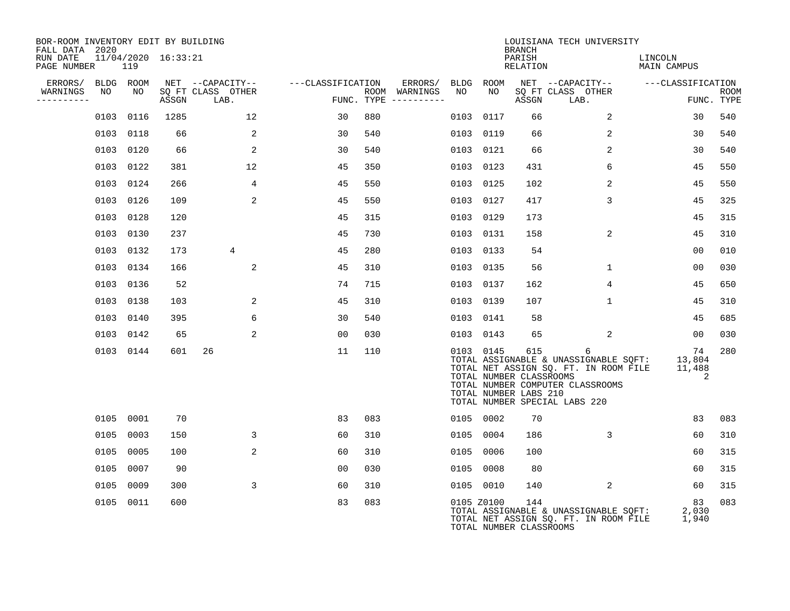| BOR-ROOM INVENTORY EDIT BY BUILDING<br>FALL DATA 2020 |                                |       |                           |                   |                                        |      |            | <b>BRANCH</b>                                           | LOUISIANA TECH UNIVERSITY                                                                                                                                |                             |                           |
|-------------------------------------------------------|--------------------------------|-------|---------------------------|-------------------|----------------------------------------|------|------------|---------------------------------------------------------|----------------------------------------------------------------------------------------------------------------------------------------------------------|-----------------------------|---------------------------|
| RUN DATE<br>PAGE NUMBER                               | $11/04/2020$ $16:33:21$<br>119 |       |                           |                   |                                        |      |            | PARISH<br>RELATION                                      |                                                                                                                                                          | LINCOLN<br>MAIN CAMPUS      |                           |
| ERRORS/                                               | BLDG ROOM                      |       | NET --CAPACITY--          | ---CLASSIFICATION | ERRORS/                                |      | BLDG ROOM  |                                                         | NET --CAPACITY--                                                                                                                                         | ---CLASSIFICATION           |                           |
| WARNINGS<br>NO<br>----------                          | NO                             | ASSGN | SQ FT CLASS OTHER<br>LAB. |                   | ROOM WARNINGS<br>FUNC. TYPE ---------- | NO   | NO         | ASSGN                                                   | SQ FT CLASS OTHER<br>LAB.                                                                                                                                |                             | <b>ROOM</b><br>FUNC. TYPE |
|                                                       | 0103 0116                      | 1285  | 12                        | 30                | 880                                    | 0103 | 0117       | 66                                                      | 2                                                                                                                                                        | 30                          | 540                       |
|                                                       | 0103 0118                      | 66    | 2                         | 30                | 540                                    | 0103 | 0119       | 66                                                      | 2                                                                                                                                                        | 30                          | 540                       |
|                                                       | 0103 0120                      | 66    | 2                         | 30                | 540                                    |      | 0103 0121  | 66                                                      | 2                                                                                                                                                        | 30                          | 540                       |
|                                                       | 0103 0122                      | 381   | 12                        | 45                | 350                                    | 0103 | 0123       | 431                                                     | 6                                                                                                                                                        | 45                          | 550                       |
|                                                       | 0103 0124                      | 266   | 4                         | 45                | 550                                    |      | 0103 0125  | 102                                                     | 2                                                                                                                                                        | 45                          | 550                       |
|                                                       | 0103 0126                      | 109   | 2                         | 45                | 550                                    |      | 0103 0127  | 417                                                     | 3                                                                                                                                                        | 45                          | 325                       |
|                                                       | 0103 0128                      | 120   |                           | 45                | 315                                    |      | 0103 0129  | 173                                                     |                                                                                                                                                          | 45                          | 315                       |
|                                                       | 0103 0130                      | 237   |                           | 45                | 730                                    |      | 0103 0131  | 158                                                     | 2                                                                                                                                                        | 45                          | 310                       |
|                                                       | 0103 0132                      | 173   | 4                         | 45                | 280                                    |      | 0103 0133  | 54                                                      |                                                                                                                                                          | 00                          | 010                       |
|                                                       | 0103 0134                      | 166   | 2                         | 45                | 310                                    |      | 0103 0135  | 56                                                      | $\mathbf 1$                                                                                                                                              | 0 <sub>0</sub>              | 030                       |
|                                                       | 0103 0136                      | 52    |                           | 74                | 715                                    |      | 0103 0137  | 162                                                     | $\overline{4}$                                                                                                                                           | 45                          | 650                       |
|                                                       | 0103 0138                      | 103   | 2                         | 45                | 310                                    |      | 0103 0139  | 107                                                     | $\mathbf 1$                                                                                                                                              | 45                          | 310                       |
|                                                       | 0103 0140                      | 395   | 6                         | 30                | 540                                    |      | 0103 0141  | 58                                                      |                                                                                                                                                          | 45                          | 685                       |
|                                                       | 0103 0142                      | 65    | 2                         | 00                | 030                                    |      | 0103 0143  | 65                                                      | 2                                                                                                                                                        | $00 \,$                     | 030                       |
|                                                       | 0103 0144                      | 601   | 26                        | 11                | 110                                    |      | 0103 0145  | 615<br>TOTAL NUMBER CLASSROOMS<br>TOTAL NUMBER LABS 210 | 6<br>TOTAL ASSIGNABLE & UNASSIGNABLE SQFT:<br>TOTAL NET ASSIGN SQ. FT. IN ROOM FILE<br>TOTAL NUMBER COMPUTER CLASSROOMS<br>TOTAL NUMBER SPECIAL LABS 220 | 74<br>13,804<br>11,488<br>2 | 280                       |
|                                                       | 0105 0001                      | 70    |                           | 83                | 083                                    |      | 0105 0002  | 70                                                      |                                                                                                                                                          | 83                          | 083                       |
|                                                       | 0105 0003                      | 150   | 3                         | 60                | 310                                    |      | 0105 0004  | 186                                                     | 3                                                                                                                                                        | 60                          | 310                       |
|                                                       | 0105 0005                      | 100   | 2                         | 60                | 310                                    |      | 0105 0006  | 100                                                     |                                                                                                                                                          | 60                          | 315                       |
|                                                       | 0105 0007                      | 90    |                           | 0 <sub>0</sub>    | 030                                    |      | 0105 0008  | 80                                                      |                                                                                                                                                          | 60                          | 315                       |
|                                                       | 0105 0009                      | 300   | 3                         | 60                | 310                                    |      | 0105 0010  | 140                                                     | 2                                                                                                                                                        | 60                          | 315                       |
|                                                       | 0105 0011                      | 600   |                           | 83                | 083                                    |      | 0105 Z0100 | 144<br>TOTAL NUMBER CLASSROOMS                          | TOTAL ASSIGNABLE & UNASSIGNABLE SQFT:<br>TOTAL NET ASSIGN SQ. FT. IN ROOM FILE                                                                           | 83<br>2,030<br>1,940        | 083                       |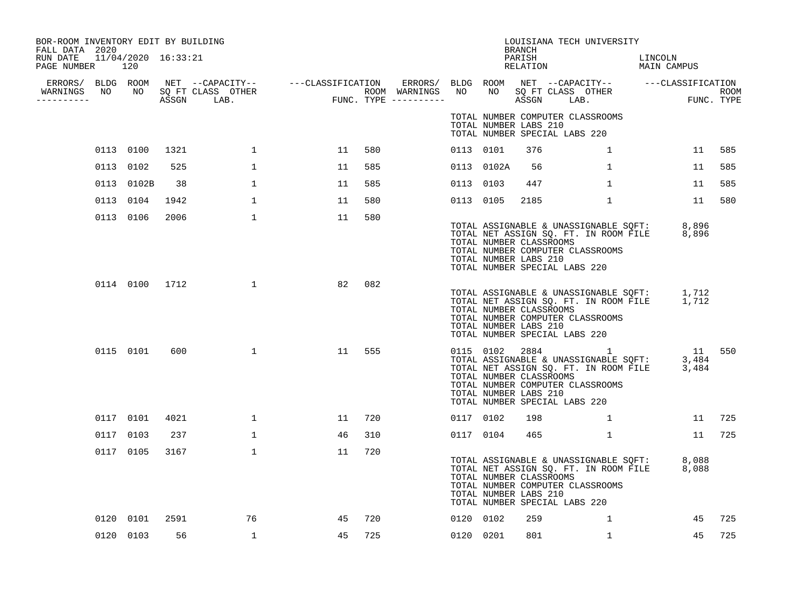| RUN DATE 11/04/2020 16:33:21<br>PAGE NUMBER 120<br>----------- | BOR-ROOM INVENTORY EDIT BY BUILDING<br>FALL DATA 2020 |                |      |                |    |        |           |            | BRANCH                                           | LOUISIANA TECH UNIVERSITY                                                                                                                                                                                                                                           |                                   |        |
|----------------------------------------------------------------|-------------------------------------------------------|----------------|------|----------------|----|--------|-----------|------------|--------------------------------------------------|---------------------------------------------------------------------------------------------------------------------------------------------------------------------------------------------------------------------------------------------------------------------|-----------------------------------|--------|
|                                                                |                                                       |                |      |                |    |        |           |            | PARISH<br>RELATION                               |                                                                                                                                                                                                                                                                     | LINCOLN<br>LINCOLN<br>MAIN CAMPUS |        |
|                                                                |                                                       |                |      |                |    |        |           |            |                                                  |                                                                                                                                                                                                                                                                     |                                   |        |
|                                                                |                                                       |                |      |                |    |        |           |            | TOTAL NUMBER LABS 210                            | TOTAL NUMBER COMPUTER CLASSROOMS<br>TOTAL NUMBER SPECIAL LABS 220                                                                                                                                                                                                   |                                   |        |
|                                                                |                                                       | 0113 0100      | 1321 | $\mathbf{1}$   | 11 | 580    | 0113 0101 |            | 376                                              | $\mathbf 1$                                                                                                                                                                                                                                                         |                                   | 11 585 |
|                                                                |                                                       | 0113 0102      | 525  | $\mathbf{1}$   | 11 | 585    |           | 0113 0102A | 56                                               | $\mathbf{1}$                                                                                                                                                                                                                                                        | 11                                | 585    |
|                                                                |                                                       | 0113 0102B     | 38   | $\mathbf{1}$   | 11 | 585    | 0113 0103 |            | 447                                              | $\mathbf{1}$                                                                                                                                                                                                                                                        | 11                                | 585    |
|                                                                |                                                       | 0113 0104      | 1942 | $\mathbf{1}$   | 11 | 580    | 0113 0105 |            | 2185                                             | $\mathbf{1}$                                                                                                                                                                                                                                                        | 11                                | 580    |
|                                                                |                                                       | 0113 0106      | 2006 | $\mathbf{1}$   | 11 | 580    |           |            | TOTAL NUMBER CLASSROOMS<br>TOTAL NUMBER LABS 210 | TOTAL ASSIGNABLE & UNASSIGNABLE SQFT: 8,896<br>TOTAL NET ASSIGN SQ. FT. IN ROOM FILE 8,896<br>TOTAL NUMBER COMPUTER CLASSROOMS<br>TOTAL NUMBER SPECIAL LABS 220                                                                                                     |                                   |        |
|                                                                |                                                       | 0114 0100 1712 |      | $\overline{1}$ | 82 | 082    |           |            | TOTAL NUMBER CLASSROOMS<br>TOTAL NUMBER LABS 210 | TOTAL ASSIGNABLE & UNASSIGNABLE SQFT: 1,712<br>TOTAL NET ASSIGN SQ. FT. IN ROOM FILE 1,712<br>TOTAL NUMBER COMPUTER CLASSROOMS<br>TOTAL NUMBER SPECIAL LABS 220                                                                                                     |                                   |        |
|                                                                |                                                       | 0115 0101      | 600  | $\mathbf{1}$   |    | 11 555 |           |            | TOTAL NUMBER CLASSROOMS<br>TOTAL NUMBER LABS 210 | $\begin{tabular}{lllllllllll} 0115 & 0102 & 2884 & 1 & 11 & 550 \\ \text{TOTAL ASSIGNABLE & UNASSIGNABLE SOFT: & 3,484 \\ \text{TOTAL NET ASSIGN SO. FT. IN ROM FILE & 3,484 \\ \end{tabular}$<br>TOTAL NUMBER COMPUTER CLASSROOMS<br>TOTAL NUMBER SPECIAL LABS 220 |                                   |        |
|                                                                |                                                       | 0117 0101      | 4021 | $\mathbf{1}$   | 11 | 720    | 0117 0102 |            | 198                                              |                                                                                                                                                                                                                                                                     | $1 \qquad \qquad$                 | 11 725 |
|                                                                |                                                       | 0117 0103      | 237  | $\mathbf{1}$   | 46 | 310    | 0117 0104 |            | 465                                              | $\mathbf{1}$                                                                                                                                                                                                                                                        |                                   | 11 725 |
|                                                                |                                                       | 0117 0105      | 3167 | $\mathbf{1}$   | 11 | 720    |           |            | TOTAL NUMBER CLASSROOMS<br>TOTAL NUMBER LABS 210 | TOTAL ASSIGNABLE & UNASSIGNABLE SQFT: 8,088<br>TOTAL NET ASSIGN SQ. FT. IN ROOM FILE 8,088<br>TOTAL NUMBER COMPUTER CLASSROOMS<br>TOTAL NUMBER SPECIAL LABS 220                                                                                                     |                                   |        |
|                                                                |                                                       | 0120 0101      | 2591 | 76             | 45 | 720    | 0120 0102 |            | 259                                              | 1                                                                                                                                                                                                                                                                   | 45                                | 725    |
|                                                                |                                                       | 0120 0103      | 56   | $\mathbf{1}$   | 45 | 725    | 0120 0201 |            | 801                                              | $\mathbf{1}$                                                                                                                                                                                                                                                        | 45                                | 725    |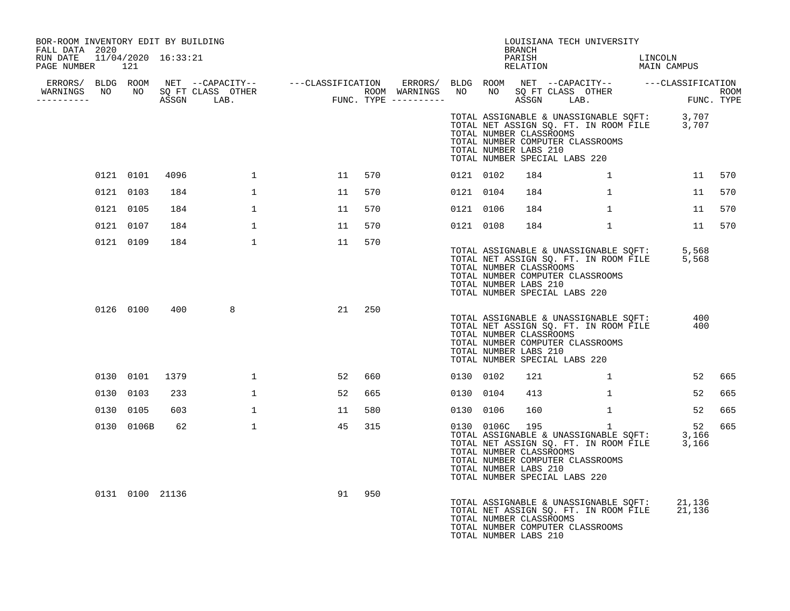| BOR-ROOM INVENTORY EDIT BY BUILDING<br>FALL DATA 2020 |                 |      |              |    |        |           | BRANCH                                                                                                                                  | LOUISIANA TECH UNIVERSITY                                                      |                                                                                                  |        |
|-------------------------------------------------------|-----------------|------|--------------|----|--------|-----------|-----------------------------------------------------------------------------------------------------------------------------------------|--------------------------------------------------------------------------------|--------------------------------------------------------------------------------------------------|--------|
| RUN DATE 11/04/2020 16:33:21<br>PAGE NUMBER 121       |                 |      |              |    |        |           | PARISH<br>RELATION                                                                                                                      |                                                                                | LINCOLN<br>MAIN CAMPUS                                                                           |        |
| ----------                                            |                 |      |              |    |        |           |                                                                                                                                         |                                                                                |                                                                                                  |        |
|                                                       |                 |      |              |    |        |           | TOTAL NUMBER CLASSROOMS<br>TOTAL NUMBER COMPUTER CLASSROOMS<br>TOTAL NUMBER LABS 210<br>TOTAL NUMBER SPECIAL LABS 220                   |                                                                                | TOTAL ASSIGNABLE & UNASSIGNABLE SQFT: 3,707<br>TOTAL NET ASSIGN SQ. FT. IN ROOM FILE 3,707       |        |
|                                                       | 0121 0101       | 4096 | 1            | 11 | 570    | 0121 0102 | 184                                                                                                                                     | $\sim$ 1                                                                       |                                                                                                  | 11 570 |
|                                                       | 0121 0103       | 184  | $\mathbf{1}$ | 11 | 570    | 0121 0104 | 184                                                                                                                                     | 1                                                                              | 11                                                                                               | 570    |
|                                                       | 0121 0105       | 184  | $\mathbf{1}$ | 11 | 570    | 0121 0106 | 184                                                                                                                                     | $\mathbf{1}$                                                                   | 11                                                                                               | 570    |
|                                                       | 0121 0107       | 184  | $\mathbf{1}$ | 11 | 570    | 0121 0108 | 184                                                                                                                                     | $\mathbf{1}$                                                                   | 11                                                                                               | 570    |
|                                                       | 0121 0109       | 184  | $\mathbf{1}$ | 11 | 570    |           | TOTAL NUMBER CLASSROOMS<br>TOTAL NUMBER COMPUTER CLASSROOMS<br>TOTAL NUMBER LABS 210<br>TOTAL NUMBER SPECIAL LABS 220                   |                                                                                | TOTAL ASSIGNABLE & UNASSIGNABLE SQFT: 5,568<br>TOTAL NET ASSIGN SQ. FT. IN ROOM FILE 5,568       |        |
|                                                       | 0126 0100       | 400  | 8            |    | 21 250 |           | TOTAL NUMBER CLASSROOMS<br>TOTAL NUMBER COMPUTER CLASSROOMS<br>TOTAL NUMBER LABS 210<br>TOTAL NUMBER SPECIAL LABS 220                   | TOTAL ASSIGNABLE & UNASSIGNABLE SQFT:<br>TOTAL NET ASSIGN SQ. FT. IN ROOM FILE | 400<br>400                                                                                       |        |
|                                                       | 0130 0101       | 1379 | $\mathbf{1}$ | 52 | 660    | 0130 0102 | 121                                                                                                                                     |                                                                                | 52<br>$1 \qquad \qquad$                                                                          | 665    |
|                                                       | 0130 0103       | 233  | $\mathbf{1}$ | 52 | 665    | 0130 0104 | 413                                                                                                                                     | $\mathbf{1}$                                                                   | 52                                                                                               | 665    |
|                                                       | 0130 0105       | 603  | $\mathbf 1$  | 11 | 580    | 0130 0106 | 160                                                                                                                                     | $\mathbf{1}$                                                                   | 52                                                                                               | 665    |
|                                                       | 0130 0106B      | 62   | $\mathbf{1}$ | 45 | 315    |           | 0130 0106C 195<br>TOTAL NUMBER CLASSROOMS<br>TOTAL NUMBER COMPUTER CLASSROOMS<br>TOTAL NUMBER LABS 210<br>TOTAL NUMBER SPECIAL LABS 220 | $\mathbf{1}$                                                                   | 52<br>TOTAL ASSIGNABLE & UNASSIGNABLE SQFT: 3,166<br>TOTAL NET ASSIGN SQ. FT. IN ROOM FILE 3,166 | 665    |
|                                                       | 0131 0100 21136 |      |              | 91 | 950    |           | TOTAL NUMBER CLASSROOMS<br>TOTAL NUMBER COMPUTER CLASSROOMS<br>TOTAL NUMBER LABS 210                                                    |                                                                                | TOTAL ASSIGNABLE & UNASSIGNABLE SOFT: 21,136<br>TOTAL NET ASSIGN SQ. FT. IN ROOM FILE 21,136     |        |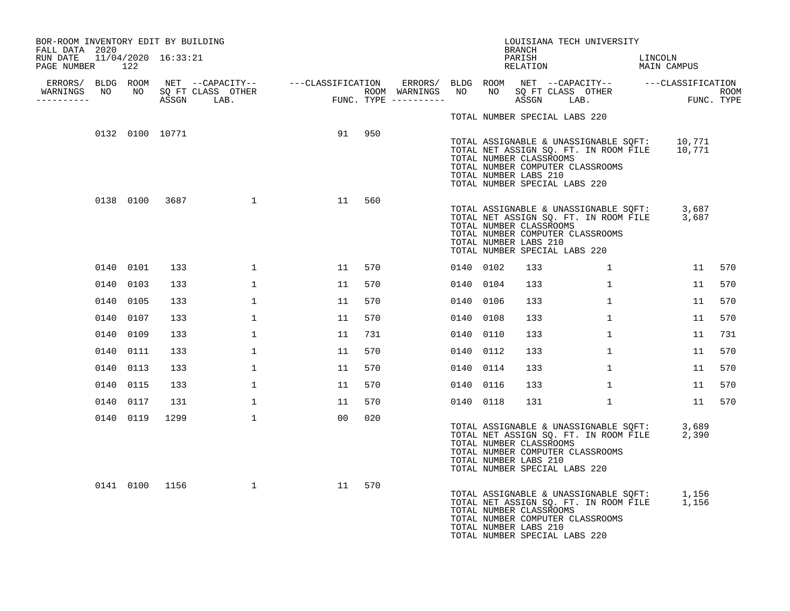| BOR-ROOM INVENTORY EDIT BY BUILDING<br>FALL DATA 2020 |           |                 |                  |    |        |           |           | <b>BRANCH</b>                                    | LOUISIANA TECH UNIVERSITY                                                                                                                                         |                        |        |
|-------------------------------------------------------|-----------|-----------------|------------------|----|--------|-----------|-----------|--------------------------------------------------|-------------------------------------------------------------------------------------------------------------------------------------------------------------------|------------------------|--------|
| RUN DATE 11/04/2020 16:33:21<br>PAGE NUMBER 122       |           |                 |                  |    |        |           |           | PARISH<br>RELATION                               |                                                                                                                                                                   | LINCOLN<br>MAIN CAMPUS |        |
| WARNINGS NO NO SQ FT CLASS OTHER                      |           |                 |                  |    |        |           |           |                                                  |                                                                                                                                                                   |                        |        |
| ----------                                            |           |                 |                  |    |        |           |           |                                                  |                                                                                                                                                                   |                        |        |
|                                                       |           |                 |                  |    |        |           |           |                                                  | TOTAL NUMBER SPECIAL LABS 220                                                                                                                                     |                        |        |
|                                                       |           | 0132 0100 10771 |                  |    | 91 950 |           |           | TOTAL NUMBER CLASSROOMS<br>TOTAL NUMBER LABS 210 | TOTAL ASSIGNABLE & UNASSIGNABLE SQFT: 10,771<br>TOTAL NET ASSIGN SQ. FT. IN ROOM FILE 10,771<br>TOTAL NUMBER COMPUTER CLASSROOMS<br>TOTAL NUMBER SPECIAL LABS 220 |                        |        |
|                                                       |           |                 | 0138 0100 3687 1 | 11 | 560    |           |           | TOTAL NUMBER CLASSROOMS<br>TOTAL NUMBER LABS 210 | TOTAL ASSIGNABLE & UNASSIGNABLE SQFT: 3,687<br>TOTAL NET ASSIGN SQ. FT. IN ROOM FILE 3,687<br>TOTAL NUMBER COMPUTER CLASSROOMS<br>TOTAL NUMBER SPECIAL LABS 220   |                        |        |
|                                                       | 0140 0101 | 133             | $\mathbf{1}$     | 11 | 570    |           | 0140 0102 | 133                                              | $\mathbf{1}$                                                                                                                                                      | 11                     | 570    |
|                                                       | 0140 0103 | 133             | $\mathbf{1}$     | 11 | 570    |           | 0140 0104 | 133                                              | $\mathbf{1}$                                                                                                                                                      | 11                     | 570    |
|                                                       | 0140 0105 | 133             | $\mathbf{1}$     | 11 | 570    |           | 0140 0106 | 133                                              | $\mathbf{1}$                                                                                                                                                      | 11                     | 570    |
|                                                       | 0140 0107 | 133             | $\mathbf{1}$     | 11 | 570    |           | 0140 0108 | 133                                              | $\mathbf{1}$                                                                                                                                                      | 11                     | 570    |
|                                                       | 0140 0109 | 133             | 1                | 11 | 731    |           | 0140 0110 | 133                                              | $\mathbf{1}$                                                                                                                                                      | 11                     | 731    |
|                                                       | 0140 0111 | 133             | $\mathbf{1}$     | 11 | 570    | 0140 0112 |           | 133                                              | $\mathbf{1}$                                                                                                                                                      | 11                     | 570    |
|                                                       | 0140 0113 | 133             | 1                | 11 | 570    |           | 0140 0114 | 133                                              | $\mathbf{1}$                                                                                                                                                      | 11                     | 570    |
|                                                       | 0140 0115 | 133             | $\mathbf{1}$     | 11 | 570    | 0140 0116 |           | 133                                              | $\mathbf{1}$                                                                                                                                                      | 11                     | 570    |
|                                                       | 0140 0117 | 131             | 1                | 11 | 570    |           | 0140 0118 | 131                                              | $\mathbf{1}$                                                                                                                                                      |                        | 11 570 |
|                                                       | 0140 0119 | 1299            | $\mathbf{1}$     | 00 | 020    |           |           | TOTAL NUMBER CLASSROOMS<br>TOTAL NUMBER LABS 210 | TOTAL ASSIGNABLE & UNASSIGNABLE SQFT: 3,689<br>TOTAL NET ASSIGN SQ. FT. IN ROOM FILE 2,390<br>TOTAL NUMBER COMPUTER CLASSROOMS<br>TOTAL NUMBER SPECIAL LABS 220   |                        |        |
|                                                       |           | 0141 0100 1156  | $\mathbf{1}$     | 11 | 570    |           |           | TOTAL NUMBER CLASSROOMS<br>TOTAL NUMBER LABS 210 | TOTAL ASSIGNABLE & UNASSIGNABLE SOFT: 1,156<br>TOTAL NET ASSIGN SQ. FT. IN ROOM FILE 1,156<br>TOTAL NUMBER COMPUTER CLASSROOMS<br>TOTAL NUMBER SPECIAL LABS 220   |                        |        |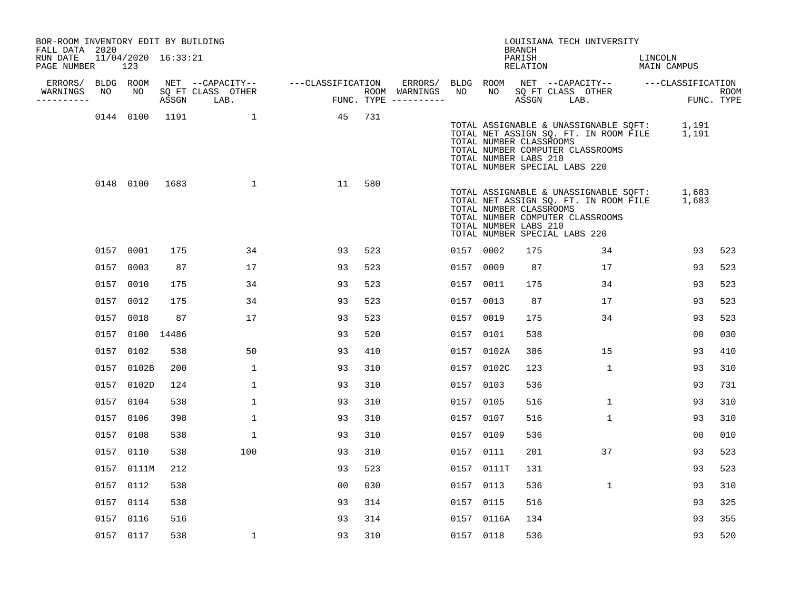| BOR-ROOM INVENTORY EDIT BY BUILDING<br>FALL DATA 2020 |    |                            |     |                                 |                                       |     |           |                 | BRANCH                                           | LOUISIANA TECH UNIVERSITY                                                                                                                                       |                |                    |
|-------------------------------------------------------|----|----------------------------|-----|---------------------------------|---------------------------------------|-----|-----------|-----------------|--------------------------------------------------|-----------------------------------------------------------------------------------------------------------------------------------------------------------------|----------------|--------------------|
| RUN DATE<br>PAGE NUMBER                               |    | 11/04/2020 16:33:21<br>123 |     |                                 |                                       |     |           |                 | PARISH<br>RELATION                               | MAIN CAMPUS                                                                                                                                                     | LINCOLN        |                    |
| ERRORS/ BLDG ROOM                                     |    |                            |     |                                 | NET --CAPACITY-- ---CLASSIFICATION    |     |           |                 |                                                  | ERRORS/ BLDG ROOM NET --CAPACITY-- ----CLASSIFICATION                                                                                                           |                |                    |
| WARNINGS<br>----------                                | NO | NO                         |     | SQ FT CLASS OTHER<br>ASSGN LAB. | ROOM WARNINGS<br>FUNC. TYPE --------- |     | NO        | NO <sub>1</sub> | ASSGN LAB.                                       | SQ FT CLASS OTHER                                                                                                                                               |                | ROOM<br>FUNC. TYPE |
|                                                       |    |                            |     | 0144 0100 1191 1                | 45                                    | 731 |           |                 | TOTAL NUMBER CLASSROOMS<br>TOTAL NUMBER LABS 210 | TOTAL ASSIGNABLE & UNASSIGNABLE SQFT: 1,191<br>TOTAL NET ASSIGN SQ. FT. IN ROOM FILE 1,191<br>TOTAL NUMBER COMPUTER CLASSROOMS<br>TOTAL NUMBER SPECIAL LABS 220 |                |                    |
|                                                       |    | 0148 0100 1683             |     | $\sim$ 1                        | 11                                    | 580 |           |                 | TOTAL NUMBER CLASSROOMS<br>TOTAL NUMBER LABS 210 | TOTAL ASSIGNABLE & UNASSIGNABLE SQFT: 1,683<br>TOTAL NET ASSIGN SQ. FT. IN ROOM FILE 1,683<br>TOTAL NUMBER COMPUTER CLASSROOMS<br>TOTAL NUMBER SPECIAL LABS 220 |                |                    |
|                                                       |    | 0157 0001                  | 175 | 34                              | 93                                    | 523 |           | 0157 0002       | 175                                              | 34                                                                                                                                                              | 93             | 523                |
|                                                       |    | 0157 0003                  | 87  | 17                              | 93                                    | 523 |           | 0157 0009       | 87                                               | 17                                                                                                                                                              | 93             | 523                |
|                                                       |    | 0157 0010                  | 175 | 34                              | 93                                    | 523 |           | 0157 0011       | 175                                              | 34                                                                                                                                                              | 93             | 523                |
|                                                       |    | 0157 0012                  | 175 | 34                              | 93                                    | 523 |           | 0157 0013       | 87                                               | 17                                                                                                                                                              | 93             | 523                |
|                                                       |    | 0157 0018                  | 87  | 17                              | 93                                    | 523 |           | 0157 0019       | 175                                              | 34                                                                                                                                                              | 93             | 523                |
|                                                       |    | 0157 0100 14486            |     |                                 | 93                                    | 520 |           | 0157 0101       | 538                                              |                                                                                                                                                                 | 0 <sub>0</sub> | 030                |
|                                                       |    | 0157 0102                  | 538 | 50                              | 93                                    | 410 |           | 0157 0102A      | 386                                              | 15                                                                                                                                                              | 93             | 410                |
|                                                       |    | 0157 0102B                 | 200 | $\mathbf 1$                     | 93                                    | 310 |           | 0157 0102C      | 123                                              | $\mathbf{1}$                                                                                                                                                    | 93             | 310                |
|                                                       |    | 0157 0102D                 | 124 | 1                               | 93                                    | 310 | 0157      | 0103            | 536                                              |                                                                                                                                                                 | 93             | 731                |
|                                                       |    | 0157 0104                  | 538 | $\mathbf 1$                     | 93                                    | 310 |           | 0157 0105       | 516                                              | $\mathbf{1}$                                                                                                                                                    | 93             | 310                |
|                                                       |    | 0157 0106                  | 398 | $\mathbf 1$                     | 93                                    | 310 |           | 0157 0107       | 516                                              | $\mathbf{1}$                                                                                                                                                    | 93             | 310                |
|                                                       |    | 0157 0108                  | 538 | $\mathbf{1}$                    | 93                                    | 310 | 0157 0109 |                 | 536                                              |                                                                                                                                                                 | 00             | 010                |
|                                                       |    | 0157 0110                  | 538 | 100                             | 93                                    | 310 |           | 0157 0111       | 201                                              | 37                                                                                                                                                              | 93             | 523                |
|                                                       |    | 0157 0111M                 | 212 |                                 | 93                                    | 523 |           | 0157 0111T      | 131                                              |                                                                                                                                                                 | 93             | 523                |
|                                                       |    | 0157 0112                  | 538 |                                 | 0 <sub>0</sub>                        | 030 |           | 0157 0113       | 536                                              | 1                                                                                                                                                               | 93             | 310                |
|                                                       |    | 0157 0114                  | 538 |                                 | 93                                    | 314 |           | 0157 0115       | 516                                              |                                                                                                                                                                 | 93             | 325                |
|                                                       |    | 0157 0116                  | 516 |                                 | 93                                    | 314 |           | 0157 0116A      | 134                                              |                                                                                                                                                                 | 93             | 355                |
|                                                       |    | 0157 0117                  | 538 | $\mathbf{1}$                    | 93                                    | 310 |           | 0157 0118       | 536                                              |                                                                                                                                                                 | 93             | 520                |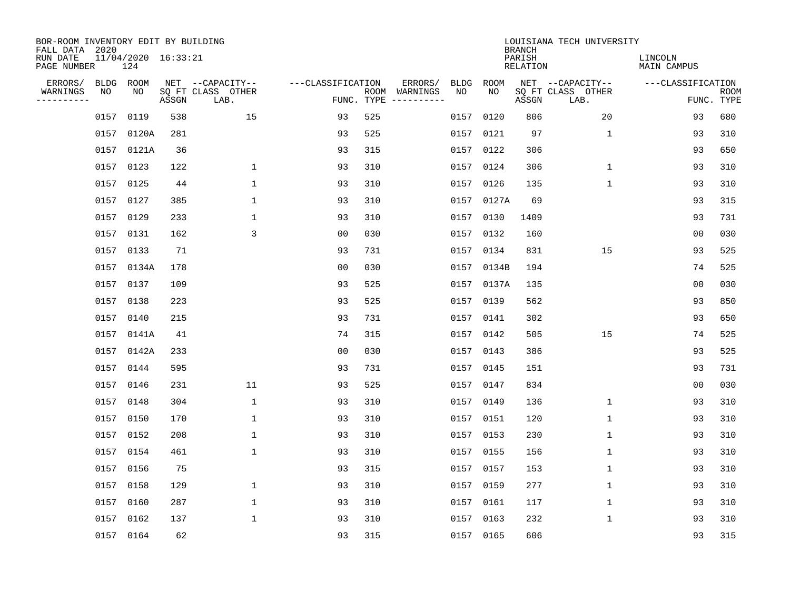| BOR-ROOM INVENTORY EDIT BY BUILDING<br>FALL DATA 2020 |      |                            |       |                           |                   |            |                              |      |            | <b>BRANCH</b>             | LOUISIANA TECH UNIVERSITY |                               |                           |
|-------------------------------------------------------|------|----------------------------|-------|---------------------------|-------------------|------------|------------------------------|------|------------|---------------------------|---------------------------|-------------------------------|---------------------------|
| RUN DATE<br>PAGE NUMBER                               |      | 11/04/2020 16:33:21<br>124 |       |                           |                   |            |                              |      |            | PARISH<br><b>RELATION</b> |                           | LINCOLN<br><b>MAIN CAMPUS</b> |                           |
| ERRORS/                                               |      | BLDG ROOM                  |       | NET --CAPACITY--          | ---CLASSIFICATION |            | ERRORS/                      | BLDG | ROOM       |                           | NET --CAPACITY--          | ---CLASSIFICATION             |                           |
| WARNINGS<br>----------                                | NO   | NO                         | ASSGN | SQ FT CLASS OTHER<br>LAB. |                   | FUNC. TYPE | ROOM WARNINGS<br>----------- | NO   | NO         | ASSGN                     | SQ FT CLASS OTHER<br>LAB. |                               | <b>ROOM</b><br>FUNC. TYPE |
|                                                       | 0157 | 0119                       | 538   | 15                        | 93                | 525        |                              | 0157 | 0120       | 806                       | 20                        | 93                            | 680                       |
|                                                       | 0157 | 0120A                      | 281   |                           | 93                | 525        |                              |      | 0157 0121  | 97                        | 1                         | 93                            | 310                       |
|                                                       | 0157 | 0121A                      | 36    |                           | 93                | 315        |                              |      | 0157 0122  | 306                       |                           | 93                            | 650                       |
|                                                       |      | 0157 0123                  | 122   | $\mathbf 1$               | 93                | 310        |                              |      | 0157 0124  | 306                       | $\mathbf 1$               | 93                            | 310                       |
|                                                       | 0157 | 0125                       | 44    | $\mathbf{1}$              | 93                | 310        |                              |      | 0157 0126  | 135                       | $\mathbf{1}$              | 93                            | 310                       |
|                                                       |      | 0157 0127                  | 385   | $\mathbf{1}$              | 93                | 310        |                              |      | 0157 0127A | 69                        |                           | 93                            | 315                       |
|                                                       | 0157 | 0129                       | 233   | $\mathbf{1}$              | 93                | 310        |                              |      | 0157 0130  | 1409                      |                           | 93                            | 731                       |
|                                                       |      | 0157 0131                  | 162   | 3                         | 0 <sub>0</sub>    | 030        |                              |      | 0157 0132  | 160                       |                           | 0 <sub>0</sub>                | 030                       |
|                                                       | 0157 | 0133                       | 71    |                           | 93                | 731        |                              |      | 0157 0134  | 831                       | 15                        | 93                            | 525                       |
|                                                       |      | 0157 0134A                 | 178   |                           | 00                | 030        |                              |      | 0157 0134B | 194                       |                           | 74                            | 525                       |
|                                                       | 0157 | 0137                       | 109   |                           | 93                | 525        |                              |      | 0157 0137A | 135                       |                           | 0 <sub>0</sub>                | 030                       |
|                                                       |      | 0157 0138                  | 223   |                           | 93                | 525        |                              |      | 0157 0139  | 562                       |                           | 93                            | 850                       |
|                                                       | 0157 | 0140                       | 215   |                           | 93                | 731        |                              |      | 0157 0141  | 302                       |                           | 93                            | 650                       |
|                                                       |      | 0157 0141A                 | 41    |                           | 74                | 315        |                              |      | 0157 0142  | 505                       | 15                        | 74                            | 525                       |
|                                                       | 0157 | 0142A                      | 233   |                           | 0 <sub>0</sub>    | 030        |                              |      | 0157 0143  | 386                       |                           | 93                            | 525                       |
|                                                       | 0157 | 0144                       | 595   |                           | 93                | 731        |                              |      | 0157 0145  | 151                       |                           | 93                            | 731                       |
|                                                       | 0157 | 0146                       | 231   | 11                        | 93                | 525        |                              |      | 0157 0147  | 834                       |                           | 0 <sub>0</sub>                | 030                       |
|                                                       | 0157 | 0148                       | 304   | $\mathbf 1$               | 93                | 310        |                              |      | 0157 0149  | 136                       | 1                         | 93                            | 310                       |
|                                                       | 0157 | 0150                       | 170   | 1                         | 93                | 310        |                              |      | 0157 0151  | 120                       | 1                         | 93                            | 310                       |
|                                                       | 0157 | 0152                       | 208   | 1                         | 93                | 310        |                              |      | 0157 0153  | 230                       | 1                         | 93                            | 310                       |
|                                                       | 0157 | 0154                       | 461   | $\mathbf{1}$              | 93                | 310        |                              |      | 0157 0155  | 156                       | 1                         | 93                            | 310                       |
|                                                       | 0157 | 0156                       | 75    |                           | 93                | 315        |                              |      | 0157 0157  | 153                       | 1                         | 93                            | 310                       |
|                                                       | 0157 | 0158                       | 129   | 1                         | 93                | 310        |                              |      | 0157 0159  | 277                       | 1                         | 93                            | 310                       |
|                                                       | 0157 | 0160                       | 287   | $\mathbf{1}$              | 93                | 310        |                              |      | 0157 0161  | 117                       | 1                         | 93                            | 310                       |
|                                                       | 0157 | 0162                       | 137   | $\mathbf{1}$              | 93                | 310        |                              |      | 0157 0163  | 232                       | 1                         | 93                            | 310                       |
|                                                       |      | 0157 0164                  | 62    |                           | 93                | 315        |                              |      | 0157 0165  | 606                       |                           | 93                            | 315                       |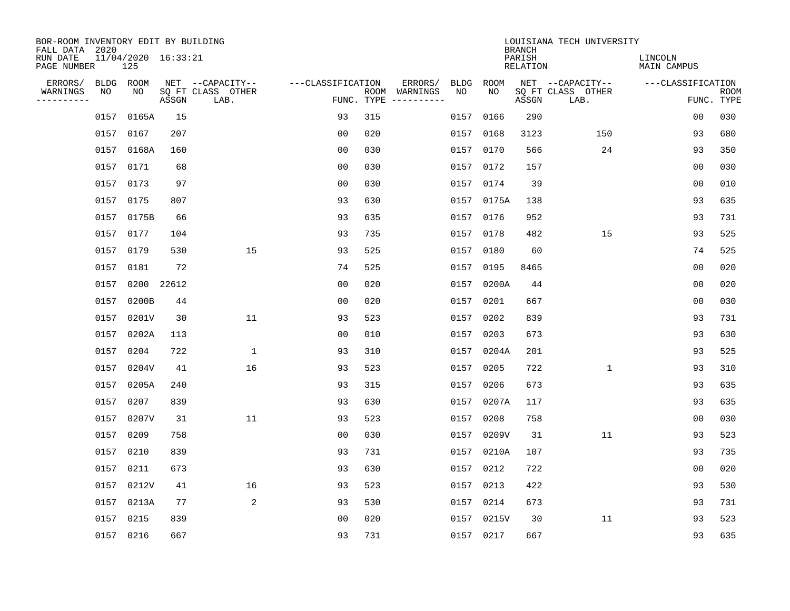| BOR-ROOM INVENTORY EDIT BY BUILDING       |      |                            |       |                           |                   |     |                                      |      |             |                                            | LOUISIANA TECH UNIVERSITY |                               |                           |
|-------------------------------------------|------|----------------------------|-------|---------------------------|-------------------|-----|--------------------------------------|------|-------------|--------------------------------------------|---------------------------|-------------------------------|---------------------------|
| FALL DATA 2020<br>RUN DATE<br>PAGE NUMBER |      | 11/04/2020 16:33:21<br>125 |       |                           |                   |     |                                      |      |             | <b>BRANCH</b><br>PARISH<br><b>RELATION</b> |                           | LINCOLN<br><b>MAIN CAMPUS</b> |                           |
| ERRORS/                                   |      | BLDG ROOM                  |       | NET --CAPACITY--          | ---CLASSIFICATION |     | ERRORS/                              | BLDG | <b>ROOM</b> |                                            | NET --CAPACITY--          | ---CLASSIFICATION             |                           |
| WARNINGS<br>----------                    | NO   | NO                         | ASSGN | SQ FT CLASS OTHER<br>LAB. |                   |     | ROOM WARNINGS<br>FUNC. TYPE $------$ | NO   | NO          | ASSGN                                      | SQ FT CLASS OTHER<br>LAB. |                               | <b>ROOM</b><br>FUNC. TYPE |
|                                           | 0157 | 0165A                      | 15    |                           | 93                | 315 |                                      | 0157 | 0166        | 290                                        |                           | 0 <sub>0</sub>                | 030                       |
|                                           | 0157 | 0167                       | 207   |                           | 00                | 020 |                                      |      | 0157 0168   | 3123                                       | 150                       | 93                            | 680                       |
|                                           | 0157 | 0168A                      | 160   |                           | 00                | 030 |                                      |      | 0157 0170   | 566                                        | 24                        | 93                            | 350                       |
|                                           |      | 0157 0171                  | 68    |                           | 0 <sub>0</sub>    | 030 |                                      |      | 0157 0172   | 157                                        |                           | 0 <sub>0</sub>                | 030                       |
|                                           | 0157 | 0173                       | 97    |                           | 0 <sub>0</sub>    | 030 |                                      |      | 0157 0174   | 39                                         |                           | 00                            | 010                       |
|                                           |      | 0157 0175                  | 807   |                           | 93                | 630 |                                      |      | 0157 0175A  | 138                                        |                           | 93                            | 635                       |
|                                           |      | 0157 0175B                 | 66    |                           | 93                | 635 |                                      |      | 0157 0176   | 952                                        |                           | 93                            | 731                       |
|                                           |      | 0157 0177                  | 104   |                           | 93                | 735 |                                      |      | 0157 0178   | 482                                        | 15                        | 93                            | 525                       |
|                                           | 0157 | 0179                       | 530   | 15                        | 93                | 525 |                                      |      | 0157 0180   | 60                                         |                           | 74                            | 525                       |
|                                           | 0157 | 0181                       | 72    |                           | 74                | 525 |                                      |      | 0157 0195   | 8465                                       |                           | 0 <sub>0</sub>                | 020                       |
|                                           | 0157 | 0200                       | 22612 |                           | 0 <sub>0</sub>    | 020 |                                      |      | 0157 0200A  | 44                                         |                           | 0 <sub>0</sub>                | 020                       |
|                                           | 0157 | 0200B                      | 44    |                           | 0 <sub>0</sub>    | 020 |                                      |      | 0157 0201   | 667                                        |                           | 0 <sub>0</sub>                | 030                       |
|                                           | 0157 | 0201V                      | 30    | 11                        | 93                | 523 |                                      | 0157 | 0202        | 839                                        |                           | 93                            | 731                       |
|                                           | 0157 | 0202A                      | 113   |                           | 00                | 010 |                                      |      | 0157 0203   | 673                                        |                           | 93                            | 630                       |
|                                           | 0157 | 0204                       | 722   | $\mathbf 1$               | 93                | 310 |                                      | 0157 | 0204A       | 201                                        |                           | 93                            | 525                       |
|                                           | 0157 | 0204V                      | 41    | 16                        | 93                | 523 |                                      | 0157 | 0205        | 722                                        | 1                         | 93                            | 310                       |
|                                           | 0157 | 0205A                      | 240   |                           | 93                | 315 |                                      | 0157 | 0206        | 673                                        |                           | 93                            | 635                       |
|                                           | 0157 | 0207                       | 839   |                           | 93                | 630 |                                      |      | 0157 0207A  | 117                                        |                           | 93                            | 635                       |
|                                           | 0157 | 0207V                      | 31    | 11                        | 93                | 523 |                                      | 0157 | 0208        | 758                                        |                           | 0 <sub>0</sub>                | 030                       |
|                                           | 0157 | 0209                       | 758   |                           | 0 <sub>0</sub>    | 030 |                                      | 0157 | 0209V       | 31                                         | 11                        | 93                            | 523                       |
|                                           | 0157 | 0210                       | 839   |                           | 93                | 731 |                                      |      | 0157 0210A  | 107                                        |                           | 93                            | 735                       |
|                                           | 0157 | 0211                       | 673   |                           | 93                | 630 |                                      | 0157 | 0212        | 722                                        |                           | 0 <sub>0</sub>                | 020                       |
|                                           | 0157 | 0212V                      | 41    | 16                        | 93                | 523 |                                      |      | 0157 0213   | 422                                        |                           | 93                            | 530                       |
|                                           | 0157 | 0213A                      | 77    | 2                         | 93                | 530 |                                      |      | 0157 0214   | 673                                        |                           | 93                            | 731                       |
|                                           | 0157 | 0215                       | 839   |                           | 0 <sub>0</sub>    | 020 |                                      |      | 0157 0215V  | 30                                         | 11                        | 93                            | 523                       |
|                                           |      | 0157 0216                  | 667   |                           | 93                | 731 |                                      |      | 0157 0217   | 667                                        |                           | 93                            | 635                       |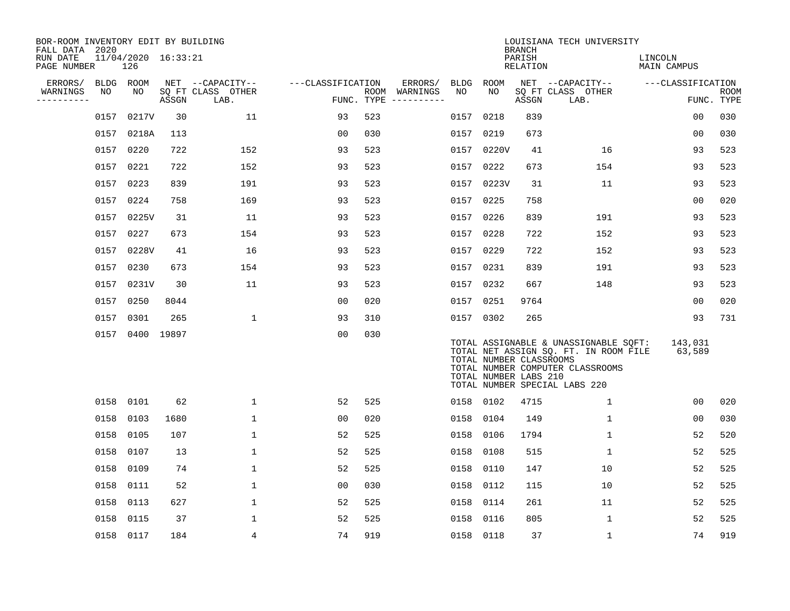| BOR-ROOM INVENTORY EDIT BY BUILDING<br>FALL DATA 2020 |      |                            |       |                           |                   |     |                                      |      |                                                  | <b>BRANCH</b>      | LOUISIANA TECH UNIVERSITY                                                                                                                           |                        |                           |
|-------------------------------------------------------|------|----------------------------|-------|---------------------------|-------------------|-----|--------------------------------------|------|--------------------------------------------------|--------------------|-----------------------------------------------------------------------------------------------------------------------------------------------------|------------------------|---------------------------|
| RUN DATE<br>PAGE NUMBER                               |      | 11/04/2020 16:33:21<br>126 |       |                           |                   |     |                                      |      |                                                  | PARISH<br>RELATION |                                                                                                                                                     | LINCOLN<br>MAIN CAMPUS |                           |
| ERRORS/                                               |      | BLDG ROOM                  |       | NET --CAPACITY--          | ---CLASSIFICATION |     | ERRORS/                              |      | BLDG ROOM                                        |                    | NET --CAPACITY--                                                                                                                                    | ---CLASSIFICATION      |                           |
| WARNINGS<br>----------                                | NO   | NO                         | ASSGN | SQ FT CLASS OTHER<br>LAB. |                   |     | ROOM WARNINGS<br>FUNC. TYPE $------$ | NO   | NO.                                              | ASSGN              | SQ FT CLASS OTHER<br>LAB.                                                                                                                           |                        | <b>ROOM</b><br>FUNC. TYPE |
|                                                       | 0157 | 0217V                      | 30    | 11                        | 93                | 523 |                                      | 0157 | 0218                                             | 839                |                                                                                                                                                     | 0 <sub>0</sub>         | 030                       |
|                                                       | 0157 | 0218A                      | 113   |                           | 0 <sub>0</sub>    | 030 |                                      | 0157 | 0219                                             | 673                |                                                                                                                                                     | 00                     | 030                       |
|                                                       | 0157 | 0220                       | 722   | 152                       | 93                | 523 |                                      | 0157 | 0220V                                            | 41                 | 16                                                                                                                                                  | 93                     | 523                       |
|                                                       | 0157 | 0221                       | 722   | 152                       | 93                | 523 |                                      |      | 0157 0222                                        | 673                | 154                                                                                                                                                 | 93                     | 523                       |
|                                                       | 0157 | 0223                       | 839   | 191                       | 93                | 523 |                                      |      | 0157 0223V                                       | 31                 | 11                                                                                                                                                  | 93                     | 523                       |
|                                                       | 0157 | 0224                       | 758   | 169                       | 93                | 523 |                                      |      | 0157 0225                                        | 758                |                                                                                                                                                     | 0 <sub>0</sub>         | 020                       |
|                                                       | 0157 | 0225V                      | 31    | 11                        | 93                | 523 |                                      |      | 0157 0226                                        | 839                | 191                                                                                                                                                 | 93                     | 523                       |
|                                                       | 0157 | 0227                       | 673   | 154                       | 93                | 523 |                                      |      | 0157 0228                                        | 722                | 152                                                                                                                                                 | 93                     | 523                       |
|                                                       | 0157 | 0228V                      | 41    | 16                        | 93                | 523 |                                      | 0157 | 0229                                             | 722                | 152                                                                                                                                                 | 93                     | 523                       |
|                                                       | 0157 | 0230                       | 673   | 154                       | 93                | 523 |                                      |      | 0157 0231                                        | 839                | 191                                                                                                                                                 | 93                     | 523                       |
|                                                       | 0157 | 0231V                      | 30    | 11                        | 93                | 523 |                                      | 0157 | 0232                                             | 667                | 148                                                                                                                                                 | 93                     | 523                       |
|                                                       | 0157 | 0250                       | 8044  |                           | 00                | 020 |                                      | 0157 | 0251                                             | 9764               |                                                                                                                                                     | 0 <sub>0</sub>         | 020                       |
|                                                       | 0157 | 0301                       | 265   | $\mathbf{1}$              | 93                | 310 |                                      |      | 0157 0302                                        | 265                |                                                                                                                                                     | 93                     | 731                       |
|                                                       | 0157 | 0400 19897                 |       |                           | 0 <sub>0</sub>    | 030 |                                      |      | TOTAL NUMBER CLASSROOMS<br>TOTAL NUMBER LABS 210 |                    | TOTAL ASSIGNABLE & UNASSIGNABLE SQFT:<br>TOTAL NET ASSIGN SQ. FT. IN ROOM FILE<br>TOTAL NUMBER COMPUTER CLASSROOMS<br>TOTAL NUMBER SPECIAL LABS 220 | 143,031<br>63,589      |                           |
|                                                       | 0158 | 0101                       | 62    | $\mathbf{1}$              | 52                | 525 |                                      | 0158 | 0102                                             | 4715               | $\mathbf 1$                                                                                                                                         | 00                     | 020                       |
|                                                       | 0158 | 0103                       | 1680  | $\mathbf 1$               | 0 <sub>0</sub>    | 020 |                                      | 0158 | 0104                                             | 149                | $\mathbf 1$                                                                                                                                         | 0 <sub>0</sub>         | 030                       |
|                                                       | 0158 | 0105                       | 107   | $\mathbf 1$               | 52                | 525 |                                      | 0158 | 0106                                             | 1794               | $\mathbf 1$                                                                                                                                         | 52                     | 520                       |
|                                                       | 0158 | 0107                       | 13    | $\mathbf 1$               | 52                | 525 |                                      | 0158 | 0108                                             | 515                | $\mathbf 1$                                                                                                                                         | 52                     | 525                       |
|                                                       | 0158 | 0109                       | 74    | $\mathbf{1}$              | 52                | 525 |                                      | 0158 | 0110                                             | 147                | 10                                                                                                                                                  | 52                     | 525                       |
|                                                       | 0158 | 0111                       | 52    | 1                         | 0 <sub>0</sub>    | 030 |                                      | 0158 | 0112                                             | 115                | 10                                                                                                                                                  | 52                     | 525                       |
|                                                       | 0158 | 0113                       | 627   | $\mathbf 1$               | 52                | 525 |                                      | 0158 | 0114                                             | 261                | 11                                                                                                                                                  | 52                     | 525                       |
|                                                       | 0158 | 0115                       | 37    | 1                         | 52                | 525 |                                      | 0158 | 0116                                             | 805                | 1                                                                                                                                                   | 52                     | 525                       |
|                                                       |      | 0158 0117                  | 184   | 4                         | 74                | 919 |                                      |      | 0158 0118                                        | 37                 | 1                                                                                                                                                   | 74                     | 919                       |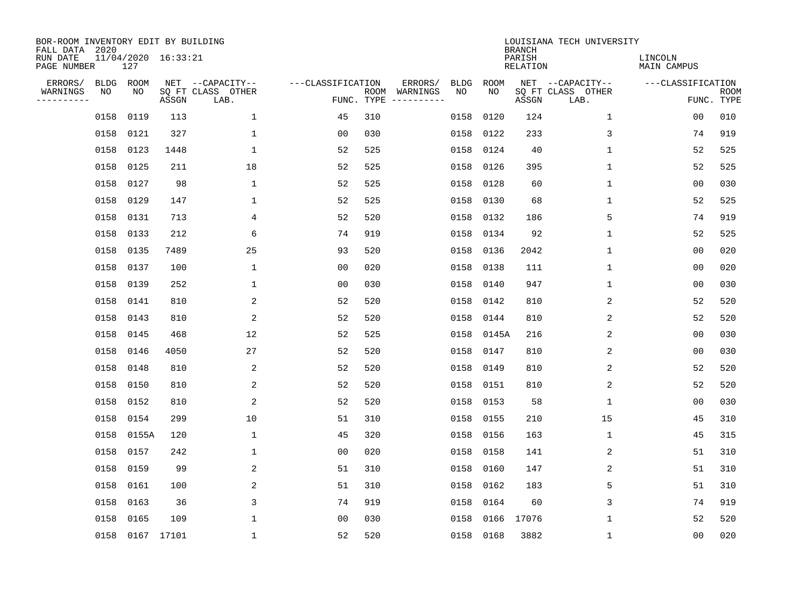| BOR-ROOM INVENTORY EDIT BY BUILDING<br>FALL DATA 2020 |           |                 |                     |                           |                   |                    |                         |      |       | <b>BRANCH</b>             | LOUISIANA TECH UNIVERSITY |                               |                           |
|-------------------------------------------------------|-----------|-----------------|---------------------|---------------------------|-------------------|--------------------|-------------------------|------|-------|---------------------------|---------------------------|-------------------------------|---------------------------|
| RUN DATE<br>PAGE NUMBER                               |           | 127             | 11/04/2020 16:33:21 |                           |                   |                    |                         |      |       | PARISH<br><b>RELATION</b> |                           | LINCOLN<br><b>MAIN CAMPUS</b> |                           |
| ERRORS/                                               | BLDG ROOM |                 |                     | NET --CAPACITY--          | ---CLASSIFICATION |                    | ERRORS/                 | BLDG | ROOM  |                           | NET --CAPACITY--          | ---CLASSIFICATION             |                           |
| WARNINGS<br>----------                                | NO        | NO              | ASSGN               | SQ FT CLASS OTHER<br>LAB. |                   | ROOM<br>FUNC. TYPE | WARNINGS<br>----------- | NO   | NO    | ASSGN                     | SQ FT CLASS OTHER<br>LAB. |                               | <b>ROOM</b><br>FUNC. TYPE |
|                                                       | 0158      | 0119            | 113                 | $\mathbf{1}$              | 45                | 310                |                         | 0158 | 0120  | 124                       | $\mathbf 1$               | 0 <sub>0</sub>                | 010                       |
|                                                       | 0158      | 0121            | 327                 | 1                         | 00                | 030                |                         | 0158 | 0122  | 233                       | 3                         | 74                            | 919                       |
|                                                       | 0158      | 0123            | 1448                | $\mathbf{1}$              | 52                | 525                |                         | 0158 | 0124  | 40                        | 1                         | 52                            | 525                       |
|                                                       | 0158      | 0125            | 211                 | 18                        | 52                | 525                |                         | 0158 | 0126  | 395                       | 1                         | 52                            | 525                       |
|                                                       | 0158      | 0127            | 98                  | $\mathbf{1}$              | 52                | 525                |                         | 0158 | 0128  | 60                        | 1                         | 00                            | 030                       |
|                                                       | 0158 0129 |                 | 147                 | $\mathbf 1$               | 52                | 525                |                         | 0158 | 0130  | 68                        | 1                         | 52                            | 525                       |
|                                                       | 0158      | 0131            | 713                 | 4                         | 52                | 520                |                         | 0158 | 0132  | 186                       | 5                         | 74                            | 919                       |
|                                                       | 0158      | 0133            | 212                 | 6                         | 74                | 919                |                         | 0158 | 0134  | 92                        | 1                         | 52                            | 525                       |
|                                                       | 0158      | 0135            | 7489                | 25                        | 93                | 520                |                         | 0158 | 0136  | 2042                      | 1                         | 0 <sub>0</sub>                | 020                       |
|                                                       | 0158 0137 |                 | 100                 | 1                         | 0 <sub>0</sub>    | 020                |                         | 0158 | 0138  | 111                       | 1                         | 0 <sub>0</sub>                | 020                       |
|                                                       | 0158      | 0139            | 252                 | $\mathbf{1}$              | 0 <sub>0</sub>    | 030                |                         | 0158 | 0140  | 947                       | 1                         | 0 <sub>0</sub>                | 030                       |
|                                                       | 0158      | 0141            | 810                 | 2                         | 52                | 520                |                         | 0158 | 0142  | 810                       | 2                         | 52                            | 520                       |
|                                                       | 0158      | 0143            | 810                 | 2                         | 52                | 520                |                         | 0158 | 0144  | 810                       | 2                         | 52                            | 520                       |
|                                                       | 0158      | 0145            | 468                 | 12                        | 52                | 525                |                         | 0158 | 0145A | 216                       | $\overline{c}$            | 0 <sub>0</sub>                | 030                       |
|                                                       | 0158      | 0146            | 4050                | 27                        | 52                | 520                |                         | 0158 | 0147  | 810                       | 2                         | 00                            | 030                       |
|                                                       | 0158      | 0148            | 810                 | 2                         | 52                | 520                |                         | 0158 | 0149  | 810                       | 2                         | 52                            | 520                       |
|                                                       | 0158      | 0150            | 810                 | 2                         | 52                | 520                |                         | 0158 | 0151  | 810                       | 2                         | 52                            | 520                       |
|                                                       | 0158      | 0152            | 810                 | 2                         | 52                | 520                |                         | 0158 | 0153  | 58                        | 1                         | 0 <sub>0</sub>                | 030                       |
|                                                       | 0158      | 0154            | 299                 | 10                        | 51                | 310                |                         | 0158 | 0155  | 210                       | 15                        | 45                            | 310                       |
|                                                       | 0158      | 0155A           | 120                 | 1                         | 45                | 320                |                         | 0158 | 0156  | 163                       | 1                         | 45                            | 315                       |
|                                                       | 0158      | 0157            | 242                 | $\mathbf{1}$              | 0 <sub>0</sub>    | 020                |                         | 0158 | 0158  | 141                       | 2                         | 51                            | 310                       |
|                                                       | 0158      | 0159            | 99                  | 2                         | 51                | 310                |                         | 0158 | 0160  | 147                       | 2                         | 51                            | 310                       |
|                                                       | 0158      | 0161            | 100                 | 2                         | 51                | 310                |                         | 0158 | 0162  | 183                       | 5                         | 51                            | 310                       |
|                                                       | 0158      | 0163            | 36                  | 3                         | 74                | 919                |                         | 0158 | 0164  | 60                        | 3                         | 74                            | 919                       |
|                                                       | 0158      | 0165            | 109                 | $\mathbf 1$               | 0 <sub>0</sub>    | 030                |                         | 0158 | 0166  | 17076                     | 1                         | 52                            | 520                       |
|                                                       |           | 0158 0167 17101 |                     | $\mathbf 1$               | 52                | 520                |                         | 0158 | 0168  | 3882                      | 1                         | 0 <sub>0</sub>                | 020                       |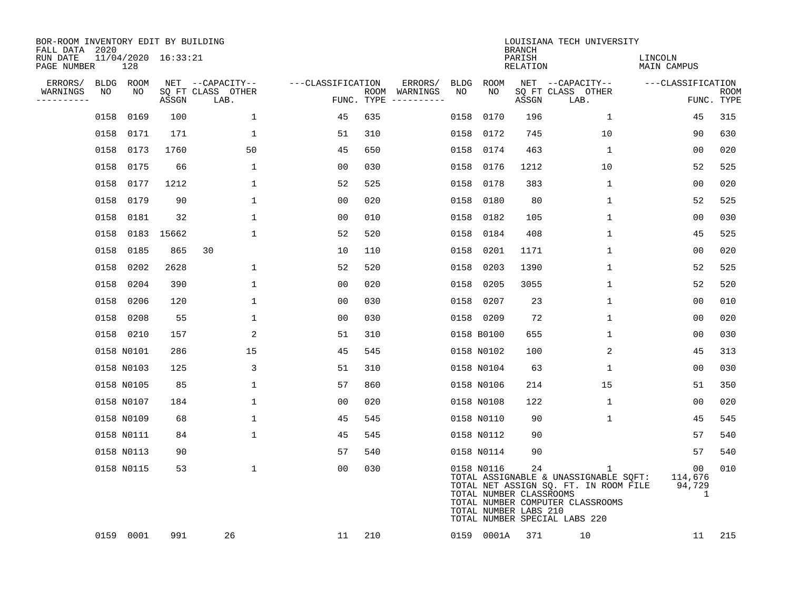| BOR-ROOM INVENTORY EDIT BY BUILDING<br>FALL DATA 2020 |      |            |                     |                           |                   |     |                                      |      |                                                                | <b>BRANCH</b>             | LOUISIANA TECH UNIVERSITY                                                                                                                                |                                           |                           |
|-------------------------------------------------------|------|------------|---------------------|---------------------------|-------------------|-----|--------------------------------------|------|----------------------------------------------------------------|---------------------------|----------------------------------------------------------------------------------------------------------------------------------------------------------|-------------------------------------------|---------------------------|
| RUN DATE<br>PAGE NUMBER                               |      | 128        | 11/04/2020 16:33:21 |                           |                   |     |                                      |      |                                                                | PARISH<br><b>RELATION</b> |                                                                                                                                                          | LINCOLN<br>MAIN CAMPUS                    |                           |
| ERRORS/                                               |      | BLDG ROOM  |                     | NET --CAPACITY--          | ---CLASSIFICATION |     | ERRORS/                              | BLDG | <b>ROOM</b>                                                    |                           | NET --CAPACITY--                                                                                                                                         | ---CLASSIFICATION                         |                           |
| WARNINGS<br>----------                                | NO   | NO         | ASSGN               | SQ FT CLASS OTHER<br>LAB. |                   |     | ROOM WARNINGS<br>FUNC. TYPE $------$ | NO   | NO                                                             | ASSGN                     | SQ FT CLASS OTHER<br>LAB.                                                                                                                                |                                           | <b>ROOM</b><br>FUNC. TYPE |
|                                                       | 0158 | 0169       | 100                 | $\mathbf{1}$              | 45                | 635 |                                      | 0158 | 0170                                                           | 196                       | $\mathbf{1}$                                                                                                                                             | 45                                        | 315                       |
|                                                       |      | 0158 0171  | 171                 | $\mathbf 1$               | 51                | 310 |                                      | 0158 | 0172                                                           | 745                       | 10                                                                                                                                                       | 90                                        | 630                       |
|                                                       | 0158 | 0173       | 1760                | 50                        | 45                | 650 |                                      | 0158 | 0174                                                           | 463                       | $\mathbf 1$                                                                                                                                              | 0 <sub>0</sub>                            | 020                       |
|                                                       |      | 0158 0175  | 66                  | $\mathbf 1$               | 0 <sub>0</sub>    | 030 |                                      | 0158 | 0176                                                           | 1212                      | 10                                                                                                                                                       | 52                                        | 525                       |
|                                                       | 0158 | 0177       | 1212                | $\mathbf 1$               | 52                | 525 |                                      | 0158 | 0178                                                           | 383                       | $\mathbf 1$                                                                                                                                              | 00                                        | 020                       |
|                                                       |      | 0158 0179  | 90                  | $\mathbf 1$               | 0 <sub>0</sub>    | 020 |                                      |      | 0158 0180                                                      | 80                        | $\mathbf 1$                                                                                                                                              | 52                                        | 525                       |
|                                                       |      | 0158 0181  | 32                  | $\mathbf{1}$              | 0 <sub>0</sub>    | 010 |                                      | 0158 | 0182                                                           | 105                       | $\mathbf{1}$                                                                                                                                             | 00                                        | 030                       |
|                                                       |      |            | 0158 0183 15662     | $\mathbf{1}$              | 52                | 520 |                                      | 0158 | 0184                                                           | 408                       | $\mathbf{1}$                                                                                                                                             | 45                                        | 525                       |
|                                                       | 0158 | 0185       | 865                 | 30                        | 10                | 110 |                                      | 0158 | 0201                                                           | 1171                      | $\mathbf{1}$                                                                                                                                             | 0 <sub>0</sub>                            | 020                       |
|                                                       |      | 0158 0202  | 2628                | $\mathbf 1$               | 52                | 520 |                                      | 0158 | 0203                                                           | 1390                      | $\mathbf 1$                                                                                                                                              | 52                                        | 525                       |
|                                                       |      | 0158 0204  | 390                 | $\mathbf 1$               | 00                | 020 |                                      | 0158 | 0205                                                           | 3055                      | $\mathbf 1$                                                                                                                                              | 52                                        | 520                       |
|                                                       |      | 0158 0206  | 120                 | $\mathbf{1}$              | 0 <sub>0</sub>    | 030 |                                      |      | 0158 0207                                                      | 23                        | $\mathbf 1$                                                                                                                                              | 0 <sub>0</sub>                            | 010                       |
|                                                       |      | 0158 0208  | 55                  | $\mathbf 1$               | 00                | 030 |                                      |      | 0158 0209                                                      | 72                        | $\mathbf 1$                                                                                                                                              | 0 <sub>0</sub>                            | 020                       |
|                                                       |      | 0158 0210  | 157                 | 2                         | 51                | 310 |                                      |      | 0158 B0100                                                     | 655                       | $\mathbf 1$                                                                                                                                              | 0 <sub>0</sub>                            | 030                       |
|                                                       |      | 0158 N0101 | 286                 | 15                        | 45                | 545 |                                      |      | 0158 N0102                                                     | 100                       | 2                                                                                                                                                        | 45                                        | 313                       |
|                                                       |      | 0158 N0103 | 125                 | 3                         | 51                | 310 |                                      |      | 0158 N0104                                                     | 63                        | 1                                                                                                                                                        | 00                                        | 030                       |
|                                                       |      | 0158 N0105 | 85                  | 1                         | 57                | 860 |                                      |      | 0158 N0106                                                     | 214                       | 15                                                                                                                                                       | 51                                        | 350                       |
|                                                       |      | 0158 N0107 | 184                 | $\mathbf 1$               | 00                | 020 |                                      |      | 0158 N0108                                                     | 122                       | 1                                                                                                                                                        | 00                                        | 020                       |
|                                                       |      | 0158 N0109 | 68                  | $\mathbf 1$               | 45                | 545 |                                      |      | 0158 N0110                                                     | 90                        | 1                                                                                                                                                        | 45                                        | 545                       |
|                                                       |      | 0158 N0111 | 84                  | $\mathbf{1}$              | 45                | 545 |                                      |      | 0158 N0112                                                     | 90                        |                                                                                                                                                          | 57                                        | 540                       |
|                                                       |      | 0158 N0113 | 90                  |                           | 57                | 540 |                                      |      | 0158 N0114                                                     | 90                        |                                                                                                                                                          | 57                                        | 540                       |
|                                                       |      | 0158 N0115 | 53                  | $\mathbf{1}$              | 0 <sub>0</sub>    | 030 |                                      |      | 0158 N0116<br>TOTAL NUMBER CLASSROOMS<br>TOTAL NUMBER LABS 210 | 24                        | 1<br>TOTAL ASSIGNABLE & UNASSIGNABLE SQFT:<br>TOTAL NET ASSIGN SQ. FT. IN ROOM FILE<br>TOTAL NUMBER COMPUTER CLASSROOMS<br>TOTAL NUMBER SPECIAL LABS 220 | 00 <sub>o</sub><br>114,676<br>94,729<br>1 | 010                       |
|                                                       |      | 0159 0001  | 991                 | 26                        | 11                | 210 |                                      |      | 0159 0001A                                                     | 371                       | 10                                                                                                                                                       | 11                                        | 215                       |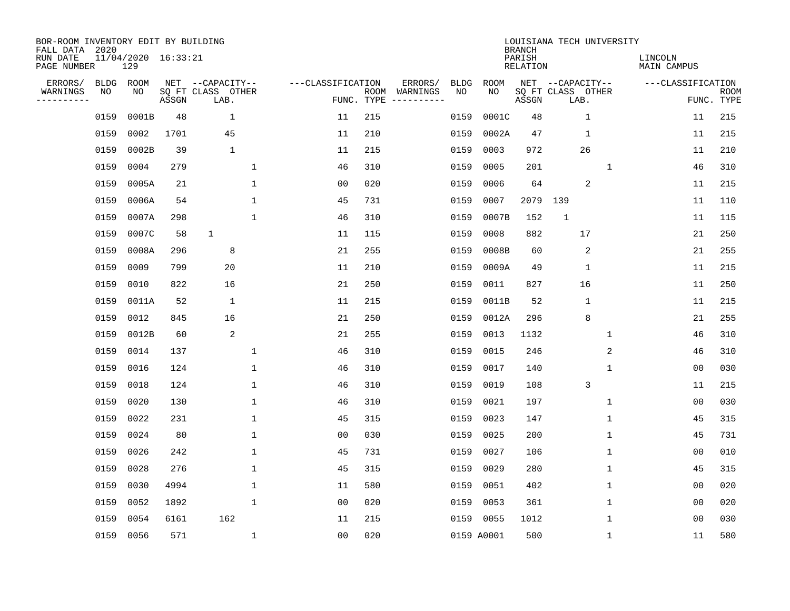| BOR-ROOM INVENTORY EDIT BY BUILDING<br>FALL DATA 2020 |             |                            |       |                           |                   |                    |                         |             |            | <b>BRANCH</b>             | LOUISIANA TECH UNIVERSITY |              |                               |                           |
|-------------------------------------------------------|-------------|----------------------------|-------|---------------------------|-------------------|--------------------|-------------------------|-------------|------------|---------------------------|---------------------------|--------------|-------------------------------|---------------------------|
| RUN DATE<br>PAGE NUMBER                               |             | 11/04/2020 16:33:21<br>129 |       |                           |                   |                    |                         |             |            | PARISH<br><b>RELATION</b> |                           |              | LINCOLN<br><b>MAIN CAMPUS</b> |                           |
| ERRORS/                                               | <b>BLDG</b> | ROOM                       |       | NET --CAPACITY--          | ---CLASSIFICATION |                    | ERRORS/                 | <b>BLDG</b> | ROOM       |                           | NET --CAPACITY--          |              | ---CLASSIFICATION             |                           |
| WARNINGS<br>----------                                | NO          | ΝO                         | ASSGN | SQ FT CLASS OTHER<br>LAB. |                   | ROOM<br>FUNC. TYPE | WARNINGS<br>----------- | NO          | NO         | ASSGN                     | SQ FT CLASS OTHER<br>LAB. |              |                               | <b>ROOM</b><br>FUNC. TYPE |
|                                                       | 0159        | 0001B                      | 48    | $\mathbf 1$               | 11                | 215                |                         | 0159        | 0001C      | 48                        | $\mathbf{1}$              |              | 11                            | 215                       |
|                                                       | 0159        | 0002                       | 1701  | 45                        | 11                | 210                |                         | 0159        | 0002A      | 47                        | $\mathbf{1}$              |              | 11                            | 215                       |
|                                                       | 0159        | 0002B                      | 39    | $\mathbf 1$               | 11                | 215                |                         | 0159        | 0003       | 972                       | 26                        |              | 11                            | 210                       |
|                                                       | 0159        | 0004                       | 279   | 1                         | 46                | 310                |                         | 0159        | 0005       | 201                       |                           | $\mathbf{1}$ | 46                            | 310                       |
|                                                       | 0159        | 0005A                      | 21    | $\mathbf 1$               | 0 <sub>0</sub>    | 020                |                         | 0159        | 0006       | 64                        | $\overline{2}$            |              | 11                            | 215                       |
|                                                       | 0159        | 0006A                      | 54    | $\mathbf 1$               | 45                | 731                |                         | 0159        | 0007       | 2079                      | 139                       |              | 11                            | 110                       |
|                                                       | 0159        | 0007A                      | 298   | $\mathbf{1}$              | 46                | 310                |                         | 0159        | 0007B      | 152                       | $\mathbf{1}$              |              | 11                            | 115                       |
|                                                       | 0159        | 0007C                      | 58    | $\mathbf{1}$              | 11                | 115                |                         | 0159        | 0008       | 882                       | 17                        |              | 21                            | 250                       |
|                                                       | 0159        | 0008A                      | 296   | 8                         | 21                | 255                |                         | 0159        | 0008B      | 60                        | 2                         |              | 21                            | 255                       |
|                                                       | 0159        | 0009                       | 799   | 20                        | 11                | 210                |                         | 0159        | 0009A      | 49                        | $\mathbf 1$               |              | 11                            | 215                       |
|                                                       | 0159        | 0010                       | 822   | 16                        | 21                | 250                |                         | 0159        | 0011       | 827                       | 16                        |              | 11                            | 250                       |
|                                                       | 0159        | 0011A                      | 52    | 1                         | 11                | 215                |                         | 0159        | 0011B      | 52                        | $\mathbf{1}$              |              | 11                            | 215                       |
|                                                       | 0159        | 0012                       | 845   | 16                        | 21                | 250                |                         | 0159        | 0012A      | 296                       | 8                         |              | 21                            | 255                       |
|                                                       | 0159        | 0012B                      | 60    | $\mathbf{2}$              | 21                | 255                |                         | 0159        | 0013       | 1132                      |                           | 1            | 46                            | 310                       |
|                                                       | 0159        | 0014                       | 137   | 1                         | 46                | 310                |                         | 0159        | 0015       | 246                       |                           | 2            | 46                            | 310                       |
|                                                       | 0159        | 0016                       | 124   | 1                         | 46                | 310                |                         | 0159        | 0017       | 140                       |                           | 1            | 0 <sub>0</sub>                | 030                       |
|                                                       | 0159        | 0018                       | 124   | 1                         | 46                | 310                |                         | 0159        | 0019       | 108                       | 3                         |              | 11                            | 215                       |
|                                                       | 0159        | 0020                       | 130   | $\mathbf 1$               | 46                | 310                |                         | 0159        | 0021       | 197                       |                           | 1            | 0 <sub>0</sub>                | 030                       |
|                                                       | 0159        | 0022                       | 231   | $\mathbf{1}$              | 45                | 315                |                         | 0159        | 0023       | 147                       |                           | 1            | 45                            | 315                       |
|                                                       | 0159        | 0024                       | 80    | $\mathbf 1$               | 0 <sub>0</sub>    | 030                |                         | 0159        | 0025       | 200                       |                           | 1            | 45                            | 731                       |
|                                                       | 0159        | 0026                       | 242   | $\mathbf{1}$              | 45                | 731                |                         | 0159        | 0027       | 106                       |                           | 1            | 0 <sub>0</sub>                | 010                       |
|                                                       | 0159        | 0028                       | 276   | $\mathbf{1}$              | 45                | 315                |                         | 0159        | 0029       | 280                       |                           | 1            | 45                            | 315                       |
|                                                       | 0159        | 0030                       | 4994  | 1                         | 11                | 580                |                         | 0159        | 0051       | 402                       |                           | 1            | 0 <sub>0</sub>                | 020                       |
|                                                       | 0159        | 0052                       | 1892  | $\mathbf{1}$              | 00                | 020                |                         | 0159        | 0053       | 361                       |                           | 1            | 00                            | 020                       |
|                                                       | 0159        | 0054                       | 6161  | 162                       | 11                | 215                |                         | 0159        | 0055       | 1012                      |                           | 1            | 00                            | 030                       |
|                                                       |             | 0159 0056                  | 571   | $\mathbf{1}$              | 0 <sub>0</sub>    | 020                |                         |             | 0159 A0001 | 500                       |                           | 1            | 11                            | 580                       |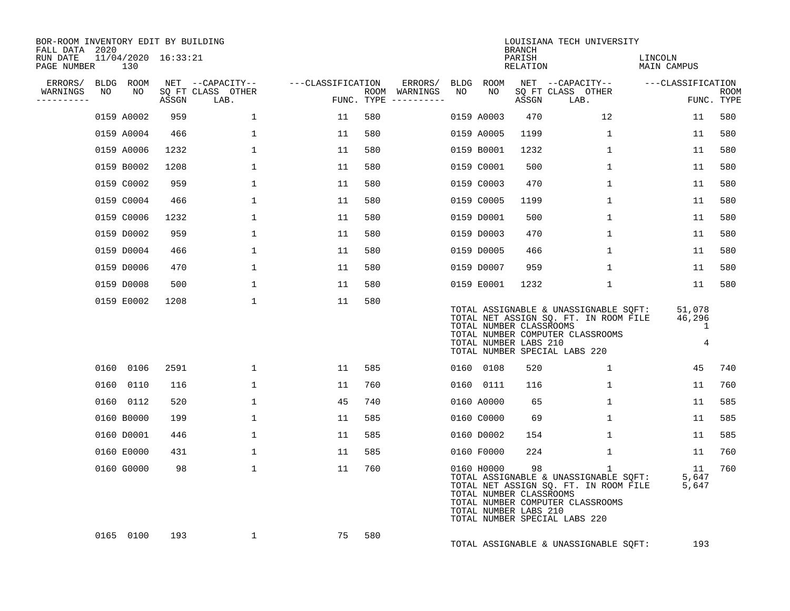| BOR-ROOM INVENTORY EDIT BY BUILDING<br>FALL DATA 2020 |    |            |                     |                                               |                   |     |                                                 |    |                                                                | BRANCH             | LOUISIANA TECH UNIVERSITY                                                                                                                                           |                                      |                           |
|-------------------------------------------------------|----|------------|---------------------|-----------------------------------------------|-------------------|-----|-------------------------------------------------|----|----------------------------------------------------------------|--------------------|---------------------------------------------------------------------------------------------------------------------------------------------------------------------|--------------------------------------|---------------------------|
| RUN DATE<br>PAGE NUMBER                               |    | 130        | 11/04/2020 16:33:21 |                                               |                   |     |                                                 |    |                                                                | PARISH<br>RELATION |                                                                                                                                                                     | LINCOLN<br><b>MAIN CAMPUS</b>        |                           |
| ERRORS/ BLDG ROOM<br>WARNINGS<br>---------            | NO | NO         | ASSGN               | NET --CAPACITY--<br>SQ FT CLASS OTHER<br>LAB. | ---CLASSIFICATION |     | ERRORS/<br>ROOM WARNINGS<br>FUNC. TYPE $------$ | NO | BLDG ROOM<br>NO                                                | ASSGN              | NET --CAPACITY--<br>SQ FT CLASS OTHER<br>LAB.                                                                                                                       | ---CLASSIFICATION                    | <b>ROOM</b><br>FUNC. TYPE |
|                                                       |    | 0159 A0002 | 959                 | $\mathbf{1}$                                  | 11                | 580 |                                                 |    | 0159 A0003                                                     | 470                | 12                                                                                                                                                                  | 11                                   | 580                       |
|                                                       |    | 0159 A0004 | 466                 | 1                                             | 11                | 580 |                                                 |    | 0159 A0005                                                     | 1199               | $\mathbf{1}$                                                                                                                                                        | 11                                   | 580                       |
|                                                       |    | 0159 A0006 | 1232                | $\mathbf{1}$                                  | 11                | 580 |                                                 |    | 0159 B0001                                                     | 1232               | $\mathbf{1}$                                                                                                                                                        | 11                                   | 580                       |
|                                                       |    | 0159 B0002 | 1208                | 1                                             | 11                | 580 |                                                 |    | 0159 C0001                                                     | 500                | 1                                                                                                                                                                   | 11                                   | 580                       |
|                                                       |    | 0159 C0002 | 959                 | $\mathbf{1}$                                  | 11                | 580 |                                                 |    | 0159 C0003                                                     | 470                | 1                                                                                                                                                                   | 11                                   | 580                       |
|                                                       |    | 0159 C0004 | 466                 | $\mathbf{1}$                                  | 11                | 580 |                                                 |    | 0159 C0005                                                     | 1199               | 1                                                                                                                                                                   | 11                                   | 580                       |
|                                                       |    | 0159 C0006 | 1232                | 1                                             | 11                | 580 |                                                 |    | 0159 D0001                                                     | 500                | 1                                                                                                                                                                   | 11                                   | 580                       |
|                                                       |    | 0159 D0002 | 959                 | $\mathbf{1}$                                  | 11                | 580 |                                                 |    | 0159 D0003                                                     | 470                | $\mathbf 1$                                                                                                                                                         | 11                                   | 580                       |
|                                                       |    | 0159 D0004 | 466                 | 1                                             | 11                | 580 |                                                 |    | 0159 D0005                                                     | 466                | 1                                                                                                                                                                   | 11                                   | 580                       |
|                                                       |    | 0159 D0006 | 470                 | $\mathbf{1}$                                  | 11                | 580 |                                                 |    | 0159 D0007                                                     | 959                | $\mathbf{1}$                                                                                                                                                        | 11                                   | 580                       |
|                                                       |    | 0159 D0008 | 500                 | $\mathbf{1}$                                  | 11                | 580 |                                                 |    | 0159 E0001                                                     | 1232               | $\mathbf 1$                                                                                                                                                         | 11                                   | 580                       |
|                                                       |    | 0159 E0002 | 1208                | $\mathbf{1}$                                  | 11                | 580 |                                                 |    | TOTAL NUMBER CLASSROOMS<br>TOTAL NUMBER LABS 210               |                    | TOTAL ASSIGNABLE & UNASSIGNABLE SQFT:<br>TOTAL NET ASSIGN SQ. FT. IN ROOM FILE<br>TOTAL NUMBER COMPUTER CLASSROOMS<br>TOTAL NUMBER SPECIAL LABS 220                 | 51,078<br>46,296<br>$\mathbf 1$<br>4 |                           |
|                                                       |    | 0160 0106  | 2591                | $\mathbf{1}$                                  | 11                | 585 |                                                 |    | 0160 0108                                                      | 520                | $\mathbf{1}$                                                                                                                                                        | 45                                   | 740                       |
|                                                       |    | 0160 0110  | 116                 | $\mathbf 1$                                   | 11                | 760 |                                                 |    | 0160 0111                                                      | 116                | $\mathbf{1}$                                                                                                                                                        | 11                                   | 760                       |
|                                                       |    | 0160 0112  | 520                 | $\mathbf{1}$                                  | 45                | 740 |                                                 |    | 0160 A0000                                                     | 65                 | 1                                                                                                                                                                   | 11                                   | 585                       |
|                                                       |    | 0160 B0000 | 199                 | $\mathbf 1$                                   | 11                | 585 |                                                 |    | 0160 C0000                                                     | 69                 | $\mathbf 1$                                                                                                                                                         | 11                                   | 585                       |
|                                                       |    | 0160 D0001 | 446                 | 1                                             | 11                | 585 |                                                 |    | 0160 D0002                                                     | 154                | 1                                                                                                                                                                   | 11                                   | 585                       |
|                                                       |    | 0160 E0000 | 431                 | $\mathbf{1}$                                  | 11                | 585 |                                                 |    | 0160 F0000                                                     | 224                | $\mathbf{1}$                                                                                                                                                        | 11                                   | 760                       |
|                                                       |    | 0160 G0000 | 98                  | $\mathbf{1}$                                  | 11                | 760 |                                                 |    | 0160 H0000<br>TOTAL NUMBER CLASSROOMS<br>TOTAL NUMBER LABS 210 | 98                 | $\mathbf{1}$<br>TOTAL ASSIGNABLE & UNASSIGNABLE SQFT:<br>TOTAL NET ASSIGN SQ. FT. IN ROOM FILE<br>TOTAL NUMBER COMPUTER CLASSROOMS<br>TOTAL NUMBER SPECIAL LABS 220 | 11<br>5,647<br>5,647                 | 760                       |
|                                                       |    | 0165 0100  | 193                 | $\mathbf{1}$                                  | 75                | 580 |                                                 |    |                                                                |                    | TOTAL ASSIGNABLE & UNASSIGNABLE SQFT:                                                                                                                               | 193                                  |                           |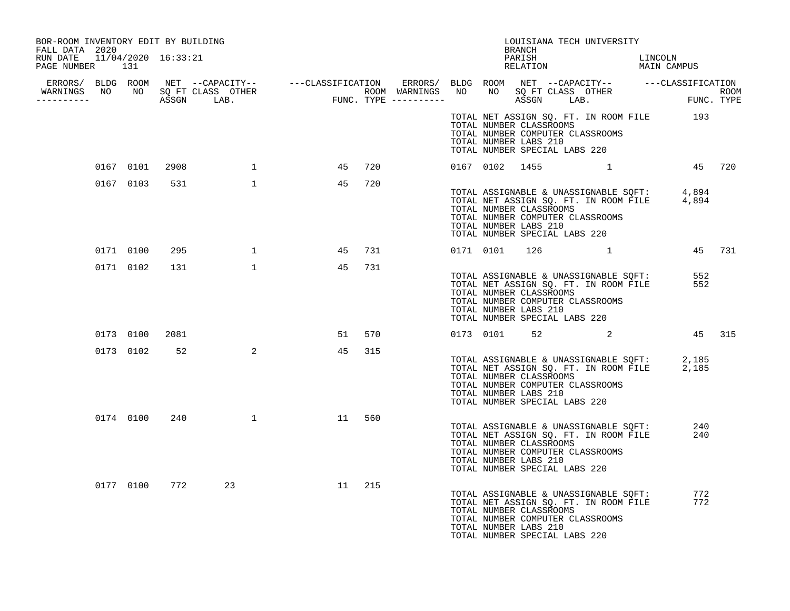| BOR-ROOM INVENTORY EDIT BY BUILDING<br>FALL DATA 2020 |           |      |                                                                                                                |    |     |  |                | BRANCH                                                                            | LOUISIANA TECH UNIVERSITY                                                                                                      |                        |            |
|-------------------------------------------------------|-----------|------|----------------------------------------------------------------------------------------------------------------|----|-----|--|----------------|-----------------------------------------------------------------------------------|--------------------------------------------------------------------------------------------------------------------------------|------------------------|------------|
| RUN DATE  11/04/2020  16:33:21<br>PAGE NUMBER 131     |           |      |                                                                                                                |    |     |  |                | PARISH<br>RELATION                                                                |                                                                                                                                | LINCOLN<br>MAIN CAMPUS |            |
|                                                       |           |      |                                                                                                                |    |     |  |                |                                                                                   |                                                                                                                                |                        |            |
|                                                       |           |      |                                                                                                                |    |     |  |                |                                                                                   |                                                                                                                                |                        |            |
|                                                       |           |      |                                                                                                                |    |     |  |                | TOTAL NUMBER CLASSROOMS<br>TOTAL NUMBER LABS 210<br>TOTAL NUMBER SPECIAL LABS 220 | TOTAL NET ASSIGN SQ. FT. IN ROOM FILE 193<br>TOTAL NUMBER COMPUTER CLASSROOMS                                                  |                        |            |
|                                                       | 0167 0101 | 2908 | $\mathbf{1}$                                                                                                   | 45 | 720 |  | 0167 0102 1455 |                                                                                   | 1                                                                                                                              | 45 720                 |            |
|                                                       | 0167 0103 | 531  | $\mathbf{1}$                                                                                                   | 45 | 720 |  |                | TOTAL NUMBER CLASSROOMS<br>TOTAL NUMBER LABS 210<br>TOTAL NUMBER SPECIAL LABS 220 | TOTAL ASSIGNABLE & UNASSIGNABLE SQFT: 4,894<br>TOTAL NET ASSIGN SQ. FT. IN ROOM FILE 4,894<br>TOTAL NUMBER COMPUTER CLASSROOMS |                        |            |
|                                                       | 0171 0100 | 295  | $\overline{1}$                                                                                                 | 45 | 731 |  | 0171 0101      |                                                                                   | $126$ 1                                                                                                                        |                        | 45 731     |
|                                                       | 0171 0102 | 131  | $\mathbf{1}$                                                                                                   | 45 | 731 |  |                | TOTAL NUMBER CLASSROOMS<br>TOTAL NUMBER LABS 210<br>TOTAL NUMBER SPECIAL LABS 220 | TOTAL ASSIGNABLE & UNASSIGNABLE SQFT:<br>TOTAL NET ASSIGN SQ. FT. IN ROOM FILE<br>TOTAL NUMBER COMPUTER CLASSROOMS             |                        | 552<br>552 |
|                                                       | 0173 0100 | 2081 |                                                                                                                | 51 | 570 |  |                |                                                                                   | 0173 0101 52 2                                                                                                                 |                        | 45 315     |
|                                                       | 0173 0102 | 52   | 2                                                                                                              | 45 | 315 |  |                | TOTAL NUMBER CLASSROOMS<br>TOTAL NUMBER LABS 210<br>TOTAL NUMBER SPECIAL LABS 220 | TOTAL ASSIGNABLE & UNASSIGNABLE SQFT: 2,185<br>TOTAL NET ASSIGN SQ. FT. IN ROOM FILE 2,185<br>TOTAL NUMBER COMPUTER CLASSROOMS |                        |            |
|                                                       | 0174 0100 | 240  | $\sim$ 1 and 1 and 1 and 1 and 1 and 1 and 1 and 1 and 1 and 1 and 1 and 1 and 1 and 1 and 1 and 1 and 1 and 1 | 11 | 560 |  |                | TOTAL NUMBER CLASSROOMS<br>TOTAL NUMBER LABS 210<br>TOTAL NUMBER SPECIAL LABS 220 | TOTAL ASSIGNABLE & UNASSIGNABLE SQFT:<br>TOTAL NET ASSIGN SQ. FT. IN ROOM FILE<br>TOTAL NUMBER COMPUTER CLASSROOMS             |                        | 240<br>240 |
|                                                       | 0177 0100 |      | 772<br>23                                                                                                      | 11 | 215 |  |                | TOTAL NUMBER CLASSROOMS<br>TOTAL NUMBER LABS 210<br>TOTAL NUMBER SPECIAL LABS 220 | TOTAL ASSIGNABLE & UNASSIGNABLE SQFT:<br>TOTAL NET ASSIGN SQ. FT. IN ROOM FILE<br>TOTAL NUMBER COMPUTER CLASSROOMS             |                        | 772<br>772 |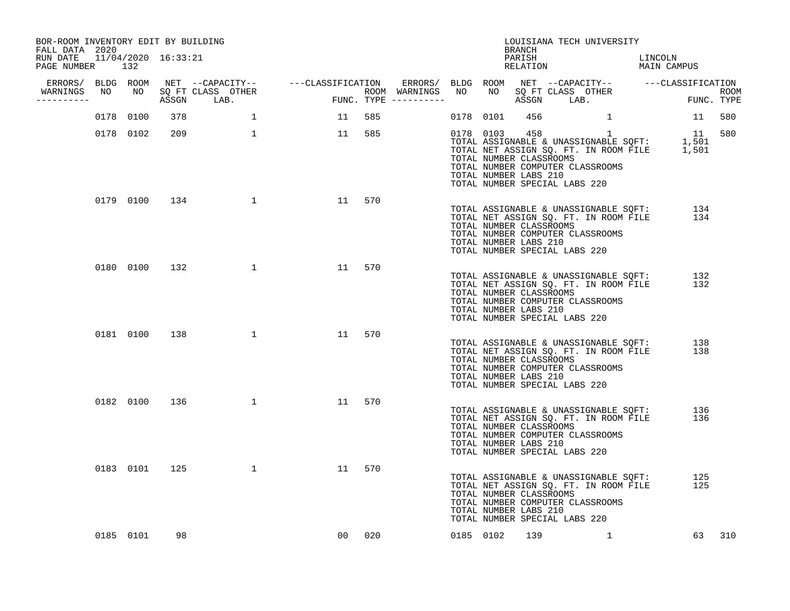| BOR-ROOM INVENTORY EDIT BY BUILDING                           |           |     |                                                                                                                |        |        |           | BRANCH                                           | LOUISIANA TECH UNIVERSITY                                                                                                                                                                                                                                            |            |        |
|---------------------------------------------------------------|-----------|-----|----------------------------------------------------------------------------------------------------------------|--------|--------|-----------|--------------------------------------------------|----------------------------------------------------------------------------------------------------------------------------------------------------------------------------------------------------------------------------------------------------------------------|------------|--------|
| FALL DATA 2020<br>RUN DATE 11/04/2020 16:33:21<br>PAGE NUMBER | 132       |     |                                                                                                                |        |        |           | PARISH                                           | PARISH LINCOLN LEATION MAIN CAMPUS                                                                                                                                                                                                                                   | LINCOLN    |        |
|                                                               |           |     |                                                                                                                |        |        |           |                                                  |                                                                                                                                                                                                                                                                      |            |        |
| WARNINGS NO NO SQ FT CLASS OTHER<br>----------                |           |     |                                                                                                                |        |        |           |                                                  |                                                                                                                                                                                                                                                                      |            |        |
|                                                               | 0178 0100 | 378 |                                                                                                                | 11 585 |        | 0178 0101 | 456                                              |                                                                                                                                                                                                                                                                      | 11 580     |        |
|                                                               | 0178 0102 | 209 |                                                                                                                | 11 585 |        |           | TOTAL NUMBER CLASSROOMS<br>TOTAL NUMBER LABS 210 | $\begin{tabular}{lllllllllll} 0178 & 0103 & 458 & 1 & 11 & 580 \\ \text{TOTAL ASSIGNABLE & UNASSIGNABLE & SQFT: & 1,501 \\ \text{TOTAL NET ASSIGN SQ. FT. IN ROM FILE & 1,501 \\ \end{tabular}$<br>TOTAL NUMBER COMPUTER CLASSROOMS<br>TOTAL NUMBER SPECIAL LABS 220 |            |        |
|                                                               |           |     | 0179 0100 134 1                                                                                                | 11 570 |        |           | TOTAL NUMBER CLASSROOMS<br>TOTAL NUMBER LABS 210 | TOTAL ASSIGNABLE & UNASSIGNABLE SQFT: 134<br>TOTAL NET ASSIGN SQ. FT. IN ROOM FILE 134<br>TOTAL NUMBER COMPUTER CLASSROOMS<br>TOTAL NUMBER SPECIAL LABS 220                                                                                                          |            |        |
|                                                               | 0180 0100 | 132 | $\sim$ 1 and 1 and 1 and 1 and 1 and 1 and 1 and 1 and 1 and 1 and 1 and 1 and 1 and 1 and 1 and 1 and 1 and 1 | 11     | 570    |           | TOTAL NUMBER CLASSROOMS<br>TOTAL NUMBER LABS 210 | TOTAL ASSIGNABLE & UNASSIGNABLE SQFT:<br>TOTAL NET ASSIGN SQ. FT. IN ROOM FILE<br>TOTAL NUMBER COMPUTER CLASSROOMS<br>TOTAL NUMBER SPECIAL LABS 220                                                                                                                  | 132<br>132 |        |
|                                                               |           |     | 0181 0100 138 1                                                                                                | 11     | 570    |           | TOTAL NUMBER CLASSROOMS<br>TOTAL NUMBER LABS 210 | TOTAL ASSIGNABLE & UNASSIGNABLE SQFT:<br>TOTAL NET ASSIGN SQ. FT. IN ROOM FILE<br>TOTAL NUMBER COMPUTER CLASSROOMS<br>TOTAL NUMBER SPECIAL LABS 220                                                                                                                  | 138<br>138 |        |
|                                                               |           |     | 0182 0100 136 1                                                                                                | 11     | 570    |           | TOTAL NUMBER CLASSROOMS<br>TOTAL NUMBER LABS 210 | TOTAL ASSIGNABLE & UNASSIGNABLE SOFT:<br>TOTAL NET ASSIGN SQ. FT. IN ROOM FILE<br>TOTAL NUMBER COMPUTER CLASSROOMS<br>TOTAL NUMBER SPECIAL LABS 220                                                                                                                  | 136<br>136 |        |
|                                                               |           |     | 0183 0101 125 1                                                                                                | 11     | 570    |           | TOTAL NUMBER CLASSROOMS<br>TOTAL NUMBER LABS 210 | TOTAL ASSIGNABLE & UNASSIGNABLE SQFT:<br>TOTAL NET ASSIGN SQ. FT. IN ROOM FILE<br>TOTAL NUMBER COMPUTER CLASSROOMS<br>TOTAL NUMBER SPECIAL LABS 220                                                                                                                  | 125<br>125 |        |
|                                                               | 0185 0101 | 98  |                                                                                                                |        | 00 020 |           |                                                  | 0185 0102 139 1                                                                                                                                                                                                                                                      |            | 63 310 |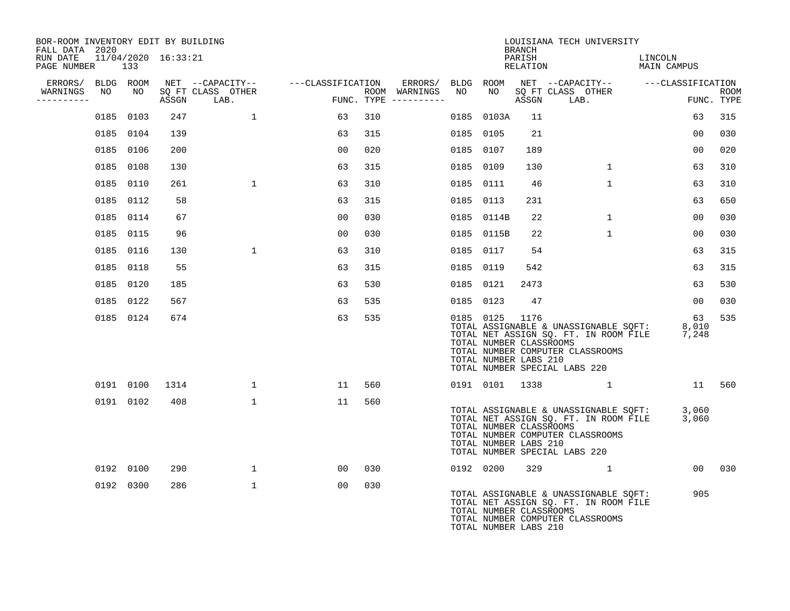| BOR-ROOM INVENTORY EDIT BY BUILDING<br>FALL DATA 2020 |                            |      |                                    |                |                                      |           |                                                               | <b>BRANCH</b> | LOUISIANA TECH UNIVERSITY                                                                                          |              |                                                                                            |                |     |
|-------------------------------------------------------|----------------------------|------|------------------------------------|----------------|--------------------------------------|-----------|---------------------------------------------------------------|---------------|--------------------------------------------------------------------------------------------------------------------|--------------|--------------------------------------------------------------------------------------------|----------------|-----|
| RUN DATE<br>PAGE NUMBER                               | 11/04/2020 16:33:21<br>133 |      |                                    |                |                                      |           |                                                               | PARISH        |                                                                                                                    |              | LINCOLN<br>PARISH LINCOLN LINCOLN RELATION MAIN CAMPUS                                     |                |     |
| ERRORS/ BLDG ROOM                                     |                            |      | NET --CAPACITY-- ---CLASSIFICATION |                | ERRORS/ BLDG ROOM                    |           |                                                               |               |                                                                                                                    |              |                                                                                            |                |     |
| NO<br>WARNINGS<br>---------                           | NO                         |      | SQ FT CLASS OTHER<br>ASSGN LAB.    | <b>FU</b>      | ROOM WARNINGS<br>FUNC. TYPE $------$ | NO        | NO                                                            |               |                                                                                                                    |              |                                                                                            |                |     |
|                                                       | 0185 0103                  | 247  | $\mathbf{1}$                       | 63             | 310                                  |           | 0185 0103A                                                    | 11            |                                                                                                                    |              |                                                                                            | 63             | 315 |
|                                                       | 0185 0104                  | 139  |                                    | 63             | 315                                  |           | 0185 0105                                                     | 21            |                                                                                                                    |              |                                                                                            | 00             | 030 |
|                                                       | 0185 0106                  | 200  |                                    | 00             | 020                                  |           | 0185 0107                                                     | 189           |                                                                                                                    |              |                                                                                            | 0 <sub>0</sub> | 020 |
|                                                       | 0185 0108                  | 130  |                                    | 63             | 315                                  |           | 0185 0109                                                     | 130           |                                                                                                                    | $\mathbf{1}$ |                                                                                            | 63             | 310 |
|                                                       | 0185 0110                  | 261  | $\mathbf{1}$                       | 63             | 310                                  |           | 0185 0111                                                     | -46           |                                                                                                                    | $\mathbf{1}$ |                                                                                            | 63             | 310 |
|                                                       | 0185 0112                  | 58   |                                    | 63             | 315                                  | 0185 0113 |                                                               | 231           |                                                                                                                    |              |                                                                                            | 63             | 650 |
|                                                       | 0185 0114                  | 67   |                                    | 0 <sub>0</sub> | 030                                  |           | 0185 0114B                                                    | 22            |                                                                                                                    | $\mathbf{1}$ |                                                                                            | 0 <sub>0</sub> | 030 |
|                                                       | 0185 0115                  | 96   |                                    | 0 <sub>0</sub> | 030                                  |           | 0185 0115B                                                    | 22            |                                                                                                                    | $\mathbf{1}$ |                                                                                            | 0 <sub>0</sub> | 030 |
|                                                       | 0185 0116                  | 130  | $\mathbf{1}$                       | 63             | 310                                  |           | 0185 0117                                                     | 54            |                                                                                                                    |              |                                                                                            | 63             | 315 |
|                                                       | 0185 0118                  | 55   |                                    | 63             | 315                                  | 0185 0119 |                                                               | 542           |                                                                                                                    |              |                                                                                            | 63             | 315 |
|                                                       | 0185 0120                  | 185  |                                    | 63             | 530                                  |           | 0185 0121                                                     | 2473          |                                                                                                                    |              |                                                                                            | 63             | 530 |
|                                                       | 0185 0122                  | 567  |                                    | 63             | 535                                  |           | 0185 0123                                                     | 47            |                                                                                                                    |              |                                                                                            | 00             | 030 |
|                                                       | 0185 0124                  | 674  |                                    | 63             | 535                                  |           | 0185 0125<br>TOTAL NUMBER CLASSROOMS<br>TOTAL NUMBER LABS 210 | 1176          | TOTAL NUMBER COMPUTER CLASSROOMS<br>TOTAL NUMBER SPECIAL LABS 220                                                  |              | TOTAL ASSIGNABLE & UNASSIGNABLE SQFT: 8,010<br>TOTAL NET ASSIGN SQ. FT. IN ROOM FILE 7,248 | 63             | 535 |
|                                                       | 0191 0100                  | 1314 | $\mathbf{1}$                       | 11             | 560                                  |           |                                                               |               | 0191 0101 1338 1                                                                                                   |              | 11 560                                                                                     |                |     |
|                                                       | 0191 0102                  | 408  | $\mathbf{1}$                       | 11             | 560                                  |           | TOTAL NUMBER CLASSROOMS<br>TOTAL NUMBER LABS 210              |               | TOTAL NUMBER COMPUTER CLASSROOMS<br>TOTAL NUMBER SPECIAL LABS 220                                                  |              | TOTAL ASSIGNABLE & UNASSIGNABLE SQFT: 3,060<br>TOTAL NET ASSIGN SQ. FT. IN ROOM FILE 3,060 |                |     |
|                                                       | 0192 0100                  | 290  | 1                                  | 00             | 030                                  |           | 0192 0200                                                     | 329           |                                                                                                                    | 1            |                                                                                            | 00 030         |     |
|                                                       | 0192 0300                  | 286  | $\mathbf 1$                        | 00             | 030                                  |           | TOTAL NUMBER CLASSROOMS<br>TOTAL NUMBER LABS 210              |               | TOTAL ASSIGNABLE & UNASSIGNABLE SQFT:<br>TOTAL NET ASSIGN SQ. FT. IN ROOM FILE<br>TOTAL NUMBER COMPUTER CLASSROOMS |              |                                                                                            | 905            |     |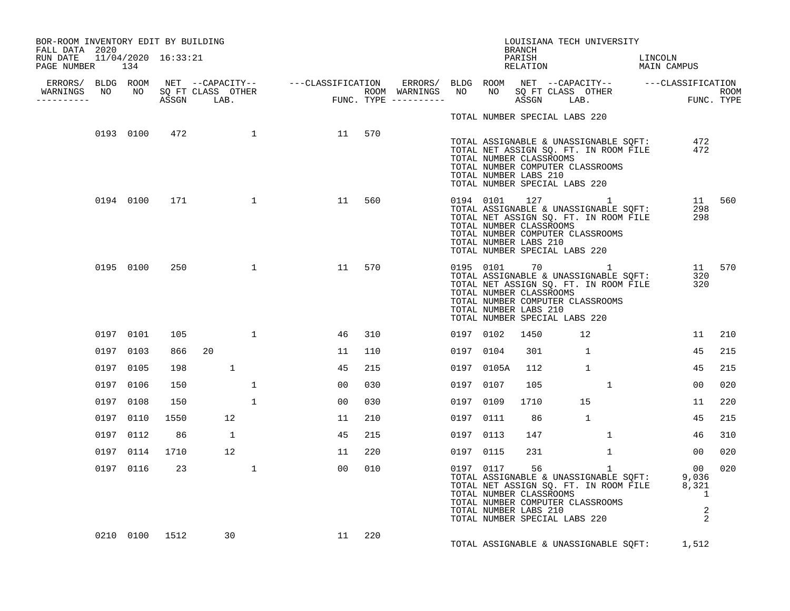| BOR-ROOM INVENTORY EDIT BY BUILDING<br>FALL DATA 2020 |           |                |                 |    |        |           |            | BRANCH                                                                            | LOUISIANA TECH UNIVERSITY                                                                                                                                                            |         |                                |        |
|-------------------------------------------------------|-----------|----------------|-----------------|----|--------|-----------|------------|-----------------------------------------------------------------------------------|--------------------------------------------------------------------------------------------------------------------------------------------------------------------------------------|---------|--------------------------------|--------|
| RUN DATE 11/04/2020 16:33:21<br>PAGE NUMBER 134       |           |                |                 |    |        |           |            | PARISH                                                                            | PARISH LINCOLN<br>RELATION MAIN CAMPUS                                                                                                                                               | LINCOLN |                                |        |
|                                                       |           |                |                 |    |        |           |            |                                                                                   |                                                                                                                                                                                      |         |                                |        |
| WARNINGS<br>-----------                               |           |                |                 |    |        |           |            |                                                                                   |                                                                                                                                                                                      |         |                                |        |
|                                                       |           |                |                 |    |        |           |            | TOTAL NUMBER SPECIAL LABS 220                                                     |                                                                                                                                                                                      |         |                                |        |
|                                                       |           |                | 0193 0100 472 1 | 11 | 570    |           |            | TOTAL NUMBER CLASSROOMS<br>TOTAL NUMBER LABS 210<br>TOTAL NUMBER SPECIAL LABS 220 | TOTAL ASSIGNABLE & UNASSIGNABLE SQFT: 472<br>TOTAL NET ASSIGN SQ. FT. IN ROOM FILE 472<br>TOTAL NUMBER COMPUTER CLASSROOMS                                                           |         |                                |        |
|                                                       | 0194 0100 |                | 171 1           | 11 | 560    |           |            | TOTAL NUMBER CLASSROOMS<br>TOTAL NUMBER LABS 210<br>TOTAL NUMBER SPECIAL LABS 220 | 0194 0101 127 1<br>0194 0101 12/<br>TOTAL ASSIGNABLE & UNASSIGNABLE SOFT:<br>TOTAL NET ASSIGN SQ. FT. IN ROOM FILE<br>TOTAL NUMBER COMPUTER CLASSROOMS                               |         | 11 560<br>298<br>298           |        |
|                                                       | 0195 0100 | 250            |                 | 11 | 570    |           |            | TOTAL NUMBER CLASSROOMS<br>TOTAL NUMBER LABS 210<br>TOTAL NUMBER SPECIAL LABS 220 | 0195 0101 70 1<br>TOTAL ASSIGNABLE & UNASSIGNABLE SOFT:<br>TOTAL NET ASSIGN SQ. FT. IN ROOM FILE<br>TOTAL NUMBER COMPUTER CLASSROOMS                                                 |         | 320<br>320                     | 11 570 |
|                                                       | 0197 0101 | 105            | $\mathbf{1}$    | 46 | 310    | 0197 0102 |            | 1450                                                                              | 12                                                                                                                                                                                   |         | 11                             | 210    |
|                                                       | 0197 0103 | 866            | 20              | 11 | 110    | 0197 0104 |            | 301                                                                               | $\mathbf{1}$                                                                                                                                                                         |         | 45                             | 215    |
|                                                       | 0197 0105 | 198            | $\mathbf{1}$    | 45 | 215    |           | 0197 0105A | 112                                                                               | $\mathbf{1}$                                                                                                                                                                         |         | 45                             | 215    |
|                                                       | 0197 0106 | 150            | $\mathbf{1}$    | 00 | 030    | 0197 0107 |            | 105                                                                               | $\mathbf{1}$                                                                                                                                                                         |         | 00                             | 020    |
|                                                       | 0197 0108 | 150            | $\mathbf{1}$    | 00 | 030    | 0197 0109 |            | 1710                                                                              | 15                                                                                                                                                                                   |         | 11                             | 220    |
|                                                       | 0197 0110 | 1550           | 12              | 11 | 210    | 0197 0111 |            | 86                                                                                | $\overline{1}$                                                                                                                                                                       |         | 45                             | 215    |
|                                                       | 0197 0112 | 86             | $\overline{1}$  | 45 | 215    | 0197 0113 |            | 147                                                                               | $\mathbf{1}$                                                                                                                                                                         |         | 46                             | 310    |
|                                                       | 0197 0114 | 1710           | 12              | 11 | 220    | 0197 0115 |            | 231                                                                               | $\mathbf{1}$                                                                                                                                                                         |         | $00 \,$                        | 020    |
|                                                       | 0197 0116 | 23             | $\mathbf{1}$    | 00 | 010    |           | 0197 0117  | 56<br>TOTAL NUMBER CLASSROOMS<br>TOTAL NUMBER LABS 210                            | 1<br>0197 0117 56<br>TOTAL ASSIGNABLE & UNASSIGNABLE SQFT: 9,036<br>TOTAL NET ASSIGN SQ. FT. IN ROOM FILE 8,321<br>TOTAL NUMBER COMPUTER CLASSROOMS<br>TOTAL NUMBER SPECIAL LABS 220 |         | 00<br>$\overline{1}$<br>2<br>2 | 020    |
|                                                       |           | 0210 0100 1512 | 30              |    | 11 220 |           |            |                                                                                   | TOTAL ASSIGNABLE & UNASSIGNABLE SQFT: 1,512                                                                                                                                          |         |                                |        |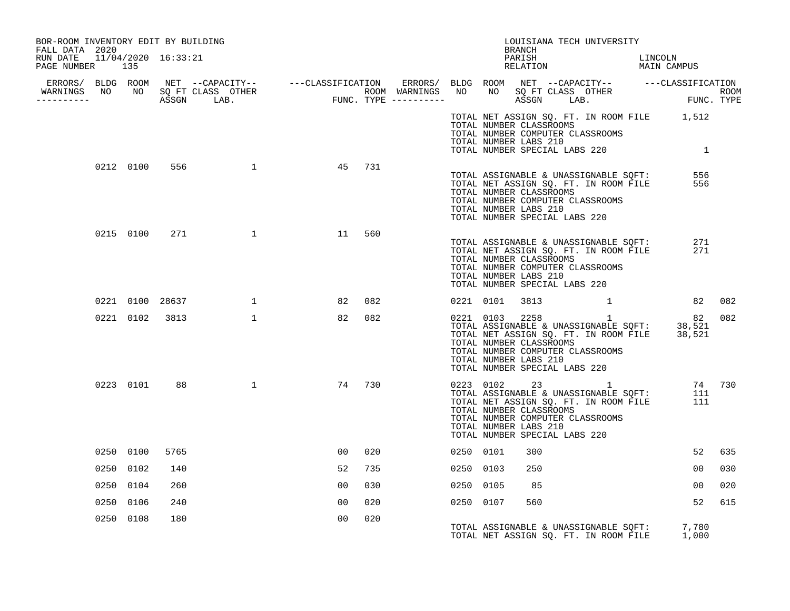| BOR-ROOM INVENTORY EDIT BY BUILDING<br>FALL DATA 2020 |           |                |                                 |    |        |           |                                                                                   | BRANCH | LOUISIANA TECH UNIVERSITY                                                                                                                               |            |        |
|-------------------------------------------------------|-----------|----------------|---------------------------------|----|--------|-----------|-----------------------------------------------------------------------------------|--------|---------------------------------------------------------------------------------------------------------------------------------------------------------|------------|--------|
| RUN DATE  11/04/2020  16:33:21<br>PAGE NUMBER 135     |           |                |                                 |    |        |           |                                                                                   |        | PARISH LINCOLN RELATION MAIN CAMPUS                                                                                                                     |            |        |
|                                                       |           |                |                                 |    |        |           |                                                                                   |        |                                                                                                                                                         |            |        |
|                                                       |           |                |                                 |    |        |           |                                                                                   |        |                                                                                                                                                         |            |        |
|                                                       |           |                |                                 |    |        |           | TOTAL NUMBER CLASSROOMS                                                           |        | TOTAL NET ASSIGN SQ. FT. IN ROOM FILE 1,512<br>TOTAL NUMBER COMPUTER CLASSROOMS<br>TOTAL NUMBER LABS 210<br>TOTAL NUMBER SPECIAL LABS 220 1             |            |        |
|                                                       |           |                | 0212 0100 556 1                 |    | 45 731 |           | TOTAL NUMBER CLASSROOMS<br>TOTAL NUMBER LABS 210<br>TOTAL NUMBER SPECIAL LABS 220 |        | TOTAL ASSIGNABLE & UNASSIGNABLE SQFT: 556<br>TOTAL NET ASSIGN SQ. FT. IN ROOM FILE 556<br>TOTAL NUMBER COMPUTER CLASSROOMS                              |            |        |
|                                                       |           |                | 0215 0100 271 1                 | 11 | 560    |           | TOTAL NUMBER CLASSROOMS<br>TOTAL NUMBER LABS 210<br>TOTAL NUMBER SPECIAL LABS 220 |        | TOTAL ASSIGNABLE & UNASSIGNABLE SQFT:<br>TOTAL NET ASSIGN SQ. FT. IN ROOM FILE<br>TOTAL NUMBER COMPUTER CLASSROOMS                                      | 271<br>271 |        |
|                                                       |           |                | 0221 0100 28637<br>$\mathbf{1}$ | 82 | 082    |           |                                                                                   |        | 0221 0101 3813 1 82 082                                                                                                                                 |            |        |
|                                                       |           | 0221 0102 3813 |                                 | 82 | 082    |           | TOTAL NUMBER CLASSROOMS<br>TOTAL NUMBER LABS 210<br>TOTAL NUMBER SPECIAL LABS 220 |        | 0221 0103 2258 1 82<br>TOTAL ASSIGNABLE & UNASSIGNABLE SQFT: 38,521<br>TOTAL NET ASSIGN SQ. FT. IN ROOM FILE 38,521<br>TOTAL NUMBER COMPUTER CLASSROOMS | 82         | 082    |
|                                                       | 0223 0101 | 88             | $\mathbf 1$                     |    | 74 730 |           | TOTAL NUMBER CLASSROOMS<br>TOTAL NUMBER LABS 210<br>TOTAL NUMBER SPECIAL LABS 220 |        | 0223 0102 23 1<br>TOTAL ASSIGNABLE & UNASSIGNABLE SQFT:<br>TOTAL NET ASSIGN SQ. FT. IN ROOM FILE<br>TOTAL NUMBER COMPUTER CLASSROOMS                    | 111<br>111 | 74 730 |
|                                                       | 0250 0100 | 5765           |                                 | 00 | 020    | 0250 0101 |                                                                                   | 300    |                                                                                                                                                         | 52         | 635    |
|                                                       | 0250 0102 | 140            |                                 | 52 | 735    | 0250 0103 |                                                                                   | 250    |                                                                                                                                                         | $00 \,$    | 030    |
|                                                       | 0250 0104 | 260            |                                 | 00 | 030    | 0250 0105 |                                                                                   | 85     |                                                                                                                                                         | 00         | 020    |
|                                                       | 0250 0106 | 240            |                                 | 00 | 020    | 0250 0107 |                                                                                   | 560    |                                                                                                                                                         | 52         | 615    |
|                                                       | 0250 0108 | 180            |                                 | 00 | 020    |           |                                                                                   |        | TOTAL ASSIGNABLE & UNASSIGNABLE SQFT: 7,780<br>TOTAL NET ASSIGN SQ. FT. IN ROOM FILE 1,000                                                              |            |        |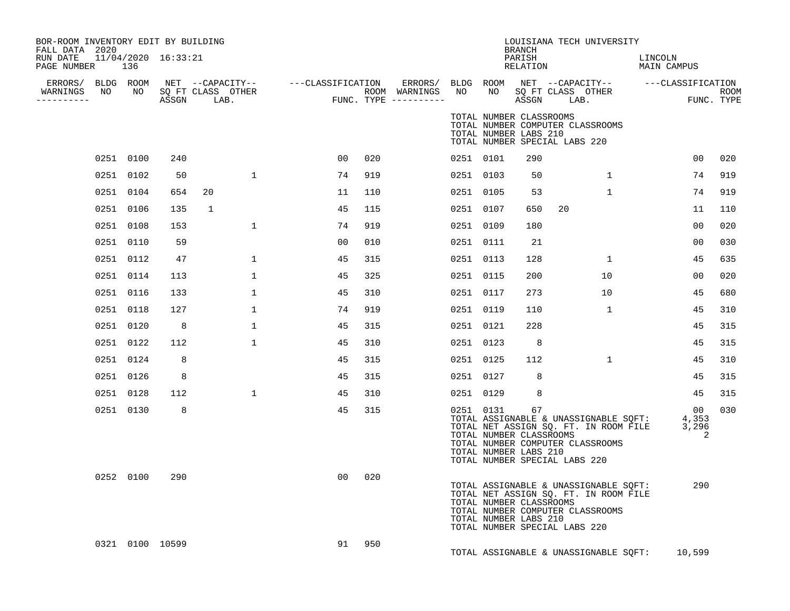| BOR-ROOM INVENTORY EDIT BY BUILDING<br>FALL DATA 2020<br>RUN DATE<br>PAGE NUMBER |           | 136 | 11/04/2020 16:33:21 |                                               |                   |     |                                                 |                 |                                                  | <b>BRANCH</b><br>PARISH<br>RELATION | LOUISIANA TECH UNIVERSITY                                                                                                                           | LINCOLN<br>MAIN CAMPUS    |                    |
|----------------------------------------------------------------------------------|-----------|-----|---------------------|-----------------------------------------------|-------------------|-----|-------------------------------------------------|-----------------|--------------------------------------------------|-------------------------------------|-----------------------------------------------------------------------------------------------------------------------------------------------------|---------------------------|--------------------|
| ERRORS/ BLDG ROOM<br>WARNINGS<br>----------                                      | NO        | NO  | ASSGN               | NET --CAPACITY--<br>SQ FT CLASS OTHER<br>LAB. | ---CLASSIFICATION |     | ERRORS/<br>ROOM WARNINGS<br>FUNC. TYPE $------$ | BLDG ROOM<br>NO | NO.                                              | ASSGN                               | NET --CAPACITY--<br>SQ FT CLASS OTHER<br>LAB.                                                                                                       | ---CLASSIFICATION         | ROOM<br>FUNC. TYPE |
|                                                                                  |           |     |                     |                                               |                   |     |                                                 |                 | TOTAL NUMBER CLASSROOMS<br>TOTAL NUMBER LABS 210 |                                     | TOTAL NUMBER COMPUTER CLASSROOMS<br>TOTAL NUMBER SPECIAL LABS 220                                                                                   |                           |                    |
|                                                                                  | 0251 0100 |     | 240                 |                                               | 00                | 020 |                                                 | 0251 0101       |                                                  | 290                                 |                                                                                                                                                     | 00                        | 020                |
|                                                                                  | 0251 0102 |     | 50                  | $\mathbf 1$                                   | 74                | 919 |                                                 | 0251 0103       |                                                  | 50                                  | $\mathbf{1}$                                                                                                                                        | 74                        | 919                |
|                                                                                  | 0251 0104 |     | 654                 | 20                                            | 11                | 110 |                                                 | 0251 0105       |                                                  | 53                                  | 1                                                                                                                                                   | 74                        | 919                |
|                                                                                  | 0251 0106 |     | 135                 | 1                                             | 45                | 115 |                                                 | 0251 0107       |                                                  | 650                                 | 20                                                                                                                                                  | 11                        | 110                |
|                                                                                  | 0251 0108 |     | 153                 | $\mathbf 1$                                   | 74                | 919 |                                                 | 0251 0109       |                                                  | 180                                 |                                                                                                                                                     | 0 <sub>0</sub>            | 020                |
|                                                                                  | 0251 0110 |     | 59                  |                                               | 00                | 010 |                                                 | 0251 0111       |                                                  | 21                                  |                                                                                                                                                     | 0 <sub>0</sub>            | 030                |
|                                                                                  | 0251 0112 |     | 47                  | $\mathbf 1$                                   | 45                | 315 |                                                 | 0251 0113       |                                                  | 128                                 | $\mathbf{1}$                                                                                                                                        | 45                        | 635                |
|                                                                                  | 0251 0114 |     | 113                 | $\mathbf 1$                                   | 45                | 325 |                                                 | 0251 0115       |                                                  | 200                                 | 10                                                                                                                                                  | 00                        | 020                |
|                                                                                  | 0251 0116 |     | 133                 | $\mathbf 1$                                   | 45                | 310 |                                                 | 0251 0117       |                                                  | 273                                 | 10                                                                                                                                                  | 45                        | 680                |
|                                                                                  | 0251 0118 |     | 127                 | $\mathbf{1}$                                  | 74                | 919 |                                                 | 0251 0119       |                                                  | 110                                 | 1                                                                                                                                                   | 45                        | 310                |
|                                                                                  | 0251 0120 |     | 8                   | $\mathbf 1$                                   | 45                | 315 |                                                 | 0251 0121       |                                                  | 228                                 |                                                                                                                                                     | 45                        | 315                |
|                                                                                  | 0251 0122 |     | 112                 | $\mathbf{1}$                                  | 45                | 310 |                                                 | 0251 0123       |                                                  | 8                                   |                                                                                                                                                     | 45                        | 315                |
|                                                                                  | 0251 0124 |     | 8                   |                                               | 45                | 315 |                                                 | 0251 0125       |                                                  | 112                                 | $\mathbf{1}$                                                                                                                                        | 45                        | 310                |
|                                                                                  | 0251 0126 |     | 8                   |                                               | 45                | 315 |                                                 | 0251 0127       |                                                  | 8                                   |                                                                                                                                                     | 45                        | 315                |
|                                                                                  | 0251 0128 |     | 112                 | $\mathbf 1$                                   | 45                | 310 |                                                 | 0251 0129       |                                                  | 8                                   |                                                                                                                                                     | 45                        | 315                |
|                                                                                  | 0251 0130 |     | 8                   |                                               | 45                | 315 |                                                 | 0251 0131       | TOTAL NUMBER CLASSROOMS<br>TOTAL NUMBER LABS 210 | 67                                  | TOTAL ASSIGNABLE & UNASSIGNABLE SQFT:<br>TOTAL NET ASSIGN SQ. FT. IN ROOM FILE<br>TOTAL NUMBER COMPUTER CLASSROOMS<br>TOTAL NUMBER SPECIAL LABS 220 | 00<br>4,353<br>3,296<br>2 | 030                |
|                                                                                  | 0252 0100 |     | 290                 |                                               | 00                | 020 |                                                 |                 | TOTAL NUMBER CLASSROOMS<br>TOTAL NUMBER LABS 210 |                                     | TOTAL ASSIGNABLE & UNASSIGNABLE SQFT:<br>TOTAL NET ASSIGN SQ. FT. IN ROOM FILE<br>TOTAL NUMBER COMPUTER CLASSROOMS<br>TOTAL NUMBER SPECIAL LABS 220 | 290                       |                    |
|                                                                                  |           |     | 0321 0100 10599     |                                               | 91                | 950 |                                                 |                 |                                                  |                                     | TOTAL ASSIGNABLE & UNASSIGNABLE SQFT:                                                                                                               | 10,599                    |                    |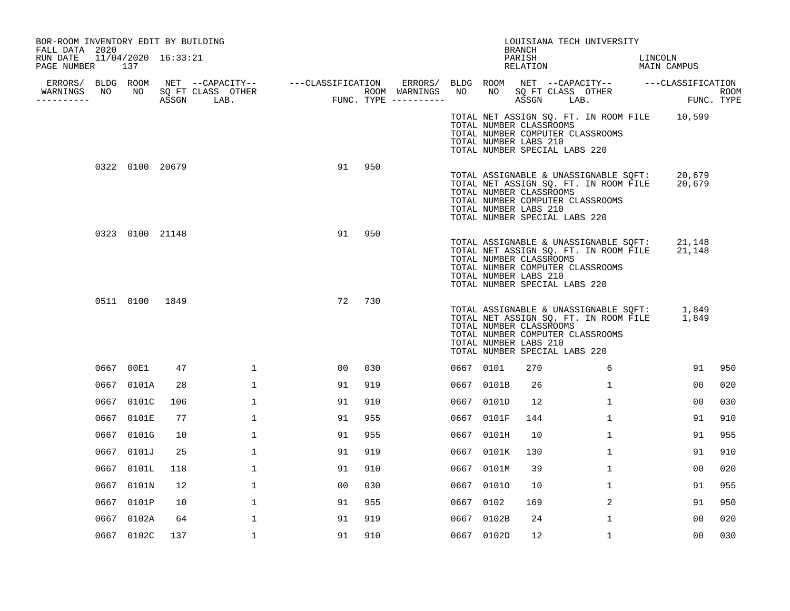| BOR-ROOM INVENTORY EDIT BY BUILDING<br>FALL DATA 2020 |      |                 |     |                         |              |                                                       |    |     |                                       |           |                                                                                   | BRANCH             | LOUISIANA TECH UNIVERSITY                                                                                          |                                                                                              |                       |
|-------------------------------------------------------|------|-----------------|-----|-------------------------|--------------|-------------------------------------------------------|----|-----|---------------------------------------|-----------|-----------------------------------------------------------------------------------|--------------------|--------------------------------------------------------------------------------------------------------------------|----------------------------------------------------------------------------------------------|-----------------------|
| RUN DATE 11/04/2020 16:33:21<br>PAGE NUMBER 137       |      |                 |     |                         |              |                                                       |    |     |                                       |           |                                                                                   | PARISH<br>RELATION |                                                                                                                    | LINCOLN<br>MAIN CAMPUS                                                                       |                       |
| WARNINGS                                              |      |                 |     | NO NO SQ FT CLASS OTHER |              | ERRORS/ BLDG ROOM NET --CAPACITY-- ----CLASSIFICATION |    |     | ROOM WARNINGS NO NO SQFT CLASS OTHER  |           |                                                                                   |                    |                                                                                                                    | ERRORS/ BLDG ROOM NET --CAPACITY-- ----CLASSIFICATION                                        |                       |
| ----------                                            |      |                 |     | ASSGN LAB.              |              |                                                       |    |     | ROOM WARNINGS<br>FUNC. TYPE --------- |           |                                                                                   |                    | ASSGN LAB.                                                                                                         | ROOM<br>FUNC. TYPE                                                                           |                       |
|                                                       |      |                 |     |                         |              |                                                       |    |     |                                       |           | TOTAL NUMBER CLASSROOMS<br>TOTAL NUMBER LABS 210<br>TOTAL NUMBER SPECIAL LABS 220 |                    | TOTAL NUMBER COMPUTER CLASSROOMS                                                                                   | TOTAL NET ASSIGN SQ. FT. IN ROOM FILE 10,599                                                 |                       |
|                                                       |      | 0322 0100 20679 |     |                         |              |                                                       | 91 | 950 |                                       |           | TOTAL NUMBER CLASSROOMS<br>TOTAL NUMBER LABS 210<br>TOTAL NUMBER SPECIAL LABS 220 |                    | TOTAL ASSIGNABLE & UNASSIGNABLE SQFT:<br>TOTAL NET ASSIGN SQ. FT. IN ROOM FILE<br>TOTAL NUMBER COMPUTER CLASSROOMS | 20,679<br>20,679                                                                             |                       |
|                                                       |      | 0323 0100 21148 |     |                         |              |                                                       | 91 | 950 |                                       |           | TOTAL NUMBER CLASSROOMS<br>TOTAL NUMBER LABS 210<br>TOTAL NUMBER SPECIAL LABS 220 |                    | TOTAL NET ASSIGN SQ. FT. IN ROOM FILE<br>TOTAL NUMBER COMPUTER CLASSROOMS                                          | TOTAL ASSIGNABLE & UNASSIGNABLE SQFT: 21,148<br>21,148                                       |                       |
|                                                       |      | 0511 0100 1849  |     |                         |              |                                                       | 72 | 730 |                                       |           | TOTAL NUMBER CLASSROOMS<br>TOTAL NUMBER LABS 210<br>TOTAL NUMBER SPECIAL LABS 220 |                    | TOTAL NUMBER COMPUTER CLASSROOMS                                                                                   | TOTAL ASSIGNABLE & UNASSIGNABLE SQFT: $1,849$<br>TOTAL NET ASSIGN SQ. FT. IN ROOM FILE 1,849 |                       |
|                                                       |      | 0667 00E1       | 47  |                         | $\mathbf{1}$ |                                                       | 00 | 030 |                                       | 0667 0101 |                                                                                   | 270                | 6                                                                                                                  |                                                                                              | 91<br>950             |
|                                                       |      | 0667 0101A      | 28  |                         | $\mathbf 1$  |                                                       | 91 | 919 |                                       |           | 0667 0101B                                                                        | 26                 | $\mathbf{1}$                                                                                                       |                                                                                              | 00<br>020             |
|                                                       |      | 0667 0101C      | 106 |                         | $\mathbf{1}$ |                                                       | 91 | 910 |                                       |           | 0667 0101D                                                                        | 12                 | $\mathbf{1}$                                                                                                       |                                                                                              | 00<br>030             |
|                                                       |      | 0667 0101E      | 77  |                         | $\mathbf 1$  |                                                       | 91 | 955 |                                       |           | 0667 0101F                                                                        | 144                | $\mathbf{1}$                                                                                                       |                                                                                              | 910<br>91             |
|                                                       |      | 0667 0101G      | 10  |                         | $\mathbf 1$  |                                                       | 91 | 955 |                                       |           | 0667 0101H                                                                        | 10                 | $\mathbf{1}$                                                                                                       |                                                                                              | 91<br>955             |
|                                                       |      | 0667 0101J      | 25  |                         | $\mathbf 1$  |                                                       | 91 | 919 |                                       |           | 0667 0101K                                                                        | 130                | $\mathbf{1}$                                                                                                       |                                                                                              | 910<br>91             |
|                                                       |      | 0667 0101L      | 118 |                         | $\mathbf{1}$ |                                                       | 91 | 910 |                                       |           | 0667 0101M                                                                        | 39                 | $\mathbf{1}$                                                                                                       |                                                                                              | 0 <sub>0</sub><br>020 |
|                                                       |      | 0667 0101N      | 12  |                         | $\mathbf 1$  |                                                       | 00 | 030 |                                       |           | 0667 01010                                                                        | 10                 | $\mathbf{1}$                                                                                                       |                                                                                              | 91<br>955             |
|                                                       |      | 0667 0101P      | 10  |                         | $\mathbf{1}$ |                                                       | 91 | 955 |                                       | 0667      | 0102                                                                              | 169                | 2                                                                                                                  |                                                                                              | 950<br>91             |
|                                                       | 0667 | 0102A           | 64  |                         | $\mathbf 1$  |                                                       | 91 | 919 |                                       |           | 0667 0102B                                                                        | 24                 | $\mathbf{1}$                                                                                                       |                                                                                              | 00<br>020             |
|                                                       |      | 0667 0102C      | 137 |                         | 1            |                                                       | 91 | 910 |                                       |           | 0667 0102D                                                                        | 12                 | 1                                                                                                                  |                                                                                              | 00<br>030             |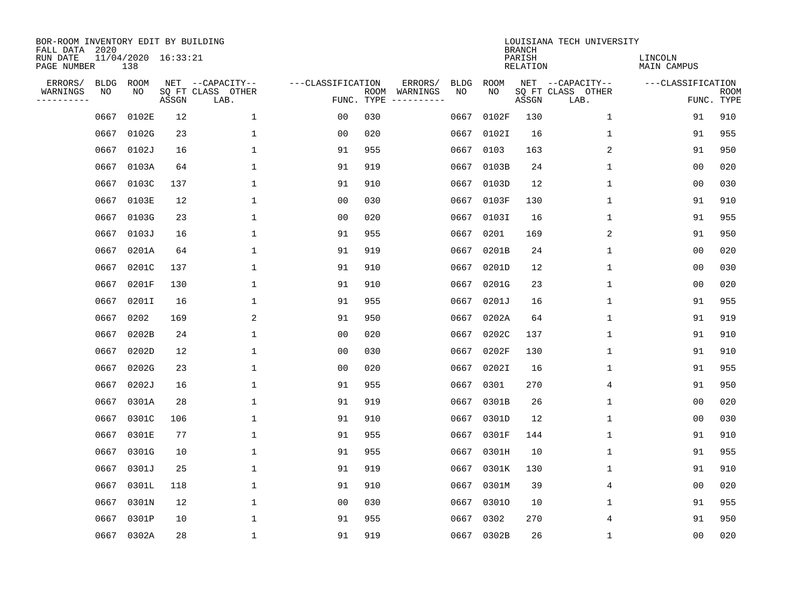| BOR-ROOM INVENTORY EDIT BY BUILDING<br>FALL DATA 2020 |             |                            |       |                           |                   |                    |          |             |             | <b>BRANCH</b>             | LOUISIANA TECH UNIVERSITY |                        |                           |
|-------------------------------------------------------|-------------|----------------------------|-------|---------------------------|-------------------|--------------------|----------|-------------|-------------|---------------------------|---------------------------|------------------------|---------------------------|
| RUN DATE<br>PAGE NUMBER                               |             | 11/04/2020 16:33:21<br>138 |       |                           |                   |                    |          |             |             | PARISH<br><b>RELATION</b> |                           | LINCOLN<br>MAIN CAMPUS |                           |
| ERRORS/                                               | <b>BLDG</b> | ROOM                       |       | NET --CAPACITY--          | ---CLASSIFICATION |                    | ERRORS/  | <b>BLDG</b> | <b>ROOM</b> |                           | NET --CAPACITY--          | ---CLASSIFICATION      |                           |
| WARNINGS<br>----------                                | ΝO          | NO                         | ASSGN | SQ FT CLASS OTHER<br>LAB. |                   | ROOM<br>FUNC. TYPE | WARNINGS | NO          | NO          | ASSGN                     | SQ FT CLASS OTHER<br>LAB. |                        | <b>ROOM</b><br>FUNC. TYPE |
|                                                       | 0667        | 0102E                      | 12    | 1                         | 00                | 030                |          | 0667        | 0102F       | 130                       | 1                         | 91                     | 910                       |
|                                                       | 0667        | 0102G                      | 23    | 1                         | 00                | 020                |          | 0667        | 0102I       | 16                        | 1                         | 91                     | 955                       |
|                                                       | 0667        | 0102J                      | 16    | 1                         | 91                | 955                |          | 0667        | 0103        | 163                       | $\overline{c}$            | 91                     | 950                       |
|                                                       |             | 0667 0103A                 | 64    | 1                         | 91                | 919                |          | 0667        | 0103B       | 24                        | 1                         | 0 <sub>0</sub>         | 020                       |
|                                                       | 0667        | 0103C                      | 137   | $\mathbf{1}$              | 91                | 910                |          | 0667        | 0103D       | 12                        | $\mathbf{1}$              | 0 <sub>0</sub>         | 030                       |
|                                                       |             | 0667 0103E                 | 12    | 1                         | 0 <sub>0</sub>    | 030                |          | 0667        | 0103F       | 130                       | $\mathbf 1$               | 91                     | 910                       |
|                                                       | 0667        | 0103G                      | 23    | $\mathbf{1}$              | 0 <sub>0</sub>    | 020                |          | 0667        | 0103I       | 16                        | $\mathbf{1}$              | 91                     | 955                       |
|                                                       |             | 0667 0103J                 | 16    | $\mathbf{1}$              | 91                | 955                |          | 0667        | 0201        | 169                       | 2                         | 91                     | 950                       |
|                                                       | 0667        | 0201A                      | 64    | $\mathbf{1}$              | 91                | 919                |          | 0667        | 0201B       | 24                        | $\mathbf{1}$              | 0 <sub>0</sub>         | 020                       |
|                                                       | 0667        | 0201C                      | 137   | $\mathbf{1}$              | 91                | 910                |          | 0667        | 0201D       | 12                        | 1                         | 0 <sub>0</sub>         | 030                       |
|                                                       | 0667        | 0201F                      | 130   | $\mathbf{1}$              | 91                | 910                |          | 0667        | 0201G       | 23                        | 1                         | 0 <sub>0</sub>         | 020                       |
|                                                       | 0667        | 0201I                      | 16    | $\mathbf{1}$              | 91                | 955                |          | 0667        | 0201J       | 16                        | $\mathbf 1$               | 91                     | 955                       |
|                                                       | 0667        | 0202                       | 169   | 2                         | 91                | 950                |          | 0667        | 0202A       | 64                        | $\mathbf 1$               | 91                     | 919                       |
|                                                       | 0667        | 0202B                      | 24    | $\mathbf{1}$              | 00                | 020                |          | 0667        | 0202C       | 137                       | 1                         | 91                     | 910                       |
|                                                       | 0667        | 0202D                      | 12    | 1                         | 0 <sub>0</sub>    | 030                |          | 0667        | 0202F       | 130                       | 1                         | 91                     | 910                       |
|                                                       | 0667        | 0202G                      | 23    | $\mathbf{1}$              | 0 <sub>0</sub>    | 020                |          | 0667        | 0202I       | 16                        | $\mathbf 1$               | 91                     | 955                       |
|                                                       | 0667        | 0202J                      | 16    | 1                         | 91                | 955                |          | 0667        | 0301        | 270                       | 4                         | 91                     | 950                       |
|                                                       | 0667        | 0301A                      | 28    | 1                         | 91                | 919                |          | 0667        | 0301B       | 26                        | 1                         | 0 <sub>0</sub>         | 020                       |
|                                                       | 0667        | 0301C                      | 106   | 1                         | 91                | 910                |          | 0667        | 0301D       | 12                        | 1                         | 0 <sub>0</sub>         | 030                       |
|                                                       | 0667        | 0301E                      | 77    | 1                         | 91                | 955                |          | 0667        | 0301F       | 144                       | 1                         | 91                     | 910                       |
|                                                       | 0667        | 0301G                      | 10    | $\mathbf{1}$              | 91                | 955                |          | 0667        | 0301H       | 10                        | 1                         | 91                     | 955                       |
|                                                       | 0667        | 0301J                      | 25    | $\mathbf{1}$              | 91                | 919                |          | 0667        | 0301K       | 130                       | $\mathbf 1$               | 91                     | 910                       |
|                                                       | 0667        | 0301L                      | 118   | $\mathbf{1}$              | 91                | 910                |          | 0667        | 0301M       | 39                        | 4                         | 0 <sub>0</sub>         | 020                       |
|                                                       | 0667        | 0301N                      | 12    | $\mathbf{1}$              | 0 <sub>0</sub>    | 030                |          | 0667        | 03010       | 10                        | $\mathbf 1$               | 91                     | 955                       |
|                                                       | 0667        | 0301P                      | 10    | $\mathbf{1}$              | 91                | 955                |          | 0667        | 0302        | 270                       | 4                         | 91                     | 950                       |
|                                                       |             | 0667 0302A                 | 28    | $\mathbf{1}$              | 91                | 919                |          | 0667        | 0302B       | 26                        | 1                         | 0 <sub>0</sub>         | 020                       |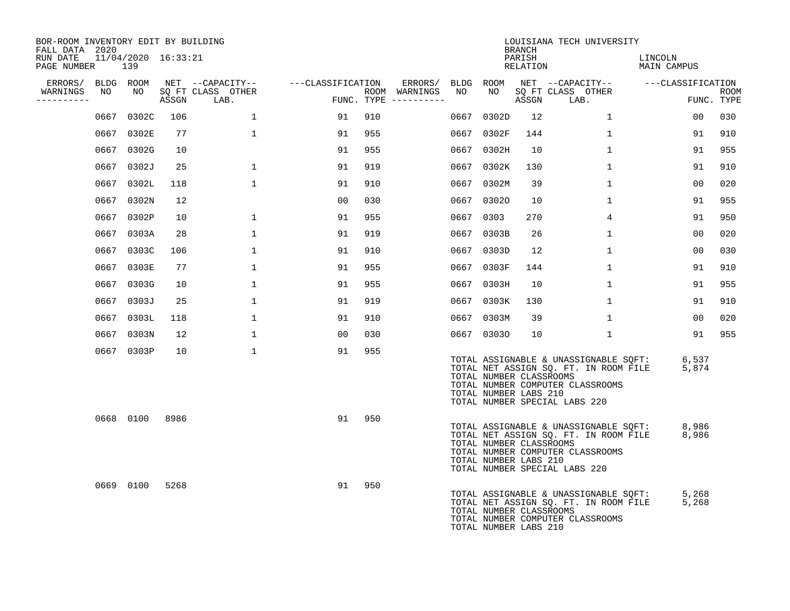| BOR-ROOM INVENTORY EDIT BY BUILDING<br>FALL DATA 2020 |      |                            |       |                           |                   |     |                                      |      |                                                  | <b>BRANCH</b>      |                                                                   | LOUISIANA TECH UNIVERSITY                                                      |                                                                                               |    |                    |
|-------------------------------------------------------|------|----------------------------|-------|---------------------------|-------------------|-----|--------------------------------------|------|--------------------------------------------------|--------------------|-------------------------------------------------------------------|--------------------------------------------------------------------------------|-----------------------------------------------------------------------------------------------|----|--------------------|
| RUN DATE<br>PAGE NUMBER                               |      | 11/04/2020 16:33:21<br>139 |       |                           |                   |     |                                      |      |                                                  | PARISH<br>RELATION |                                                                   |                                                                                | LINCOLN<br>MAIN CAMPUS                                                                        |    |                    |
| ERRORS/ BLDG ROOM                                     |      |                            |       | NET --CAPACITY--          | ---CLASSIFICATION |     | ERRORS/ BLDG ROOM                    |      |                                                  |                    |                                                                   |                                                                                | NET --CAPACITY-- ----CLASSIFICATION                                                           |    |                    |
| WARNINGS<br>---------                                 | NO   | NO                         | ASSGN | SQ FT CLASS OTHER<br>LAB. |                   |     | ROOM WARNINGS<br>FUNC. TYPE $------$ | NO   | NO                                               | ASSGN              | SQ FT CLASS OTHER<br>LAB.                                         |                                                                                |                                                                                               |    | ROOM<br>FUNC. TYPE |
|                                                       | 0667 | 0302C                      | 106   | $\mathbf{1}$              | 91                | 910 |                                      | 0667 | 0302D                                            | 12 <sup>°</sup>    |                                                                   | $\mathbf{1}$                                                                   | 00                                                                                            |    | 030                |
|                                                       |      | 0667 0302E                 | 77    | $\mathbf{1}$              | 91                | 955 |                                      | 0667 | 0302F                                            | 144                |                                                                   | $\mathbf{1}$                                                                   | 91                                                                                            |    | 910                |
|                                                       |      | 0667 0302G                 | 10    |                           | 91                | 955 |                                      | 0667 | 0302H                                            | 10                 |                                                                   | $\mathbf{1}$                                                                   | 91                                                                                            |    | 955                |
|                                                       |      | 0667 0302J                 | 25    | $\mathbf{1}$              | 91                | 919 |                                      | 0667 | 0302K                                            | 130                |                                                                   | $\mathbf{1}$                                                                   | 91                                                                                            |    | 910                |
|                                                       |      | 0667 0302L                 | 118   | $\mathbf 1$               | 91                | 910 |                                      | 0667 | 0302M                                            | 39                 |                                                                   | $\mathbf 1$                                                                    | 00                                                                                            |    | 020                |
|                                                       |      | 0667 0302N                 | 12    |                           | 00                | 030 |                                      | 0667 | 03020                                            | 10                 |                                                                   | $\mathbf{1}$                                                                   | 91                                                                                            |    | 955                |
|                                                       |      | 0667 0302P                 | 10    | $\mathbf 1$               | 91                | 955 |                                      |      | 0667 0303                                        | 270                |                                                                   | 4                                                                              | 91                                                                                            |    | 950                |
|                                                       |      | 0667 0303A                 | 28    | $\mathbf 1$               | 91                | 919 |                                      | 0667 | 0303B                                            | 26                 |                                                                   | $\mathbf{1}$                                                                   | 0 <sub>0</sub>                                                                                |    | 020                |
|                                                       |      | 0667 0303C                 | 106   | 1                         | 91                | 910 |                                      | 0667 | 0303D                                            | 12                 |                                                                   | $\mathbf{1}$                                                                   | 00                                                                                            |    | 030                |
|                                                       |      | 0667 0303E                 | 77    | $\mathbf 1$               | 91                | 955 |                                      | 0667 | 0303F                                            | 144                |                                                                   | $\mathbf{1}$                                                                   | 91                                                                                            |    | 910                |
|                                                       |      | 0667 0303G                 | 10    | $\mathbf 1$               | 91                | 955 |                                      |      | 0667 0303H                                       | 10                 |                                                                   | $\mathbf{1}$                                                                   | 91                                                                                            |    | 955                |
|                                                       |      | 0667 0303J                 | 25    | $\mathbf{1}$              | 91                | 919 |                                      | 0667 | 0303K                                            | 130                |                                                                   | $\mathbf{1}$                                                                   | 91                                                                                            |    | 910                |
|                                                       |      | 0667 0303L                 | 118   | $\mathbf{1}$              | 91                | 910 |                                      | 0667 | 0303M                                            | 39                 |                                                                   | $\mathbf{1}$                                                                   | 0 <sub>0</sub>                                                                                |    | 020                |
|                                                       |      | 0667 0303N                 | 12    | $\mathbf{1}$              | 00                | 030 |                                      |      | 0667 03030                                       | 10                 |                                                                   | $\mathbf{1}$                                                                   |                                                                                               | 91 | 955                |
|                                                       |      | 0667 0303P                 | 10    | $\mathbf{1}$              | 91                | 955 |                                      |      | TOTAL NUMBER CLASSROOMS<br>TOTAL NUMBER LABS 210 |                    | TOTAL NUMBER COMPUTER CLASSROOMS<br>TOTAL NUMBER SPECIAL LABS 220 |                                                                                | TOTAL ASSIGNABLE & UNASSIGNABLE SQFT: 6,537<br>TOTAL NET ASSIGN SQ. FT. IN ROOM FILE<br>5,874 |    |                    |
|                                                       |      | 0668 0100                  | 8986  |                           | 91                | 950 |                                      |      | TOTAL NUMBER CLASSROOMS<br>TOTAL NUMBER LABS 210 |                    | TOTAL NUMBER COMPUTER CLASSROOMS<br>TOTAL NUMBER SPECIAL LABS 220 | TOTAL ASSIGNABLE & UNASSIGNABLE SQFT:<br>TOTAL NET ASSIGN SQ. FT. IN ROOM FILE | 8,986<br>8,986                                                                                |    |                    |
|                                                       |      | 0669 0100                  | 5268  |                           | 91                | 950 |                                      |      | TOTAL NUMBER CLASSROOMS<br>TOTAL NUMBER LABS 210 |                    | TOTAL NUMBER COMPUTER CLASSROOMS                                  | TOTAL ASSIGNABLE & UNASSIGNABLE SQFT:<br>TOTAL NET ASSIGN SQ. FT. IN ROOM FILE | 5,268<br>5,268                                                                                |    |                    |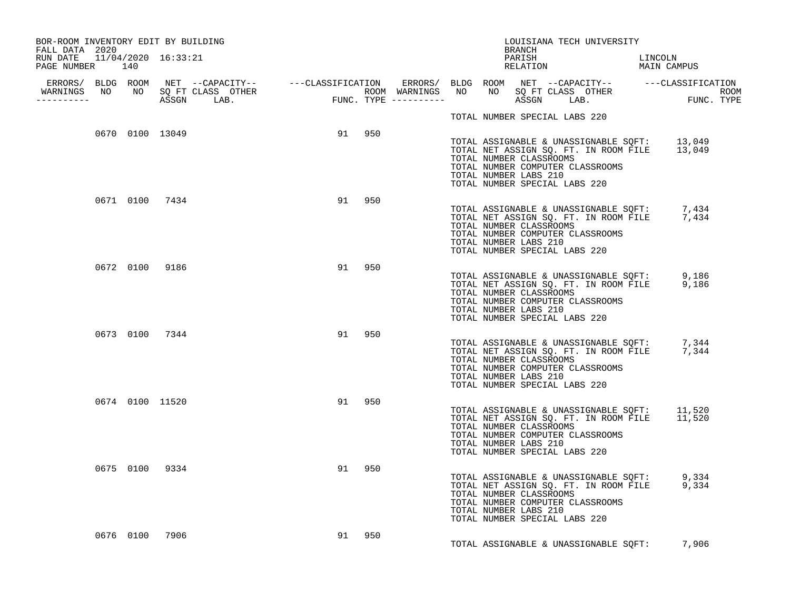| BOR-ROOM INVENTORY EDIT BY BUILDING<br>FALL DATA 2020 |                 |                 |        |        |  | BRANCH                                           |                                                          | LOUISIANA TECH UNIVERSITY                                                                                                        |         |  |
|-------------------------------------------------------|-----------------|-----------------|--------|--------|--|--------------------------------------------------|----------------------------------------------------------|----------------------------------------------------------------------------------------------------------------------------------|---------|--|
| RUN DATE 11/04/2020 16:33:21<br>PAGE NUMBER 140       |                 |                 |        |        |  | PARISH                                           |                                                          | PARISH LINCOLN RELATION MAIN CAMPUS                                                                                              | LINCOLN |  |
| -----------                                           |                 |                 |        |        |  |                                                  |                                                          |                                                                                                                                  |         |  |
|                                                       |                 |                 |        |        |  |                                                  | TOTAL NUMBER SPECIAL LABS 220                            |                                                                                                                                  |         |  |
|                                                       |                 | 0670 0100 13049 | 91 950 |        |  | TOTAL NUMBER CLASSROOMS<br>TOTAL NUMBER LABS 210 | TOTAL NUMBER SPECIAL LABS 220                            | TOTAL ASSIGNABLE & UNASSIGNABLE SQFT: 13,049<br>TOTAL NET ASSIGN SQ. FT. IN ROOM FILE 13,049<br>TOTAL NUMBER COMPUTER CLASSROOMS |         |  |
|                                                       |                 | 0671 0100 7434  |        | 91 950 |  | TOTAL NUMBER CLASSROOMS<br>TOTAL NUMBER LABS 210 | TOTAL NUMBER SPECIAL LABS 220                            | TOTAL ASSIGNABLE & UNASSIGNABLE SQFT: 7,434<br>TOTAL NET ASSIGN SQ. FT. IN ROOM FILE 7,434<br>TOTAL NUMBER COMPUTER CLASSROOMS   |         |  |
|                                                       | 0672 0100 9186  |                 |        | 91 950 |  | TOTAL NUMBER CLASSROOMS<br>TOTAL NUMBER LABS 210 | TOTAL NUMBER SPECIAL LABS 220                            | TOTAL ASSIGNABLE & UNASSIGNABLE SQFT: 9,186<br>TOTAL NET ASSIGN SQ. FT. IN ROOM FILE 9,186<br>TOTAL NUMBER COMPUTER CLASSROOMS   |         |  |
|                                                       | 0673 0100 7344  |                 |        | 91 950 |  | TOTAL NUMBER LABS 210                            | TOTAL NUMBER CLASSROOMS<br>TOTAL NUMBER SPECIAL LABS 220 | TOTAL ASSIGNABLE & UNASSIGNABLE SQFT: 7,344<br>TOTAL NET ASSIGN SQ. FT. IN ROOM FILE 7,344<br>TOTAL NUMBER COMPUTER CLASSROOMS   |         |  |
|                                                       | 0674 0100 11520 |                 |        | 91 950 |  | TOTAL NUMBER CLASSROOMS<br>TOTAL NUMBER LABS 210 | TOTAL NUMBER SPECIAL LABS 220                            | TOTAL ASSIGNABLE & UNASSIGNABLE SQFT: 11,520<br>TOTAL NET ASSIGN SQ. FT. IN ROOM FILE 11,520<br>TOTAL NUMBER COMPUTER CLASSROOMS |         |  |
|                                                       | 0675 0100 9334  |                 |        | 91 950 |  | TOTAL NUMBER CLASSROOMS<br>TOTAL NUMBER LABS 210 | TOTAL NUMBER SPECIAL LABS 220                            | TOTAL ASSIGNABLE & UNASSIGNABLE SQFT: 9,334<br>TOTAL NET ASSIGN SQ. FT. IN ROOM FILE 9,334<br>TOTAL NUMBER COMPUTER CLASSROOMS   |         |  |
|                                                       | 0676 0100 7906  |                 |        | 91 950 |  |                                                  |                                                          | TOTAL ASSIGNABLE & UNASSIGNABLE SQFT: 7,906                                                                                      |         |  |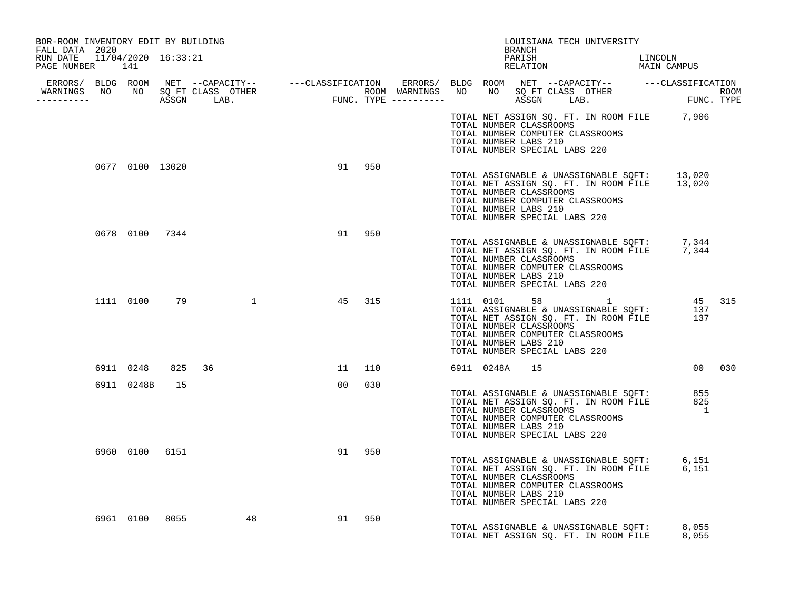| BOR-ROOM INVENTORY EDIT BY BUILDING<br>FALL DATA 2020                                                                                                                                                                                |                 |    |                   |        |  |                                                                                   | BRANCH | LOUISIANA TECH UNIVERSITY                                   |                                                                                                                 |        |
|--------------------------------------------------------------------------------------------------------------------------------------------------------------------------------------------------------------------------------------|-----------------|----|-------------------|--------|--|-----------------------------------------------------------------------------------|--------|-------------------------------------------------------------|-----------------------------------------------------------------------------------------------------------------|--------|
| RUN DATE 11/04/2020 16:33:21<br>PAGE NUMBER 141                                                                                                                                                                                      |                 |    |                   |        |  |                                                                                   |        |                                                             | PARISH LINCOLN RELATION MAIN CAMPUS                                                                             |        |
| ERRORS/ BLDG ROOM NET --CAPACITY-- ----CLASSIFICATION ERRORS/ BLDG ROOM NET --CAPACITY-- -----CLASSIFICATION<br>WARNINGS NO NO SQFTCLASS OTHER ROOM WARNINGS NO NO SQFTCLASS OTHER ROOM<br>----------- ASSGN LAB. FUNC.TYPE -------- |                 |    |                   |        |  |                                                                                   |        |                                                             |                                                                                                                 |        |
|                                                                                                                                                                                                                                      |                 |    |                   |        |  |                                                                                   |        |                                                             |                                                                                                                 |        |
|                                                                                                                                                                                                                                      |                 |    |                   |        |  | TOTAL NUMBER CLASSROOMS<br>TOTAL NUMBER LABS 210<br>TOTAL NUMBER SPECIAL LABS 220 |        | TOTAL NUMBER COMPUTER CLASSROOMS                            | TOTAL NET ASSIGN SQ. FT. IN ROOM FILE 7,906                                                                     |        |
|                                                                                                                                                                                                                                      | 0677 0100 13020 |    |                   | 91 950 |  | TOTAL NUMBER CLASSROOMS<br>TOTAL NUMBER LABS 210<br>TOTAL NUMBER SPECIAL LABS 220 |        | TOTAL NUMBER COMPUTER CLASSROOMS                            | TOTAL ASSIGNABLE & UNASSIGNABLE SQFT: 13,020<br>TOTAL NET ASSIGN SQ. FT. IN ROOM FILE 13,020                    |        |
|                                                                                                                                                                                                                                      | 0678 0100 7344  |    |                   | 91 950 |  | TOTAL NUMBER CLASSROOMS<br>TOTAL NUMBER LABS 210<br>TOTAL NUMBER SPECIAL LABS 220 |        | TOTAL NUMBER COMPUTER CLASSROOMS                            | TOTAL ASSIGNABLE & UNASSIGNABLE SQFT: 7,344<br>TOTAL NET ASSIGN SQ. FT. IN ROOM FILE 7,344                      |        |
|                                                                                                                                                                                                                                      |                 |    | 1111 0100 79 1    | 45 315 |  | TOTAL NUMBER CLASSROOMS<br>TOTAL NUMBER LABS 210<br>TOTAL NUMBER SPECIAL LABS 220 |        | TOTAL NUMBER COMPUTER CLASSROOMS                            | 1111 0101 58 1 45 315<br>TOTAL ASSIGNABLE & UNASSIGNABLE SQFT: 137<br>TOTAL NET ASSIGN SQ. FT. IN ROOM FILE 137 |        |
|                                                                                                                                                                                                                                      | 6911 0248       |    | 825 36            | 11 110 |  | 6911 0248A                                                                        | 15     |                                                             |                                                                                                                 | 00 030 |
|                                                                                                                                                                                                                                      | 6911 0248B      | 15 |                   | 00 030 |  | TOTAL NUMBER LABS 210<br>TOTAL NUMBER SPECIAL LABS 220                            |        | TOTAL NUMBER CLASSROOMS<br>TOTAL NUMBER COMPUTER CLASSROOMS | TOTAL ASSIGNABLE & UNASSIGNABLE SQFT: 855<br>TOTAL NET ASSIGN SQ. FT. IN ROOM FILE 825<br>$\overline{1}$        |        |
|                                                                                                                                                                                                                                      |                 |    | 6960 0100 6151    | 91 950 |  | TOTAL NUMBER CLASSROOMS<br>TOTAL NUMBER LABS 210<br>TOTAL NUMBER SPECIAL LABS 220 |        | TOTAL NUMBER COMPUTER CLASSROOMS                            | TOTAL ASSIGNABLE & UNASSIGNABLE SQFT: 6,151<br>TOTAL NET ASSIGN SQ. FT. IN ROOM FILE 6,151                      |        |
|                                                                                                                                                                                                                                      |                 |    | 6961 0100 8055 48 | 91 950 |  |                                                                                   |        |                                                             | TOTAL ASSIGNABLE & UNASSIGNABLE SOFT: 8,055<br>TOTAL NET ASSIGN SO. FT. IN ROOM FILE 8,055                      |        |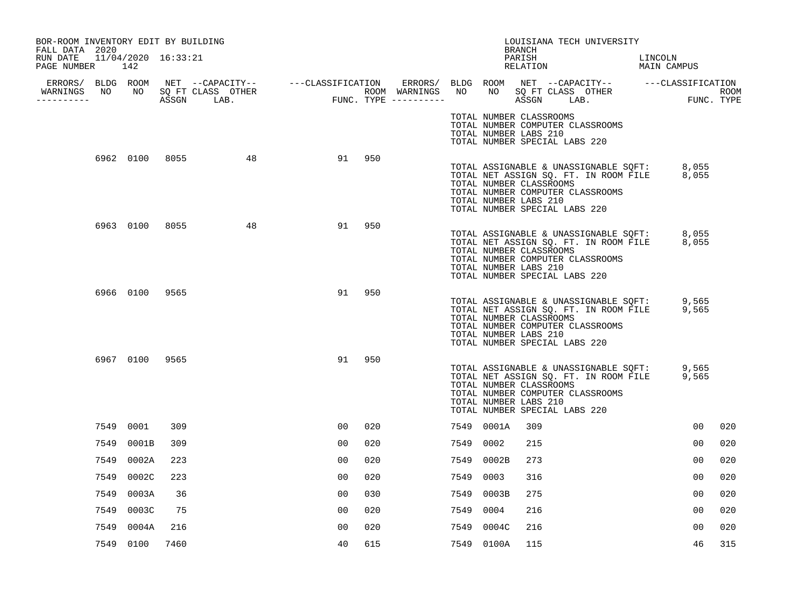| BOR-ROOM INVENTORY EDIT BY BUILDING<br>FALL DATA 2020 |                |      |    |                |        |           |            | LOUISIANA TECH UNIVERSITY<br>BRANCH                                                                                                                                                                                 |                        |     |
|-------------------------------------------------------|----------------|------|----|----------------|--------|-----------|------------|---------------------------------------------------------------------------------------------------------------------------------------------------------------------------------------------------------------------|------------------------|-----|
| RUN DATE 11/04/2020 16:33:21<br>PAGE NUMBER 142       |                |      |    |                |        |           |            | PARISH<br>RELATION                                                                                                                                                                                                  | LINCOLN<br>MAIN CAMPUS |     |
| WARNINGS NO NO SQ FT CLASS OTHER<br>.                 |                |      |    |                |        |           |            |                                                                                                                                                                                                                     |                        |     |
|                                                       |                |      |    |                |        |           |            | TOTAL NUMBER CLASSROOMS<br>TOTAL NUMBER COMPUTER CLASSROOMS<br>TOTAL NUMBER LABS 210<br>TOTAL NUMBER SPECIAL LABS 220                                                                                               |                        |     |
|                                                       | 6962 0100 8055 |      | 48 |                | 91 950 |           |            | TOTAL ASSIGNABLE & UNASSIGNABLE SQFT: 8,055<br>TOTAL NET ASSIGN SQ. FT. IN ROOM FILE 8,055<br>TOTAL NUMBER CLASSROOMS<br>TOTAL NUMBER COMPUTER CLASSROOMS<br>TOTAL NUMBER LABS 210<br>TOTAL NUMBER SPECIAL LABS 220 |                        |     |
|                                                       | 6963 0100 8055 |      | 48 | 91             | 950    |           |            | TOTAL ASSIGNABLE & UNASSIGNABLE SQFT:<br>TOTAL NET ASSIGN SQ. FT. IN ROOM FILE 8,055<br>TOTAL NUMBER CLASSROOMS<br>TOTAL NUMBER COMPUTER CLASSROOMS<br>TOTAL NUMBER LABS 210<br>TOTAL NUMBER SPECIAL LABS 220       | 8,055                  |     |
|                                                       | 6966 0100 9565 |      |    | 91             | 950    |           |            | TOTAL ASSIGNABLE & UNASSIGNABLE SQFT: 9,565<br>TOTAL NET ASSIGN SQ. FT. IN ROOM FILE 9,565<br>TOTAL NUMBER CLASSROOMS<br>TOTAL NUMBER COMPUTER CLASSROOMS<br>TOTAL NUMBER LABS 210<br>TOTAL NUMBER SPECIAL LABS 220 |                        |     |
|                                                       | 6967 0100 9565 |      |    | 91             | 950    |           |            | TOTAL ASSIGNABLE & UNASSIGNABLE SQFT: 9,565<br>TOTAL NET ASSIGN SQ. FT. IN ROOM FILE 9,565<br>TOTAL NUMBER CLASSROOMS<br>TOTAL NUMBER COMPUTER CLASSROOMS<br>TOTAL NUMBER LABS 210<br>TOTAL NUMBER SPECIAL LABS 220 |                        |     |
|                                                       | 7549 0001      | 309  |    | 00             | 020    |           | 7549 0001A | 309                                                                                                                                                                                                                 | 00                     | 020 |
| 7549                                                  | 0001B          | 309  |    | 00             | 020    | 7549      | 0002       | 215                                                                                                                                                                                                                 | 00                     | 020 |
| 7549                                                  | 0002A          | 223  |    | 0 <sub>0</sub> | 020    | 7549      | 0002B      | 273                                                                                                                                                                                                                 | 00                     | 020 |
| 7549                                                  | 0002C          | 223  |    | 0 <sub>0</sub> | 020    | 7549      | 0003       | 316                                                                                                                                                                                                                 | 0 <sub>0</sub>         | 020 |
| 7549                                                  | 0003A          | 36   |    | 00             | 030    |           | 7549 0003B | 275                                                                                                                                                                                                                 | 00                     | 020 |
| 7549                                                  | 0003C          | 75   |    | 0 <sub>0</sub> | 020    | 7549 0004 |            | 216                                                                                                                                                                                                                 | 0 <sub>0</sub>         | 020 |
| 7549                                                  | 0004A          | 216  |    | 0 <sub>0</sub> | 020    | 7549      | 0004C      | 216                                                                                                                                                                                                                 | 0 <sub>0</sub>         | 020 |
|                                                       | 7549 0100      | 7460 |    | 40             | 615    |           | 7549 0100A | 115                                                                                                                                                                                                                 | 46                     | 315 |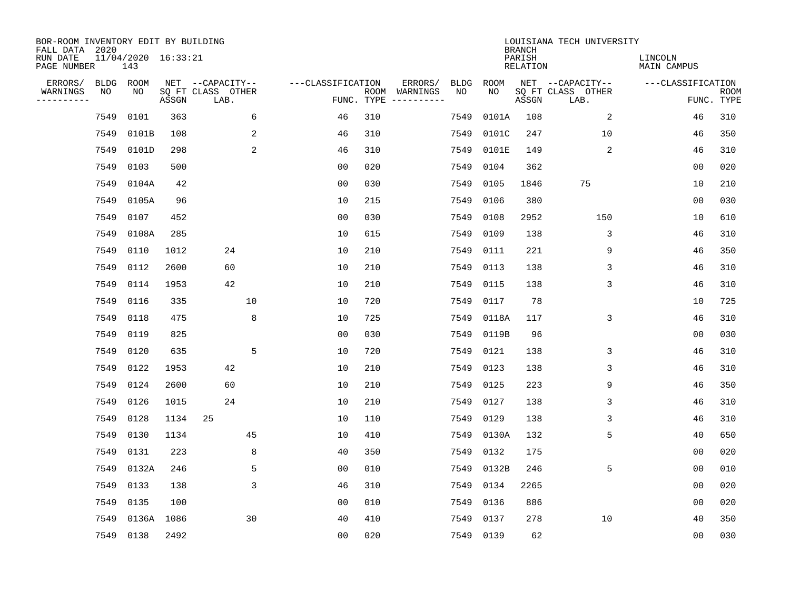| BOR-ROOM INVENTORY EDIT BY BUILDING<br>FALL DATA 2020 |      |                            |       |                           |    |                   |                    |                         |             |             | <b>BRANCH</b>             | LOUISIANA TECH UNIVERSITY |                               |                           |
|-------------------------------------------------------|------|----------------------------|-------|---------------------------|----|-------------------|--------------------|-------------------------|-------------|-------------|---------------------------|---------------------------|-------------------------------|---------------------------|
| RUN DATE<br>PAGE NUMBER                               |      | 11/04/2020 16:33:21<br>143 |       |                           |    |                   |                    |                         |             |             | PARISH<br><b>RELATION</b> |                           | LINCOLN<br><b>MAIN CAMPUS</b> |                           |
| ERRORS/                                               | BLDG | ROOM                       |       | NET --CAPACITY--          |    | ---CLASSIFICATION |                    | ERRORS/                 | <b>BLDG</b> | <b>ROOM</b> |                           | NET --CAPACITY--          | ---CLASSIFICATION             |                           |
| WARNINGS<br>----------                                | NO   | ΝO                         | ASSGN | SQ FT CLASS OTHER<br>LAB. |    |                   | ROOM<br>FUNC. TYPE | WARNINGS<br>----------- | NO          | NO          | ASSGN                     | SQ FT CLASS OTHER<br>LAB. |                               | <b>ROOM</b><br>FUNC. TYPE |
|                                                       | 7549 | 0101                       | 363   |                           | 6  | 46                | 310                |                         | 7549        | 0101A       | 108                       | 2                         | 46                            | 310                       |
|                                                       | 7549 | 0101B                      | 108   |                           | 2  | 46                | 310                |                         | 7549        | 0101C       | 247                       | 10                        | 46                            | 350                       |
|                                                       | 7549 | 0101D                      | 298   |                           | 2  | 46                | 310                |                         | 7549        | 0101E       | 149                       | 2                         | 46                            | 310                       |
|                                                       | 7549 | 0103                       | 500   |                           |    | 0 <sub>0</sub>    | 020                |                         | 7549        | 0104        | 362                       |                           | 0 <sub>0</sub>                | 020                       |
|                                                       | 7549 | 0104A                      | 42    |                           |    | 0 <sub>0</sub>    | 030                |                         | 7549        | 0105        | 1846                      | 75                        | 10                            | 210                       |
|                                                       | 7549 | 0105A                      | 96    |                           |    | 10                | 215                |                         | 7549        | 0106        | 380                       |                           | 0 <sub>0</sub>                | 030                       |
|                                                       | 7549 | 0107                       | 452   |                           |    | 0 <sub>0</sub>    | 030                |                         | 7549        | 0108        | 2952                      | 150                       | 10                            | 610                       |
|                                                       | 7549 | 0108A                      | 285   |                           |    | 10                | 615                |                         | 7549        | 0109        | 138                       | 3                         | 46                            | 310                       |
|                                                       | 7549 | 0110                       | 1012  | 24                        |    | 10                | 210                |                         | 7549        | 0111        | 221                       | 9                         | 46                            | 350                       |
|                                                       | 7549 | 0112                       | 2600  | 60                        |    | 10                | 210                |                         | 7549        | 0113        | 138                       | 3                         | 46                            | 310                       |
|                                                       | 7549 | 0114                       | 1953  | 42                        |    | 10                | 210                |                         | 7549        | 0115        | 138                       | 3                         | 46                            | 310                       |
|                                                       | 7549 | 0116                       | 335   |                           | 10 | 10                | 720                |                         | 7549        | 0117        | 78                        |                           | 10                            | 725                       |
|                                                       | 7549 | 0118                       | 475   |                           | 8  | 10                | 725                |                         | 7549        | 0118A       | 117                       | 3                         | 46                            | 310                       |
|                                                       | 7549 | 0119                       | 825   |                           |    | 0 <sub>0</sub>    | 030                |                         | 7549        | 0119B       | 96                        |                           | 0 <sub>0</sub>                | 030                       |
|                                                       | 7549 | 0120                       | 635   |                           | 5  | 10                | 720                |                         | 7549        | 0121        | 138                       | 3                         | 46                            | 310                       |
|                                                       | 7549 | 0122                       | 1953  | 42                        |    | 10                | 210                |                         | 7549        | 0123        | 138                       | 3                         | 46                            | 310                       |
|                                                       | 7549 | 0124                       | 2600  | 60                        |    | 10                | 210                |                         | 7549        | 0125        | 223                       | 9                         | 46                            | 350                       |
|                                                       | 7549 | 0126                       | 1015  | 24                        |    | 10                | 210                |                         | 7549        | 0127        | 138                       | 3                         | 46                            | 310                       |
|                                                       | 7549 | 0128                       | 1134  | 25                        |    | 10                | 110                |                         | 7549        | 0129        | 138                       | 3                         | 46                            | 310                       |
|                                                       | 7549 | 0130                       | 1134  |                           | 45 | 10                | 410                |                         | 7549        | 0130A       | 132                       | 5                         | 40                            | 650                       |
|                                                       | 7549 | 0131                       | 223   |                           | 8  | 40                | 350                |                         | 7549        | 0132        | 175                       |                           | 0 <sub>0</sub>                | 020                       |
|                                                       | 7549 | 0132A                      | 246   |                           | 5  | 0 <sub>0</sub>    | 010                |                         | 7549        | 0132B       | 246                       | 5                         | 00                            | 010                       |
|                                                       | 7549 | 0133                       | 138   |                           | 3  | 46                | 310                |                         | 7549        | 0134        | 2265                      |                           | 0 <sub>0</sub>                | 020                       |
|                                                       | 7549 | 0135                       | 100   |                           |    | 0 <sub>0</sub>    | 010                |                         | 7549        | 0136        | 886                       |                           | 0 <sub>0</sub>                | 020                       |
|                                                       | 7549 | 0136A 1086                 |       |                           | 30 | 40                | 410                |                         | 7549        | 0137        | 278                       | 10                        | 40                            | 350                       |
|                                                       |      | 7549 0138                  | 2492  |                           |    | 0 <sub>0</sub>    | 020                |                         | 7549        | 0139        | 62                        |                           | 00                            | 030                       |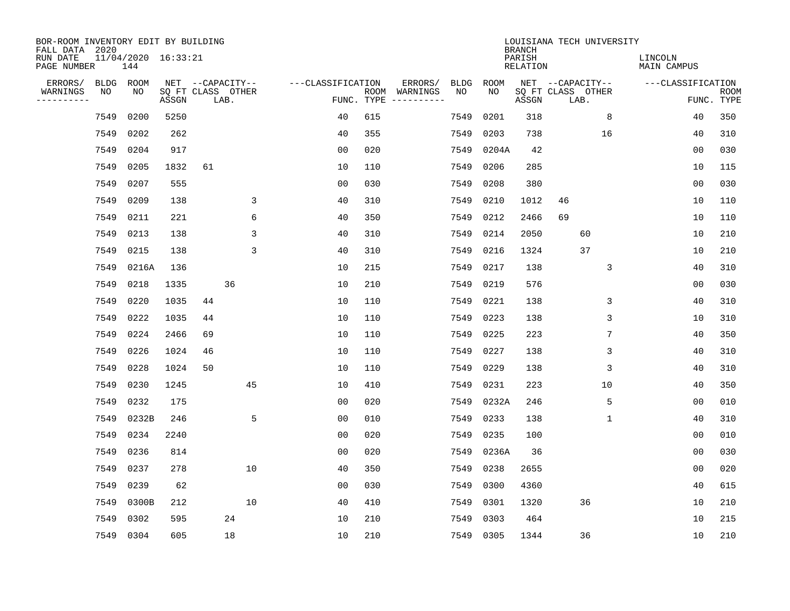| BOR-ROOM INVENTORY EDIT BY BUILDING<br>FALL DATA 2020 |             |                            |       |    |                           |                   |     |                                      |      |           | <b>BRANCH</b>      | LOUISIANA TECH UNIVERSITY |    |                        |                |                           |
|-------------------------------------------------------|-------------|----------------------------|-------|----|---------------------------|-------------------|-----|--------------------------------------|------|-----------|--------------------|---------------------------|----|------------------------|----------------|---------------------------|
| RUN DATE<br>PAGE NUMBER                               |             | 11/04/2020 16:33:21<br>144 |       |    |                           |                   |     |                                      |      |           | PARISH<br>RELATION |                           |    | LINCOLN<br>MAIN CAMPUS |                |                           |
| ERRORS/                                               | <b>BLDG</b> | ROOM                       |       |    | NET --CAPACITY--          | ---CLASSIFICATION |     | ERRORS/                              | BLDG | ROOM      |                    | NET --CAPACITY--          |    | ---CLASSIFICATION      |                |                           |
| WARNINGS<br>----------                                | NO          | NO.                        | ASSGN |    | SQ FT CLASS OTHER<br>LAB. |                   |     | ROOM WARNINGS<br>FUNC. TYPE $------$ | NO.  | NO.       | ASSGN              | SQ FT CLASS OTHER<br>LAB. |    |                        |                | <b>ROOM</b><br>FUNC. TYPE |
|                                                       | 7549        | 0200                       | 5250  |    |                           | 40                | 615 |                                      | 7549 | 0201      | 318                |                           | 8  |                        | 40             | 350                       |
|                                                       | 7549        | 0202                       | 262   |    |                           | 40                | 355 |                                      | 7549 | 0203      | 738                |                           | 16 |                        | 40             | 310                       |
|                                                       | 7549        | 0204                       | 917   |    |                           | 0 <sub>0</sub>    | 020 |                                      | 7549 | 0204A     | 42                 |                           |    |                        | 00             | 030                       |
|                                                       | 7549        | 0205                       | 1832  | 61 |                           | 10                | 110 |                                      | 7549 | 0206      | 285                |                           |    | 10                     |                | 115                       |
|                                                       | 7549        | 0207                       | 555   |    |                           | 0 <sub>0</sub>    | 030 |                                      | 7549 | 0208      | 380                |                           |    |                        | 0 <sub>0</sub> | 030                       |
|                                                       | 7549        | 0209                       | 138   |    | 3                         | 40                | 310 |                                      | 7549 | 0210      | 1012               | 46                        |    | 10                     |                | 110                       |
|                                                       | 7549        | 0211                       | 221   |    | 6                         | 40                | 350 |                                      | 7549 | 0212      | 2466               | 69                        |    | 10                     |                | 110                       |
|                                                       | 7549        | 0213                       | 138   |    | 3                         | 40                | 310 |                                      | 7549 | 0214      | 2050               | 60                        |    | 10                     |                | 210                       |
|                                                       | 7549        | 0215                       | 138   |    | 3                         | 40                | 310 |                                      | 7549 | 0216      | 1324               | 37                        |    | 10                     |                | 210                       |
|                                                       | 7549        | 0216A                      | 136   |    |                           | 10                | 215 |                                      | 7549 | 0217      | 138                |                           | 3  |                        | 40             | 310                       |
|                                                       | 7549        | 0218                       | 1335  |    | 36                        | 10                | 210 |                                      | 7549 | 0219      | 576                |                           |    |                        | 0 <sub>0</sub> | 030                       |
|                                                       | 7549        | 0220                       | 1035  | 44 |                           | 10                | 110 |                                      | 7549 | 0221      | 138                |                           | 3  |                        | 40             | 310                       |
|                                                       | 7549        | 0222                       | 1035  | 44 |                           | 10                | 110 |                                      | 7549 | 0223      | 138                |                           | 3  | 10                     |                | 310                       |
|                                                       | 7549        | 0224                       | 2466  | 69 |                           | 10                | 110 |                                      | 7549 | 0225      | 223                |                           | 7  |                        | 40             | 350                       |
|                                                       | 7549        | 0226                       | 1024  | 46 |                           | 10                | 110 |                                      | 7549 | 0227      | 138                |                           | 3  |                        | 40             | 310                       |
|                                                       | 7549        | 0228                       | 1024  | 50 |                           | 10                | 110 |                                      | 7549 | 0229      | 138                |                           | 3  |                        | 40             | 310                       |
|                                                       | 7549        | 0230                       | 1245  |    | 45                        | 10                | 410 |                                      | 7549 | 0231      | 223                |                           | 10 |                        | 40             | 350                       |
|                                                       | 7549        | 0232                       | 175   |    |                           | 0 <sub>0</sub>    | 020 |                                      | 7549 | 0232A     | 246                |                           | 5  |                        | 00             | 010                       |
|                                                       | 7549        | 0232B                      | 246   |    | 5                         | 0 <sub>0</sub>    | 010 |                                      | 7549 | 0233      | 138                |                           | 1  |                        | 40             | 310                       |
|                                                       | 7549        | 0234                       | 2240  |    |                           | 0 <sub>0</sub>    | 020 |                                      | 7549 | 0235      | 100                |                           |    |                        | 0 <sub>0</sub> | 010                       |
|                                                       | 7549        | 0236                       | 814   |    |                           | 0 <sub>0</sub>    | 020 |                                      | 7549 | 0236A     | 36                 |                           |    |                        | 0 <sub>0</sub> | 030                       |
|                                                       | 7549        | 0237                       | 278   |    | 10                        | 40                | 350 |                                      | 7549 | 0238      | 2655               |                           |    |                        | 0 <sub>0</sub> | 020                       |
|                                                       | 7549        | 0239                       | 62    |    |                           | 0 <sub>0</sub>    | 030 |                                      | 7549 | 0300      | 4360               |                           |    |                        | 40             | 615                       |
|                                                       | 7549        | 0300B                      | 212   |    | 10                        | 40                | 410 |                                      | 7549 | 0301      | 1320               | 36                        |    | 10                     |                | 210                       |
|                                                       | 7549        | 0302                       | 595   |    | 24                        | 10                | 210 |                                      | 7549 | 0303      | 464                |                           |    | 10                     |                | 215                       |
|                                                       |             | 7549 0304                  | 605   |    | 18                        | 10                | 210 |                                      |      | 7549 0305 | 1344               | 36                        |    | 10                     |                | 210                       |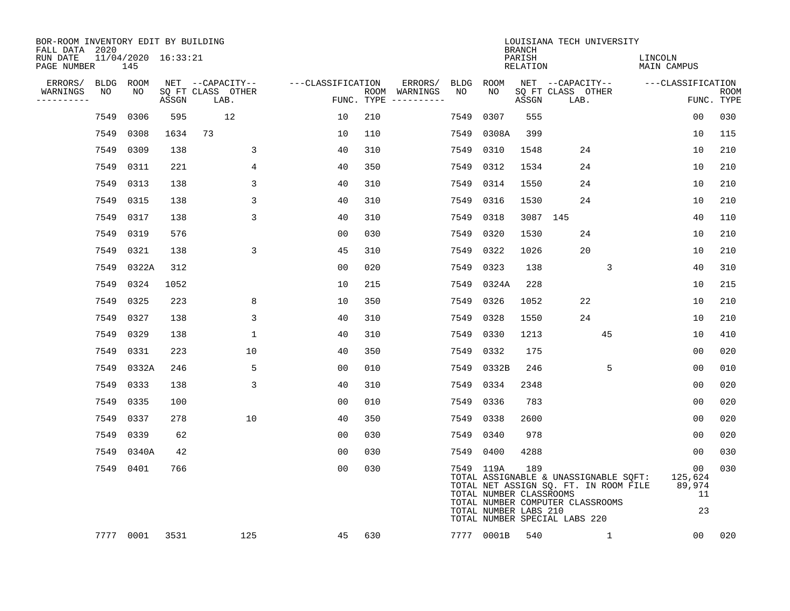| BOR-ROOM INVENTORY EDIT BY BUILDING<br>FALL DATA 2020 |                            |       |                           |                   |     |                                            |            | <b>BRANCH</b>                                           | LOUISIANA TECH UNIVERSITY                                                                                                                           |                                     |                           |
|-------------------------------------------------------|----------------------------|-------|---------------------------|-------------------|-----|--------------------------------------------|------------|---------------------------------------------------------|-----------------------------------------------------------------------------------------------------------------------------------------------------|-------------------------------------|---------------------------|
| RUN DATE<br>PAGE NUMBER                               | 11/04/2020 16:33:21<br>145 |       |                           |                   |     |                                            |            | PARISH<br>RELATION                                      |                                                                                                                                                     | LINCOLN<br>MAIN CAMPUS              |                           |
| ERRORS/                                               | BLDG ROOM                  |       | NET --CAPACITY--          | ---CLASSIFICATION |     | ERRORS/                                    | BLDG ROOM  |                                                         | NET --CAPACITY-- ---CLASSIFICATION                                                                                                                  |                                     |                           |
| NO<br>WARNINGS<br>-----------                         | NO                         | ASSGN | SQ FT CLASS OTHER<br>LAB. |                   |     | NO<br>ROOM WARNINGS<br>FUNC. TYPE $------$ | NO.        | ASSGN                                                   | SQ FT CLASS OTHER<br>LAB.                                                                                                                           |                                     | <b>ROOM</b><br>FUNC. TYPE |
| 7549                                                  | 0306                       | 595   | 12                        | 10                | 210 | 7549                                       | 0307       | 555                                                     |                                                                                                                                                     | 0 <sub>0</sub>                      | 030                       |
| 7549                                                  | 0308                       | 1634  | 73                        | 10                | 110 | 7549                                       | 0308A      | 399                                                     |                                                                                                                                                     | 10                                  | 115                       |
|                                                       | 7549 0309                  | 138   | 3                         | 40                | 310 | 7549                                       | 0310       | 1548                                                    | 24                                                                                                                                                  | 10                                  | 210                       |
|                                                       | 7549 0311                  | 221   | 4                         | 40                | 350 | 7549                                       | 0312       | 1534                                                    | 24                                                                                                                                                  | 10                                  | 210                       |
|                                                       | 7549 0313                  | 138   | 3                         | 40                | 310 | 7549                                       | 0314       | 1550                                                    | 24                                                                                                                                                  | 10                                  | 210                       |
|                                                       | 7549 0315                  | 138   | 3                         | 40                | 310 | 7549                                       | 0316       | 1530                                                    | 24                                                                                                                                                  | 10                                  | 210                       |
|                                                       | 7549 0317                  | 138   | 3                         | 40                | 310 | 7549                                       | 0318       |                                                         | 3087 145                                                                                                                                            | 40                                  | 110                       |
|                                                       | 7549 0319                  | 576   |                           | 0 <sub>0</sub>    | 030 | 7549                                       | 0320       | 1530                                                    | 24                                                                                                                                                  | 10                                  | 210                       |
|                                                       | 7549 0321                  | 138   | 3                         | 45                | 310 | 7549                                       | 0322       | 1026                                                    | 20                                                                                                                                                  | 10                                  | 210                       |
|                                                       | 7549 0322A                 | 312   |                           | 0 <sub>0</sub>    | 020 | 7549                                       | 0323       | 138                                                     | 3                                                                                                                                                   | 40                                  | 310                       |
|                                                       | 7549 0324                  | 1052  |                           | 10                | 215 | 7549                                       | 0324A      | 228                                                     |                                                                                                                                                     | 10                                  | 215                       |
|                                                       | 7549 0325                  | 223   | 8                         | 10                | 350 | 7549                                       | 0326       | 1052                                                    | 22                                                                                                                                                  | 10                                  | 210                       |
|                                                       | 7549 0327                  | 138   | 3                         | 40                | 310 | 7549                                       | 0328       | 1550                                                    | 24                                                                                                                                                  | 10                                  | 210                       |
|                                                       | 7549 0329                  | 138   | $\mathbf 1$               | 40                | 310 | 7549                                       | 0330       | 1213                                                    | 45                                                                                                                                                  | 10                                  | 410                       |
|                                                       | 7549 0331                  | 223   | 10                        | 40                | 350 | 7549                                       | 0332       | 175                                                     |                                                                                                                                                     | 0 <sub>0</sub>                      | 020                       |
|                                                       | 7549 0332A                 | 246   | 5                         | 0 <sub>0</sub>    | 010 | 7549                                       | 0332B      | 246                                                     | 5                                                                                                                                                   | 0 <sub>0</sub>                      | 010                       |
|                                                       | 7549 0333                  | 138   | 3                         | 40                | 310 | 7549                                       | 0334       | 2348                                                    |                                                                                                                                                     | 0 <sub>0</sub>                      | 020                       |
|                                                       | 7549 0335                  | 100   |                           | 0 <sub>0</sub>    | 010 | 7549                                       | 0336       | 783                                                     |                                                                                                                                                     | 0 <sub>0</sub>                      | 020                       |
|                                                       | 7549 0337                  | 278   | 10                        | 40                | 350 | 7549                                       | 0338       | 2600                                                    |                                                                                                                                                     | 00                                  | 020                       |
|                                                       | 7549 0339                  | 62    |                           | 0 <sub>0</sub>    | 030 | 7549                                       | 0340       | 978                                                     |                                                                                                                                                     | 00                                  | 020                       |
|                                                       | 7549 0340A                 | 42    |                           | 00                | 030 | 7549                                       | 0400       | 4288                                                    |                                                                                                                                                     | 0 <sub>0</sub>                      | 030                       |
|                                                       | 7549 0401                  | 766   |                           | 0 <sub>0</sub>    | 030 |                                            | 7549 119A  | 189<br>TOTAL NUMBER CLASSROOMS<br>TOTAL NUMBER LABS 210 | TOTAL ASSIGNABLE & UNASSIGNABLE SQFT:<br>TOTAL NET ASSIGN SQ. FT. IN ROOM FILE<br>TOTAL NUMBER COMPUTER CLASSROOMS<br>TOTAL NUMBER SPECIAL LABS 220 | 00<br>125,624<br>89,974<br>11<br>23 | 030                       |
|                                                       | 7777 0001                  | 3531  | 125                       | 45                | 630 |                                            | 7777 0001B | 540                                                     | 1                                                                                                                                                   | 00 <sub>o</sub>                     | 020                       |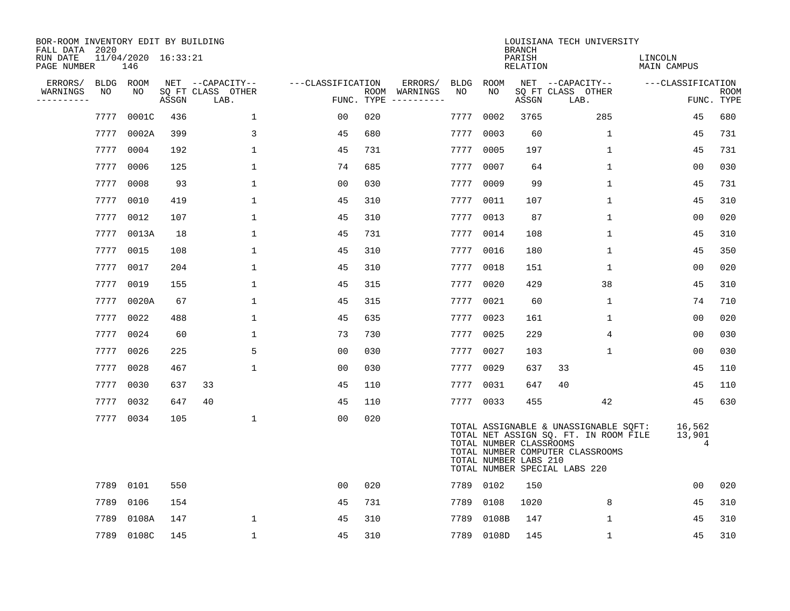| BOR-ROOM INVENTORY EDIT BY BUILDING<br>FALL DATA 2020 |           |                            |       |                           |                   |     |                                      |      |            | <b>BRANCH</b>                                    | LOUISIANA TECH UNIVERSITY                                                                                                                           |                        |                           |
|-------------------------------------------------------|-----------|----------------------------|-------|---------------------------|-------------------|-----|--------------------------------------|------|------------|--------------------------------------------------|-----------------------------------------------------------------------------------------------------------------------------------------------------|------------------------|---------------------------|
| RUN DATE<br>PAGE NUMBER                               |           | 11/04/2020 16:33:21<br>146 |       |                           |                   |     |                                      |      |            | PARISH<br>RELATION                               |                                                                                                                                                     | LINCOLN<br>MAIN CAMPUS |                           |
| ERRORS/                                               | BLDG ROOM |                            |       | NET --CAPACITY--          | ---CLASSIFICATION |     | ERRORS/                              |      | BLDG ROOM  |                                                  | NET --CAPACITY--                                                                                                                                    | ---CLASSIFICATION      |                           |
| WARNINGS<br>----------                                | NO        | NO.                        | ASSGN | SQ FT CLASS OTHER<br>LAB. |                   |     | ROOM WARNINGS<br>FUNC. TYPE $------$ | NO   | NO.        | ASSGN                                            | SQ FT CLASS OTHER<br>LAB.                                                                                                                           |                        | <b>ROOM</b><br>FUNC. TYPE |
|                                                       | 7777      | 0001C                      | 436   | $\mathbf 1$               | 00                | 020 |                                      | 7777 | 0002       | 3765                                             | 285                                                                                                                                                 | 45                     | 680                       |
|                                                       | 7777      | 0002A                      | 399   | 3                         | 45                | 680 |                                      | 7777 | 0003       | 60                                               | $\mathbf{1}$                                                                                                                                        | 45                     | 731                       |
|                                                       | 7777      | 0004                       | 192   | $\mathbf{1}$              | 45                | 731 |                                      | 7777 | 0005       | 197                                              | $\mathbf{1}$                                                                                                                                        | 45                     | 731                       |
|                                                       | 7777      | 0006                       | 125   | 1                         | 74                | 685 |                                      | 7777 | 0007       | 64                                               | $\mathbf 1$                                                                                                                                         | 0 <sub>0</sub>         | 030                       |
|                                                       | 7777      | 0008                       | 93    | $\mathbf 1$               | 0 <sub>0</sub>    | 030 |                                      | 7777 | 0009       | 99                                               | $\mathbf 1$                                                                                                                                         | 45                     | 731                       |
|                                                       | 7777      | 0010                       | 419   | 1                         | 45                | 310 |                                      |      | 7777 0011  | 107                                              | $\mathbf{1}$                                                                                                                                        | 45                     | 310                       |
|                                                       | 7777      | 0012                       | 107   | 1                         | 45                | 310 |                                      | 7777 | 0013       | 87                                               | $\mathbf{1}$                                                                                                                                        | 00                     | 020                       |
|                                                       | 7777      | 0013A                      | 18    | 1                         | 45                | 731 |                                      |      | 7777 0014  | 108                                              | $\mathbf 1$                                                                                                                                         | 45                     | 310                       |
|                                                       | 7777      | 0015                       | 108   | $\mathbf 1$               | 45                | 310 |                                      | 7777 | 0016       | 180                                              | $\mathbf{1}$                                                                                                                                        | 45                     | 350                       |
|                                                       | 7777 0017 |                            | 204   | 1                         | 45                | 310 |                                      |      | 7777 0018  | 151                                              | $\mathbf{1}$                                                                                                                                        | 0 <sub>0</sub>         | 020                       |
|                                                       | 7777      | 0019                       | 155   | $\mathbf{1}$              | 45                | 315 |                                      | 7777 | 0020       | 429                                              | 38                                                                                                                                                  | 45                     | 310                       |
|                                                       |           | 7777 0020A                 | 67    | 1                         | 45                | 315 |                                      |      | 7777 0021  | 60                                               | $\mathbf 1$                                                                                                                                         | 74                     | 710                       |
|                                                       | 7777      | 0022                       | 488   | $\mathbf 1$               | 45                | 635 |                                      | 7777 | 0023       | 161                                              | $\mathbf 1$                                                                                                                                         | 0 <sub>0</sub>         | 020                       |
|                                                       | 7777 0024 |                            | 60    | 1                         | 73                | 730 |                                      |      | 7777 0025  | 229                                              | 4                                                                                                                                                   | 0 <sub>0</sub>         | 030                       |
|                                                       | 7777      | 0026                       | 225   | 5                         | 0 <sub>0</sub>    | 030 |                                      | 7777 | 0027       | 103                                              | $\mathbf 1$                                                                                                                                         | 0 <sub>0</sub>         | 030                       |
|                                                       | 7777      | 0028                       | 467   | $\mathbf{1}$              | 00                | 030 |                                      | 7777 | 0029       | 637                                              | 33                                                                                                                                                  | 45                     | 110                       |
|                                                       | 7777      | 0030                       | 637   | 33                        | 45                | 110 |                                      | 7777 | 0031       | 647                                              | 40                                                                                                                                                  | 45                     | 110                       |
|                                                       | 7777      | 0032                       | 647   | 40                        | 45                | 110 |                                      |      | 7777 0033  | 455                                              | 42                                                                                                                                                  | 45                     | 630                       |
|                                                       | 7777 0034 |                            | 105   | $\mathbf 1$               | 0 <sub>0</sub>    | 020 |                                      |      |            | TOTAL NUMBER CLASSROOMS<br>TOTAL NUMBER LABS 210 | TOTAL ASSIGNABLE & UNASSIGNABLE SQFT:<br>TOTAL NET ASSIGN SQ. FT. IN ROOM FILE<br>TOTAL NUMBER COMPUTER CLASSROOMS<br>TOTAL NUMBER SPECIAL LABS 220 | 16,562<br>13,901<br>4  |                           |
|                                                       | 7789      | 0101                       | 550   |                           | 0 <sub>0</sub>    | 020 |                                      |      | 7789 0102  | 150                                              |                                                                                                                                                     | 0 <sub>0</sub>         | 020                       |
|                                                       | 7789      | 0106                       | 154   |                           | 45                | 731 |                                      | 7789 | 0108       | 1020                                             | 8                                                                                                                                                   | 45                     | 310                       |
|                                                       | 7789      | 0108A                      | 147   | 1                         | 45                | 310 |                                      | 7789 | 0108B      | 147                                              | $\mathbf 1$                                                                                                                                         | 45                     | 310                       |
|                                                       |           | 7789 0108C                 | 145   | $\mathbf{1}$              | 45                | 310 |                                      |      | 7789 0108D | 145                                              | $\mathbf{1}$                                                                                                                                        | 45                     | 310                       |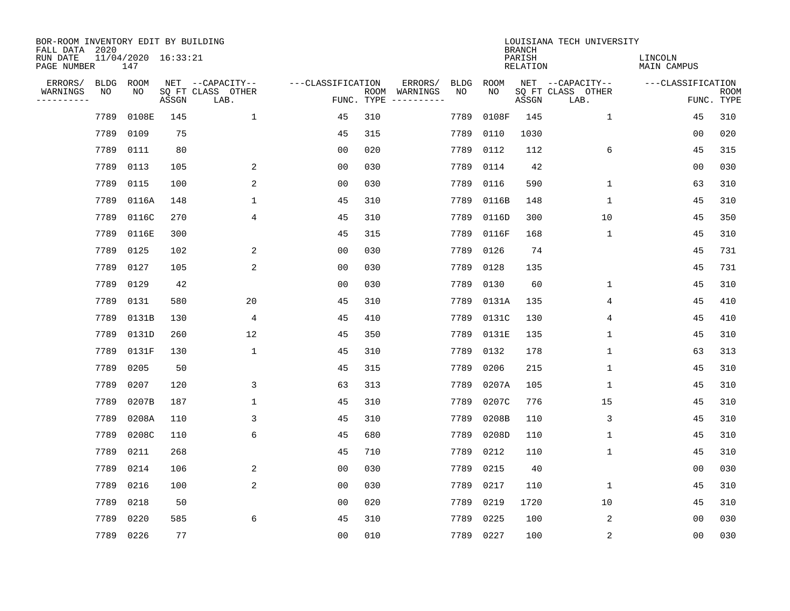| BOR-ROOM INVENTORY EDIT BY BUILDING<br>FALL DATA 2020 |                            |       |       |                           |                   |     |                              |             |             | <b>BRANCH</b>             | LOUISIANA TECH UNIVERSITY |                               |                           |
|-------------------------------------------------------|----------------------------|-------|-------|---------------------------|-------------------|-----|------------------------------|-------------|-------------|---------------------------|---------------------------|-------------------------------|---------------------------|
| RUN DATE<br>PAGE NUMBER                               | 11/04/2020 16:33:21<br>147 |       |       |                           |                   |     |                              |             |             | PARISH<br><b>RELATION</b> |                           | LINCOLN<br><b>MAIN CAMPUS</b> |                           |
| ERRORS/                                               | <b>BLDG</b>                | ROOM  |       | NET --CAPACITY--          | ---CLASSIFICATION |     | ERRORS/                      | <b>BLDG</b> | <b>ROOM</b> |                           | NET --CAPACITY--          | ---CLASSIFICATION             |                           |
| WARNINGS<br>----------                                | NO                         | NO    | ASSGN | SQ FT CLASS OTHER<br>LAB. | FUNC. TYPE        |     | ROOM WARNINGS<br>----------- | NO          | NO          | ASSGN                     | SQ FT CLASS OTHER<br>LAB. |                               | <b>ROOM</b><br>FUNC. TYPE |
|                                                       | 7789                       | 0108E | 145   | $\mathbf{1}$              | 45                | 310 |                              | 7789        | 0108F       | 145                       | $\mathbf{1}$              | 45                            | 310                       |
|                                                       | 7789                       | 0109  | 75    |                           | 45                | 315 |                              | 7789        | 0110        | 1030                      |                           | 0 <sub>0</sub>                | 020                       |
|                                                       | 7789                       | 0111  | 80    |                           | 0 <sub>0</sub>    | 020 |                              | 7789        | 0112        | 112                       | 6                         | 45                            | 315                       |
|                                                       | 7789                       | 0113  | 105   | 2                         | 0 <sub>0</sub>    | 030 |                              | 7789        | 0114        | 42                        |                           | 0 <sub>0</sub>                | 030                       |
|                                                       | 7789                       | 0115  | 100   | 2                         | 0 <sub>0</sub>    | 030 |                              | 7789        | 0116        | 590                       | $\mathbf{1}$              | 63                            | 310                       |
|                                                       | 7789                       | 0116A | 148   | $\mathbf{1}$              | 45                | 310 |                              | 7789        | 0116B       | 148                       | $\mathbf{1}$              | 45                            | 310                       |
|                                                       | 7789                       | 0116C | 270   | 4                         | 45                | 310 |                              | 7789        | 0116D       | 300                       | 10                        | 45                            | 350                       |
|                                                       | 7789                       | 0116E | 300   |                           | 45                | 315 |                              | 7789        | 0116F       | 168                       | $\mathbf{1}$              | 45                            | 310                       |
|                                                       | 7789                       | 0125  | 102   | 2                         | 0 <sub>0</sub>    | 030 |                              | 7789        | 0126        | 74                        |                           | 45                            | 731                       |
|                                                       | 7789                       | 0127  | 105   | 2                         | 0 <sub>0</sub>    | 030 |                              | 7789        | 0128        | 135                       |                           | 45                            | 731                       |
|                                                       | 7789                       | 0129  | 42    |                           | 0 <sub>0</sub>    | 030 |                              | 7789        | 0130        | 60                        | $\mathbf 1$               | 45                            | 310                       |
|                                                       | 7789                       | 0131  | 580   | 20                        | 45                | 310 |                              | 7789        | 0131A       | 135                       | 4                         | 45                            | 410                       |
|                                                       | 7789                       | 0131B | 130   | 4                         | 45                | 410 |                              | 7789        | 0131C       | 130                       | 4                         | 45                            | 410                       |
|                                                       | 7789                       | 0131D | 260   | 12                        | 45                | 350 |                              | 7789        | 0131E       | 135                       | $\mathbf{1}$              | 45                            | 310                       |
|                                                       | 7789                       | 0131F | 130   | $\mathbf{1}$              | 45                | 310 |                              | 7789        | 0132        | 178                       | $\mathbf{1}$              | 63                            | 313                       |
|                                                       | 7789                       | 0205  | 50    |                           | 45                | 315 |                              | 7789        | 0206        | 215                       | 1                         | 45                            | 310                       |
|                                                       | 7789                       | 0207  | 120   | 3                         | 63                | 313 |                              | 7789        | 0207A       | 105                       | 1                         | 45                            | 310                       |
|                                                       | 7789                       | 0207B | 187   | 1                         | 45                | 310 |                              | 7789        | 0207C       | 776                       | 15                        | 45                            | 310                       |
|                                                       | 7789                       | 0208A | 110   | 3                         | 45                | 310 |                              | 7789        | 0208B       | 110                       | 3                         | 45                            | 310                       |
|                                                       | 7789                       | 0208C | 110   | 6                         | 45                | 680 |                              | 7789        | 0208D       | 110                       | 1                         | 45                            | 310                       |
|                                                       | 7789                       | 0211  | 268   |                           | 45                | 710 |                              | 7789        | 0212        | 110                       | $\mathbf{1}$              | 45                            | 310                       |
|                                                       | 7789                       | 0214  | 106   | 2                         | 0 <sub>0</sub>    | 030 |                              | 7789        | 0215        | 40                        |                           | 0 <sub>0</sub>                | 030                       |
|                                                       | 7789                       | 0216  | 100   | 2                         | 0 <sub>0</sub>    | 030 |                              | 7789        | 0217        | 110                       | $\mathbf{1}$              | 45                            | 310                       |
|                                                       | 7789                       | 0218  | 50    |                           | 0 <sub>0</sub>    | 020 |                              | 7789        | 0219        | 1720                      | 10                        | 45                            | 310                       |
|                                                       | 7789                       | 0220  | 585   | 6                         | 45                | 310 |                              | 7789        | 0225        | 100                       | 2                         | 0 <sub>0</sub>                | 030                       |
|                                                       | 7789 0226                  |       | 77    |                           | 0 <sub>0</sub>    | 010 |                              |             | 7789 0227   | 100                       | 2                         | 0 <sub>0</sub>                | 030                       |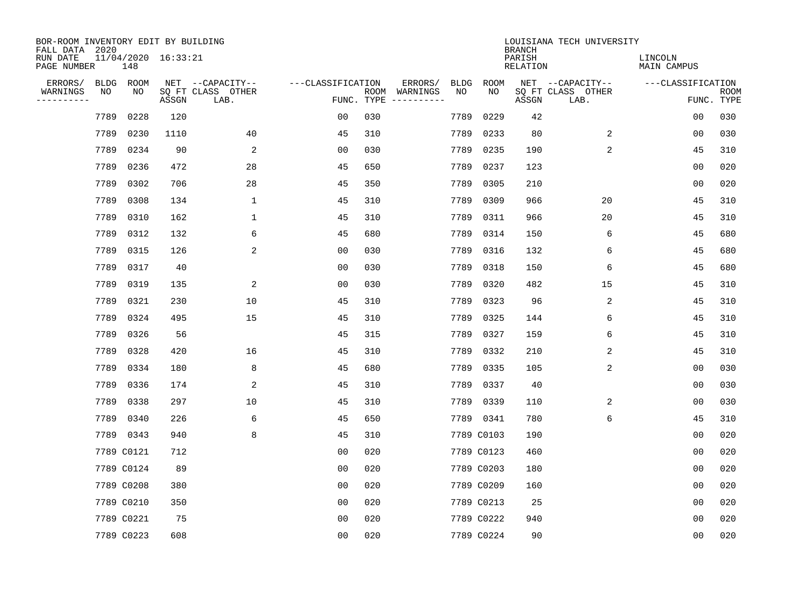| BOR-ROOM INVENTORY EDIT BY BUILDING<br>FALL DATA 2020 |      |            |                     |                           |                   |                    |                         |             |             | <b>BRANCH</b>             | LOUISIANA TECH UNIVERSITY |                               |                           |
|-------------------------------------------------------|------|------------|---------------------|---------------------------|-------------------|--------------------|-------------------------|-------------|-------------|---------------------------|---------------------------|-------------------------------|---------------------------|
| RUN DATE<br>PAGE NUMBER                               |      | 148        | 11/04/2020 16:33:21 |                           |                   |                    |                         |             |             | PARISH<br><b>RELATION</b> |                           | LINCOLN<br><b>MAIN CAMPUS</b> |                           |
| ERRORS/                                               | BLDG | ROOM       |                     | NET --CAPACITY--          | ---CLASSIFICATION |                    | ERRORS/                 | <b>BLDG</b> | <b>ROOM</b> |                           | NET --CAPACITY--          | ---CLASSIFICATION             |                           |
| WARNINGS<br>----------                                | ΝO   | NO         | ASSGN               | SQ FT CLASS OTHER<br>LAB. |                   | ROOM<br>FUNC. TYPE | WARNINGS<br>----------- | NO          | NO          | ASSGN                     | SQ FT CLASS OTHER<br>LAB. |                               | <b>ROOM</b><br>FUNC. TYPE |
|                                                       | 7789 | 0228       | 120                 |                           | 00                | 030                |                         | 7789        | 0229        | 42                        |                           | 00                            | 030                       |
|                                                       | 7789 | 0230       | 1110                | 40                        | 45                | 310                |                         | 7789        | 0233        | 80                        | 2                         | 00                            | 030                       |
|                                                       | 7789 | 0234       | 90                  | 2                         | 00                | 030                |                         | 7789        | 0235        | 190                       | 2                         | 45                            | 310                       |
|                                                       | 7789 | 0236       | 472                 | 28                        | 45                | 650                |                         | 7789        | 0237        | 123                       |                           | 0 <sub>0</sub>                | 020                       |
|                                                       | 7789 | 0302       | 706                 | 28                        | 45                | 350                |                         | 7789        | 0305        | 210                       |                           | 0 <sub>0</sub>                | 020                       |
|                                                       | 7789 | 0308       | 134                 | $\mathbf{1}$              | 45                | 310                |                         | 7789        | 0309        | 966                       | 20                        | 45                            | 310                       |
|                                                       | 7789 | 0310       | 162                 | $\mathbf{1}$              | 45                | 310                |                         | 7789        | 0311        | 966                       | 20                        | 45                            | 310                       |
|                                                       | 7789 | 0312       | 132                 | 6                         | 45                | 680                |                         | 7789        | 0314        | 150                       | 6                         | 45                            | 680                       |
|                                                       | 7789 | 0315       | 126                 | 2                         | 0 <sub>0</sub>    | 030                |                         | 7789        | 0316        | 132                       | 6                         | 45                            | 680                       |
|                                                       | 7789 | 0317       | 40                  |                           | 0 <sub>0</sub>    | 030                |                         | 7789        | 0318        | 150                       | 6                         | 45                            | 680                       |
|                                                       | 7789 | 0319       | 135                 | 2                         | 0 <sub>0</sub>    | 030                |                         | 7789        | 0320        | 482                       | 15                        | 45                            | 310                       |
|                                                       | 7789 | 0321       | 230                 | 10                        | 45                | 310                |                         | 7789        | 0323        | 96                        | 2                         | 45                            | 310                       |
|                                                       | 7789 | 0324       | 495                 | 15                        | 45                | 310                |                         | 7789        | 0325        | 144                       | 6                         | 45                            | 310                       |
|                                                       | 7789 | 0326       | 56                  |                           | 45                | 315                |                         | 7789        | 0327        | 159                       | 6                         | 45                            | 310                       |
|                                                       | 7789 | 0328       | 420                 | 16                        | 45                | 310                |                         | 7789        | 0332        | 210                       | 2                         | 45                            | 310                       |
|                                                       | 7789 | 0334       | 180                 | 8                         | 45                | 680                |                         | 7789        | 0335        | 105                       | 2                         | 00                            | 030                       |
|                                                       | 7789 | 0336       | 174                 | 2                         | 45                | 310                |                         | 7789        | 0337        | 40                        |                           | 0 <sub>0</sub>                | 030                       |
|                                                       | 7789 | 0338       | 297                 | 10                        | 45                | 310                |                         | 7789        | 0339        | 110                       | 2                         | 0 <sub>0</sub>                | 030                       |
|                                                       | 7789 | 0340       | 226                 | 6                         | 45                | 650                |                         |             | 7789 0341   | 780                       | 6                         | 45                            | 310                       |
|                                                       | 7789 | 0343       | 940                 | 8                         | 45                | 310                |                         |             | 7789 C0103  | 190                       |                           | 0 <sub>0</sub>                | 020                       |
|                                                       |      | 7789 C0121 | 712                 |                           | 0 <sub>0</sub>    | 020                |                         |             | 7789 C0123  | 460                       |                           | 0 <sub>0</sub>                | 020                       |
|                                                       |      | 7789 C0124 | 89                  |                           | 0 <sub>0</sub>    | 020                |                         |             | 7789 C0203  | 180                       |                           | 0 <sub>0</sub>                | 020                       |
|                                                       |      | 7789 C0208 | 380                 |                           | 0 <sub>0</sub>    | 020                |                         |             | 7789 C0209  | 160                       |                           | 0 <sub>0</sub>                | 020                       |
|                                                       |      | 7789 C0210 | 350                 |                           | 0 <sub>0</sub>    | 020                |                         |             | 7789 C0213  | 25                        |                           | 0 <sub>0</sub>                | 020                       |
|                                                       |      | 7789 C0221 | 75                  |                           | 0 <sub>0</sub>    | 020                |                         |             | 7789 C0222  | 940                       |                           | 0 <sub>0</sub>                | 020                       |
|                                                       |      | 7789 C0223 | 608                 |                           | 0 <sub>0</sub>    | 020                |                         |             | 7789 C0224  | 90                        |                           | 0 <sub>0</sub>                | 020                       |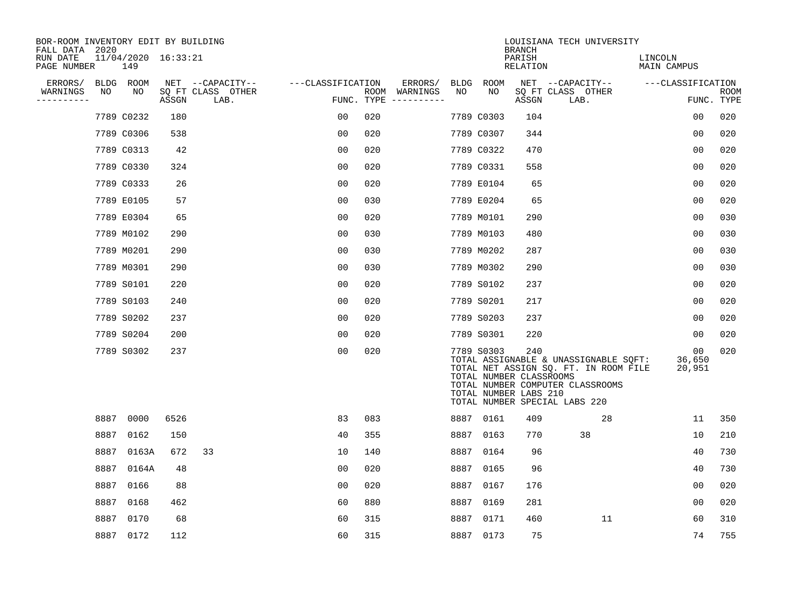| BOR-ROOM INVENTORY EDIT BY BUILDING<br>FALL DATA 2020 |      |                            |       |                           |                   |     |                                      |      |            | <b>BRANCH</b>                                           | LOUISIANA TECH UNIVERSITY                                                                                                                           |                        |                           |
|-------------------------------------------------------|------|----------------------------|-------|---------------------------|-------------------|-----|--------------------------------------|------|------------|---------------------------------------------------------|-----------------------------------------------------------------------------------------------------------------------------------------------------|------------------------|---------------------------|
| RUN DATE<br>PAGE NUMBER                               |      | 11/04/2020 16:33:21<br>149 |       |                           |                   |     |                                      |      |            | PARISH<br>RELATION                                      |                                                                                                                                                     | LINCOLN<br>MAIN CAMPUS |                           |
| ERRORS/                                               |      | BLDG ROOM                  |       | NET --CAPACITY--          | ---CLASSIFICATION |     | ERRORS/                              |      | BLDG ROOM  |                                                         | NET --CAPACITY--                                                                                                                                    | ---CLASSIFICATION      |                           |
| WARNINGS<br>----------                                | NO   | NO                         | ASSGN | SQ FT CLASS OTHER<br>LAB. |                   |     | ROOM WARNINGS<br>FUNC. TYPE $------$ | NO   | NO         | ASSGN                                                   | SQ FT CLASS OTHER<br>LAB.                                                                                                                           |                        | <b>ROOM</b><br>FUNC. TYPE |
|                                                       |      | 7789 C0232                 | 180   |                           | 0 <sub>0</sub>    | 020 |                                      |      | 7789 C0303 | 104                                                     |                                                                                                                                                     | 0 <sub>0</sub>         | 020                       |
|                                                       |      | 7789 C0306                 | 538   |                           | 0 <sub>0</sub>    | 020 |                                      |      | 7789 C0307 | 344                                                     |                                                                                                                                                     | 0 <sub>0</sub>         | 020                       |
|                                                       |      | 7789 C0313                 | 42    |                           | 0 <sub>0</sub>    | 020 |                                      |      | 7789 C0322 | 470                                                     |                                                                                                                                                     | 00                     | 020                       |
|                                                       |      | 7789 C0330                 | 324   |                           | 0 <sub>0</sub>    | 020 |                                      |      | 7789 C0331 | 558                                                     |                                                                                                                                                     | 0 <sub>0</sub>         | 020                       |
|                                                       |      | 7789 C0333                 | 26    |                           | 0 <sub>0</sub>    | 020 |                                      |      | 7789 E0104 | 65                                                      |                                                                                                                                                     | 0 <sub>0</sub>         | 020                       |
|                                                       |      | 7789 E0105                 | 57    |                           | 0 <sub>0</sub>    | 030 |                                      |      | 7789 E0204 | 65                                                      |                                                                                                                                                     | 0 <sub>0</sub>         | 020                       |
|                                                       |      | 7789 E0304                 | 65    |                           | 0 <sub>0</sub>    | 020 |                                      |      | 7789 M0101 | 290                                                     |                                                                                                                                                     | 0 <sub>0</sub>         | 030                       |
|                                                       |      | 7789 M0102                 | 290   |                           | 0 <sub>0</sub>    | 030 |                                      |      | 7789 M0103 | 480                                                     |                                                                                                                                                     | 0 <sub>0</sub>         | 030                       |
|                                                       |      | 7789 M0201                 | 290   |                           | 0 <sub>0</sub>    | 030 |                                      |      | 7789 M0202 | 287                                                     |                                                                                                                                                     | 0 <sub>0</sub>         | 030                       |
|                                                       |      | 7789 M0301                 | 290   |                           | 0 <sub>0</sub>    | 030 |                                      |      | 7789 M0302 | 290                                                     |                                                                                                                                                     | 0 <sub>0</sub>         | 030                       |
|                                                       |      | 7789 S0101                 | 220   |                           | 00                | 020 |                                      |      | 7789 S0102 | 237                                                     |                                                                                                                                                     | 0 <sub>0</sub>         | 020                       |
|                                                       |      | 7789 S0103                 | 240   |                           | 0 <sub>0</sub>    | 020 |                                      |      | 7789 S0201 | 217                                                     |                                                                                                                                                     | 0 <sub>0</sub>         | 020                       |
|                                                       |      | 7789 S0202                 | 237   |                           | 0 <sub>0</sub>    | 020 |                                      |      | 7789 S0203 | 237                                                     |                                                                                                                                                     | 00                     | 020                       |
|                                                       |      | 7789 S0204                 | 200   |                           | 0 <sub>0</sub>    | 020 |                                      |      | 7789 S0301 | 220                                                     |                                                                                                                                                     | 00                     | 020                       |
|                                                       |      | 7789 S0302                 | 237   |                           | 0 <sub>0</sub>    | 020 |                                      |      | 7789 S0303 | 240<br>TOTAL NUMBER CLASSROOMS<br>TOTAL NUMBER LABS 210 | TOTAL ASSIGNABLE & UNASSIGNABLE SQFT:<br>TOTAL NET ASSIGN SQ. FT. IN ROOM FILE<br>TOTAL NUMBER COMPUTER CLASSROOMS<br>TOTAL NUMBER SPECIAL LABS 220 | 00<br>36,650<br>20,951 | 020                       |
|                                                       |      | 8887 0000                  | 6526  |                           | 83                | 083 |                                      |      | 8887 0161  | 409                                                     | 28                                                                                                                                                  | 11                     | 350                       |
|                                                       |      | 8887 0162                  | 150   |                           | 40                | 355 |                                      |      | 8887 0163  | 770                                                     | 38                                                                                                                                                  | 10                     | 210                       |
|                                                       | 8887 | 0163A                      | 672   | 33                        | 10                | 140 |                                      |      | 8887 0164  | 96                                                      |                                                                                                                                                     | 40                     | 730                       |
|                                                       | 8887 | 0164A                      | 48    |                           | 0 <sub>0</sub>    | 020 |                                      | 8887 | 0165       | 96                                                      |                                                                                                                                                     | 40                     | 730                       |
|                                                       | 8887 | 0166                       | 88    |                           | 0 <sub>0</sub>    | 020 |                                      |      | 8887 0167  | 176                                                     |                                                                                                                                                     | 0 <sub>0</sub>         | 020                       |
|                                                       | 8887 | 0168                       | 462   |                           | 60                | 880 |                                      | 8887 | 0169       | 281                                                     |                                                                                                                                                     | 0 <sub>0</sub>         | 020                       |
|                                                       |      | 8887 0170                  | 68    |                           | 60                | 315 |                                      |      | 8887 0171  | 460                                                     | 11                                                                                                                                                  | 60                     | 310                       |
|                                                       |      | 8887 0172                  | 112   |                           | 60                | 315 |                                      |      | 8887 0173  | 75                                                      |                                                                                                                                                     | 74                     | 755                       |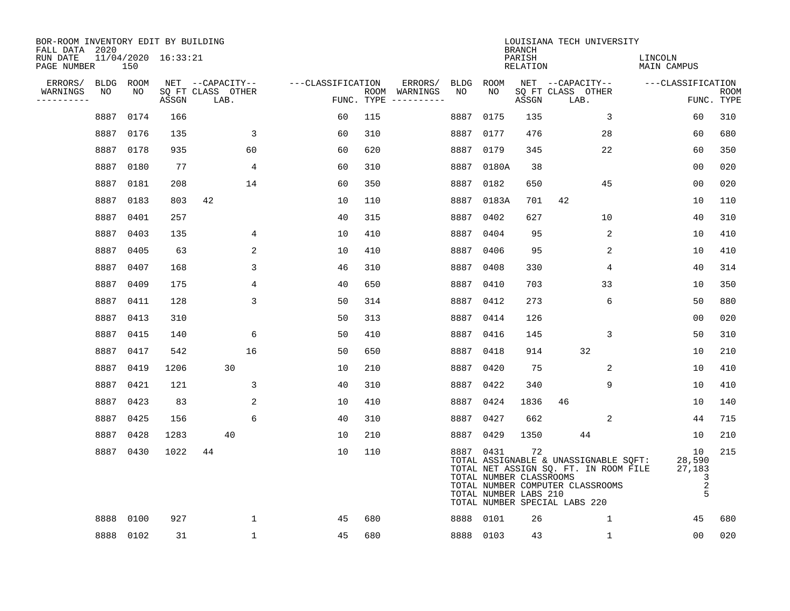| BOR-ROOM INVENTORY EDIT BY BUILDING<br>FALL DATA 2020 |      |                 |                         |                                               |                   |     |                                                 |      |                                                               | <b>BRANCH</b>             | LOUISIANA TECH UNIVERSITY                                                                                                                           |                                                |                           |
|-------------------------------------------------------|------|-----------------|-------------------------|-----------------------------------------------|-------------------|-----|-------------------------------------------------|------|---------------------------------------------------------------|---------------------------|-----------------------------------------------------------------------------------------------------------------------------------------------------|------------------------------------------------|---------------------------|
| RUN DATE<br>PAGE NUMBER                               |      | 150             | $11/04/2020$ $16:33:21$ |                                               |                   |     |                                                 |      |                                                               | PARISH<br><b>RELATION</b> |                                                                                                                                                     | LINCOLN<br><b>MAIN CAMPUS</b>                  |                           |
| ERRORS/<br>WARNINGS<br>---------                      | NO   | BLDG ROOM<br>NO | ASSGN                   | NET --CAPACITY--<br>SQ FT CLASS OTHER<br>LAB. | ---CLASSIFICATION |     | ERRORS/<br>ROOM WARNINGS<br>FUNC. TYPE $------$ | NO   | BLDG ROOM<br>NO                                               | ASSGN                     | NET --CAPACITY--<br>SQ FT CLASS OTHER<br>LAB.                                                                                                       | ---CLASSIFICATION                              | <b>ROOM</b><br>FUNC. TYPE |
|                                                       | 8887 | 0174            | 166                     |                                               | 60                | 115 |                                                 | 8887 | 0175                                                          | 135                       | $\mathbf{3}$                                                                                                                                        | 60                                             | 310                       |
|                                                       | 8887 | 0176            | 135                     | 3                                             | 60                | 310 |                                                 | 8887 | 0177                                                          | 476                       | 28                                                                                                                                                  | 60                                             | 680                       |
|                                                       |      | 8887 0178       | 935                     | 60                                            | 60                | 620 |                                                 | 8887 | 0179                                                          | 345                       | 22                                                                                                                                                  | 60                                             | 350                       |
|                                                       | 8887 | 0180            | 77                      | 4                                             | 60                | 310 |                                                 |      | 8887 0180A                                                    | 38                        |                                                                                                                                                     | 00                                             | 020                       |
|                                                       | 8887 | 0181            | 208                     | 14                                            | 60                | 350 |                                                 | 8887 | 0182                                                          | 650                       | 45                                                                                                                                                  | 0 <sub>0</sub>                                 | 020                       |
|                                                       | 8887 | 0183            | 803                     | 42                                            | 10                | 110 |                                                 |      | 8887 0183A                                                    | 701                       | 42                                                                                                                                                  | 10                                             | 110                       |
|                                                       | 8887 | 0401            | 257                     |                                               | 40                | 315 |                                                 |      | 8887 0402                                                     | 627                       | 10                                                                                                                                                  | 40                                             | 310                       |
|                                                       | 8887 | 0403            | 135                     | 4                                             | 10                | 410 |                                                 |      | 8887 0404                                                     | 95                        | 2                                                                                                                                                   | 10                                             | 410                       |
|                                                       | 8887 | 0405            | 63                      | 2                                             | 10                | 410 |                                                 | 8887 | 0406                                                          | 95                        | 2                                                                                                                                                   | 10                                             | 410                       |
|                                                       | 8887 | 0407            | 168                     | 3                                             | 46                | 310 |                                                 |      | 8887 0408                                                     | 330                       | 4                                                                                                                                                   | 40                                             | 314                       |
|                                                       | 8887 | 0409            | 175                     | 4                                             | 40                | 650 |                                                 |      | 8887 0410                                                     | 703                       | 33                                                                                                                                                  | 10                                             | 350                       |
|                                                       | 8887 | 0411            | 128                     | 3                                             | 50                | 314 |                                                 |      | 8887 0412                                                     | 273                       | 6                                                                                                                                                   | 50                                             | 880                       |
|                                                       | 8887 | 0413            | 310                     |                                               | 50                | 313 |                                                 |      | 8887 0414                                                     | 126                       |                                                                                                                                                     | 00                                             | 020                       |
|                                                       |      | 8887 0415       | 140                     | 6                                             | 50                | 410 |                                                 |      | 8887 0416                                                     | 145                       | 3                                                                                                                                                   | 50                                             | 310                       |
|                                                       | 8887 | 0417            | 542                     | 16                                            | 50                | 650 |                                                 |      | 8887 0418                                                     | 914                       | 32                                                                                                                                                  | 10                                             | 210                       |
|                                                       | 8887 | 0419            | 1206                    | 30                                            | 10                | 210 |                                                 |      | 8887 0420                                                     | 75                        | 2                                                                                                                                                   | 10                                             | 410                       |
|                                                       | 8887 | 0421            | 121                     | 3                                             | 40                | 310 |                                                 |      | 8887 0422                                                     | 340                       | 9                                                                                                                                                   | 10                                             | 410                       |
|                                                       | 8887 | 0423            | 83                      | 2                                             | 10                | 410 |                                                 |      | 8887 0424                                                     | 1836                      | 46                                                                                                                                                  | 10                                             | 140                       |
|                                                       |      | 8887 0425       | 156                     | 6                                             | 40                | 310 |                                                 |      | 8887 0427                                                     | 662                       | 2                                                                                                                                                   | 44                                             | 715                       |
|                                                       | 8887 | 0428            | 1283                    | 40                                            | 10                | 210 |                                                 |      | 8887 0429                                                     | 1350                      | 44                                                                                                                                                  | 10                                             | 210                       |
|                                                       |      | 8887 0430       | 1022                    | 44                                            | 10                | 110 |                                                 |      | 8887 0431<br>TOTAL NUMBER CLASSROOMS<br>TOTAL NUMBER LABS 210 | 72                        | TOTAL ASSIGNABLE & UNASSIGNABLE SQFT:<br>TOTAL NET ASSIGN SQ. FT. IN ROOM FILE<br>TOTAL NUMBER COMPUTER CLASSROOMS<br>TOTAL NUMBER SPECIAL LABS 220 | 10<br>28,590<br>27,183<br>3<br>$\sqrt{2}$<br>5 | 215                       |
|                                                       | 8888 | 0100            | 927                     | 1                                             | 45                | 680 |                                                 |      | 8888 0101                                                     | 26                        | 1                                                                                                                                                   | 45                                             | 680                       |
|                                                       |      | 8888 0102       | 31                      | $\mathbf{1}$                                  | 45                | 680 |                                                 |      | 8888 0103                                                     | 43                        | 1                                                                                                                                                   | 00                                             | 020                       |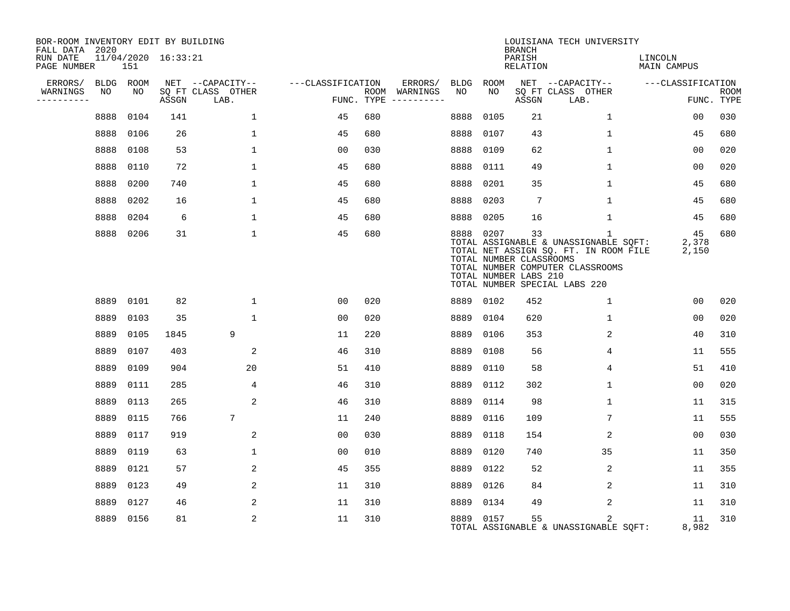| BOR-ROOM INVENTORY EDIT BY BUILDING<br>FALL DATA 2020 |                            |       |                           |                   |                                        |      |                                                               | <b>BRANCH</b>      | LOUISIANA TECH UNIVERSITY                                                                                                                                |                        |                           |
|-------------------------------------------------------|----------------------------|-------|---------------------------|-------------------|----------------------------------------|------|---------------------------------------------------------------|--------------------|----------------------------------------------------------------------------------------------------------------------------------------------------------|------------------------|---------------------------|
| RUN DATE<br>PAGE NUMBER                               | 11/04/2020 16:33:21<br>151 |       |                           |                   |                                        |      |                                                               | PARISH<br>RELATION |                                                                                                                                                          | LINCOLN<br>MAIN CAMPUS |                           |
| ERRORS/                                               | BLDG ROOM                  |       | NET --CAPACITY--          | ---CLASSIFICATION | ERRORS/                                | BLDG | ROOM                                                          |                    | NET --CAPACITY--                                                                                                                                         | ---CLASSIFICATION      |                           |
| WARNINGS<br>NO<br>----------                          | NO                         | ASSGN | SQ FT CLASS OTHER<br>LAB. |                   | ROOM WARNINGS<br>FUNC. TYPE ---------- | NO   | NO                                                            | ASSGN              | SQ FT CLASS OTHER<br>LAB.                                                                                                                                |                        | <b>ROOM</b><br>FUNC. TYPE |
| 8888                                                  | 0104                       | 141   | $\mathbf 1$               | 45                | 680                                    | 8888 | 0105                                                          | 21                 | $\mathbf{1}$                                                                                                                                             | 0 <sub>0</sub>         | 030                       |
|                                                       | 8888 0106                  | 26    | $\mathbf{1}$              | 45                | 680                                    | 8888 | 0107                                                          | 43                 | $\mathbf{1}$                                                                                                                                             | 45                     | 680                       |
|                                                       | 8888 0108                  | 53    | $\mathbf{1}$              | 00                | 030                                    | 8888 | 0109                                                          | 62                 | $\mathbf{1}$                                                                                                                                             | 00                     | 020                       |
| 8888                                                  | 0110                       | 72    | $\mathbf 1$               | 45                | 680                                    | 8888 | 0111                                                          | 49                 | $\mathbf{1}$                                                                                                                                             | 0 <sub>0</sub>         | 020                       |
|                                                       | 8888 0200                  | 740   | $\mathbf{1}$              | 45                | 680                                    | 8888 | 0201                                                          | 35                 | $\mathbf{1}$                                                                                                                                             | 45                     | 680                       |
|                                                       | 8888 0202                  | 16    | $\mathbf{1}$              | 45                | 680                                    | 8888 | 0203                                                          | $7\phantom{.0}$    | $\mathbf{1}$                                                                                                                                             | 45                     | 680                       |
|                                                       | 8888 0204                  | 6     | $\mathbf{1}$              | 45                | 680                                    | 8888 | 0205                                                          | 16                 | $\mathbf 1$                                                                                                                                              | 45                     | 680                       |
|                                                       | 8888 0206                  | 31    | $\mathbf{1}$              | 45                | 680                                    |      | 8888 0207<br>TOTAL NUMBER CLASSROOMS<br>TOTAL NUMBER LABS 210 | 33                 | 1<br>TOTAL ASSIGNABLE & UNASSIGNABLE SQFT:<br>TOTAL NET ASSIGN SQ. FT. IN ROOM FILE<br>TOTAL NUMBER COMPUTER CLASSROOMS<br>TOTAL NUMBER SPECIAL LABS 220 | 45<br>2,378<br>2,150   | 680                       |
|                                                       | 8889 0101                  | 82    | $\mathbf{1}$              | 00                | 020                                    |      | 8889 0102                                                     | 452                | $\mathbf{1}$                                                                                                                                             | 00                     | 020                       |
| 8889                                                  | 0103                       | 35    | $\mathbf{1}$              | 00                | 020                                    | 8889 | 0104                                                          | 620                | $\mathbf{1}$                                                                                                                                             | 0 <sub>0</sub>         | 020                       |
| 8889                                                  | 0105                       | 1845  | 9                         | 11                | 220                                    | 8889 | 0106                                                          | 353                | 2                                                                                                                                                        | 40                     | 310                       |
| 8889                                                  | 0107                       | 403   | 2                         | 46                | 310                                    | 8889 | 0108                                                          | 56                 | 4                                                                                                                                                        | 11                     | 555                       |
| 8889                                                  | 0109                       | 904   | 20                        | 51                | 410                                    | 8889 | 0110                                                          | 58                 | 4                                                                                                                                                        | 51                     | 410                       |
|                                                       | 8889 0111                  | 285   | 4                         | 46                | 310                                    | 8889 | 0112                                                          | 302                | $\mathbf{1}$                                                                                                                                             | 00                     | 020                       |
|                                                       | 8889 0113                  | 265   | 2                         | 46                | 310                                    | 8889 | 0114                                                          | 98                 | $\mathbf{1}$                                                                                                                                             | 11                     | 315                       |
|                                                       | 8889 0115                  | 766   | 7                         | 11                | 240                                    | 8889 | 0116                                                          | 109                | 7                                                                                                                                                        | 11                     | 555                       |
|                                                       | 8889 0117                  | 919   | 2                         | 00                | 030                                    | 8889 | 0118                                                          | 154                | 2                                                                                                                                                        | 0 <sub>0</sub>         | 030                       |
|                                                       | 8889 0119                  | 63    | $\mathbf{1}$              | 00                | 010                                    | 8889 | 0120                                                          | 740                | 35                                                                                                                                                       | 11                     | 350                       |
|                                                       | 8889 0121                  | 57    | 2                         | 45                | 355                                    | 8889 | 0122                                                          | 52                 | 2                                                                                                                                                        | 11                     | 355                       |
|                                                       | 8889 0123                  | 49    | $\overline{a}$            | 11                | 310                                    | 8889 | 0126                                                          | 84                 | 2                                                                                                                                                        | 11                     | 310                       |
|                                                       | 8889 0127                  | 46    | 2                         | 11                | 310                                    |      | 8889 0134                                                     | 49                 | 2                                                                                                                                                        | 11                     | 310                       |
|                                                       | 8889 0156                  | 81    | $\overline{a}$            | 11                | 310                                    |      | 8889 0157                                                     | 55                 | 2<br>TOTAL ASSIGNABLE & UNASSIGNABLE SQFT:                                                                                                               | 11<br>8,982            | 310                       |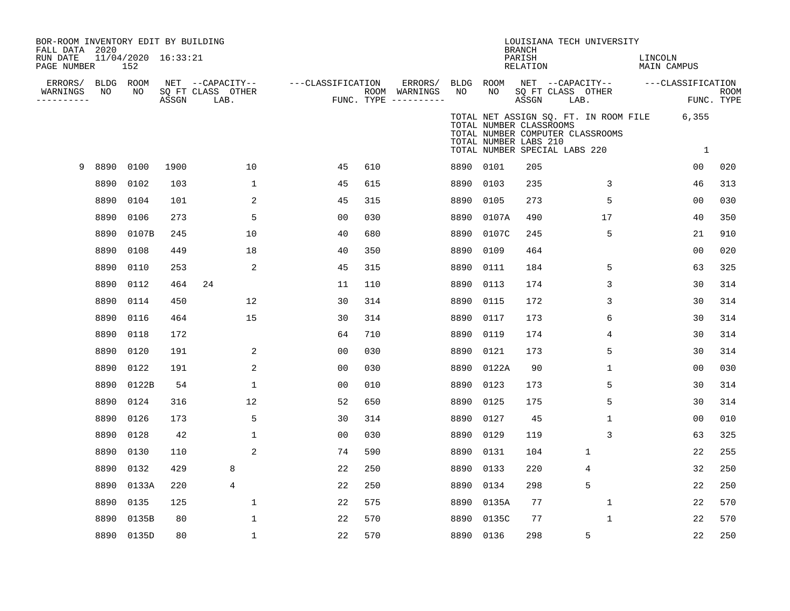| BOR-ROOM INVENTORY EDIT BY BUILDING<br>FALL DATA 2020<br>RUN DATE<br>PAGE NUMBER |      | 11/04/2020 16:33:21<br>152 |       |                                               |                   |     |                                                   |                 |                                                                                   | <b>BRANCH</b><br>PARISH<br>RELATION |                           | LOUISIANA TECH UNIVERSITY        | LINCOLN<br>MAIN CAMPUS                      |                |             |
|----------------------------------------------------------------------------------|------|----------------------------|-------|-----------------------------------------------|-------------------|-----|---------------------------------------------------|-----------------|-----------------------------------------------------------------------------------|-------------------------------------|---------------------------|----------------------------------|---------------------------------------------|----------------|-------------|
| ERRORS/<br>WARNINGS                                                              | NO   | BLDG ROOM<br>NO            | ASSGN | NET --CAPACITY--<br>SQ FT CLASS OTHER<br>LAB. | ---CLASSIFICATION |     | ERRORS/<br>ROOM WARNINGS<br>FUNC. TYPE ---------- | BLDG ROOM<br>NO | NO                                                                                | ASSGN                               | SQ FT CLASS OTHER<br>LAB. | NET --CAPACITY--                 | ---CLASSIFICATION                           | FUNC. TYPE     | <b>ROOM</b> |
|                                                                                  |      |                            |       |                                               |                   |     |                                                   |                 | TOTAL NUMBER CLASSROOMS<br>TOTAL NUMBER LABS 210<br>TOTAL NUMBER SPECIAL LABS 220 |                                     |                           | TOTAL NUMBER COMPUTER CLASSROOMS | TOTAL NET ASSIGN SQ. FT. IN ROOM FILE 6,355 | 1              |             |
| 9                                                                                | 8890 | 0100                       | 1900  | 10                                            | 45                | 610 |                                                   | 8890 0101       |                                                                                   | 205                                 |                           |                                  |                                             | 0 <sub>0</sub> | 020         |
|                                                                                  | 8890 | 0102                       | 103   | $\mathbf{1}$                                  | 45                | 615 |                                                   | 8890            | 0103                                                                              | 235                                 |                           | 3                                |                                             | 46             | 313         |
|                                                                                  | 8890 | 0104                       | 101   | 2                                             | 45                | 315 |                                                   | 8890            | 0105                                                                              | 273                                 |                           | 5                                |                                             | 0 <sub>0</sub> | 030         |
|                                                                                  | 8890 | 0106                       | 273   | 5                                             | 00                | 030 |                                                   | 8890            | 0107A                                                                             | 490                                 |                           | 17                               |                                             | 40             | 350         |
|                                                                                  | 8890 | 0107B                      | 245   | 10                                            | 40                | 680 |                                                   | 8890            | 0107C                                                                             | 245                                 |                           | 5                                |                                             | 21             | 910         |
|                                                                                  | 8890 | 0108                       | 449   | 18                                            | 40                | 350 |                                                   | 8890            | 0109                                                                              | 464                                 |                           |                                  |                                             | 0 <sub>0</sub> | 020         |
|                                                                                  | 8890 | 0110                       | 253   | 2                                             | 45                | 315 |                                                   | 8890            | 0111                                                                              | 184                                 |                           | 5                                |                                             | 63             | 325         |
|                                                                                  | 8890 | 0112                       | 464   | 24                                            | 11                | 110 |                                                   | 8890            | 0113                                                                              | 174                                 |                           | 3                                |                                             | 30             | 314         |
|                                                                                  | 8890 | 0114                       | 450   | 12                                            | 30                | 314 |                                                   | 8890            | 0115                                                                              | 172                                 |                           | 3                                |                                             | 30             | 314         |
|                                                                                  | 8890 | 0116                       | 464   | 15                                            | 30                | 314 |                                                   | 8890            | 0117                                                                              | 173                                 |                           | 6                                |                                             | 30             | 314         |
|                                                                                  | 8890 | 0118                       | 172   |                                               | 64                | 710 |                                                   | 8890            | 0119                                                                              | 174                                 |                           | 4                                |                                             | 30             | 314         |
|                                                                                  | 8890 | 0120                       | 191   | 2                                             | 0 <sub>0</sub>    | 030 |                                                   | 8890            | 0121                                                                              | 173                                 |                           | 5                                |                                             | 30             | 314         |
|                                                                                  | 8890 | 0122                       | 191   | 2                                             | 0 <sub>0</sub>    | 030 |                                                   | 8890            | 0122A                                                                             | 90                                  |                           | 1                                |                                             | 0 <sub>0</sub> | 030         |
|                                                                                  | 8890 | 0122B                      | 54    | $\mathbf{1}$                                  | 0 <sub>0</sub>    | 010 |                                                   | 8890            | 0123                                                                              | 173                                 |                           | 5                                |                                             | 30             | 314         |
|                                                                                  | 8890 | 0124                       | 316   | 12                                            | 52                | 650 |                                                   | 8890            | 0125                                                                              | 175                                 |                           | 5                                |                                             | 30             | 314         |
|                                                                                  | 8890 | 0126                       | 173   | 5                                             | 30                | 314 |                                                   | 8890            | 0127                                                                              | 45                                  |                           | $\mathbf{1}$                     |                                             | 0 <sub>0</sub> | 010         |
|                                                                                  | 8890 | 0128                       | 42    | $\mathbf{1}$                                  | 00                | 030 |                                                   | 8890            | 0129                                                                              | 119                                 |                           | 3                                |                                             | 63             | 325         |
|                                                                                  | 8890 | 0130                       | 110   | 2                                             | 74                | 590 |                                                   | 8890            | 0131                                                                              | 104                                 |                           | $\mathbf{1}$                     |                                             | 22             | 255         |
|                                                                                  | 8890 | 0132                       | 429   | 8                                             | 22                | 250 |                                                   | 8890            | 0133                                                                              | 220                                 |                           | 4                                |                                             | 32             | 250         |
|                                                                                  | 8890 | 0133A                      | 220   | $\overline{4}$                                | 22                | 250 |                                                   | 8890            | 0134                                                                              | 298                                 |                           | 5                                |                                             | 22             | 250         |
|                                                                                  | 8890 | 0135                       | 125   | $\mathbf{1}$                                  | 22                | 575 |                                                   | 8890            | 0135A                                                                             | 77                                  |                           | $\mathbf{1}$                     |                                             | 22             | 570         |
|                                                                                  | 8890 | 0135B                      | 80    | $\mathbf{1}$                                  | 22                | 570 |                                                   | 8890            | 0135C                                                                             | 77                                  |                           | 1                                |                                             | 22             | 570         |
|                                                                                  |      | 8890 0135D                 | 80    | $\mathbf{1}$                                  | 22                | 570 |                                                   | 8890 0136       |                                                                                   | 298                                 |                           | 5                                |                                             | 22             | 250         |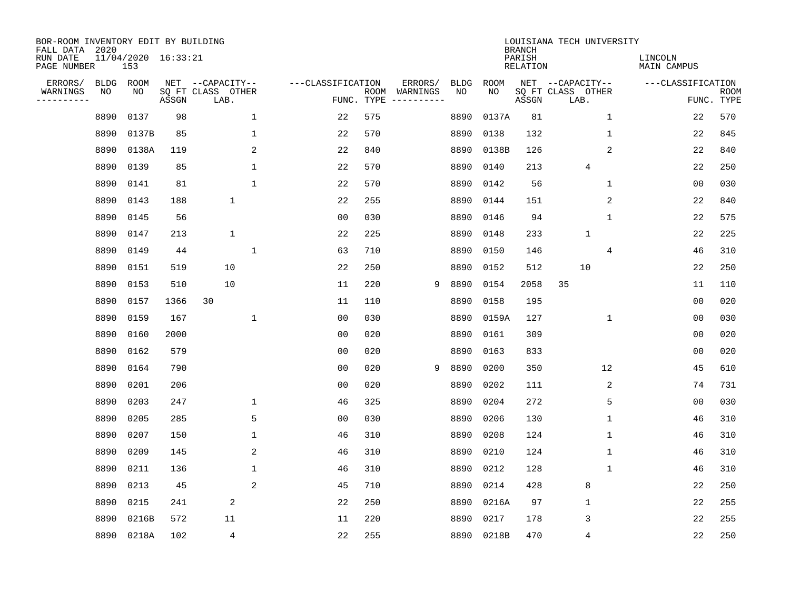| BOR-ROOM INVENTORY EDIT BY BUILDING<br>FALL DATA 2020 |             |                            |       |                           |              |                   |                    |                        |             |             | <b>BRANCH</b>             | LOUISIANA TECH UNIVERSITY |              |                               |                           |
|-------------------------------------------------------|-------------|----------------------------|-------|---------------------------|--------------|-------------------|--------------------|------------------------|-------------|-------------|---------------------------|---------------------------|--------------|-------------------------------|---------------------------|
| RUN DATE<br>PAGE NUMBER                               |             | 11/04/2020 16:33:21<br>153 |       |                           |              |                   |                    |                        |             |             | PARISH<br><b>RELATION</b> |                           |              | LINCOLN<br><b>MAIN CAMPUS</b> |                           |
| ERRORS/                                               | <b>BLDG</b> | ROOM                       |       | NET --CAPACITY--          |              | ---CLASSIFICATION |                    | ERRORS/                | <b>BLDG</b> | <b>ROOM</b> |                           | NET --CAPACITY--          |              | ---CLASSIFICATION             |                           |
| WARNINGS<br>----------                                | NO          | NO                         | ASSGN | SQ FT CLASS OTHER<br>LAB. |              |                   | ROOM<br>FUNC. TYPE | WARNINGS<br>---------- | NO          | NO          | ASSGN                     | SQ FT CLASS OTHER<br>LAB. |              |                               | <b>ROOM</b><br>FUNC. TYPE |
|                                                       | 8890        | 0137                       | 98    |                           | $\mathbf{1}$ | 22                | 575                |                        | 8890        | 0137A       | 81                        |                           | $\mathbf 1$  | 22                            | 570                       |
|                                                       | 8890        | 0137B                      | 85    |                           | $\mathbf 1$  | 22                | 570                |                        | 8890        | 0138        | 132                       |                           | 1            | 22                            | 845                       |
|                                                       | 8890        | 0138A                      | 119   |                           | 2            | 22                | 840                |                        | 8890        | 0138B       | 126                       |                           | 2            | 22                            | 840                       |
|                                                       | 8890        | 0139                       | 85    |                           | $\mathbf 1$  | 22                | 570                |                        | 8890        | 0140        | 213                       | 4                         |              | 22                            | 250                       |
|                                                       | 8890        | 0141                       | 81    |                           | $\mathbf{1}$ | 22                | 570                |                        | 8890        | 0142        | 56                        |                           | $\mathbf 1$  | 0 <sub>0</sub>                | 030                       |
|                                                       | 8890        | 0143                       | 188   | $\mathbf{1}$              |              | 22                | 255                |                        | 8890        | 0144        | 151                       |                           | 2            | 22                            | 840                       |
|                                                       | 8890        | 0145                       | 56    |                           |              | 0 <sub>0</sub>    | 030                |                        | 8890        | 0146        | 94                        |                           | $\mathbf{1}$ | 22                            | 575                       |
|                                                       | 8890        | 0147                       | 213   | $\mathbf 1$               |              | 22                | 225                |                        | 8890        | 0148        | 233                       | $\mathbf{1}$              |              | 22                            | 225                       |
|                                                       | 8890        | 0149                       | 44    |                           | $\mathbf 1$  | 63                | 710                |                        | 8890        | 0150        | 146                       |                           | 4            | 46                            | 310                       |
|                                                       | 8890        | 0151                       | 519   | 10                        |              | 22                | 250                |                        | 8890        | 0152        | 512                       | 10                        |              | 22                            | 250                       |
|                                                       | 8890        | 0153                       | 510   | 10                        |              | 11                | 220                | 9                      | 8890        | 0154        | 2058                      | 35                        |              | 11                            | 110                       |
|                                                       | 8890        | 0157                       | 1366  | 30                        |              | 11                | 110                |                        | 8890        | 0158        | 195                       |                           |              | 0 <sub>0</sub>                | 020                       |
|                                                       | 8890        | 0159                       | 167   |                           | 1            | 0 <sub>0</sub>    | 030                |                        | 8890        | 0159A       | 127                       |                           | $\mathbf 1$  | 0 <sub>0</sub>                | 030                       |
|                                                       | 8890        | 0160                       | 2000  |                           |              | 0 <sub>0</sub>    | 020                |                        | 8890        | 0161        | 309                       |                           |              | 0 <sub>0</sub>                | 020                       |
|                                                       | 8890        | 0162                       | 579   |                           |              | 0 <sub>0</sub>    | 020                |                        | 8890        | 0163        | 833                       |                           |              | 0 <sub>0</sub>                | 020                       |
|                                                       | 8890        | 0164                       | 790   |                           |              | 0 <sub>0</sub>    | 020                | 9                      | 8890        | 0200        | 350                       |                           | 12           | 45                            | 610                       |
|                                                       | 8890        | 0201                       | 206   |                           |              | 0 <sub>0</sub>    | 020                |                        | 8890        | 0202        | 111                       |                           | 2            | 74                            | 731                       |
|                                                       | 8890        | 0203                       | 247   |                           | $\mathbf 1$  | 46                | 325                |                        | 8890        | 0204        | 272                       |                           | 5            | 0 <sub>0</sub>                | 030                       |
|                                                       | 8890        | 0205                       | 285   |                           | 5            | 0 <sub>0</sub>    | 030                |                        | 8890        | 0206        | 130                       |                           | 1            | 46                            | 310                       |
|                                                       | 8890        | 0207                       | 150   |                           | $\mathbf 1$  | 46                | 310                |                        | 8890        | 0208        | 124                       |                           | $\mathbf{1}$ | 46                            | 310                       |
|                                                       | 8890        | 0209                       | 145   |                           | 2            | 46                | 310                |                        | 8890        | 0210        | 124                       |                           | 1            | 46                            | 310                       |
|                                                       | 8890        | 0211                       | 136   |                           | $\mathbf 1$  | 46                | 310                |                        | 8890        | 0212        | 128                       |                           | 1            | 46                            | 310                       |
|                                                       | 8890        | 0213                       | 45    |                           | 2            | 45                | 710                |                        | 8890        | 0214        | 428                       | 8                         |              | 22                            | 250                       |
|                                                       | 8890        | 0215                       | 241   | 2                         |              | 22                | 250                |                        | 8890        | 0216A       | 97                        | $\mathbf 1$               |              | 22                            | 255                       |
|                                                       | 8890        | 0216B                      | 572   | 11                        |              | 11                | 220                |                        | 8890        | 0217        | 178                       | 3                         |              | 22                            | 255                       |
|                                                       | 8890        | 0218A                      | 102   | 4                         |              | 22                | 255                |                        | 8890        | 0218B       | 470                       | 4                         |              | 22                            | 250                       |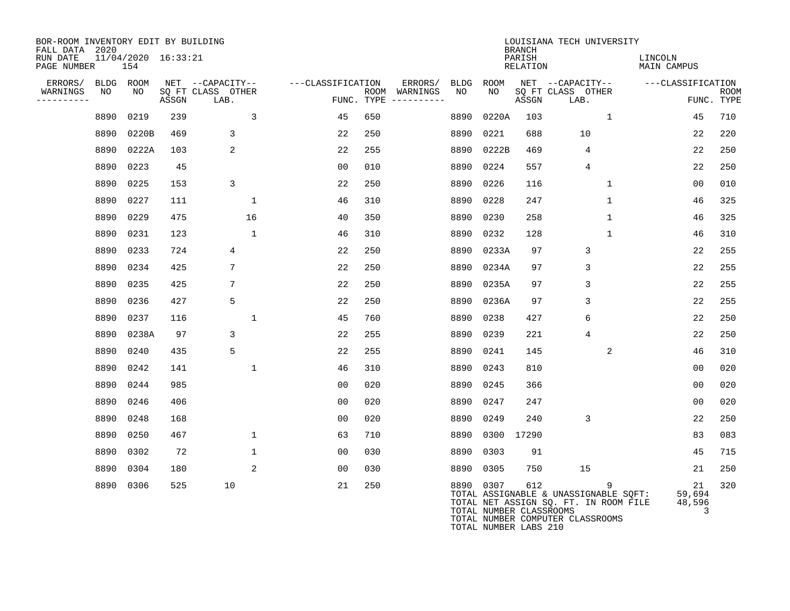| BOR-ROOM INVENTORY EDIT BY BUILDING<br>FALL DATA 2020 |                            |       |                           |                   |                                      |      |                                      | <b>BRANCH</b>      | LOUISIANA TECH UNIVERSITY                                                                                          |                               |                           |
|-------------------------------------------------------|----------------------------|-------|---------------------------|-------------------|--------------------------------------|------|--------------------------------------|--------------------|--------------------------------------------------------------------------------------------------------------------|-------------------------------|---------------------------|
| RUN DATE<br>PAGE NUMBER                               | 11/04/2020 16:33:21<br>154 |       |                           |                   |                                      |      |                                      | PARISH<br>RELATION |                                                                                                                    | LINCOLN<br><b>MAIN CAMPUS</b> |                           |
| ERRORS/                                               | BLDG ROOM                  |       | NET --CAPACITY--          | ---CLASSIFICATION | ERRORS/                              | BLDG | ROOM                                 |                    | NET --CAPACITY--                                                                                                   | ---CLASSIFICATION             |                           |
| WARNINGS<br>NO<br>----------                          | NO                         | ASSGN | SO FT CLASS OTHER<br>LAB. |                   | ROOM WARNINGS<br>FUNC. TYPE $------$ | NO   | NO                                   | ASSGN              | SO FT CLASS OTHER<br>LAB.                                                                                          |                               | <b>ROOM</b><br>FUNC. TYPE |
| 8890                                                  | 0219                       | 239   | 3                         | 45                | 650                                  | 8890 | 0220A                                | 103                | $\mathbf{1}$                                                                                                       | 45                            | 710                       |
| 8890                                                  | 0220B                      | 469   | 3                         | 22                | 250                                  | 8890 | 0221                                 | 688                | 10                                                                                                                 | 22                            | 220                       |
| 8890                                                  | 0222A                      | 103   | 2                         | 22                | 255                                  | 8890 | 0222B                                | 469                | 4                                                                                                                  | 22                            | 250                       |
| 8890                                                  | 0223                       | 45    |                           | 00                | 010                                  | 8890 | 0224                                 | 557                | 4                                                                                                                  | 22                            | 250                       |
| 8890                                                  | 0225                       | 153   | 3                         | 22                | 250                                  | 8890 | 0226                                 | 116                | $\mathbf 1$                                                                                                        | 0 <sub>0</sub>                | 010                       |
|                                                       | 8890 0227                  | 111   | 1                         | 46                | 310                                  | 8890 | 0228                                 | 247                | 1                                                                                                                  | 46                            | 325                       |
| 8890                                                  | 0229                       | 475   | 16                        | 40                | 350                                  | 8890 | 0230                                 | 258                | $\mathbf{1}$                                                                                                       | 46                            | 325                       |
|                                                       | 8890 0231                  | 123   | $\mathbf{1}$              | 46                | 310                                  | 8890 | 0232                                 | 128                | $\mathbf{1}$                                                                                                       | 46                            | 310                       |
| 8890                                                  | 0233                       | 724   | 4                         | 22                | 250                                  | 8890 | 0233A                                | 97                 | 3                                                                                                                  | 22                            | 255                       |
| 8890                                                  | 0234                       | 425   | 7                         | 22                | 250                                  | 8890 | 0234A                                | 97                 | 3                                                                                                                  | 22                            | 255                       |
| 8890                                                  | 0235                       | 425   | 7                         | 22                | 250                                  | 8890 | 0235A                                | 97                 | 3                                                                                                                  | 22                            | 255                       |
| 8890                                                  | 0236                       | 427   | 5                         | 22                | 250                                  | 8890 | 0236A                                | 97                 | 3                                                                                                                  | 22                            | 255                       |
| 8890                                                  | 0237                       | 116   | 1                         | 45                | 760                                  | 8890 | 0238                                 | 427                | 6                                                                                                                  | 22                            | 250                       |
| 8890                                                  | 0238A                      | 97    | 3                         | 22                | 255                                  | 8890 | 0239                                 | 221                | 4                                                                                                                  | 22                            | 250                       |
|                                                       | 8890 0240                  | 435   | 5                         | 22                | 255                                  | 8890 | 0241                                 | 145                | 2                                                                                                                  | 46                            | 310                       |
| 8890                                                  | 0242                       | 141   | $\mathbf{1}$              | 46                | 310                                  | 8890 | 0243                                 | 810                |                                                                                                                    | 0 <sub>0</sub>                | 020                       |
| 8890                                                  | 0244                       | 985   |                           | 00                | 020                                  | 8890 | 0245                                 | 366                |                                                                                                                    | 0 <sub>0</sub>                | 020                       |
| 8890                                                  | 0246                       | 406   |                           | 00                | 020                                  | 8890 | 0247                                 | 247                |                                                                                                                    | 0 <sub>0</sub>                | 020                       |
| 8890                                                  | 0248                       | 168   |                           | 00                | 020                                  | 8890 | 0249                                 | 240                | 3                                                                                                                  | 22                            | 250                       |
| 8890                                                  | 0250                       | 467   | 1                         | 63                | 710                                  | 8890 | 0300                                 | 17290              |                                                                                                                    | 83                            | 083                       |
| 8890                                                  | 0302                       | 72    | $\mathbf{1}$              | 00                | 030                                  | 8890 | 0303                                 | 91                 |                                                                                                                    | 45                            | 715                       |
| 8890                                                  | 0304                       | 180   | 2                         | 00                | 030                                  | 8890 | 0305                                 | 750                | 15                                                                                                                 | 21                            | 250                       |
|                                                       | 8890 0306                  | 525   | 10                        | 21                | 250                                  |      | 8890 0307<br>TOTAL NUMBER CLASSROOMS | 612                | TOTAL ASSIGNABLE & UNASSIGNABLE SQFT:<br>TOTAL NET ASSIGN SQ. FT. IN ROOM FILE<br>TOTAL NUMBER COMPUTER CLASSROOMS | 21<br>59,694<br>48,596<br>3   | 320                       |

TOTAL NUMBER LABS 210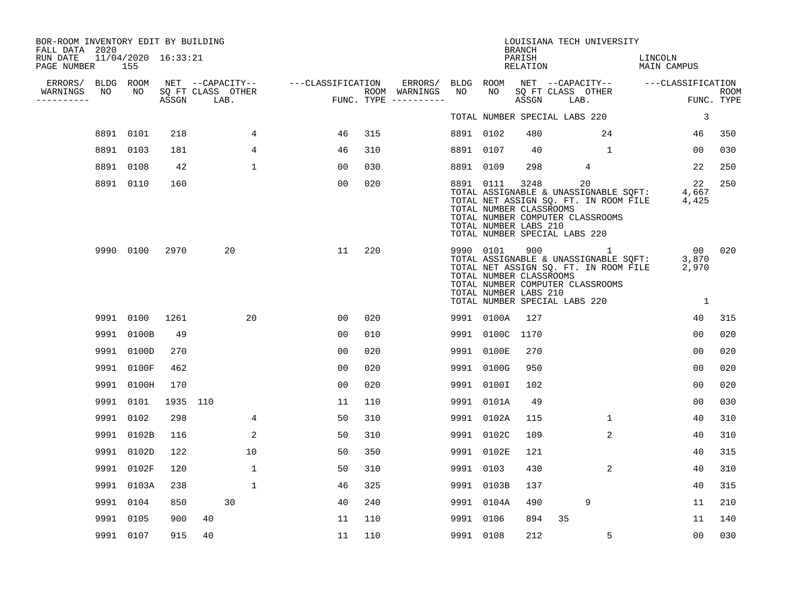| BOR-ROOM INVENTORY EDIT BY BUILDING<br>FALL DATA 2020 |                 |                            |          |                           |                                    |     |                                                 |                 |                                                  | <b>BRANCH</b>      |                               | LOUISIANA TECH UNIVERSITY                                                                                                                |                        |                                   |                           |
|-------------------------------------------------------|-----------------|----------------------------|----------|---------------------------|------------------------------------|-----|-------------------------------------------------|-----------------|--------------------------------------------------|--------------------|-------------------------------|------------------------------------------------------------------------------------------------------------------------------------------|------------------------|-----------------------------------|---------------------------|
| RUN DATE<br>PAGE NUMBER                               |                 | 11/04/2020 16:33:21<br>155 |          |                           |                                    |     |                                                 |                 |                                                  | PARISH<br>RELATION |                               |                                                                                                                                          | LINCOLN<br>MAIN CAMPUS |                                   |                           |
| ERRORS/<br>WARNINGS<br>----------                     | BLDG ROOM<br>NO | NO                         | ASSGN    | SQ FT CLASS OTHER<br>LAB. | NET --CAPACITY-- ---CLASSIFICATION |     | ERRORS/<br>ROOM WARNINGS<br>FUNC. TYPE $------$ | BLDG ROOM<br>NO | NO                                               | ASSGN              |                               | NET --CAPACITY-- ---CLASSIFICATION<br>SQ FT CLASS OTHER<br>LAB.                                                                          |                        |                                   | <b>ROOM</b><br>FUNC. TYPE |
|                                                       |                 |                            |          |                           |                                    |     |                                                 |                 |                                                  |                    | TOTAL NUMBER SPECIAL LABS 220 |                                                                                                                                          |                        | 3                                 |                           |
|                                                       |                 | 8891 0101                  | 218      | 4                         | 46                                 | 315 |                                                 | 8891 0102       |                                                  | 480                |                               | 24                                                                                                                                       |                        | 46                                | 350                       |
|                                                       |                 | 8891 0103                  | 181      | $\overline{4}$            | 46                                 | 310 |                                                 | 8891 0107       |                                                  | 40                 |                               | $\mathbf{1}$                                                                                                                             |                        | 00                                | 030                       |
|                                                       |                 | 8891 0108                  | 42       | $\mathbf{1}$              | 0 <sub>0</sub>                     | 030 |                                                 | 8891 0109       |                                                  | 298                |                               | 4                                                                                                                                        |                        | 22                                | 250                       |
|                                                       |                 | 8891 0110                  | 160      |                           | 00                                 | 020 |                                                 | 8891 0111       | TOTAL NUMBER CLASSROOMS<br>TOTAL NUMBER LABS 210 | 3248               | TOTAL NUMBER SPECIAL LABS 220 | 20<br>TOTAL ASSIGNABLE & UNASSIGNABLE SQFT:<br>TOTAL NET ASSIGN SQ. FT. IN ROOM FILE 4,425<br>TOTAL NUMBER COMPUTER CLASSROOMS           |                        | 22<br>4,667                       | 250                       |
|                                                       |                 | 9990 0100                  | 2970     | 20                        | 11                                 | 220 |                                                 | 9990 0101       | TOTAL NUMBER CLASSROOMS<br>TOTAL NUMBER LABS 210 | 900                | TOTAL NUMBER SPECIAL LABS 220 | $\mathbf{1}$<br>TOTAL ASSIGNABLE & UNASSIGNABLE SQFT:<br>TOTAL NET ASSIGN SQ. FT. IN ROOM FILE 2,970<br>TOTAL NUMBER COMPUTER CLASSROOMS |                        | 00 020<br>3,870<br>$\overline{1}$ |                           |
|                                                       |                 | 9991 0100                  | 1261     | 20                        | 0 <sub>0</sub>                     | 020 |                                                 |                 | 9991 0100A                                       | 127                |                               |                                                                                                                                          |                        | 40                                | 315                       |
|                                                       | 9991            | 0100B                      | 49       |                           | 0 <sub>0</sub>                     | 010 |                                                 |                 | 9991 0100C 1170                                  |                    |                               |                                                                                                                                          |                        | 00                                | 020                       |
|                                                       | 9991            | 0100D                      | 270      |                           | 0 <sub>0</sub>                     | 020 |                                                 |                 | 9991 0100E                                       | 270                |                               |                                                                                                                                          |                        | 00                                | 020                       |
|                                                       | 9991            | 0100F                      | 462      |                           | 0 <sub>0</sub>                     | 020 |                                                 |                 | 9991 0100G                                       | 950                |                               |                                                                                                                                          |                        | 0 <sub>0</sub>                    | 020                       |
|                                                       | 9991            | 0100H                      | 170      |                           | 0 <sub>0</sub>                     | 020 |                                                 |                 | 9991 0100I                                       | 102                |                               |                                                                                                                                          |                        | 0 <sub>0</sub>                    | 020                       |
|                                                       | 9991            | 0101                       | 1935 110 |                           | 11                                 | 110 |                                                 |                 | 9991 0101A                                       | 49                 |                               |                                                                                                                                          |                        | 00                                | 030                       |
|                                                       |                 | 9991 0102                  | 298      | 4                         | 50                                 | 310 |                                                 |                 | 9991 0102A                                       | 115                |                               | $\mathbf{1}$                                                                                                                             |                        | 40                                | 310                       |
|                                                       |                 | 9991 0102B                 | 116      | 2                         | 50                                 | 310 |                                                 |                 | 9991 0102C                                       | 109                |                               | $\overline{2}$                                                                                                                           |                        | 40                                | 310                       |
|                                                       |                 | 9991 0102D                 | 122      | 10                        | 50                                 | 350 |                                                 |                 | 9991 0102E                                       | 121                |                               |                                                                                                                                          |                        | 40                                | 315                       |
|                                                       |                 | 9991 0102F                 | 120      | $\mathbf{1}$              | 50                                 | 310 |                                                 | 9991 0103       |                                                  | 430                |                               | $\overline{2}$                                                                                                                           |                        | 40                                | 310                       |
|                                                       |                 | 9991 0103A                 | 238      | $\mathbf{1}$              | 46                                 | 325 |                                                 |                 | 9991 0103B                                       | 137                |                               |                                                                                                                                          |                        | 40                                | 315                       |
|                                                       | 9991            | 0104                       | 850      | 30                        | 40                                 | 240 |                                                 |                 | 9991 0104A                                       | 490                |                               | 9                                                                                                                                        |                        | 11                                | 210                       |
|                                                       | 9991            | 0105                       | 900      | 40                        | 11                                 | 110 |                                                 | 9991 0106       |                                                  | 894                | 35                            |                                                                                                                                          |                        | 11                                | 140                       |
|                                                       |                 | 9991 0107                  | 915      | 40                        | 11                                 | 110 |                                                 | 9991 0108       |                                                  | 212                |                               | 5                                                                                                                                        |                        | 00                                | 030                       |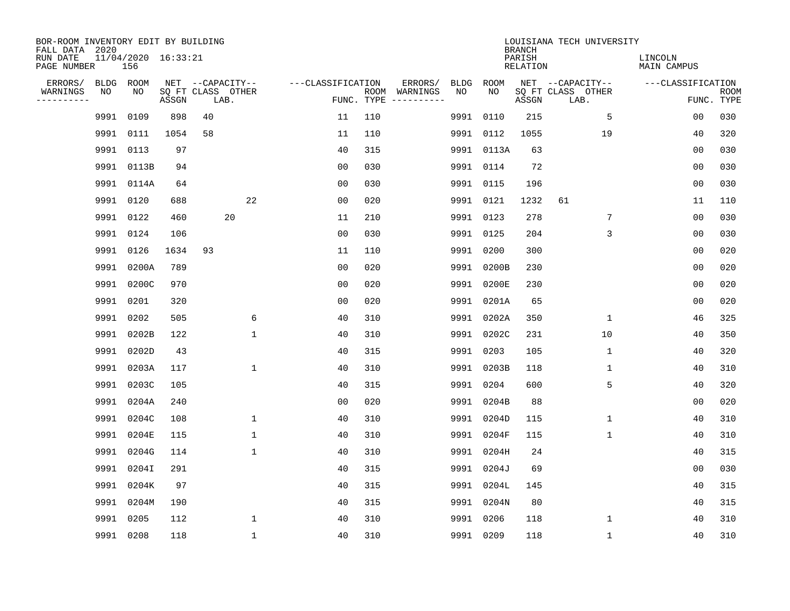| BOR-ROOM INVENTORY EDIT BY BUILDING<br>FALL DATA 2020 |      |                            |       |                           |              |                   |            |                              |      |            | <b>BRANCH</b>             | LOUISIANA TECH UNIVERSITY |                               |                           |
|-------------------------------------------------------|------|----------------------------|-------|---------------------------|--------------|-------------------|------------|------------------------------|------|------------|---------------------------|---------------------------|-------------------------------|---------------------------|
| RUN DATE<br>PAGE NUMBER                               |      | 11/04/2020 16:33:21<br>156 |       |                           |              |                   |            |                              |      |            | PARISH<br><b>RELATION</b> |                           | LINCOLN<br><b>MAIN CAMPUS</b> |                           |
| ERRORS/                                               |      | BLDG ROOM                  |       | NET --CAPACITY--          |              | ---CLASSIFICATION |            | ERRORS/                      | BLDG | ROOM       |                           | NET --CAPACITY--          | ---CLASSIFICATION             |                           |
| WARNINGS<br>----------                                | NO   | NO                         | ASSGN | SQ FT CLASS OTHER<br>LAB. |              |                   | FUNC. TYPE | ROOM WARNINGS<br>----------- | NO   | NO         | ASSGN                     | SQ FT CLASS OTHER<br>LAB. |                               | <b>ROOM</b><br>FUNC. TYPE |
|                                                       | 9991 | 0109                       | 898   | 40                        |              | 11                | 110        |                              | 9991 | 0110       | 215                       | 5                         | 00                            | 030                       |
|                                                       |      | 9991 0111                  | 1054  | 58                        |              | 11                | 110        |                              |      | 9991 0112  | 1055                      | 19                        | 40                            | 320                       |
|                                                       |      | 9991 0113                  | 97    |                           |              | 40                | 315        |                              |      | 9991 0113A | 63                        |                           | 00                            | 030                       |
|                                                       |      | 9991 0113B                 | 94    |                           |              | 0 <sub>0</sub>    | 030        |                              |      | 9991 0114  | 72                        |                           | 0 <sub>0</sub>                | 030                       |
|                                                       |      | 9991 0114A                 | 64    |                           |              | 0 <sub>0</sub>    | 030        |                              |      | 9991 0115  | 196                       |                           | 0 <sub>0</sub>                | 030                       |
|                                                       |      | 9991 0120                  | 688   |                           | 22           | 0 <sub>0</sub>    | 020        |                              |      | 9991 0121  | 1232                      | 61                        | 11                            | 110                       |
|                                                       |      | 9991 0122                  | 460   | 20                        |              | 11                | 210        |                              |      | 9991 0123  | 278                       | 7                         | 00                            | 030                       |
|                                                       |      | 9991 0124                  | 106   |                           |              | 0 <sub>0</sub>    | 030        |                              |      | 9991 0125  | 204                       | 3                         | 0 <sub>0</sub>                | 030                       |
|                                                       |      | 9991 0126                  | 1634  | 93                        |              | 11                | 110        |                              |      | 9991 0200  | 300                       |                           | 0 <sub>0</sub>                | 020                       |
|                                                       |      | 9991 0200A                 | 789   |                           |              | 0 <sub>0</sub>    | 020        |                              |      | 9991 0200B | 230                       |                           | 0 <sub>0</sub>                | 020                       |
|                                                       |      | 9991 0200C                 | 970   |                           |              | 0 <sub>0</sub>    | 020        |                              |      | 9991 0200E | 230                       |                           | 0 <sub>0</sub>                | 020                       |
|                                                       |      | 9991 0201                  | 320   |                           |              | 0 <sub>0</sub>    | 020        |                              |      | 9991 0201A | 65                        |                           | 0 <sub>0</sub>                | 020                       |
|                                                       | 9991 | 0202                       | 505   |                           | 6            | 40                | 310        |                              |      | 9991 0202A | 350                       | $\mathbf 1$               | 46                            | 325                       |
|                                                       | 9991 | 0202B                      | 122   |                           | $\mathbf 1$  | 40                | 310        |                              |      | 9991 0202C | 231                       | 10                        | 40                            | 350                       |
|                                                       | 9991 | 0202D                      | 43    |                           |              | 40                | 315        |                              | 9991 | 0203       | 105                       | 1                         | 40                            | 320                       |
|                                                       | 9991 | 0203A                      | 117   |                           | $\mathbf{1}$ | 40                | 310        |                              |      | 9991 0203B | 118                       | 1                         | 40                            | 310                       |
|                                                       | 9991 | 0203C                      | 105   |                           |              | 40                | 315        |                              | 9991 | 0204       | 600                       | 5                         | 40                            | 320                       |
|                                                       | 9991 | 0204A                      | 240   |                           |              | 00                | 020        |                              | 9991 | 0204B      | 88                        |                           | 00                            | 020                       |
|                                                       | 9991 | 0204C                      | 108   |                           | $\mathbf 1$  | 40                | 310        |                              |      | 9991 0204D | 115                       | $\mathbf{1}$              | 40                            | 310                       |
|                                                       | 9991 | 0204E                      | 115   |                           | $\mathbf 1$  | 40                | 310        |                              |      | 9991 0204F | 115                       | 1                         | 40                            | 310                       |
|                                                       | 9991 | 0204G                      | 114   |                           | $\mathbf 1$  | 40                | 310        |                              | 9991 | 0204H      | 24                        |                           | 40                            | 315                       |
|                                                       | 9991 | 0204I                      | 291   |                           |              | 40                | 315        |                              | 9991 | 0204J      | 69                        |                           | 00                            | 030                       |
|                                                       | 9991 | 0204K                      | 97    |                           |              | 40                | 315        |                              |      | 9991 0204L | 145                       |                           | 40                            | 315                       |
|                                                       | 9991 | 0204M                      | 190   |                           |              | 40                | 315        |                              |      | 9991 0204N | 80                        |                           | 40                            | 315                       |
|                                                       | 9991 | 0205                       | 112   |                           | $\mathbf{1}$ | 40                | 310        |                              |      | 9991 0206  | 118                       | 1                         | 40                            | 310                       |
|                                                       |      | 9991 0208                  | 118   |                           | $\mathbf{1}$ | 40                | 310        |                              |      | 9991 0209  | 118                       | $\mathbf 1$               | 40                            | 310                       |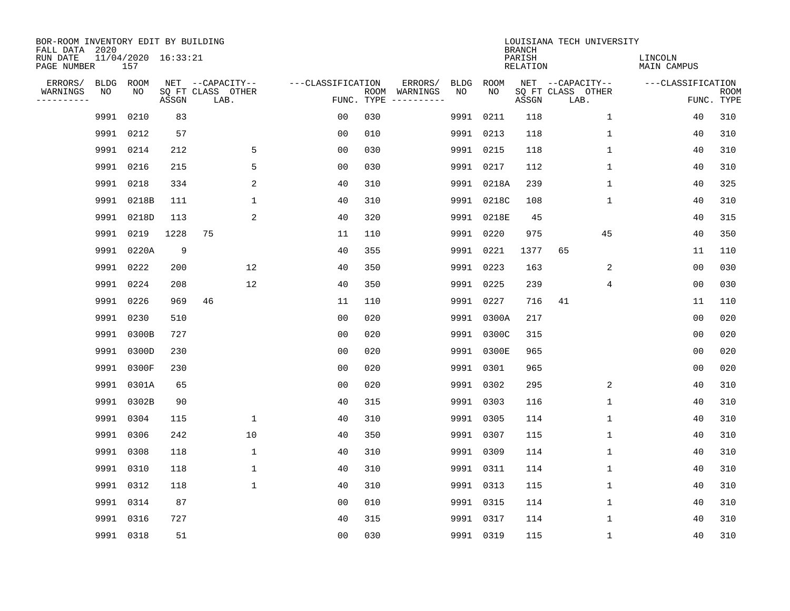| BOR-ROOM INVENTORY EDIT BY BUILDING<br>FALL DATA 2020 |      |                            |       |                           | LOUISIANA TECH UNIVERSITY<br><b>BRANCH</b> |            |               |      |            |                           |                           |                               |                           |
|-------------------------------------------------------|------|----------------------------|-------|---------------------------|--------------------------------------------|------------|---------------|------|------------|---------------------------|---------------------------|-------------------------------|---------------------------|
| RUN DATE<br>PAGE NUMBER                               |      | 11/04/2020 16:33:21<br>157 |       |                           |                                            |            |               |      |            | PARISH<br><b>RELATION</b> |                           | LINCOLN<br><b>MAIN CAMPUS</b> |                           |
| ERRORS/                                               |      | BLDG ROOM                  |       | NET --CAPACITY--          | ---CLASSIFICATION                          |            | ERRORS/       | BLDG | ROOM       |                           | NET --CAPACITY--          | ---CLASSIFICATION             |                           |
| WARNINGS<br>----------                                | NO   | NO                         | ASSGN | SQ FT CLASS OTHER<br>LAB. |                                            | FUNC. TYPE | ROOM WARNINGS | NO   | NO         | ASSGN                     | SQ FT CLASS OTHER<br>LAB. |                               | <b>ROOM</b><br>FUNC. TYPE |
|                                                       | 9991 | 0210                       | 83    |                           | 00                                         | 030        |               |      | 9991 0211  | 118                       | $\mathbf{1}$              | 40                            | 310                       |
|                                                       | 9991 | 0212                       | 57    |                           | 0 <sub>0</sub>                             | 010        |               |      | 9991 0213  | 118                       | 1                         | 40                            | 310                       |
|                                                       |      | 9991 0214                  | 212   | 5                         | 0 <sub>0</sub>                             | 030        |               |      | 9991 0215  | 118                       | 1                         | 40                            | 310                       |
|                                                       |      | 9991 0216                  | 215   | 5                         | 0 <sub>0</sub>                             | 030        |               |      | 9991 0217  | 112                       | $\mathbf{1}$              | 40                            | 310                       |
|                                                       | 9991 | 0218                       | 334   | 2                         | 40                                         | 310        |               |      | 9991 0218A | 239                       | $\mathbf{1}$              | 40                            | 325                       |
|                                                       |      | 9991 0218B                 | 111   | $\mathbf{1}$              | 40                                         | 310        |               |      | 9991 0218C | 108                       | $\mathbf{1}$              | 40                            | 310                       |
|                                                       |      | 9991 0218D                 | 113   | 2                         | 40                                         | 320        |               |      | 9991 0218E | 45                        |                           | 40                            | 315                       |
|                                                       |      | 9991 0219                  | 1228  | 75                        | 11                                         | 110        |               |      | 9991 0220  | 975                       | 45                        | 40                            | 350                       |
|                                                       |      | 9991 0220A                 | 9     |                           | 40                                         | 355        |               |      | 9991 0221  | 1377                      | 65                        | 11                            | 110                       |
|                                                       |      | 9991 0222                  | 200   | 12                        | 40                                         | 350        |               |      | 9991 0223  | 163                       | 2                         | 0 <sub>0</sub>                | 030                       |
|                                                       |      | 9991 0224                  | 208   | 12                        | 40                                         | 350        |               |      | 9991 0225  | 239                       | 4                         | 0 <sub>0</sub>                | 030                       |
|                                                       |      | 9991 0226                  | 969   | 46                        | 11                                         | 110        |               |      | 9991 0227  | 716                       | 41                        | 11                            | 110                       |
|                                                       | 9991 | 0230                       | 510   |                           | 0 <sub>0</sub>                             | 020        |               | 9991 | 0300A      | 217                       |                           | 0 <sub>0</sub>                | 020                       |
|                                                       | 9991 | 0300B                      | 727   |                           | 0 <sub>0</sub>                             | 020        |               |      | 9991 0300C | 315                       |                           | 0 <sub>0</sub>                | 020                       |
|                                                       | 9991 | 0300D                      | 230   |                           | 0 <sub>0</sub>                             | 020        |               |      | 9991 0300E | 965                       |                           | 0 <sub>0</sub>                | 020                       |
|                                                       | 9991 | 0300F                      | 230   |                           | 0 <sub>0</sub>                             | 020        |               |      | 9991 0301  | 965                       |                           | 00                            | 020                       |
|                                                       | 9991 | 0301A                      | 65    |                           | 0 <sub>0</sub>                             | 020        |               |      | 9991 0302  | 295                       | 2                         | 40                            | 310                       |
|                                                       | 9991 | 0302B                      | 90    |                           | 40                                         | 315        |               |      | 9991 0303  | 116                       | 1                         | 40                            | 310                       |
|                                                       | 9991 | 0304                       | 115   | $\mathbf 1$               | 40                                         | 310        |               |      | 9991 0305  | 114                       | 1                         | 40                            | 310                       |
|                                                       | 9991 | 0306                       | 242   | 10                        | 40                                         | 350        |               |      | 9991 0307  | 115                       | 1                         | 40                            | 310                       |
|                                                       | 9991 | 0308                       | 118   | 1                         | 40                                         | 310        |               |      | 9991 0309  | 114                       | 1                         | 40                            | 310                       |
|                                                       | 9991 | 0310                       | 118   | $\mathbf 1$               | 40                                         | 310        |               |      | 9991 0311  | 114                       | 1                         | 40                            | 310                       |
|                                                       |      | 9991 0312                  | 118   | $\mathbf 1$               | 40                                         | 310        |               |      | 9991 0313  | 115                       | 1                         | 40                            | 310                       |
|                                                       |      | 9991 0314                  | 87    |                           | 0 <sub>0</sub>                             | 010        |               |      | 9991 0315  | 114                       | 1                         | 40                            | 310                       |
|                                                       | 9991 | 0316                       | 727   |                           | 40                                         | 315        |               |      | 9991 0317  | 114                       | 1                         | 40                            | 310                       |
|                                                       |      | 9991 0318                  | 51    |                           | 0 <sub>0</sub>                             | 030        |               |      | 9991 0319  | 115                       | $\mathbf{1}$              | 40                            | 310                       |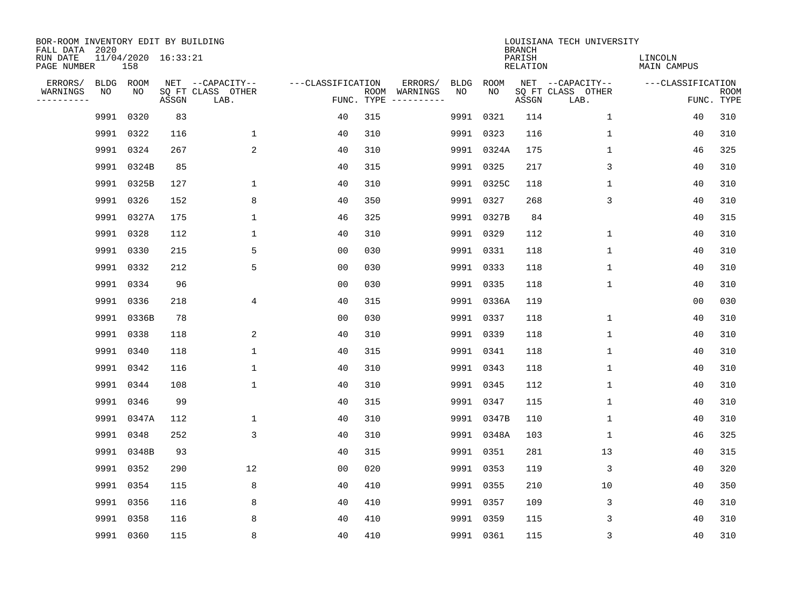| BOR-ROOM INVENTORY EDIT BY BUILDING<br>FALL DATA 2020 |           |                            |       |                           | LOUISIANA TECH UNIVERSITY<br><b>BRANCH</b> |     |                                      |             |             |                           |                           |                               |                           |  |  |
|-------------------------------------------------------|-----------|----------------------------|-------|---------------------------|--------------------------------------------|-----|--------------------------------------|-------------|-------------|---------------------------|---------------------------|-------------------------------|---------------------------|--|--|
| RUN DATE<br>PAGE NUMBER                               |           | 11/04/2020 16:33:21<br>158 |       |                           |                                            |     |                                      |             |             | PARISH<br><b>RELATION</b> |                           | LINCOLN<br><b>MAIN CAMPUS</b> |                           |  |  |
| ERRORS/                                               |           | BLDG ROOM                  |       | NET --CAPACITY--          | ---CLASSIFICATION                          |     | ERRORS/                              | <b>BLDG</b> | <b>ROOM</b> |                           | NET --CAPACITY--          | ---CLASSIFICATION             |                           |  |  |
| WARNINGS<br>----------                                | NO        | NO                         | ASSGN | SQ FT CLASS OTHER<br>LAB. |                                            |     | ROOM WARNINGS<br>FUNC. TYPE $------$ | NO          | NO          | ASSGN                     | SQ FT CLASS OTHER<br>LAB. |                               | <b>ROOM</b><br>FUNC. TYPE |  |  |
|                                                       | 9991      | 0320                       | 83    |                           | 40                                         | 315 |                                      |             | 9991 0321   | 114                       | 1                         | 40                            | 310                       |  |  |
|                                                       | 9991      | 0322                       | 116   | $\mathbf 1$               | 40                                         | 310 |                                      |             | 9991 0323   | 116                       | 1                         | 40                            | 310                       |  |  |
|                                                       |           | 9991 0324                  | 267   | 2                         | 40                                         | 310 |                                      |             | 9991 0324A  | 175                       | $\mathbf 1$               | 46                            | 325                       |  |  |
|                                                       |           | 9991 0324B                 | 85    |                           | 40                                         | 315 |                                      |             | 9991 0325   | 217                       | 3                         | 40                            | 310                       |  |  |
|                                                       |           | 9991 0325B                 | 127   | $\mathbf{1}$              | 40                                         | 310 |                                      |             | 9991 0325C  | 118                       | $\mathbf{1}$              | 40                            | 310                       |  |  |
|                                                       | 9991 0326 |                            | 152   | 8                         | 40                                         | 350 |                                      |             | 9991 0327   | 268                       | 3                         | 40                            | 310                       |  |  |
|                                                       |           | 9991 0327A                 | 175   | $\mathbf 1$               | 46                                         | 325 |                                      |             | 9991 0327B  | 84                        |                           | 40                            | 315                       |  |  |
|                                                       | 9991 0328 |                            | 112   | $\mathbf 1$               | 40                                         | 310 |                                      |             | 9991 0329   | 112                       | $\mathbf 1$               | 40                            | 310                       |  |  |
|                                                       | 9991 0330 |                            | 215   | 5                         | 0 <sub>0</sub>                             | 030 |                                      |             | 9991 0331   | 118                       | $\mathbf 1$               | 40                            | 310                       |  |  |
|                                                       | 9991 0332 |                            | 212   | 5                         | 0 <sub>0</sub>                             | 030 |                                      |             | 9991 0333   | 118                       | $\mathbf 1$               | 40                            | 310                       |  |  |
|                                                       |           | 9991 0334                  | 96    |                           | 0 <sub>0</sub>                             | 030 |                                      |             | 9991 0335   | 118                       | $\mathbf 1$               | 40                            | 310                       |  |  |
|                                                       | 9991 0336 |                            | 218   | 4                         | 40                                         | 315 |                                      |             | 9991 0336A  | 119                       |                           | 0 <sub>0</sub>                | 030                       |  |  |
|                                                       |           | 9991 0336B                 | 78    |                           | 0 <sub>0</sub>                             | 030 |                                      |             | 9991 0337   | 118                       | $\mathbf 1$               | 40                            | 310                       |  |  |
|                                                       | 9991 0338 |                            | 118   | 2                         | 40                                         | 310 |                                      |             | 9991 0339   | 118                       | 1                         | 40                            | 310                       |  |  |
|                                                       | 9991      | 0340                       | 118   | $\mathbf 1$               | 40                                         | 315 |                                      |             | 9991 0341   | 118                       | 1                         | 40                            | 310                       |  |  |
|                                                       |           | 9991 0342                  | 116   | $\mathbf 1$               | 40                                         | 310 |                                      |             | 9991 0343   | 118                       | 1                         | 40                            | 310                       |  |  |
|                                                       | 9991      | 0344                       | 108   | $\mathbf{1}$              | 40                                         | 310 |                                      |             | 9991 0345   | 112                       | 1                         | 40                            | 310                       |  |  |
|                                                       | 9991 0346 |                            | 99    |                           | 40                                         | 315 |                                      |             | 9991 0347   | 115                       | 1                         | 40                            | 310                       |  |  |
|                                                       |           | 9991 0347A                 | 112   | $\mathbf{1}$              | 40                                         | 310 |                                      |             | 9991 0347B  | 110                       | 1                         | 40                            | 310                       |  |  |
|                                                       | 9991 0348 |                            | 252   | $\overline{3}$            | 40                                         | 310 |                                      |             | 9991 0348A  | 103                       | 1                         | 46                            | 325                       |  |  |
|                                                       | 9991      | 0348B                      | 93    |                           | 40                                         | 315 |                                      |             | 9991 0351   | 281                       | 13                        | 40                            | 315                       |  |  |
|                                                       |           | 9991 0352                  | 290   | 12                        | 0 <sub>0</sub>                             | 020 |                                      |             | 9991 0353   | 119                       | 3                         | 40                            | 320                       |  |  |
|                                                       | 9991      | 0354                       | 115   | 8                         | 40                                         | 410 |                                      |             | 9991 0355   | 210                       | 10                        | 40                            | 350                       |  |  |
|                                                       | 9991 0356 |                            | 116   | 8                         | 40                                         | 410 |                                      |             | 9991 0357   | 109                       | 3                         | 40                            | 310                       |  |  |
|                                                       | 9991      | 0358                       | 116   | 8                         | 40                                         | 410 |                                      |             | 9991 0359   | 115                       | 3                         | 40                            | 310                       |  |  |
|                                                       | 9991 0360 |                            | 115   | 8                         | 40                                         | 410 |                                      |             | 9991 0361   | 115                       | 3                         | 40                            | 310                       |  |  |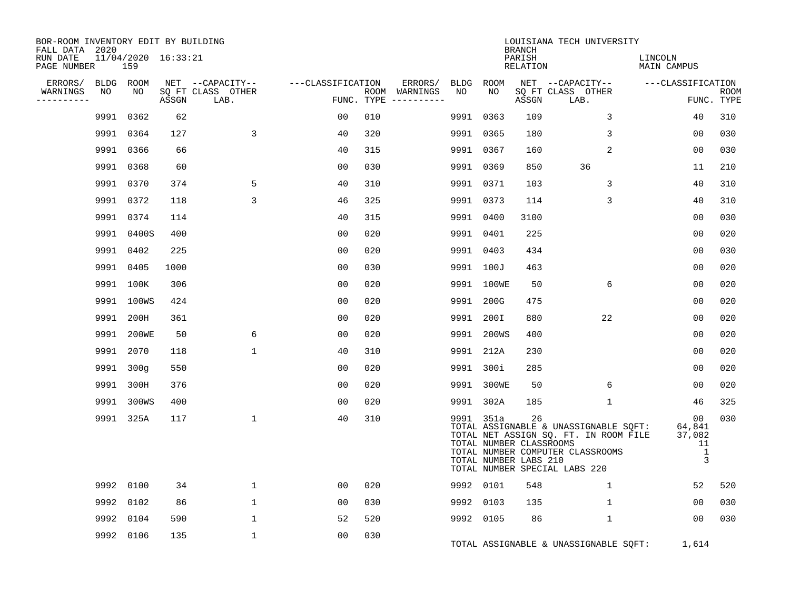| BOR-ROOM INVENTORY EDIT BY BUILDING<br>FALL DATA 2020<br>RUN DATE<br>PAGE NUMBER |      | 11/04/2020 16:33:21<br>159 |       |                                               |                   |     |                                                 |                 |                                                               | <b>BRANCH</b><br>PARISH<br><b>RELATION</b> | LOUISIANA TECH UNIVERSITY                                                                                                                           | LINCOLN<br>MAIN CAMPUS                 |                           |
|----------------------------------------------------------------------------------|------|----------------------------|-------|-----------------------------------------------|-------------------|-----|-------------------------------------------------|-----------------|---------------------------------------------------------------|--------------------------------------------|-----------------------------------------------------------------------------------------------------------------------------------------------------|----------------------------------------|---------------------------|
| ERRORS/<br>WARNINGS<br>----------                                                | NO   | BLDG ROOM<br>NO            | ASSGN | NET --CAPACITY--<br>SQ FT CLASS OTHER<br>LAB. | ---CLASSIFICATION |     | ERRORS/<br>ROOM WARNINGS<br>FUNC. TYPE $------$ | BLDG ROOM<br>NO | NO.                                                           | ASSGN                                      | NET --CAPACITY--<br>SQ FT CLASS OTHER<br>LAB.                                                                                                       | ---CLASSIFICATION                      | <b>ROOM</b><br>FUNC. TYPE |
|                                                                                  | 9991 | 0362                       | 62    |                                               | 00                | 010 |                                                 | 9991            | 0363                                                          | 109                                        | 3                                                                                                                                                   | 40                                     | 310                       |
|                                                                                  | 9991 | 0364                       | 127   | 3                                             | 40                | 320 |                                                 |                 | 9991 0365                                                     | 180                                        | 3                                                                                                                                                   | 00                                     | 030                       |
|                                                                                  | 9991 | 0366                       | 66    |                                               | 40                | 315 |                                                 |                 | 9991 0367                                                     | 160                                        | $\overline{2}$                                                                                                                                      | 00                                     | 030                       |
|                                                                                  | 9991 | 0368                       | 60    |                                               | 0 <sub>0</sub>    | 030 |                                                 |                 | 9991 0369                                                     | 850                                        | 36                                                                                                                                                  | 11                                     | 210                       |
|                                                                                  | 9991 | 0370                       | 374   | 5                                             | 40                | 310 |                                                 |                 | 9991 0371                                                     | 103                                        | 3                                                                                                                                                   | 40                                     | 310                       |
|                                                                                  | 9991 | 0372                       | 118   | 3                                             | 46                | 325 |                                                 |                 | 9991 0373                                                     | 114                                        | 3                                                                                                                                                   | 40                                     | 310                       |
|                                                                                  |      | 9991 0374                  | 114   |                                               | 40                | 315 |                                                 |                 | 9991 0400                                                     | 3100                                       |                                                                                                                                                     | 00                                     | 030                       |
|                                                                                  |      | 9991 0400S                 | 400   |                                               | 0 <sub>0</sub>    | 020 |                                                 |                 | 9991 0401                                                     | 225                                        |                                                                                                                                                     | 00                                     | 020                       |
|                                                                                  |      | 9991 0402                  | 225   |                                               | 0 <sub>0</sub>    | 020 |                                                 |                 | 9991 0403                                                     | 434                                        |                                                                                                                                                     | 0 <sub>0</sub>                         | 030                       |
|                                                                                  | 9991 | 0405                       | 1000  |                                               | 0 <sub>0</sub>    | 030 |                                                 |                 | 9991 100J                                                     | 463                                        |                                                                                                                                                     | 0 <sub>0</sub>                         | 020                       |
|                                                                                  |      | 9991 100K                  | 306   |                                               | 00                | 020 |                                                 |                 | 9991 100WE                                                    | 50                                         | 6                                                                                                                                                   | 00                                     | 020                       |
|                                                                                  |      | 9991 100WS                 | 424   |                                               | 0 <sub>0</sub>    | 020 |                                                 |                 | 9991 200G                                                     | 475                                        |                                                                                                                                                     | 0 <sub>0</sub>                         | 020                       |
|                                                                                  |      | 9991 200H                  | 361   |                                               | 0 <sub>0</sub>    | 020 |                                                 |                 | 9991 200I                                                     | 880                                        | 22                                                                                                                                                  | 00                                     | 020                       |
|                                                                                  | 9991 | 200WE                      | 50    | 6                                             | 0 <sub>0</sub>    | 020 |                                                 |                 | 9991 200WS                                                    | 400                                        |                                                                                                                                                     | 0 <sub>0</sub>                         | 020                       |
|                                                                                  |      | 9991 2070                  | 118   | $\mathbf 1$                                   | 40                | 310 |                                                 |                 | 9991 212A                                                     | 230                                        |                                                                                                                                                     | 00                                     | 020                       |
|                                                                                  |      | 9991 300q                  | 550   |                                               | 0 <sub>0</sub>    | 020 |                                                 |                 | 9991 300i                                                     | 285                                        |                                                                                                                                                     | 0 <sub>0</sub>                         | 020                       |
|                                                                                  |      | 9991 300H                  | 376   |                                               | 0 <sub>0</sub>    | 020 |                                                 |                 | 9991 300WE                                                    | 50                                         | 6                                                                                                                                                   | 0 <sub>0</sub>                         | 020                       |
|                                                                                  |      | 9991 300WS                 | 400   |                                               | 0 <sub>0</sub>    | 020 |                                                 |                 | 9991 302A                                                     | 185                                        | $\mathbf{1}$                                                                                                                                        | 46                                     | 325                       |
|                                                                                  |      | 9991 325A                  | 117   | 1                                             | 40                | 310 |                                                 |                 | 9991 351a<br>TOTAL NUMBER CLASSROOMS<br>TOTAL NUMBER LABS 210 | 26                                         | TOTAL ASSIGNABLE & UNASSIGNABLE SQFT:<br>TOTAL NET ASSIGN SQ. FT. IN ROOM FILE<br>TOTAL NUMBER COMPUTER CLASSROOMS<br>TOTAL NUMBER SPECIAL LABS 220 | 00<br>64,841<br>37,082<br>11<br>1<br>3 | 030                       |
|                                                                                  | 9992 | 0100                       | 34    | $\mathbf{1}$                                  | 00                | 020 |                                                 |                 | 9992 0101                                                     | 548                                        | $\mathbf{1}$                                                                                                                                        | 52                                     | 520                       |
|                                                                                  | 9992 | 0102                       | 86    | $\mathbf{1}$                                  | 0 <sub>0</sub>    | 030 |                                                 | 9992            | 0103                                                          | 135                                        | $\mathbf{1}$                                                                                                                                        | 00                                     | 030                       |
|                                                                                  | 9992 | 0104                       | 590   | 1                                             | 52                | 520 |                                                 |                 | 9992 0105                                                     | 86                                         | $\mathbf{1}$                                                                                                                                        | 00                                     | 030                       |
|                                                                                  | 9992 | 0106                       | 135   | $\mathbf 1$                                   | 0 <sub>0</sub>    | 030 |                                                 |                 |                                                               |                                            | TOTAL ASSIGNABLE & UNASSIGNABLE SQFT:                                                                                                               | 1,614                                  |                           |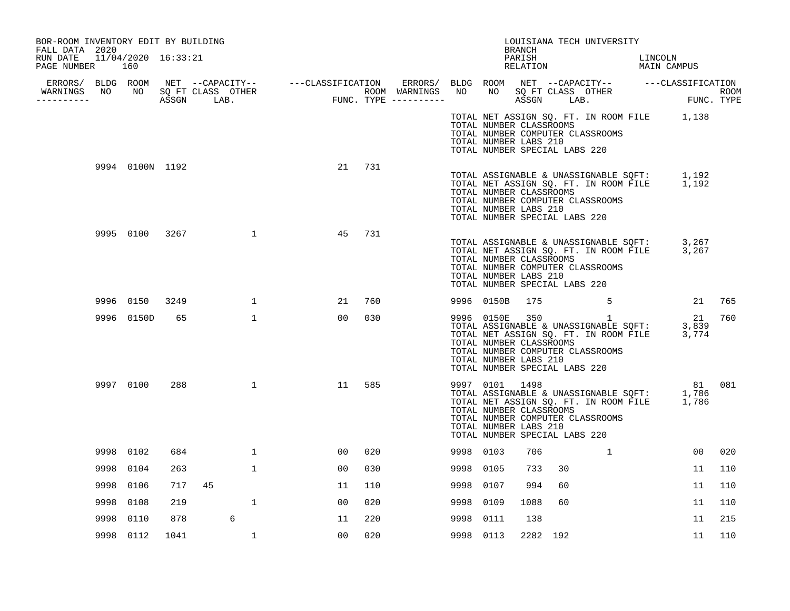| BOR-ROOM INVENTORY EDIT BY BUILDING<br>FALL DATA 2020 |           |                     |      |    |              |                |     |           |                                                                                                     | <b>BRANCH</b> |          | LOUISIANA TECH UNIVERSITY                                                                                                                          |         |        |     |
|-------------------------------------------------------|-----------|---------------------|------|----|--------------|----------------|-----|-----------|-----------------------------------------------------------------------------------------------------|---------------|----------|----------------------------------------------------------------------------------------------------------------------------------------------------|---------|--------|-----|
| RUN DATE<br>PAGE NUMBER 160                           |           | 11/04/2020 16:33:21 |      |    |              |                |     |           |                                                                                                     | PARISH        |          | PARISH LINCOLN<br>RELATION MAIN CAMPUS                                                                                                             | LINCOLN |        |     |
|                                                       |           |                     |      |    |              |                |     |           |                                                                                                     |               |          |                                                                                                                                                    |         |        |     |
| WARNINGS NO NO SQ FT CLASS OTHER<br>----------        |           |                     |      |    |              |                |     |           |                                                                                                     |               |          |                                                                                                                                                    |         |        |     |
|                                                       |           |                     |      |    |              |                |     |           | TOTAL NUMBER CLASSROOMS<br>TOTAL NUMBER LABS 210<br>TOTAL NUMBER SPECIAL LABS 220                   |               |          | TOTAL NET ASSIGN SQ. FT. IN ROOM FILE 1,138<br>TOTAL NUMBER COMPUTER CLASSROOMS                                                                    |         |        |     |
|                                                       |           | 9994 0100N 1192     |      |    |              | 21             | 731 |           | TOTAL NUMBER CLASSROOMS<br>TOTAL NUMBER LABS 210<br>TOTAL NUMBER SPECIAL LABS 220                   |               |          | TOTAL ASSIGNABLE & UNASSIGNABLE SQFT: 1,192<br>TOTAL NET ASSIGN SQ. FT. IN ROOM FILE 1,192<br>TOTAL NUMBER COMPUTER CLASSROOMS                     |         |        |     |
|                                                       |           | 9995 0100 3267      |      |    | $\mathbf{1}$ | 45             | 731 |           | TOTAL NUMBER CLASSROOMS<br>TOTAL NUMBER LABS 210<br>TOTAL NUMBER SPECIAL LABS 220                   |               |          | TOTAL ASSIGNABLE & UNASSIGNABLE SQFT: 3,267<br>TOTAL NET ASSIGN SQ. FT. IN ROOM FILE 3,267<br>TOTAL NUMBER COMPUTER CLASSROOMS                     |         |        |     |
|                                                       | 9996 0150 |                     | 3249 |    | $\mathbf{1}$ | 21             | 760 |           | 9996 0150B                                                                                          | 175           |          | $\sim$ 5                                                                                                                                           |         | 21     | 765 |
|                                                       |           | 9996 0150D          | 65   |    | $\mathbf{1}$ | 00             | 030 |           | TOTAL NUMBER CLASSROOMS<br>TOTAL NUMBER LABS 210<br>TOTAL NUMBER SPECIAL LABS 220                   |               |          | 9996 0150E 350 1<br>TOTAL ASSIGNABLE & UNASSIGNABLE SQFT: 3,839<br>TOTAL NET ASSIGN SQ. FT. IN ROOM FILE 3,774<br>TOTAL NUMBER COMPUTER CLASSROOMS |         |        | 760 |
|                                                       | 9997 0100 |                     | 288  |    | $\mathbf{1}$ | 11             | 585 |           | 9997 0101 1498<br>TOTAL NUMBER CLASSROOMS<br>TOTAL NUMBER LABS 210<br>TOTAL NUMBER SPECIAL LABS 220 |               |          | 9997 0101 1498<br>TOTAL ASSIGNABLE & UNASSIGNABLE SQFT: 1,786<br>TOTAL NET ASSIGN SQ. FT. IN ROOM FILE 1,786<br>TOTAL NUMBER COMPUTER CLASSROOMS   |         | 81 081 |     |
|                                                       | 9998 0102 |                     | 684  |    | $\mathbf{1}$ | 00             | 020 | 9998 0103 |                                                                                                     | 706           |          | $\mathbf{1}$                                                                                                                                       |         | 00     | 020 |
|                                                       | 9998 0104 |                     | 263  |    | $\mathbf{1}$ | 00             | 030 | 9998 0105 |                                                                                                     | 733           | 30       |                                                                                                                                                    |         | 11     | 110 |
|                                                       | 9998 0106 |                     | 717  | 45 |              | 11             | 110 | 9998 0107 |                                                                                                     | 994           | 60       |                                                                                                                                                    |         | 11     | 110 |
|                                                       | 9998 0108 |                     | 219  |    | 1            | 0 <sub>0</sub> | 020 | 9998 0109 |                                                                                                     | 1088          | 60       |                                                                                                                                                    |         | 11     | 110 |
|                                                       | 9998 0110 |                     | 878  |    | 6            | 11             | 220 | 9998      | 0111                                                                                                | 138           |          |                                                                                                                                                    |         | 11     | 215 |
|                                                       | 9998 0112 |                     | 1041 |    | 1            | 0 <sub>0</sub> | 020 | 9998 0113 |                                                                                                     |               | 2282 192 |                                                                                                                                                    |         | 11     | 110 |
|                                                       |           |                     |      |    |              |                |     |           |                                                                                                     |               |          |                                                                                                                                                    |         |        |     |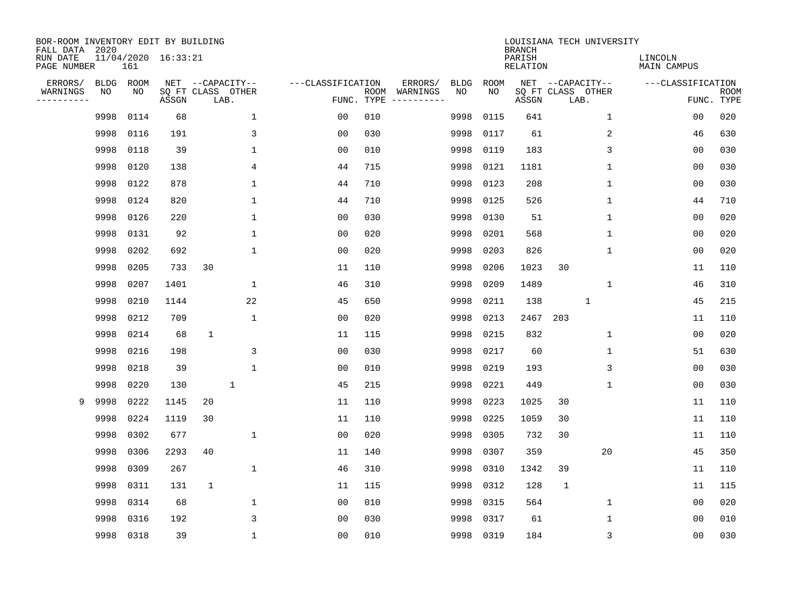| BOR-ROOM INVENTORY EDIT BY BUILDING<br>FALL DATA 2020 |             |      |                     |              |                           |                   |                    |          |             |             | <b>BRANCH</b>             |                           | LOUISIANA TECH UNIVERSITY |                        |                           |
|-------------------------------------------------------|-------------|------|---------------------|--------------|---------------------------|-------------------|--------------------|----------|-------------|-------------|---------------------------|---------------------------|---------------------------|------------------------|---------------------------|
| RUN DATE<br>PAGE NUMBER                               |             | 161  | 11/04/2020 16:33:21 |              |                           |                   |                    |          |             |             | PARISH<br><b>RELATION</b> |                           |                           | LINCOLN<br>MAIN CAMPUS |                           |
| ERRORS/                                               | <b>BLDG</b> | ROOM |                     |              | NET --CAPACITY--          | ---CLASSIFICATION |                    | ERRORS/  | <b>BLDG</b> | <b>ROOM</b> |                           | NET --CAPACITY--          |                           | ---CLASSIFICATION      |                           |
| WARNINGS<br>----------                                | NO          | NO   | ASSGN               |              | SQ FT CLASS OTHER<br>LAB. |                   | ROOM<br>FUNC. TYPE | WARNINGS | NO          | NO          | ASSGN                     | SQ FT CLASS OTHER<br>LAB. |                           |                        | <b>ROOM</b><br>FUNC. TYPE |
|                                                       | 9998        | 0114 | 68                  |              | $\mathbf 1$               | 00                | 010                |          | 9998        | 0115        | 641                       |                           | $\mathbf 1$               | 00                     | 020                       |
|                                                       | 9998        | 0116 | 191                 |              | 3                         | 0 <sub>0</sub>    | 030                |          | 9998        | 0117        | 61                        |                           | 2                         | 46                     | 630                       |
|                                                       | 9998        | 0118 | 39                  |              | 1                         | 0 <sub>0</sub>    | 010                |          | 9998        | 0119        | 183                       |                           | 3                         | 0 <sub>0</sub>         | 030                       |
|                                                       | 9998        | 0120 | 138                 |              | 4                         | 44                | 715                |          | 9998        | 0121        | 1181                      |                           | $\mathbf 1$               | 0 <sub>0</sub>         | 030                       |
|                                                       | 9998        | 0122 | 878                 |              | $\mathbf 1$               | 44                | 710                |          | 9998        | 0123        | 208                       |                           | $\mathbf{1}$              | 0 <sub>0</sub>         | 030                       |
|                                                       | 9998        | 0124 | 820                 |              | $\mathbf{1}$              | 44                | 710                |          | 9998        | 0125        | 526                       |                           | $\mathbf{1}$              | 44                     | 710                       |
|                                                       | 9998        | 0126 | 220                 |              | 1                         | 0 <sub>0</sub>    | 030                |          | 9998        | 0130        | 51                        |                           | 1                         | 0 <sub>0</sub>         | 020                       |
|                                                       | 9998        | 0131 | 92                  |              | 1                         | 0 <sub>0</sub>    | 020                |          | 9998        | 0201        | 568                       |                           | $\mathbf{1}$              | 0 <sub>0</sub>         | 020                       |
|                                                       | 9998        | 0202 | 692                 |              | $\mathbf 1$               | 0 <sub>0</sub>    | 020                |          | 9998        | 0203        | 826                       |                           | 1                         | 0 <sub>0</sub>         | 020                       |
|                                                       | 9998        | 0205 | 733                 | 30           |                           | 11                | 110                |          | 9998        | 0206        | 1023                      | 30                        |                           | 11                     | 110                       |
|                                                       | 9998        | 0207 | 1401                |              | $\mathbf{1}$              | 46                | 310                |          | 9998        | 0209        | 1489                      |                           | $\mathbf 1$               | 46                     | 310                       |
|                                                       | 9998        | 0210 | 1144                |              | 22                        | 45                | 650                |          | 9998        | 0211        | 138                       |                           | $\mathbf{1}$              | 45                     | 215                       |
|                                                       | 9998        | 0212 | 709                 |              | 1                         | 0 <sub>0</sub>    | 020                |          | 9998        | 0213        | 2467                      | 203                       |                           | 11                     | 110                       |
|                                                       | 9998        | 0214 | 68                  | $\mathbf{1}$ |                           | 11                | 115                |          | 9998        | 0215        | 832                       |                           | 1                         | 0 <sub>0</sub>         | 020                       |
|                                                       | 9998        | 0216 | 198                 |              | 3                         | 0 <sub>0</sub>    | 030                |          | 9998        | 0217        | 60                        |                           | 1                         | 51                     | 630                       |
|                                                       | 9998        | 0218 | 39                  |              | $\mathbf{1}$              | 0 <sub>0</sub>    | 010                |          | 9998        | 0219        | 193                       |                           | 3                         | 0 <sub>0</sub>         | 030                       |
|                                                       | 9998        | 0220 | 130                 |              | $\mathbf{1}$              | 45                | 215                |          | 9998        | 0221        | 449                       |                           | $\mathbf 1$               | 0 <sub>0</sub>         | 030                       |
| 9                                                     | 9998        | 0222 | 1145                | 20           |                           | 11                | 110                |          | 9998        | 0223        | 1025                      | 30                        |                           | 11                     | 110                       |
|                                                       | 9998        | 0224 | 1119                | 30           |                           | 11                | 110                |          | 9998        | 0225        | 1059                      | 30                        |                           | 11                     | 110                       |
|                                                       | 9998        | 0302 | 677                 |              | 1                         | 0 <sub>0</sub>    | 020                |          | 9998        | 0305        | 732                       | 30                        |                           | 11                     | 110                       |
|                                                       | 9998        | 0306 | 2293                | 40           |                           | 11                | 140                |          | 9998        | 0307        | 359                       |                           | 20                        | 45                     | 350                       |
|                                                       | 9998        | 0309 | 267                 |              | $\mathbf 1$               | 46                | 310                |          | 9998        | 0310        | 1342                      | 39                        |                           | 11                     | 110                       |
|                                                       | 9998        | 0311 | 131                 | $\mathbf{1}$ |                           | 11                | 115                |          | 9998        | 0312        | 128                       | 1                         |                           | 11                     | 115                       |
|                                                       | 9998        | 0314 | 68                  |              | 1                         | 0 <sub>0</sub>    | 010                |          | 9998        | 0315        | 564                       |                           | 1                         | 0 <sub>0</sub>         | 020                       |
|                                                       | 9998        | 0316 | 192                 |              | 3                         | 0 <sub>0</sub>    | 030                |          | 9998        | 0317        | 61                        |                           | $\mathbf{1}$              | 0 <sub>0</sub>         | 010                       |
|                                                       | 9998        | 0318 | 39                  |              | $\mathbf 1$               | 0 <sub>0</sub>    | 010                |          | 9998        | 0319        | 184                       |                           | 3                         | 00                     | 030                       |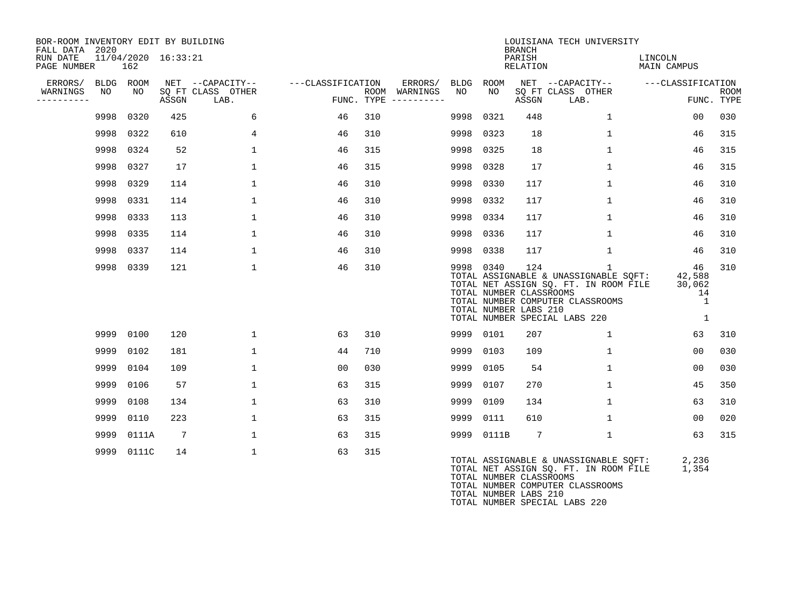| BOR-ROOM INVENTORY EDIT BY BUILDING<br>FALL DATA 2020 |            |             |                     |                                               |                   |     | LOUISIANA TECH UNIVERSITY<br><b>BRANCH</b>      |             |            |                                                         |                                                                                                                                                                     |                                                   |                           |  |  |
|-------------------------------------------------------|------------|-------------|---------------------|-----------------------------------------------|-------------------|-----|-------------------------------------------------|-------------|------------|---------------------------------------------------------|---------------------------------------------------------------------------------------------------------------------------------------------------------------------|---------------------------------------------------|---------------------------|--|--|
| RUN DATE<br>PAGE NUMBER                               |            | 162         | 11/04/2020 16:33:21 |                                               |                   |     |                                                 |             |            | PARISH<br>RELATION                                      |                                                                                                                                                                     | LINCOLN<br><b>MAIN CAMPUS</b>                     |                           |  |  |
| ERRORS/<br>WARNINGS<br>----------                     | BLDG<br>NO | ROOM<br>NO. | ASSGN               | NET --CAPACITY--<br>SQ FT CLASS OTHER<br>LAB. | ---CLASSIFICATION |     | ERRORS/<br>ROOM WARNINGS<br>FUNC. TYPE $------$ | BLDG<br>NO. | ROOM<br>NO | ASSGN                                                   | NET --CAPACITY--<br>SQ FT CLASS OTHER<br>LAB.                                                                                                                       | ---CLASSIFICATION                                 | <b>ROOM</b><br>FUNC. TYPE |  |  |
|                                                       |            | 9998 0320   | 425                 | 6                                             | 46                | 310 |                                                 | 9998        | 0321       | 448                                                     | $\mathbf{1}$                                                                                                                                                        | 00                                                | 030                       |  |  |
|                                                       |            | 9998 0322   | 610                 | $\overline{4}$                                | 46                | 310 |                                                 | 9998        | 0323       | 18                                                      | $\mathbf{1}$                                                                                                                                                        | 46                                                | 315                       |  |  |
|                                                       |            | 9998 0324   | 52                  | $\mathbf{1}$                                  | 46                | 315 |                                                 | 9998        | 0325       | 18                                                      | $\mathbf{1}$                                                                                                                                                        | 46                                                | 315                       |  |  |
|                                                       | 9998       | 0327        | 17                  | $\mathbf{1}$                                  | 46                | 315 |                                                 | 9998        | 0328       | 17                                                      | $\mathbf{1}$                                                                                                                                                        | 46                                                | 315                       |  |  |
|                                                       | 9998       | 0329        | 114                 | 1                                             | 46                | 310 |                                                 | 9998        | 0330       | 117                                                     | $\mathbf{1}$                                                                                                                                                        | 46                                                | 310                       |  |  |
|                                                       | 9998       | 0331        | 114                 | $\mathbf{1}$                                  | 46                | 310 |                                                 | 9998        | 0332       | 117                                                     | 1                                                                                                                                                                   | 46                                                | 310                       |  |  |
|                                                       |            | 9998 0333   | 113                 | $\mathbf{1}$                                  | 46                | 310 |                                                 | 9998        | 0334       | 117                                                     | $\mathbf{1}$                                                                                                                                                        | 46                                                | 310                       |  |  |
|                                                       |            | 9998 0335   | 114                 | $\mathbf{1}$                                  | 46                | 310 |                                                 | 9998        | 0336       | 117                                                     | $\mathbf{1}$                                                                                                                                                        | 46                                                | 310                       |  |  |
|                                                       | 9998       | 0337        | 114                 | $\mathbf{1}$                                  | 46                | 310 |                                                 | 9998        | 0338       | 117                                                     | $\mathbf 1$                                                                                                                                                         | 46                                                | 310                       |  |  |
|                                                       |            | 9998 0339   | 121                 | $\mathbf{1}$                                  | 46                | 310 |                                                 |             | 9998 0340  | 124<br>TOTAL NUMBER CLASSROOMS<br>TOTAL NUMBER LABS 210 | $\mathbf{1}$<br>TOTAL ASSIGNABLE & UNASSIGNABLE SQFT:<br>TOTAL NET ASSIGN SQ. FT. IN ROOM FILE<br>TOTAL NUMBER COMPUTER CLASSROOMS<br>TOTAL NUMBER SPECIAL LABS 220 | 46<br>42,588<br>30,062<br>14<br>1<br>$\mathbf{1}$ | 310                       |  |  |
|                                                       | 9999       | 0100        | 120                 | $\mathbf{1}$                                  | 63                | 310 |                                                 | 9999        | 0101       | 207                                                     | $\mathbf{1}$                                                                                                                                                        | 63                                                | 310                       |  |  |
|                                                       |            | 9999 0102   | 181                 | $\mathbf{1}$                                  | 44                | 710 |                                                 | 9999        | 0103       | 109                                                     | $\mathbf{1}$                                                                                                                                                        | 0 <sub>0</sub>                                    | 030                       |  |  |
|                                                       | 9999       | 0104        | 109                 | 1                                             | 00                | 030 |                                                 | 9999        | 0105       | 54                                                      | $\mathbf{1}$                                                                                                                                                        | 0 <sub>0</sub>                                    | 030                       |  |  |
|                                                       | 9999       | 0106        | 57                  | $\mathbf{1}$                                  | 63                | 315 |                                                 | 9999        | 0107       | 270                                                     | $\mathbf{1}$                                                                                                                                                        | 45                                                | 350                       |  |  |
|                                                       | 9999       | 0108        | 134                 | $\mathbf{1}$                                  | 63                | 310 |                                                 | 9999        | 0109       | 134                                                     | $\mathbf{1}$                                                                                                                                                        | 63                                                | 310                       |  |  |
|                                                       | 9999       | 0110        | 223                 | $\mathbf{1}$                                  | 63                | 315 |                                                 | 9999        | 0111       | 610                                                     | $\mathbf{1}$                                                                                                                                                        | 0 <sub>0</sub>                                    | 020                       |  |  |
|                                                       | 9999       | 0111A       | 7                   | $\mathbf{1}$                                  | 63                | 315 |                                                 | 9999        | 0111B      | $7\phantom{.0}$                                         | $\mathbf{1}$                                                                                                                                                        | 63                                                | 315                       |  |  |
|                                                       |            | 9999 0111C  | 14                  | $\mathbf{1}$                                  | 63                | 315 |                                                 |             |            | TOTAL NUMBER CLASSROOMS                                 | TOTAL ASSIGNABLE & UNASSIGNABLE SQFT:<br>TOTAL NET ASSIGN SQ. FT. IN ROOM FILE                                                                                      | 2,236<br>1,354                                    |                           |  |  |

TOTAL NUMBER COMPUTER CLASSROOMS TOTAL NUMBER LABS 210

TOTAL NUMBER SPECIAL LABS 220